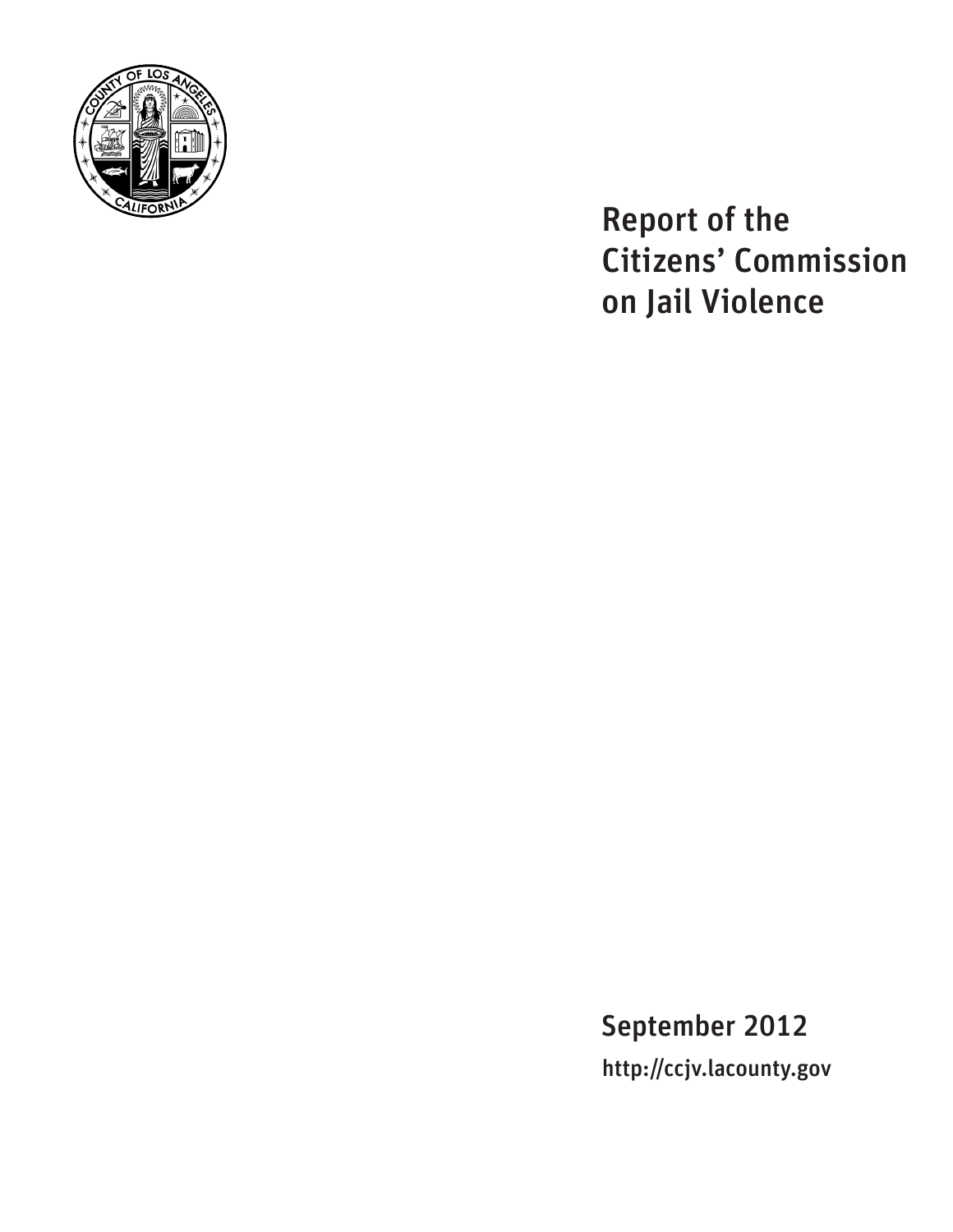

Report of the Citizens' Commission on Jail Violence

September 2012 http://ccjv.lacounty.gov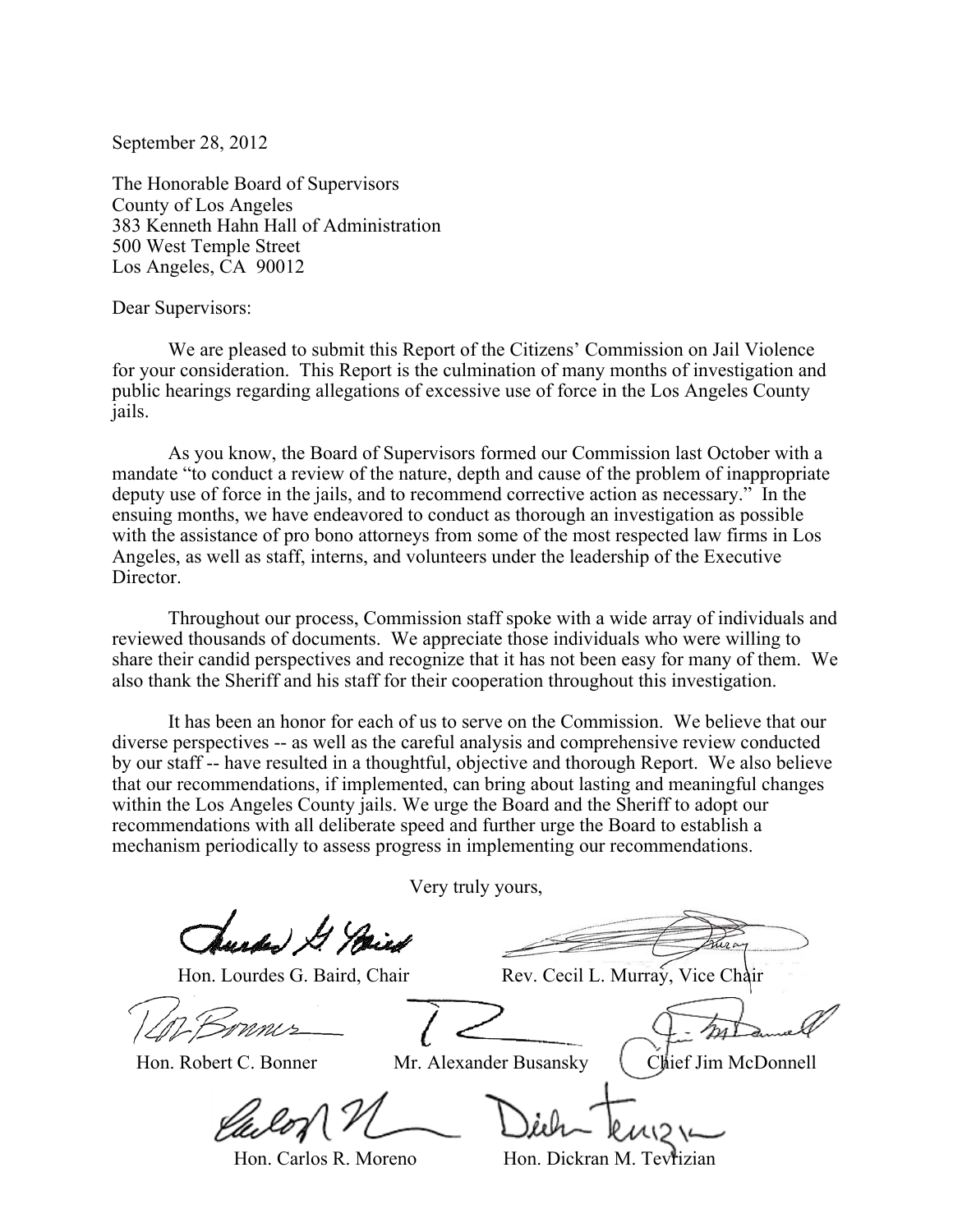September 28, 2012

The Honorable Board of Supervisors County of Los Angeles 383 Kenneth Hahn Hall of Administration 500 West Temple Street Los Angeles, CA 90012

Dear Supervisors:

 We are pleased to submit this Report of the Citizens' Commission on Jail Violence for your consideration. This Report is the culmination of many months of investigation and public hearings regarding allegations of excessive use of force in the Los Angeles County jails.

 As you know, the Board of Supervisors formed our Commission last October with a mandate "to conduct a review of the nature, depth and cause of the problem of inappropriate deputy use of force in the jails, and to recommend corrective action as necessary." In the ensuing months, we have endeavored to conduct as thorough an investigation as possible with the assistance of pro bono attorneys from some of the most respected law firms in Los Angeles, as well as staff, interns, and volunteers under the leadership of the Executive Director.

 Throughout our process, Commission staff spoke with a wide array of individuals and reviewed thousands of documents. We appreciate those individuals who were willing to share their candid perspectives and recognize that it has not been easy for many of them. We also thank the Sheriff and his staff for their cooperation throughout this investigation.

 It has been an honor for each of us to serve on the Commission. We believe that our diverse perspectives -- as well as the careful analysis and comprehensive review conducted by our staff -- have resulted in a thoughtful, objective and thorough Report. We also believe that our recommendations, if implemented, can bring about lasting and meaningful changes within the Los Angeles County jails. We urge the Board and the Sheriff to adopt our recommendations with all deliberate speed and further urge the Board to establish a mechanism periodically to assess progress in implementing our recommendations.

Very truly yours,

rdan) & Stare

Hon. Lourdes G. Baird, Chair Rev. Cecil L. Murray, Vice Chair

Hon. Robert C. Bonner Mr. Alexander Busansky (Chief Jim McDonnell)

Hon. Carlos R. Moreno **Hon. Dickran M. Tevrizian**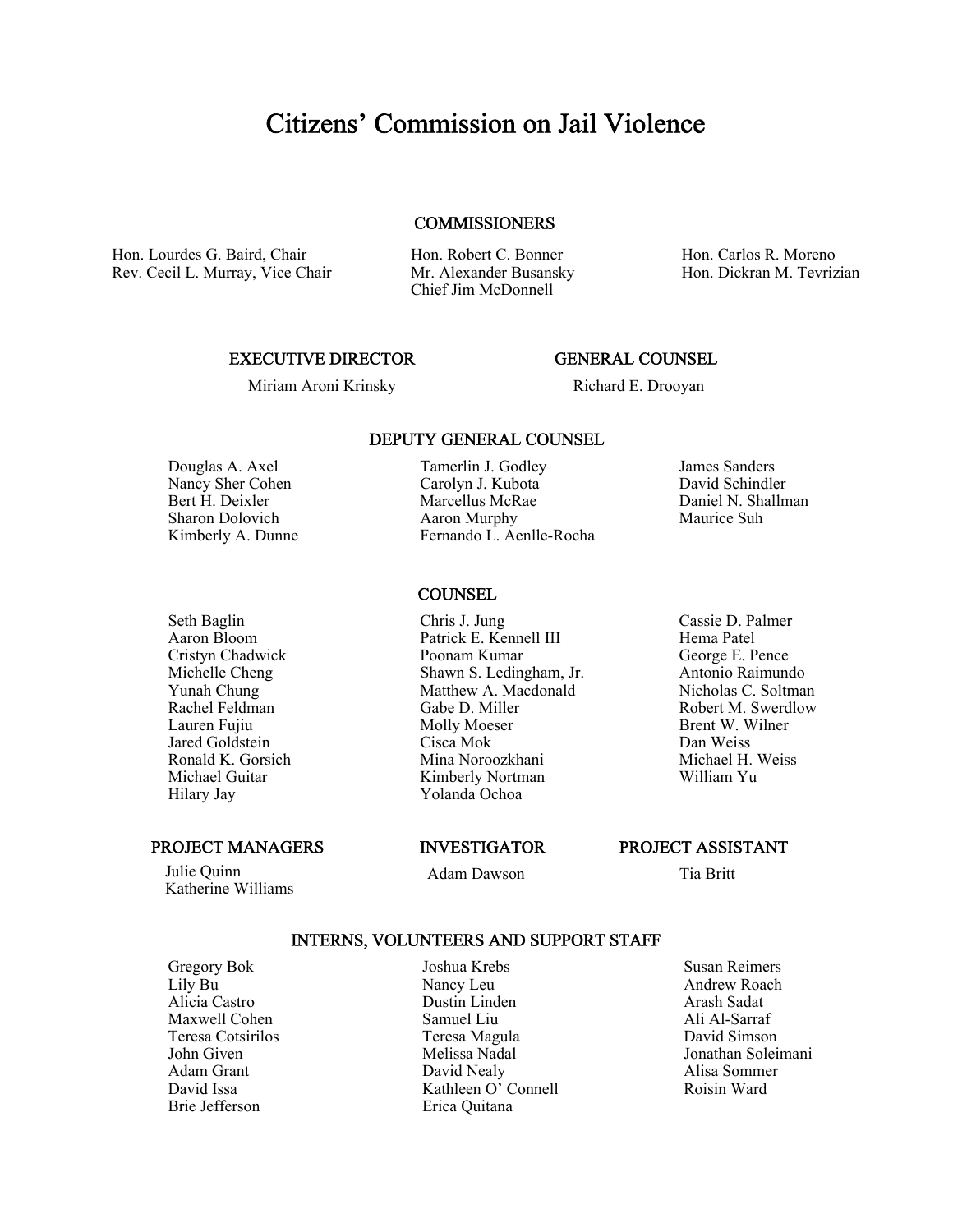# Citizens' Commission on Jail Violence

#### **COMMISSIONERS**

Hon. Lourdes G. Baird, Chair Rev. Cecil L. Murray, Vice Chair Hon. Robert C. Bonner Mr. Alexander Busansky Chief Jim McDonnell

Hon. Carlos R. Moreno Hon. Dickran M. Tevrizian

#### EXECUTIVE DIRECTOR

## GENERAL COUNSEL

Miriam Aroni Krinsky

Richard E. Drooyan

Douglas A. Axel Nancy Sher Cohen Bert H. Deixler Sharon Dolovich Kimberly A. Dunne

Seth Baglin Aaron Bloom Cristyn Chadwick Michelle Cheng Yunah Chung Rachel Feldman Lauren Fujiu Jared Goldstein Ronald K. Gorsich Michael Guitar Hilary Jay

PROJECT MANAGERS

 Julie Quinn Katherine Williams

## **COUNSEL**

Chris J. Jung Patrick E. Kennell III Poonam Kumar Shawn S. Ledingham, Jr. Matthew A. Macdonald Gabe D. Miller Molly Moeser Cisca Mok Mina Noroozkhani Kimberly Nortman Yolanda Ochoa

#### INVESTIGATOR

Adam Dawson

Cassie D. Palmer Hema Patel George E. Pence Antonio Raimundo Nicholas C. Soltman Robert M. Swerdlow Brent W. Wilner

Dan Weiss Michael H. Weiss William Yu

PROJECT ASSISTANT

Tia Britt

#### INTERNS, VOLUNTEERS AND SUPPORT STAFF

Gregory Bok Lily Bu Alicia Castro Maxwell Cohen Teresa Cotsirilos John Given Adam Grant David Issa Brie Jefferson

Joshua Krebs Nancy Leu Dustin Linden Samuel Liu Teresa Magula Melissa Nadal David Nealy Kathleen O' Connell Erica Quitana

Susan Reimers Andrew Roach Arash Sadat Ali Al-Sarraf David Simson Jonathan Soleimani Alisa Sommer Roisin Ward

Fernando L. Aenlle-Rocha

DEPUTY GENERAL COUNSEL

Tamerlin J. Godley Carolyn J. Kubota Marcellus McRae Aaron Murphy

James Sanders David Schindler

Daniel N. Shallman Maurice Suh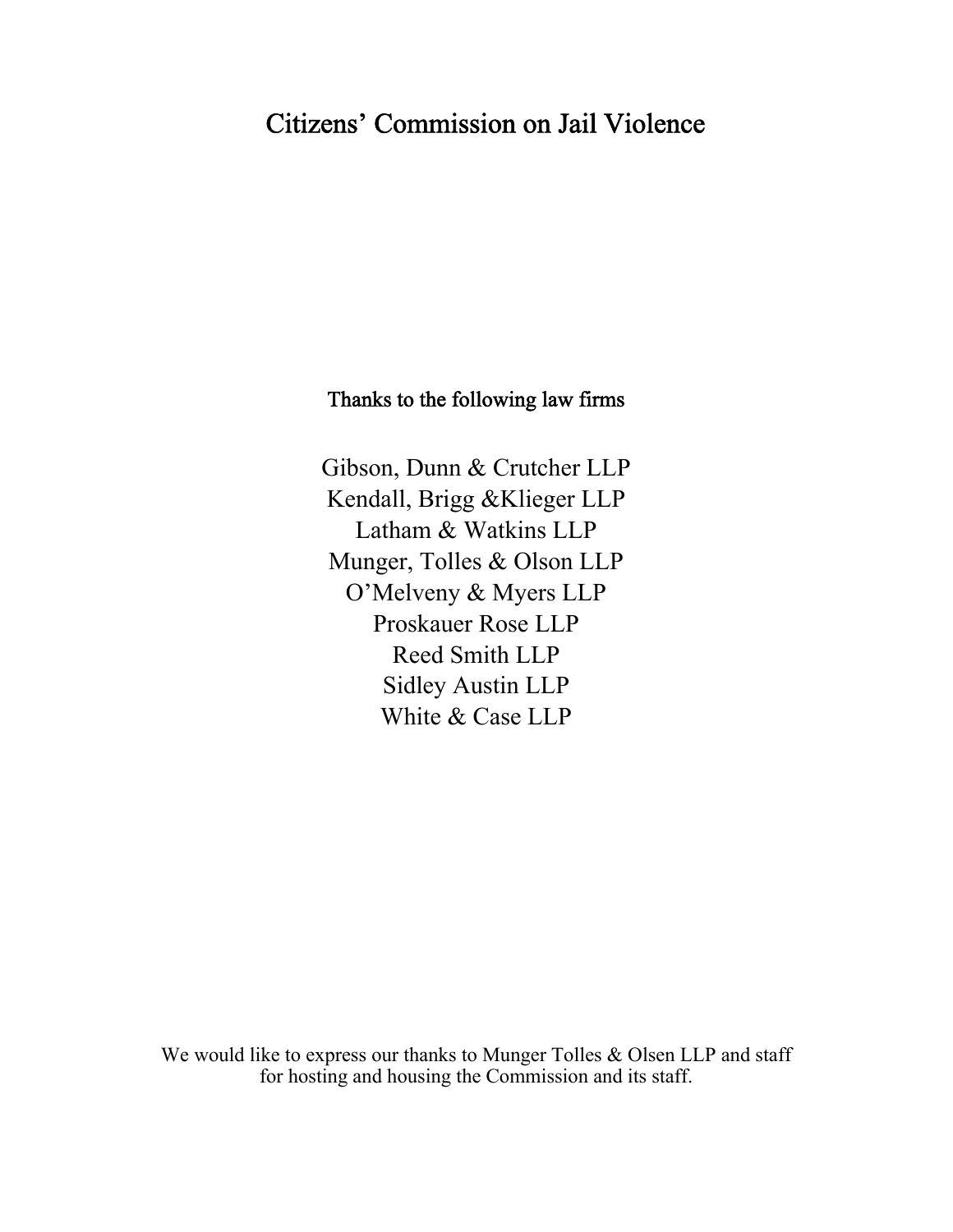# Citizens' Commission on Jail Violence

# Thanks to the following law firms

Gibson, Dunn & Crutcher LLP Kendall, Brigg &Klieger LLP Latham & Watkins LLP Munger, Tolles & Olson LLP O'Melveny & Myers LLP Proskauer Rose LLP Reed Smith LLP Sidley Austin LLP White & Case LLP

We would like to express our thanks to Munger Tolles & Olsen LLP and staff for hosting and housing the Commission and its staff.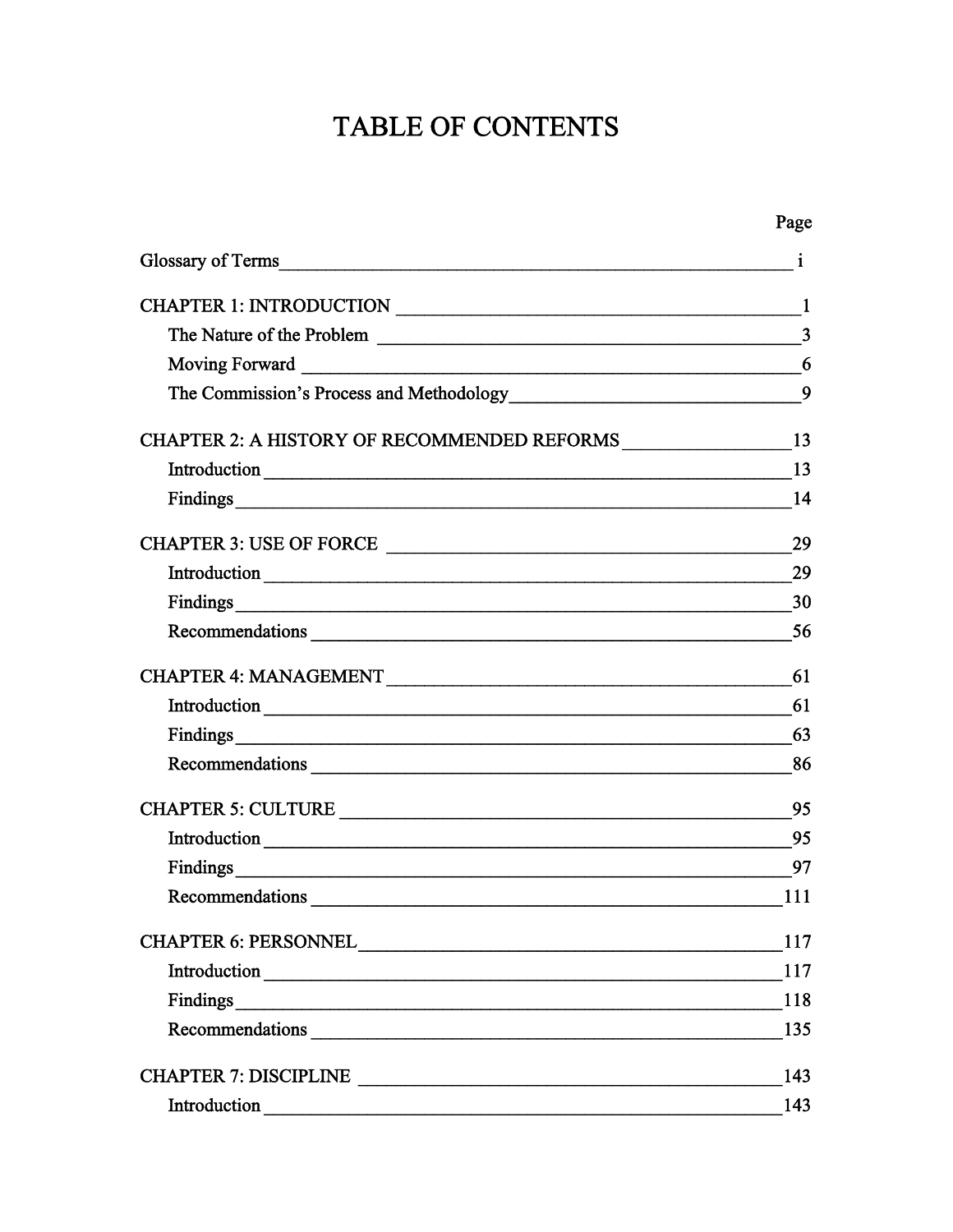# TABLE OF CONTENTS

|                                                                   | Page           |
|-------------------------------------------------------------------|----------------|
| Glossary of Terms 1                                               |                |
| CHAPTER 1: INTRODUCTION                                           | -1             |
|                                                                   | $\overline{3}$ |
|                                                                   | 6              |
| The Commission's Process and Methodology<br>9                     |                |
| CHAPTER 2: A HISTORY OF RECOMMENDED REFORMS ___________________13 |                |
|                                                                   |                |
|                                                                   |                |
| CHAPTER 3: USE OF FORCE                                           | 29             |
|                                                                   | 29             |
|                                                                   | 30             |
|                                                                   | 56             |
|                                                                   | 61             |
|                                                                   | 61             |
|                                                                   | 63             |
|                                                                   |                |
|                                                                   | 95             |
|                                                                   | 95             |
|                                                                   | 97             |
| Recommendations                                                   | 111            |
|                                                                   | 117            |
|                                                                   | 117            |
|                                                                   | 118            |
|                                                                   | 135            |
|                                                                   | 143            |
| Introduction                                                      | 143            |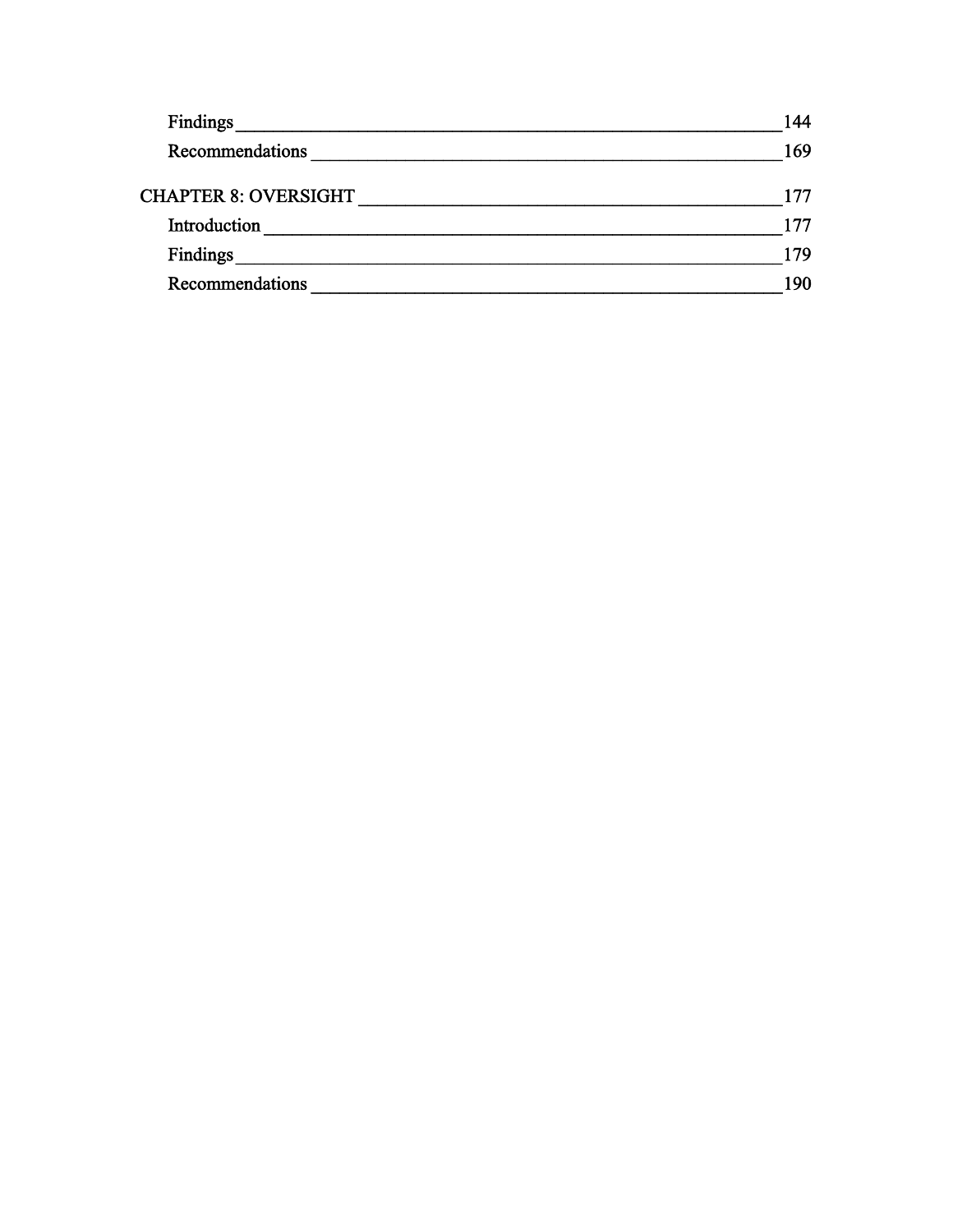| <b>Findings</b>             | 144 |
|-----------------------------|-----|
| Recommendations             | 169 |
| <b>CHAPTER 8: OVERSIGHT</b> | 177 |
| Introduction                | 177 |
| Findings                    | 179 |
| Recommendations             | 190 |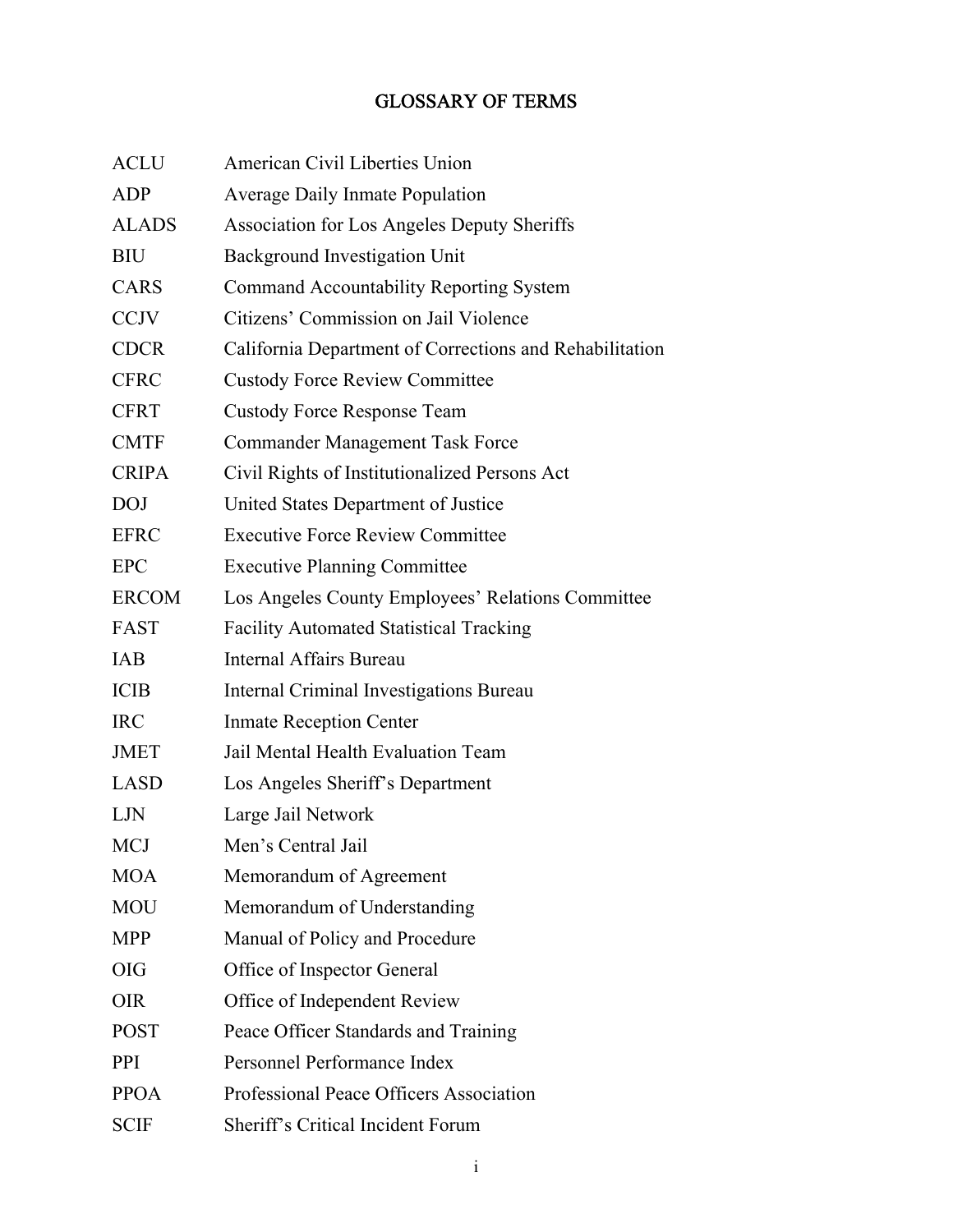# GLOSSARY OF TERMS

| <b>ACLU</b>  | American Civil Liberties Union                          |
|--------------|---------------------------------------------------------|
| <b>ADP</b>   | <b>Average Daily Inmate Population</b>                  |
| <b>ALADS</b> | <b>Association for Los Angeles Deputy Sheriffs</b>      |
| <b>BIU</b>   | <b>Background Investigation Unit</b>                    |
| CARS         | <b>Command Accountability Reporting System</b>          |
| <b>CCJV</b>  | Citizens' Commission on Jail Violence                   |
| <b>CDCR</b>  | California Department of Corrections and Rehabilitation |
| <b>CFRC</b>  | <b>Custody Force Review Committee</b>                   |
| <b>CFRT</b>  | <b>Custody Force Response Team</b>                      |
| <b>CMTF</b>  | <b>Commander Management Task Force</b>                  |
| <b>CRIPA</b> | Civil Rights of Institutionalized Persons Act           |
| <b>DOJ</b>   | United States Department of Justice                     |
| <b>EFRC</b>  | <b>Executive Force Review Committee</b>                 |
| <b>EPC</b>   | <b>Executive Planning Committee</b>                     |
| <b>ERCOM</b> | Los Angeles County Employees' Relations Committee       |
| <b>FAST</b>  | <b>Facility Automated Statistical Tracking</b>          |
| IAB          | Internal Affairs Bureau                                 |
| <b>ICIB</b>  | Internal Criminal Investigations Bureau                 |
| <b>IRC</b>   | <b>Inmate Reception Center</b>                          |
| <b>JMET</b>  | Jail Mental Health Evaluation Team                      |
| <b>LASD</b>  | Los Angeles Sheriff's Department                        |
| LJN          | Large Jail Network                                      |
| <b>MCJ</b>   | Men's Central Jail                                      |
| <b>MOA</b>   | Memorandum of Agreement                                 |
| <b>MOU</b>   | Memorandum of Understanding                             |
| <b>MPP</b>   | Manual of Policy and Procedure                          |
| <b>OIG</b>   | Office of Inspector General                             |
| <b>OIR</b>   | Office of Independent Review                            |
| <b>POST</b>  | Peace Officer Standards and Training                    |
| <b>PPI</b>   | Personnel Performance Index                             |
| <b>PPOA</b>  | Professional Peace Officers Association                 |
| <b>SCIF</b>  | Sheriff's Critical Incident Forum                       |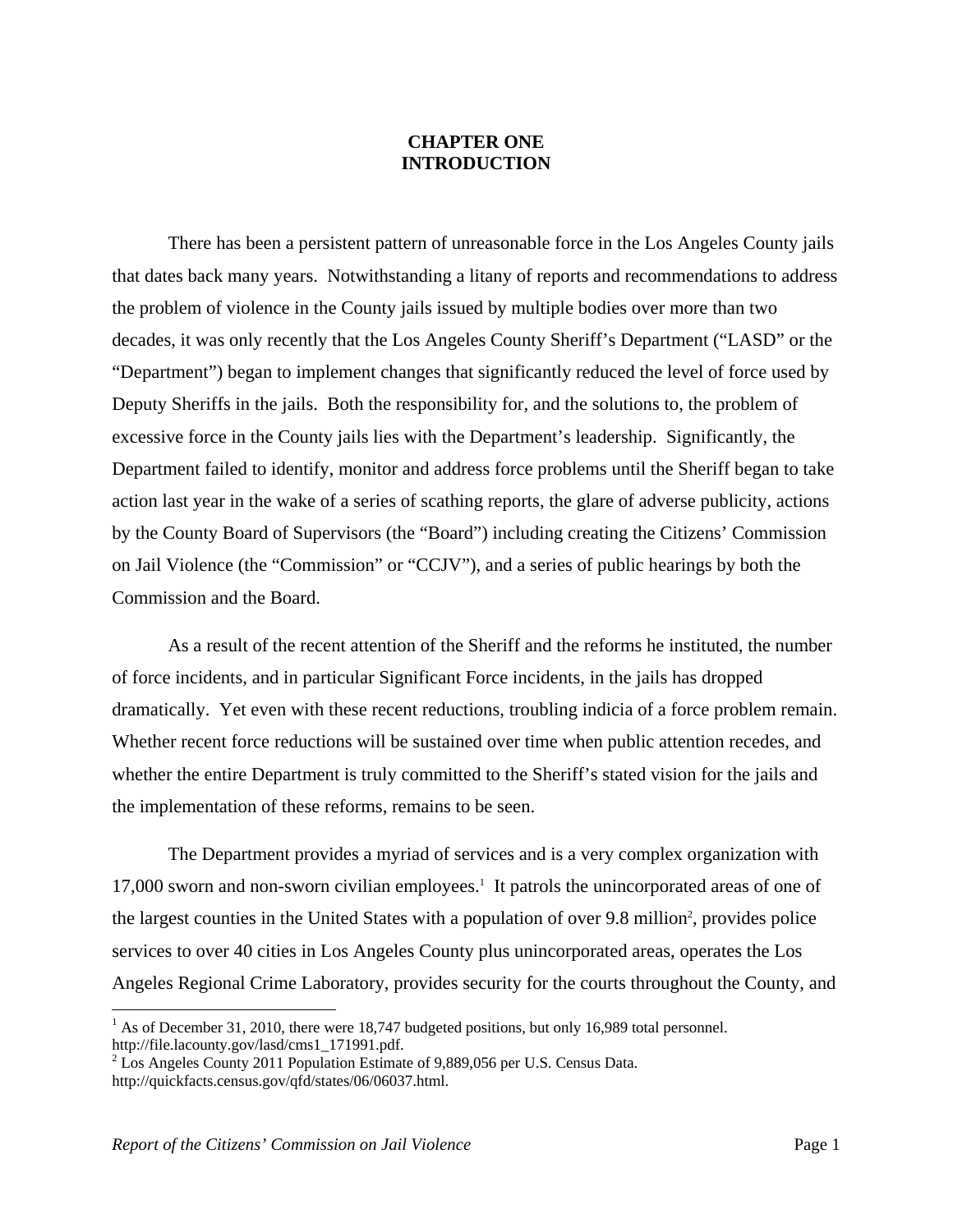#### **CHAPTER ONE INTRODUCTION**

There has been a persistent pattern of unreasonable force in the Los Angeles County jails that dates back many years. Notwithstanding a litany of reports and recommendations to address the problem of violence in the County jails issued by multiple bodies over more than two decades, it was only recently that the Los Angeles County Sheriff's Department ("LASD" or the "Department") began to implement changes that significantly reduced the level of force used by Deputy Sheriffs in the jails. Both the responsibility for, and the solutions to, the problem of excessive force in the County jails lies with the Department's leadership. Significantly, the Department failed to identify, monitor and address force problems until the Sheriff began to take action last year in the wake of a series of scathing reports, the glare of adverse publicity, actions by the County Board of Supervisors (the "Board") including creating the Citizens' Commission on Jail Violence (the "Commission" or "CCJV"), and a series of public hearings by both the Commission and the Board.

As a result of the recent attention of the Sheriff and the reforms he instituted, the number of force incidents, and in particular Significant Force incidents, in the jails has dropped dramatically. Yet even with these recent reductions, troubling indicia of a force problem remain. Whether recent force reductions will be sustained over time when public attention recedes, and whether the entire Department is truly committed to the Sheriff's stated vision for the jails and the implementation of these reforms, remains to be seen.

The Department provides a myriad of services and is a very complex organization with 17,000 sworn and non-sworn civilian employees.<sup>1</sup> It patrols the unincorporated areas of one of the largest counties in the United States with a population of over 9.8 million<sup>2</sup>, provides police services to over 40 cities in Los Angeles County plus unincorporated areas, operates the Los Angeles Regional Crime Laboratory, provides security for the courts throughout the County, and

 $<sup>1</sup>$  As of December 31, 2010, there were 18,747 budgeted positions, but only 16,989 total personnel.</sup> http://file.lacounty.gov/lasd/cms1\_171991.pdf.

<sup>&</sup>lt;sup>2</sup> Los Angeles County 2011 Population Estimate of 9,889,056 per U.S. Census Data. http://quickfacts.census.gov/qfd/states/06/06037.html.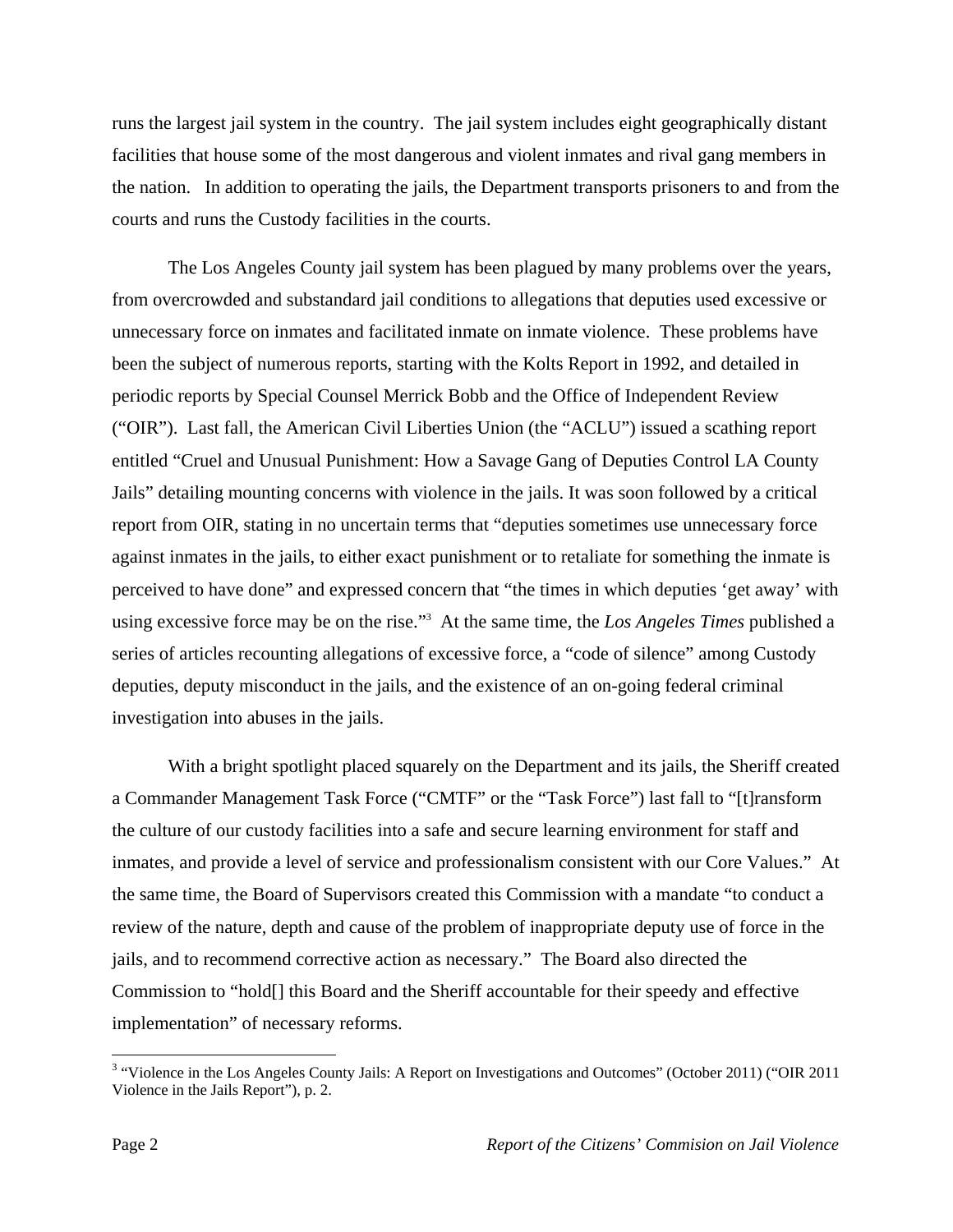runs the largest jail system in the country. The jail system includes eight geographically distant facilities that house some of the most dangerous and violent inmates and rival gang members in the nation. In addition to operating the jails, the Department transports prisoners to and from the courts and runs the Custody facilities in the courts.

The Los Angeles County jail system has been plagued by many problems over the years, from overcrowded and substandard jail conditions to allegations that deputies used excessive or unnecessary force on inmates and facilitated inmate on inmate violence. These problems have been the subject of numerous reports, starting with the Kolts Report in 1992, and detailed in periodic reports by Special Counsel Merrick Bobb and the Office of Independent Review ("OIR"). Last fall, the American Civil Liberties Union (the "ACLU") issued a scathing report entitled "Cruel and Unusual Punishment: How a Savage Gang of Deputies Control LA County Jails" detailing mounting concerns with violence in the jails. It was soon followed by a critical report from OIR, stating in no uncertain terms that "deputies sometimes use unnecessary force against inmates in the jails, to either exact punishment or to retaliate for something the inmate is perceived to have done" and expressed concern that "the times in which deputies 'get away' with using excessive force may be on the rise."3 At the same time, the *Los Angeles Times* published a series of articles recounting allegations of excessive force, a "code of silence" among Custody deputies, deputy misconduct in the jails, and the existence of an on-going federal criminal investigation into abuses in the jails.

With a bright spotlight placed squarely on the Department and its jails, the Sheriff created a Commander Management Task Force ("CMTF" or the "Task Force") last fall to "[t]ransform the culture of our custody facilities into a safe and secure learning environment for staff and inmates, and provide a level of service and professionalism consistent with our Core Values." At the same time, the Board of Supervisors created this Commission with a mandate "to conduct a review of the nature, depth and cause of the problem of inappropriate deputy use of force in the jails, and to recommend corrective action as necessary." The Board also directed the Commission to "hold[] this Board and the Sheriff accountable for their speedy and effective implementation" of necessary reforms.

<sup>&</sup>lt;sup>3</sup> "Violence in the Los Angeles County Jails: A Report on Investigations and Outcomes" (October 2011) ("OIR 2011 Violence in the Jails Report"), p. 2.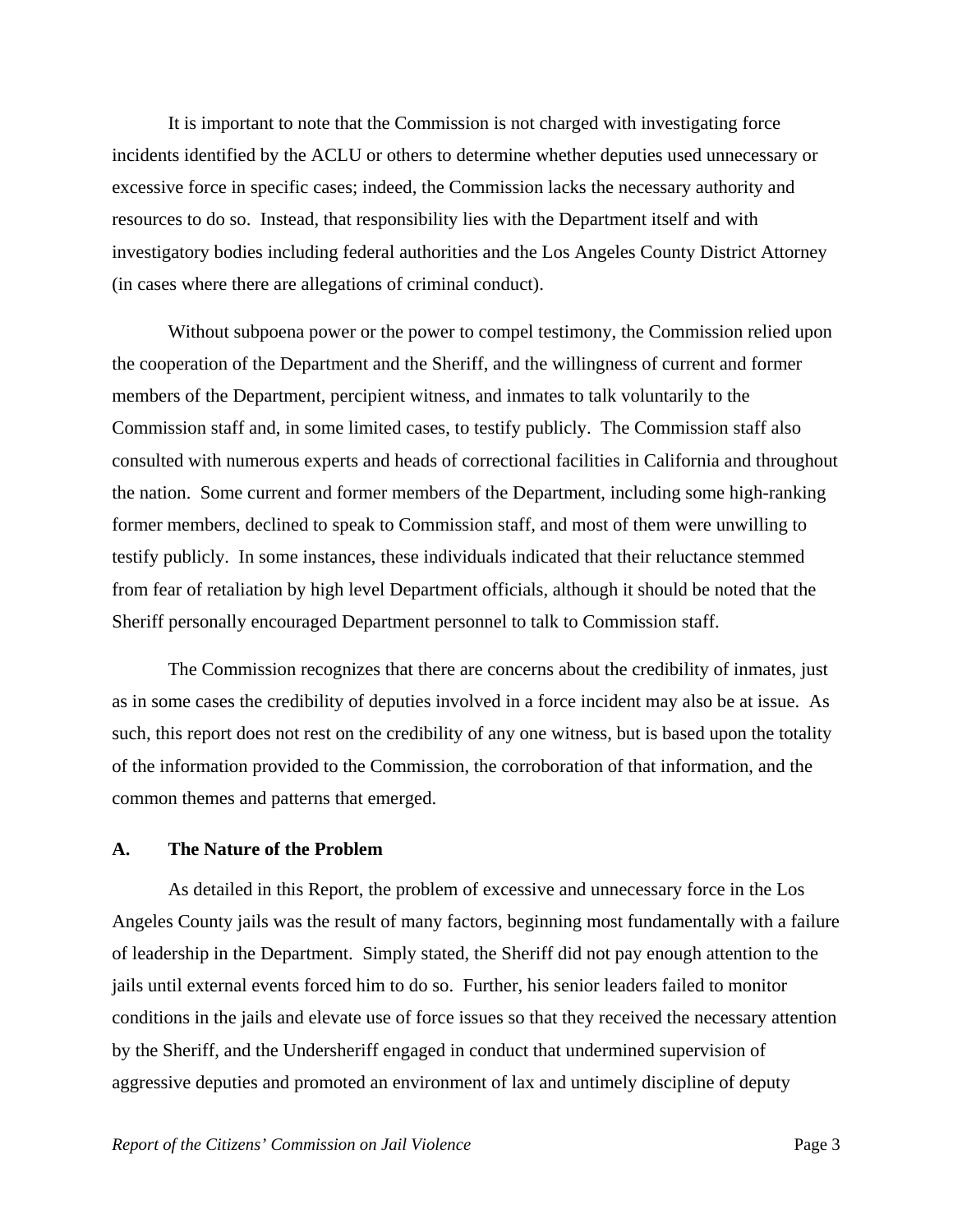It is important to note that the Commission is not charged with investigating force incidents identified by the ACLU or others to determine whether deputies used unnecessary or excessive force in specific cases; indeed, the Commission lacks the necessary authority and resources to do so. Instead, that responsibility lies with the Department itself and with investigatory bodies including federal authorities and the Los Angeles County District Attorney (in cases where there are allegations of criminal conduct).

Without subpoena power or the power to compel testimony, the Commission relied upon the cooperation of the Department and the Sheriff, and the willingness of current and former members of the Department, percipient witness, and inmates to talk voluntarily to the Commission staff and, in some limited cases, to testify publicly. The Commission staff also consulted with numerous experts and heads of correctional facilities in California and throughout the nation. Some current and former members of the Department, including some high-ranking former members, declined to speak to Commission staff, and most of them were unwilling to testify publicly. In some instances, these individuals indicated that their reluctance stemmed from fear of retaliation by high level Department officials, although it should be noted that the Sheriff personally encouraged Department personnel to talk to Commission staff.

The Commission recognizes that there are concerns about the credibility of inmates, just as in some cases the credibility of deputies involved in a force incident may also be at issue. As such, this report does not rest on the credibility of any one witness, but is based upon the totality of the information provided to the Commission, the corroboration of that information, and the common themes and patterns that emerged.

#### **A. The Nature of the Problem**

As detailed in this Report, the problem of excessive and unnecessary force in the Los Angeles County jails was the result of many factors, beginning most fundamentally with a failure of leadership in the Department. Simply stated, the Sheriff did not pay enough attention to the jails until external events forced him to do so. Further, his senior leaders failed to monitor conditions in the jails and elevate use of force issues so that they received the necessary attention by the Sheriff, and the Undersheriff engaged in conduct that undermined supervision of aggressive deputies and promoted an environment of lax and untimely discipline of deputy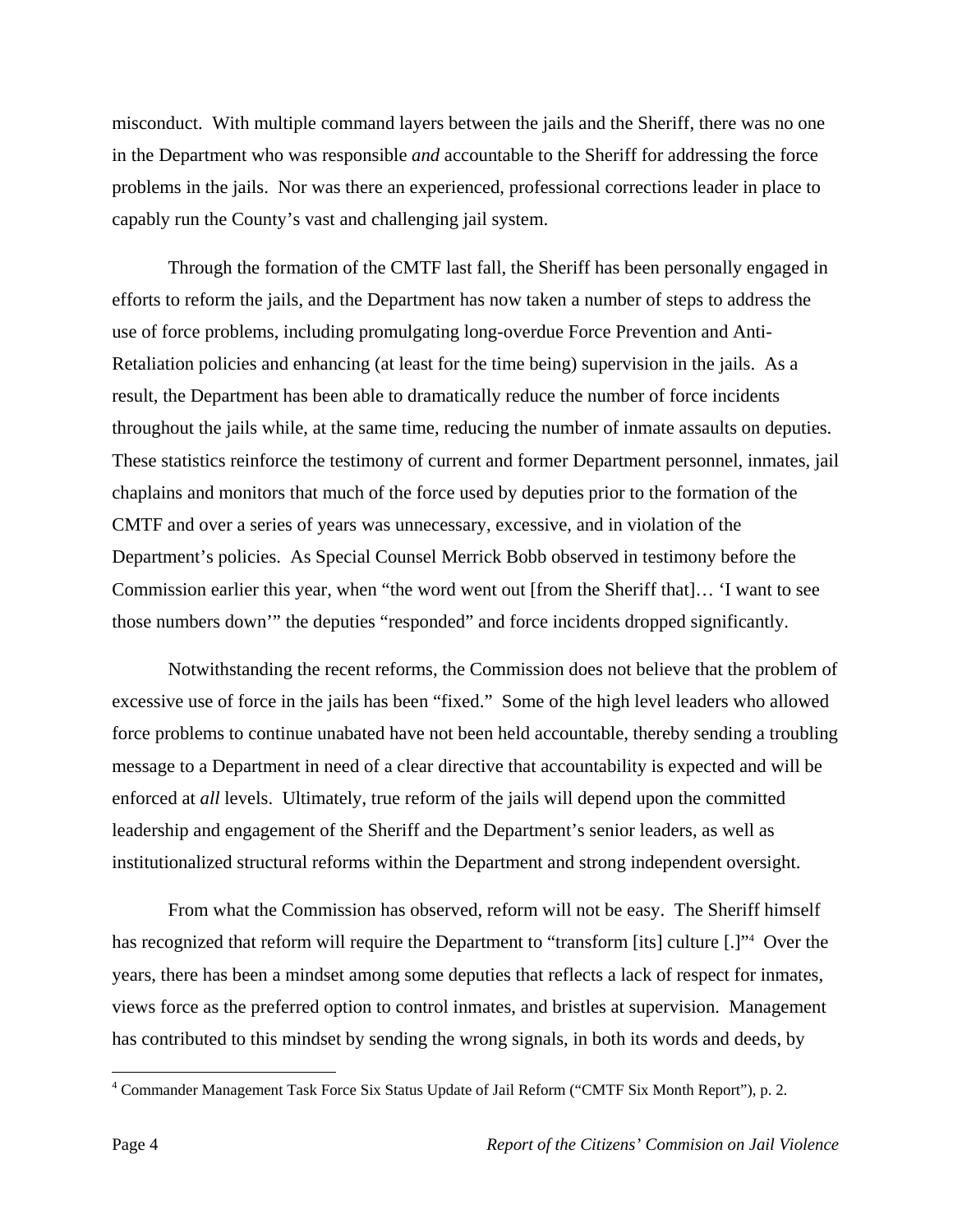misconduct. With multiple command layers between the jails and the Sheriff, there was no one in the Department who was responsible *and* accountable to the Sheriff for addressing the force problems in the jails. Nor was there an experienced, professional corrections leader in place to capably run the County's vast and challenging jail system.

Through the formation of the CMTF last fall, the Sheriff has been personally engaged in efforts to reform the jails, and the Department has now taken a number of steps to address the use of force problems, including promulgating long-overdue Force Prevention and Anti-Retaliation policies and enhancing (at least for the time being) supervision in the jails. As a result, the Department has been able to dramatically reduce the number of force incidents throughout the jails while, at the same time, reducing the number of inmate assaults on deputies. These statistics reinforce the testimony of current and former Department personnel, inmates, jail chaplains and monitors that much of the force used by deputies prior to the formation of the CMTF and over a series of years was unnecessary, excessive, and in violation of the Department's policies. As Special Counsel Merrick Bobb observed in testimony before the Commission earlier this year, when "the word went out [from the Sheriff that]… 'I want to see those numbers down'" the deputies "responded" and force incidents dropped significantly.

Notwithstanding the recent reforms, the Commission does not believe that the problem of excessive use of force in the jails has been "fixed." Some of the high level leaders who allowed force problems to continue unabated have not been held accountable, thereby sending a troubling message to a Department in need of a clear directive that accountability is expected and will be enforced at *all* levels. Ultimately, true reform of the jails will depend upon the committed leadership and engagement of the Sheriff and the Department's senior leaders, as well as institutionalized structural reforms within the Department and strong independent oversight.

From what the Commission has observed, reform will not be easy. The Sheriff himself has recognized that reform will require the Department to "transform [its] culture [.]"<sup>4</sup> Over the years, there has been a mindset among some deputies that reflects a lack of respect for inmates, views force as the preferred option to control inmates, and bristles at supervision. Management has contributed to this mindset by sending the wrong signals, in both its words and deeds, by

<sup>&</sup>lt;sup>4</sup> Commander Management Task Force Six Status Update of Jail Reform ("CMTF Six Month Report"), p. 2.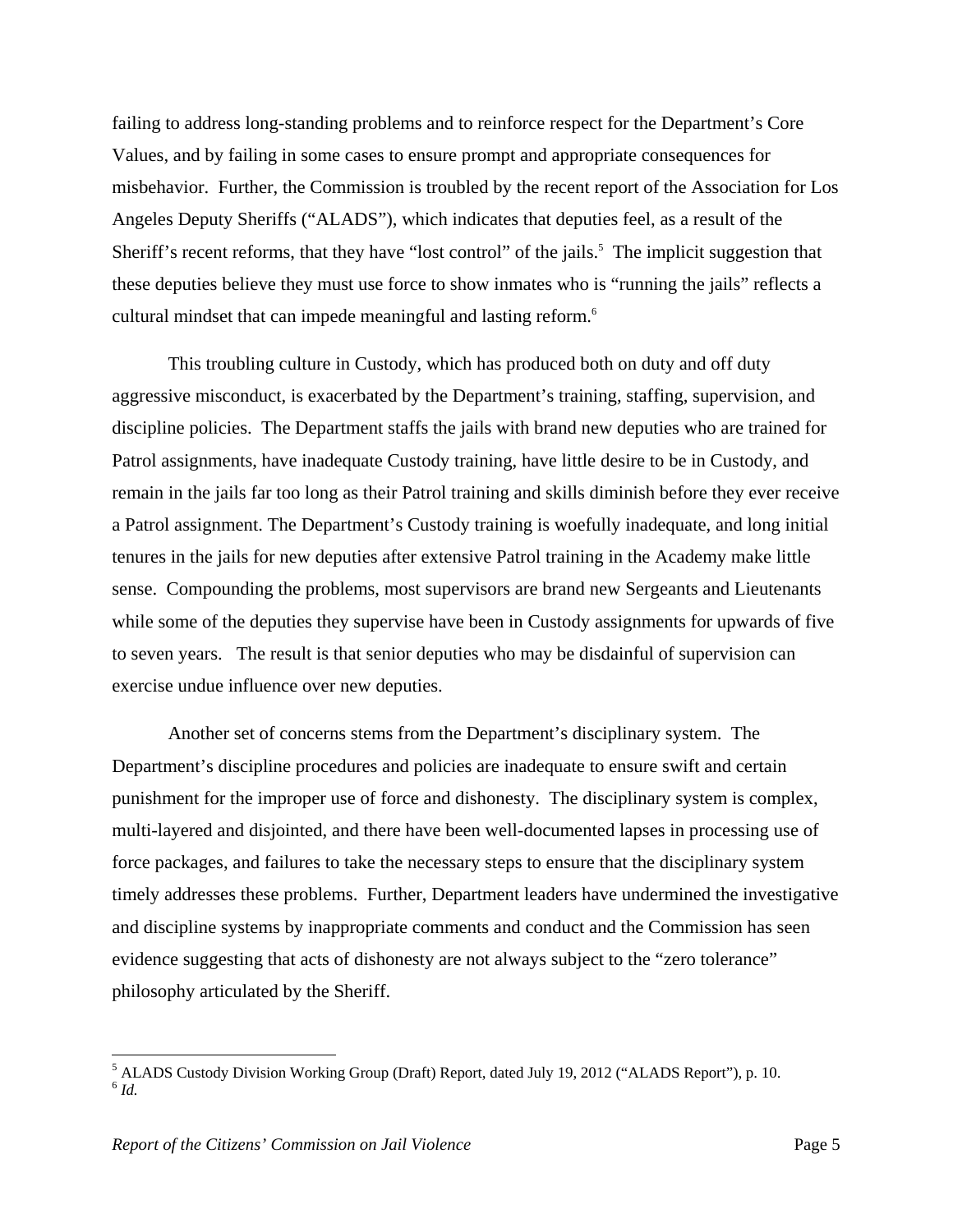failing to address long-standing problems and to reinforce respect for the Department's Core Values, and by failing in some cases to ensure prompt and appropriate consequences for misbehavior. Further, the Commission is troubled by the recent report of the Association for Los Angeles Deputy Sheriffs ("ALADS"), which indicates that deputies feel, as a result of the Sheriff's recent reforms, that they have "lost control" of the jails.<sup>5</sup> The implicit suggestion that these deputies believe they must use force to show inmates who is "running the jails" reflects a cultural mindset that can impede meaningful and lasting reform.6

This troubling culture in Custody, which has produced both on duty and off duty aggressive misconduct, is exacerbated by the Department's training, staffing, supervision, and discipline policies. The Department staffs the jails with brand new deputies who are trained for Patrol assignments, have inadequate Custody training, have little desire to be in Custody, and remain in the jails far too long as their Patrol training and skills diminish before they ever receive a Patrol assignment. The Department's Custody training is woefully inadequate, and long initial tenures in the jails for new deputies after extensive Patrol training in the Academy make little sense. Compounding the problems, most supervisors are brand new Sergeants and Lieutenants while some of the deputies they supervise have been in Custody assignments for upwards of five to seven years. The result is that senior deputies who may be disdainful of supervision can exercise undue influence over new deputies.

Another set of concerns stems from the Department's disciplinary system. The Department's discipline procedures and policies are inadequate to ensure swift and certain punishment for the improper use of force and dishonesty. The disciplinary system is complex, multi-layered and disjointed, and there have been well-documented lapses in processing use of force packages, and failures to take the necessary steps to ensure that the disciplinary system timely addresses these problems. Further, Department leaders have undermined the investigative and discipline systems by inappropriate comments and conduct and the Commission has seen evidence suggesting that acts of dishonesty are not always subject to the "zero tolerance" philosophy articulated by the Sheriff.

<sup>&</sup>lt;sup>5</sup> ALADS Custody Division Working Group (Draft) Report, dated July 19, 2012 ("ALADS Report"), p. 10. <sup>6</sup> *Id.*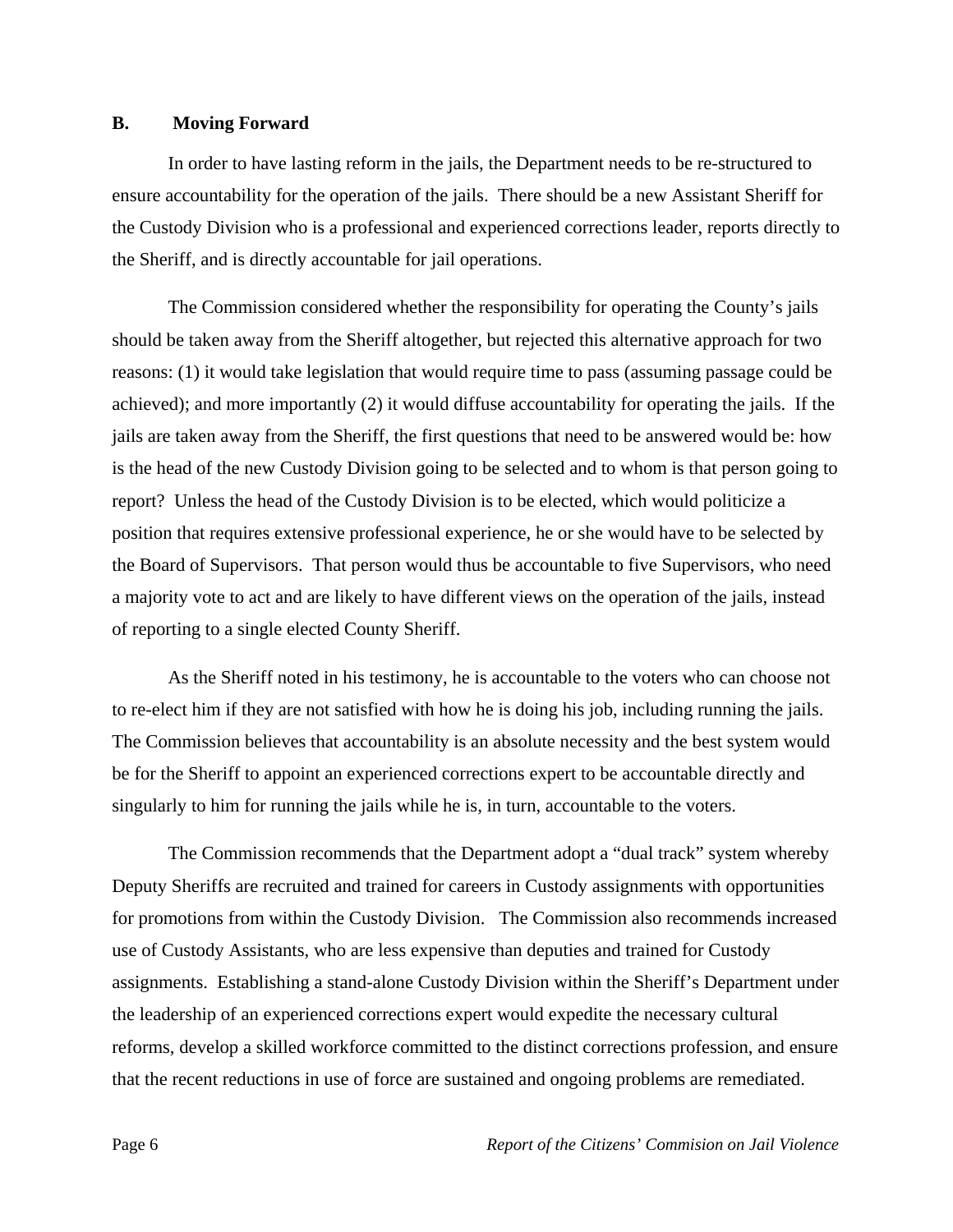#### **B. Moving Forward**

In order to have lasting reform in the jails, the Department needs to be re-structured to ensure accountability for the operation of the jails. There should be a new Assistant Sheriff for the Custody Division who is a professional and experienced corrections leader, reports directly to the Sheriff, and is directly accountable for jail operations.

The Commission considered whether the responsibility for operating the County's jails should be taken away from the Sheriff altogether, but rejected this alternative approach for two reasons: (1) it would take legislation that would require time to pass (assuming passage could be achieved); and more importantly (2) it would diffuse accountability for operating the jails. If the jails are taken away from the Sheriff, the first questions that need to be answered would be: how is the head of the new Custody Division going to be selected and to whom is that person going to report? Unless the head of the Custody Division is to be elected, which would politicize a position that requires extensive professional experience, he or she would have to be selected by the Board of Supervisors. That person would thus be accountable to five Supervisors, who need a majority vote to act and are likely to have different views on the operation of the jails, instead of reporting to a single elected County Sheriff.

As the Sheriff noted in his testimony, he is accountable to the voters who can choose not to re-elect him if they are not satisfied with how he is doing his job, including running the jails. The Commission believes that accountability is an absolute necessity and the best system would be for the Sheriff to appoint an experienced corrections expert to be accountable directly and singularly to him for running the jails while he is, in turn, accountable to the voters.

The Commission recommends that the Department adopt a "dual track" system whereby Deputy Sheriffs are recruited and trained for careers in Custody assignments with opportunities for promotions from within the Custody Division. The Commission also recommends increased use of Custody Assistants, who are less expensive than deputies and trained for Custody assignments. Establishing a stand-alone Custody Division within the Sheriff's Department under the leadership of an experienced corrections expert would expedite the necessary cultural reforms, develop a skilled workforce committed to the distinct corrections profession, and ensure that the recent reductions in use of force are sustained and ongoing problems are remediated.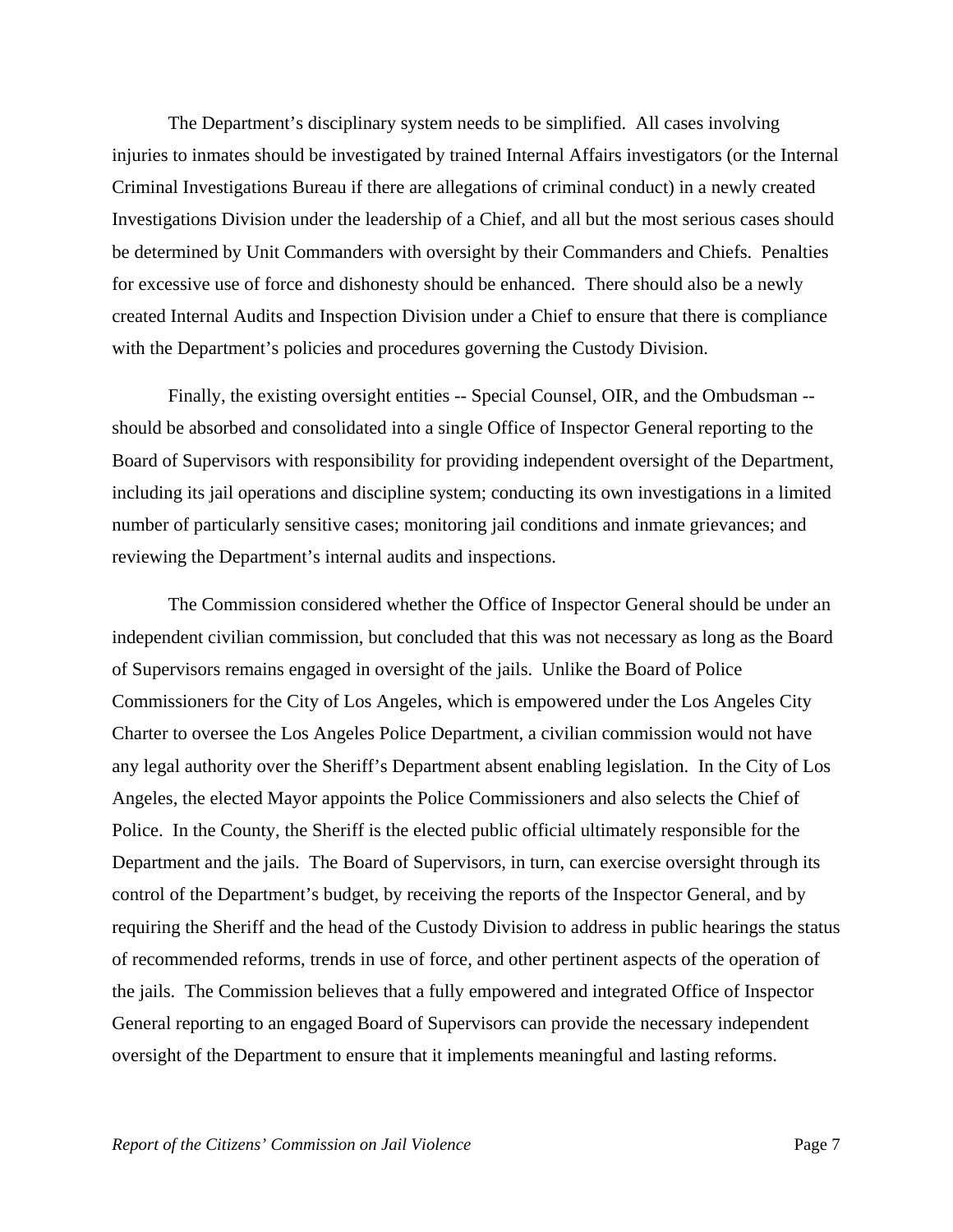The Department's disciplinary system needs to be simplified. All cases involving injuries to inmates should be investigated by trained Internal Affairs investigators (or the Internal Criminal Investigations Bureau if there are allegations of criminal conduct) in a newly created Investigations Division under the leadership of a Chief, and all but the most serious cases should be determined by Unit Commanders with oversight by their Commanders and Chiefs. Penalties for excessive use of force and dishonesty should be enhanced. There should also be a newly created Internal Audits and Inspection Division under a Chief to ensure that there is compliance with the Department's policies and procedures governing the Custody Division.

Finally, the existing oversight entities -- Special Counsel, OIR, and the Ombudsman - should be absorbed and consolidated into a single Office of Inspector General reporting to the Board of Supervisors with responsibility for providing independent oversight of the Department, including its jail operations and discipline system; conducting its own investigations in a limited number of particularly sensitive cases; monitoring jail conditions and inmate grievances; and reviewing the Department's internal audits and inspections.

The Commission considered whether the Office of Inspector General should be under an independent civilian commission, but concluded that this was not necessary as long as the Board of Supervisors remains engaged in oversight of the jails. Unlike the Board of Police Commissioners for the City of Los Angeles, which is empowered under the Los Angeles City Charter to oversee the Los Angeles Police Department, a civilian commission would not have any legal authority over the Sheriff's Department absent enabling legislation. In the City of Los Angeles, the elected Mayor appoints the Police Commissioners and also selects the Chief of Police. In the County, the Sheriff is the elected public official ultimately responsible for the Department and the jails. The Board of Supervisors, in turn, can exercise oversight through its control of the Department's budget, by receiving the reports of the Inspector General, and by requiring the Sheriff and the head of the Custody Division to address in public hearings the status of recommended reforms, trends in use of force, and other pertinent aspects of the operation of the jails. The Commission believes that a fully empowered and integrated Office of Inspector General reporting to an engaged Board of Supervisors can provide the necessary independent oversight of the Department to ensure that it implements meaningful and lasting reforms.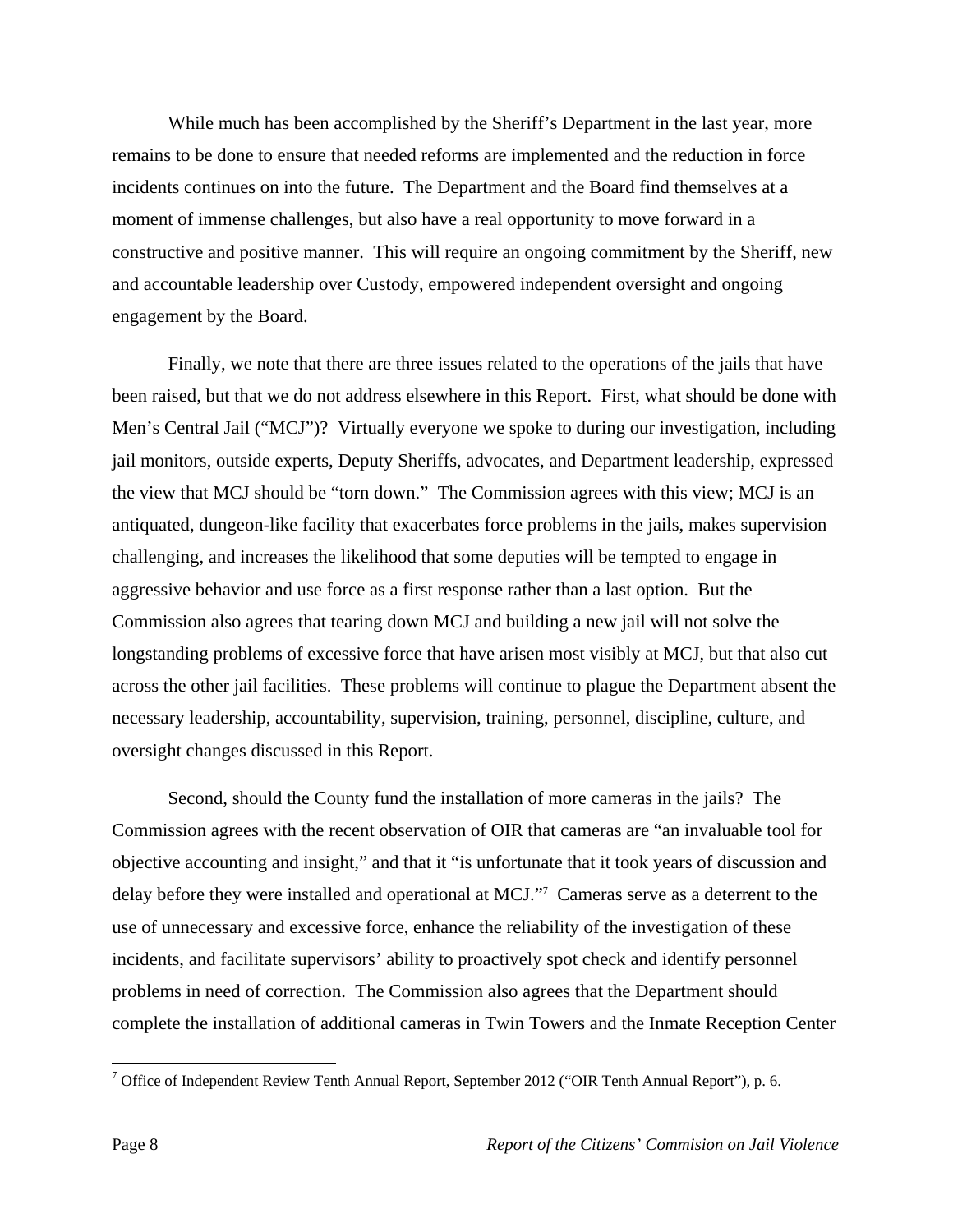While much has been accomplished by the Sheriff's Department in the last year, more remains to be done to ensure that needed reforms are implemented and the reduction in force incidents continues on into the future. The Department and the Board find themselves at a moment of immense challenges, but also have a real opportunity to move forward in a constructive and positive manner. This will require an ongoing commitment by the Sheriff, new and accountable leadership over Custody, empowered independent oversight and ongoing engagement by the Board.

 Finally, we note that there are three issues related to the operations of the jails that have been raised, but that we do not address elsewhere in this Report. First, what should be done with Men's Central Jail ("MCJ")? Virtually everyone we spoke to during our investigation, including jail monitors, outside experts, Deputy Sheriffs, advocates, and Department leadership, expressed the view that MCJ should be "torn down." The Commission agrees with this view; MCJ is an antiquated, dungeon-like facility that exacerbates force problems in the jails, makes supervision challenging, and increases the likelihood that some deputies will be tempted to engage in aggressive behavior and use force as a first response rather than a last option. But the Commission also agrees that tearing down MCJ and building a new jail will not solve the longstanding problems of excessive force that have arisen most visibly at MCJ, but that also cut across the other jail facilities. These problems will continue to plague the Department absent the necessary leadership, accountability, supervision, training, personnel, discipline, culture, and oversight changes discussed in this Report.

Second, should the County fund the installation of more cameras in the jails? The Commission agrees with the recent observation of OIR that cameras are "an invaluable tool for objective accounting and insight," and that it "is unfortunate that it took years of discussion and delay before they were installed and operational at MCJ."7 Cameras serve as a deterrent to the use of unnecessary and excessive force, enhance the reliability of the investigation of these incidents, and facilitate supervisors' ability to proactively spot check and identify personnel problems in need of correction. The Commission also agrees that the Department should complete the installation of additional cameras in Twin Towers and the Inmate Reception Center

<sup>&</sup>lt;sup>7</sup> Office of Independent Review Tenth Annual Report, September 2012 ("OIR Tenth Annual Report"), p. 6.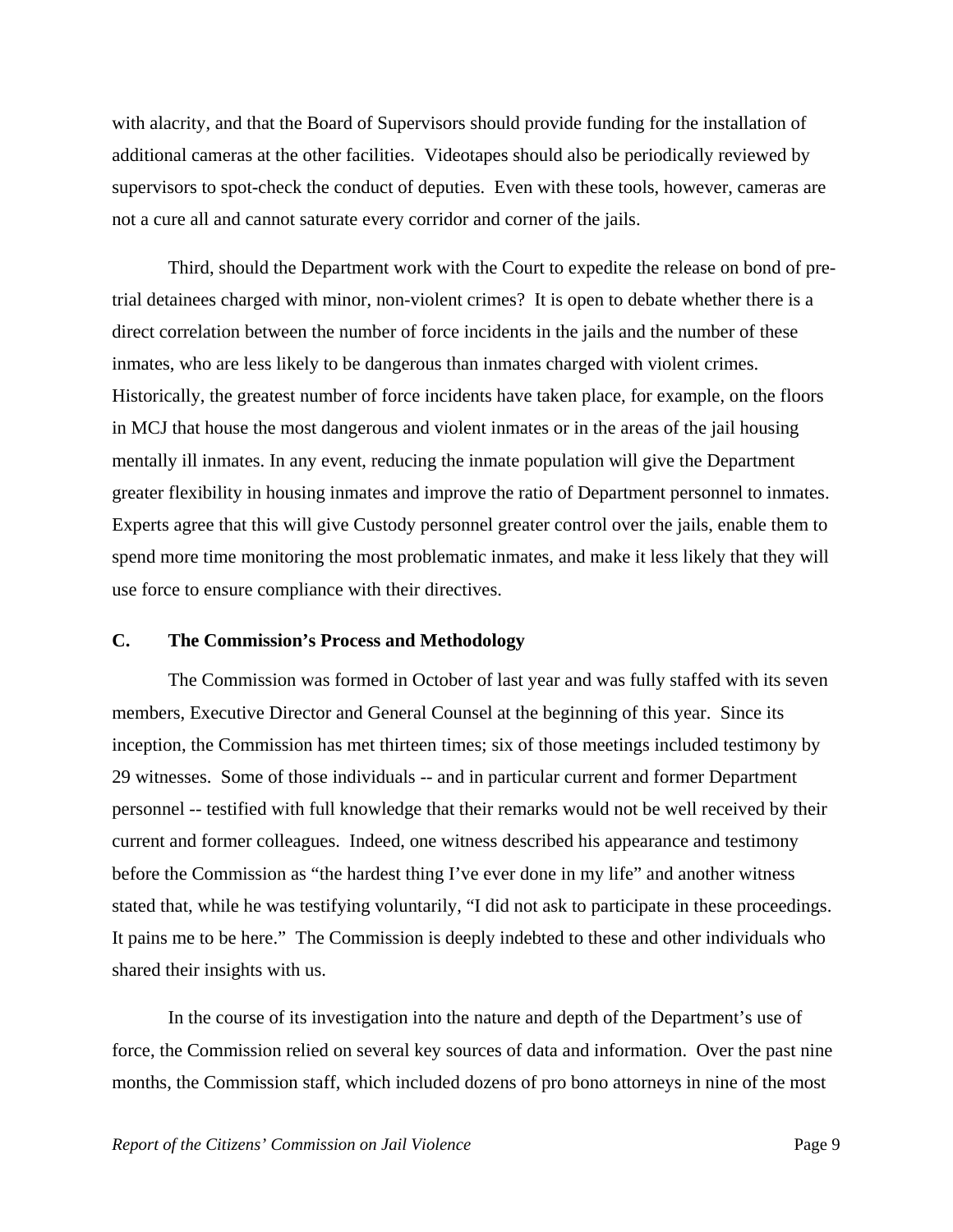with alacrity, and that the Board of Supervisors should provide funding for the installation of additional cameras at the other facilities. Videotapes should also be periodically reviewed by supervisors to spot-check the conduct of deputies. Even with these tools, however, cameras are not a cure all and cannot saturate every corridor and corner of the jails.

Third, should the Department work with the Court to expedite the release on bond of pretrial detainees charged with minor, non-violent crimes? It is open to debate whether there is a direct correlation between the number of force incidents in the jails and the number of these inmates, who are less likely to be dangerous than inmates charged with violent crimes. Historically, the greatest number of force incidents have taken place, for example, on the floors in MCJ that house the most dangerous and violent inmates or in the areas of the jail housing mentally ill inmates. In any event, reducing the inmate population will give the Department greater flexibility in housing inmates and improve the ratio of Department personnel to inmates. Experts agree that this will give Custody personnel greater control over the jails, enable them to spend more time monitoring the most problematic inmates, and make it less likely that they will use force to ensure compliance with their directives.

#### **C. The Commission's Process and Methodology**

The Commission was formed in October of last year and was fully staffed with its seven members, Executive Director and General Counsel at the beginning of this year. Since its inception, the Commission has met thirteen times; six of those meetings included testimony by 29 witnesses. Some of those individuals -- and in particular current and former Department personnel -- testified with full knowledge that their remarks would not be well received by their current and former colleagues. Indeed, one witness described his appearance and testimony before the Commission as "the hardest thing I've ever done in my life" and another witness stated that, while he was testifying voluntarily, "I did not ask to participate in these proceedings. It pains me to be here." The Commission is deeply indebted to these and other individuals who shared their insights with us.

In the course of its investigation into the nature and depth of the Department's use of force, the Commission relied on several key sources of data and information. Over the past nine months, the Commission staff, which included dozens of pro bono attorneys in nine of the most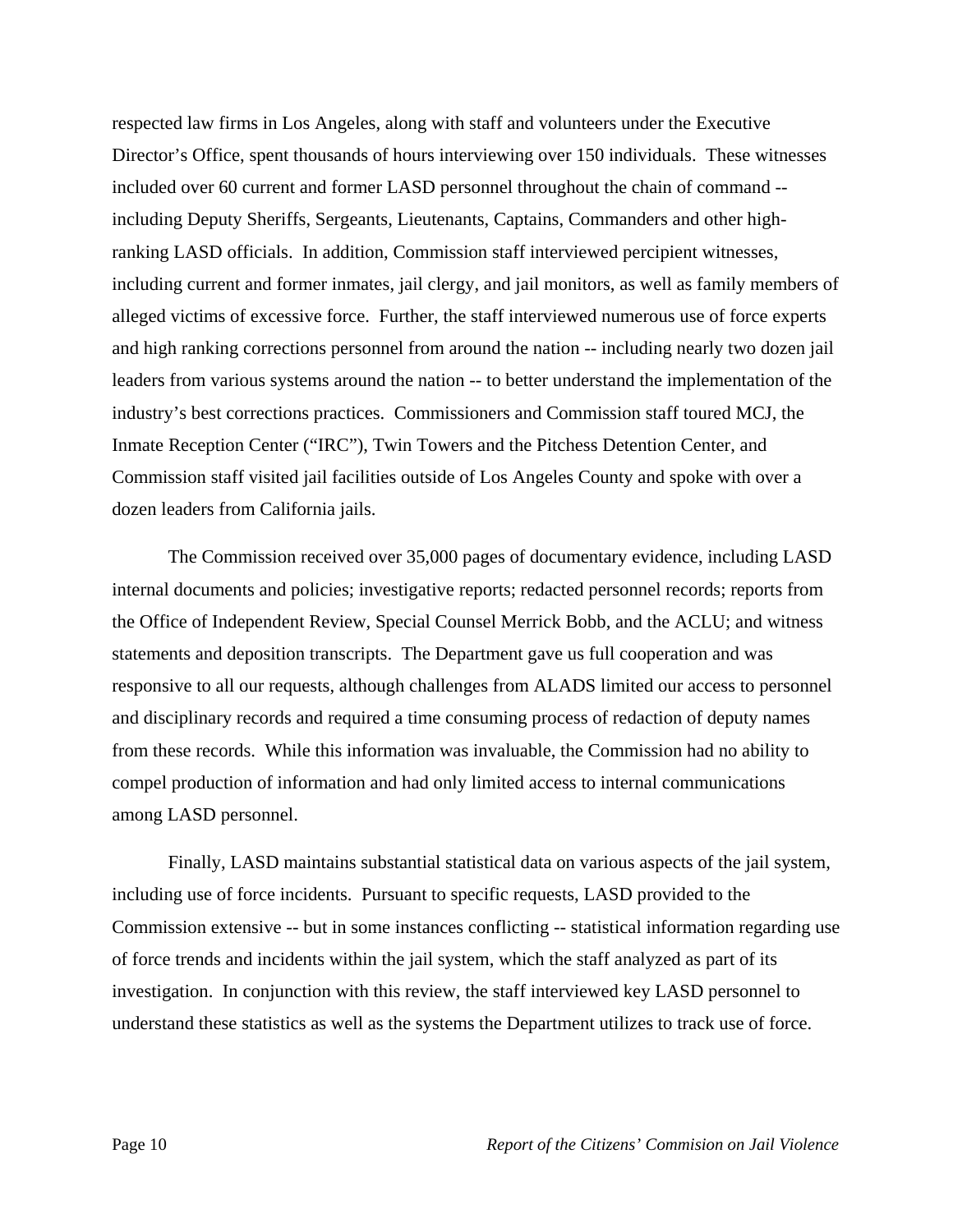respected law firms in Los Angeles, along with staff and volunteers under the Executive Director's Office, spent thousands of hours interviewing over 150 individuals. These witnesses included over 60 current and former LASD personnel throughout the chain of command - including Deputy Sheriffs, Sergeants, Lieutenants, Captains, Commanders and other highranking LASD officials. In addition, Commission staff interviewed percipient witnesses, including current and former inmates, jail clergy, and jail monitors, as well as family members of alleged victims of excessive force. Further, the staff interviewed numerous use of force experts and high ranking corrections personnel from around the nation -- including nearly two dozen jail leaders from various systems around the nation -- to better understand the implementation of the industry's best corrections practices. Commissioners and Commission staff toured MCJ, the Inmate Reception Center ("IRC"), Twin Towers and the Pitchess Detention Center, and Commission staff visited jail facilities outside of Los Angeles County and spoke with over a dozen leaders from California jails.

The Commission received over 35,000 pages of documentary evidence, including LASD internal documents and policies; investigative reports; redacted personnel records; reports from the Office of Independent Review, Special Counsel Merrick Bobb, and the ACLU; and witness statements and deposition transcripts. The Department gave us full cooperation and was responsive to all our requests, although challenges from ALADS limited our access to personnel and disciplinary records and required a time consuming process of redaction of deputy names from these records. While this information was invaluable, the Commission had no ability to compel production of information and had only limited access to internal communications among LASD personnel.

Finally, LASD maintains substantial statistical data on various aspects of the jail system, including use of force incidents. Pursuant to specific requests, LASD provided to the Commission extensive -- but in some instances conflicting -- statistical information regarding use of force trends and incidents within the jail system, which the staff analyzed as part of its investigation. In conjunction with this review, the staff interviewed key LASD personnel to understand these statistics as well as the systems the Department utilizes to track use of force.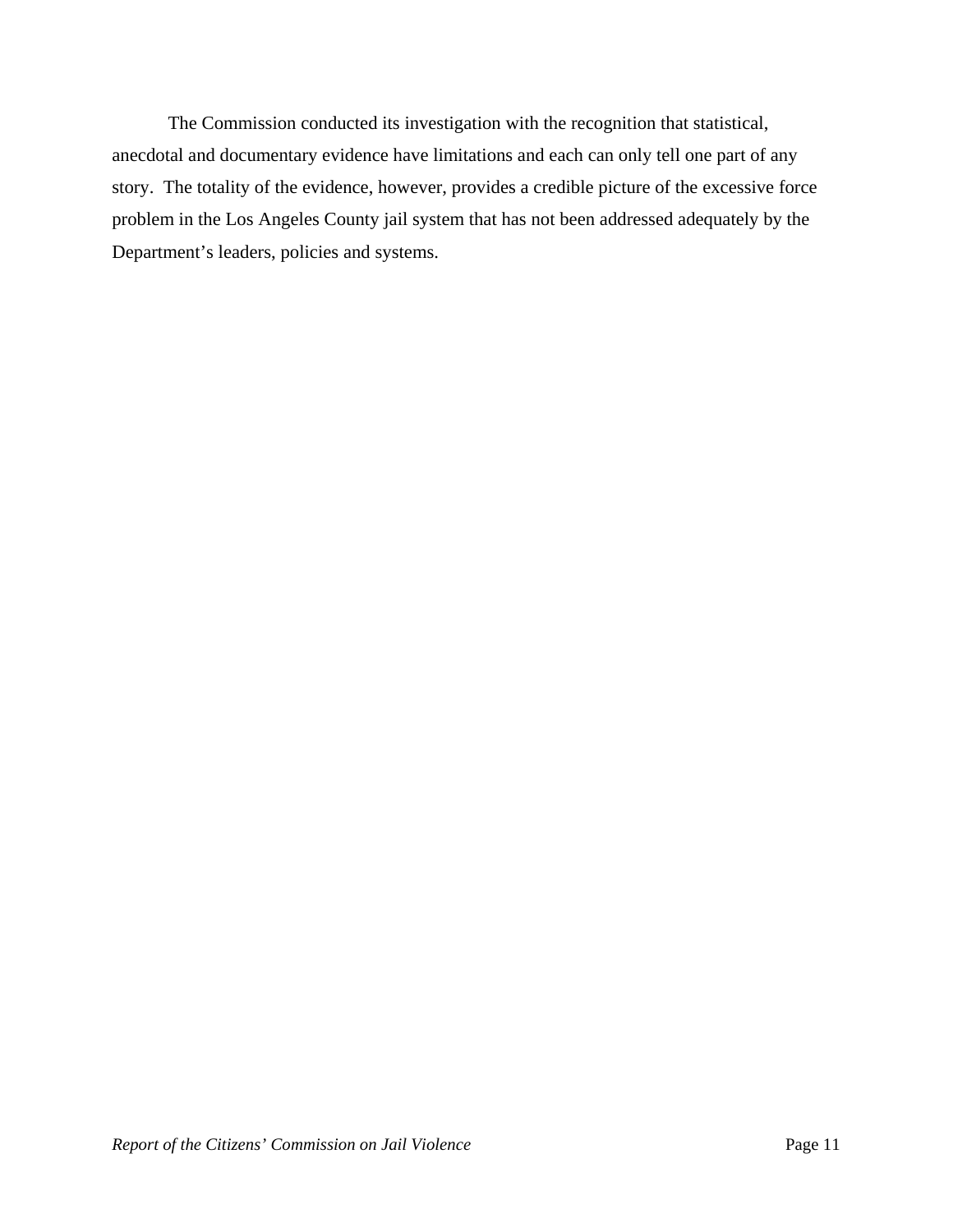The Commission conducted its investigation with the recognition that statistical, anecdotal and documentary evidence have limitations and each can only tell one part of any story. The totality of the evidence, however, provides a credible picture of the excessive force problem in the Los Angeles County jail system that has not been addressed adequately by the Department's leaders, policies and systems.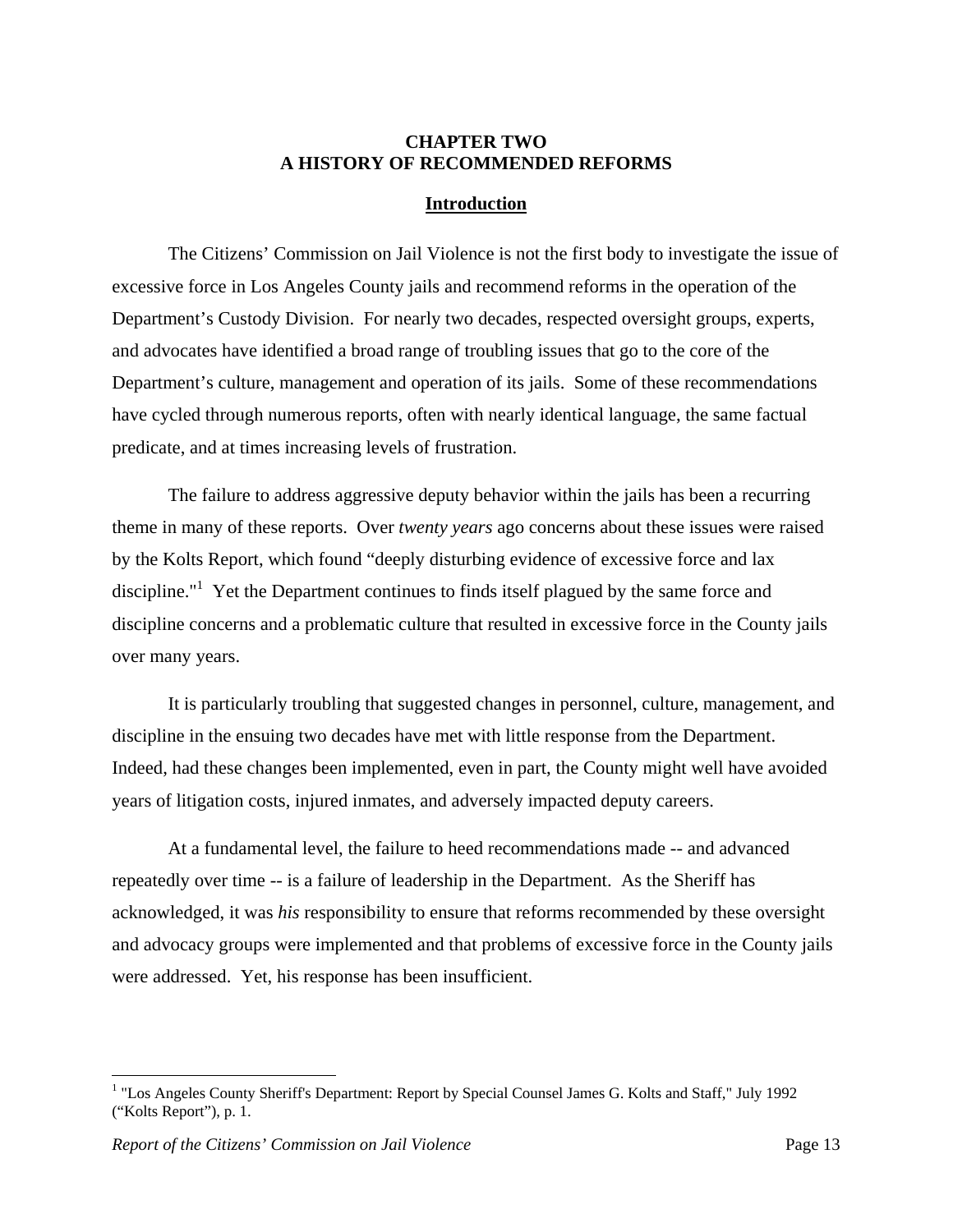#### **CHAPTER TWO A HISTORY OF RECOMMENDED REFORMS**

#### **Introduction**

The Citizens' Commission on Jail Violence is not the first body to investigate the issue of excessive force in Los Angeles County jails and recommend reforms in the operation of the Department's Custody Division. For nearly two decades, respected oversight groups, experts, and advocates have identified a broad range of troubling issues that go to the core of the Department's culture, management and operation of its jails. Some of these recommendations have cycled through numerous reports, often with nearly identical language, the same factual predicate, and at times increasing levels of frustration.

The failure to address aggressive deputy behavior within the jails has been a recurring theme in many of these reports. Over *twenty years* ago concerns about these issues were raised by the Kolts Report, which found "deeply disturbing evidence of excessive force and lax discipline."<sup>1</sup> Yet the Department continues to finds itself plagued by the same force and discipline concerns and a problematic culture that resulted in excessive force in the County jails over many years.

It is particularly troubling that suggested changes in personnel, culture, management, and discipline in the ensuing two decades have met with little response from the Department. Indeed, had these changes been implemented, even in part, the County might well have avoided years of litigation costs, injured inmates, and adversely impacted deputy careers.

At a fundamental level, the failure to heed recommendations made -- and advanced repeatedly over time -- is a failure of leadership in the Department. As the Sheriff has acknowledged, it was *his* responsibility to ensure that reforms recommended by these oversight and advocacy groups were implemented and that problems of excessive force in the County jails were addressed. Yet, his response has been insufficient.

<sup>&</sup>lt;sup>1</sup> "Los Angeles County Sheriff's Department: Report by Special Counsel James G. Kolts and Staff," July 1992 ("Kolts Report"), p. 1.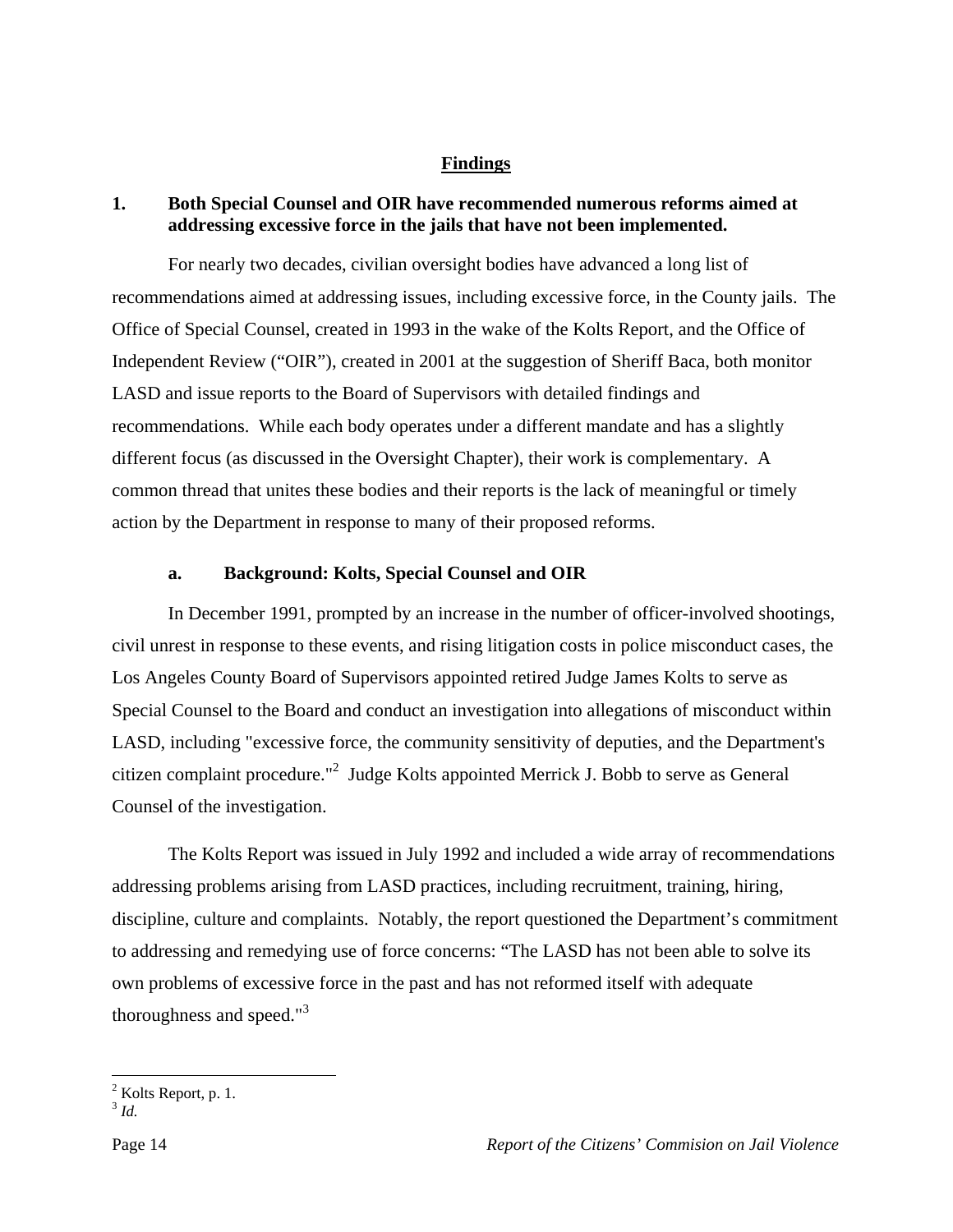#### **Findings**

#### **1. Both Special Counsel and OIR have recommended numerous reforms aimed at addressing excessive force in the jails that have not been implemented.**

 For nearly two decades, civilian oversight bodies have advanced a long list of recommendations aimed at addressing issues, including excessive force, in the County jails. The Office of Special Counsel, created in 1993 in the wake of the Kolts Report, and the Office of Independent Review ("OIR"), created in 2001 at the suggestion of Sheriff Baca, both monitor LASD and issue reports to the Board of Supervisors with detailed findings and recommendations. While each body operates under a different mandate and has a slightly different focus (as discussed in the Oversight Chapter), their work is complementary. A common thread that unites these bodies and their reports is the lack of meaningful or timely action by the Department in response to many of their proposed reforms.

#### **a. Background: Kolts, Special Counsel and OIR**

In December 1991, prompted by an increase in the number of officer-involved shootings, civil unrest in response to these events, and rising litigation costs in police misconduct cases, the Los Angeles County Board of Supervisors appointed retired Judge James Kolts to serve as Special Counsel to the Board and conduct an investigation into allegations of misconduct within LASD, including "excessive force, the community sensitivity of deputies, and the Department's citizen complaint procedure."<sup>2</sup> Judge Kolts appointed Merrick J. Bobb to serve as General Counsel of the investigation.

 The Kolts Report was issued in July 1992 and included a wide array of recommendations addressing problems arising from LASD practices, including recruitment, training, hiring, discipline, culture and complaints. Notably, the report questioned the Department's commitment to addressing and remedying use of force concerns: "The LASD has not been able to solve its own problems of excessive force in the past and has not reformed itself with adequate thoroughness and speed." $3$ 

 $\frac{1}{2}$  Kolts Report, p. 1.

<sup>3</sup> *Id.*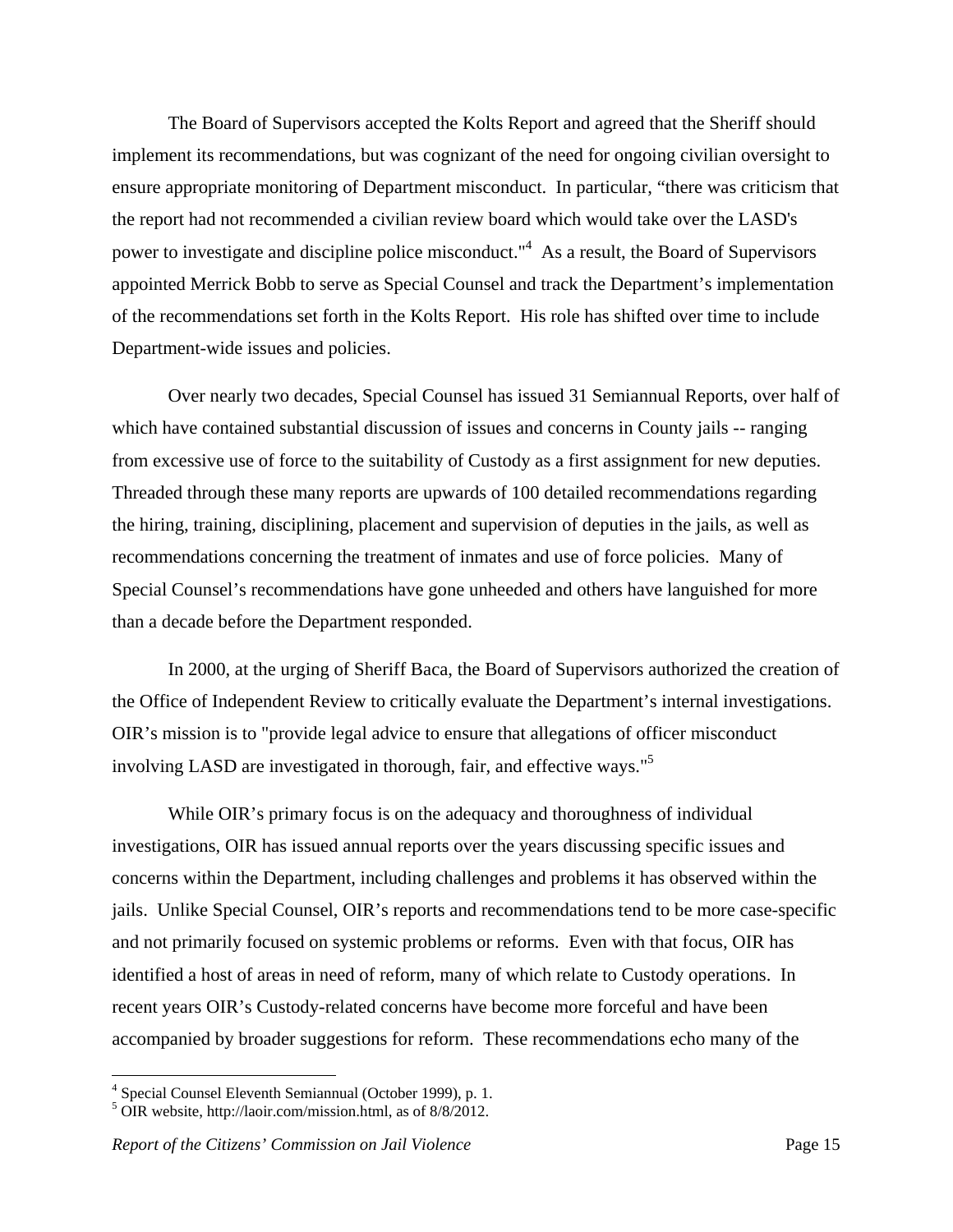The Board of Supervisors accepted the Kolts Report and agreed that the Sheriff should implement its recommendations, but was cognizant of the need for ongoing civilian oversight to ensure appropriate monitoring of Department misconduct. In particular, "there was criticism that the report had not recommended a civilian review board which would take over the LASD's power to investigate and discipline police misconduct."<sup>4</sup> As a result, the Board of Supervisors appointed Merrick Bobb to serve as Special Counsel and track the Department's implementation of the recommendations set forth in the Kolts Report. His role has shifted over time to include Department-wide issues and policies.

 Over nearly two decades, Special Counsel has issued 31 Semiannual Reports, over half of which have contained substantial discussion of issues and concerns in County jails -- ranging from excessive use of force to the suitability of Custody as a first assignment for new deputies. Threaded through these many reports are upwards of 100 detailed recommendations regarding the hiring, training, disciplining, placement and supervision of deputies in the jails, as well as recommendations concerning the treatment of inmates and use of force policies. Many of Special Counsel's recommendations have gone unheeded and others have languished for more than a decade before the Department responded.

 In 2000, at the urging of Sheriff Baca, the Board of Supervisors authorized the creation of the Office of Independent Review to critically evaluate the Department's internal investigations. OIR's mission is to "provide legal advice to ensure that allegations of officer misconduct involving LASD are investigated in thorough, fair, and effective ways."<sup>5</sup>

 While OIR's primary focus is on the adequacy and thoroughness of individual investigations, OIR has issued annual reports over the years discussing specific issues and concerns within the Department, including challenges and problems it has observed within the jails. Unlike Special Counsel, OIR's reports and recommendations tend to be more case-specific and not primarily focused on systemic problems or reforms. Even with that focus, OIR has identified a host of areas in need of reform, many of which relate to Custody operations. In recent years OIR's Custody-related concerns have become more forceful and have been accompanied by broader suggestions for reform. These recommendations echo many of the

<sup>4</sup> Special Counsel Eleventh Semiannual (October 1999), p. 1.

 $5$  OIR website, http://laoir.com/mission.html, as of  $8/8/2012$ .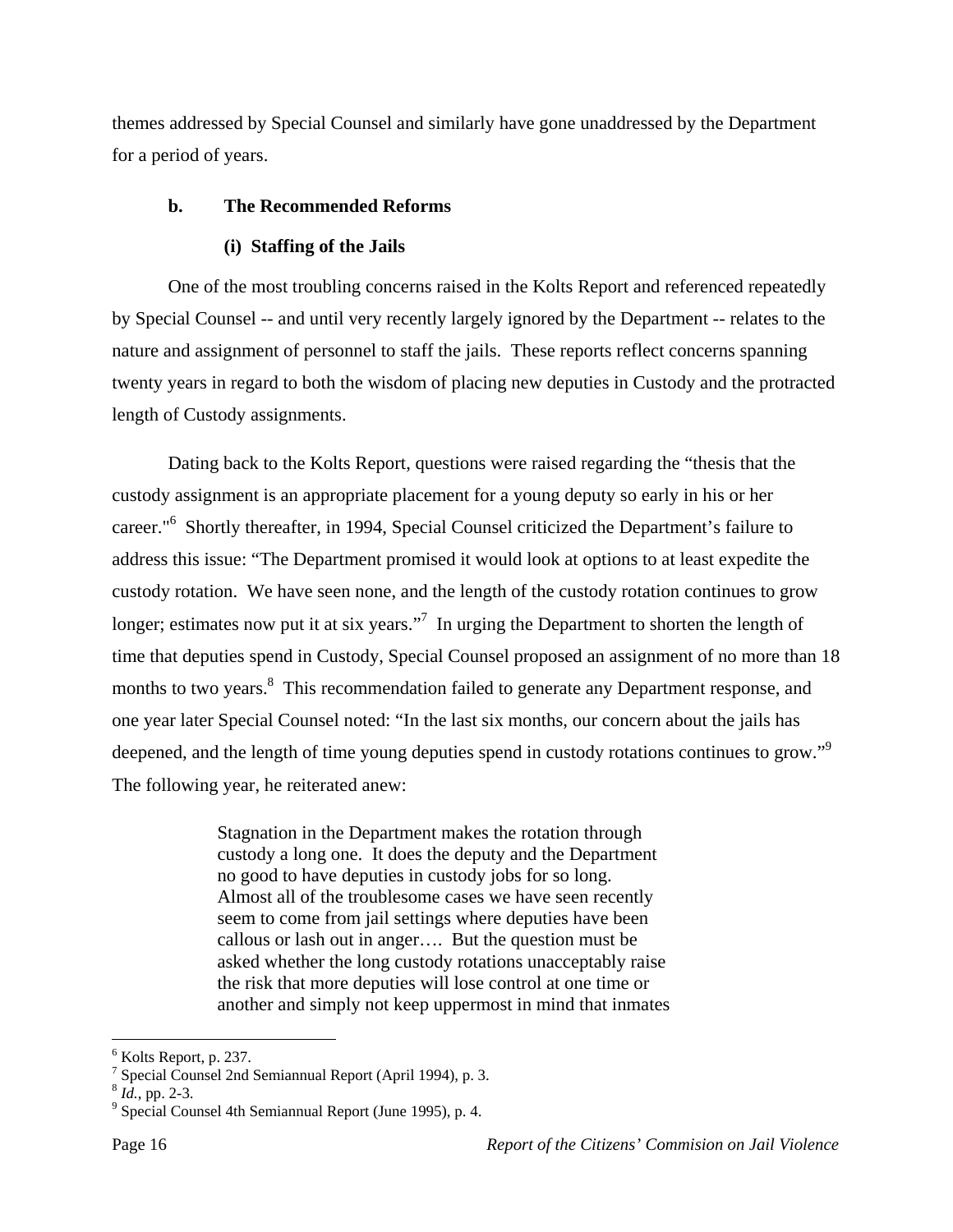themes addressed by Special Counsel and similarly have gone unaddressed by the Department for a period of years.

# **b. The Recommended Reforms**

# **(i) Staffing of the Jails**

One of the most troubling concerns raised in the Kolts Report and referenced repeatedly by Special Counsel -- and until very recently largely ignored by the Department -- relates to the nature and assignment of personnel to staff the jails. These reports reflect concerns spanning twenty years in regard to both the wisdom of placing new deputies in Custody and the protracted length of Custody assignments.

Dating back to the Kolts Report, questions were raised regarding the "thesis that the custody assignment is an appropriate placement for a young deputy so early in his or her career."<sup>6</sup> Shortly thereafter, in 1994, Special Counsel criticized the Department's failure to address this issue: "The Department promised it would look at options to at least expedite the custody rotation. We have seen none, and the length of the custody rotation continues to grow longer; estimates now put it at six years."<sup>7</sup> In urging the Department to shorten the length of time that deputies spend in Custody, Special Counsel proposed an assignment of no more than 18 months to two years.<sup>8</sup> This recommendation failed to generate any Department response, and one year later Special Counsel noted: "In the last six months, our concern about the jails has deepened, and the length of time young deputies spend in custody rotations continues to grow."<sup>9</sup> The following year, he reiterated anew:

> Stagnation in the Department makes the rotation through custody a long one. It does the deputy and the Department no good to have deputies in custody jobs for so long. Almost all of the troublesome cases we have seen recently seem to come from jail settings where deputies have been callous or lash out in anger…. But the question must be asked whether the long custody rotations unacceptably raise the risk that more deputies will lose control at one time or another and simply not keep uppermost in mind that inmates

 $<sup>6</sup>$  Kolts Report, p. 237.</sup>

<sup>7</sup> Special Counsel 2nd Semiannual Report (April 1994), p. 3.

 $8$  *Id.*, pp. 2-3.

<sup>&</sup>lt;sup>9</sup> Special Counsel 4th Semiannual Report (June 1995), p. 4.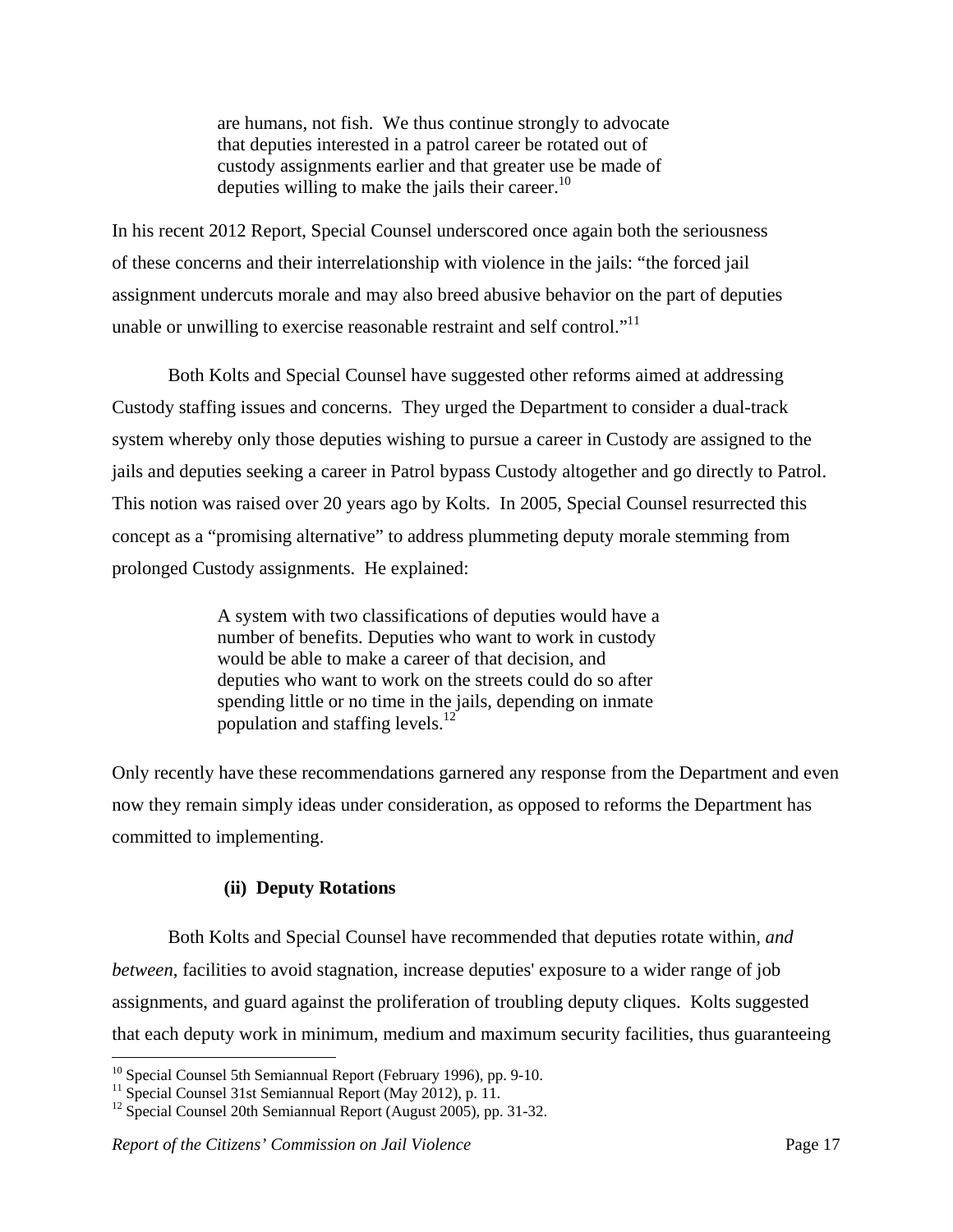are humans, not fish. We thus continue strongly to advocate that deputies interested in a patrol career be rotated out of custody assignments earlier and that greater use be made of deputies willing to make the jails their career. $^{10}$ 

In his recent 2012 Report, Special Counsel underscored once again both the seriousness of these concerns and their interrelationship with violence in the jails: "the forced jail assignment undercuts morale and may also breed abusive behavior on the part of deputies unable or unwilling to exercise reasonable restraint and self control."<sup>11</sup>

 Both Kolts and Special Counsel have suggested other reforms aimed at addressing Custody staffing issues and concerns. They urged the Department to consider a dual-track system whereby only those deputies wishing to pursue a career in Custody are assigned to the jails and deputies seeking a career in Patrol bypass Custody altogether and go directly to Patrol. This notion was raised over 20 years ago by Kolts. In 2005, Special Counsel resurrected this concept as a "promising alternative" to address plummeting deputy morale stemming from prolonged Custody assignments. He explained:

> A system with two classifications of deputies would have a number of benefits. Deputies who want to work in custody would be able to make a career of that decision, and deputies who want to work on the streets could do so after spending little or no time in the jails, depending on inmate population and staffing levels.<sup>12</sup>

Only recently have these recommendations garnered any response from the Department and even now they remain simply ideas under consideration, as opposed to reforms the Department has committed to implementing.

#### **(ii) Deputy Rotations**

 Both Kolts and Special Counsel have recommended that deputies rotate within*, and between*, facilities to avoid stagnation, increase deputies' exposure to a wider range of job assignments, and guard against the proliferation of troubling deputy cliques. Kolts suggested that each deputy work in minimum, medium and maximum security facilities, thus guaranteeing

1

 $10$  Special Counsel 5th Semiannual Report (February 1996), pp. 9-10.

<sup>&</sup>lt;sup>11</sup> Special Counsel 31st Semiannual Report (May 2012), p. 11.

<sup>&</sup>lt;sup>12</sup> Special Counsel 20th Semiannual Report (August 2005), pp. 31-32.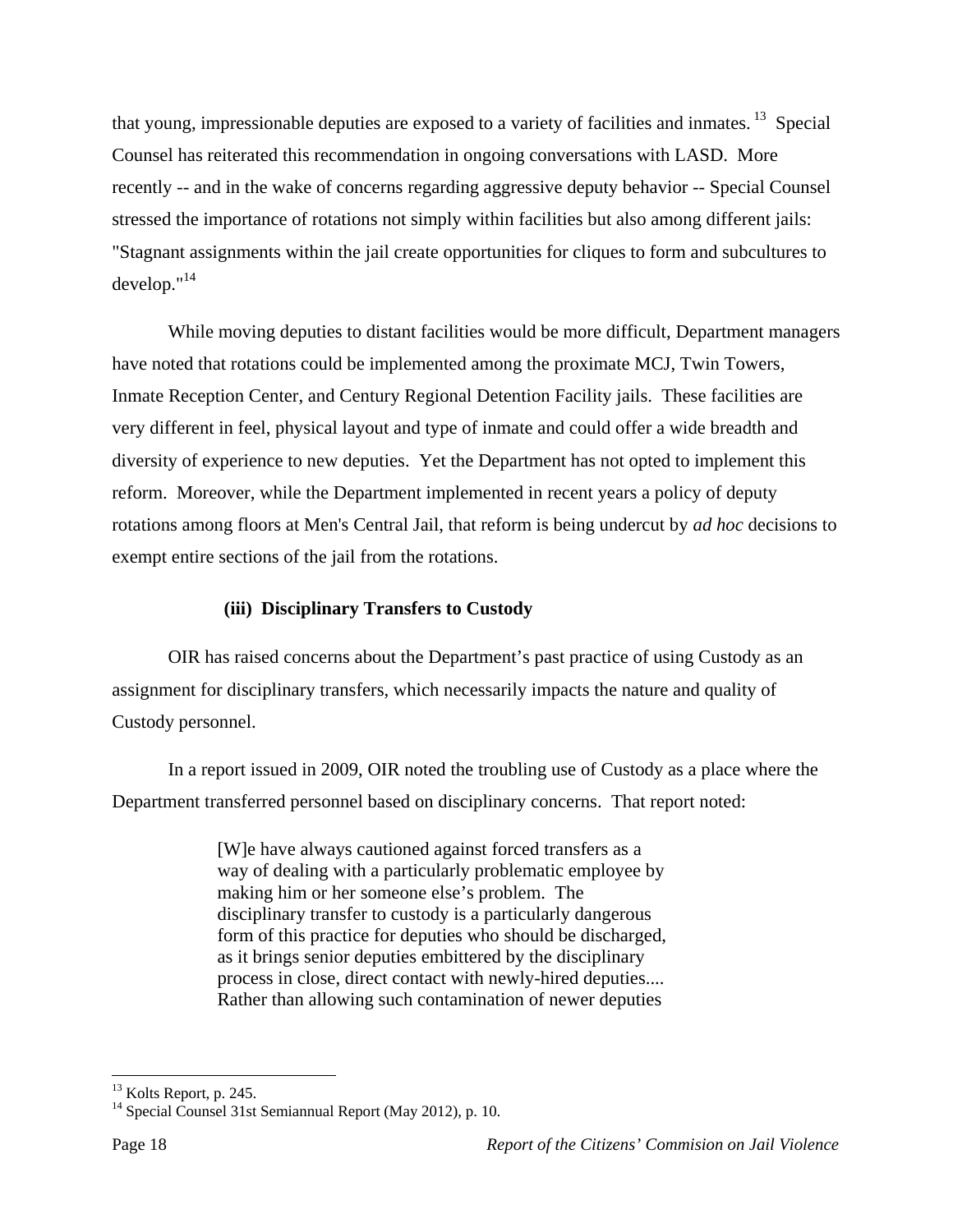that young, impressionable deputies are exposed to a variety of facilities and inmates. 13 Special Counsel has reiterated this recommendation in ongoing conversations with LASD. More recently -- and in the wake of concerns regarding aggressive deputy behavior -- Special Counsel stressed the importance of rotations not simply within facilities but also among different jails: "Stagnant assignments within the jail create opportunities for cliques to form and subcultures to develop."14

 While moving deputies to distant facilities would be more difficult, Department managers have noted that rotations could be implemented among the proximate MCJ, Twin Towers, Inmate Reception Center, and Century Regional Detention Facility jails. These facilities are very different in feel, physical layout and type of inmate and could offer a wide breadth and diversity of experience to new deputies. Yet the Department has not opted to implement this reform. Moreover, while the Department implemented in recent years a policy of deputy rotations among floors at Men's Central Jail, that reform is being undercut by *ad hoc* decisions to exempt entire sections of the jail from the rotations.

# **(iii) Disciplinary Transfers to Custody**

 OIR has raised concerns about the Department's past practice of using Custody as an assignment for disciplinary transfers, which necessarily impacts the nature and quality of Custody personnel.

In a report issued in 2009, OIR noted the troubling use of Custody as a place where the Department transferred personnel based on disciplinary concerns. That report noted:

> [W]e have always cautioned against forced transfers as a way of dealing with a particularly problematic employee by making him or her someone else's problem. The disciplinary transfer to custody is a particularly dangerous form of this practice for deputies who should be discharged, as it brings senior deputies embittered by the disciplinary process in close, direct contact with newly-hired deputies.... Rather than allowing such contamination of newer deputies

1

 $13$  Kolts Report, p. 245.

<sup>&</sup>lt;sup>14</sup> Special Counsel 31st Semiannual Report (May 2012), p. 10.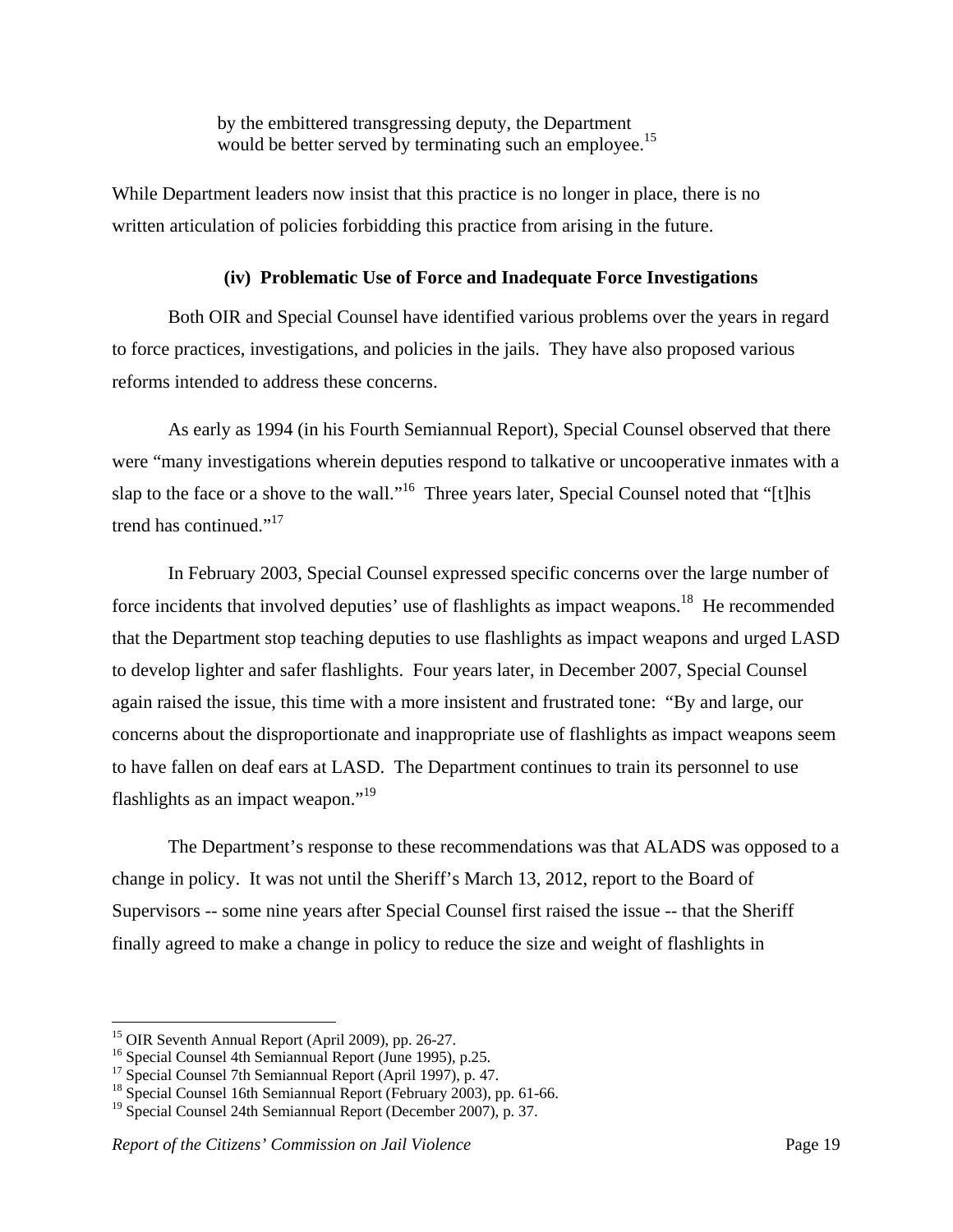by the embittered transgressing deputy, the Department would be better served by terminating such an employee.<sup>15</sup>

While Department leaders now insist that this practice is no longer in place, there is no written articulation of policies forbidding this practice from arising in the future.

#### **(iv) Problematic Use of Force and Inadequate Force Investigations**

Both OIR and Special Counsel have identified various problems over the years in regard to force practices, investigations, and policies in the jails. They have also proposed various reforms intended to address these concerns.

As early as 1994 (in his Fourth Semiannual Report), Special Counsel observed that there were "many investigations wherein deputies respond to talkative or uncooperative inmates with a slap to the face or a shove to the wall."<sup>16</sup> Three years later, Special Counsel noted that "[t]his trend has continued."<sup>17</sup>

In February 2003, Special Counsel expressed specific concerns over the large number of force incidents that involved deputies' use of flashlights as impact weapons.<sup>18</sup> He recommended that the Department stop teaching deputies to use flashlights as impact weapons and urged LASD to develop lighter and safer flashlights. Four years later, in December 2007, Special Counsel again raised the issue, this time with a more insistent and frustrated tone: "By and large, our concerns about the disproportionate and inappropriate use of flashlights as impact weapons seem to have fallen on deaf ears at LASD. The Department continues to train its personnel to use flashlights as an impact weapon."19

 The Department's response to these recommendations was that ALADS was opposed to a change in policy. It was not until the Sheriff's March 13, 2012, report to the Board of Supervisors -- some nine years after Special Counsel first raised the issue -- that the Sheriff finally agreed to make a change in policy to reduce the size and weight of flashlights in

1

<sup>&</sup>lt;sup>15</sup> OIR Seventh Annual Report (April 2009), pp. 26-27.

<sup>&</sup>lt;sup>16</sup> Special Counsel 4th Semiannual Report (June 1995), p.25.

<sup>&</sup>lt;sup>17</sup> Special Counsel 7th Semiannual Report (April 1997), p. 47.

<sup>&</sup>lt;sup>18</sup> Special Counsel 16th Semiannual Report (February 2003), pp. 61-66.

<sup>&</sup>lt;sup>19</sup> Special Counsel 24th Semiannual Report (December 2007), p. 37.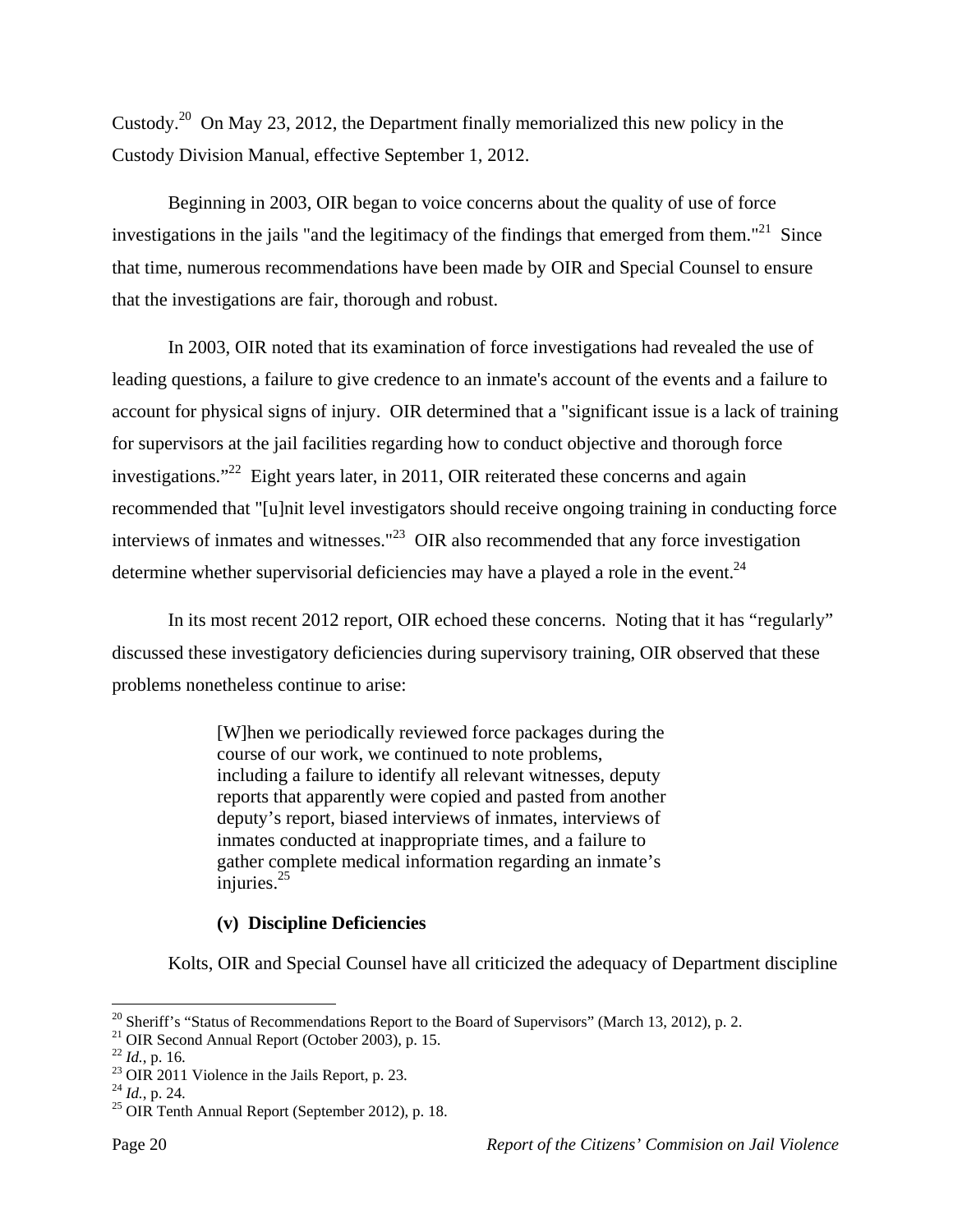Custody.20 On May 23, 2012, the Department finally memorialized this new policy in the Custody Division Manual, effective September 1, 2012.

 Beginning in 2003, OIR began to voice concerns about the quality of use of force investigations in the jails "and the legitimacy of the findings that emerged from them."<sup>21</sup> Since that time, numerous recommendations have been made by OIR and Special Counsel to ensure that the investigations are fair, thorough and robust.

In 2003, OIR noted that its examination of force investigations had revealed the use of leading questions, a failure to give credence to an inmate's account of the events and a failure to account for physical signs of injury. OIR determined that a "significant issue is a lack of training for supervisors at the jail facilities regarding how to conduct objective and thorough force investigations."<sup>22</sup> Eight years later, in 2011, OIR reiterated these concerns and again recommended that "[u]nit level investigators should receive ongoing training in conducting force interviews of inmates and witnesses." $^{23}$  OIR also recommended that any force investigation determine whether supervisorial deficiencies may have a played a role in the event. $^{24}$ 

In its most recent 2012 report, OIR echoed these concerns. Noting that it has "regularly" discussed these investigatory deficiencies during supervisory training, OIR observed that these problems nonetheless continue to arise:

> [W]hen we periodically reviewed force packages during the course of our work, we continued to note problems, including a failure to identify all relevant witnesses, deputy reports that apparently were copied and pasted from another deputy's report, biased interviews of inmates, interviews of inmates conducted at inappropriate times, and a failure to gather complete medical information regarding an inmate's injuries. $25$

#### **(v) Discipline Deficiencies**

Kolts, OIR and Special Counsel have all criticized the adequacy of Department discipline

<sup>1</sup>  $20$  Sheriff's "Status of Recommendations Report to the Board of Supervisors" (March 13, 2012), p. 2.

<sup>&</sup>lt;sup>21</sup> OIR Second Annual Report (October 2003), p. 15.<br><sup>22</sup> *Id.*, p. 16.

<sup>&</sup>lt;sup>23</sup> OIR 2011 Violence in the Jails Report, p. 23.<br><sup>24</sup> *Id.*, p. 24.

<sup>&</sup>lt;sup>25</sup> OIR Tenth Annual Report (September 2012), p. 18.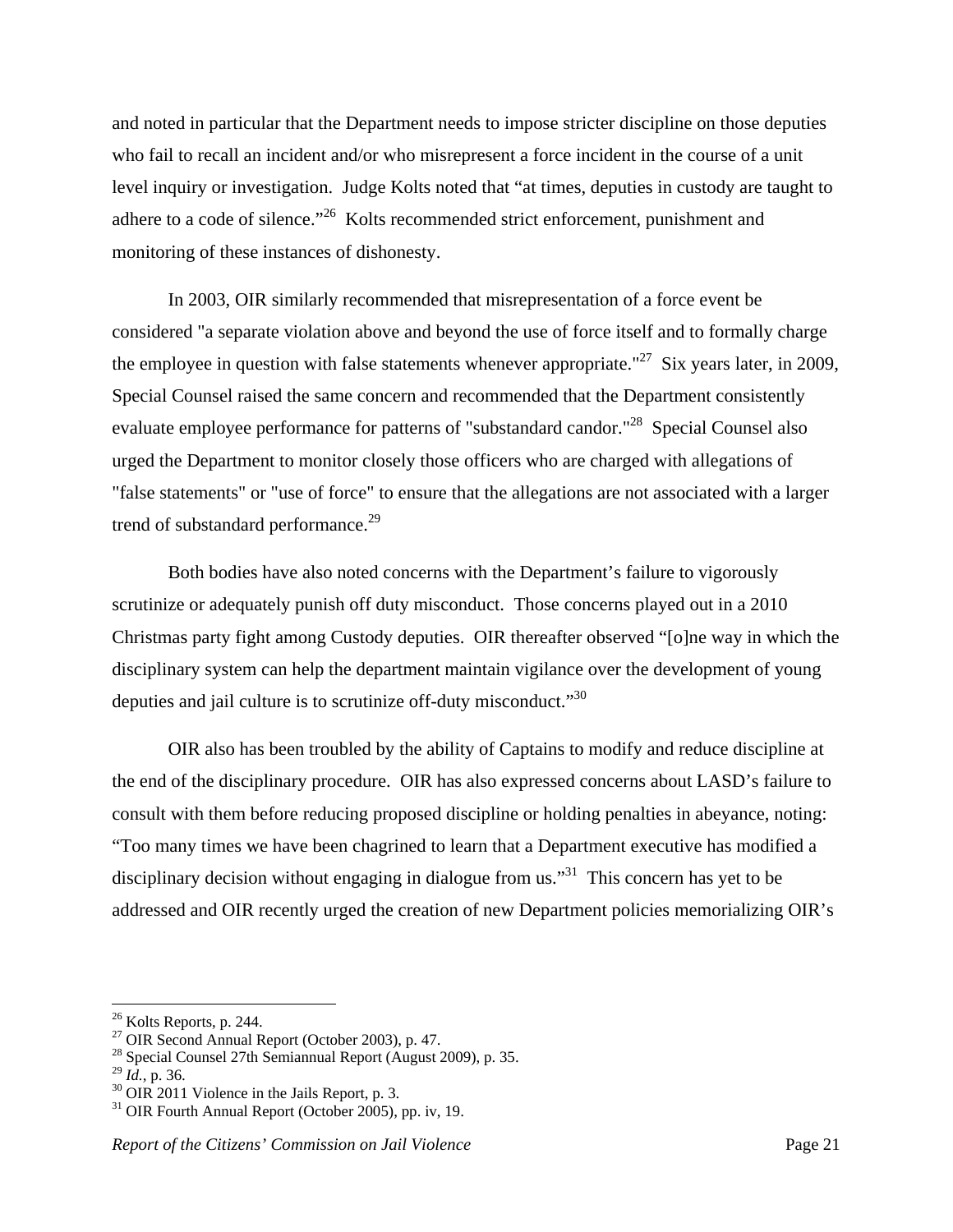and noted in particular that the Department needs to impose stricter discipline on those deputies who fail to recall an incident and/or who misrepresent a force incident in the course of a unit level inquiry or investigation. Judge Kolts noted that "at times, deputies in custody are taught to adhere to a code of silence."<sup>26</sup> Kolts recommended strict enforcement, punishment and monitoring of these instances of dishonesty.

 In 2003, OIR similarly recommended that misrepresentation of a force event be considered "a separate violation above and beyond the use of force itself and to formally charge the employee in question with false statements whenever appropriate."<sup>27</sup> Six years later, in 2009, Special Counsel raised the same concern and recommended that the Department consistently evaluate employee performance for patterns of "substandard candor."<sup>28</sup> Special Counsel also urged the Department to monitor closely those officers who are charged with allegations of "false statements" or "use of force" to ensure that the allegations are not associated with a larger trend of substandard performance.<sup>29</sup>

 Both bodies have also noted concerns with the Department's failure to vigorously scrutinize or adequately punish off duty misconduct. Those concerns played out in a 2010 Christmas party fight among Custody deputies. OIR thereafter observed "[o]ne way in which the disciplinary system can help the department maintain vigilance over the development of young deputies and jail culture is to scrutinize off-duty misconduct."<sup>30</sup>

 OIR also has been troubled by the ability of Captains to modify and reduce discipline at the end of the disciplinary procedure. OIR has also expressed concerns about LASD's failure to consult with them before reducing proposed discipline or holding penalties in abeyance, noting: "Too many times we have been chagrined to learn that a Department executive has modified a disciplinary decision without engaging in dialogue from us.<sup> $31$ </sup> This concern has yet to be addressed and OIR recently urged the creation of new Department policies memorializing OIR's

<sup>&</sup>lt;sup>26</sup> Kolts Reports, p. 244.

<sup>27</sup> OIR Second Annual Report (October 2003), p. 47.

<sup>&</sup>lt;sup>28</sup> Special Counsel 27th Semiannual Report (August 2009), p. 35.<br><sup>29</sup> Id., p. 36.

<sup>&</sup>lt;sup>30</sup> OIR 2011 Violence in the Jails Report, p. 3.

 $31$  OIR Fourth Annual Report (October 2005), pp. iv, 19.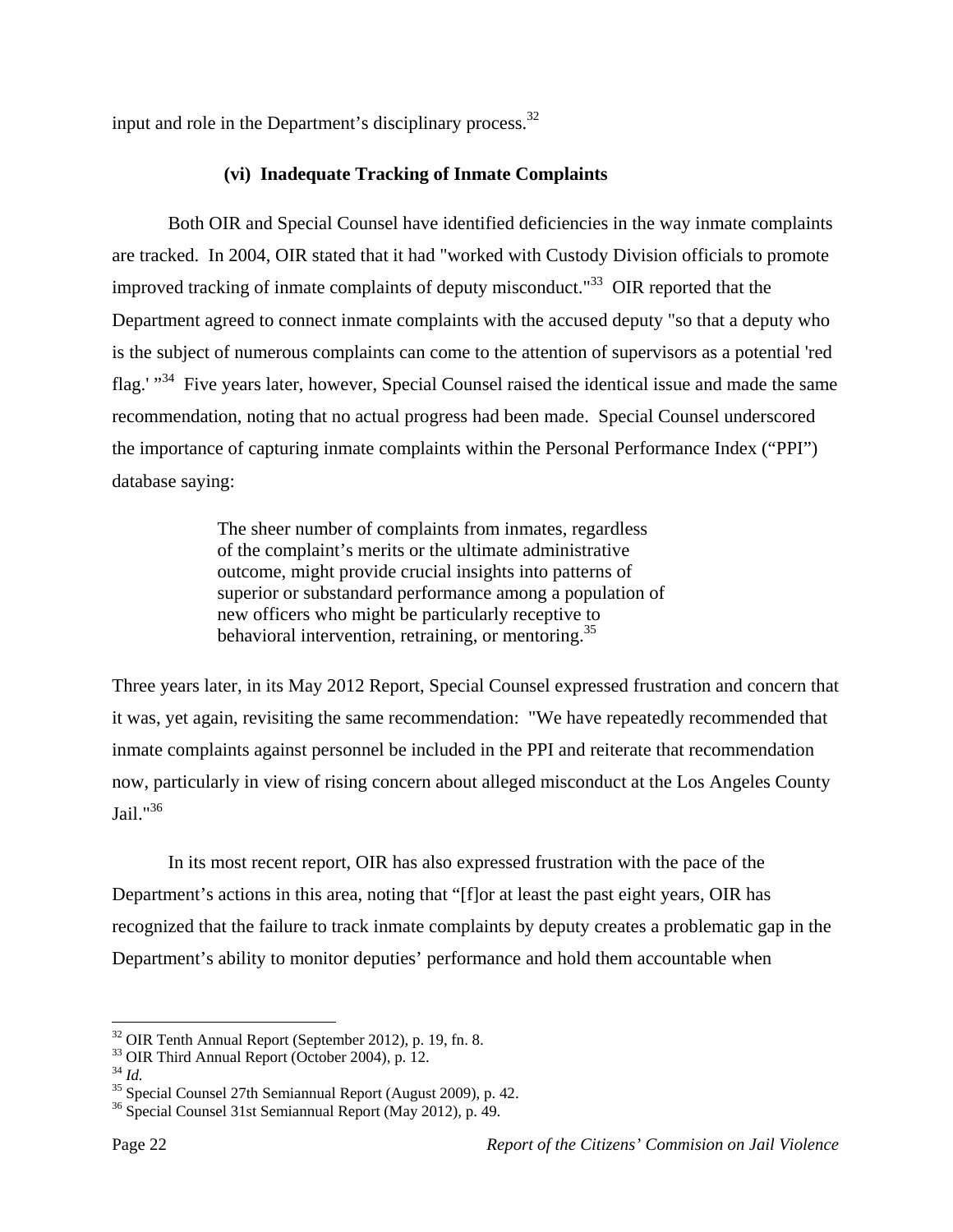input and role in the Department's disciplinary process.<sup>32</sup>

# **(vi) Inadequate Tracking of Inmate Complaints**

Both OIR and Special Counsel have identified deficiencies in the way inmate complaints are tracked. In 2004, OIR stated that it had "worked with Custody Division officials to promote improved tracking of inmate complaints of deputy misconduct."<sup>33</sup> OIR reported that the Department agreed to connect inmate complaints with the accused deputy "so that a deputy who is the subject of numerous complaints can come to the attention of supervisors as a potential 'red flag.' "<sup>34</sup> Five years later, however, Special Counsel raised the identical issue and made the same recommendation, noting that no actual progress had been made. Special Counsel underscored the importance of capturing inmate complaints within the Personal Performance Index ("PPI") database saying:

> The sheer number of complaints from inmates, regardless of the complaint's merits or the ultimate administrative outcome, might provide crucial insights into patterns of superior or substandard performance among a population of new officers who might be particularly receptive to behavioral intervention, retraining, or mentoring.<sup>35</sup>

Three years later, in its May 2012 Report, Special Counsel expressed frustration and concern that it was, yet again, revisiting the same recommendation: "We have repeatedly recommended that inmate complaints against personnel be included in the PPI and reiterate that recommendation now, particularly in view of rising concern about alleged misconduct at the Los Angeles County Jail."<sup>36</sup>

 In its most recent report, OIR has also expressed frustration with the pace of the Department's actions in this area, noting that "[f]or at least the past eight years, OIR has recognized that the failure to track inmate complaints by deputy creates a problematic gap in the Department's ability to monitor deputies' performance and hold them accountable when

<sup>32</sup> OIR Tenth Annual Report (September 2012), p. 19, fn. 8.

<sup>&</sup>lt;sup>33</sup> OIR Third Annual Report (October 2004), p.  $\overline{12}$ .<br><sup>34</sup> Id.

<sup>&</sup>lt;sup>35</sup> Special Counsel 27th Semiannual Report (August 2009), p. 42.

<sup>36</sup> Special Counsel 31st Semiannual Report (May 2012), p. 49.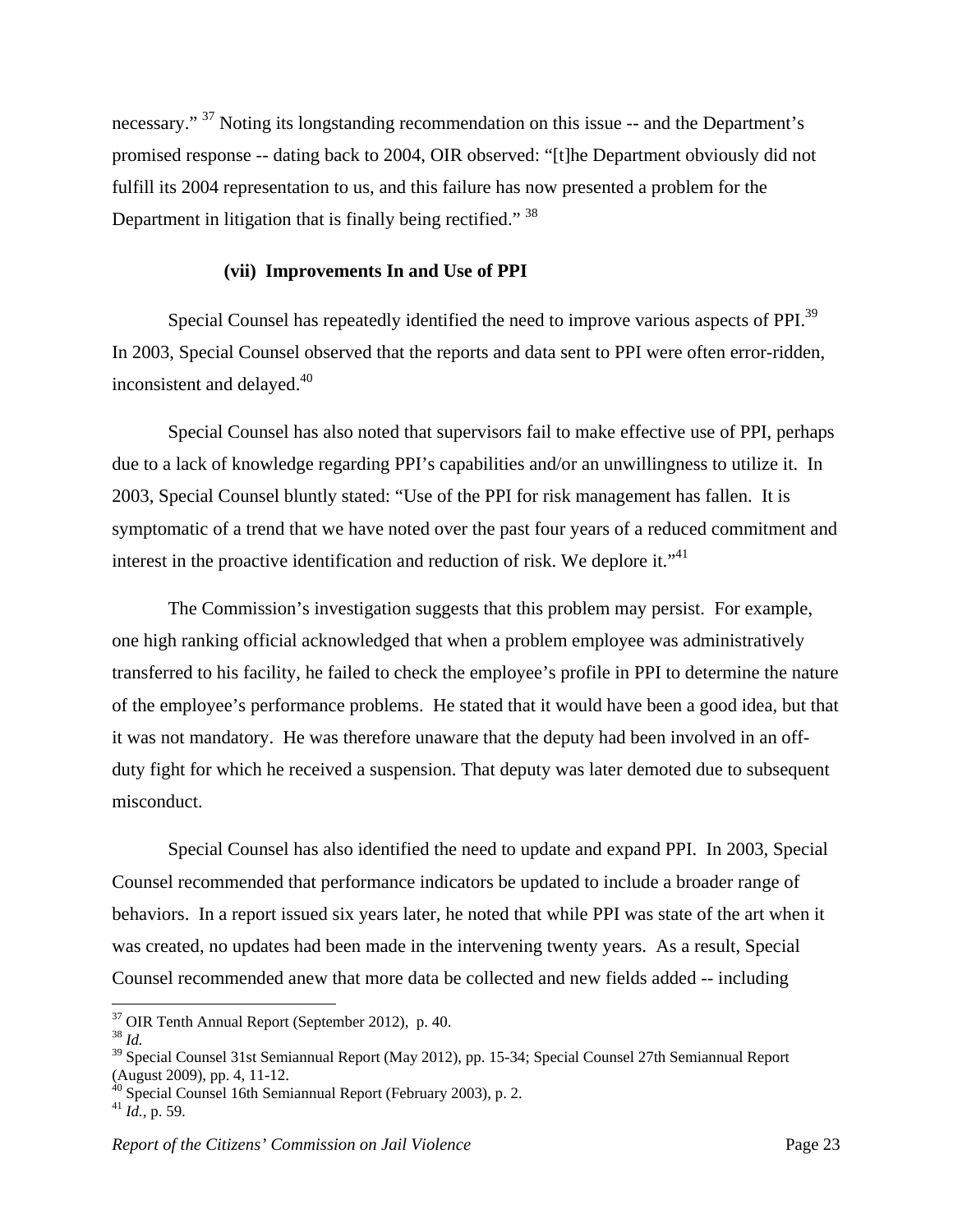necessary."<sup>37</sup> Noting its longstanding recommendation on this issue -- and the Department's promised response -- dating back to 2004, OIR observed: "[t]he Department obviously did not fulfill its 2004 representation to us, and this failure has now presented a problem for the Department in litigation that is finally being rectified."<sup>38</sup>

#### **(vii) Improvements In and Use of PPI**

Special Counsel has repeatedly identified the need to improve various aspects of PPI.<sup>39</sup> In 2003, Special Counsel observed that the reports and data sent to PPI were often error-ridden, inconsistent and delayed.<sup>40</sup>

 Special Counsel has also noted that supervisors fail to make effective use of PPI, perhaps due to a lack of knowledge regarding PPI's capabilities and/or an unwillingness to utilize it. In 2003, Special Counsel bluntly stated: "Use of the PPI for risk management has fallen. It is symptomatic of a trend that we have noted over the past four years of a reduced commitment and interest in the proactive identification and reduction of risk. We deplore it.<sup> $1$ ,41</sup>

 The Commission's investigation suggests that this problem may persist. For example, one high ranking official acknowledged that when a problem employee was administratively transferred to his facility, he failed to check the employee's profile in PPI to determine the nature of the employee's performance problems. He stated that it would have been a good idea, but that it was not mandatory. He was therefore unaware that the deputy had been involved in an offduty fight for which he received a suspension. That deputy was later demoted due to subsequent misconduct.

 Special Counsel has also identified the need to update and expand PPI. In 2003, Special Counsel recommended that performance indicators be updated to include a broader range of behaviors. In a report issued six years later, he noted that while PPI was state of the art when it was created, no updates had been made in the intervening twenty years. As a result, Special Counsel recommended anew that more data be collected and new fields added -- including

 $37$  OIR Tenth Annual Report (September 2012), p. 40.

<sup>38</sup> *Id.*

<sup>&</sup>lt;sup>39</sup> Special Counsel 31st Semiannual Report (May 2012), pp. 15-34; Special Counsel 27th Semiannual Report (August 2009), pp. 4, 11-12.

<sup>40</sup> Special Counsel 16th Semiannual Report (February 2003), p. 2.

 $^{41}$  *Id.*, p. 59.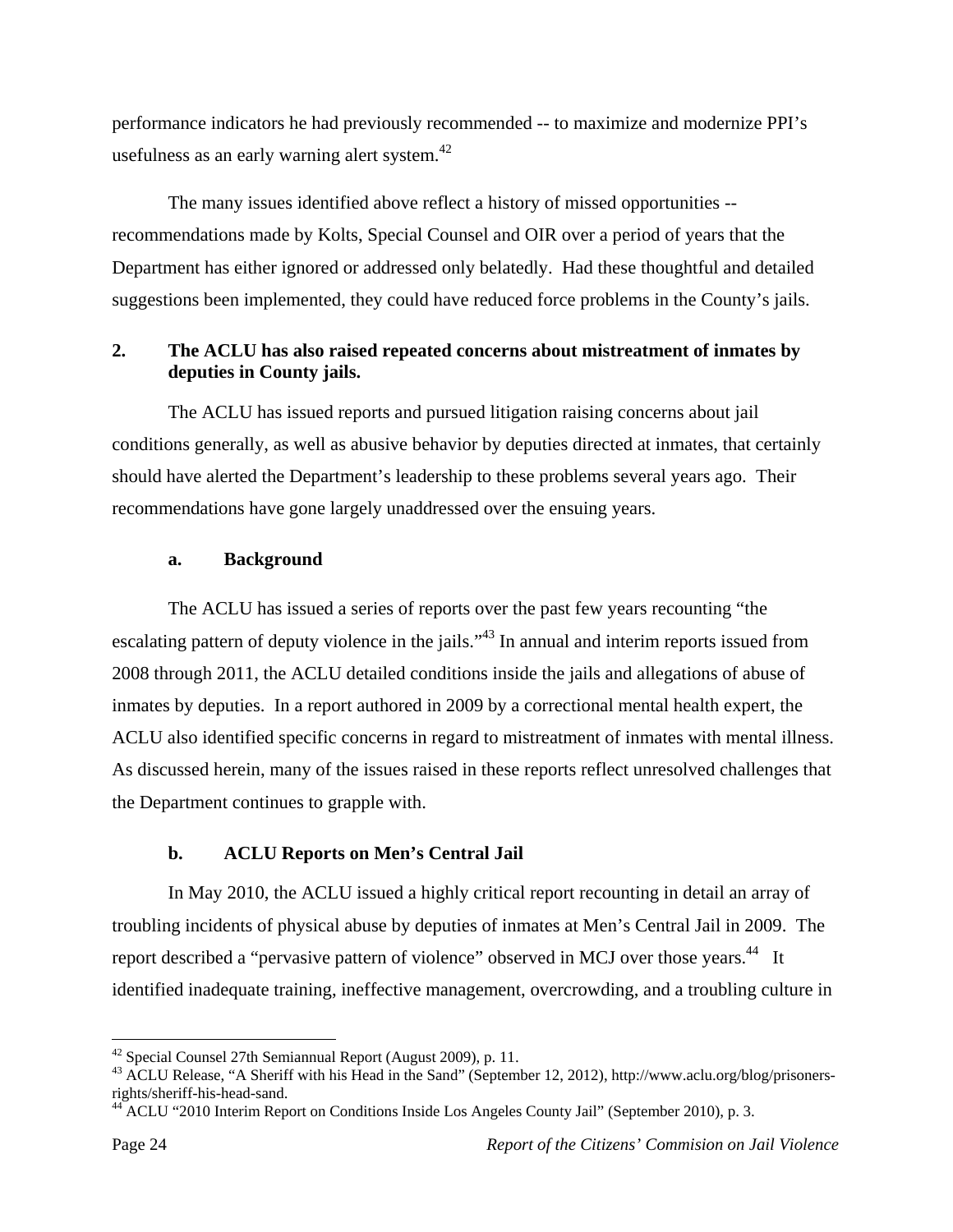performance indicators he had previously recommended -- to maximize and modernize PPI's usefulness as an early warning alert system. $42$ 

The many issues identified above reflect a history of missed opportunities - recommendations made by Kolts, Special Counsel and OIR over a period of years that the Department has either ignored or addressed only belatedly. Had these thoughtful and detailed suggestions been implemented, they could have reduced force problems in the County's jails.

# **2. The ACLU has also raised repeated concerns about mistreatment of inmates by deputies in County jails.**

 The ACLU has issued reports and pursued litigation raising concerns about jail conditions generally, as well as abusive behavior by deputies directed at inmates, that certainly should have alerted the Department's leadership to these problems several years ago. Their recommendations have gone largely unaddressed over the ensuing years.

## **a. Background**

The ACLU has issued a series of reports over the past few years recounting "the escalating pattern of deputy violence in the jails."<sup>43</sup> In annual and interim reports issued from 2008 through 2011, the ACLU detailed conditions inside the jails and allegations of abuse of inmates by deputies. In a report authored in 2009 by a correctional mental health expert, the ACLU also identified specific concerns in regard to mistreatment of inmates with mental illness. As discussed herein, many of the issues raised in these reports reflect unresolved challenges that the Department continues to grapple with.

## **b. ACLU Reports on Men's Central Jail**

 In May 2010, the ACLU issued a highly critical report recounting in detail an array of troubling incidents of physical abuse by deputies of inmates at Men's Central Jail in 2009. The report described a "pervasive pattern of violence" observed in MCJ over those years.<sup>44</sup> It identified inadequate training, ineffective management, overcrowding, and a troubling culture in

 $42$  Special Counsel 27th Semiannual Report (August 2009), p. 11.

<sup>&</sup>lt;sup>43</sup> ACLU Release, "A Sheriff with his Head in the Sand" (September 12, 2012), http://www.aclu.org/blog/prisonersrights/sheriff-his-head-sand.<br> $^{44}$  A CUV (2.3)

<sup>&</sup>lt;sup>4</sup> ACLU "2010 Interim Report on Conditions Inside Los Angeles County Jail" (September 2010), p. 3.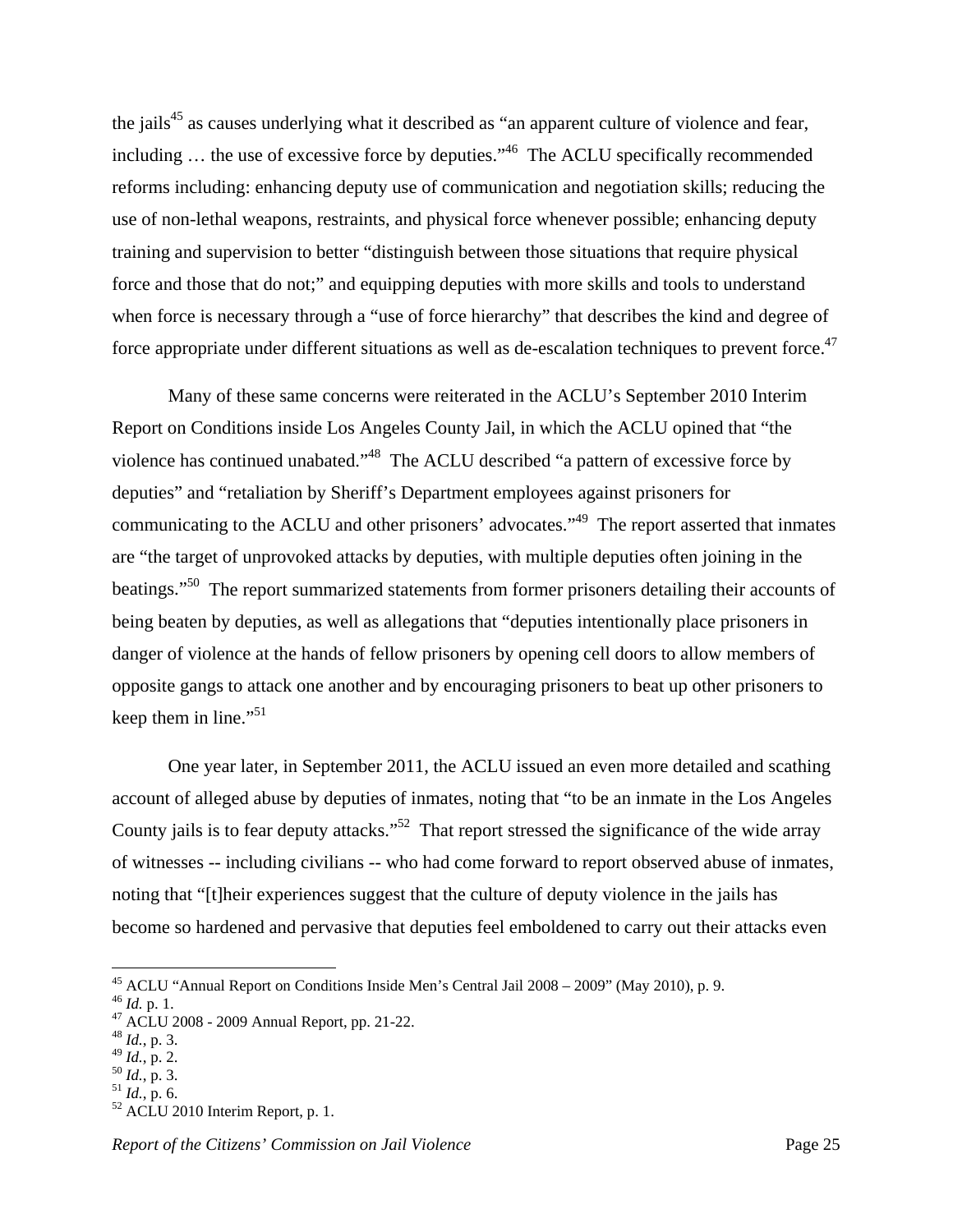the jails<sup>45</sup> as causes underlying what it described as "an apparent culture of violence and fear, including ... the use of excessive force by deputies."<sup>46</sup> The ACLU specifically recommended reforms including: enhancing deputy use of communication and negotiation skills; reducing the use of non-lethal weapons, restraints, and physical force whenever possible; enhancing deputy training and supervision to better "distinguish between those situations that require physical force and those that do not;" and equipping deputies with more skills and tools to understand when force is necessary through a "use of force hierarchy" that describes the kind and degree of force appropriate under different situations as well as de-escalation techniques to prevent force.<sup>47</sup>

 Many of these same concerns were reiterated in the ACLU's September 2010 Interim Report on Conditions inside Los Angeles County Jail, in which the ACLU opined that "the violence has continued unabated."<sup>48</sup> The ACLU described "a pattern of excessive force by deputies" and "retaliation by Sheriff's Department employees against prisoners for communicating to the ACLU and other prisoners' advocates."<sup>49</sup> The report asserted that inmates are "the target of unprovoked attacks by deputies, with multiple deputies often joining in the beatings."<sup>50</sup> The report summarized statements from former prisoners detailing their accounts of being beaten by deputies, as well as allegations that "deputies intentionally place prisoners in danger of violence at the hands of fellow prisoners by opening cell doors to allow members of opposite gangs to attack one another and by encouraging prisoners to beat up other prisoners to keep them in line."<sup>51</sup>

 One year later, in September 2011, the ACLU issued an even more detailed and scathing account of alleged abuse by deputies of inmates, noting that "to be an inmate in the Los Angeles County jails is to fear deputy attacks."<sup>52</sup> That report stressed the significance of the wide array of witnesses -- including civilians -- who had come forward to report observed abuse of inmates, noting that "[t]heir experiences suggest that the culture of deputy violence in the jails has become so hardened and pervasive that deputies feel emboldened to carry out their attacks even

<sup>&</sup>lt;sup>45</sup> ACLU "Annual Report on Conditions Inside Men's Central Jail  $2008 - 2009$ " (May 2010), p. 9.<br><sup>46</sup> *Id.* p. 1.

<sup>46</sup> *Id.* p. 1. 47 ACLU 2008 - 2009 Annual Report, pp. 21-22.

 $^{48}$  *Id.*, p. 3.<br> $^{49}$  *Id.*, p. 2.

<sup>&</sup>lt;sup>50</sup> *Id.*, p. 3.<br><sup>51</sup> *Id.*, p. 6.<br><sup>52</sup> ACLU 2010 Interim Report, p. 1.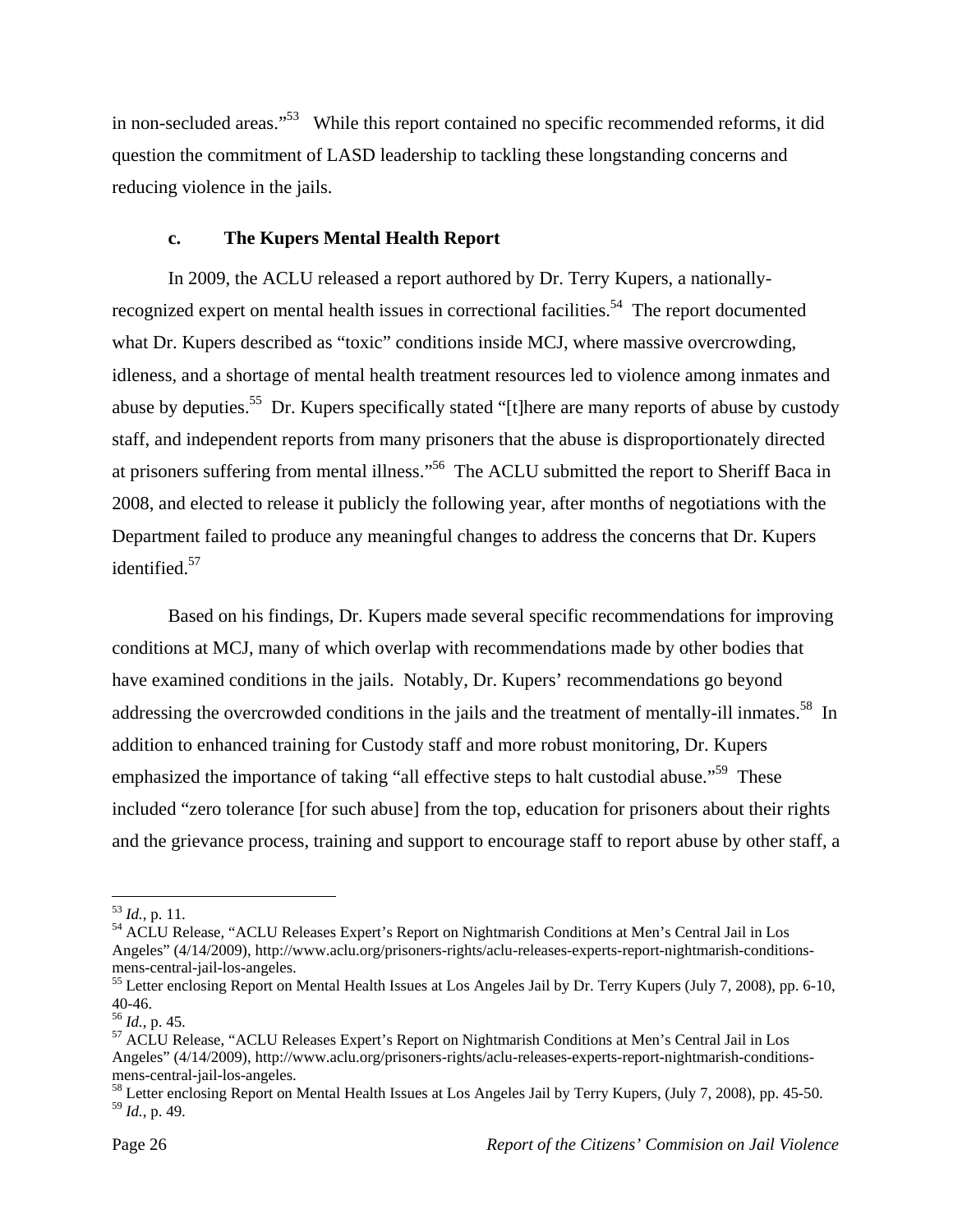in non-secluded areas."<sup>53</sup> While this report contained no specific recommended reforms, it did question the commitment of LASD leadership to tackling these longstanding concerns and reducing violence in the jails.

#### **c. The Kupers Mental Health Report**

 In 2009, the ACLU released a report authored by Dr. Terry Kupers, a nationallyrecognized expert on mental health issues in correctional facilities.<sup>54</sup> The report documented what Dr. Kupers described as "toxic" conditions inside MCJ, where massive overcrowding, idleness, and a shortage of mental health treatment resources led to violence among inmates and abuse by deputies.<sup>55</sup> Dr. Kupers specifically stated "[t]here are many reports of abuse by custody staff, and independent reports from many prisoners that the abuse is disproportionately directed at prisoners suffering from mental illness."56 The ACLU submitted the report to Sheriff Baca in 2008, and elected to release it publicly the following year, after months of negotiations with the Department failed to produce any meaningful changes to address the concerns that Dr. Kupers identified.<sup>57</sup>

 Based on his findings, Dr. Kupers made several specific recommendations for improving conditions at MCJ, many of which overlap with recommendations made by other bodies that have examined conditions in the jails. Notably, Dr. Kupers' recommendations go beyond addressing the overcrowded conditions in the jails and the treatment of mentally-ill inmates.<sup>58</sup> In addition to enhanced training for Custody staff and more robust monitoring, Dr. Kupers emphasized the importance of taking "all effective steps to halt custodial abuse."<sup>59</sup> These included "zero tolerance [for such abuse] from the top, education for prisoners about their rights and the grievance process, training and support to encourage staff to report abuse by other staff, a

 $^{53}$  *Id.*, p. 11.

<sup>&</sup>lt;sup>54</sup> ACLU Release, "ACLU Releases Expert's Report on Nightmarish Conditions at Men's Central Jail in Los Angeles" (4/14/2009), http://www.aclu.org/prisoners-rights/aclu-releases-experts-report-nightmarish-conditionsmens-central-jail-los-angeles.

<sup>&</sup>lt;sup>55</sup> Letter enclosing Report on Mental Health Issues at Los Angeles Jail by Dr. Terry Kupers (July 7, 2008), pp. 6-10,  $40-46.$ <sup>56</sup> *Id.*, p. 45.

<sup>&</sup>lt;sup>57</sup> ACLU Release, "ACLU Releases Expert's Report on Nightmarish Conditions at Men's Central Jail in Los Angeles" (4/14/2009), http://www.aclu.org/prisoners-rights/aclu-releases-experts-report-nightmarish-conditionsmens-central-jail-los-angeles.

<sup>&</sup>lt;sup>58</sup> Letter enclosing Report on Mental Health Issues at Los Angeles Jail by Terry Kupers, (July 7, 2008), pp. 45-50. <sup>59</sup> *Id.*, p. 49.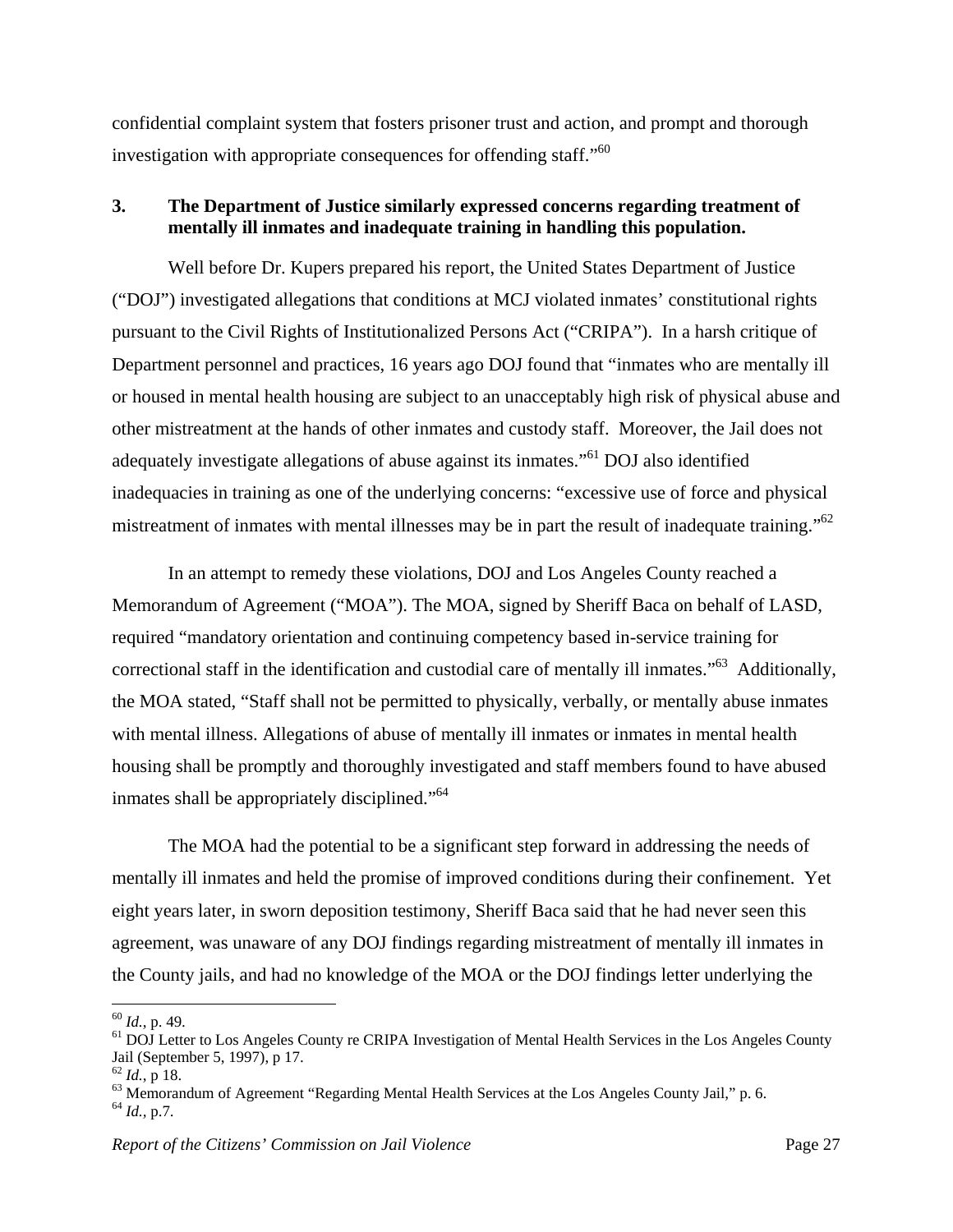confidential complaint system that fosters prisoner trust and action, and prompt and thorough investigation with appropriate consequences for offending staff."<sup>60</sup>

## **3. The Department of Justice similarly expressed concerns regarding treatment of mentally ill inmates and inadequate training in handling this population.**

Well before Dr. Kupers prepared his report, the United States Department of Justice ("DOJ") investigated allegations that conditions at MCJ violated inmates' constitutional rights pursuant to the Civil Rights of Institutionalized Persons Act ("CRIPA"). In a harsh critique of Department personnel and practices, 16 years ago DOJ found that "inmates who are mentally ill or housed in mental health housing are subject to an unacceptably high risk of physical abuse and other mistreatment at the hands of other inmates and custody staff. Moreover, the Jail does not adequately investigate allegations of abuse against its inmates."61 DOJ also identified inadequacies in training as one of the underlying concerns: "excessive use of force and physical mistreatment of inmates with mental illnesses may be in part the result of inadequate training."<sup>62</sup>

In an attempt to remedy these violations, DOJ and Los Angeles County reached a Memorandum of Agreement ("MOA"). The MOA, signed by Sheriff Baca on behalf of LASD, required "mandatory orientation and continuing competency based in-service training for correctional staff in the identification and custodial care of mentally ill inmates."63 Additionally, the MOA stated, "Staff shall not be permitted to physically, verbally, or mentally abuse inmates with mental illness. Allegations of abuse of mentally ill inmates or inmates in mental health housing shall be promptly and thoroughly investigated and staff members found to have abused inmates shall be appropriately disciplined."<sup>64</sup>

The MOA had the potential to be a significant step forward in addressing the needs of mentally ill inmates and held the promise of improved conditions during their confinement. Yet eight years later, in sworn deposition testimony, Sheriff Baca said that he had never seen this agreement, was unaware of any DOJ findings regarding mistreatment of mentally ill inmates in the County jails, and had no knowledge of the MOA or the DOJ findings letter underlying the

1

 $^{60}$  *Id.*, p. 49.<br><sup>61</sup> DOJ Letter to Los Angeles County re CRIPA Investigation of Mental Health Services in the Los Angeles County Jail (September 5, 1997), p 17.<br> $^{62}$  *Id.*, p 18.

<sup>&</sup>lt;sup>63</sup> Memorandum of Agreement "Regarding Mental Health Services at the Los Angeles County Jail," p. 6. <sup>64</sup> *Id.*, p.7.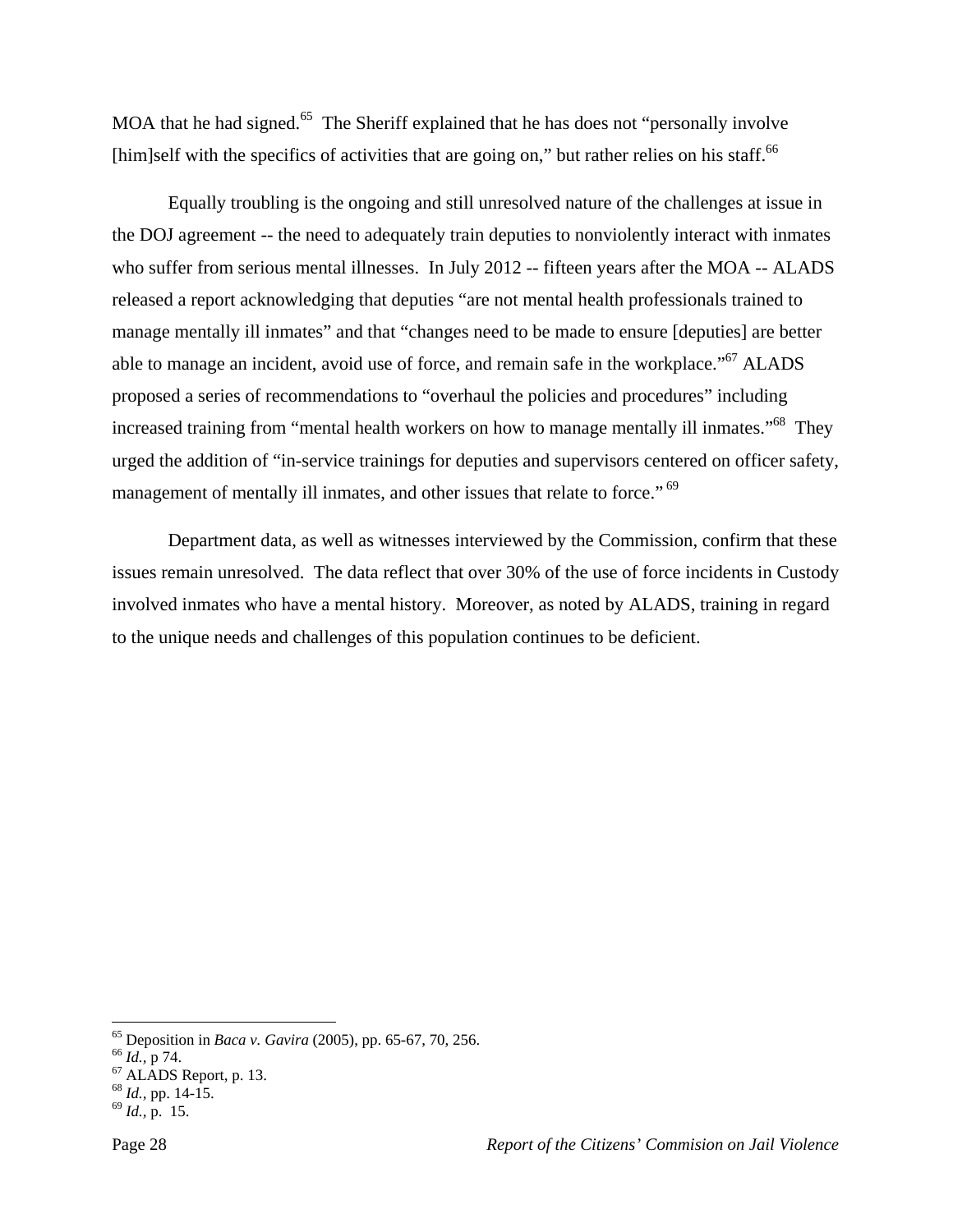MOA that he had signed.<sup>65</sup> The Sheriff explained that he has does not "personally involve"  $[\text{him}]\text{self}$  with the specifics of activities that are going on," but rather relies on his staff.<sup>66</sup>

Equally troubling is the ongoing and still unresolved nature of the challenges at issue in the DOJ agreement -- the need to adequately train deputies to nonviolently interact with inmates who suffer from serious mental illnesses. In July 2012 -- fifteen years after the MOA -- ALADS released a report acknowledging that deputies "are not mental health professionals trained to manage mentally ill inmates" and that "changes need to be made to ensure [deputies] are better able to manage an incident, avoid use of force, and remain safe in the workplace."<sup>67</sup> ALADS proposed a series of recommendations to "overhaul the policies and procedures" including increased training from "mental health workers on how to manage mentally ill inmates."<sup>68</sup> They urged the addition of "in-service trainings for deputies and supervisors centered on officer safety, management of mentally ill inmates, and other issues that relate to force."<sup>69</sup>

 Department data, as well as witnesses interviewed by the Commission, confirm that these issues remain unresolved. The data reflect that over 30% of the use of force incidents in Custody involved inmates who have a mental history. Moreover, as noted by ALADS, training in regard to the unique needs and challenges of this population continues to be deficient.

 $\overline{a}$ 

<sup>&</sup>lt;sup>65</sup> Deposition in *Baca v. Gavira* (2005), pp. 65-67, 70, 256.<br><sup>66</sup> *Id.*, p 74. <sup>67</sup> ALADS Report, p. 13.

<sup>68</sup> *Id.,* pp. 14-15. 69 *Id.,* p. 15.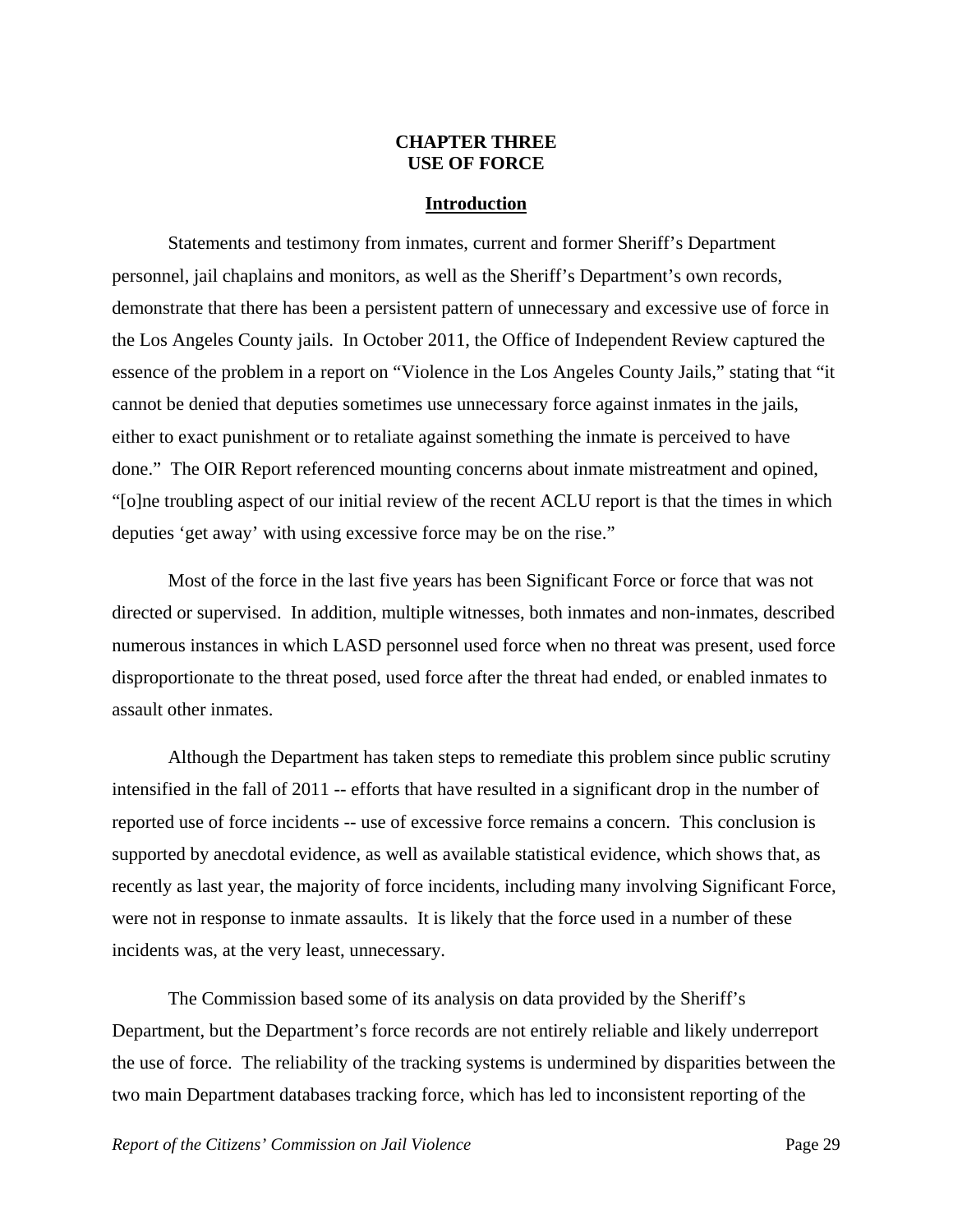## **CHAPTER THREE USE OF FORCE**

#### **Introduction**

 Statements and testimony from inmates, current and former Sheriff's Department personnel, jail chaplains and monitors, as well as the Sheriff's Department's own records, demonstrate that there has been a persistent pattern of unnecessary and excessive use of force in the Los Angeles County jails. In October 2011, the Office of Independent Review captured the essence of the problem in a report on "Violence in the Los Angeles County Jails," stating that "it cannot be denied that deputies sometimes use unnecessary force against inmates in the jails, either to exact punishment or to retaliate against something the inmate is perceived to have done." The OIR Report referenced mounting concerns about inmate mistreatment and opined, "[o]ne troubling aspect of our initial review of the recent ACLU report is that the times in which deputies 'get away' with using excessive force may be on the rise."

 Most of the force in the last five years has been Significant Force or force that was not directed or supervised. In addition, multiple witnesses, both inmates and non-inmates, described numerous instances in which LASD personnel used force when no threat was present, used force disproportionate to the threat posed, used force after the threat had ended, or enabled inmates to assault other inmates.

 Although the Department has taken steps to remediate this problem since public scrutiny intensified in the fall of 2011 -- efforts that have resulted in a significant drop in the number of reported use of force incidents -- use of excessive force remains a concern. This conclusion is supported by anecdotal evidence, as well as available statistical evidence, which shows that, as recently as last year, the majority of force incidents, including many involving Significant Force, were not in response to inmate assaults. It is likely that the force used in a number of these incidents was, at the very least, unnecessary.

 The Commission based some of its analysis on data provided by the Sheriff's Department, but the Department's force records are not entirely reliable and likely underreport the use of force. The reliability of the tracking systems is undermined by disparities between the two main Department databases tracking force, which has led to inconsistent reporting of the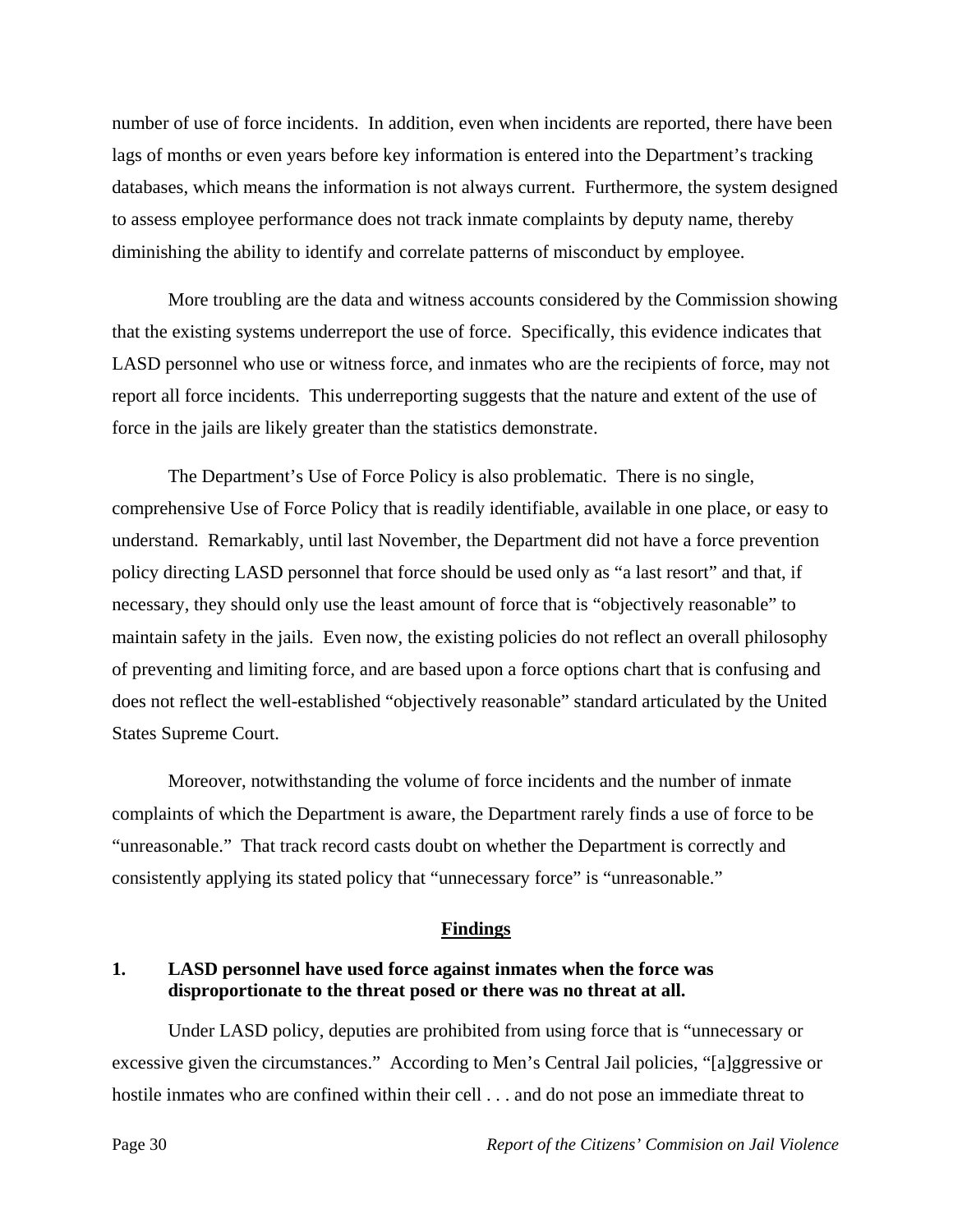number of use of force incidents. In addition, even when incidents are reported, there have been lags of months or even years before key information is entered into the Department's tracking databases, which means the information is not always current. Furthermore, the system designed to assess employee performance does not track inmate complaints by deputy name, thereby diminishing the ability to identify and correlate patterns of misconduct by employee.

 More troubling are the data and witness accounts considered by the Commission showing that the existing systems underreport the use of force. Specifically, this evidence indicates that LASD personnel who use or witness force, and inmates who are the recipients of force, may not report all force incidents. This underreporting suggests that the nature and extent of the use of force in the jails are likely greater than the statistics demonstrate.

 The Department's Use of Force Policy is also problematic. There is no single, comprehensive Use of Force Policy that is readily identifiable, available in one place, or easy to understand. Remarkably, until last November, the Department did not have a force prevention policy directing LASD personnel that force should be used only as "a last resort" and that, if necessary, they should only use the least amount of force that is "objectively reasonable" to maintain safety in the jails. Even now, the existing policies do not reflect an overall philosophy of preventing and limiting force, and are based upon a force options chart that is confusing and does not reflect the well-established "objectively reasonable" standard articulated by the United States Supreme Court.

 Moreover, notwithstanding the volume of force incidents and the number of inmate complaints of which the Department is aware, the Department rarely finds a use of force to be "unreasonable." That track record casts doubt on whether the Department is correctly and consistently applying its stated policy that "unnecessary force" is "unreasonable."

#### **Findings**

#### **1. LASD personnel have used force against inmates when the force was disproportionate to the threat posed or there was no threat at all.**

 Under LASD policy, deputies are prohibited from using force that is "unnecessary or excessive given the circumstances." According to Men's Central Jail policies, "[a]ggressive or hostile inmates who are confined within their cell . . . and do not pose an immediate threat to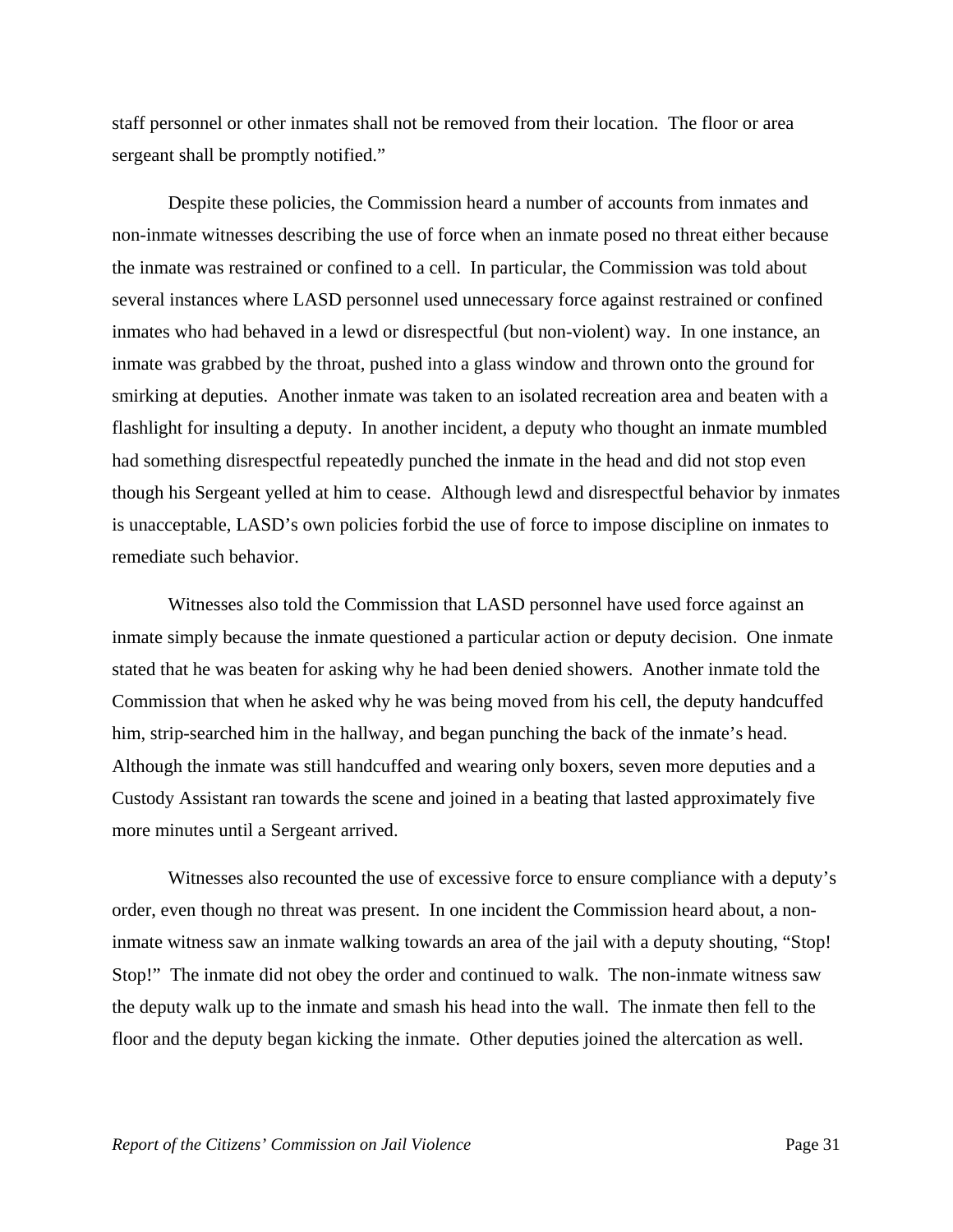staff personnel or other inmates shall not be removed from their location. The floor or area sergeant shall be promptly notified."

 Despite these policies, the Commission heard a number of accounts from inmates and non-inmate witnesses describing the use of force when an inmate posed no threat either because the inmate was restrained or confined to a cell. In particular, the Commission was told about several instances where LASD personnel used unnecessary force against restrained or confined inmates who had behaved in a lewd or disrespectful (but non-violent) way. In one instance, an inmate was grabbed by the throat, pushed into a glass window and thrown onto the ground for smirking at deputies. Another inmate was taken to an isolated recreation area and beaten with a flashlight for insulting a deputy. In another incident, a deputy who thought an inmate mumbled had something disrespectful repeatedly punched the inmate in the head and did not stop even though his Sergeant yelled at him to cease. Although lewd and disrespectful behavior by inmates is unacceptable, LASD's own policies forbid the use of force to impose discipline on inmates to remediate such behavior.

 Witnesses also told the Commission that LASD personnel have used force against an inmate simply because the inmate questioned a particular action or deputy decision. One inmate stated that he was beaten for asking why he had been denied showers. Another inmate told the Commission that when he asked why he was being moved from his cell, the deputy handcuffed him, strip-searched him in the hallway, and began punching the back of the inmate's head. Although the inmate was still handcuffed and wearing only boxers, seven more deputies and a Custody Assistant ran towards the scene and joined in a beating that lasted approximately five more minutes until a Sergeant arrived.

 Witnesses also recounted the use of excessive force to ensure compliance with a deputy's order, even though no threat was present. In one incident the Commission heard about, a noninmate witness saw an inmate walking towards an area of the jail with a deputy shouting, "Stop! Stop!" The inmate did not obey the order and continued to walk. The non-inmate witness saw the deputy walk up to the inmate and smash his head into the wall. The inmate then fell to the floor and the deputy began kicking the inmate. Other deputies joined the altercation as well.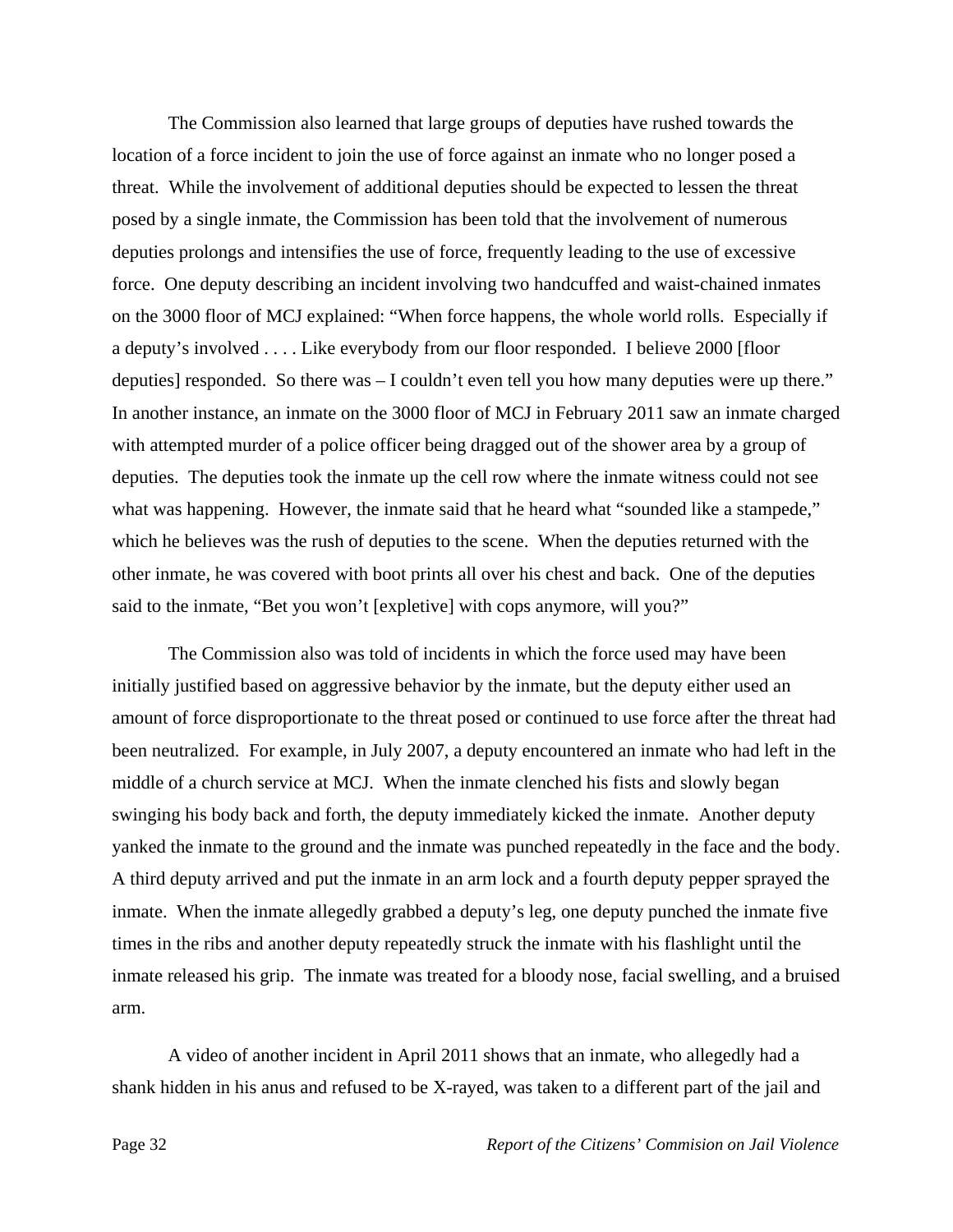The Commission also learned that large groups of deputies have rushed towards the location of a force incident to join the use of force against an inmate who no longer posed a threat. While the involvement of additional deputies should be expected to lessen the threat posed by a single inmate, the Commission has been told that the involvement of numerous deputies prolongs and intensifies the use of force, frequently leading to the use of excessive force. One deputy describing an incident involving two handcuffed and waist-chained inmates on the 3000 floor of MCJ explained: "When force happens, the whole world rolls. Especially if a deputy's involved . . . . Like everybody from our floor responded. I believe 2000 [floor deputies] responded. So there was – I couldn't even tell you how many deputies were up there." In another instance, an inmate on the 3000 floor of MCJ in February 2011 saw an inmate charged with attempted murder of a police officer being dragged out of the shower area by a group of deputies. The deputies took the inmate up the cell row where the inmate witness could not see what was happening. However, the inmate said that he heard what "sounded like a stampede," which he believes was the rush of deputies to the scene. When the deputies returned with the other inmate, he was covered with boot prints all over his chest and back. One of the deputies said to the inmate, "Bet you won't [expletive] with cops anymore, will you?"

 The Commission also was told of incidents in which the force used may have been initially justified based on aggressive behavior by the inmate, but the deputy either used an amount of force disproportionate to the threat posed or continued to use force after the threat had been neutralized. For example, in July 2007, a deputy encountered an inmate who had left in the middle of a church service at MCJ. When the inmate clenched his fists and slowly began swinging his body back and forth, the deputy immediately kicked the inmate. Another deputy yanked the inmate to the ground and the inmate was punched repeatedly in the face and the body. A third deputy arrived and put the inmate in an arm lock and a fourth deputy pepper sprayed the inmate. When the inmate allegedly grabbed a deputy's leg, one deputy punched the inmate five times in the ribs and another deputy repeatedly struck the inmate with his flashlight until the inmate released his grip. The inmate was treated for a bloody nose, facial swelling, and a bruised arm.

 A video of another incident in April 2011 shows that an inmate, who allegedly had a shank hidden in his anus and refused to be X-rayed, was taken to a different part of the jail and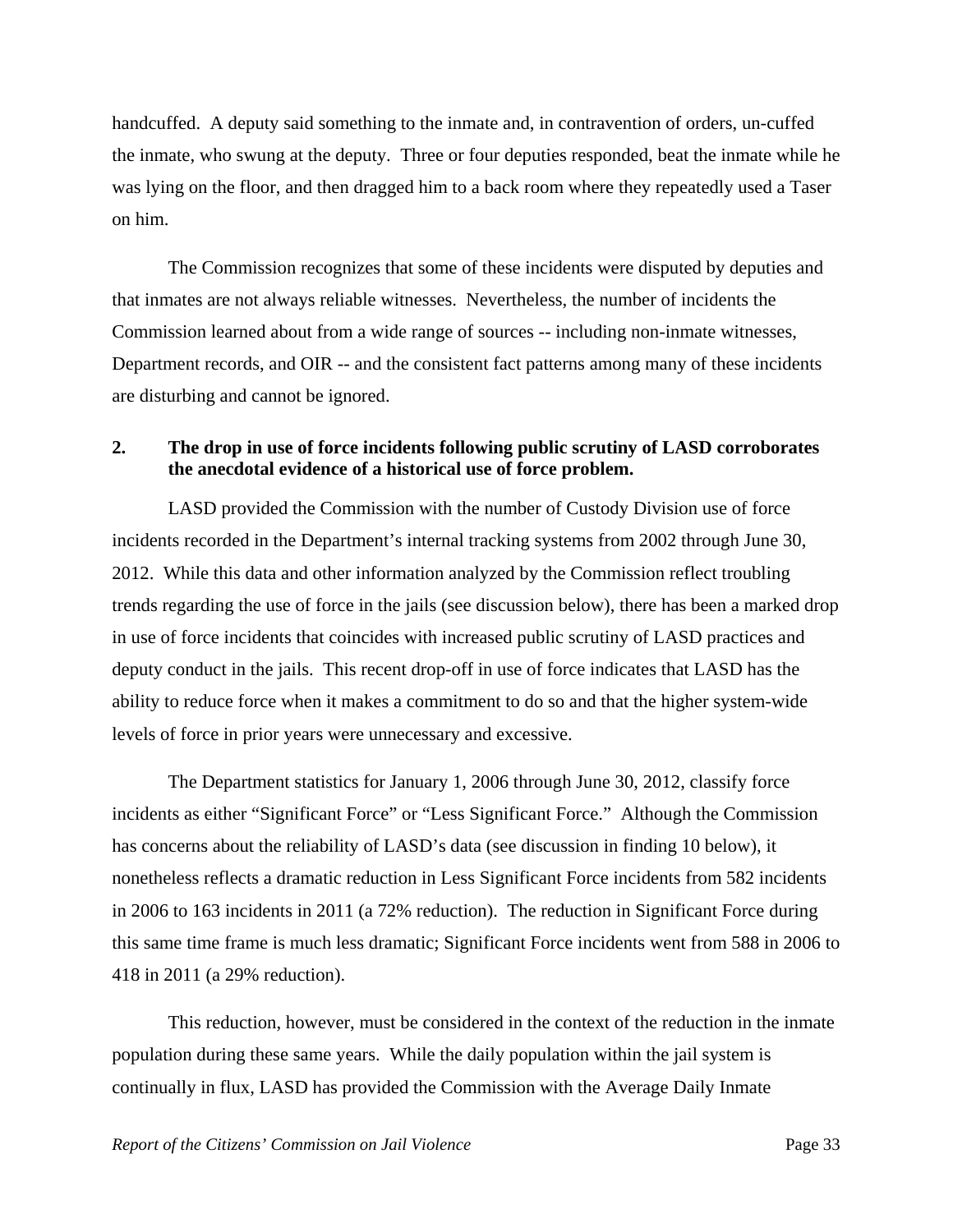handcuffed. A deputy said something to the inmate and, in contravention of orders, un-cuffed the inmate, who swung at the deputy. Three or four deputies responded, beat the inmate while he was lying on the floor, and then dragged him to a back room where they repeatedly used a Taser on him.

 The Commission recognizes that some of these incidents were disputed by deputies and that inmates are not always reliable witnesses. Nevertheless, the number of incidents the Commission learned about from a wide range of sources -- including non-inmate witnesses, Department records, and OIR -- and the consistent fact patterns among many of these incidents are disturbing and cannot be ignored.

#### **2. The drop in use of force incidents following public scrutiny of LASD corroborates the anecdotal evidence of a historical use of force problem.**

 LASD provided the Commission with the number of Custody Division use of force incidents recorded in the Department's internal tracking systems from 2002 through June 30, 2012. While this data and other information analyzed by the Commission reflect troubling trends regarding the use of force in the jails (see discussion below), there has been a marked drop in use of force incidents that coincides with increased public scrutiny of LASD practices and deputy conduct in the jails. This recent drop-off in use of force indicates that LASD has the ability to reduce force when it makes a commitment to do so and that the higher system-wide levels of force in prior years were unnecessary and excessive.

 The Department statistics for January 1, 2006 through June 30, 2012, classify force incidents as either "Significant Force" or "Less Significant Force." Although the Commission has concerns about the reliability of LASD's data (see discussion in finding 10 below), it nonetheless reflects a dramatic reduction in Less Significant Force incidents from 582 incidents in 2006 to 163 incidents in 2011 (a 72% reduction). The reduction in Significant Force during this same time frame is much less dramatic; Significant Force incidents went from 588 in 2006 to 418 in 2011 (a 29% reduction).

 This reduction, however, must be considered in the context of the reduction in the inmate population during these same years. While the daily population within the jail system is continually in flux, LASD has provided the Commission with the Average Daily Inmate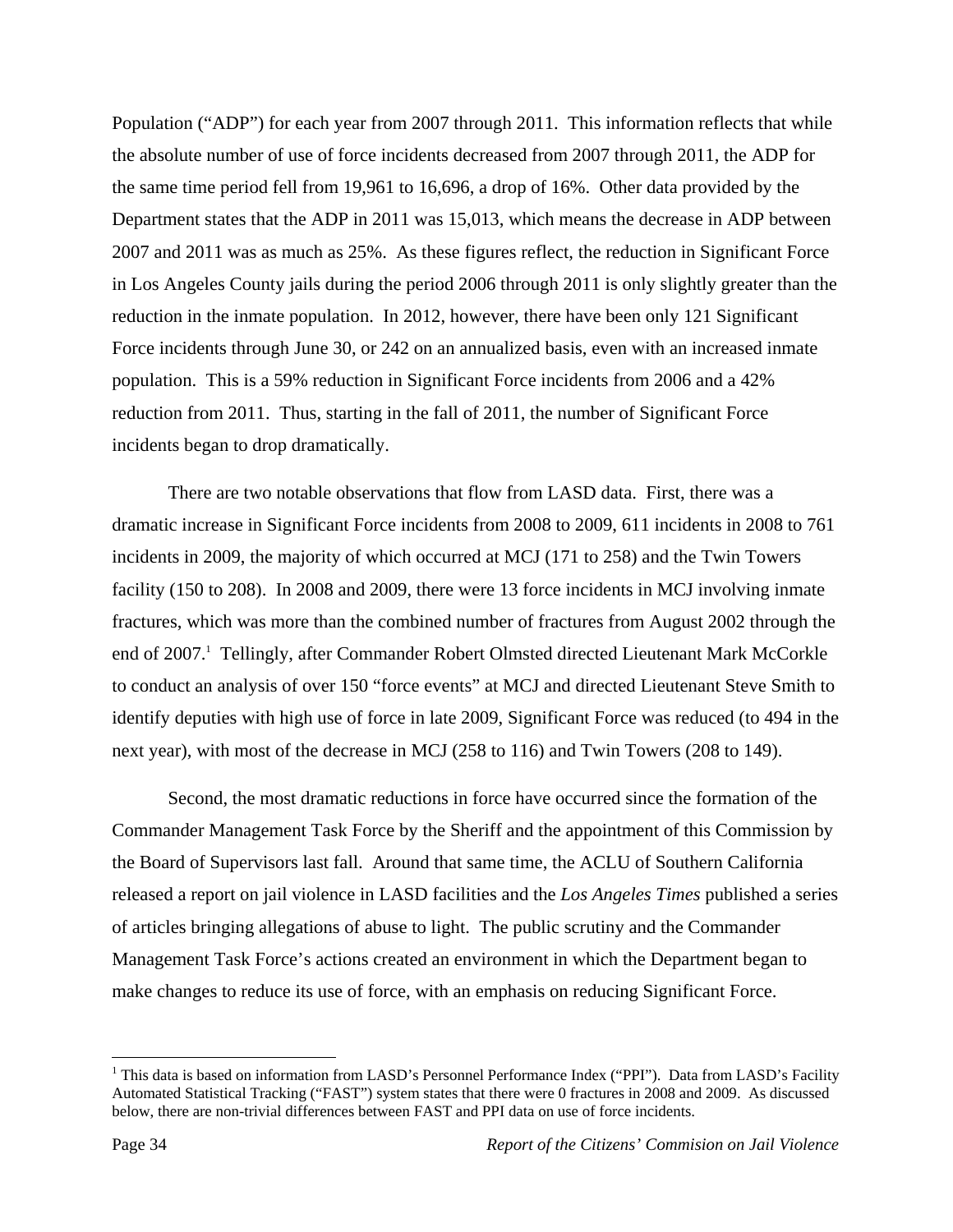Population ("ADP") for each year from 2007 through 2011. This information reflects that while the absolute number of use of force incidents decreased from 2007 through 2011, the ADP for the same time period fell from 19,961 to 16,696, a drop of 16%. Other data provided by the Department states that the ADP in 2011 was 15,013, which means the decrease in ADP between 2007 and 2011 was as much as 25%. As these figures reflect, the reduction in Significant Force in Los Angeles County jails during the period 2006 through 2011 is only slightly greater than the reduction in the inmate population. In 2012, however, there have been only 121 Significant Force incidents through June 30, or 242 on an annualized basis, even with an increased inmate population. This is a 59% reduction in Significant Force incidents from 2006 and a 42% reduction from 2011. Thus, starting in the fall of 2011, the number of Significant Force incidents began to drop dramatically.

 There are two notable observations that flow from LASD data. First, there was a dramatic increase in Significant Force incidents from 2008 to 2009, 611 incidents in 2008 to 761 incidents in 2009, the majority of which occurred at MCJ (171 to 258) and the Twin Towers facility (150 to 208). In 2008 and 2009, there were 13 force incidents in MCJ involving inmate fractures, which was more than the combined number of fractures from August 2002 through the end of 2007.<sup>1</sup> Tellingly, after Commander Robert Olmsted directed Lieutenant Mark McCorkle to conduct an analysis of over 150 "force events" at MCJ and directed Lieutenant Steve Smith to identify deputies with high use of force in late 2009, Significant Force was reduced (to 494 in the next year), with most of the decrease in MCJ (258 to 116) and Twin Towers (208 to 149).

 Second, the most dramatic reductions in force have occurred since the formation of the Commander Management Task Force by the Sheriff and the appointment of this Commission by the Board of Supervisors last fall. Around that same time, the ACLU of Southern California released a report on jail violence in LASD facilities and the *Los Angeles Times* published a series of articles bringing allegations of abuse to light. The public scrutiny and the Commander Management Task Force's actions created an environment in which the Department began to make changes to reduce its use of force, with an emphasis on reducing Significant Force.

1

<sup>&</sup>lt;sup>1</sup> This data is based on information from LASD's Personnel Performance Index ("PPI"). Data from LASD's Facility Automated Statistical Tracking ("FAST") system states that there were 0 fractures in 2008 and 2009. As discussed below, there are non-trivial differences between FAST and PPI data on use of force incidents.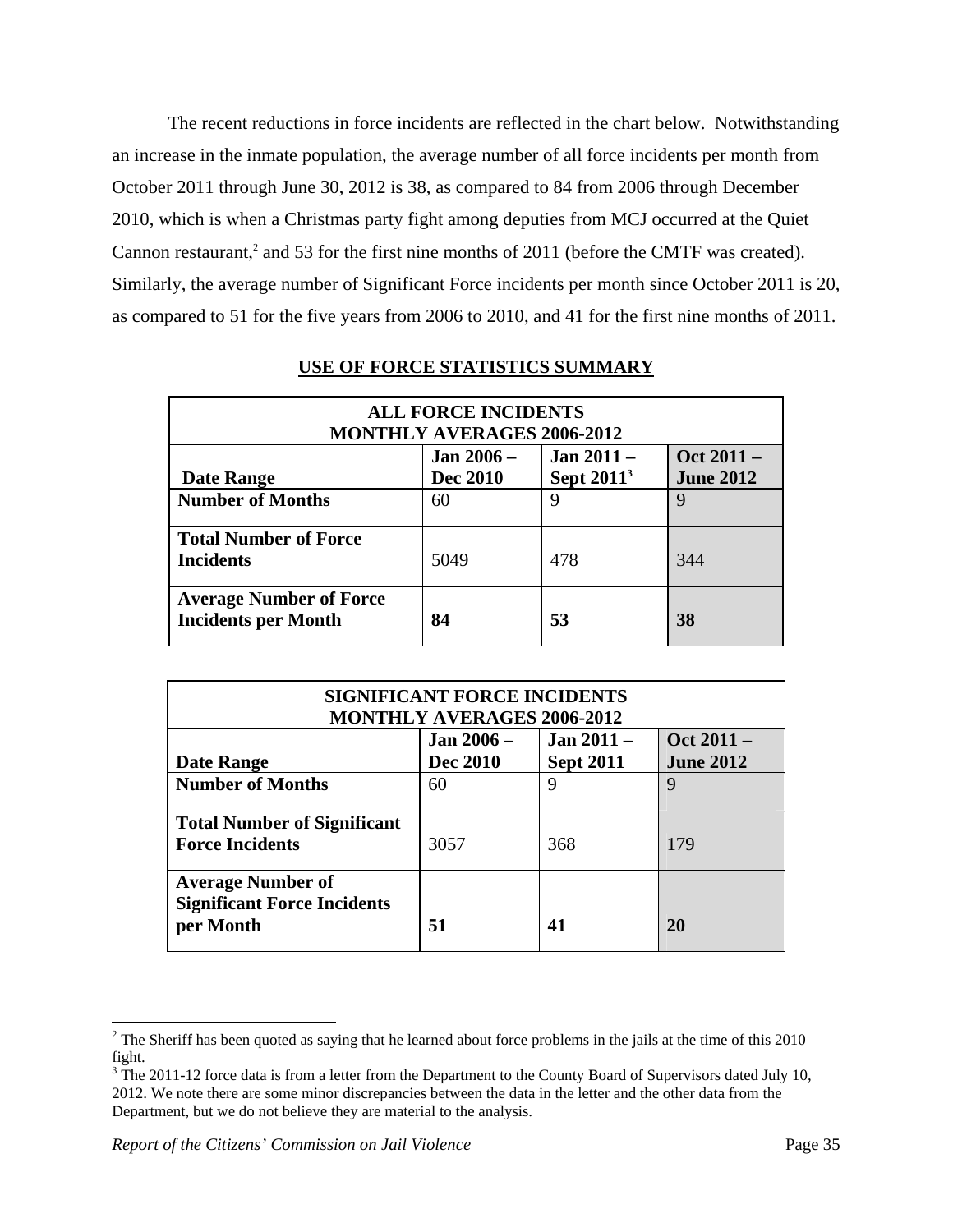The recent reductions in force incidents are reflected in the chart below. Notwithstanding an increase in the inmate population, the average number of all force incidents per month from October 2011 through June 30, 2012 is 38, as compared to 84 from 2006 through December 2010, which is when a Christmas party fight among deputies from MCJ occurred at the Quiet Cannon restaurant,<sup>2</sup> and 53 for the first nine months of 2011 (before the CMTF was created). Similarly, the average number of Significant Force incidents per month since October 2011 is 20, as compared to 51 for the five years from 2006 to 2010, and 41 for the first nine months of 2011.

| <b>ALL FORCE INCIDENTS</b><br><b>MONTHLY AVERAGES 2006-2012</b> |                 |                        |                  |  |
|-----------------------------------------------------------------|-----------------|------------------------|------------------|--|
|                                                                 | Jan 2006 –      | <b>Jan 2011 –</b>      | Oct 2011 -       |  |
| Date Range                                                      | <b>Dec 2010</b> | Sept 2011 <sup>3</sup> | <b>June 2012</b> |  |
| <b>Number of Months</b>                                         | 60              | 9                      | 9                |  |
| <b>Total Number of Force</b><br><b>Incidents</b>                | 5049            | 478                    | 344              |  |
| <b>Average Number of Force</b><br><b>Incidents per Month</b>    | 84              | 53                     | 38               |  |

## **USE OF FORCE STATISTICS SUMMARY**

| <b>SIGNIFICANT FORCE INCIDENTS</b><br><b>MONTHLY AVERAGES 2006-2012</b>     |                   |                  |                  |  |
|-----------------------------------------------------------------------------|-------------------|------------------|------------------|--|
|                                                                             | <b>Jan 2006 –</b> | Jan $2011 -$     | Oct 2011 -       |  |
| <b>Date Range</b>                                                           | <b>Dec 2010</b>   | <b>Sept 2011</b> | <b>June 2012</b> |  |
| <b>Number of Months</b>                                                     | 60                | 9                | 9                |  |
| <b>Total Number of Significant</b><br><b>Force Incidents</b>                | 3057              | 368              | 179              |  |
| <b>Average Number of</b><br><b>Significant Force Incidents</b><br>per Month | 51                | 41               | 20               |  |

 $\overline{a}$ 

 $2^2$  The Sheriff has been quoted as saying that he learned about force problems in the jails at the time of this 2010 fight.

 $3$  The 2011-12 force data is from a letter from the Department to the County Board of Supervisors dated July 10, 2012. We note there are some minor discrepancies between the data in the letter and the other data from the Department, but we do not believe they are material to the analysis.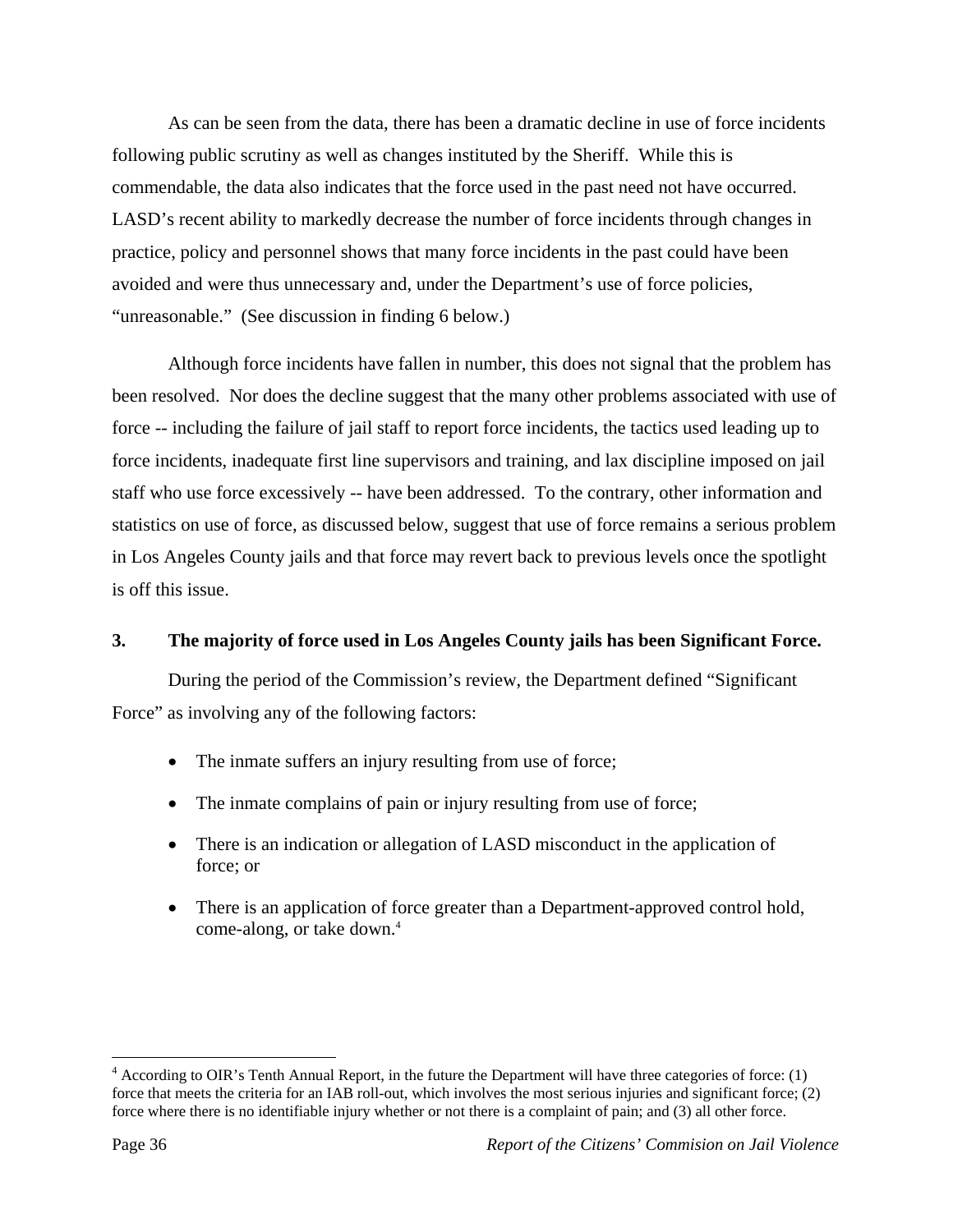As can be seen from the data, there has been a dramatic decline in use of force incidents following public scrutiny as well as changes instituted by the Sheriff. While this is commendable, the data also indicates that the force used in the past need not have occurred. LASD's recent ability to markedly decrease the number of force incidents through changes in practice, policy and personnel shows that many force incidents in the past could have been avoided and were thus unnecessary and, under the Department's use of force policies, "unreasonable." (See discussion in finding 6 below.)

 Although force incidents have fallen in number, this does not signal that the problem has been resolved. Nor does the decline suggest that the many other problems associated with use of force -- including the failure of jail staff to report force incidents, the tactics used leading up to force incidents, inadequate first line supervisors and training, and lax discipline imposed on jail staff who use force excessively -- have been addressed. To the contrary, other information and statistics on use of force, as discussed below, suggest that use of force remains a serious problem in Los Angeles County jails and that force may revert back to previous levels once the spotlight is off this issue.

# **3. The majority of force used in Los Angeles County jails has been Significant Force.**

 During the period of the Commission's review, the Department defined "Significant Force" as involving any of the following factors:

- The inmate suffers an injury resulting from use of force;
- The inmate complains of pain or injury resulting from use of force;
- There is an indication or allegation of LASD misconduct in the application of force; or
- There is an application of force greater than a Department-approved control hold, come-along, or take down.<sup>4</sup>

1

 $4$  According to OIR's Tenth Annual Report, in the future the Department will have three categories of force: (1) force that meets the criteria for an IAB roll-out, which involves the most serious injuries and significant force; (2) force where there is no identifiable injury whether or not there is a complaint of pain; and (3) all other force.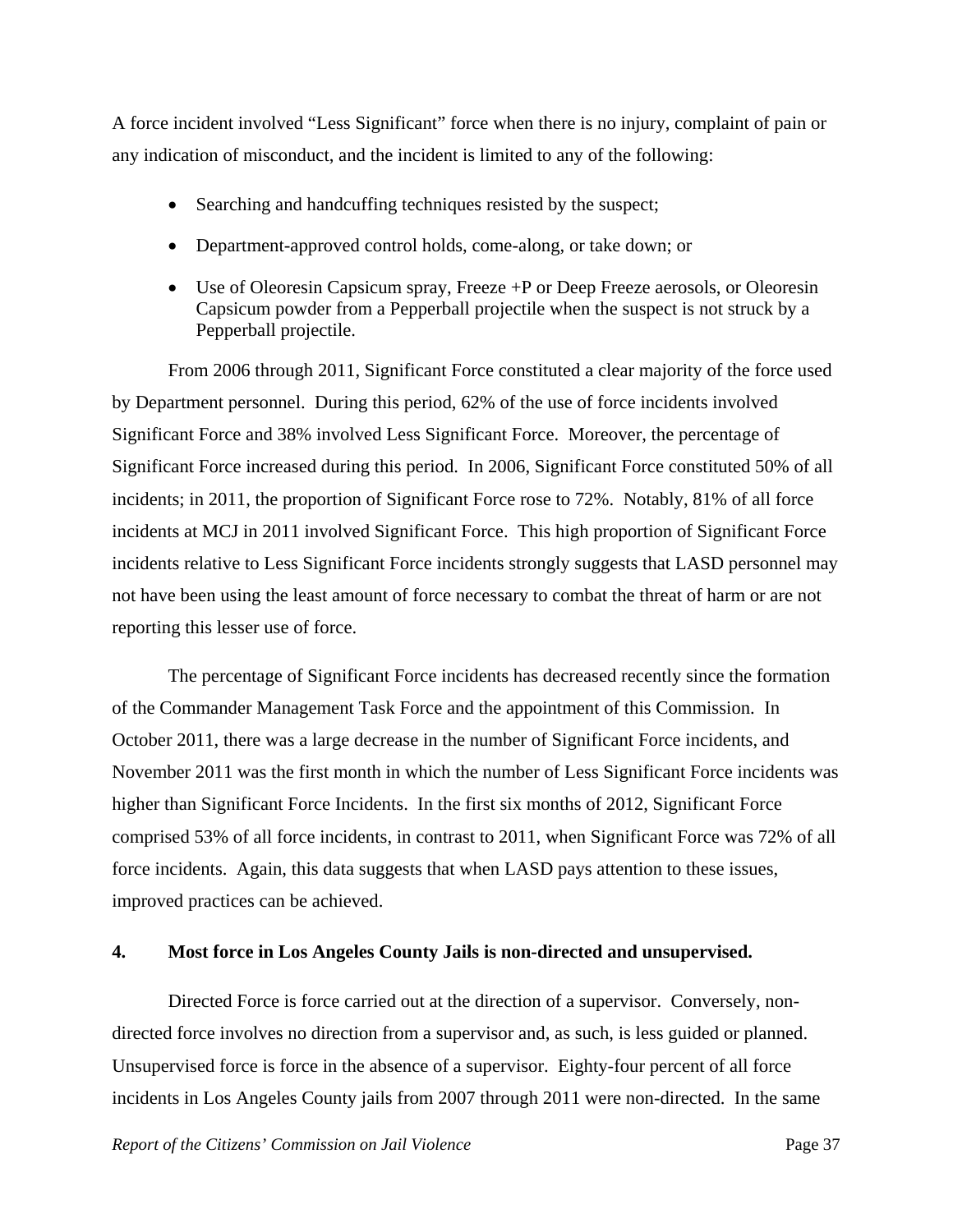A force incident involved "Less Significant" force when there is no injury, complaint of pain or any indication of misconduct, and the incident is limited to any of the following:

- Searching and handcuffing techniques resisted by the suspect;
- Department-approved control holds, come-along, or take down; or
- Use of Oleoresin Capsicum spray, Freeze +P or Deep Freeze aerosols, or Oleoresin Capsicum powder from a Pepperball projectile when the suspect is not struck by a Pepperball projectile.

From 2006 through 2011, Significant Force constituted a clear majority of the force used by Department personnel. During this period, 62% of the use of force incidents involved Significant Force and 38% involved Less Significant Force. Moreover, the percentage of Significant Force increased during this period. In 2006, Significant Force constituted 50% of all incidents; in 2011, the proportion of Significant Force rose to 72%. Notably, 81% of all force incidents at MCJ in 2011 involved Significant Force. This high proportion of Significant Force incidents relative to Less Significant Force incidents strongly suggests that LASD personnel may not have been using the least amount of force necessary to combat the threat of harm or are not reporting this lesser use of force.

 The percentage of Significant Force incidents has decreased recently since the formation of the Commander Management Task Force and the appointment of this Commission. In October 2011, there was a large decrease in the number of Significant Force incidents, and November 2011 was the first month in which the number of Less Significant Force incidents was higher than Significant Force Incidents. In the first six months of 2012, Significant Force comprised 53% of all force incidents, in contrast to 2011, when Significant Force was 72% of all force incidents. Again, this data suggests that when LASD pays attention to these issues, improved practices can be achieved.

## **4. Most force in Los Angeles County Jails is non-directed and unsupervised.**

 Directed Force is force carried out at the direction of a supervisor. Conversely, nondirected force involves no direction from a supervisor and, as such, is less guided or planned. Unsupervised force is force in the absence of a supervisor. Eighty-four percent of all force incidents in Los Angeles County jails from 2007 through 2011 were non-directed. In the same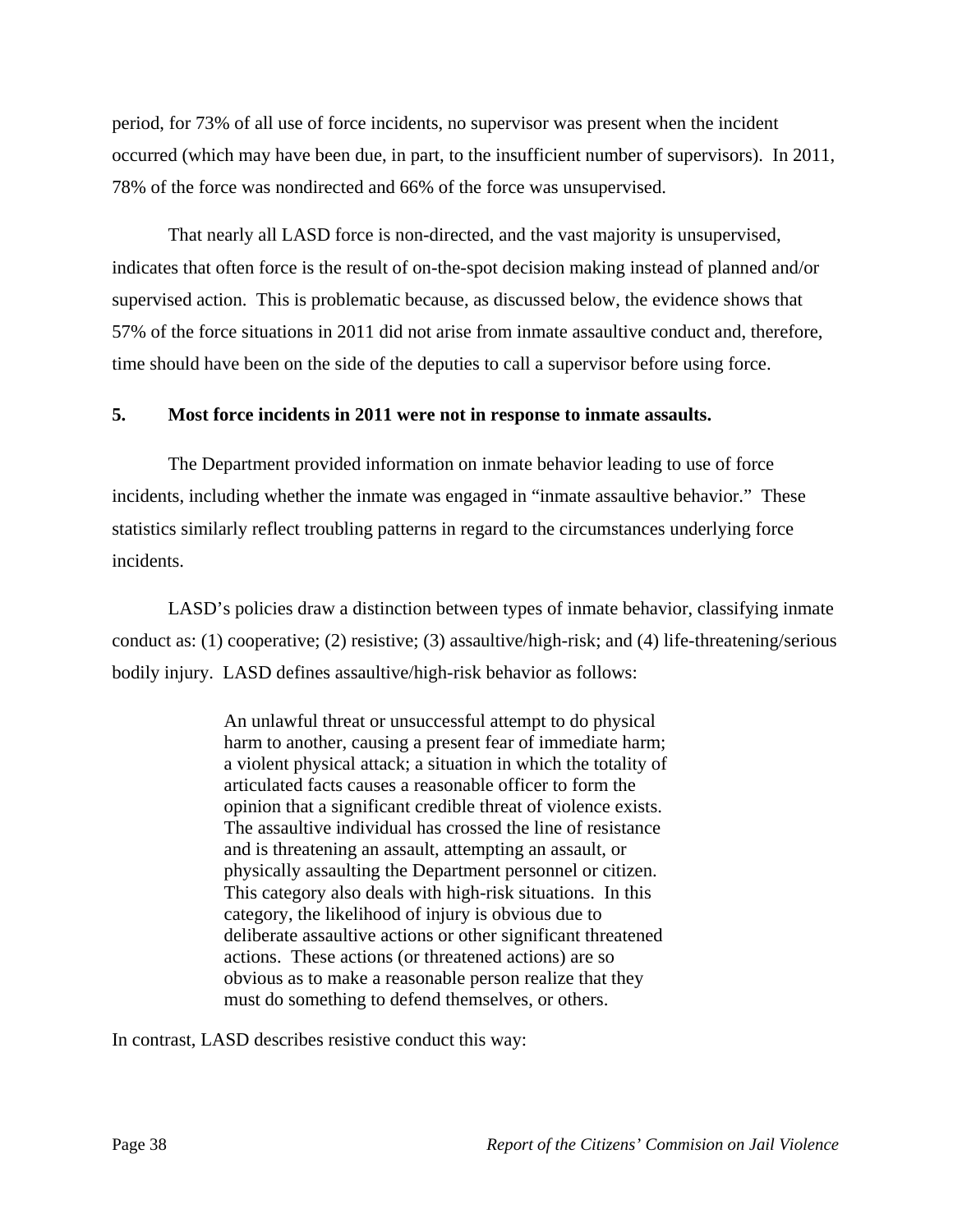period, for 73% of all use of force incidents, no supervisor was present when the incident occurred (which may have been due, in part, to the insufficient number of supervisors). In 2011, 78% of the force was nondirected and 66% of the force was unsupervised.

 That nearly all LASD force is non-directed, and the vast majority is unsupervised, indicates that often force is the result of on-the-spot decision making instead of planned and/or supervised action. This is problematic because, as discussed below, the evidence shows that 57% of the force situations in 2011 did not arise from inmate assaultive conduct and, therefore, time should have been on the side of the deputies to call a supervisor before using force.

### **5. Most force incidents in 2011 were not in response to inmate assaults.**

 The Department provided information on inmate behavior leading to use of force incidents, including whether the inmate was engaged in "inmate assaultive behavior." These statistics similarly reflect troubling patterns in regard to the circumstances underlying force incidents.

 LASD's policies draw a distinction between types of inmate behavior, classifying inmate conduct as: (1) cooperative; (2) resistive; (3) assaultive/high-risk; and (4) life-threatening/serious bodily injury. LASD defines assaultive/high-risk behavior as follows:

> An unlawful threat or unsuccessful attempt to do physical harm to another, causing a present fear of immediate harm; a violent physical attack; a situation in which the totality of articulated facts causes a reasonable officer to form the opinion that a significant credible threat of violence exists. The assaultive individual has crossed the line of resistance and is threatening an assault, attempting an assault, or physically assaulting the Department personnel or citizen. This category also deals with high-risk situations. In this category, the likelihood of injury is obvious due to deliberate assaultive actions or other significant threatened actions. These actions (or threatened actions) are so obvious as to make a reasonable person realize that they must do something to defend themselves, or others.

In contrast, LASD describes resistive conduct this way: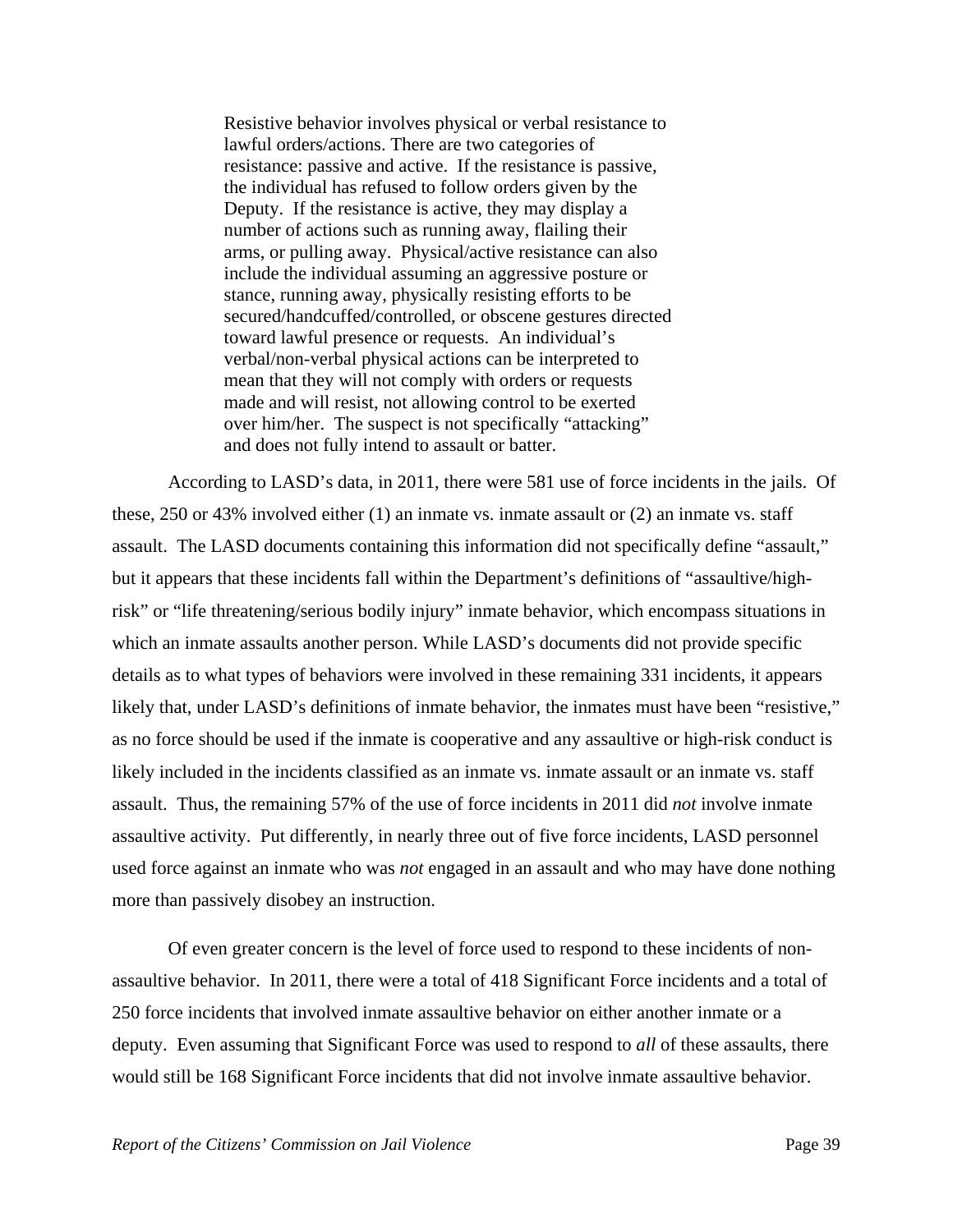Resistive behavior involves physical or verbal resistance to lawful orders/actions. There are two categories of resistance: passive and active. If the resistance is passive, the individual has refused to follow orders given by the Deputy. If the resistance is active, they may display a number of actions such as running away, flailing their arms, or pulling away. Physical/active resistance can also include the individual assuming an aggressive posture or stance, running away, physically resisting efforts to be secured/handcuffed/controlled, or obscene gestures directed toward lawful presence or requests. An individual's verbal/non-verbal physical actions can be interpreted to mean that they will not comply with orders or requests made and will resist, not allowing control to be exerted over him/her. The suspect is not specifically "attacking" and does not fully intend to assault or batter.

 According to LASD's data, in 2011, there were 581 use of force incidents in the jails. Of these, 250 or 43% involved either (1) an inmate vs. inmate assault or (2) an inmate vs. staff assault. The LASD documents containing this information did not specifically define "assault," but it appears that these incidents fall within the Department's definitions of "assaultive/highrisk" or "life threatening/serious bodily injury" inmate behavior, which encompass situations in which an inmate assaults another person. While LASD's documents did not provide specific details as to what types of behaviors were involved in these remaining 331 incidents, it appears likely that, under LASD's definitions of inmate behavior, the inmates must have been "resistive," as no force should be used if the inmate is cooperative and any assaultive or high-risk conduct is likely included in the incidents classified as an inmate vs. inmate assault or an inmate vs. staff assault. Thus, the remaining 57% of the use of force incidents in 2011 did *not* involve inmate assaultive activity. Put differently, in nearly three out of five force incidents, LASD personnel used force against an inmate who was *not* engaged in an assault and who may have done nothing more than passively disobey an instruction.

 Of even greater concern is the level of force used to respond to these incidents of nonassaultive behavior. In 2011, there were a total of 418 Significant Force incidents and a total of 250 force incidents that involved inmate assaultive behavior on either another inmate or a deputy. Even assuming that Significant Force was used to respond to *all* of these assaults, there would still be 168 Significant Force incidents that did not involve inmate assaultive behavior.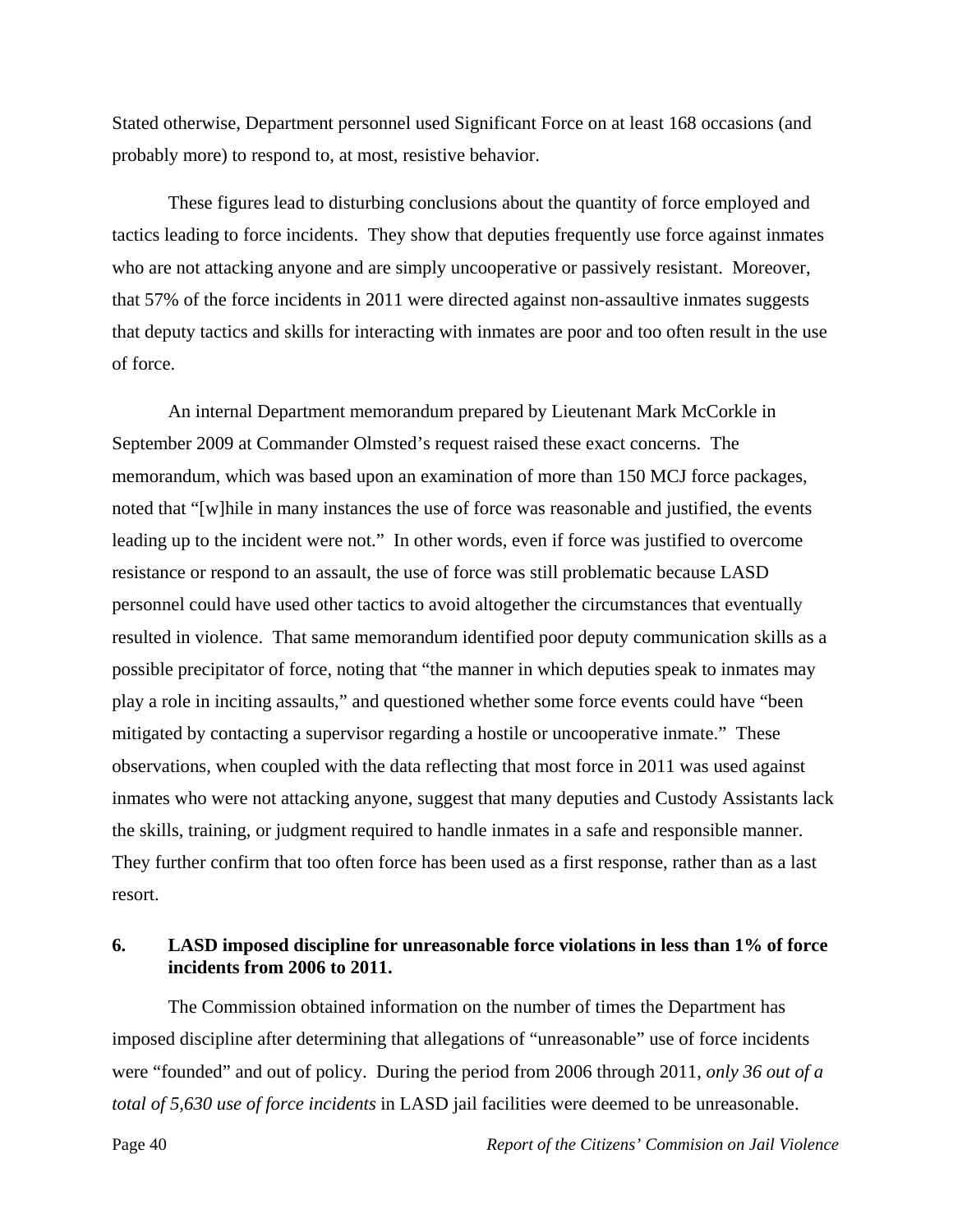Stated otherwise, Department personnel used Significant Force on at least 168 occasions (and probably more) to respond to, at most, resistive behavior.

 These figures lead to disturbing conclusions about the quantity of force employed and tactics leading to force incidents. They show that deputies frequently use force against inmates who are not attacking anyone and are simply uncooperative or passively resistant. Moreover, that 57% of the force incidents in 2011 were directed against non-assaultive inmates suggests that deputy tactics and skills for interacting with inmates are poor and too often result in the use of force.

 An internal Department memorandum prepared by Lieutenant Mark McCorkle in September 2009 at Commander Olmsted's request raised these exact concerns. The memorandum, which was based upon an examination of more than 150 MCJ force packages, noted that "[w]hile in many instances the use of force was reasonable and justified, the events leading up to the incident were not." In other words, even if force was justified to overcome resistance or respond to an assault, the use of force was still problematic because LASD personnel could have used other tactics to avoid altogether the circumstances that eventually resulted in violence. That same memorandum identified poor deputy communication skills as a possible precipitator of force, noting that "the manner in which deputies speak to inmates may play a role in inciting assaults," and questioned whether some force events could have "been mitigated by contacting a supervisor regarding a hostile or uncooperative inmate." These observations, when coupled with the data reflecting that most force in 2011 was used against inmates who were not attacking anyone, suggest that many deputies and Custody Assistants lack the skills, training, or judgment required to handle inmates in a safe and responsible manner. They further confirm that too often force has been used as a first response, rather than as a last resort.

### **6. LASD imposed discipline for unreasonable force violations in less than 1% of force incidents from 2006 to 2011.**

 The Commission obtained information on the number of times the Department has imposed discipline after determining that allegations of "unreasonable" use of force incidents were "founded" and out of policy. During the period from 2006 through 2011, *only 36 out of a total of 5,630 use of force incidents* in LASD jail facilities were deemed to be unreasonable.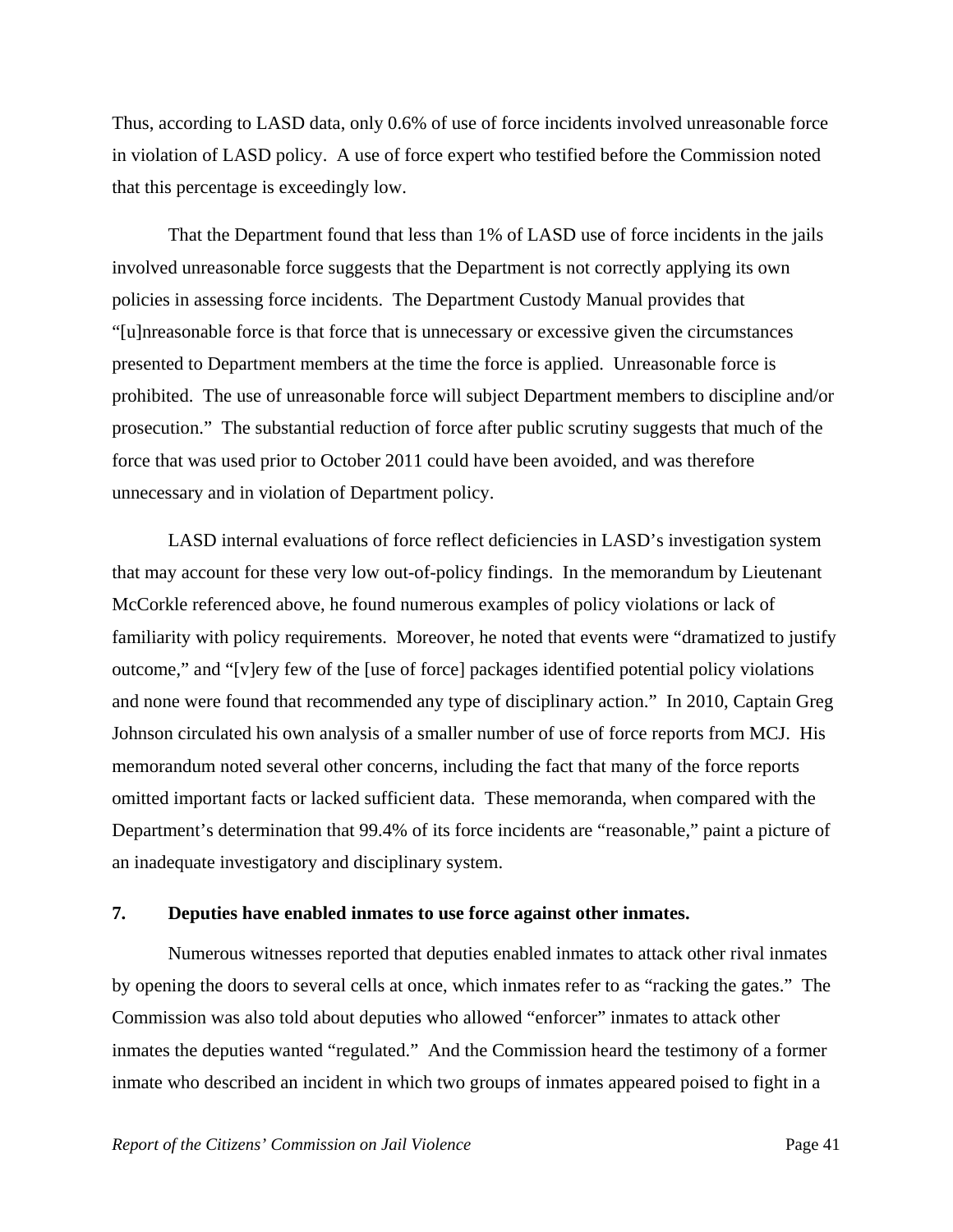Thus, according to LASD data, only 0.6% of use of force incidents involved unreasonable force in violation of LASD policy. A use of force expert who testified before the Commission noted that this percentage is exceedingly low.

 That the Department found that less than 1% of LASD use of force incidents in the jails involved unreasonable force suggests that the Department is not correctly applying its own policies in assessing force incidents. The Department Custody Manual provides that "[u]nreasonable force is that force that is unnecessary or excessive given the circumstances presented to Department members at the time the force is applied. Unreasonable force is prohibited. The use of unreasonable force will subject Department members to discipline and/or prosecution." The substantial reduction of force after public scrutiny suggests that much of the force that was used prior to October 2011 could have been avoided, and was therefore unnecessary and in violation of Department policy.

 LASD internal evaluations of force reflect deficiencies in LASD's investigation system that may account for these very low out-of-policy findings. In the memorandum by Lieutenant McCorkle referenced above, he found numerous examples of policy violations or lack of familiarity with policy requirements. Moreover, he noted that events were "dramatized to justify outcome," and "[v]ery few of the [use of force] packages identified potential policy violations and none were found that recommended any type of disciplinary action." In 2010, Captain Greg Johnson circulated his own analysis of a smaller number of use of force reports from MCJ. His memorandum noted several other concerns, including the fact that many of the force reports omitted important facts or lacked sufficient data. These memoranda, when compared with the Department's determination that 99.4% of its force incidents are "reasonable," paint a picture of an inadequate investigatory and disciplinary system.

#### **7. Deputies have enabled inmates to use force against other inmates.**

 Numerous witnesses reported that deputies enabled inmates to attack other rival inmates by opening the doors to several cells at once, which inmates refer to as "racking the gates." The Commission was also told about deputies who allowed "enforcer" inmates to attack other inmates the deputies wanted "regulated." And the Commission heard the testimony of a former inmate who described an incident in which two groups of inmates appeared poised to fight in a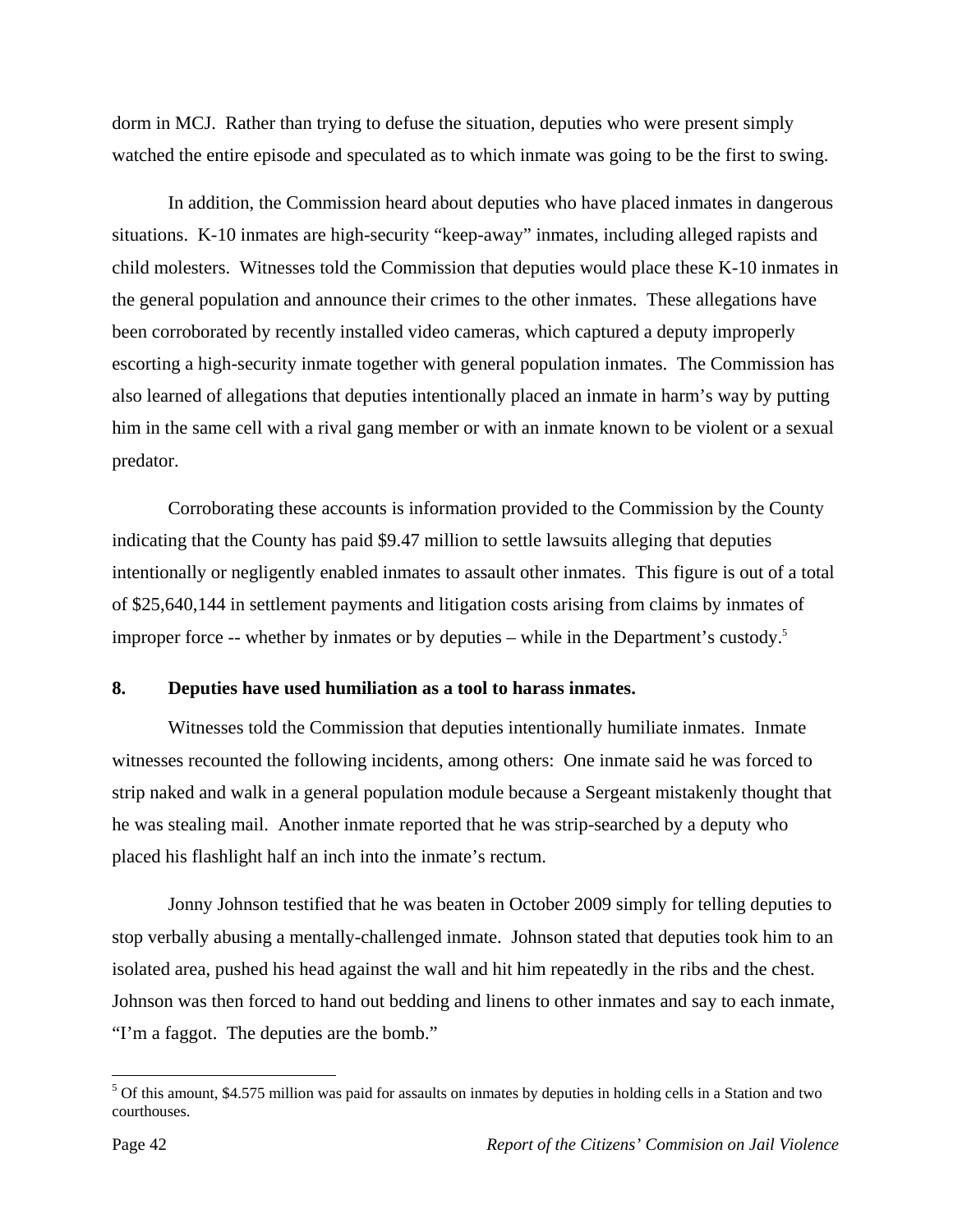dorm in MCJ. Rather than trying to defuse the situation, deputies who were present simply watched the entire episode and speculated as to which inmate was going to be the first to swing.

 In addition, the Commission heard about deputies who have placed inmates in dangerous situations. K-10 inmates are high-security "keep-away" inmates, including alleged rapists and child molesters. Witnesses told the Commission that deputies would place these K-10 inmates in the general population and announce their crimes to the other inmates. These allegations have been corroborated by recently installed video cameras, which captured a deputy improperly escorting a high-security inmate together with general population inmates. The Commission has also learned of allegations that deputies intentionally placed an inmate in harm's way by putting him in the same cell with a rival gang member or with an inmate known to be violent or a sexual predator.

 Corroborating these accounts is information provided to the Commission by the County indicating that the County has paid \$9.47 million to settle lawsuits alleging that deputies intentionally or negligently enabled inmates to assault other inmates. This figure is out of a total of \$25,640,144 in settlement payments and litigation costs arising from claims by inmates of improper force -- whether by inmates or by deputies – while in the Department's custody.<sup>5</sup>

## **8. Deputies have used humiliation as a tool to harass inmates.**

 Witnesses told the Commission that deputies intentionally humiliate inmates. Inmate witnesses recounted the following incidents, among others: One inmate said he was forced to strip naked and walk in a general population module because a Sergeant mistakenly thought that he was stealing mail. Another inmate reported that he was strip-searched by a deputy who placed his flashlight half an inch into the inmate's rectum.

 Jonny Johnson testified that he was beaten in October 2009 simply for telling deputies to stop verbally abusing a mentally-challenged inmate. Johnson stated that deputies took him to an isolated area, pushed his head against the wall and hit him repeatedly in the ribs and the chest. Johnson was then forced to hand out bedding and linens to other inmates and say to each inmate, "I'm a faggot. The deputies are the bomb."

1

<sup>&</sup>lt;sup>5</sup> Of this amount, \$4.575 million was paid for assaults on inmates by deputies in holding cells in a Station and two courthouses.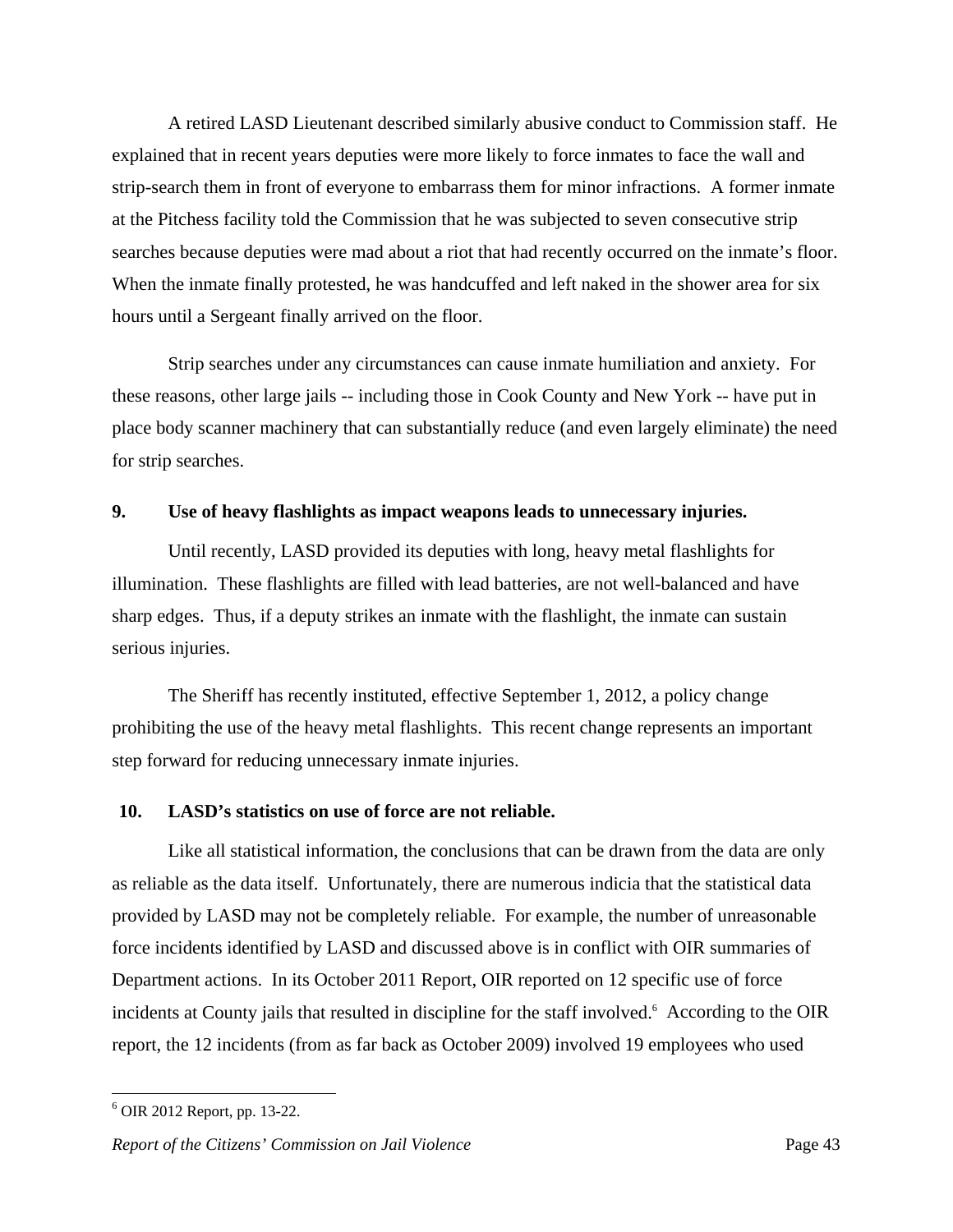A retired LASD Lieutenant described similarly abusive conduct to Commission staff. He explained that in recent years deputies were more likely to force inmates to face the wall and strip-search them in front of everyone to embarrass them for minor infractions. A former inmate at the Pitchess facility told the Commission that he was subjected to seven consecutive strip searches because deputies were mad about a riot that had recently occurred on the inmate's floor. When the inmate finally protested, he was handcuffed and left naked in the shower area for six hours until a Sergeant finally arrived on the floor.

 Strip searches under any circumstances can cause inmate humiliation and anxiety. For these reasons, other large jails -- including those in Cook County and New York -- have put in place body scanner machinery that can substantially reduce (and even largely eliminate) the need for strip searches.

#### **9. Use of heavy flashlights as impact weapons leads to unnecessary injuries.**

 Until recently, LASD provided its deputies with long, heavy metal flashlights for illumination. These flashlights are filled with lead batteries, are not well-balanced and have sharp edges. Thus, if a deputy strikes an inmate with the flashlight, the inmate can sustain serious injuries.

 The Sheriff has recently instituted, effective September 1, 2012, a policy change prohibiting the use of the heavy metal flashlights. This recent change represents an important step forward for reducing unnecessary inmate injuries.

#### **10. LASD's statistics on use of force are not reliable.**

 Like all statistical information, the conclusions that can be drawn from the data are only as reliable as the data itself. Unfortunately, there are numerous indicia that the statistical data provided by LASD may not be completely reliable. For example, the number of unreasonable force incidents identified by LASD and discussed above is in conflict with OIR summaries of Department actions. In its October 2011 Report, OIR reported on 12 specific use of force incidents at County jails that resulted in discipline for the staff involved.<sup>6</sup> According to the OIR report, the 12 incidents (from as far back as October 2009) involved 19 employees who used

<u>.</u>

<sup>6</sup> OIR 2012 Report, pp. 13-22.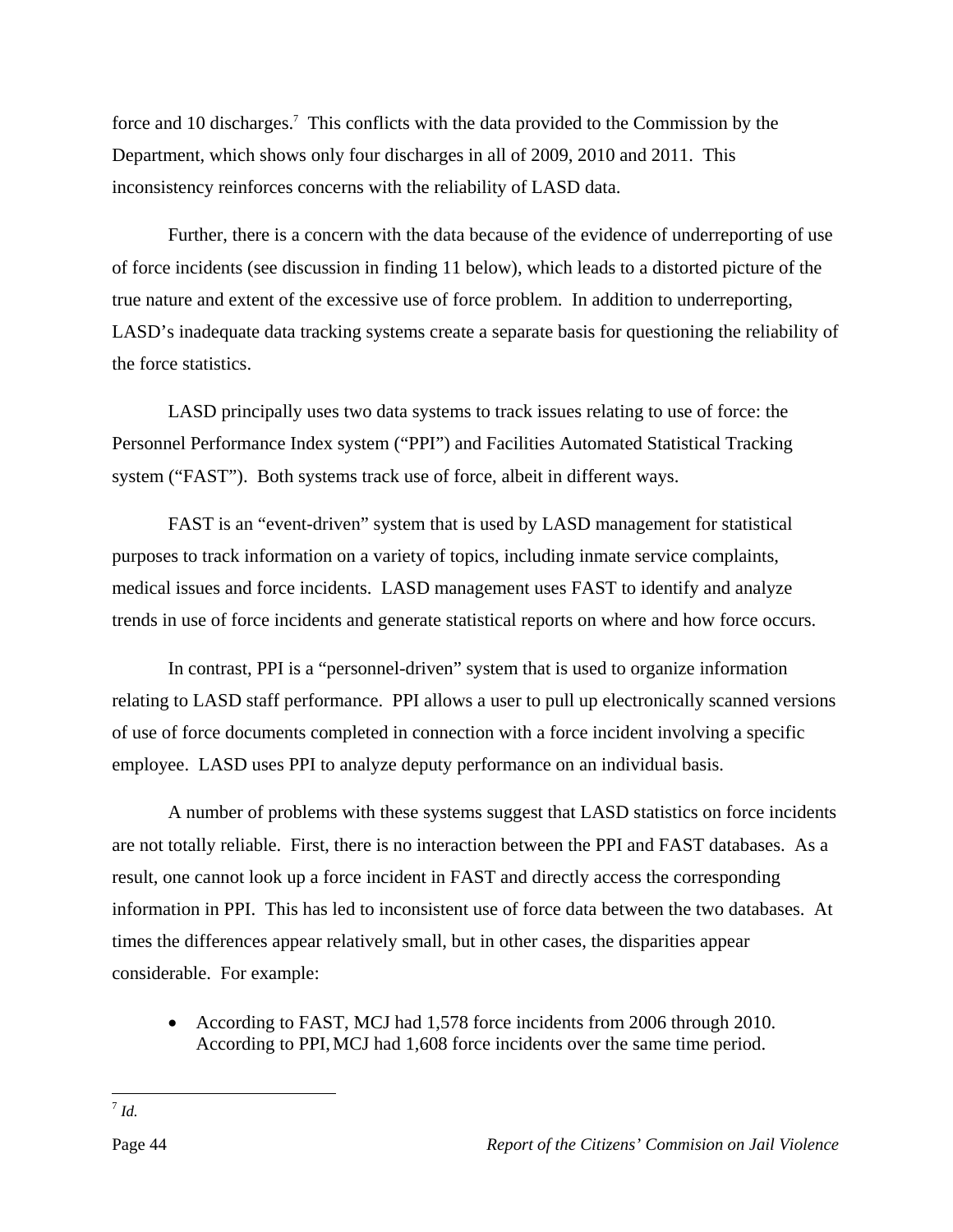force and 10 discharges.<sup>7</sup> This conflicts with the data provided to the Commission by the Department, which shows only four discharges in all of 2009, 2010 and 2011. This inconsistency reinforces concerns with the reliability of LASD data.

 Further, there is a concern with the data because of the evidence of underreporting of use of force incidents (see discussion in finding 11 below), which leads to a distorted picture of the true nature and extent of the excessive use of force problem. In addition to underreporting, LASD's inadequate data tracking systems create a separate basis for questioning the reliability of the force statistics.

 LASD principally uses two data systems to track issues relating to use of force: the Personnel Performance Index system ("PPI") and Facilities Automated Statistical Tracking system ("FAST"). Both systems track use of force, albeit in different ways.

 FAST is an "event-driven" system that is used by LASD management for statistical purposes to track information on a variety of topics, including inmate service complaints, medical issues and force incidents. LASD management uses FAST to identify and analyze trends in use of force incidents and generate statistical reports on where and how force occurs.

 In contrast, PPI is a "personnel-driven" system that is used to organize information relating to LASD staff performance. PPI allows a user to pull up electronically scanned versions of use of force documents completed in connection with a force incident involving a specific employee. LASD uses PPI to analyze deputy performance on an individual basis.

 A number of problems with these systems suggest that LASD statistics on force incidents are not totally reliable. First, there is no interaction between the PPI and FAST databases. As a result, one cannot look up a force incident in FAST and directly access the corresponding information in PPI. This has led to inconsistent use of force data between the two databases. At times the differences appear relatively small, but in other cases, the disparities appear considerable. For example:

 According to FAST, MCJ had 1,578 force incidents from 2006 through 2010. According to PPI,MCJ had 1,608 force incidents over the same time period.

 $\overline{a}$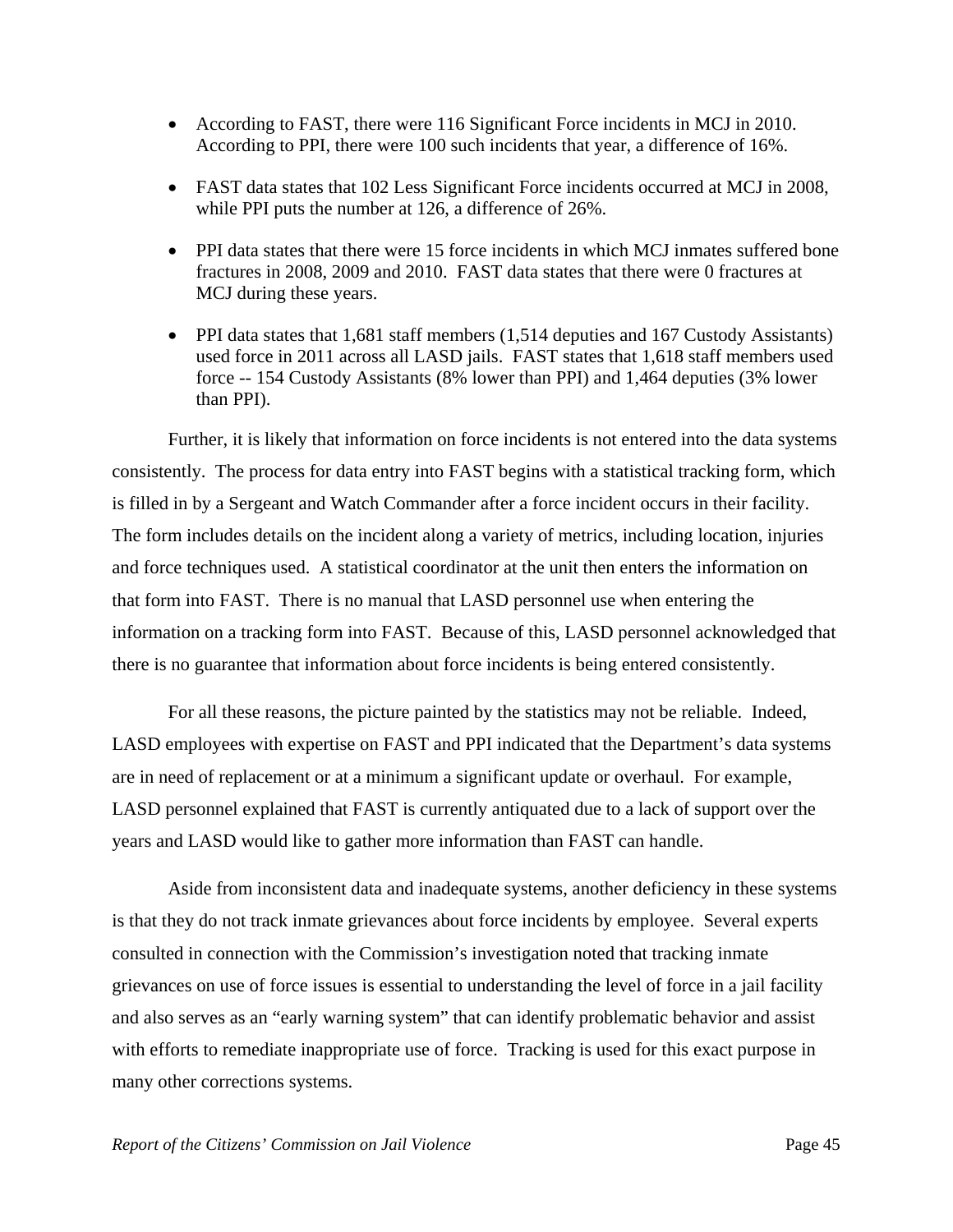- According to FAST, there were 116 Significant Force incidents in MCJ in 2010. According to PPI, there were 100 such incidents that year, a difference of 16%.
- FAST data states that 102 Less Significant Force incidents occurred at MCJ in 2008, while PPI puts the number at 126, a difference of 26%.
- PPI data states that there were 15 force incidents in which MCJ inmates suffered bone fractures in 2008, 2009 and 2010. FAST data states that there were 0 fractures at MCJ during these years.
- PPI data states that 1,681 staff members (1,514 deputies and 167 Custody Assistants) used force in 2011 across all LASD jails. FAST states that 1,618 staff members used force -- 154 Custody Assistants (8% lower than PPI) and 1,464 deputies (3% lower than PPI).

 Further, it is likely that information on force incidents is not entered into the data systems consistently. The process for data entry into FAST begins with a statistical tracking form, which is filled in by a Sergeant and Watch Commander after a force incident occurs in their facility. The form includes details on the incident along a variety of metrics, including location, injuries and force techniques used. A statistical coordinator at the unit then enters the information on that form into FAST. There is no manual that LASD personnel use when entering the information on a tracking form into FAST. Because of this, LASD personnel acknowledged that there is no guarantee that information about force incidents is being entered consistently.

 For all these reasons, the picture painted by the statistics may not be reliable. Indeed, LASD employees with expertise on FAST and PPI indicated that the Department's data systems are in need of replacement or at a minimum a significant update or overhaul. For example, LASD personnel explained that FAST is currently antiquated due to a lack of support over the years and LASD would like to gather more information than FAST can handle.

 Aside from inconsistent data and inadequate systems, another deficiency in these systems is that they do not track inmate grievances about force incidents by employee. Several experts consulted in connection with the Commission's investigation noted that tracking inmate grievances on use of force issues is essential to understanding the level of force in a jail facility and also serves as an "early warning system" that can identify problematic behavior and assist with efforts to remediate inappropriate use of force. Tracking is used for this exact purpose in many other corrections systems.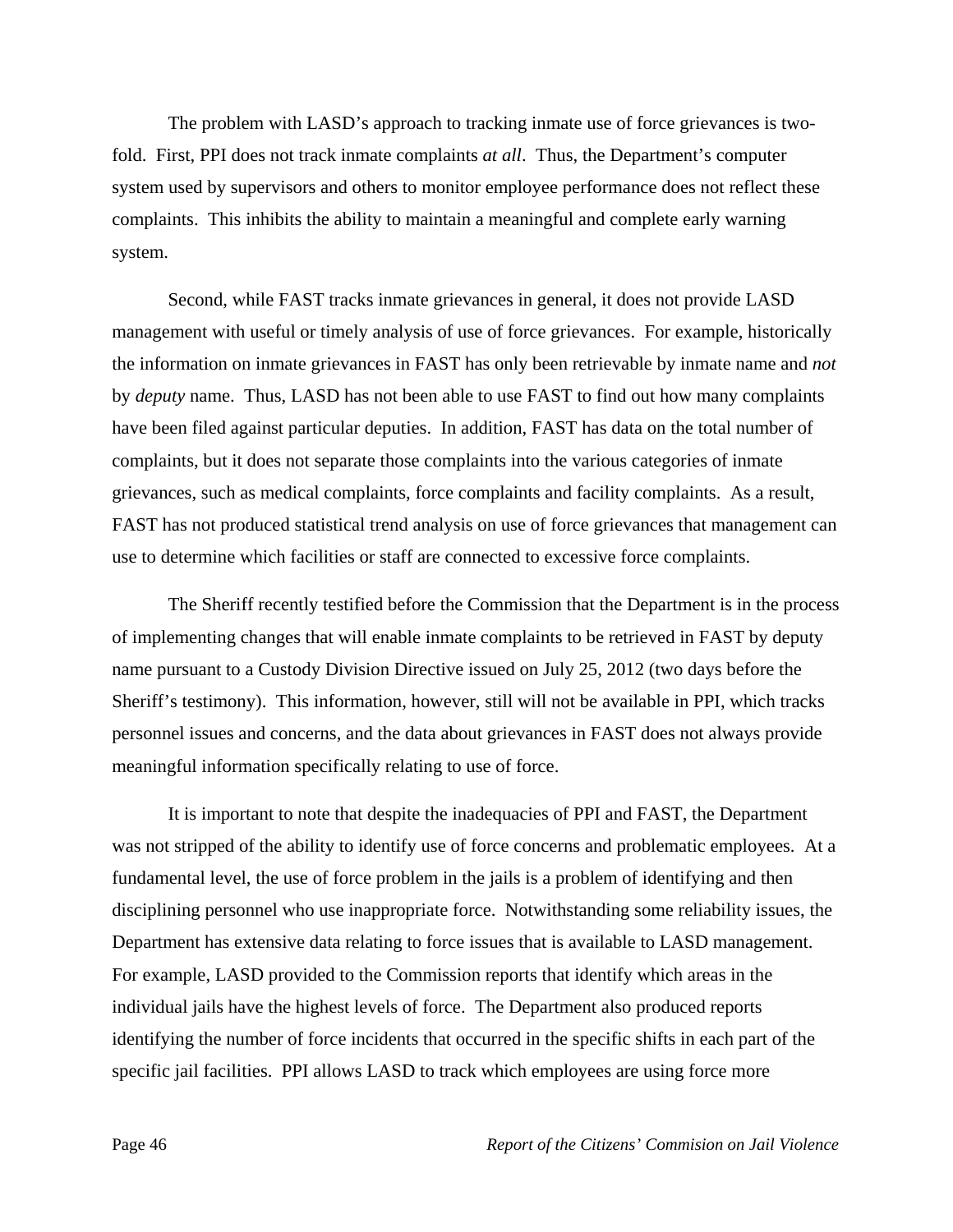The problem with LASD's approach to tracking inmate use of force grievances is twofold. First, PPI does not track inmate complaints *at all*. Thus, the Department's computer system used by supervisors and others to monitor employee performance does not reflect these complaints. This inhibits the ability to maintain a meaningful and complete early warning system.

 Second, while FAST tracks inmate grievances in general, it does not provide LASD management with useful or timely analysis of use of force grievances. For example, historically the information on inmate grievances in FAST has only been retrievable by inmate name and *not* by *deputy* name. Thus, LASD has not been able to use FAST to find out how many complaints have been filed against particular deputies. In addition, FAST has data on the total number of complaints, but it does not separate those complaints into the various categories of inmate grievances, such as medical complaints, force complaints and facility complaints. As a result, FAST has not produced statistical trend analysis on use of force grievances that management can use to determine which facilities or staff are connected to excessive force complaints.

 The Sheriff recently testified before the Commission that the Department is in the process of implementing changes that will enable inmate complaints to be retrieved in FAST by deputy name pursuant to a Custody Division Directive issued on July 25, 2012 (two days before the Sheriff's testimony). This information, however, still will not be available in PPI, which tracks personnel issues and concerns, and the data about grievances in FAST does not always provide meaningful information specifically relating to use of force.

 It is important to note that despite the inadequacies of PPI and FAST, the Department was not stripped of the ability to identify use of force concerns and problematic employees. At a fundamental level, the use of force problem in the jails is a problem of identifying and then disciplining personnel who use inappropriate force. Notwithstanding some reliability issues, the Department has extensive data relating to force issues that is available to LASD management. For example, LASD provided to the Commission reports that identify which areas in the individual jails have the highest levels of force. The Department also produced reports identifying the number of force incidents that occurred in the specific shifts in each part of the specific jail facilities. PPI allows LASD to track which employees are using force more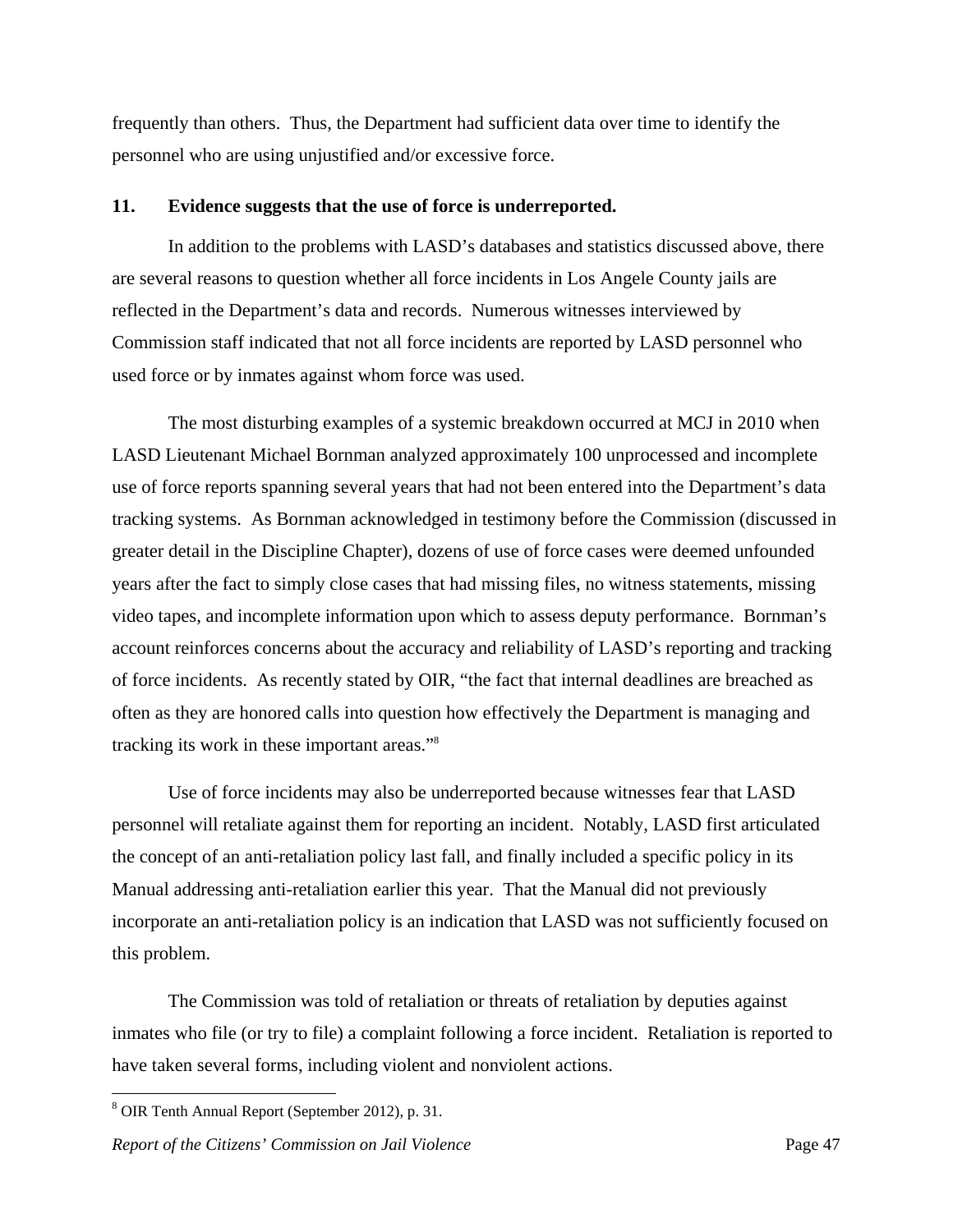frequently than others. Thus, the Department had sufficient data over time to identify the personnel who are using unjustified and/or excessive force.

#### **11. Evidence suggests that the use of force is underreported.**

 In addition to the problems with LASD's databases and statistics discussed above, there are several reasons to question whether all force incidents in Los Angele County jails are reflected in the Department's data and records. Numerous witnesses interviewed by Commission staff indicated that not all force incidents are reported by LASD personnel who used force or by inmates against whom force was used.

 The most disturbing examples of a systemic breakdown occurred at MCJ in 2010 when LASD Lieutenant Michael Bornman analyzed approximately 100 unprocessed and incomplete use of force reports spanning several years that had not been entered into the Department's data tracking systems. As Bornman acknowledged in testimony before the Commission (discussed in greater detail in the Discipline Chapter), dozens of use of force cases were deemed unfounded years after the fact to simply close cases that had missing files, no witness statements, missing video tapes, and incomplete information upon which to assess deputy performance. Bornman's account reinforces concerns about the accuracy and reliability of LASD's reporting and tracking of force incidents. As recently stated by OIR, "the fact that internal deadlines are breached as often as they are honored calls into question how effectively the Department is managing and tracking its work in these important areas."8

 Use of force incidents may also be underreported because witnesses fear that LASD personnel will retaliate against them for reporting an incident. Notably, LASD first articulated the concept of an anti-retaliation policy last fall, and finally included a specific policy in its Manual addressing anti-retaliation earlier this year. That the Manual did not previously incorporate an anti-retaliation policy is an indication that LASD was not sufficiently focused on this problem.

 The Commission was told of retaliation or threats of retaliation by deputies against inmates who file (or try to file) a complaint following a force incident. Retaliation is reported to have taken several forms, including violent and nonviolent actions.

<u>.</u>

<sup>8</sup> OIR Tenth Annual Report (September 2012), p. 31.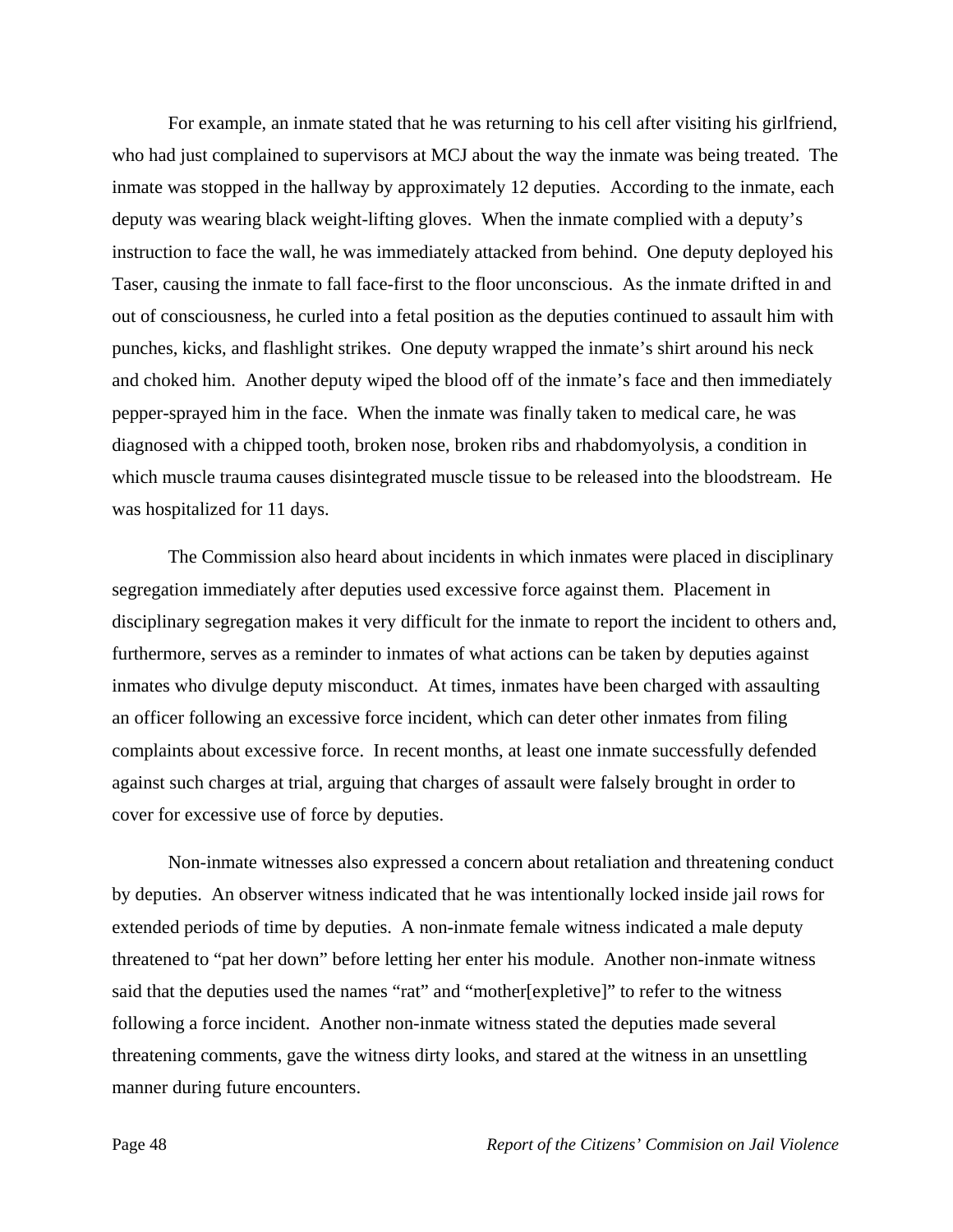For example, an inmate stated that he was returning to his cell after visiting his girlfriend, who had just complained to supervisors at MCJ about the way the inmate was being treated. The inmate was stopped in the hallway by approximately 12 deputies. According to the inmate, each deputy was wearing black weight-lifting gloves. When the inmate complied with a deputy's instruction to face the wall, he was immediately attacked from behind. One deputy deployed his Taser, causing the inmate to fall face-first to the floor unconscious. As the inmate drifted in and out of consciousness, he curled into a fetal position as the deputies continued to assault him with punches, kicks, and flashlight strikes. One deputy wrapped the inmate's shirt around his neck and choked him. Another deputy wiped the blood off of the inmate's face and then immediately pepper-sprayed him in the face. When the inmate was finally taken to medical care, he was diagnosed with a chipped tooth, broken nose, broken ribs and rhabdomyolysis, a condition in which muscle trauma causes disintegrated muscle tissue to be released into the bloodstream. He was hospitalized for 11 days.

 The Commission also heard about incidents in which inmates were placed in disciplinary segregation immediately after deputies used excessive force against them. Placement in disciplinary segregation makes it very difficult for the inmate to report the incident to others and, furthermore, serves as a reminder to inmates of what actions can be taken by deputies against inmates who divulge deputy misconduct. At times, inmates have been charged with assaulting an officer following an excessive force incident, which can deter other inmates from filing complaints about excessive force. In recent months, at least one inmate successfully defended against such charges at trial, arguing that charges of assault were falsely brought in order to cover for excessive use of force by deputies.

 Non-inmate witnesses also expressed a concern about retaliation and threatening conduct by deputies. An observer witness indicated that he was intentionally locked inside jail rows for extended periods of time by deputies. A non-inmate female witness indicated a male deputy threatened to "pat her down" before letting her enter his module. Another non-inmate witness said that the deputies used the names "rat" and "mother[expletive]" to refer to the witness following a force incident. Another non-inmate witness stated the deputies made several threatening comments, gave the witness dirty looks, and stared at the witness in an unsettling manner during future encounters.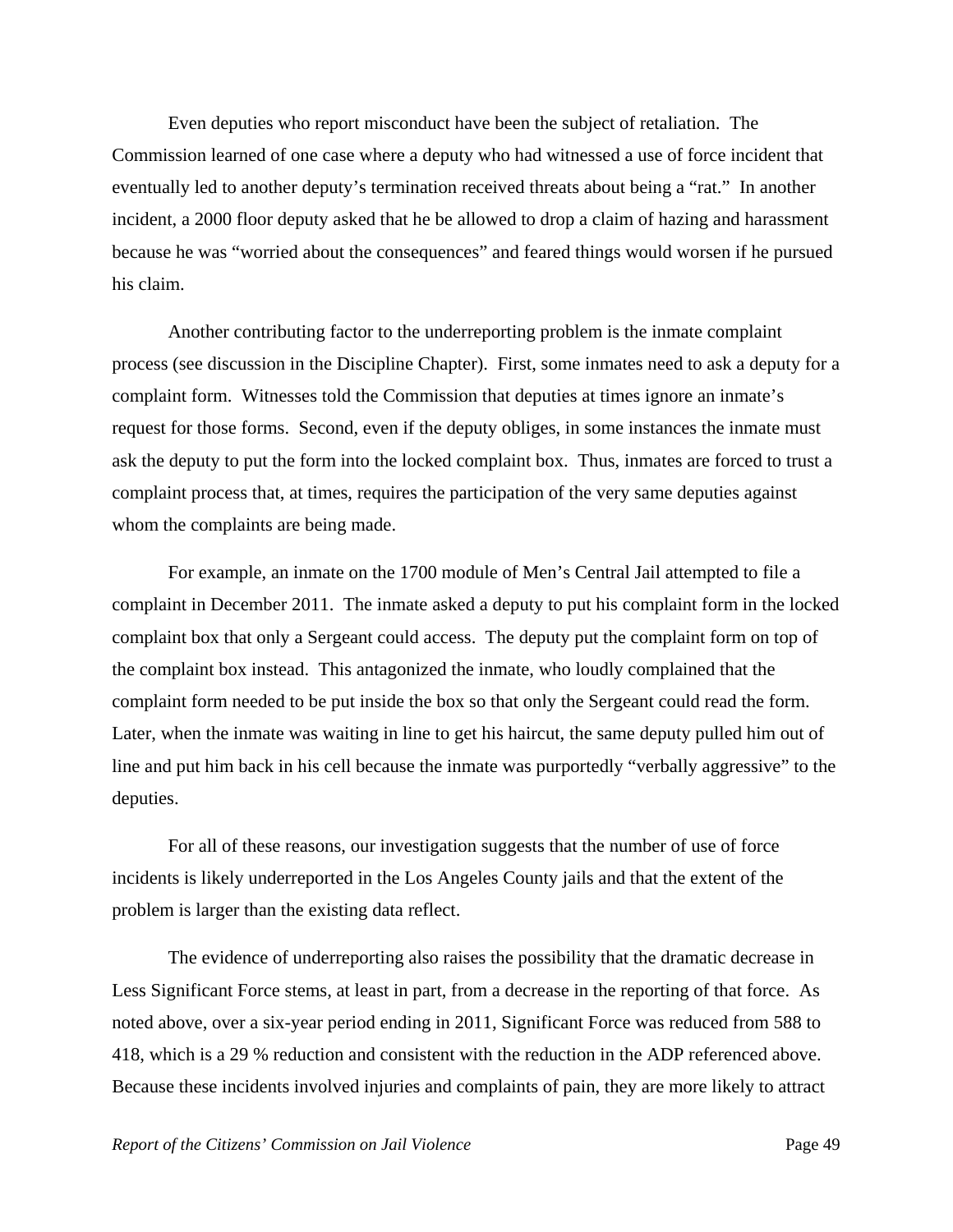Even deputies who report misconduct have been the subject of retaliation. The Commission learned of one case where a deputy who had witnessed a use of force incident that eventually led to another deputy's termination received threats about being a "rat." In another incident, a 2000 floor deputy asked that he be allowed to drop a claim of hazing and harassment because he was "worried about the consequences" and feared things would worsen if he pursued his claim.

 Another contributing factor to the underreporting problem is the inmate complaint process (see discussion in the Discipline Chapter). First, some inmates need to ask a deputy for a complaint form. Witnesses told the Commission that deputies at times ignore an inmate's request for those forms. Second, even if the deputy obliges, in some instances the inmate must ask the deputy to put the form into the locked complaint box. Thus, inmates are forced to trust a complaint process that, at times, requires the participation of the very same deputies against whom the complaints are being made.

 For example, an inmate on the 1700 module of Men's Central Jail attempted to file a complaint in December 2011. The inmate asked a deputy to put his complaint form in the locked complaint box that only a Sergeant could access. The deputy put the complaint form on top of the complaint box instead. This antagonized the inmate, who loudly complained that the complaint form needed to be put inside the box so that only the Sergeant could read the form. Later, when the inmate was waiting in line to get his haircut, the same deputy pulled him out of line and put him back in his cell because the inmate was purportedly "verbally aggressive" to the deputies.

 For all of these reasons, our investigation suggests that the number of use of force incidents is likely underreported in the Los Angeles County jails and that the extent of the problem is larger than the existing data reflect.

 The evidence of underreporting also raises the possibility that the dramatic decrease in Less Significant Force stems, at least in part, from a decrease in the reporting of that force. As noted above, over a six-year period ending in 2011, Significant Force was reduced from 588 to 418, which is a 29 % reduction and consistent with the reduction in the ADP referenced above. Because these incidents involved injuries and complaints of pain, they are more likely to attract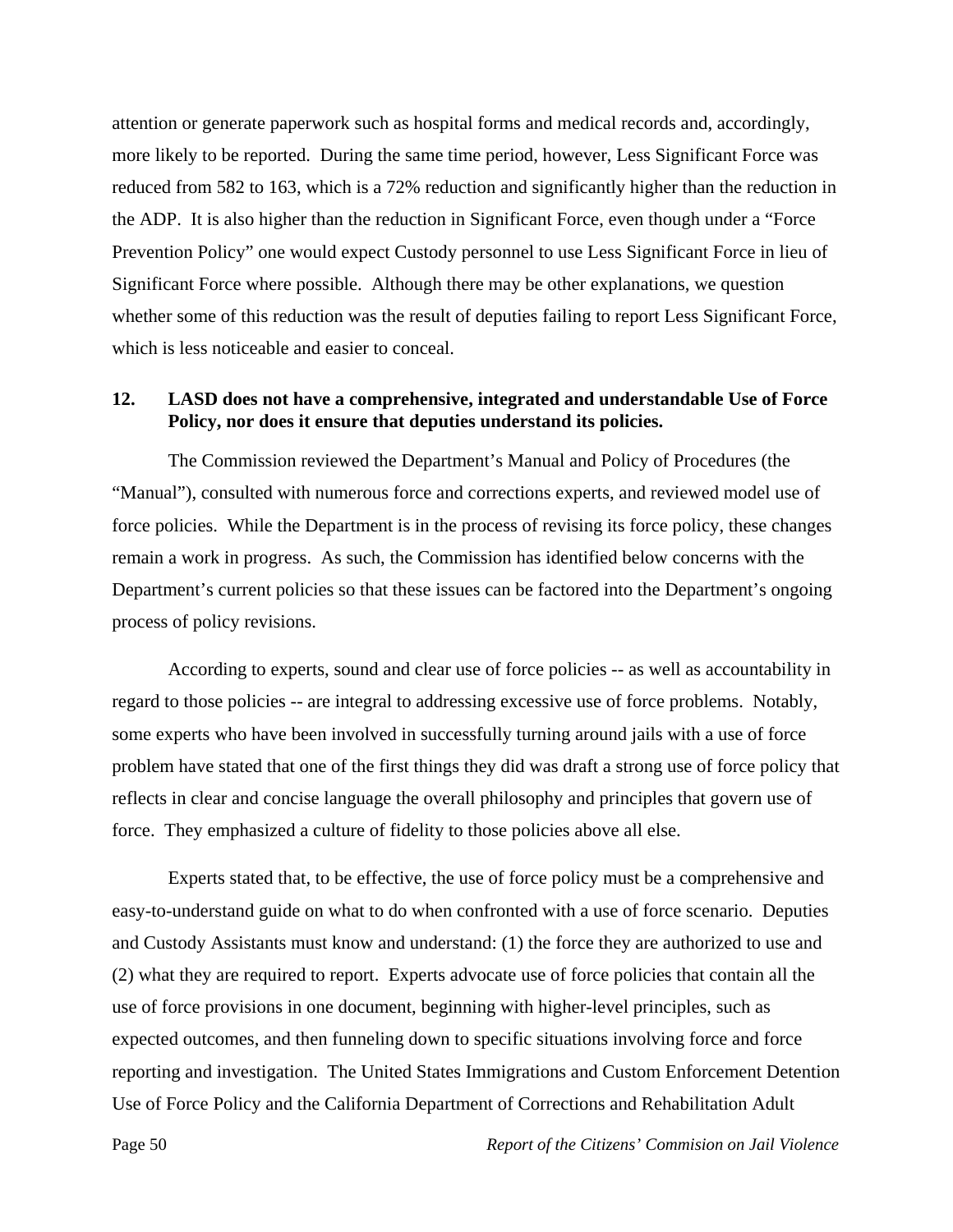attention or generate paperwork such as hospital forms and medical records and, accordingly, more likely to be reported. During the same time period, however, Less Significant Force was reduced from 582 to 163, which is a 72% reduction and significantly higher than the reduction in the ADP. It is also higher than the reduction in Significant Force, even though under a "Force Prevention Policy" one would expect Custody personnel to use Less Significant Force in lieu of Significant Force where possible. Although there may be other explanations, we question whether some of this reduction was the result of deputies failing to report Less Significant Force, which is less noticeable and easier to conceal.

### **12. LASD does not have a comprehensive, integrated and understandable Use of Force Policy, nor does it ensure that deputies understand its policies.**

 The Commission reviewed the Department's Manual and Policy of Procedures (the "Manual"), consulted with numerous force and corrections experts, and reviewed model use of force policies. While the Department is in the process of revising its force policy, these changes remain a work in progress. As such, the Commission has identified below concerns with the Department's current policies so that these issues can be factored into the Department's ongoing process of policy revisions.

 According to experts, sound and clear use of force policies -- as well as accountability in regard to those policies -- are integral to addressing excessive use of force problems. Notably, some experts who have been involved in successfully turning around jails with a use of force problem have stated that one of the first things they did was draft a strong use of force policy that reflects in clear and concise language the overall philosophy and principles that govern use of force. They emphasized a culture of fidelity to those policies above all else.

 Experts stated that, to be effective, the use of force policy must be a comprehensive and easy-to-understand guide on what to do when confronted with a use of force scenario. Deputies and Custody Assistants must know and understand: (1) the force they are authorized to use and (2) what they are required to report. Experts advocate use of force policies that contain all the use of force provisions in one document, beginning with higher-level principles, such as expected outcomes, and then funneling down to specific situations involving force and force reporting and investigation. The United States Immigrations and Custom Enforcement Detention Use of Force Policy and the California Department of Corrections and Rehabilitation Adult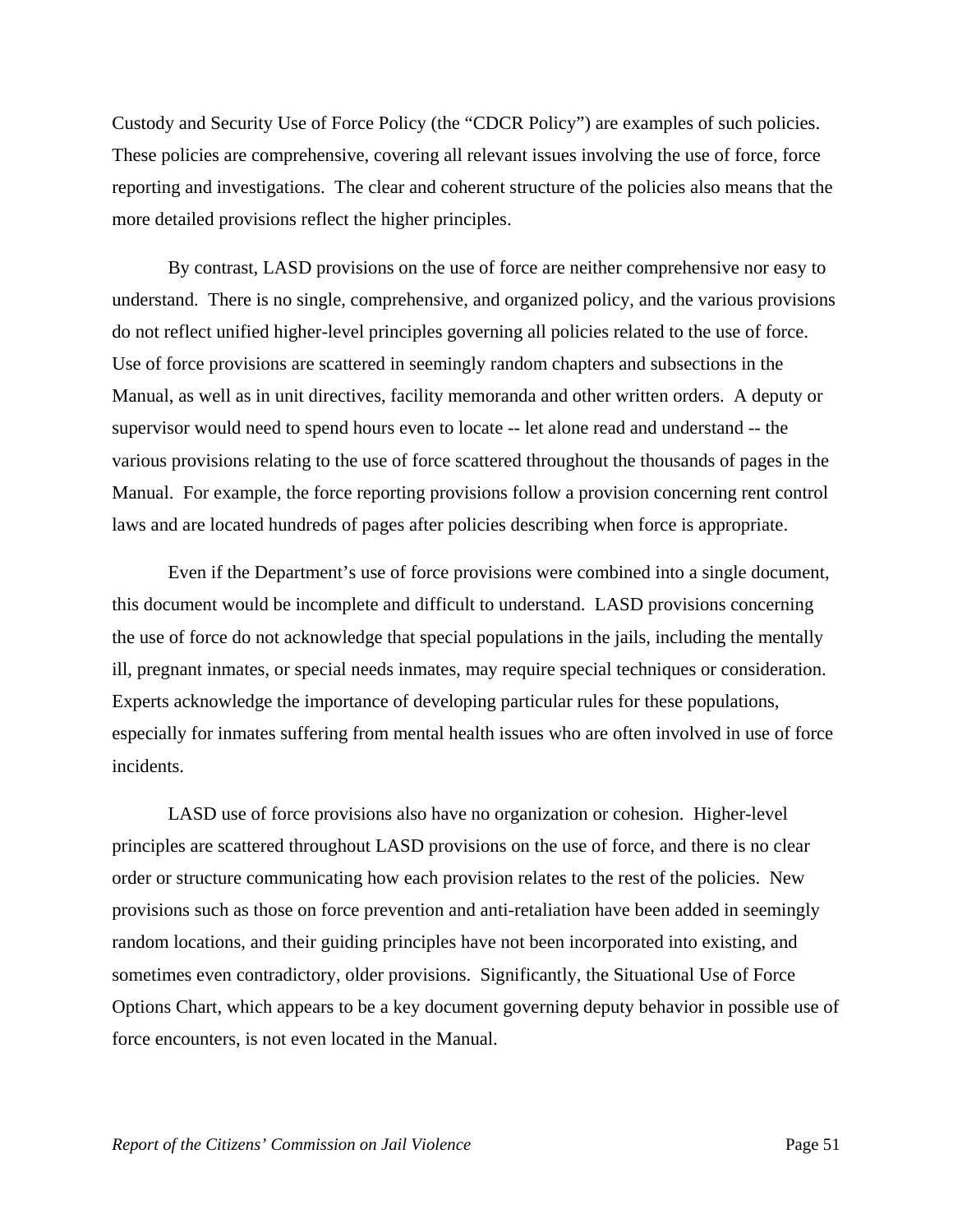Custody and Security Use of Force Policy (the "CDCR Policy") are examples of such policies. These policies are comprehensive, covering all relevant issues involving the use of force, force reporting and investigations. The clear and coherent structure of the policies also means that the more detailed provisions reflect the higher principles.

 By contrast, LASD provisions on the use of force are neither comprehensive nor easy to understand. There is no single, comprehensive, and organized policy, and the various provisions do not reflect unified higher-level principles governing all policies related to the use of force. Use of force provisions are scattered in seemingly random chapters and subsections in the Manual, as well as in unit directives, facility memoranda and other written orders. A deputy or supervisor would need to spend hours even to locate -- let alone read and understand -- the various provisions relating to the use of force scattered throughout the thousands of pages in the Manual. For example, the force reporting provisions follow a provision concerning rent control laws and are located hundreds of pages after policies describing when force is appropriate.

 Even if the Department's use of force provisions were combined into a single document, this document would be incomplete and difficult to understand. LASD provisions concerning the use of force do not acknowledge that special populations in the jails, including the mentally ill, pregnant inmates, or special needs inmates, may require special techniques or consideration. Experts acknowledge the importance of developing particular rules for these populations, especially for inmates suffering from mental health issues who are often involved in use of force incidents.

 LASD use of force provisions also have no organization or cohesion. Higher-level principles are scattered throughout LASD provisions on the use of force, and there is no clear order or structure communicating how each provision relates to the rest of the policies. New provisions such as those on force prevention and anti-retaliation have been added in seemingly random locations, and their guiding principles have not been incorporated into existing, and sometimes even contradictory, older provisions. Significantly, the Situational Use of Force Options Chart, which appears to be a key document governing deputy behavior in possible use of force encounters, is not even located in the Manual.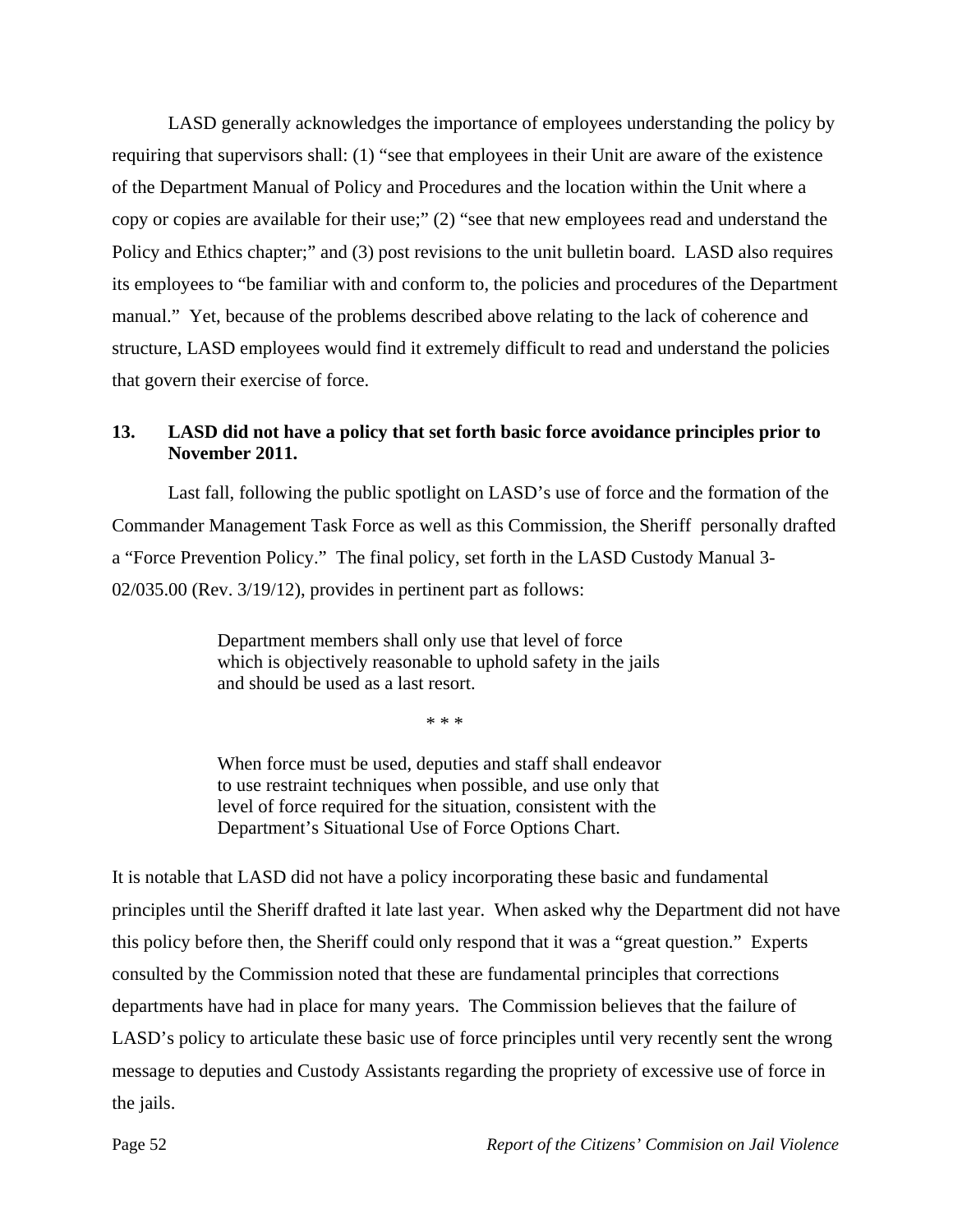LASD generally acknowledges the importance of employees understanding the policy by requiring that supervisors shall: (1) "see that employees in their Unit are aware of the existence of the Department Manual of Policy and Procedures and the location within the Unit where a copy or copies are available for their use;" (2) "see that new employees read and understand the Policy and Ethics chapter;" and (3) post revisions to the unit bulletin board. LASD also requires its employees to "be familiar with and conform to, the policies and procedures of the Department manual." Yet, because of the problems described above relating to the lack of coherence and structure, LASD employees would find it extremely difficult to read and understand the policies that govern their exercise of force.

## **13. LASD did not have a policy that set forth basic force avoidance principles prior to November 2011.**

 Last fall, following the public spotlight on LASD's use of force and the formation of the Commander Management Task Force as well as this Commission, the Sheriff personally drafted a "Force Prevention Policy." The final policy, set forth in the LASD Custody Manual 3- 02/035.00 (Rev. 3/19/12), provides in pertinent part as follows:

> Department members shall only use that level of force which is objectively reasonable to uphold safety in the jails and should be used as a last resort.

> > \* \* \*

When force must be used, deputies and staff shall endeavor to use restraint techniques when possible, and use only that level of force required for the situation, consistent with the Department's Situational Use of Force Options Chart.

It is notable that LASD did not have a policy incorporating these basic and fundamental principles until the Sheriff drafted it late last year. When asked why the Department did not have this policy before then, the Sheriff could only respond that it was a "great question." Experts consulted by the Commission noted that these are fundamental principles that corrections departments have had in place for many years. The Commission believes that the failure of LASD's policy to articulate these basic use of force principles until very recently sent the wrong message to deputies and Custody Assistants regarding the propriety of excessive use of force in the jails.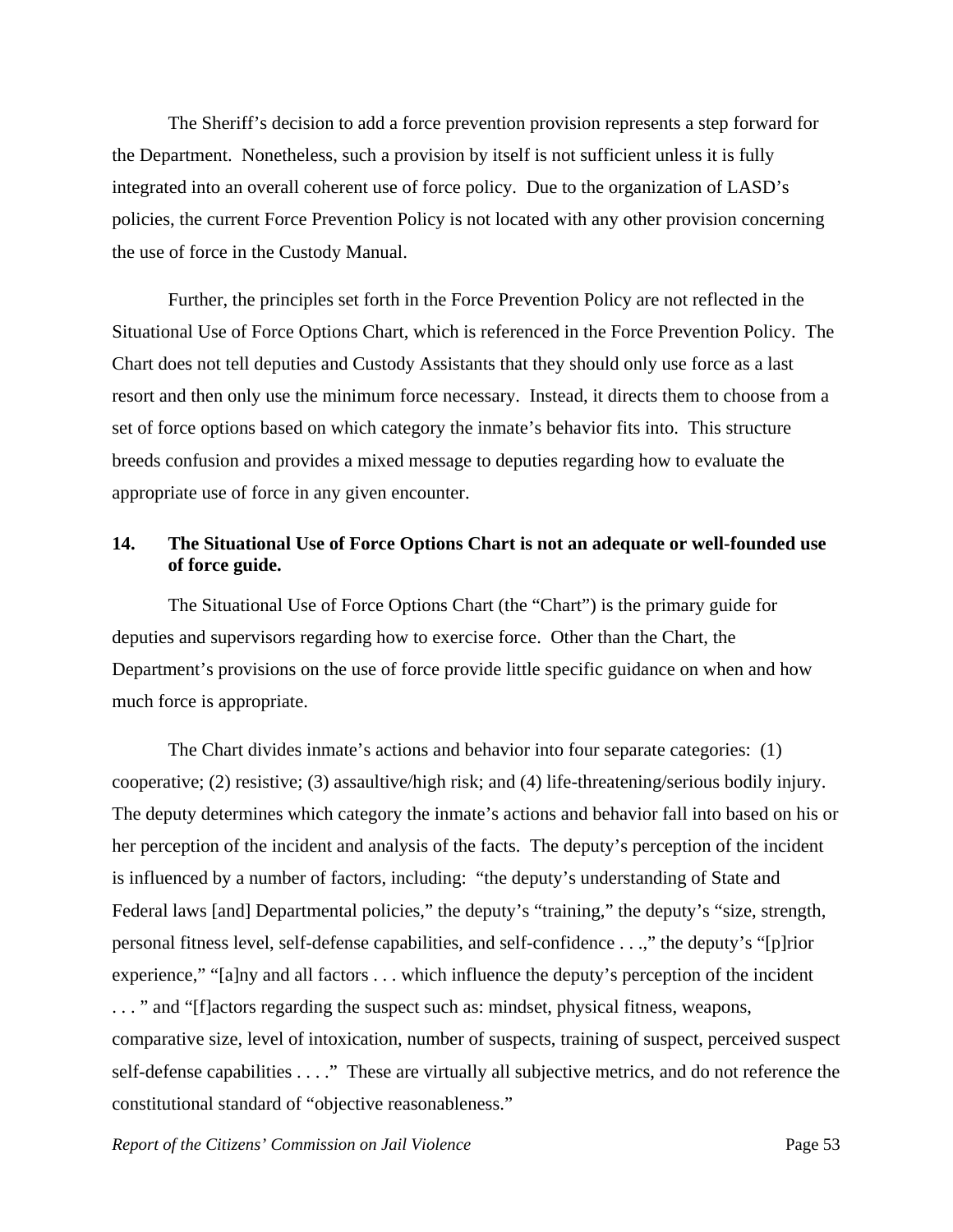The Sheriff's decision to add a force prevention provision represents a step forward for the Department. Nonetheless, such a provision by itself is not sufficient unless it is fully integrated into an overall coherent use of force policy. Due to the organization of LASD's policies, the current Force Prevention Policy is not located with any other provision concerning the use of force in the Custody Manual.

 Further, the principles set forth in the Force Prevention Policy are not reflected in the Situational Use of Force Options Chart, which is referenced in the Force Prevention Policy. The Chart does not tell deputies and Custody Assistants that they should only use force as a last resort and then only use the minimum force necessary. Instead, it directs them to choose from a set of force options based on which category the inmate's behavior fits into. This structure breeds confusion and provides a mixed message to deputies regarding how to evaluate the appropriate use of force in any given encounter.

# **14. The Situational Use of Force Options Chart is not an adequate or well-founded use of force guide.**

 The Situational Use of Force Options Chart (the "Chart") is the primary guide for deputies and supervisors regarding how to exercise force. Other than the Chart, the Department's provisions on the use of force provide little specific guidance on when and how much force is appropriate.

 The Chart divides inmate's actions and behavior into four separate categories: (1) cooperative; (2) resistive; (3) assaultive/high risk; and (4) life-threatening/serious bodily injury. The deputy determines which category the inmate's actions and behavior fall into based on his or her perception of the incident and analysis of the facts. The deputy's perception of the incident is influenced by a number of factors, including: "the deputy's understanding of State and Federal laws [and] Departmental policies," the deputy's "training," the deputy's "size, strength, personal fitness level, self-defense capabilities, and self-confidence . . .," the deputy's "[p]rior experience," "[a]ny and all factors . . . which influence the deputy's perception of the incident . . . " and "[f]actors regarding the suspect such as: mindset, physical fitness, weapons, comparative size, level of intoxication, number of suspects, training of suspect, perceived suspect self-defense capabilities . . . ." These are virtually all subjective metrics, and do not reference the constitutional standard of "objective reasonableness."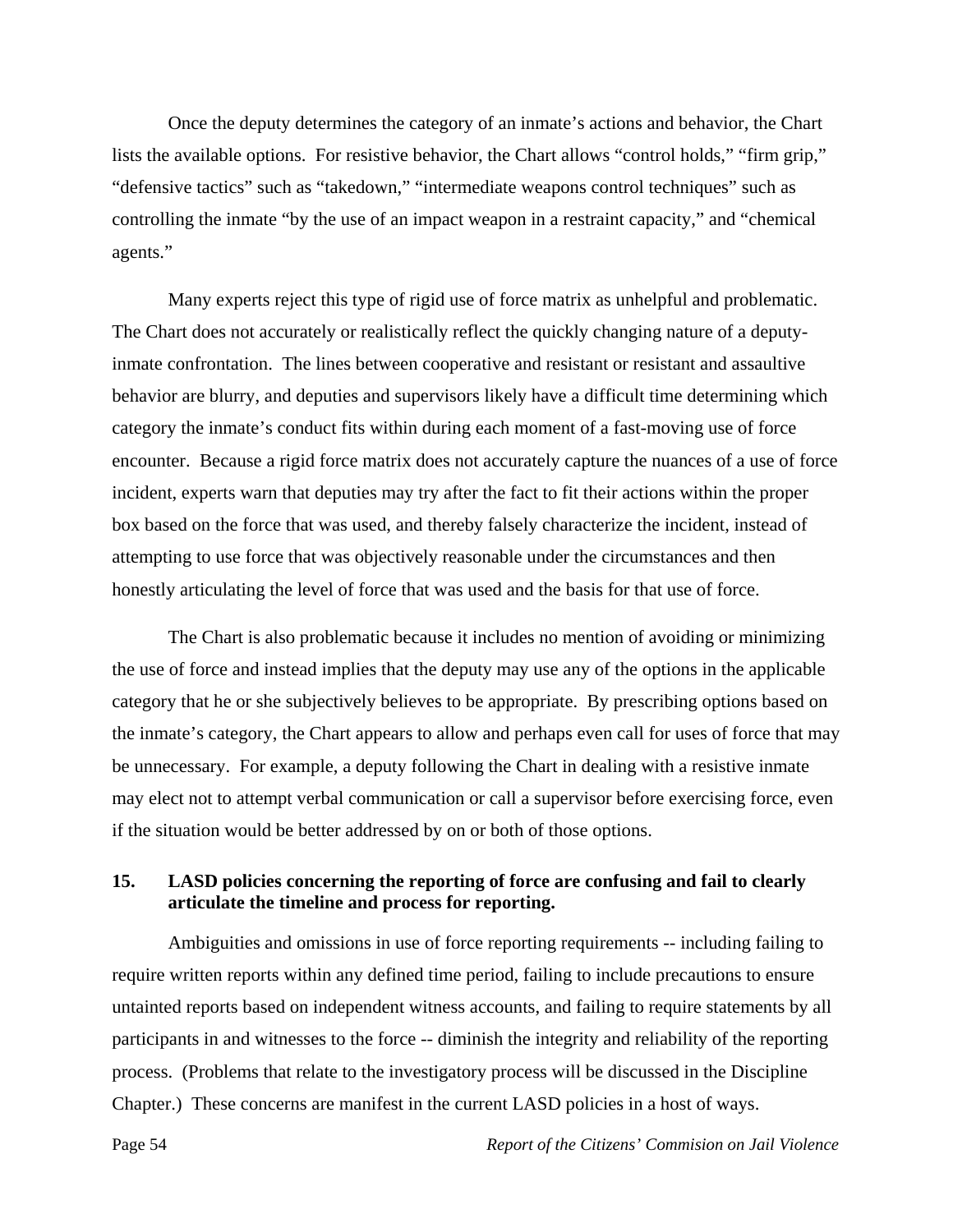Once the deputy determines the category of an inmate's actions and behavior, the Chart lists the available options. For resistive behavior, the Chart allows "control holds," "firm grip," "defensive tactics" such as "takedown," "intermediate weapons control techniques" such as controlling the inmate "by the use of an impact weapon in a restraint capacity," and "chemical agents."

 Many experts reject this type of rigid use of force matrix as unhelpful and problematic. The Chart does not accurately or realistically reflect the quickly changing nature of a deputyinmate confrontation. The lines between cooperative and resistant or resistant and assaultive behavior are blurry, and deputies and supervisors likely have a difficult time determining which category the inmate's conduct fits within during each moment of a fast-moving use of force encounter. Because a rigid force matrix does not accurately capture the nuances of a use of force incident, experts warn that deputies may try after the fact to fit their actions within the proper box based on the force that was used, and thereby falsely characterize the incident, instead of attempting to use force that was objectively reasonable under the circumstances and then honestly articulating the level of force that was used and the basis for that use of force.

 The Chart is also problematic because it includes no mention of avoiding or minimizing the use of force and instead implies that the deputy may use any of the options in the applicable category that he or she subjectively believes to be appropriate. By prescribing options based on the inmate's category, the Chart appears to allow and perhaps even call for uses of force that may be unnecessary. For example, a deputy following the Chart in dealing with a resistive inmate may elect not to attempt verbal communication or call a supervisor before exercising force, even if the situation would be better addressed by on or both of those options.

## **15. LASD policies concerning the reporting of force are confusing and fail to clearly articulate the timeline and process for reporting.**

 Ambiguities and omissions in use of force reporting requirements -- including failing to require written reports within any defined time period, failing to include precautions to ensure untainted reports based on independent witness accounts, and failing to require statements by all participants in and witnesses to the force -- diminish the integrity and reliability of the reporting process. (Problems that relate to the investigatory process will be discussed in the Discipline Chapter.) These concerns are manifest in the current LASD policies in a host of ways.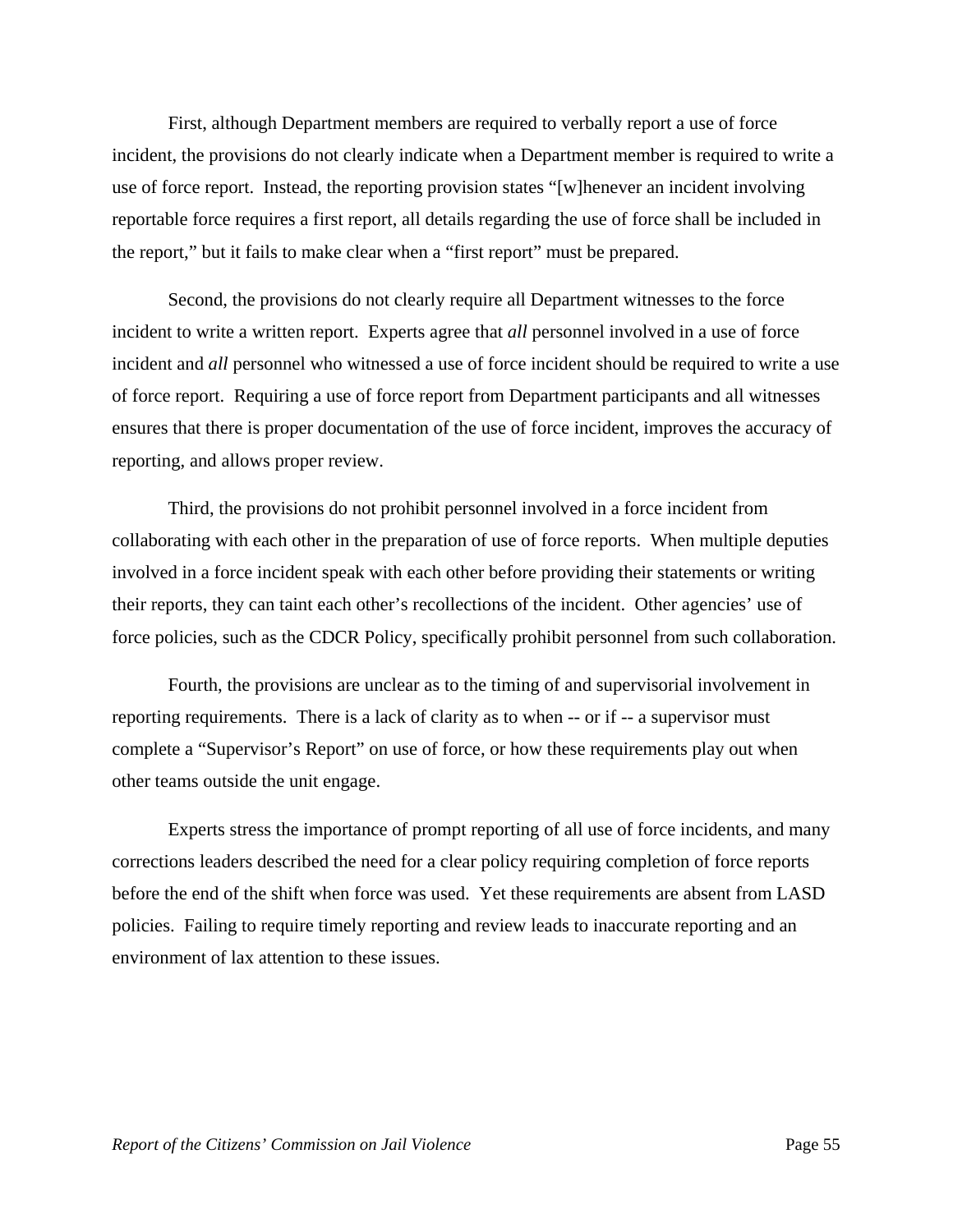First, although Department members are required to verbally report a use of force incident, the provisions do not clearly indicate when a Department member is required to write a use of force report. Instead, the reporting provision states "[w]henever an incident involving reportable force requires a first report, all details regarding the use of force shall be included in the report," but it fails to make clear when a "first report" must be prepared.

 Second, the provisions do not clearly require all Department witnesses to the force incident to write a written report. Experts agree that *all* personnel involved in a use of force incident and *all* personnel who witnessed a use of force incident should be required to write a use of force report. Requiring a use of force report from Department participants and all witnesses ensures that there is proper documentation of the use of force incident, improves the accuracy of reporting, and allows proper review.

 Third, the provisions do not prohibit personnel involved in a force incident from collaborating with each other in the preparation of use of force reports. When multiple deputies involved in a force incident speak with each other before providing their statements or writing their reports, they can taint each other's recollections of the incident. Other agencies' use of force policies, such as the CDCR Policy, specifically prohibit personnel from such collaboration.

 Fourth, the provisions are unclear as to the timing of and supervisorial involvement in reporting requirements. There is a lack of clarity as to when -- or if -- a supervisor must complete a "Supervisor's Report" on use of force, or how these requirements play out when other teams outside the unit engage.

 Experts stress the importance of prompt reporting of all use of force incidents, and many corrections leaders described the need for a clear policy requiring completion of force reports before the end of the shift when force was used. Yet these requirements are absent from LASD policies. Failing to require timely reporting and review leads to inaccurate reporting and an environment of lax attention to these issues.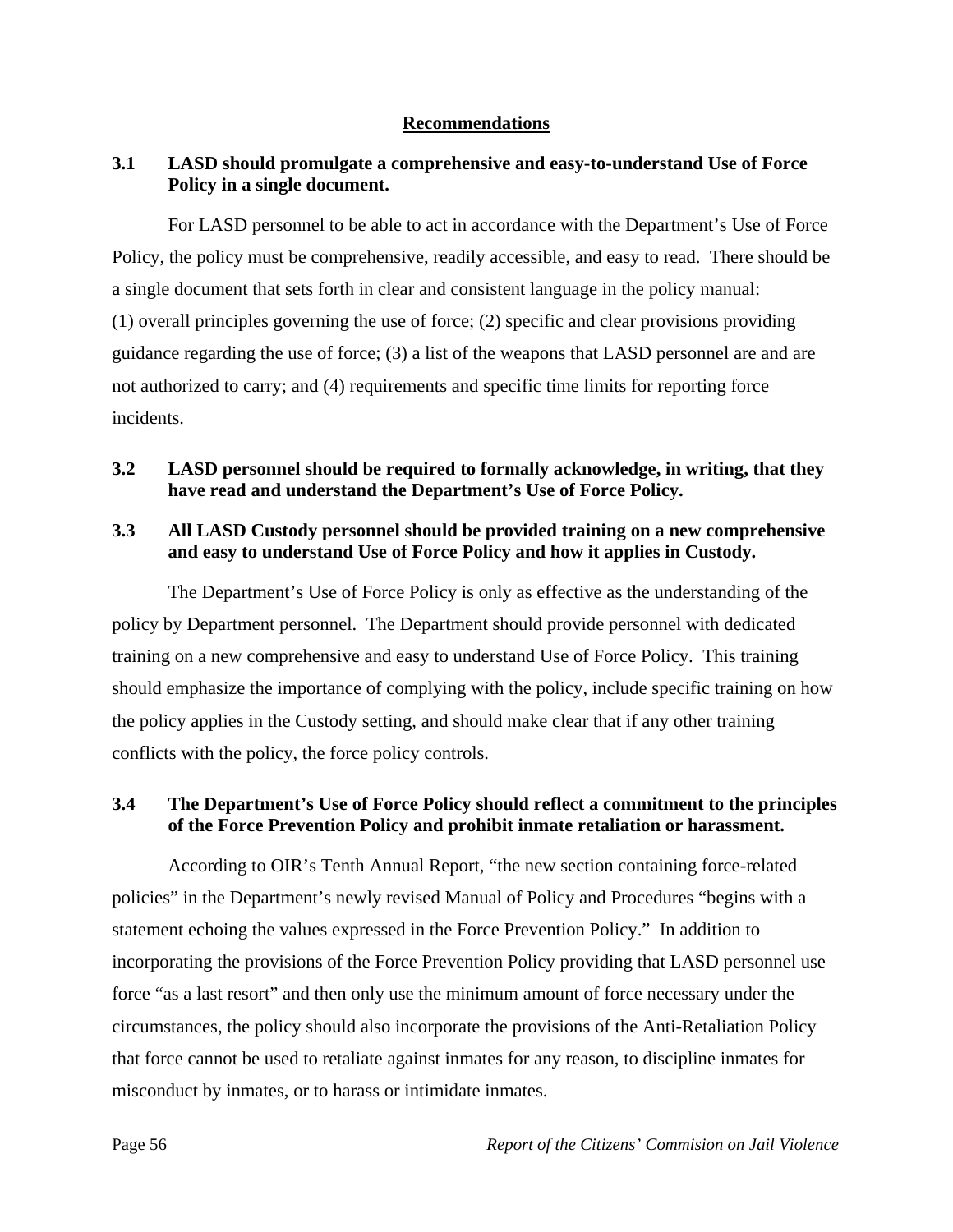## **Recommendations**

# **3.1 LASD should promulgate a comprehensive and easy-to-understand Use of Force Policy in a single document.**

 For LASD personnel to be able to act in accordance with the Department's Use of Force Policy, the policy must be comprehensive, readily accessible, and easy to read. There should be a single document that sets forth in clear and consistent language in the policy manual: (1) overall principles governing the use of force; (2) specific and clear provisions providing guidance regarding the use of force; (3) a list of the weapons that LASD personnel are and are not authorized to carry; and (4) requirements and specific time limits for reporting force incidents.

# **3.2 LASD personnel should be required to formally acknowledge, in writing, that they have read and understand the Department's Use of Force Policy.**

# **3.3 All LASD Custody personnel should be provided training on a new comprehensive and easy to understand Use of Force Policy and how it applies in Custody.**

The Department's Use of Force Policy is only as effective as the understanding of the policy by Department personnel. The Department should provide personnel with dedicated training on a new comprehensive and easy to understand Use of Force Policy. This training should emphasize the importance of complying with the policy, include specific training on how the policy applies in the Custody setting, and should make clear that if any other training conflicts with the policy, the force policy controls.

# **3.4 The Department's Use of Force Policy should reflect a commitment to the principles of the Force Prevention Policy and prohibit inmate retaliation or harassment.**

According to OIR's Tenth Annual Report, "the new section containing force-related policies" in the Department's newly revised Manual of Policy and Procedures "begins with a statement echoing the values expressed in the Force Prevention Policy." In addition to incorporating the provisions of the Force Prevention Policy providing that LASD personnel use force "as a last resort" and then only use the minimum amount of force necessary under the circumstances, the policy should also incorporate the provisions of the Anti-Retaliation Policy that force cannot be used to retaliate against inmates for any reason, to discipline inmates for misconduct by inmates, or to harass or intimidate inmates.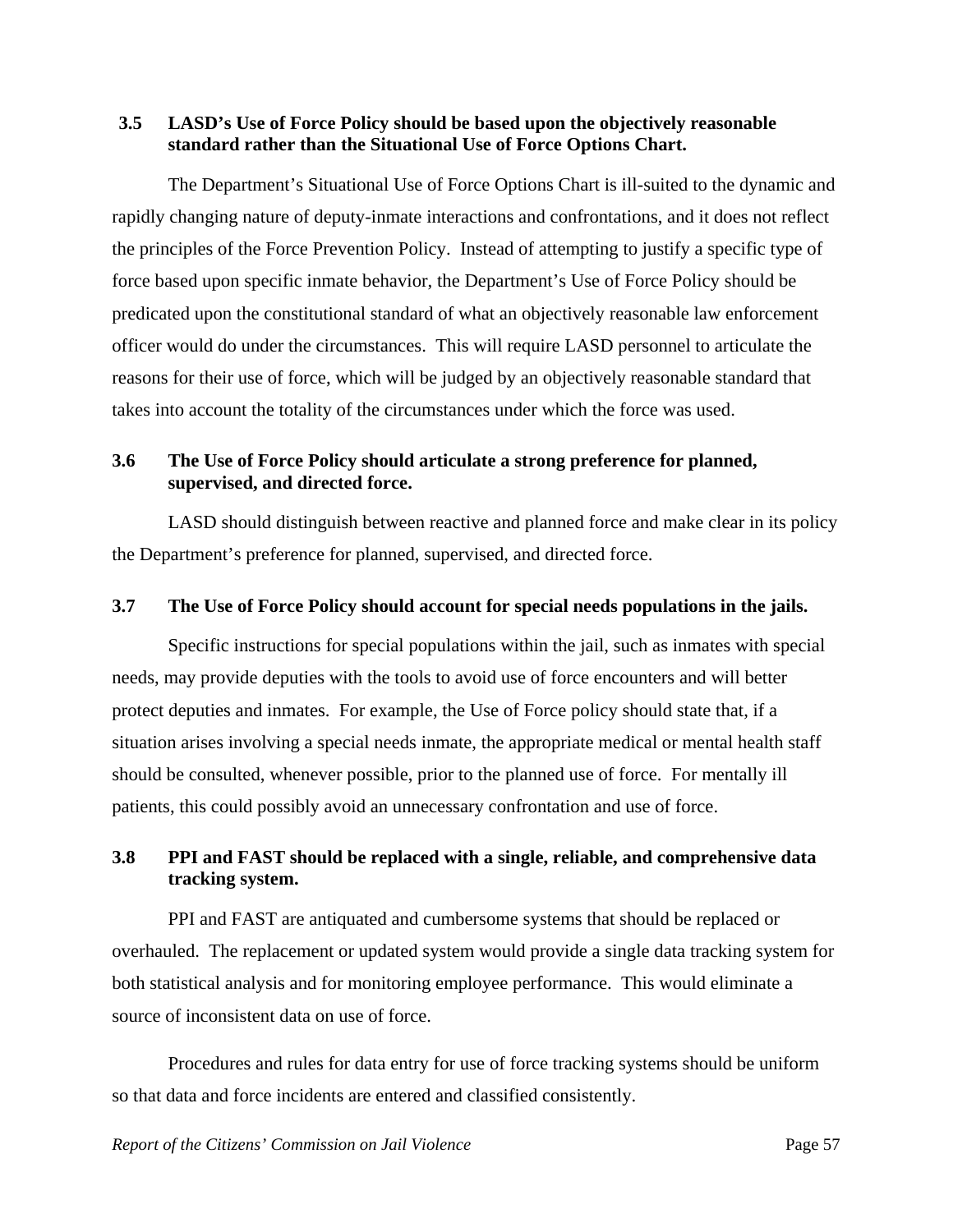## **3.5 LASD's Use of Force Policy should be based upon the objectively reasonable standard rather than the Situational Use of Force Options Chart.**

 The Department's Situational Use of Force Options Chart is ill-suited to the dynamic and rapidly changing nature of deputy-inmate interactions and confrontations, and it does not reflect the principles of the Force Prevention Policy. Instead of attempting to justify a specific type of force based upon specific inmate behavior, the Department's Use of Force Policy should be predicated upon the constitutional standard of what an objectively reasonable law enforcement officer would do under the circumstances. This will require LASD personnel to articulate the reasons for their use of force, which will be judged by an objectively reasonable standard that takes into account the totality of the circumstances under which the force was used.

# **3.6 The Use of Force Policy should articulate a strong preference for planned, supervised, and directed force.**

 LASD should distinguish between reactive and planned force and make clear in its policy the Department's preference for planned, supervised, and directed force.

#### **3.7 The Use of Force Policy should account for special needs populations in the jails.**

 Specific instructions for special populations within the jail, such as inmates with special needs, may provide deputies with the tools to avoid use of force encounters and will better protect deputies and inmates. For example, the Use of Force policy should state that, if a situation arises involving a special needs inmate, the appropriate medical or mental health staff should be consulted, whenever possible, prior to the planned use of force. For mentally ill patients, this could possibly avoid an unnecessary confrontation and use of force.

# **3.8 PPI and FAST should be replaced with a single, reliable, and comprehensive data tracking system.**

 PPI and FAST are antiquated and cumbersome systems that should be replaced or overhauled. The replacement or updated system would provide a single data tracking system for both statistical analysis and for monitoring employee performance. This would eliminate a source of inconsistent data on use of force.

 Procedures and rules for data entry for use of force tracking systems should be uniform so that data and force incidents are entered and classified consistently.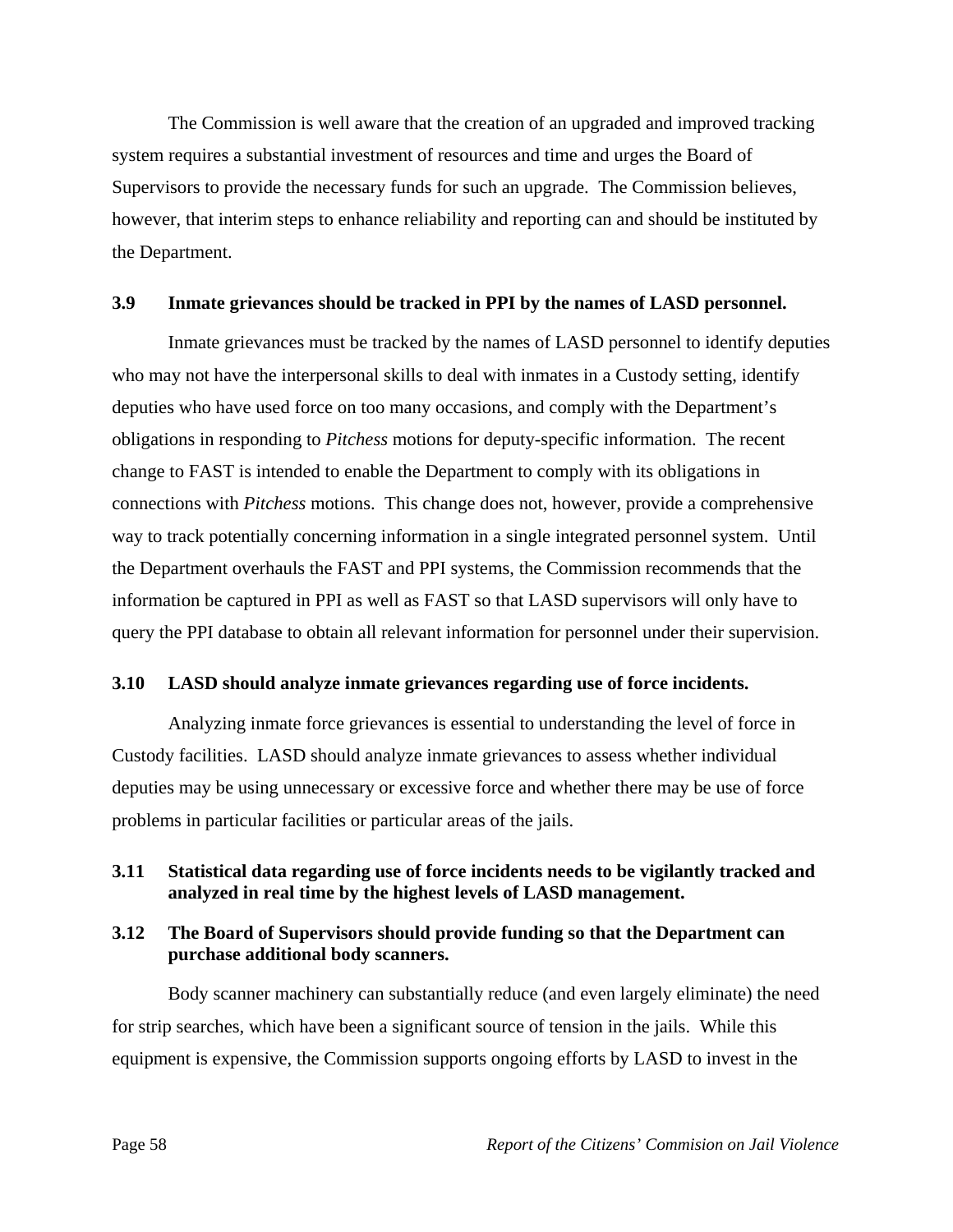The Commission is well aware that the creation of an upgraded and improved tracking system requires a substantial investment of resources and time and urges the Board of Supervisors to provide the necessary funds for such an upgrade. The Commission believes, however, that interim steps to enhance reliability and reporting can and should be instituted by the Department.

### **3.9 Inmate grievances should be tracked in PPI by the names of LASD personnel.**

 Inmate grievances must be tracked by the names of LASD personnel to identify deputies who may not have the interpersonal skills to deal with inmates in a Custody setting, identify deputies who have used force on too many occasions, and comply with the Department's obligations in responding to *Pitchess* motions for deputy-specific information. The recent change to FAST is intended to enable the Department to comply with its obligations in connections with *Pitchess* motions. This change does not, however, provide a comprehensive way to track potentially concerning information in a single integrated personnel system. Until the Department overhauls the FAST and PPI systems, the Commission recommends that the information be captured in PPI as well as FAST so that LASD supervisors will only have to query the PPI database to obtain all relevant information for personnel under their supervision.

## **3.10 LASD should analyze inmate grievances regarding use of force incidents.**

 Analyzing inmate force grievances is essential to understanding the level of force in Custody facilities. LASD should analyze inmate grievances to assess whether individual deputies may be using unnecessary or excessive force and whether there may be use of force problems in particular facilities or particular areas of the jails.

## **3.11 Statistical data regarding use of force incidents needs to be vigilantly tracked and analyzed in real time by the highest levels of LASD management.**

## **3.12 The Board of Supervisors should provide funding so that the Department can purchase additional body scanners.**

 Body scanner machinery can substantially reduce (and even largely eliminate) the need for strip searches, which have been a significant source of tension in the jails. While this equipment is expensive, the Commission supports ongoing efforts by LASD to invest in the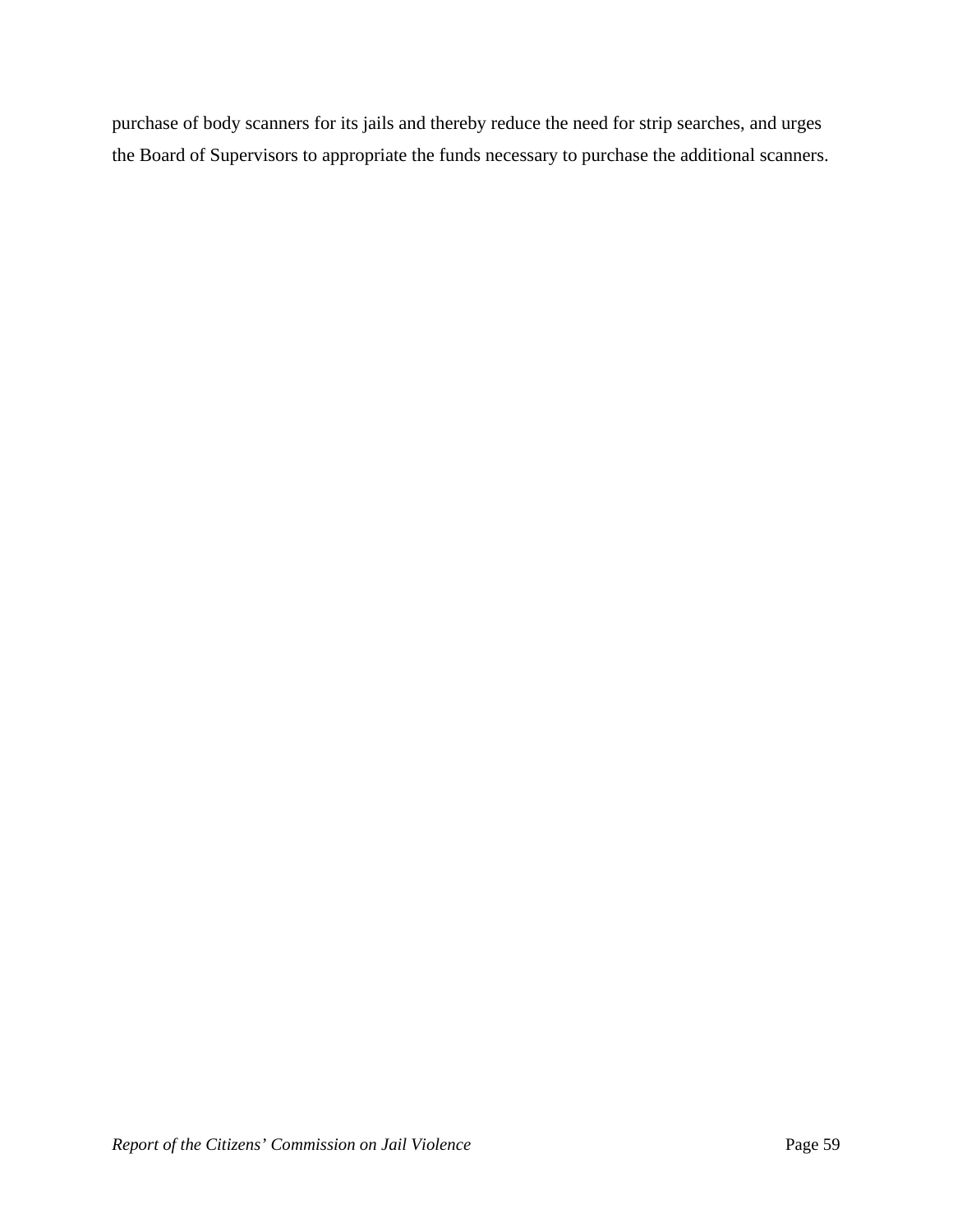purchase of body scanners for its jails and thereby reduce the need for strip searches, and urges the Board of Supervisors to appropriate the funds necessary to purchase the additional scanners.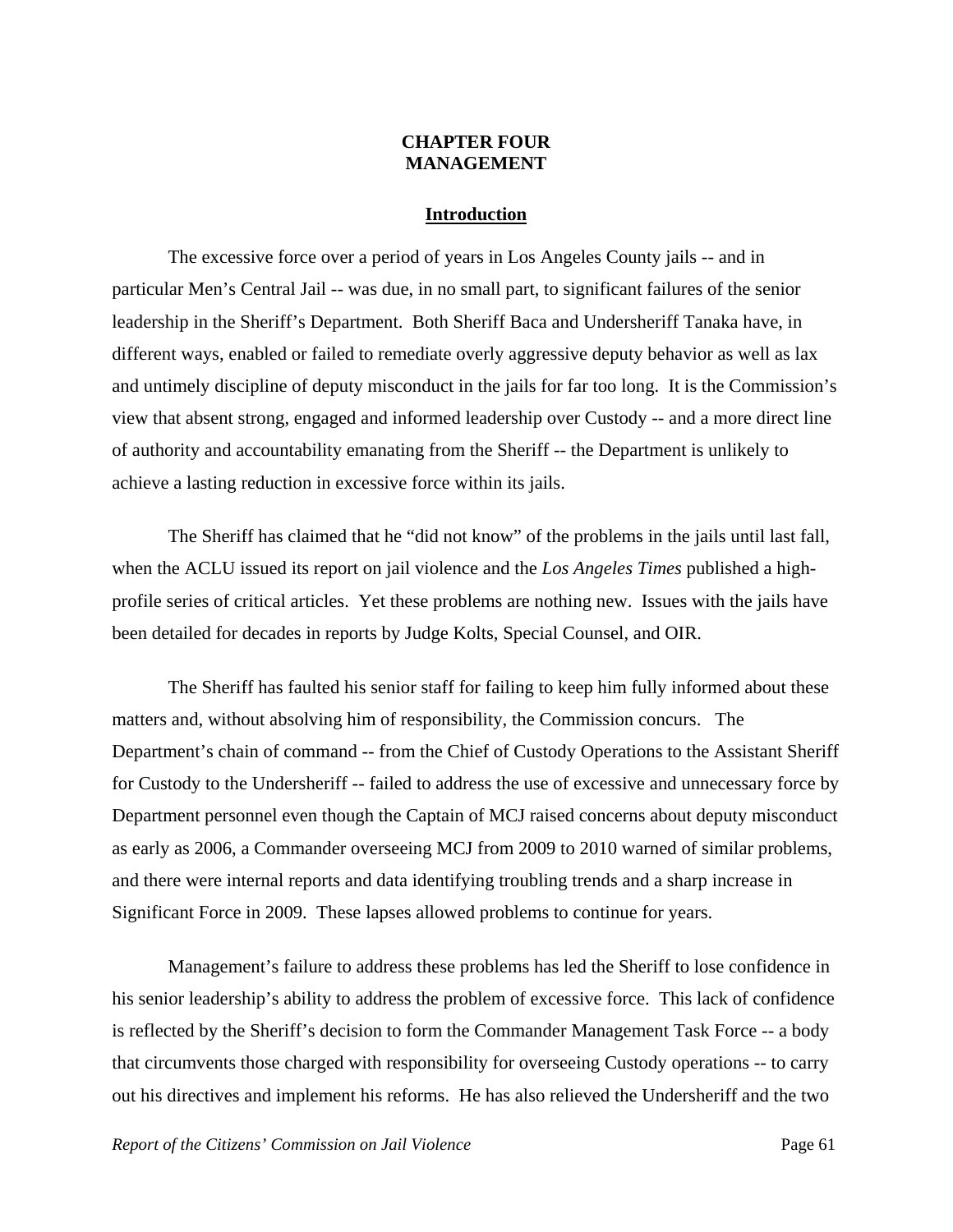## **CHAPTER FOUR MANAGEMENT**

#### **Introduction**

 The excessive force over a period of years in Los Angeles County jails -- and in particular Men's Central Jail -- was due, in no small part, to significant failures of the senior leadership in the Sheriff's Department. Both Sheriff Baca and Undersheriff Tanaka have, in different ways, enabled or failed to remediate overly aggressive deputy behavior as well as lax and untimely discipline of deputy misconduct in the jails for far too long. It is the Commission's view that absent strong, engaged and informed leadership over Custody -- and a more direct line of authority and accountability emanating from the Sheriff -- the Department is unlikely to achieve a lasting reduction in excessive force within its jails.

 The Sheriff has claimed that he "did not know" of the problems in the jails until last fall, when the ACLU issued its report on jail violence and the *Los Angeles Times* published a highprofile series of critical articles. Yet these problems are nothing new. Issues with the jails have been detailed for decades in reports by Judge Kolts, Special Counsel, and OIR.

 The Sheriff has faulted his senior staff for failing to keep him fully informed about these matters and, without absolving him of responsibility, the Commission concurs. The Department's chain of command -- from the Chief of Custody Operations to the Assistant Sheriff for Custody to the Undersheriff -- failed to address the use of excessive and unnecessary force by Department personnel even though the Captain of MCJ raised concerns about deputy misconduct as early as 2006, a Commander overseeing MCJ from 2009 to 2010 warned of similar problems, and there were internal reports and data identifying troubling trends and a sharp increase in Significant Force in 2009. These lapses allowed problems to continue for years.

 Management's failure to address these problems has led the Sheriff to lose confidence in his senior leadership's ability to address the problem of excessive force. This lack of confidence is reflected by the Sheriff's decision to form the Commander Management Task Force -- a body that circumvents those charged with responsibility for overseeing Custody operations -- to carry out his directives and implement his reforms. He has also relieved the Undersheriff and the two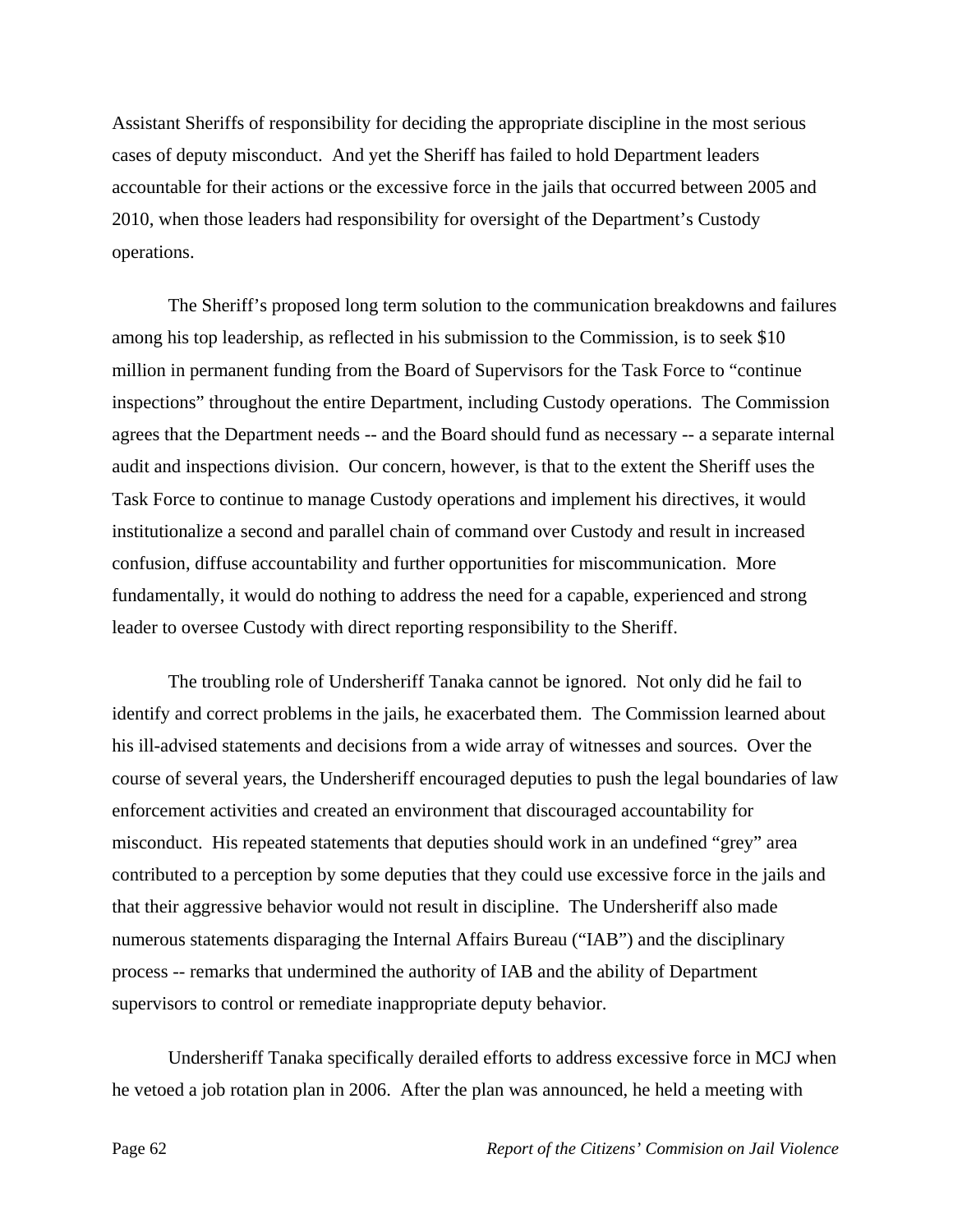Assistant Sheriffs of responsibility for deciding the appropriate discipline in the most serious cases of deputy misconduct. And yet the Sheriff has failed to hold Department leaders accountable for their actions or the excessive force in the jails that occurred between 2005 and 2010, when those leaders had responsibility for oversight of the Department's Custody operations.

 The Sheriff's proposed long term solution to the communication breakdowns and failures among his top leadership, as reflected in his submission to the Commission, is to seek \$10 million in permanent funding from the Board of Supervisors for the Task Force to "continue inspections" throughout the entire Department, including Custody operations. The Commission agrees that the Department needs -- and the Board should fund as necessary -- a separate internal audit and inspections division. Our concern, however, is that to the extent the Sheriff uses the Task Force to continue to manage Custody operations and implement his directives, it would institutionalize a second and parallel chain of command over Custody and result in increased confusion, diffuse accountability and further opportunities for miscommunication. More fundamentally, it would do nothing to address the need for a capable, experienced and strong leader to oversee Custody with direct reporting responsibility to the Sheriff.

 The troubling role of Undersheriff Tanaka cannot be ignored. Not only did he fail to identify and correct problems in the jails, he exacerbated them. The Commission learned about his ill-advised statements and decisions from a wide array of witnesses and sources. Over the course of several years, the Undersheriff encouraged deputies to push the legal boundaries of law enforcement activities and created an environment that discouraged accountability for misconduct. His repeated statements that deputies should work in an undefined "grey" area contributed to a perception by some deputies that they could use excessive force in the jails and that their aggressive behavior would not result in discipline. The Undersheriff also made numerous statements disparaging the Internal Affairs Bureau ("IAB") and the disciplinary process -- remarks that undermined the authority of IAB and the ability of Department supervisors to control or remediate inappropriate deputy behavior.

 Undersheriff Tanaka specifically derailed efforts to address excessive force in MCJ when he vetoed a job rotation plan in 2006. After the plan was announced, he held a meeting with

Page 62 *Report of the Citizens' Commision on Jail Violence*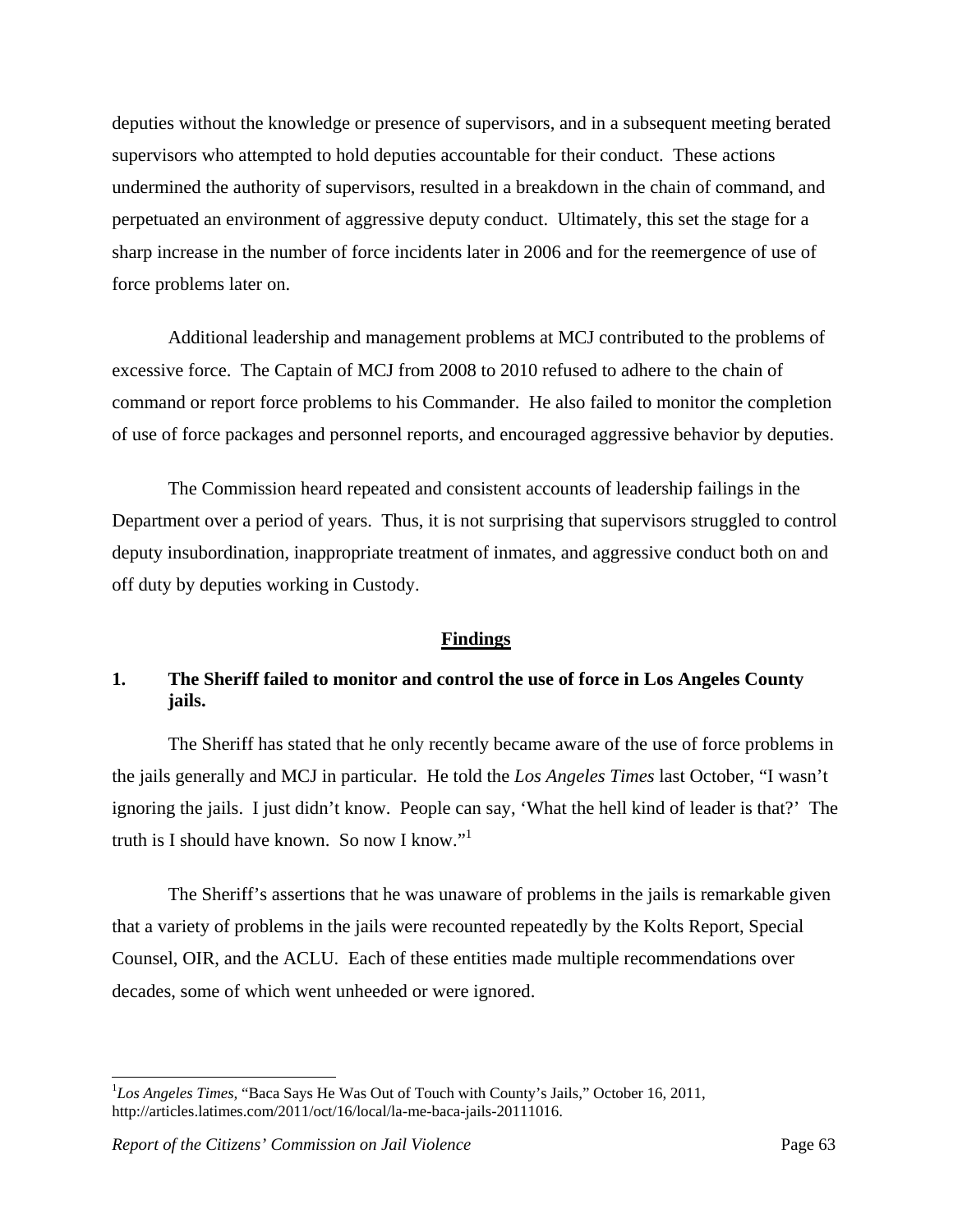deputies without the knowledge or presence of supervisors, and in a subsequent meeting berated supervisors who attempted to hold deputies accountable for their conduct. These actions undermined the authority of supervisors, resulted in a breakdown in the chain of command, and perpetuated an environment of aggressive deputy conduct. Ultimately, this set the stage for a sharp increase in the number of force incidents later in 2006 and for the reemergence of use of force problems later on.

 Additional leadership and management problems at MCJ contributed to the problems of excessive force. The Captain of MCJ from 2008 to 2010 refused to adhere to the chain of command or report force problems to his Commander. He also failed to monitor the completion of use of force packages and personnel reports, and encouraged aggressive behavior by deputies.

 The Commission heard repeated and consistent accounts of leadership failings in the Department over a period of years. Thus, it is not surprising that supervisors struggled to control deputy insubordination, inappropriate treatment of inmates, and aggressive conduct both on and off duty by deputies working in Custody.

#### **Findings**

# **1. The Sheriff failed to monitor and control the use of force in Los Angeles County jails.**

 The Sheriff has stated that he only recently became aware of the use of force problems in the jails generally and MCJ in particular. He told the *Los Angeles Times* last October, "I wasn't ignoring the jails. I just didn't know. People can say, 'What the hell kind of leader is that?' The truth is I should have known. So now I know."1

 The Sheriff's assertions that he was unaware of problems in the jails is remarkable given that a variety of problems in the jails were recounted repeatedly by the Kolts Report, Special Counsel, OIR, and the ACLU. Each of these entities made multiple recommendations over decades, some of which went unheeded or were ignored.

<sup>&</sup>lt;sup>1</sup>Los Angeles Times, "Baca Says He Was Out of Touch with County's Jails," October 16, 2011, http://articles.latimes.com/2011/oct/16/local/la-me-baca-jails-20111016.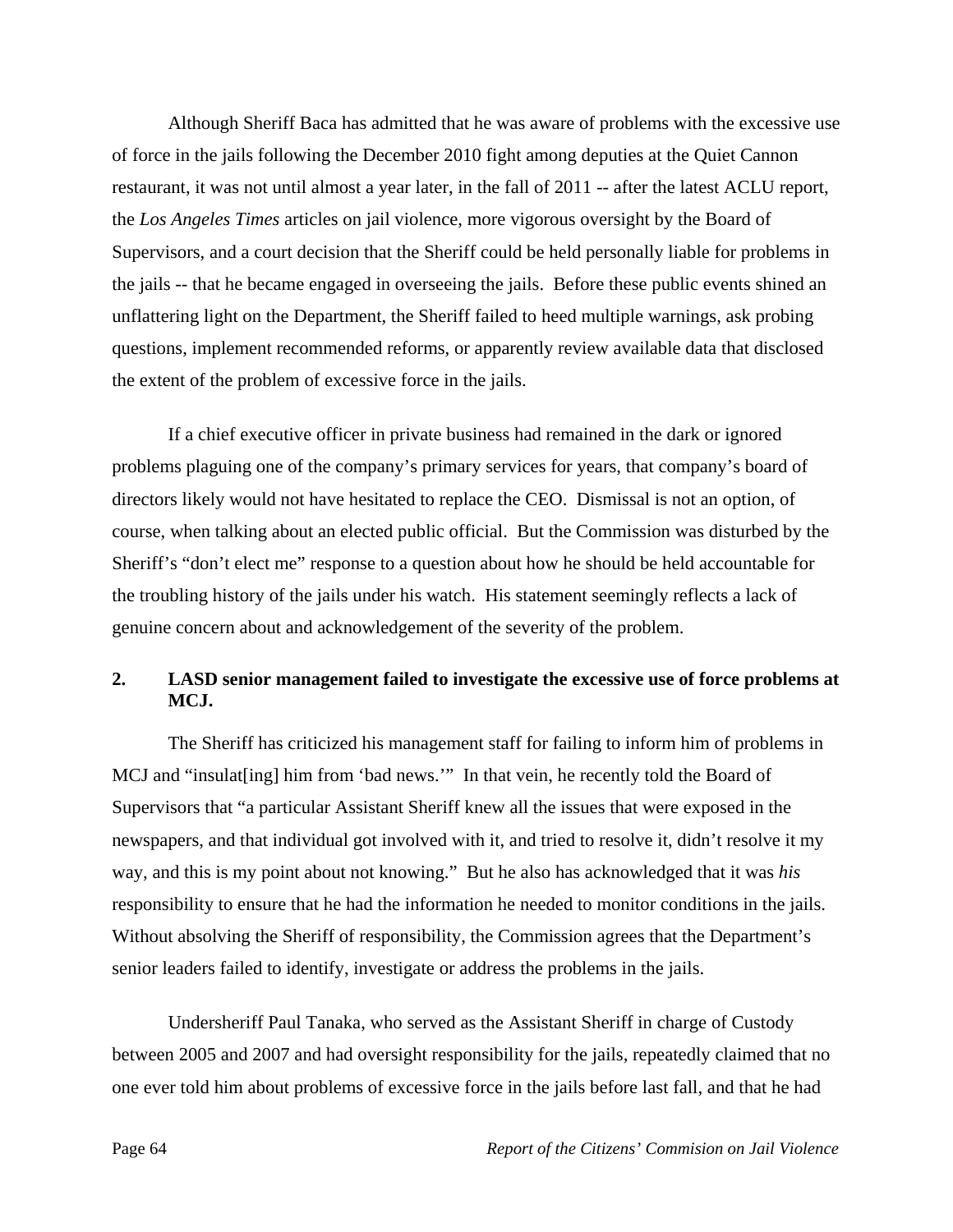Although Sheriff Baca has admitted that he was aware of problems with the excessive use of force in the jails following the December 2010 fight among deputies at the Quiet Cannon restaurant, it was not until almost a year later, in the fall of 2011 -- after the latest ACLU report, the *Los Angeles Times* articles on jail violence, more vigorous oversight by the Board of Supervisors, and a court decision that the Sheriff could be held personally liable for problems in the jails -- that he became engaged in overseeing the jails. Before these public events shined an unflattering light on the Department, the Sheriff failed to heed multiple warnings, ask probing questions, implement recommended reforms, or apparently review available data that disclosed the extent of the problem of excessive force in the jails.

 If a chief executive officer in private business had remained in the dark or ignored problems plaguing one of the company's primary services for years, that company's board of directors likely would not have hesitated to replace the CEO. Dismissal is not an option, of course, when talking about an elected public official. But the Commission was disturbed by the Sheriff's "don't elect me" response to a question about how he should be held accountable for the troubling history of the jails under his watch. His statement seemingly reflects a lack of genuine concern about and acknowledgement of the severity of the problem.

# **2. LASD senior management failed to investigate the excessive use of force problems at MCJ.**

 The Sheriff has criticized his management staff for failing to inform him of problems in MCJ and "insulat [ing] him from 'bad news."" In that vein, he recently told the Board of Supervisors that "a particular Assistant Sheriff knew all the issues that were exposed in the newspapers, and that individual got involved with it, and tried to resolve it, didn't resolve it my way, and this is my point about not knowing." But he also has acknowledged that it was *his* responsibility to ensure that he had the information he needed to monitor conditions in the jails. Without absolving the Sheriff of responsibility, the Commission agrees that the Department's senior leaders failed to identify, investigate or address the problems in the jails.

 Undersheriff Paul Tanaka, who served as the Assistant Sheriff in charge of Custody between 2005 and 2007 and had oversight responsibility for the jails, repeatedly claimed that no one ever told him about problems of excessive force in the jails before last fall, and that he had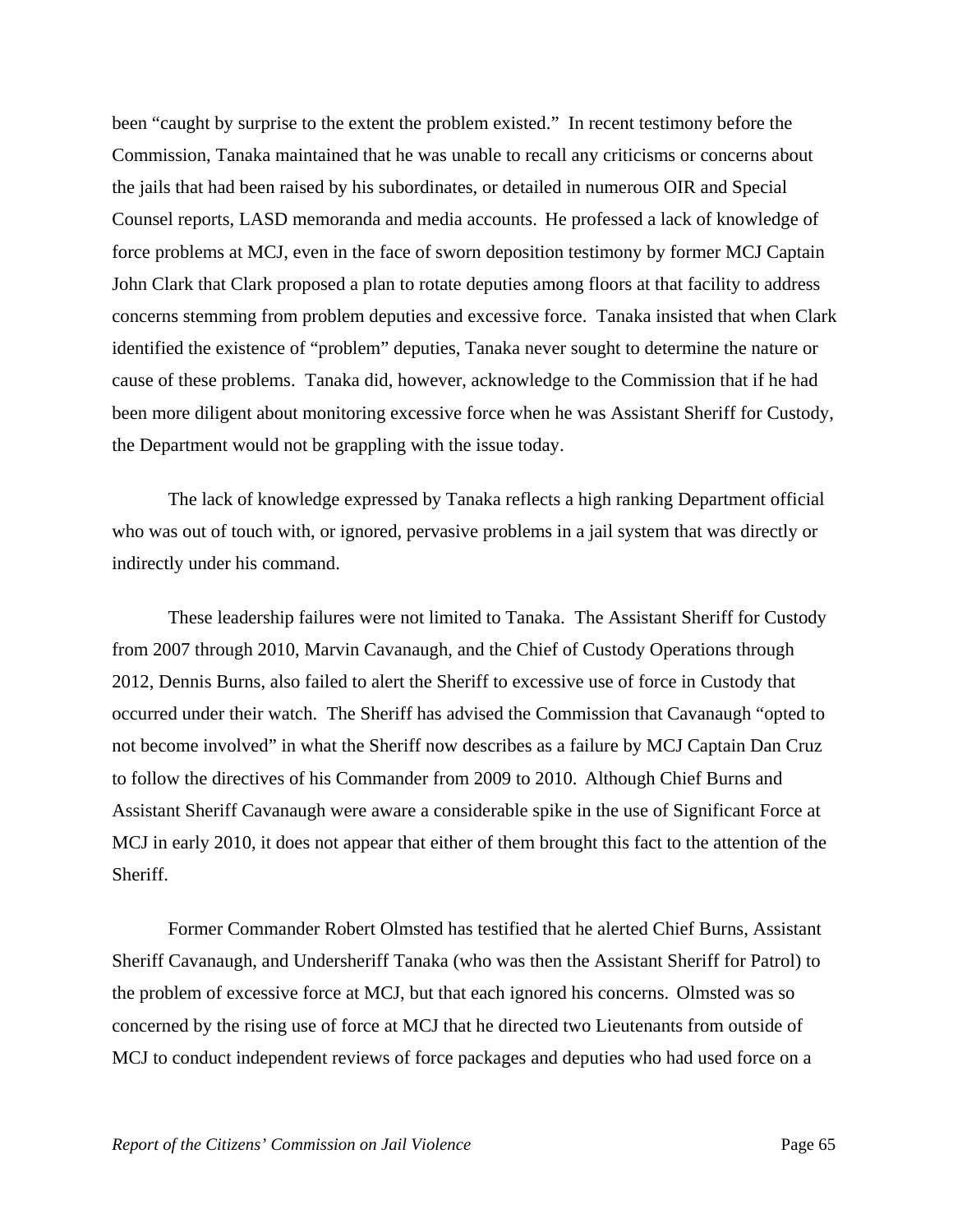been "caught by surprise to the extent the problem existed." In recent testimony before the Commission, Tanaka maintained that he was unable to recall any criticisms or concerns about the jails that had been raised by his subordinates, or detailed in numerous OIR and Special Counsel reports, LASD memoranda and media accounts. He professed a lack of knowledge of force problems at MCJ, even in the face of sworn deposition testimony by former MCJ Captain John Clark that Clark proposed a plan to rotate deputies among floors at that facility to address concerns stemming from problem deputies and excessive force. Tanaka insisted that when Clark identified the existence of "problem" deputies, Tanaka never sought to determine the nature or cause of these problems. Tanaka did, however, acknowledge to the Commission that if he had been more diligent about monitoring excessive force when he was Assistant Sheriff for Custody, the Department would not be grappling with the issue today.

 The lack of knowledge expressed by Tanaka reflects a high ranking Department official who was out of touch with, or ignored, pervasive problems in a jail system that was directly or indirectly under his command.

 These leadership failures were not limited to Tanaka. The Assistant Sheriff for Custody from 2007 through 2010, Marvin Cavanaugh, and the Chief of Custody Operations through 2012, Dennis Burns, also failed to alert the Sheriff to excessive use of force in Custody that occurred under their watch. The Sheriff has advised the Commission that Cavanaugh "opted to not become involved" in what the Sheriff now describes as a failure by MCJ Captain Dan Cruz to follow the directives of his Commander from 2009 to 2010. Although Chief Burns and Assistant Sheriff Cavanaugh were aware a considerable spike in the use of Significant Force at MCJ in early 2010, it does not appear that either of them brought this fact to the attention of the Sheriff.

 Former Commander Robert Olmsted has testified that he alerted Chief Burns, Assistant Sheriff Cavanaugh, and Undersheriff Tanaka (who was then the Assistant Sheriff for Patrol) to the problem of excessive force at MCJ, but that each ignored his concerns. Olmsted was so concerned by the rising use of force at MCJ that he directed two Lieutenants from outside of MCJ to conduct independent reviews of force packages and deputies who had used force on a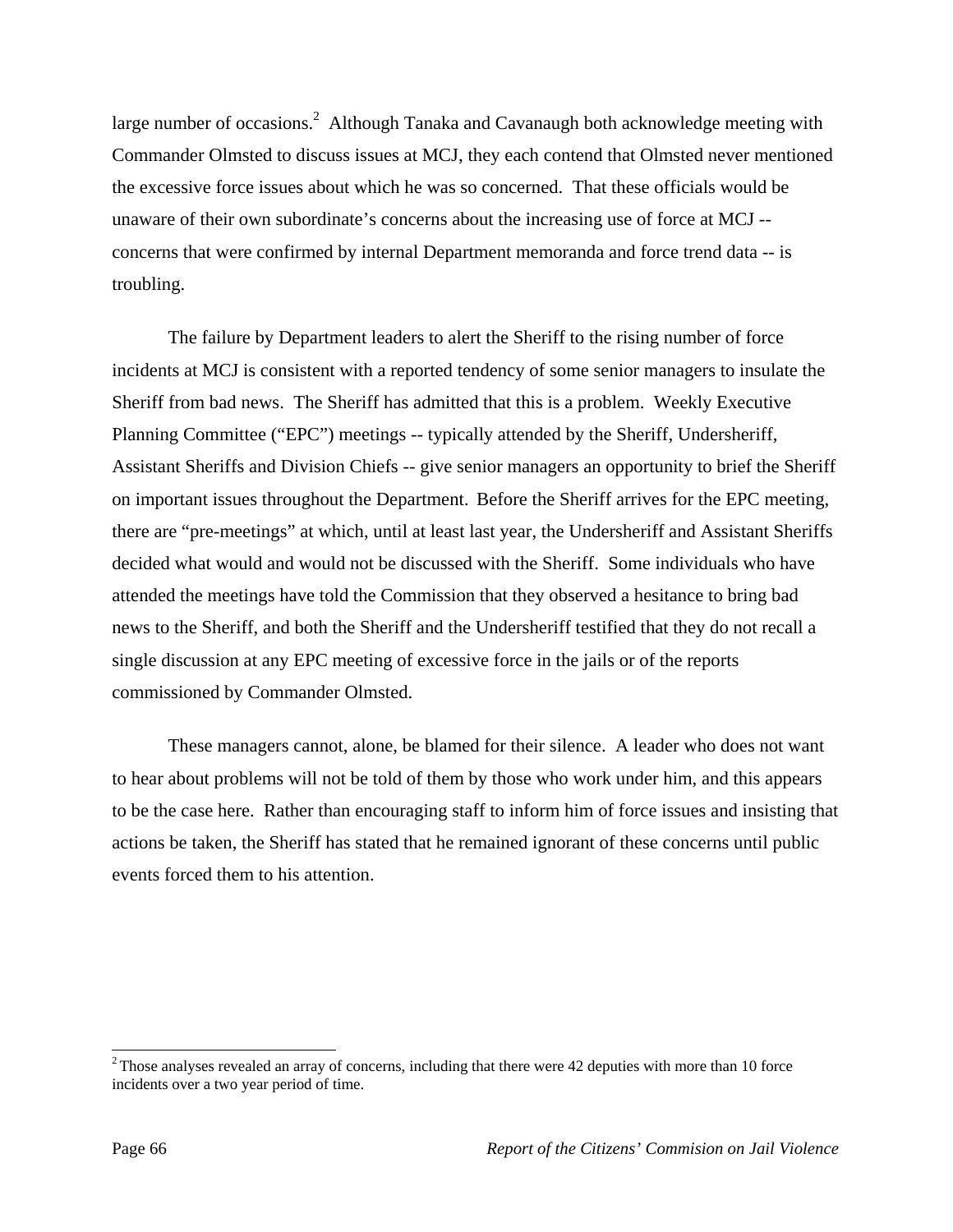large number of occasions.<sup>2</sup> Although Tanaka and Cavanaugh both acknowledge meeting with Commander Olmsted to discuss issues at MCJ, they each contend that Olmsted never mentioned the excessive force issues about which he was so concerned. That these officials would be unaware of their own subordinate's concerns about the increasing use of force at MCJ - concerns that were confirmed by internal Department memoranda and force trend data -- is troubling.

The failure by Department leaders to alert the Sheriff to the rising number of force incidents at MCJ is consistent with a reported tendency of some senior managers to insulate the Sheriff from bad news. The Sheriff has admitted that this is a problem. Weekly Executive Planning Committee ("EPC") meetings -- typically attended by the Sheriff, Undersheriff, Assistant Sheriffs and Division Chiefs -- give senior managers an opportunity to brief the Sheriff on important issues throughout the Department. Before the Sheriff arrives for the EPC meeting, there are "pre-meetings" at which, until at least last year, the Undersheriff and Assistant Sheriffs decided what would and would not be discussed with the Sheriff. Some individuals who have attended the meetings have told the Commission that they observed a hesitance to bring bad news to the Sheriff, and both the Sheriff and the Undersheriff testified that they do not recall a single discussion at any EPC meeting of excessive force in the jails or of the reports commissioned by Commander Olmsted.

 These managers cannot, alone, be blamed for their silence. A leader who does not want to hear about problems will not be told of them by those who work under him, and this appears to be the case here. Rather than encouraging staff to inform him of force issues and insisting that actions be taken, the Sheriff has stated that he remained ignorant of these concerns until public events forced them to his attention.

l

 $2$ Those analyses revealed an array of concerns, including that there were 42 deputies with more than 10 force incidents over a two year period of time.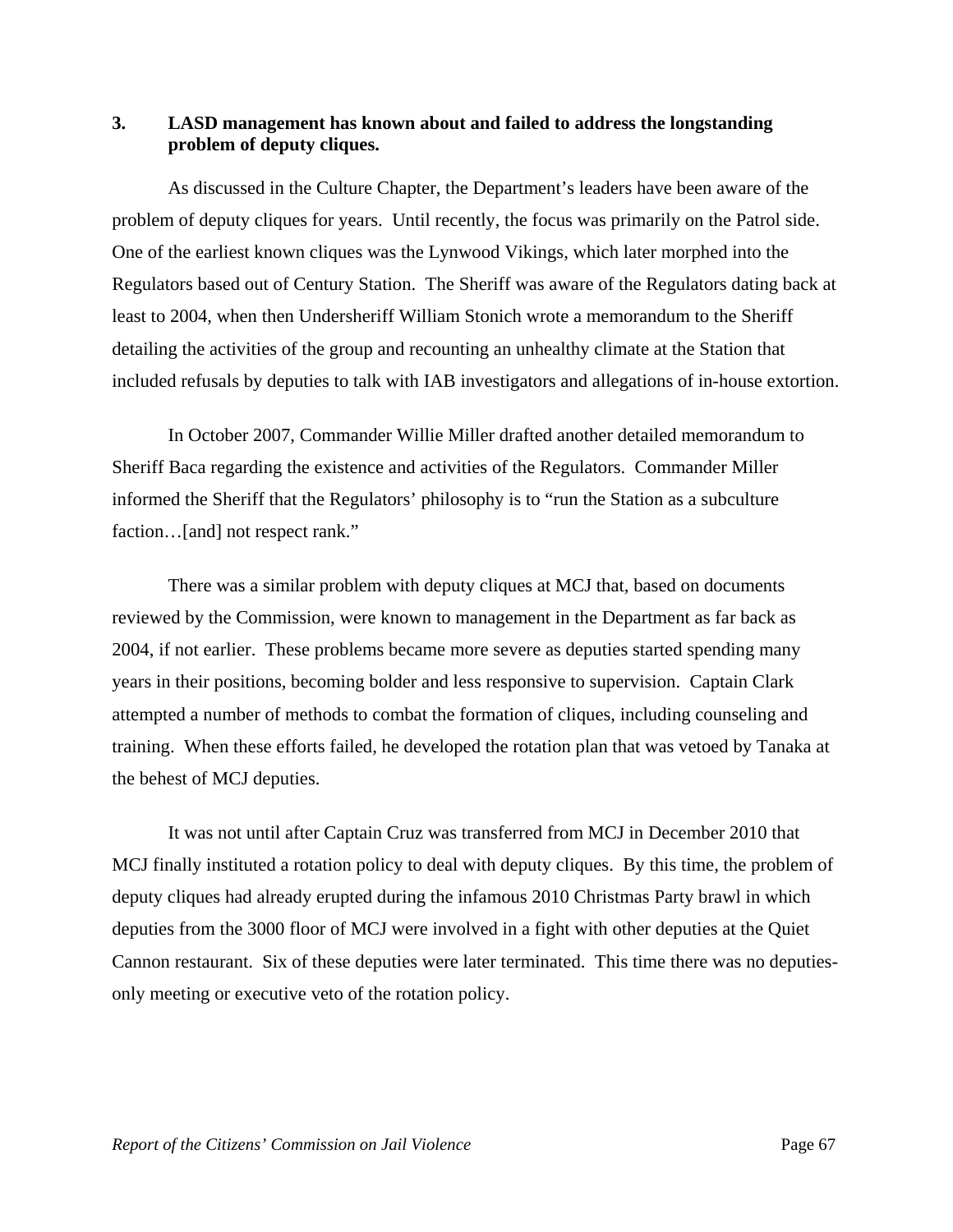## **3. LASD management has known about and failed to address the longstanding problem of deputy cliques.**

 As discussed in the Culture Chapter, the Department's leaders have been aware of the problem of deputy cliques for years. Until recently, the focus was primarily on the Patrol side. One of the earliest known cliques was the Lynwood Vikings, which later morphed into the Regulators based out of Century Station. The Sheriff was aware of the Regulators dating back at least to 2004, when then Undersheriff William Stonich wrote a memorandum to the Sheriff detailing the activities of the group and recounting an unhealthy climate at the Station that included refusals by deputies to talk with IAB investigators and allegations of in-house extortion.

 In October 2007, Commander Willie Miller drafted another detailed memorandum to Sheriff Baca regarding the existence and activities of the Regulators. Commander Miller informed the Sheriff that the Regulators' philosophy is to "run the Station as a subculture faction…[and] not respect rank."

 There was a similar problem with deputy cliques at MCJ that, based on documents reviewed by the Commission, were known to management in the Department as far back as 2004, if not earlier. These problems became more severe as deputies started spending many years in their positions, becoming bolder and less responsive to supervision. Captain Clark attempted a number of methods to combat the formation of cliques, including counseling and training. When these efforts failed, he developed the rotation plan that was vetoed by Tanaka at the behest of MCJ deputies.

 It was not until after Captain Cruz was transferred from MCJ in December 2010 that MCJ finally instituted a rotation policy to deal with deputy cliques. By this time, the problem of deputy cliques had already erupted during the infamous 2010 Christmas Party brawl in which deputies from the 3000 floor of MCJ were involved in a fight with other deputies at the Quiet Cannon restaurant. Six of these deputies were later terminated. This time there was no deputiesonly meeting or executive veto of the rotation policy.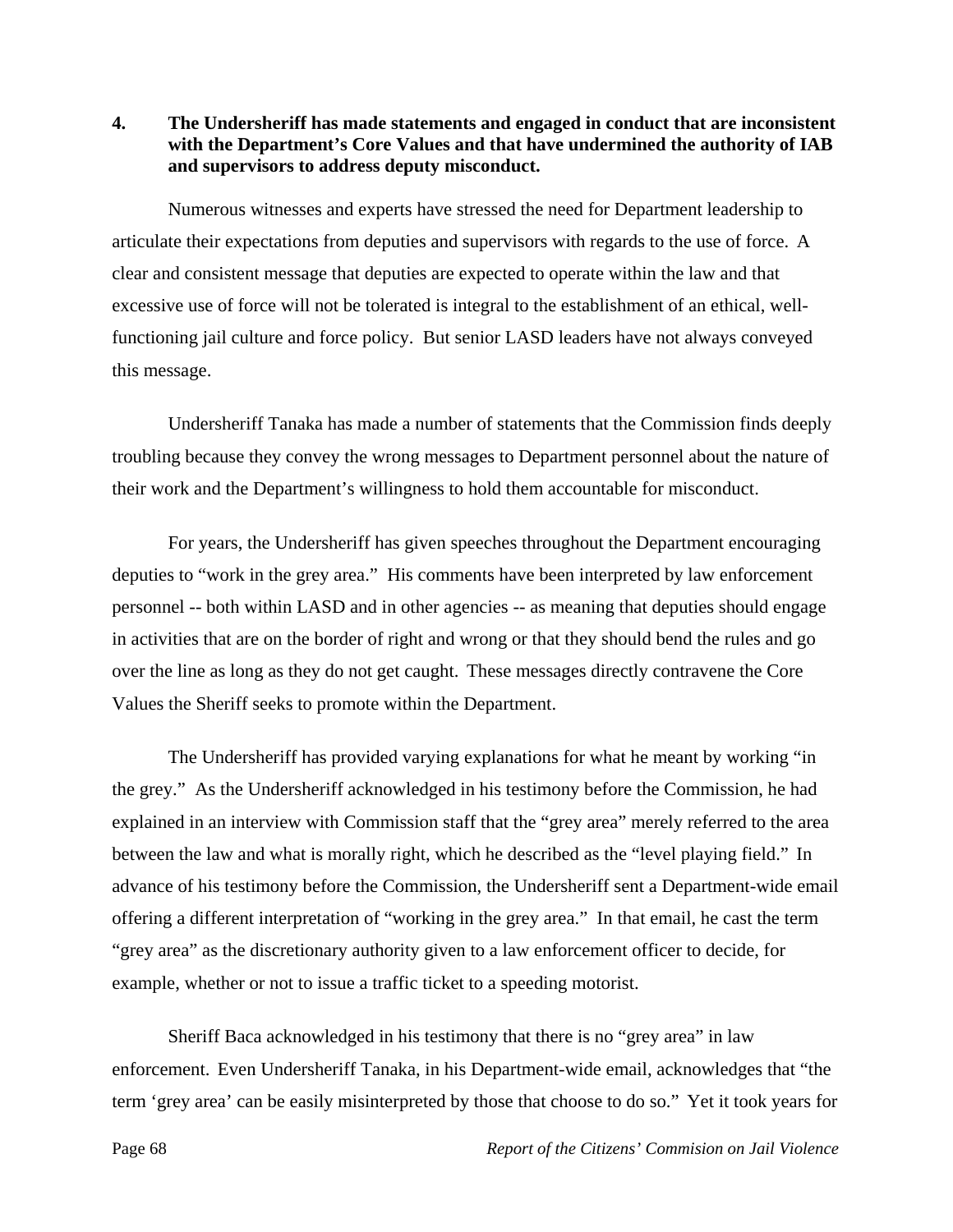**4. The Undersheriff has made statements and engaged in conduct that are inconsistent with the Department's Core Values and that have undermined the authority of IAB and supervisors to address deputy misconduct.** 

 Numerous witnesses and experts have stressed the need for Department leadership to articulate their expectations from deputies and supervisors with regards to the use of force. A clear and consistent message that deputies are expected to operate within the law and that excessive use of force will not be tolerated is integral to the establishment of an ethical, wellfunctioning jail culture and force policy. But senior LASD leaders have not always conveyed this message.

 Undersheriff Tanaka has made a number of statements that the Commission finds deeply troubling because they convey the wrong messages to Department personnel about the nature of their work and the Department's willingness to hold them accountable for misconduct.

 For years, the Undersheriff has given speeches throughout the Department encouraging deputies to "work in the grey area." His comments have been interpreted by law enforcement personnel -- both within LASD and in other agencies -- as meaning that deputies should engage in activities that are on the border of right and wrong or that they should bend the rules and go over the line as long as they do not get caught. These messages directly contravene the Core Values the Sheriff seeks to promote within the Department.

 The Undersheriff has provided varying explanations for what he meant by working "in the grey." As the Undersheriff acknowledged in his testimony before the Commission, he had explained in an interview with Commission staff that the "grey area" merely referred to the area between the law and what is morally right, which he described as the "level playing field." In advance of his testimony before the Commission, the Undersheriff sent a Department-wide email offering a different interpretation of "working in the grey area." In that email, he cast the term "grey area" as the discretionary authority given to a law enforcement officer to decide, for example, whether or not to issue a traffic ticket to a speeding motorist.

 Sheriff Baca acknowledged in his testimony that there is no "grey area" in law enforcement. Even Undersheriff Tanaka, in his Department-wide email, acknowledges that "the term 'grey area' can be easily misinterpreted by those that choose to do so." Yet it took years for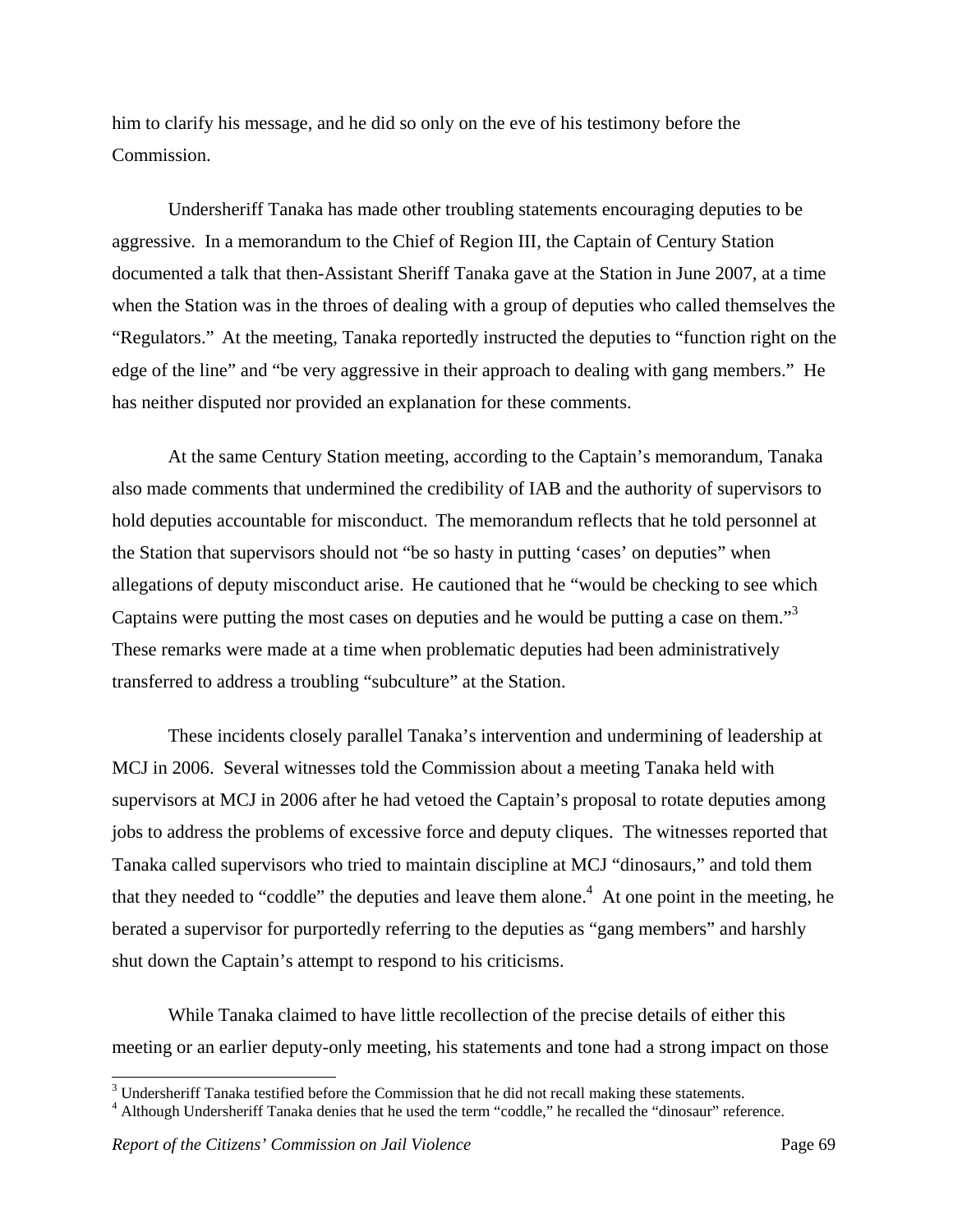him to clarify his message, and he did so only on the eve of his testimony before the Commission.

 Undersheriff Tanaka has made other troubling statements encouraging deputies to be aggressive. In a memorandum to the Chief of Region III, the Captain of Century Station documented a talk that then-Assistant Sheriff Tanaka gave at the Station in June 2007, at a time when the Station was in the throes of dealing with a group of deputies who called themselves the "Regulators." At the meeting, Tanaka reportedly instructed the deputies to "function right on the edge of the line" and "be very aggressive in their approach to dealing with gang members." He has neither disputed nor provided an explanation for these comments.

 At the same Century Station meeting, according to the Captain's memorandum, Tanaka also made comments that undermined the credibility of IAB and the authority of supervisors to hold deputies accountable for misconduct. The memorandum reflects that he told personnel at the Station that supervisors should not "be so hasty in putting 'cases' on deputies" when allegations of deputy misconduct arise. He cautioned that he "would be checking to see which Captains were putting the most cases on deputies and he would be putting a case on them."<sup>3</sup> These remarks were made at a time when problematic deputies had been administratively transferred to address a troubling "subculture" at the Station.

 These incidents closely parallel Tanaka's intervention and undermining of leadership at MCJ in 2006. Several witnesses told the Commission about a meeting Tanaka held with supervisors at MCJ in 2006 after he had vetoed the Captain's proposal to rotate deputies among jobs to address the problems of excessive force and deputy cliques. The witnesses reported that Tanaka called supervisors who tried to maintain discipline at MCJ "dinosaurs," and told them that they needed to "coddle" the deputies and leave them alone.<sup>4</sup> At one point in the meeting, he berated a supervisor for purportedly referring to the deputies as "gang members" and harshly shut down the Captain's attempt to respond to his criticisms.

 While Tanaka claimed to have little recollection of the precise details of either this meeting or an earlier deputy-only meeting, his statements and tone had a strong impact on those

<sup>&</sup>lt;sup>3</sup> Undersheriff Tanaka testified before the Commission that he did not recall making these statements.

<sup>&</sup>lt;sup>4</sup> Although Undersheriff Tanaka denies that he used the term "coddle," he recalled the "dinosaur" reference.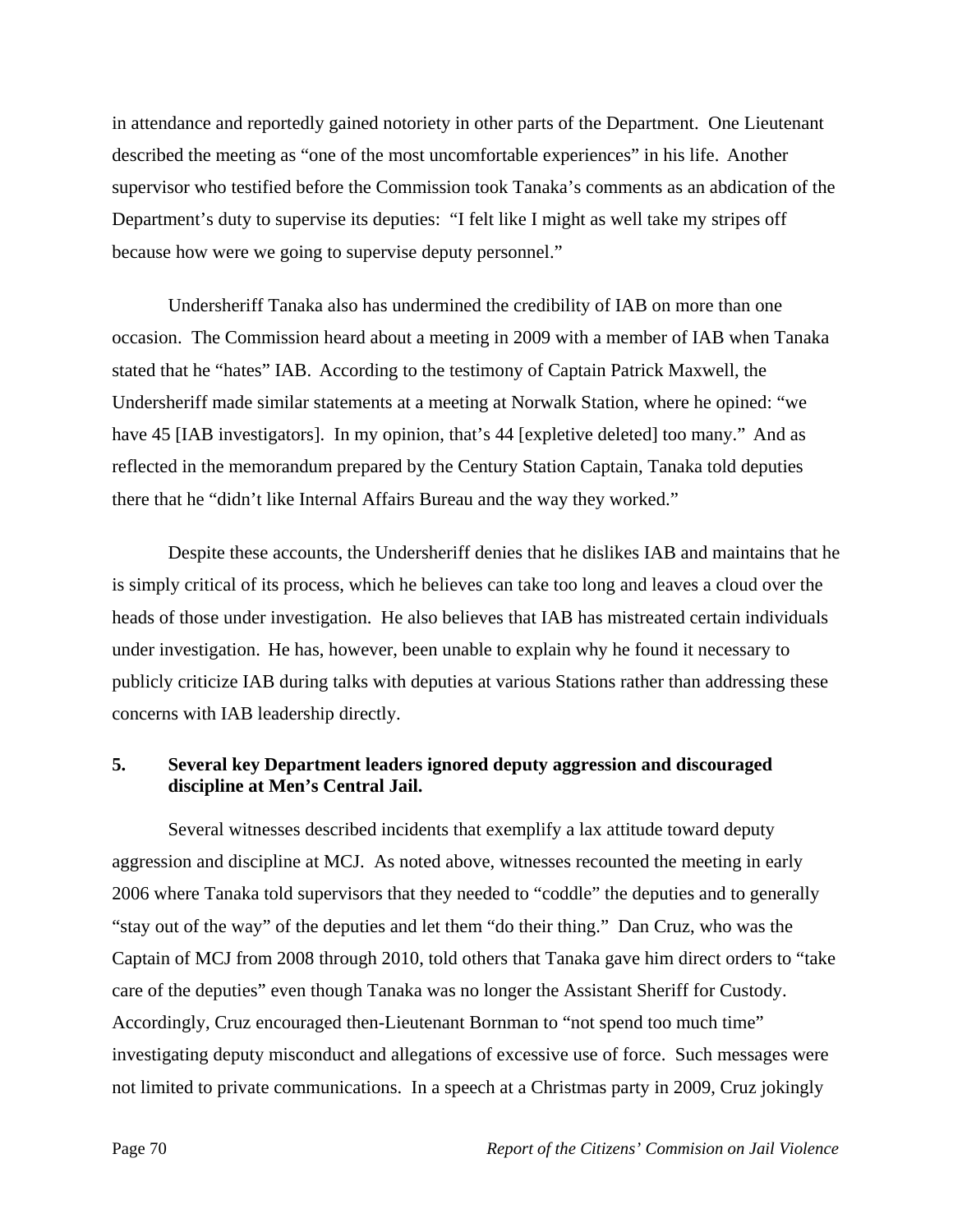in attendance and reportedly gained notoriety in other parts of the Department. One Lieutenant described the meeting as "one of the most uncomfortable experiences" in his life. Another supervisor who testified before the Commission took Tanaka's comments as an abdication of the Department's duty to supervise its deputies: "I felt like I might as well take my stripes off because how were we going to supervise deputy personnel."

 Undersheriff Tanaka also has undermined the credibility of IAB on more than one occasion. The Commission heard about a meeting in 2009 with a member of IAB when Tanaka stated that he "hates" IAB. According to the testimony of Captain Patrick Maxwell, the Undersheriff made similar statements at a meeting at Norwalk Station, where he opined: "we have 45 [IAB investigators]. In my opinion, that's 44 [expletive deleted] too many." And as reflected in the memorandum prepared by the Century Station Captain, Tanaka told deputies there that he "didn't like Internal Affairs Bureau and the way they worked."

 Despite these accounts, the Undersheriff denies that he dislikes IAB and maintains that he is simply critical of its process, which he believes can take too long and leaves a cloud over the heads of those under investigation. He also believes that IAB has mistreated certain individuals under investigation. He has, however, been unable to explain why he found it necessary to publicly criticize IAB during talks with deputies at various Stations rather than addressing these concerns with IAB leadership directly.

## **5. Several key Department leaders ignored deputy aggression and discouraged discipline at Men's Central Jail.**

 Several witnesses described incidents that exemplify a lax attitude toward deputy aggression and discipline at MCJ. As noted above, witnesses recounted the meeting in early 2006 where Tanaka told supervisors that they needed to "coddle" the deputies and to generally "stay out of the way" of the deputies and let them "do their thing." Dan Cruz, who was the Captain of MCJ from 2008 through 2010, told others that Tanaka gave him direct orders to "take care of the deputies" even though Tanaka was no longer the Assistant Sheriff for Custody. Accordingly, Cruz encouraged then-Lieutenant Bornman to "not spend too much time" investigating deputy misconduct and allegations of excessive use of force. Such messages were not limited to private communications. In a speech at a Christmas party in 2009, Cruz jokingly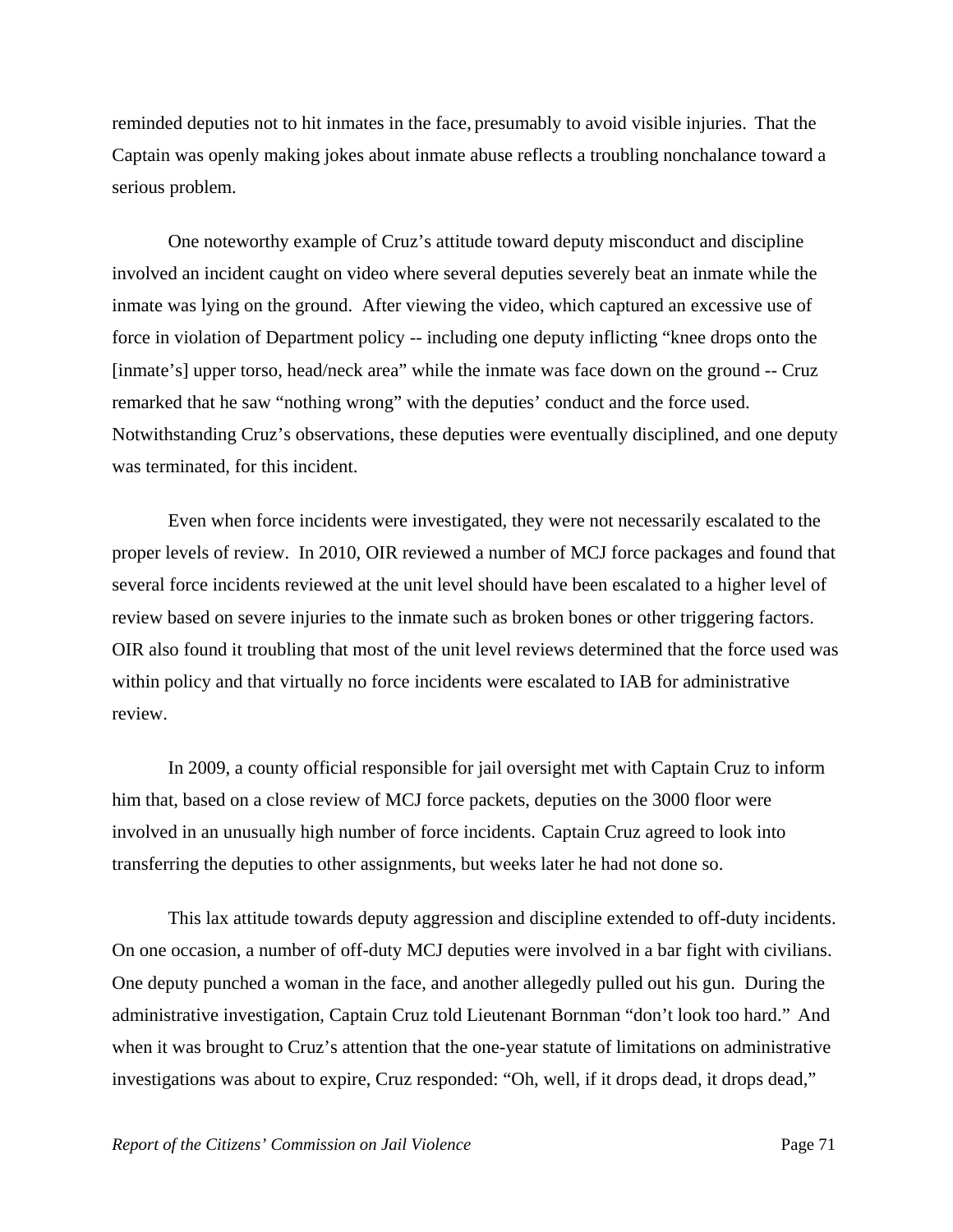reminded deputies not to hit inmates in the face, presumably to avoid visible injuries. That the Captain was openly making jokes about inmate abuse reflects a troubling nonchalance toward a serious problem.

 One noteworthy example of Cruz's attitude toward deputy misconduct and discipline involved an incident caught on video where several deputies severely beat an inmate while the inmate was lying on the ground. After viewing the video, which captured an excessive use of force in violation of Department policy -- including one deputy inflicting "knee drops onto the [inmate's] upper torso, head/neck area" while the inmate was face down on the ground -- Cruz remarked that he saw "nothing wrong" with the deputies' conduct and the force used. Notwithstanding Cruz's observations, these deputies were eventually disciplined, and one deputy was terminated, for this incident.

 Even when force incidents were investigated, they were not necessarily escalated to the proper levels of review. In 2010, OIR reviewed a number of MCJ force packages and found that several force incidents reviewed at the unit level should have been escalated to a higher level of review based on severe injuries to the inmate such as broken bones or other triggering factors. OIR also found it troubling that most of the unit level reviews determined that the force used was within policy and that virtually no force incidents were escalated to IAB for administrative review.

 In 2009, a county official responsible for jail oversight met with Captain Cruz to inform him that, based on a close review of MCJ force packets, deputies on the 3000 floor were involved in an unusually high number of force incidents. Captain Cruz agreed to look into transferring the deputies to other assignments, but weeks later he had not done so.

 This lax attitude towards deputy aggression and discipline extended to off-duty incidents. On one occasion, a number of off-duty MCJ deputies were involved in a bar fight with civilians. One deputy punched a woman in the face, and another allegedly pulled out his gun. During the administrative investigation, Captain Cruz told Lieutenant Bornman "don't look too hard." And when it was brought to Cruz's attention that the one-year statute of limitations on administrative investigations was about to expire, Cruz responded: "Oh, well, if it drops dead, it drops dead,"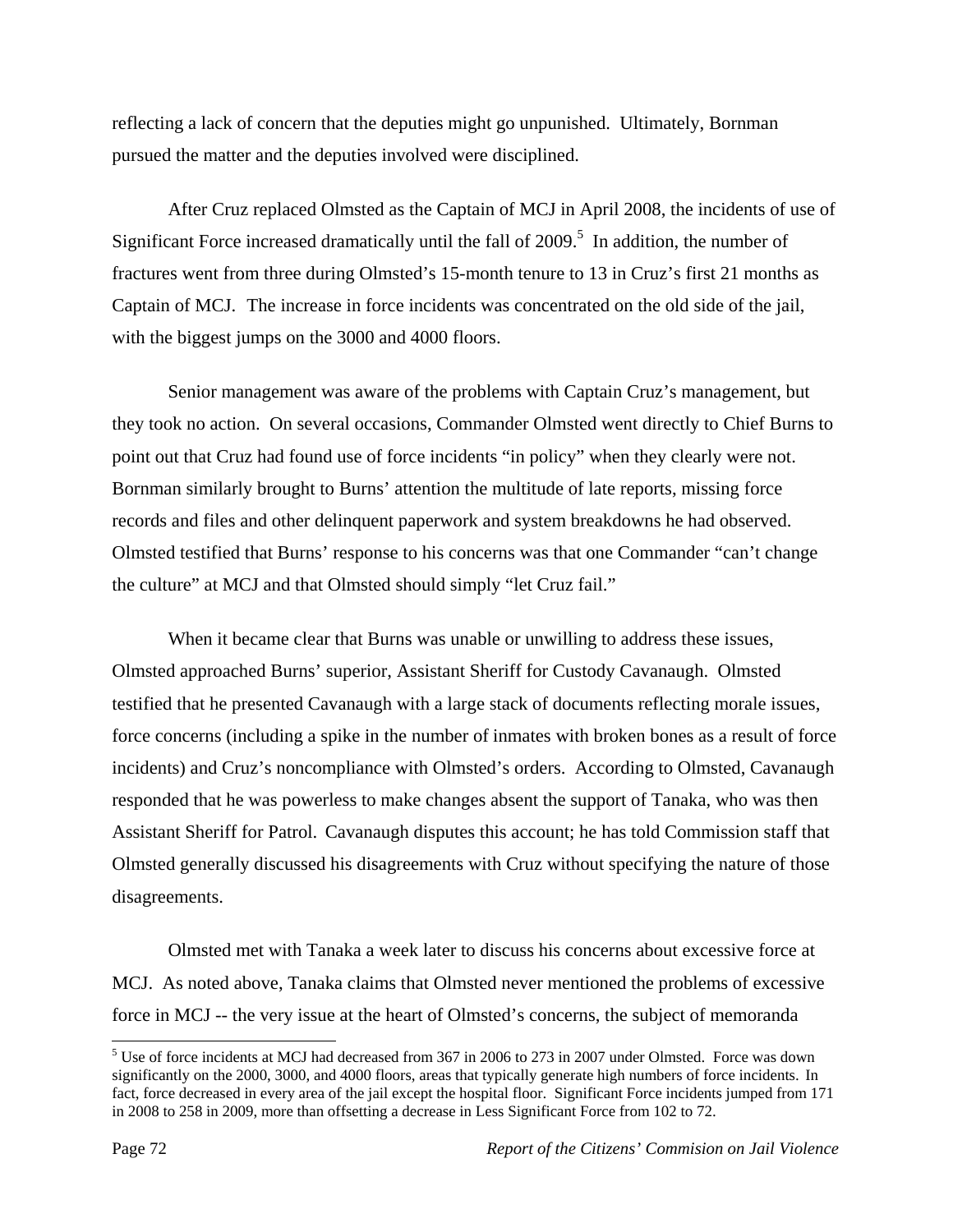reflecting a lack of concern that the deputies might go unpunished. Ultimately, Bornman pursued the matter and the deputies involved were disciplined.

 After Cruz replaced Olmsted as the Captain of MCJ in April 2008, the incidents of use of Significant Force increased dramatically until the fall of  $2009$ .<sup>5</sup> In addition, the number of fractures went from three during Olmsted's 15-month tenure to 13 in Cruz's first 21 months as Captain of MCJ. The increase in force incidents was concentrated on the old side of the jail, with the biggest jumps on the 3000 and 4000 floors.

 Senior management was aware of the problems with Captain Cruz's management, but they took no action. On several occasions, Commander Olmsted went directly to Chief Burns to point out that Cruz had found use of force incidents "in policy" when they clearly were not. Bornman similarly brought to Burns' attention the multitude of late reports, missing force records and files and other delinquent paperwork and system breakdowns he had observed. Olmsted testified that Burns' response to his concerns was that one Commander "can't change the culture" at MCJ and that Olmsted should simply "let Cruz fail."

 When it became clear that Burns was unable or unwilling to address these issues, Olmsted approached Burns' superior, Assistant Sheriff for Custody Cavanaugh. Olmsted testified that he presented Cavanaugh with a large stack of documents reflecting morale issues, force concerns (including a spike in the number of inmates with broken bones as a result of force incidents) and Cruz's noncompliance with Olmsted's orders. According to Olmsted, Cavanaugh responded that he was powerless to make changes absent the support of Tanaka, who was then Assistant Sheriff for Patrol. Cavanaugh disputes this account; he has told Commission staff that Olmsted generally discussed his disagreements with Cruz without specifying the nature of those disagreements.

 Olmsted met with Tanaka a week later to discuss his concerns about excessive force at MCJ. As noted above, Tanaka claims that Olmsted never mentioned the problems of excessive force in MCJ -- the very issue at the heart of Olmsted's concerns, the subject of memoranda

<sup>&</sup>lt;sup>5</sup> Use of force incidents at MCJ had decreased from 367 in 2006 to 273 in 2007 under Olmsted. Force was down significantly on the 2000, 3000, and 4000 floors, areas that typically generate high numbers of force incidents. In fact, force decreased in every area of the jail except the hospital floor. Significant Force incidents jumped from 171 in 2008 to 258 in 2009, more than offsetting a decrease in Less Significant Force from 102 to 72.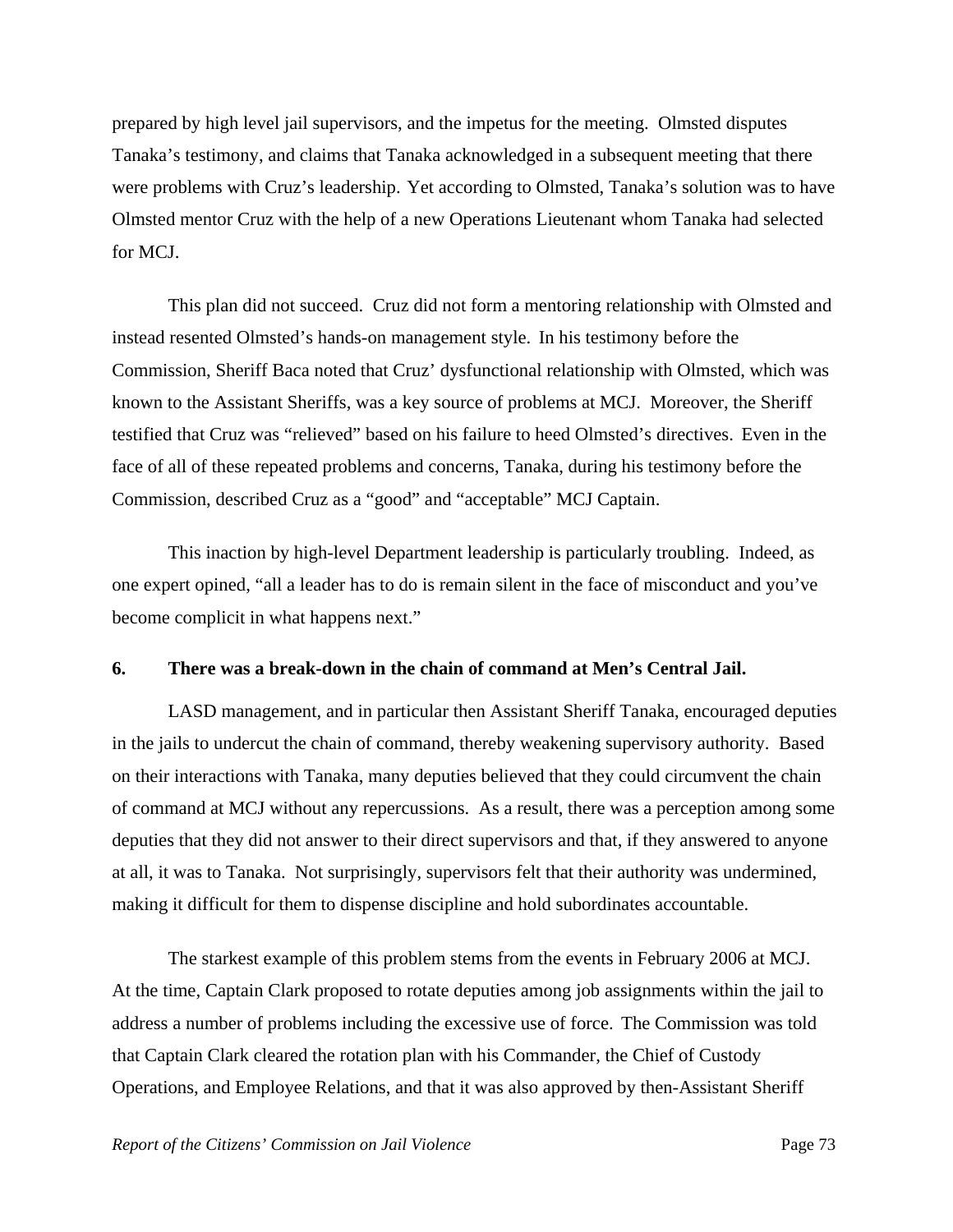prepared by high level jail supervisors, and the impetus for the meeting. Olmsted disputes Tanaka's testimony, and claims that Tanaka acknowledged in a subsequent meeting that there were problems with Cruz's leadership.Yet according to Olmsted, Tanaka's solution was to have Olmsted mentor Cruz with the help of a new Operations Lieutenant whom Tanaka had selected for MCJ.

 This plan did not succeed. Cruz did not form a mentoring relationship with Olmsted and instead resented Olmsted's hands-on management style. In his testimony before the Commission, Sheriff Baca noted that Cruz' dysfunctional relationship with Olmsted, which was known to the Assistant Sheriffs, was a key source of problems at MCJ. Moreover, the Sheriff testified that Cruz was "relieved" based on his failure to heed Olmsted's directives. Even in the face of all of these repeated problems and concerns, Tanaka, during his testimony before the Commission, described Cruz as a "good" and "acceptable" MCJ Captain.

 This inaction by high-level Department leadership is particularly troubling. Indeed, as one expert opined, "all a leader has to do is remain silent in the face of misconduct and you've become complicit in what happens next."

#### **6. There was a break-down in the chain of command at Men's Central Jail.**

 LASD management, and in particular then Assistant Sheriff Tanaka, encouraged deputies in the jails to undercut the chain of command, thereby weakening supervisory authority. Based on their interactions with Tanaka, many deputies believed that they could circumvent the chain of command at MCJ without any repercussions. As a result, there was a perception among some deputies that they did not answer to their direct supervisors and that, if they answered to anyone at all, it was to Tanaka. Not surprisingly, supervisors felt that their authority was undermined, making it difficult for them to dispense discipline and hold subordinates accountable.

 The starkest example of this problem stems from the events in February 2006 at MCJ. At the time, Captain Clark proposed to rotate deputies among job assignments within the jail to address a number of problems including the excessive use of force. The Commission was told that Captain Clark cleared the rotation plan with his Commander, the Chief of Custody Operations, and Employee Relations, and that it was also approved by then-Assistant Sheriff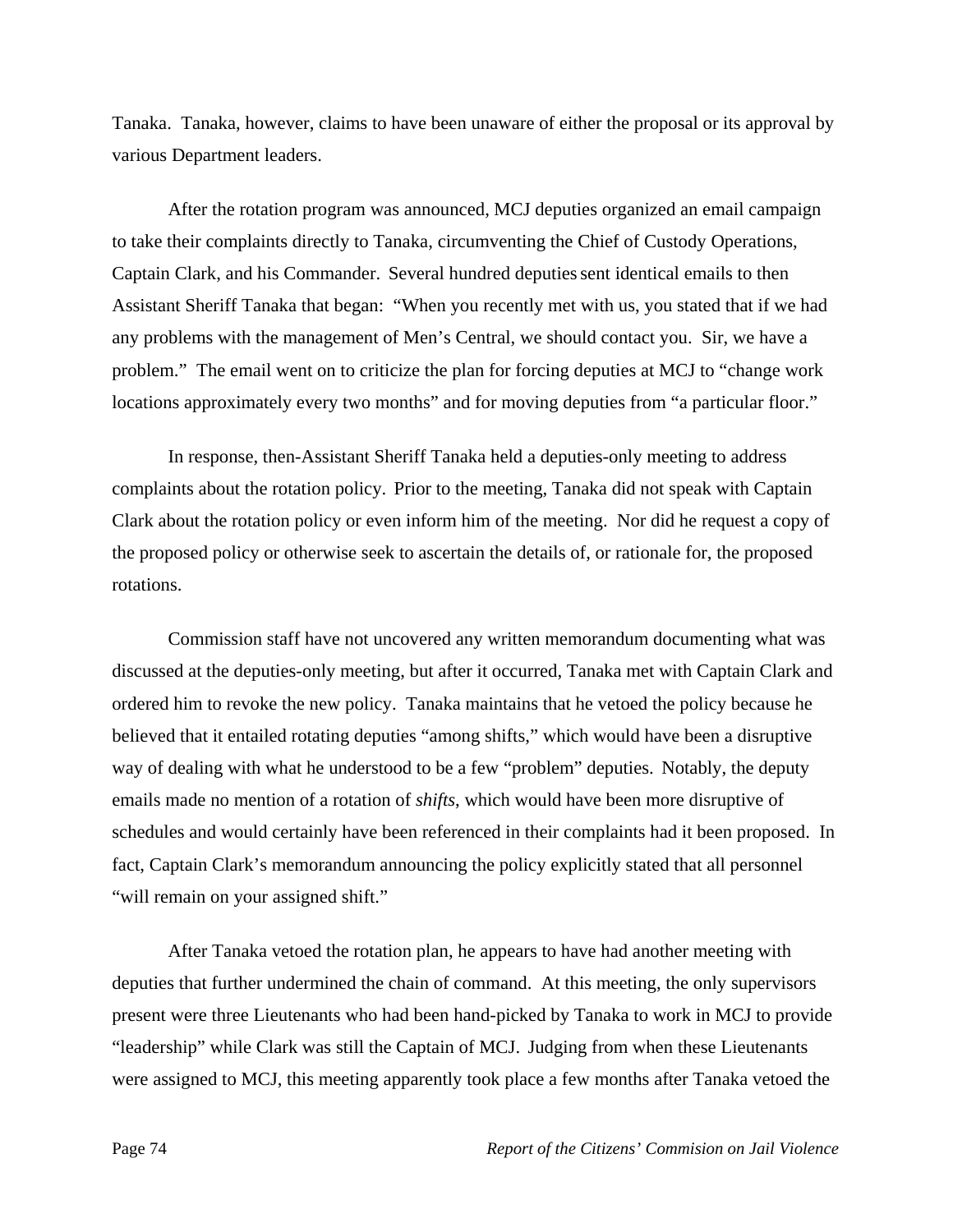Tanaka. Tanaka, however, claims to have been unaware of either the proposal or its approval by various Department leaders.

 After the rotation program was announced, MCJ deputies organized an email campaign to take their complaints directly to Tanaka, circumventing the Chief of Custody Operations, Captain Clark, and his Commander. Several hundred deputies sent identical emails to then Assistant Sheriff Tanaka that began: "When you recently met with us, you stated that if we had any problems with the management of Men's Central, we should contact you. Sir, we have a problem." The email went on to criticize the plan for forcing deputies at MCJ to "change work locations approximately every two months" and for moving deputies from "a particular floor."

 In response, then-Assistant Sheriff Tanaka held a deputies-only meeting to address complaints about the rotation policy. Prior to the meeting, Tanaka did not speak with Captain Clark about the rotation policy or even inform him of the meeting. Nor did he request a copy of the proposed policy or otherwise seek to ascertain the details of, or rationale for, the proposed rotations.

 Commission staff have not uncovered any written memorandum documenting what was discussed at the deputies-only meeting, but after it occurred, Tanaka met with Captain Clark and ordered him to revoke the new policy. Tanaka maintains that he vetoed the policy because he believed that it entailed rotating deputies "among shifts," which would have been a disruptive way of dealing with what he understood to be a few "problem" deputies. Notably, the deputy emails made no mention of a rotation of *shifts*, which would have been more disruptive of schedules and would certainly have been referenced in their complaints had it been proposed. In fact, Captain Clark's memorandum announcing the policy explicitly stated that all personnel "will remain on your assigned shift."

 After Tanaka vetoed the rotation plan, he appears to have had another meeting with deputies that further undermined the chain of command. At this meeting, the only supervisors present were three Lieutenants who had been hand-picked by Tanaka to work in MCJ to provide "leadership" while Clark was still the Captain of MCJ. Judging from when these Lieutenants were assigned to MCJ, this meeting apparently took place a few months after Tanaka vetoed the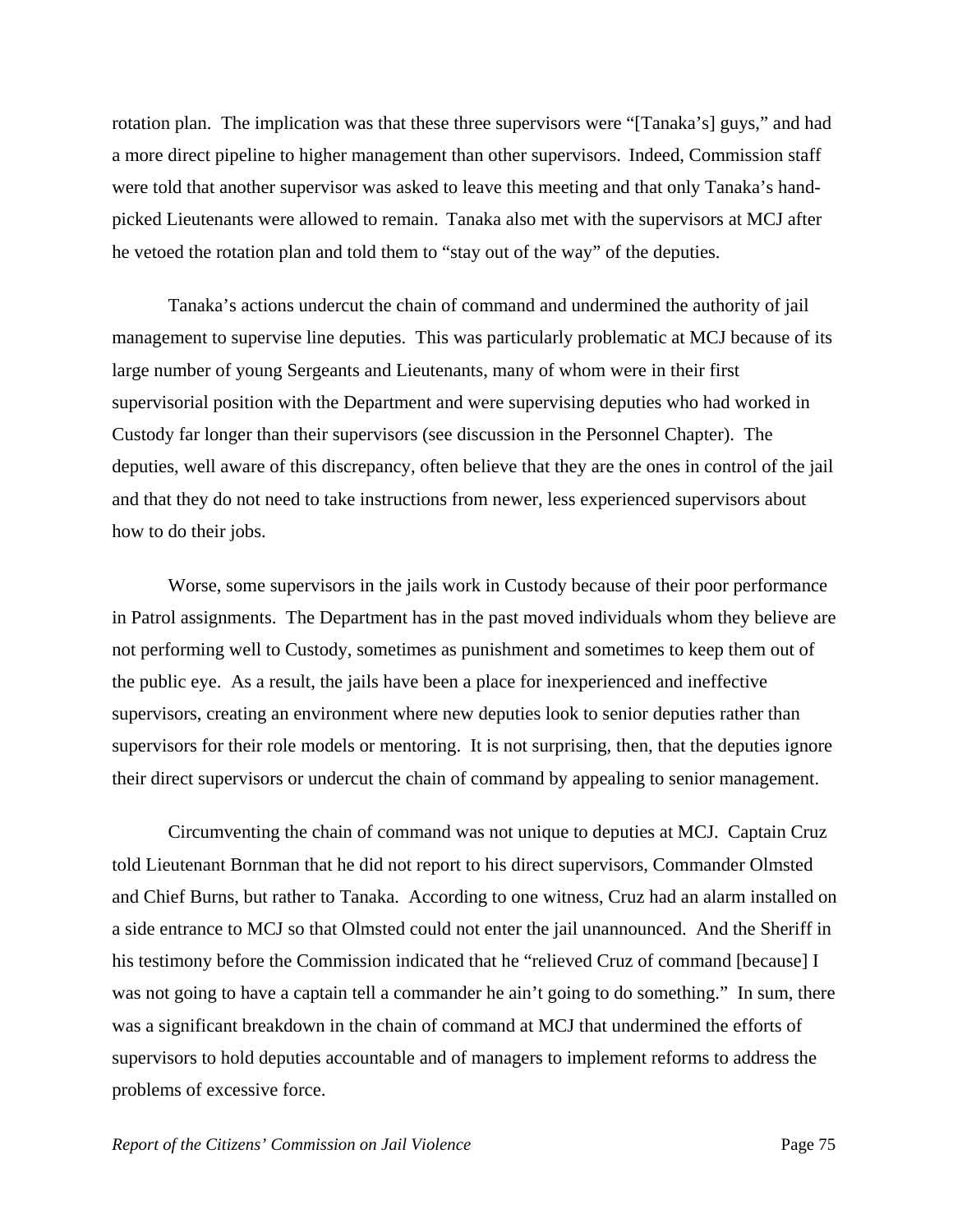rotation plan. The implication was that these three supervisors were "[Tanaka's] guys," and had a more direct pipeline to higher management than other supervisors. Indeed, Commission staff were told that another supervisor was asked to leave this meeting and that only Tanaka's handpicked Lieutenants were allowed to remain. Tanaka also met with the supervisors at MCJ after he vetoed the rotation plan and told them to "stay out of the way" of the deputies.

 Tanaka's actions undercut the chain of command and undermined the authority of jail management to supervise line deputies. This was particularly problematic at MCJ because of its large number of young Sergeants and Lieutenants, many of whom were in their first supervisorial position with the Department and were supervising deputies who had worked in Custody far longer than their supervisors (see discussion in the Personnel Chapter). The deputies, well aware of this discrepancy, often believe that they are the ones in control of the jail and that they do not need to take instructions from newer, less experienced supervisors about how to do their jobs.

 Worse, some supervisors in the jails work in Custody because of their poor performance in Patrol assignments. The Department has in the past moved individuals whom they believe are not performing well to Custody, sometimes as punishment and sometimes to keep them out of the public eye. As a result, the jails have been a place for inexperienced and ineffective supervisors, creating an environment where new deputies look to senior deputies rather than supervisors for their role models or mentoring. It is not surprising, then, that the deputies ignore their direct supervisors or undercut the chain of command by appealing to senior management.

 Circumventing the chain of command was not unique to deputies at MCJ. Captain Cruz told Lieutenant Bornman that he did not report to his direct supervisors, Commander Olmsted and Chief Burns, but rather to Tanaka. According to one witness, Cruz had an alarm installed on a side entrance to MCJ so that Olmsted could not enter the jail unannounced. And the Sheriff in his testimony before the Commission indicated that he "relieved Cruz of command [because] I was not going to have a captain tell a commander he ain't going to do something." In sum, there was a significant breakdown in the chain of command at MCJ that undermined the efforts of supervisors to hold deputies accountable and of managers to implement reforms to address the problems of excessive force.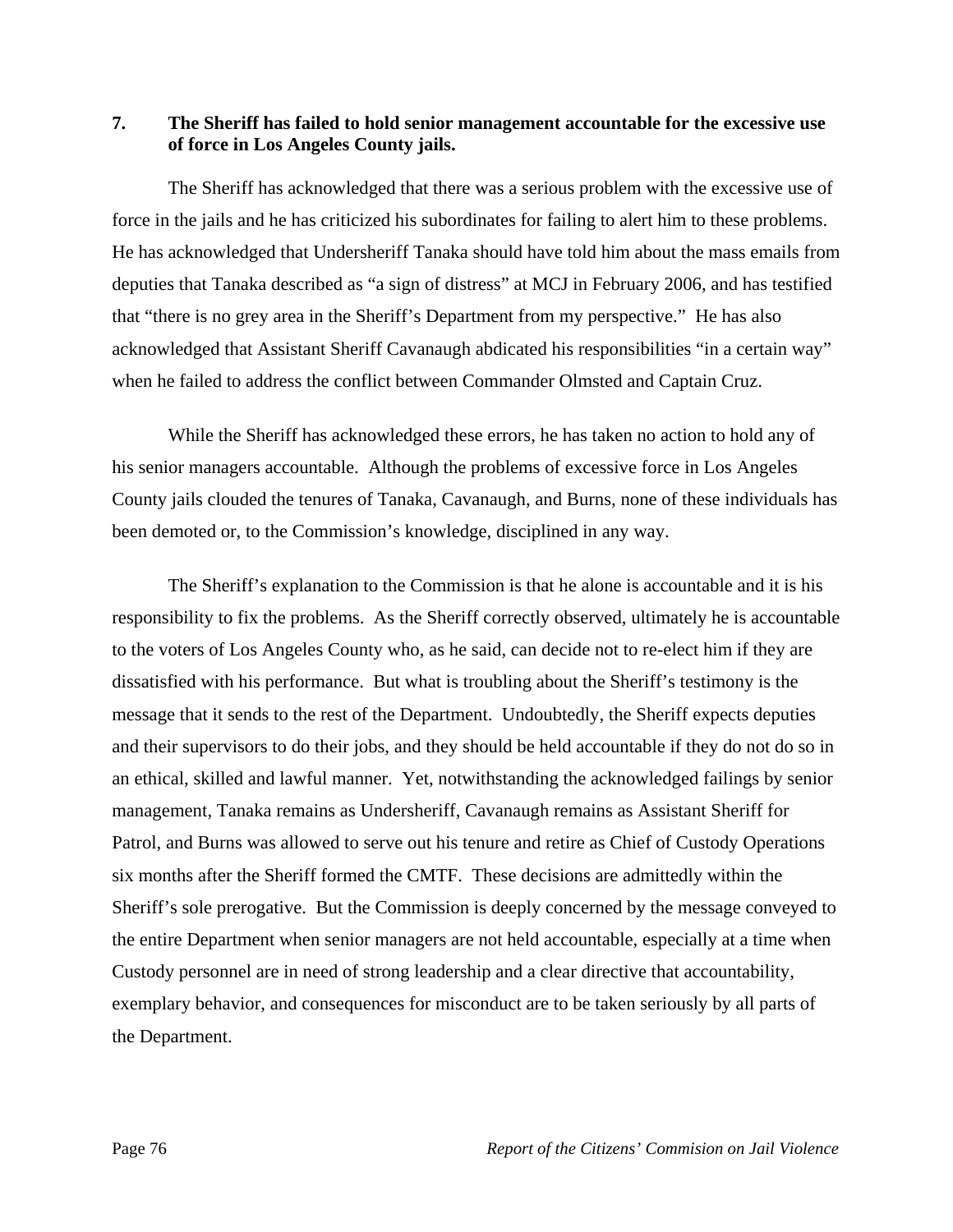## **7. The Sheriff has failed to hold senior management accountable for the excessive use of force in Los Angeles County jails.**

 The Sheriff has acknowledged that there was a serious problem with the excessive use of force in the jails and he has criticized his subordinates for failing to alert him to these problems. He has acknowledged that Undersheriff Tanaka should have told him about the mass emails from deputies that Tanaka described as "a sign of distress" at MCJ in February 2006, and has testified that "there is no grey area in the Sheriff's Department from my perspective." He has also acknowledged that Assistant Sheriff Cavanaugh abdicated his responsibilities "in a certain way" when he failed to address the conflict between Commander Olmsted and Captain Cruz.

 While the Sheriff has acknowledged these errors, he has taken no action to hold any of his senior managers accountable. Although the problems of excessive force in Los Angeles County jails clouded the tenures of Tanaka, Cavanaugh, and Burns, none of these individuals has been demoted or, to the Commission's knowledge, disciplined in any way.

 The Sheriff's explanation to the Commission is that he alone is accountable and it is his responsibility to fix the problems. As the Sheriff correctly observed, ultimately he is accountable to the voters of Los Angeles County who, as he said, can decide not to re-elect him if they are dissatisfied with his performance. But what is troubling about the Sheriff's testimony is the message that it sends to the rest of the Department. Undoubtedly, the Sheriff expects deputies and their supervisors to do their jobs, and they should be held accountable if they do not do so in an ethical, skilled and lawful manner. Yet, notwithstanding the acknowledged failings by senior management, Tanaka remains as Undersheriff, Cavanaugh remains as Assistant Sheriff for Patrol, and Burns was allowed to serve out his tenure and retire as Chief of Custody Operations six months after the Sheriff formed the CMTF. These decisions are admittedly within the Sheriff's sole prerogative. But the Commission is deeply concerned by the message conveyed to the entire Department when senior managers are not held accountable, especially at a time when Custody personnel are in need of strong leadership and a clear directive that accountability, exemplary behavior, and consequences for misconduct are to be taken seriously by all parts of the Department.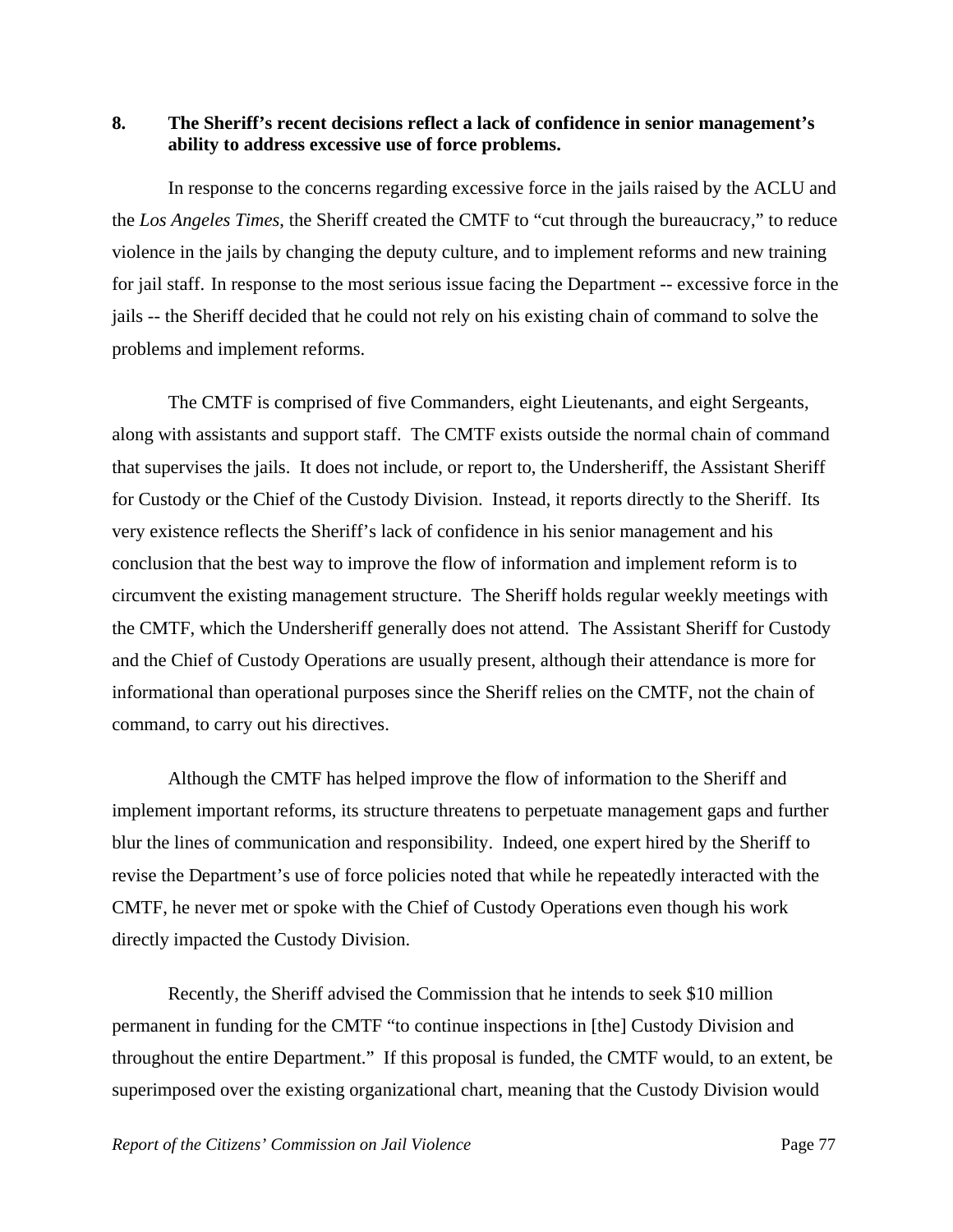## **8. The Sheriff's recent decisions reflect a lack of confidence in senior management's ability to address excessive use of force problems.**

 In response to the concerns regarding excessive force in the jails raised by the ACLU and the *Los Angeles Times*, the Sheriff created the CMTF to "cut through the bureaucracy," to reduce violence in the jails by changing the deputy culture, and to implement reforms and new training for jail staff.In response to the most serious issue facing the Department -- excessive force in the jails -- the Sheriff decided that he could not rely on his existing chain of command to solve the problems and implement reforms.

 The CMTF is comprised of five Commanders, eight Lieutenants, and eight Sergeants, along with assistants and support staff. The CMTF exists outside the normal chain of command that supervises the jails. It does not include, or report to, the Undersheriff, the Assistant Sheriff for Custody or the Chief of the Custody Division. Instead, it reports directly to the Sheriff. Its very existence reflects the Sheriff's lack of confidence in his senior management and his conclusion that the best way to improve the flow of information and implement reform is to circumvent the existing management structure. The Sheriff holds regular weekly meetings with the CMTF, which the Undersheriff generally does not attend. The Assistant Sheriff for Custody and the Chief of Custody Operations are usually present, although their attendance is more for informational than operational purposes since the Sheriff relies on the CMTF, not the chain of command, to carry out his directives.

 Although the CMTF has helped improve the flow of information to the Sheriff and implement important reforms, its structure threatens to perpetuate management gaps and further blur the lines of communication and responsibility. Indeed, one expert hired by the Sheriff to revise the Department's use of force policies noted that while he repeatedly interacted with the CMTF, he never met or spoke with the Chief of Custody Operations even though his work directly impacted the Custody Division.

 Recently, the Sheriff advised the Commission that he intends to seek \$10 million permanent in funding for the CMTF "to continue inspections in [the] Custody Division and throughout the entire Department." If this proposal is funded, the CMTF would, to an extent, be superimposed over the existing organizational chart, meaning that the Custody Division would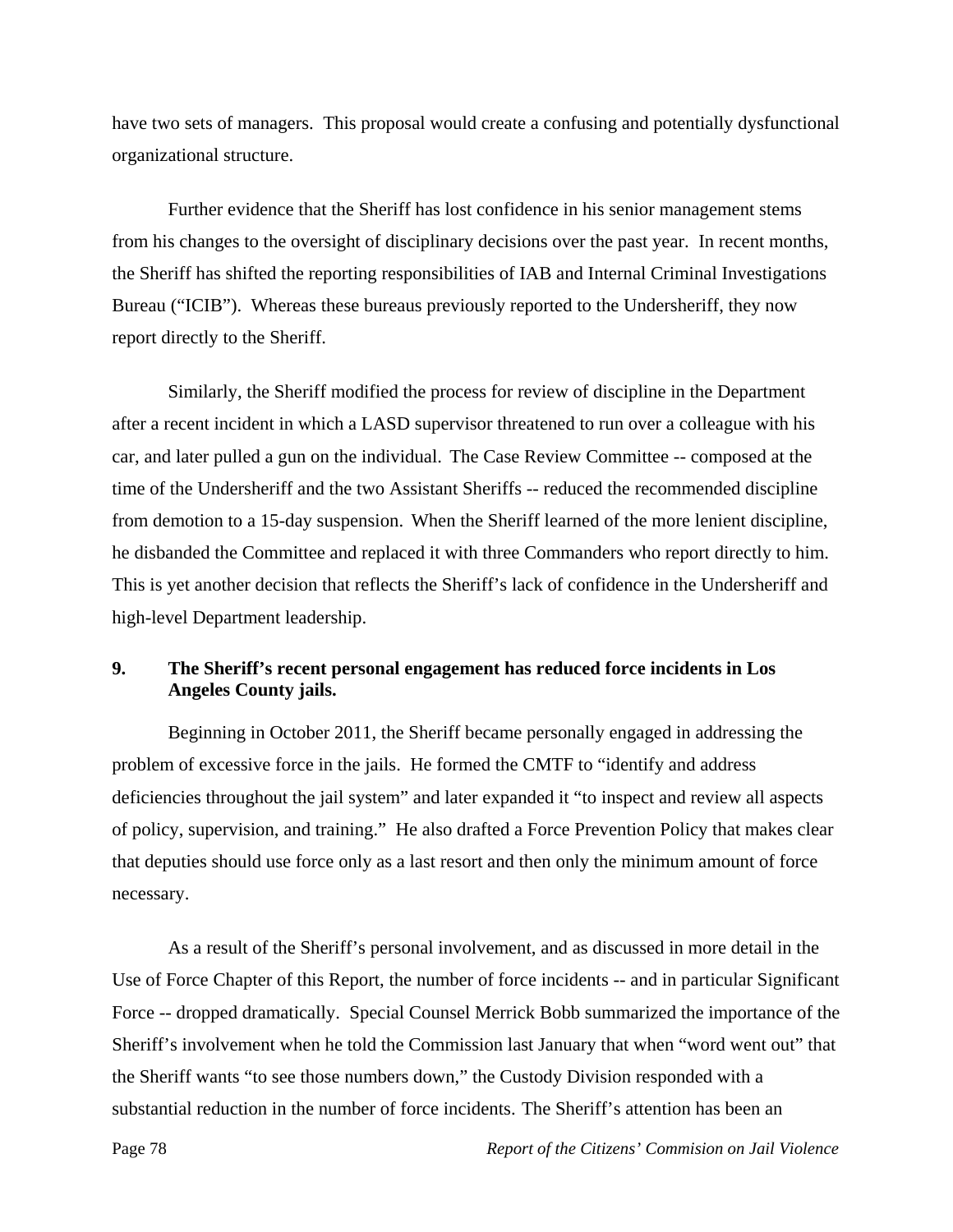have two sets of managers. This proposal would create a confusing and potentially dysfunctional organizational structure.

 Further evidence that the Sheriff has lost confidence in his senior management stems from his changes to the oversight of disciplinary decisions over the past year. In recent months, the Sheriff has shifted the reporting responsibilities of IAB and Internal Criminal Investigations Bureau ("ICIB"). Whereas these bureaus previously reported to the Undersheriff, they now report directly to the Sheriff.

 Similarly, the Sheriff modified the process for review of discipline in the Department after a recent incident in which a LASD supervisor threatened to run over a colleague with his car, and later pulled a gun on the individual. The Case Review Committee -- composed at the time of the Undersheriff and the two Assistant Sheriffs -- reduced the recommended discipline from demotion to a 15-day suspension. When the Sheriff learned of the more lenient discipline, he disbanded the Committee and replaced it with three Commanders who report directly to him. This is yet another decision that reflects the Sheriff's lack of confidence in the Undersheriff and high-level Department leadership.

# **9. The Sheriff's recent personal engagement has reduced force incidents in Los Angeles County jails.**

 Beginning in October 2011, the Sheriff became personally engaged in addressing the problem of excessive force in the jails. He formed the CMTF to "identify and address deficiencies throughout the jail system" and later expanded it "to inspect and review all aspects of policy, supervision, and training." He also drafted a Force Prevention Policy that makes clear that deputies should use force only as a last resort and then only the minimum amount of force necessary.

 As a result of the Sheriff's personal involvement, and as discussed in more detail in the Use of Force Chapter of this Report, the number of force incidents -- and in particular Significant Force -- dropped dramatically. Special Counsel Merrick Bobb summarized the importance of the Sheriff's involvement when he told the Commission last January that when "word went out" that the Sheriff wants "to see those numbers down," the Custody Division responded with a substantial reduction in the number of force incidents. The Sheriff's attention has been an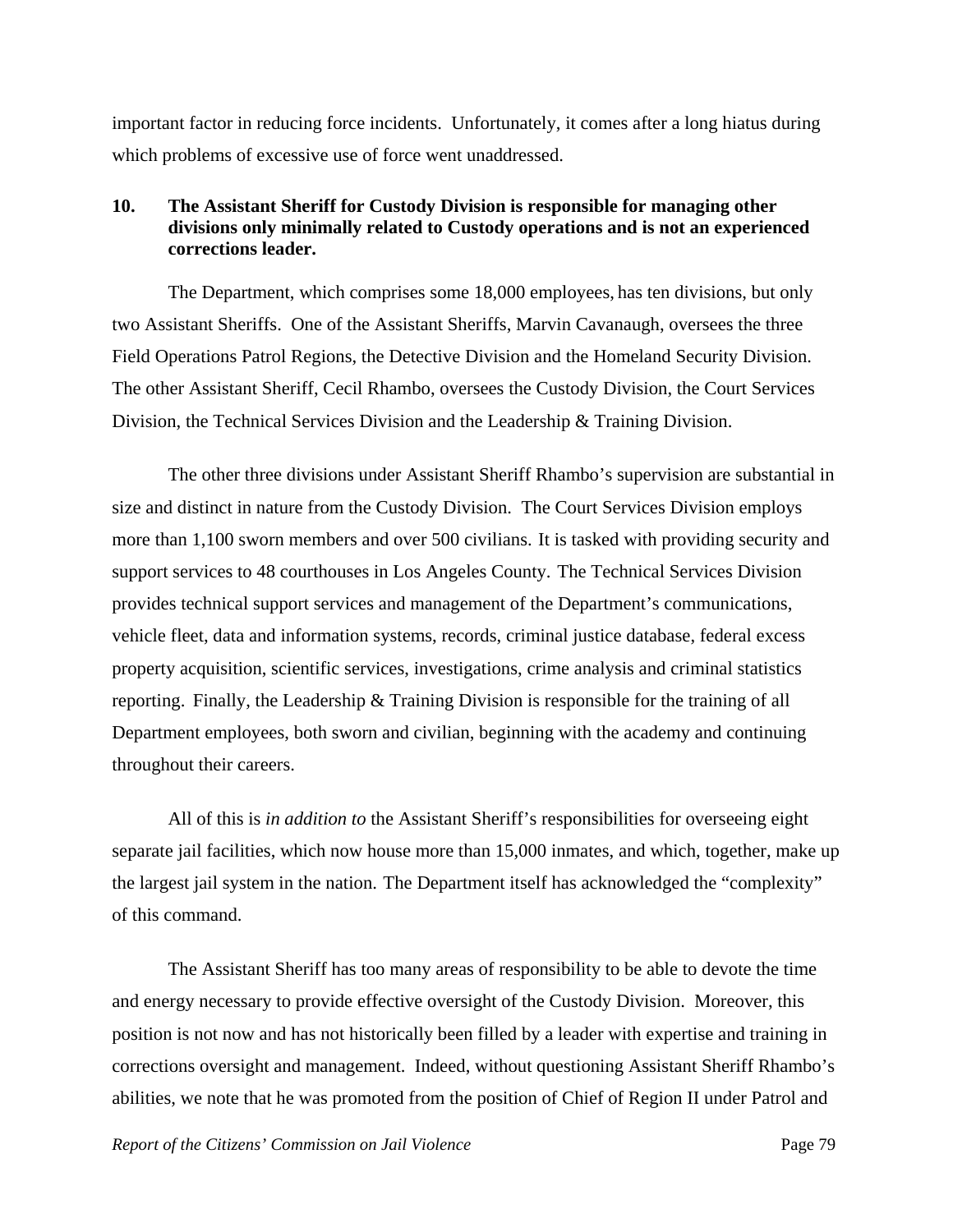important factor in reducing force incidents. Unfortunately, it comes after a long hiatus during which problems of excessive use of force went unaddressed.

## **10. The Assistant Sheriff for Custody Division is responsible for managing other divisions only minimally related to Custody operations and is not an experienced corrections leader.**

 The Department, which comprises some 18,000 employees, has ten divisions, but only two Assistant Sheriffs. One of the Assistant Sheriffs, Marvin Cavanaugh, oversees the three Field Operations Patrol Regions, the Detective Division and the Homeland Security Division. The other Assistant Sheriff, Cecil Rhambo, oversees the Custody Division, the Court Services Division, the Technical Services Division and the Leadership & Training Division.

 The other three divisions under Assistant Sheriff Rhambo's supervision are substantial in size and distinct in nature from the Custody Division. The Court Services Division employs more than 1,100 sworn members and over 500 civilians. It is tasked with providing security and support services to 48 courthouses in Los Angeles County. The Technical Services Division provides technical support services and management of the Department's communications, vehicle fleet, data and information systems, records, criminal justice database, federal excess property acquisition, scientific services, investigations, crime analysis and criminal statistics reporting. Finally, the Leadership & Training Division is responsible for the training of all Department employees, both sworn and civilian, beginning with the academy and continuing throughout their careers.

 All of this is *in addition to* the Assistant Sheriff's responsibilities for overseeing eight separate jail facilities, which now house more than 15,000 inmates, and which, together, make up the largest jail system in the nation. The Department itself has acknowledged the "complexity" of this command.

 The Assistant Sheriff has too many areas of responsibility to be able to devote the time and energy necessary to provide effective oversight of the Custody Division. Moreover, this position is not now and has not historically been filled by a leader with expertise and training in corrections oversight and management. Indeed, without questioning Assistant Sheriff Rhambo's abilities, we note that he was promoted from the position of Chief of Region II under Patrol and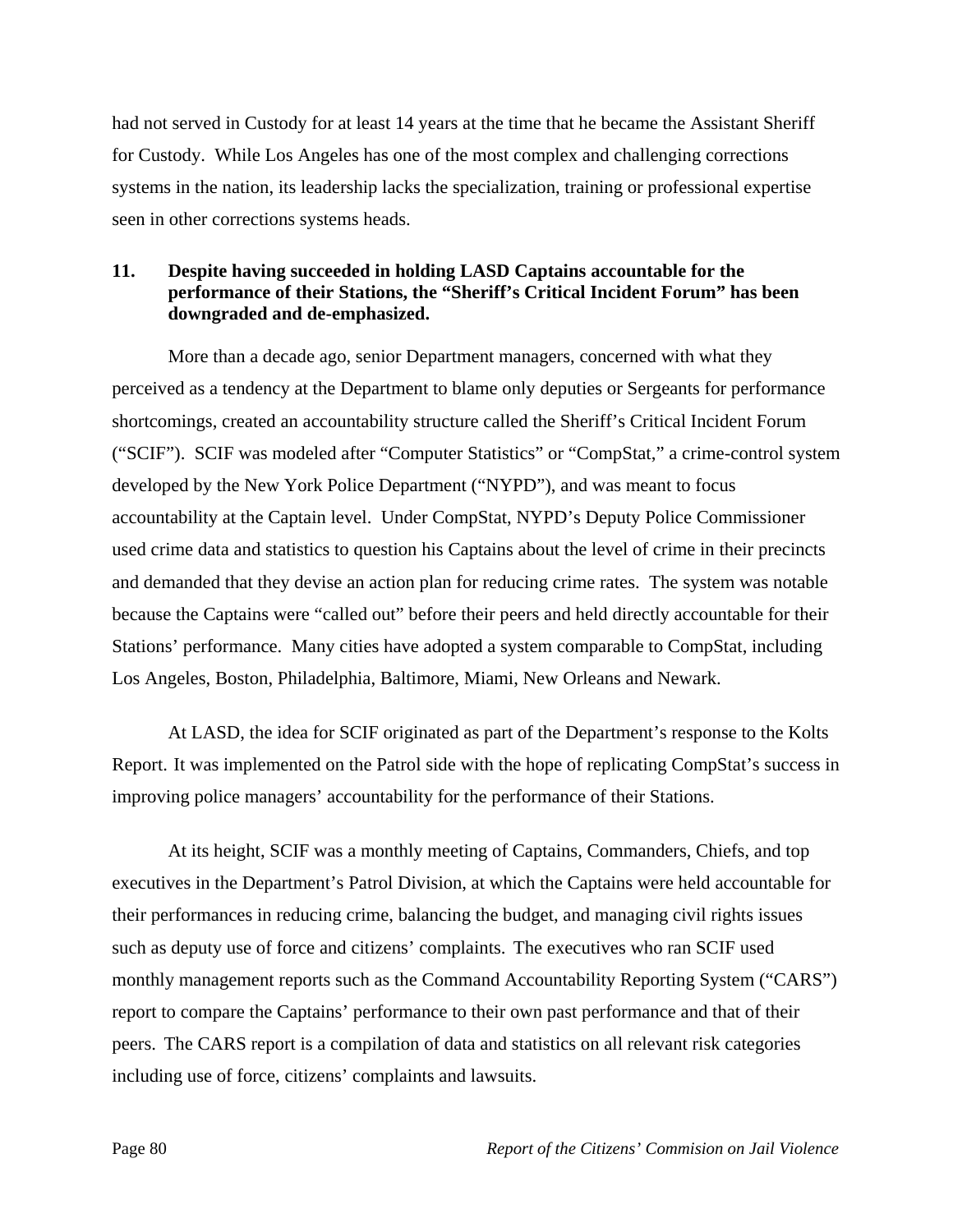had not served in Custody for at least 14 years at the time that he became the Assistant Sheriff for Custody. While Los Angeles has one of the most complex and challenging corrections systems in the nation, its leadership lacks the specialization, training or professional expertise seen in other corrections systems heads.

## **11. Despite having succeeded in holding LASD Captains accountable for the performance of their Stations, the "Sheriff's Critical Incident Forum" has been downgraded and de-emphasized.**

 More than a decade ago, senior Department managers, concerned with what they perceived as a tendency at the Department to blame only deputies or Sergeants for performance shortcomings, created an accountability structure called the Sheriff's Critical Incident Forum ("SCIF"). SCIF was modeled after "Computer Statistics" or "CompStat," a crime-control system developed by the New York Police Department ("NYPD"), and was meant to focus accountability at the Captain level. Under CompStat, NYPD's Deputy Police Commissioner used crime data and statistics to question his Captains about the level of crime in their precincts and demanded that they devise an action plan for reducing crime rates. The system was notable because the Captains were "called out" before their peers and held directly accountable for their Stations' performance. Many cities have adopted a system comparable to CompStat, including Los Angeles, Boston, Philadelphia, Baltimore, Miami, New Orleans and Newark.

 At LASD, the idea for SCIF originated as part of the Department's response to the Kolts Report. It was implemented on the Patrol side with the hope of replicating CompStat's success in improving police managers' accountability for the performance of their Stations.

 At its height, SCIF was a monthly meeting of Captains, Commanders, Chiefs, and top executives in the Department's Patrol Division, at which the Captains were held accountable for their performances in reducing crime, balancing the budget, and managing civil rights issues such as deputy use of force and citizens' complaints. The executives who ran SCIF used monthly management reports such as the Command Accountability Reporting System ("CARS") report to compare the Captains' performance to their own past performance and that of their peers. The CARS report is a compilation of data and statistics on all relevant risk categories including use of force, citizens' complaints and lawsuits.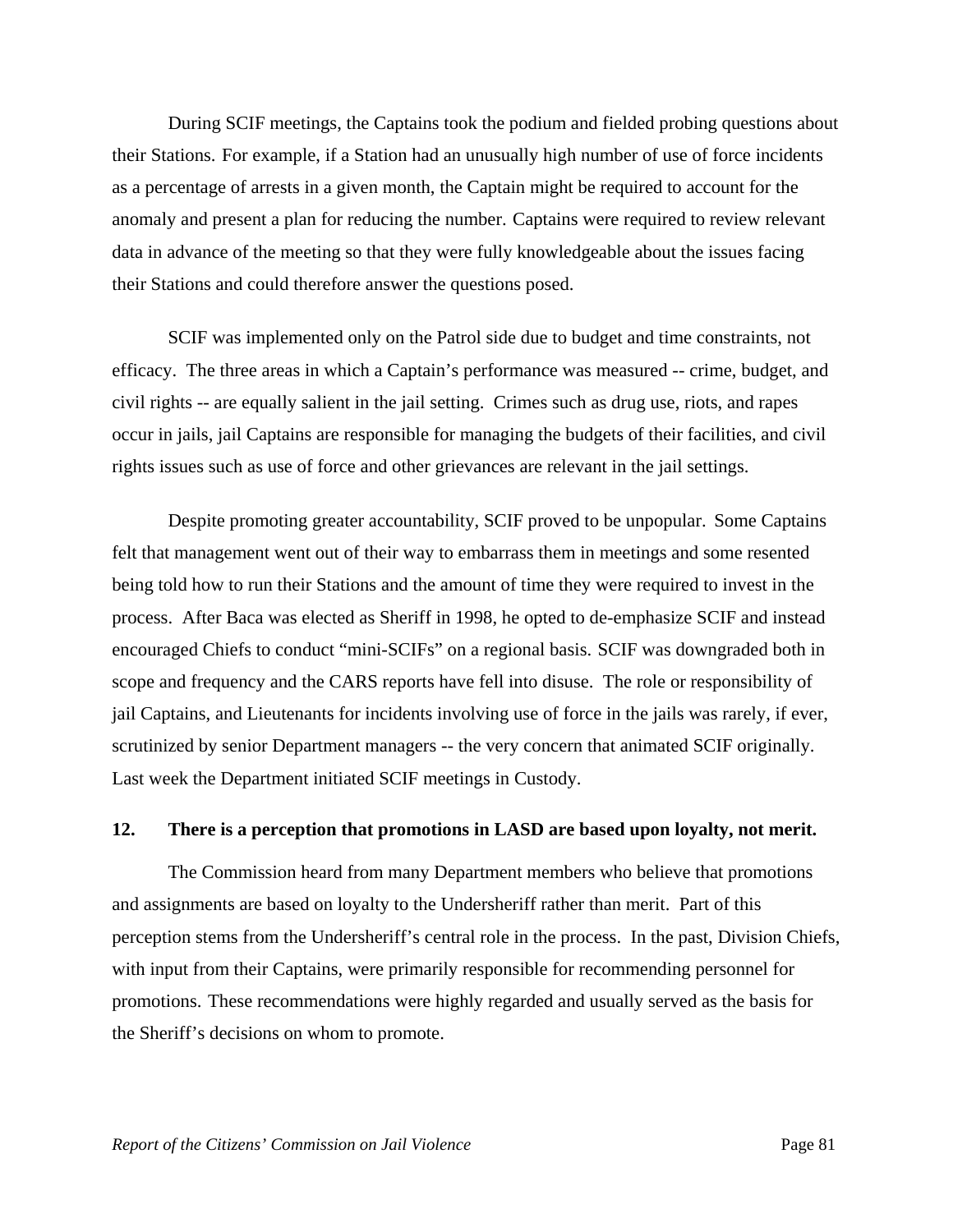During SCIF meetings, the Captains took the podium and fielded probing questions about their Stations. For example, if a Station had an unusually high number of use of force incidents as a percentage of arrests in a given month, the Captain might be required to account for the anomaly and present a plan for reducing the number. Captains were required to review relevant data in advance of the meeting so that they were fully knowledgeable about the issues facing their Stations and could therefore answer the questions posed.

 SCIF was implemented only on the Patrol side due to budget and time constraints, not efficacy. The three areas in which a Captain's performance was measured -- crime, budget, and civil rights -- are equally salient in the jail setting. Crimes such as drug use, riots, and rapes occur in jails, jail Captains are responsible for managing the budgets of their facilities, and civil rights issues such as use of force and other grievances are relevant in the jail settings.

 Despite promoting greater accountability, SCIF proved to be unpopular. Some Captains felt that management went out of their way to embarrass them in meetings and some resented being told how to run their Stations and the amount of time they were required to invest in the process. After Baca was elected as Sheriff in 1998, he opted to de-emphasize SCIF and instead encouraged Chiefs to conduct "mini-SCIFs" on a regional basis. SCIF was downgraded both in scope and frequency and the CARS reports have fell into disuse. The role or responsibility of jail Captains, and Lieutenants for incidents involving use of force in the jails was rarely, if ever, scrutinized by senior Department managers -- the very concern that animated SCIF originally. Last week the Department initiated SCIF meetings in Custody.

#### **12. There is a perception that promotions in LASD are based upon loyalty, not merit.**

 The Commission heard from many Department members who believe that promotions and assignments are based on loyalty to the Undersheriff rather than merit. Part of this perception stems from the Undersheriff's central role in the process. In the past, Division Chiefs, with input from their Captains, were primarily responsible for recommending personnel for promotions. These recommendations were highly regarded and usually served as the basis for the Sheriff's decisions on whom to promote.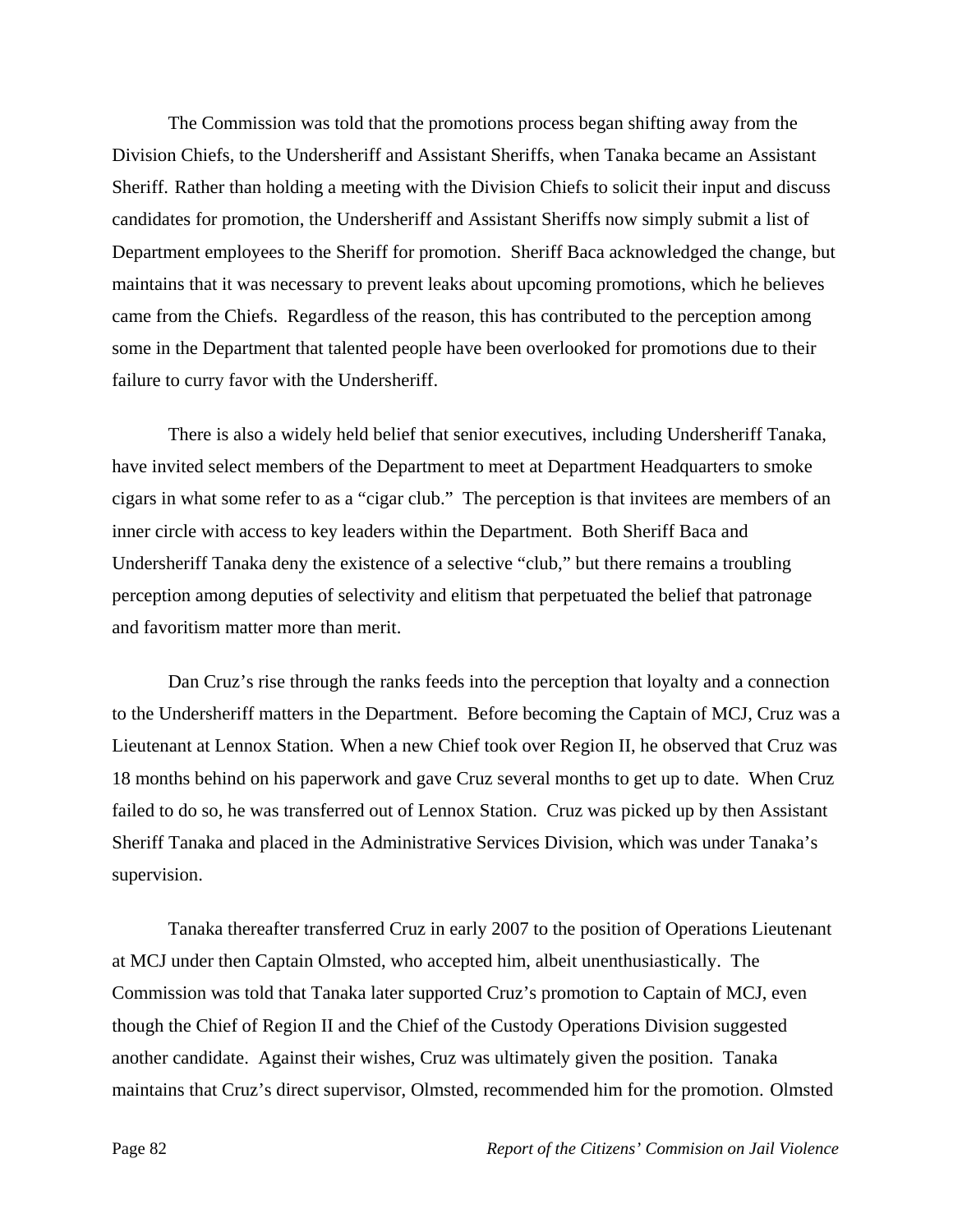The Commission was told that the promotions process began shifting away from the Division Chiefs, to the Undersheriff and Assistant Sheriffs, when Tanaka became an Assistant Sheriff. Rather than holding a meeting with the Division Chiefs to solicit their input and discuss candidates for promotion, the Undersheriff and Assistant Sheriffs now simply submit a list of Department employees to the Sheriff for promotion. Sheriff Baca acknowledged the change, but maintains that it was necessary to prevent leaks about upcoming promotions, which he believes came from the Chiefs. Regardless of the reason, this has contributed to the perception among some in the Department that talented people have been overlooked for promotions due to their failure to curry favor with the Undersheriff.

 There is also a widely held belief that senior executives, including Undersheriff Tanaka, have invited select members of the Department to meet at Department Headquarters to smoke cigars in what some refer to as a "cigar club." The perception is that invitees are members of an inner circle with access to key leaders within the Department. Both Sheriff Baca and Undersheriff Tanaka deny the existence of a selective "club," but there remains a troubling perception among deputies of selectivity and elitism that perpetuated the belief that patronage and favoritism matter more than merit.

 Dan Cruz's rise through the ranks feeds into the perception that loyalty and a connection to the Undersheriff matters in the Department. Before becoming the Captain of MCJ, Cruz was a Lieutenant at Lennox Station. When a new Chief took over Region II, he observed that Cruz was 18 months behind on his paperwork and gave Cruz several months to get up to date. When Cruz failed to do so, he was transferred out of Lennox Station. Cruz was picked up by then Assistant Sheriff Tanaka and placed in the Administrative Services Division, which was under Tanaka's supervision.

 Tanaka thereafter transferred Cruz in early 2007 to the position of Operations Lieutenant at MCJ under then Captain Olmsted, who accepted him, albeit unenthusiastically. The Commission was told that Tanaka later supported Cruz's promotion to Captain of MCJ, even though the Chief of Region II and the Chief of the Custody Operations Division suggested another candidate. Against their wishes, Cruz was ultimately given the position. Tanaka maintains that Cruz's direct supervisor, Olmsted, recommended him for the promotion. Olmsted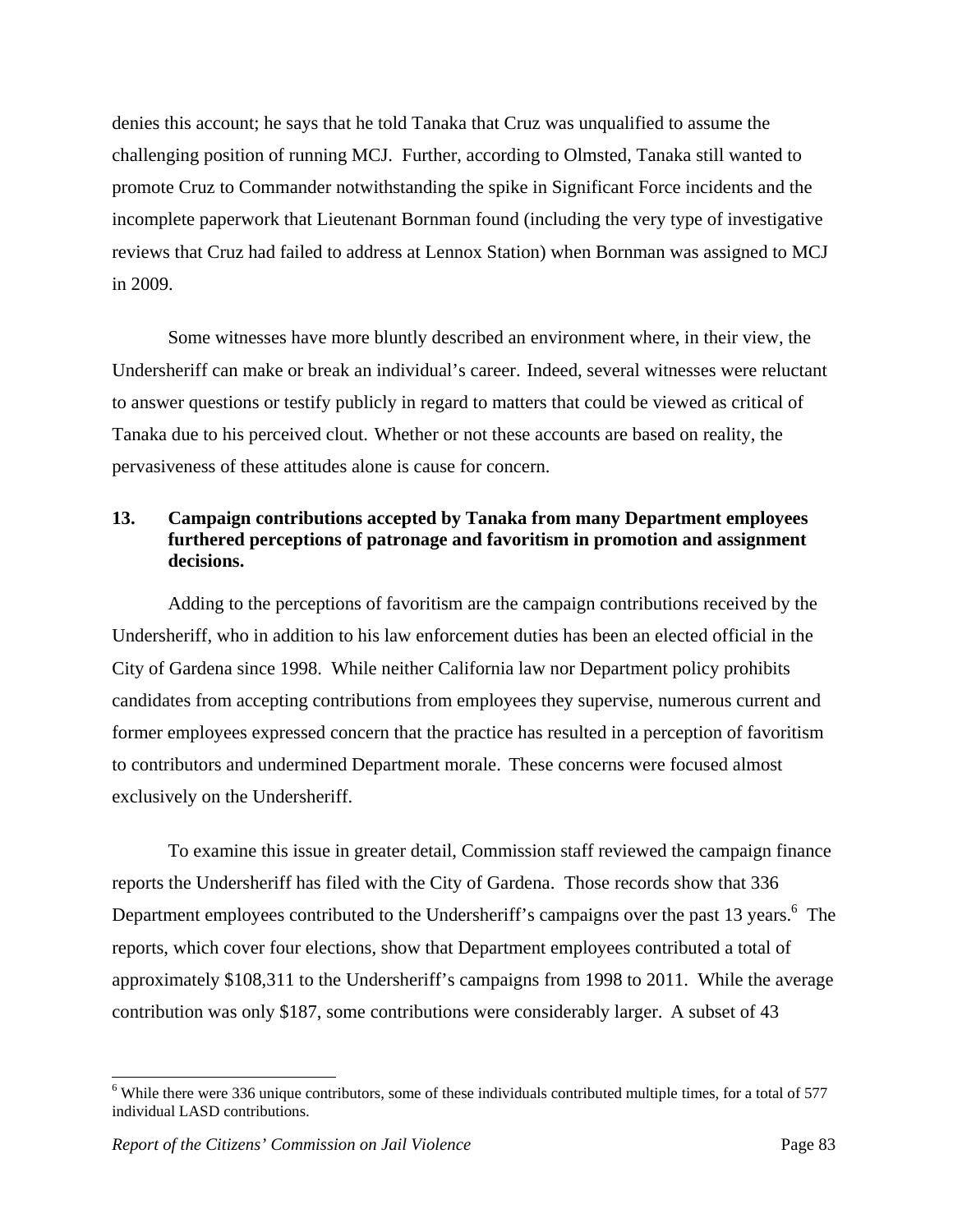denies this account; he says that he told Tanaka that Cruz was unqualified to assume the challenging position of running MCJ. Further, according to Olmsted, Tanaka still wanted to promote Cruz to Commander notwithstanding the spike in Significant Force incidents and the incomplete paperwork that Lieutenant Bornman found (including the very type of investigative reviews that Cruz had failed to address at Lennox Station) when Bornman was assigned to MCJ in 2009.

 Some witnesses have more bluntly described an environment where, in their view, the Undersheriff can make or break an individual's career. Indeed, several witnesses were reluctant to answer questions or testify publicly in regard to matters that could be viewed as critical of Tanaka due to his perceived clout. Whether or not these accounts are based on reality, the pervasiveness of these attitudes alone is cause for concern.

# **13. Campaign contributions accepted by Tanaka from many Department employees furthered perceptions of patronage and favoritism in promotion and assignment decisions.**

 Adding to the perceptions of favoritism are the campaign contributions received by the Undersheriff, who in addition to his law enforcement duties has been an elected official in the City of Gardena since 1998. While neither California law nor Department policy prohibits candidates from accepting contributions from employees they supervise, numerous current and former employees expressed concern that the practice has resulted in a perception of favoritism to contributors and undermined Department morale. These concerns were focused almost exclusively on the Undersheriff.

 To examine this issue in greater detail, Commission staff reviewed the campaign finance reports the Undersheriff has filed with the City of Gardena. Those records show that 336 Department employees contributed to the Undersheriff's campaigns over the past 13 years.<sup>6</sup> The reports, which cover four elections, show that Department employees contributed a total of approximately \$108,311 to the Undersheriff's campaigns from 1998 to 2011. While the average contribution was only \$187, some contributions were considerably larger. A subset of 43

 $6$  While there were 336 unique contributors, some of these individuals contributed multiple times, for a total of 577 individual LASD contributions.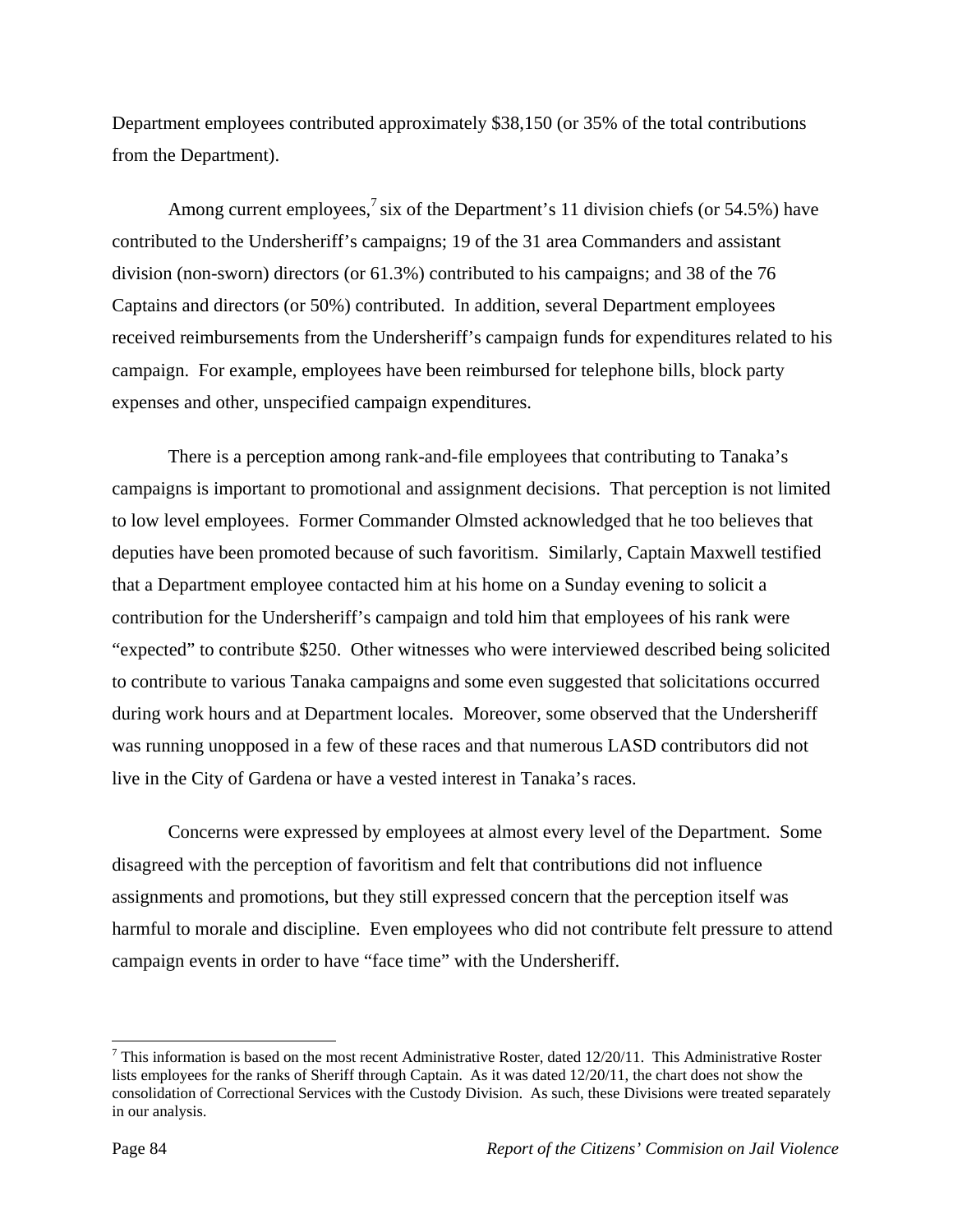Department employees contributed approximately \$38,150 (or 35% of the total contributions from the Department).

Among current employees,<sup>7</sup> six of the Department's 11 division chiefs (or 54.5%) have contributed to the Undersheriff's campaigns; 19 of the 31 area Commanders and assistant division (non-sworn) directors (or 61.3%) contributed to his campaigns; and 38 of the 76 Captains and directors (or 50%) contributed. In addition, several Department employees received reimbursements from the Undersheriff's campaign funds for expenditures related to his campaign. For example, employees have been reimbursed for telephone bills, block party expenses and other, unspecified campaign expenditures.

 There is a perception among rank-and-file employees that contributing to Tanaka's campaigns is important to promotional and assignment decisions. That perception is not limited to low level employees. Former Commander Olmsted acknowledged that he too believes that deputies have been promoted because of such favoritism. Similarly, Captain Maxwell testified that a Department employee contacted him at his home on a Sunday evening to solicit a contribution for the Undersheriff's campaign and told him that employees of his rank were "expected" to contribute \$250. Other witnesses who were interviewed described being solicited to contribute to various Tanaka campaigns and some even suggested that solicitations occurred during work hours and at Department locales. Moreover, some observed that the Undersheriff was running unopposed in a few of these races and that numerous LASD contributors did not live in the City of Gardena or have a vested interest in Tanaka's races.

 Concerns were expressed by employees at almost every level of the Department. Some disagreed with the perception of favoritism and felt that contributions did not influence assignments and promotions, but they still expressed concern that the perception itself was harmful to morale and discipline. Even employees who did not contribute felt pressure to attend campaign events in order to have "face time" with the Undersheriff.

<sup>&</sup>lt;sup>7</sup> This information is based on the most recent Administrative Roster, dated  $12/20/11$ . This Administrative Roster lists employees for the ranks of Sheriff through Captain. As it was dated 12/20/11, the chart does not show the consolidation of Correctional Services with the Custody Division. As such, these Divisions were treated separately in our analysis.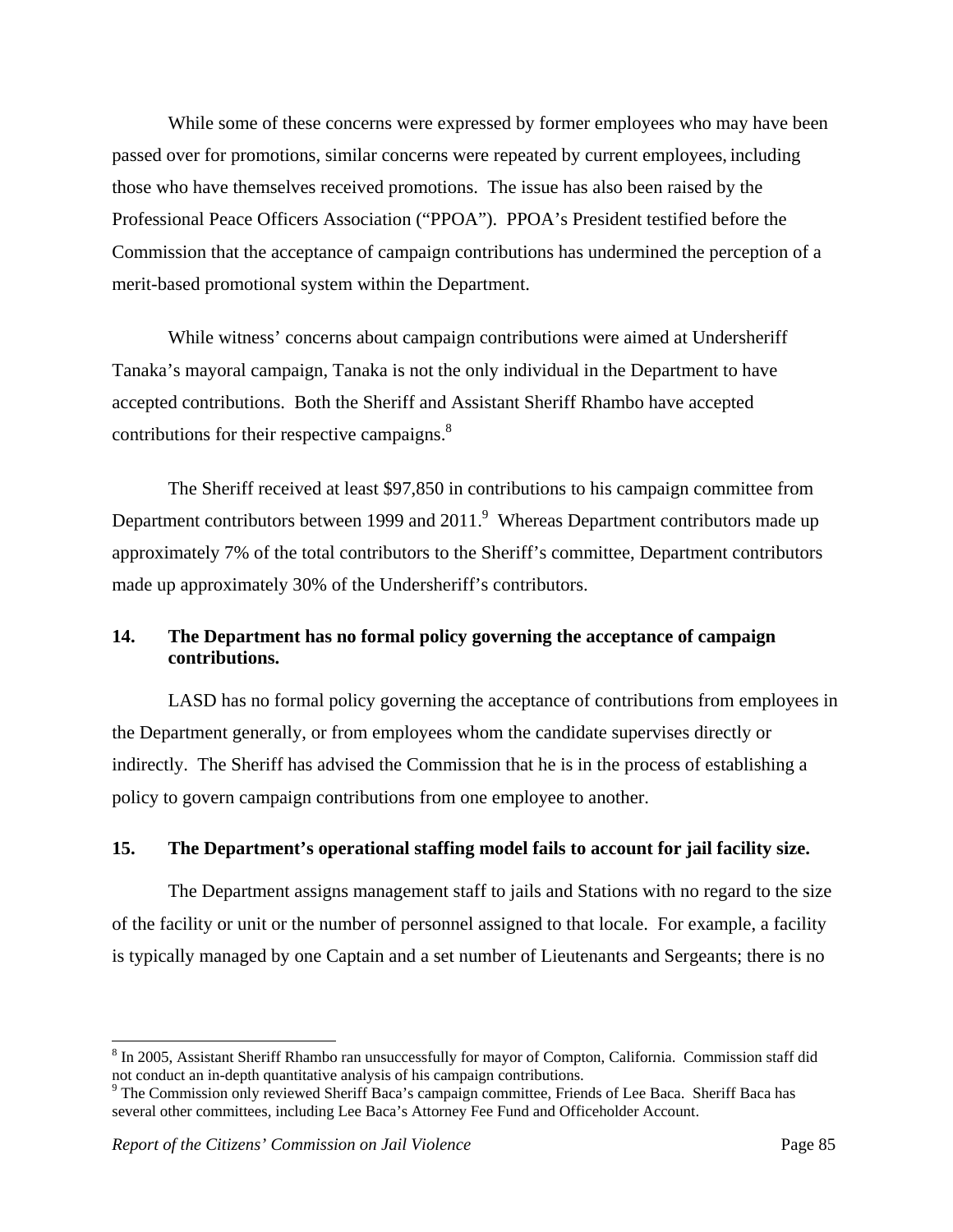While some of these concerns were expressed by former employees who may have been passed over for promotions, similar concerns were repeated by current employees, including those who have themselves received promotions. The issue has also been raised by the Professional Peace Officers Association ("PPOA"). PPOA's President testified before the Commission that the acceptance of campaign contributions has undermined the perception of a merit-based promotional system within the Department.

 While witness' concerns about campaign contributions were aimed at Undersheriff Tanaka's mayoral campaign, Tanaka is not the only individual in the Department to have accepted contributions. Both the Sheriff and Assistant Sheriff Rhambo have accepted contributions for their respective campaigns.<sup>8</sup>

 The Sheriff received at least \$97,850 in contributions to his campaign committee from Department contributors between 1999 and 2011.<sup>9</sup> Whereas Department contributors made up approximately 7% of the total contributors to the Sheriff's committee, Department contributors made up approximately 30% of the Undersheriff's contributors.

# **14. The Department has no formal policy governing the acceptance of campaign contributions.**

 LASD has no formal policy governing the acceptance of contributions from employees in the Department generally, or from employees whom the candidate supervises directly or indirectly. The Sheriff has advised the Commission that he is in the process of establishing a policy to govern campaign contributions from one employee to another.

#### **15. The Department's operational staffing model fails to account for jail facility size.**

 The Department assigns management staff to jails and Stations with no regard to the size of the facility or unit or the number of personnel assigned to that locale. For example, a facility is typically managed by one Captain and a set number of Lieutenants and Sergeants; there is no

<sup>&</sup>lt;sup>8</sup> In 2005, Assistant Sheriff Rhambo ran unsuccessfully for mayor of Compton, California. Commission staff did not conduct an in-depth quantitative analysis of his campaign contributions.

<sup>&</sup>lt;sup>9</sup> The Commission only reviewed Sheriff Baca's campaign committee, Friends of Lee Baca. Sheriff Baca has several other committees, including Lee Baca's Attorney Fee Fund and Officeholder Account.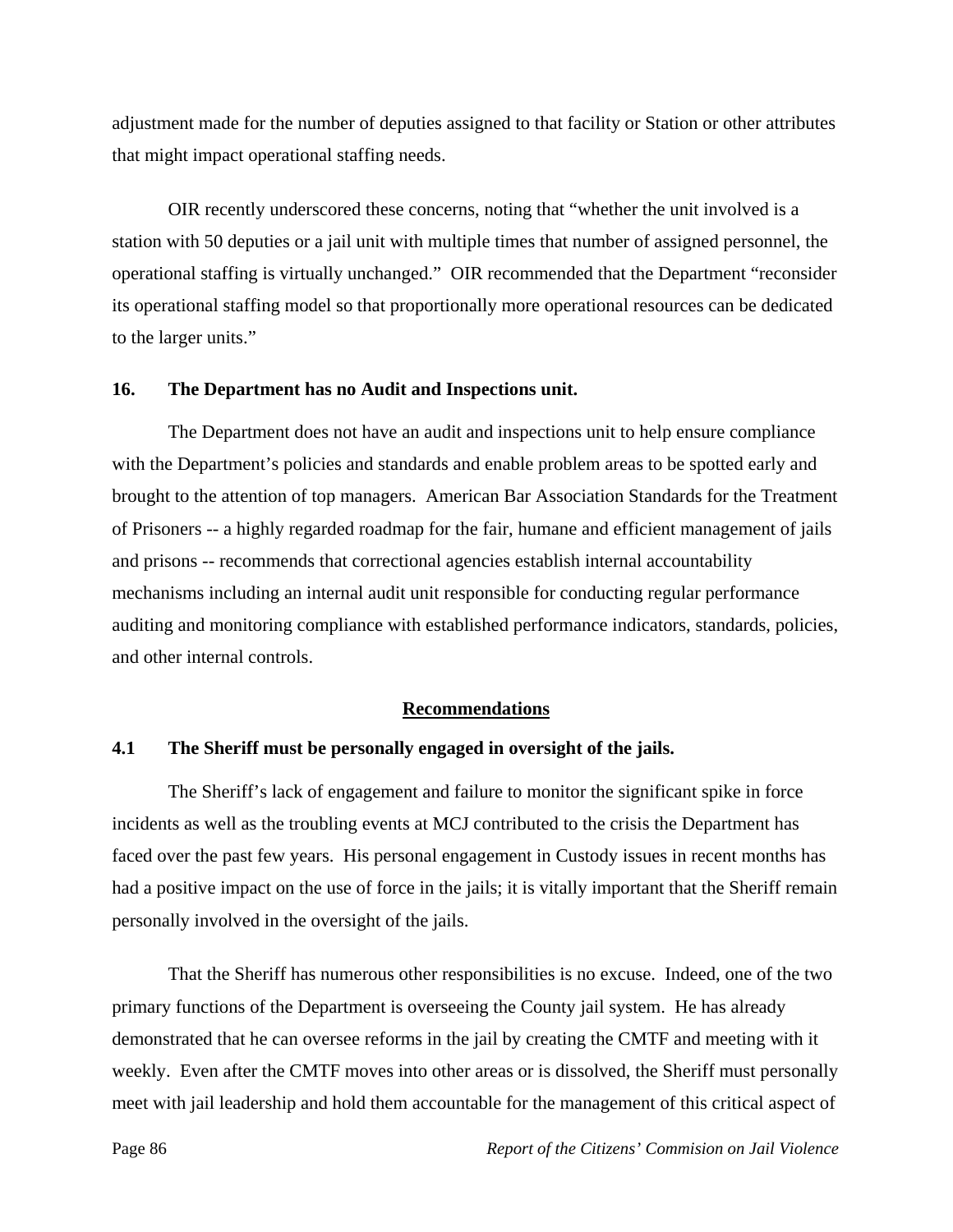adjustment made for the number of deputies assigned to that facility or Station or other attributes that might impact operational staffing needs.

 OIR recently underscored these concerns, noting that "whether the unit involved is a station with 50 deputies or a jail unit with multiple times that number of assigned personnel, the operational staffing is virtually unchanged." OIR recommended that the Department "reconsider its operational staffing model so that proportionally more operational resources can be dedicated to the larger units."

#### **16. The Department has no Audit and Inspections unit.**

 The Department does not have an audit and inspections unit to help ensure compliance with the Department's policies and standards and enable problem areas to be spotted early and brought to the attention of top managers. American Bar Association Standards for the Treatment of Prisoners -- a highly regarded roadmap for the fair, humane and efficient management of jails and prisons -- recommends that correctional agencies establish internal accountability mechanisms including an internal audit unit responsible for conducting regular performance auditing and monitoring compliance with established performance indicators, standards, policies, and other internal controls.

#### **Recommendations**

#### **4.1 The Sheriff must be personally engaged in oversight of the jails.**

 The Sheriff's lack of engagement and failure to monitor the significant spike in force incidents as well as the troubling events at MCJ contributed to the crisis the Department has faced over the past few years. His personal engagement in Custody issues in recent months has had a positive impact on the use of force in the jails; it is vitally important that the Sheriff remain personally involved in the oversight of the jails.

 That the Sheriff has numerous other responsibilities is no excuse. Indeed, one of the two primary functions of the Department is overseeing the County jail system. He has already demonstrated that he can oversee reforms in the jail by creating the CMTF and meeting with it weekly. Even after the CMTF moves into other areas or is dissolved, the Sheriff must personally meet with jail leadership and hold them accountable for the management of this critical aspect of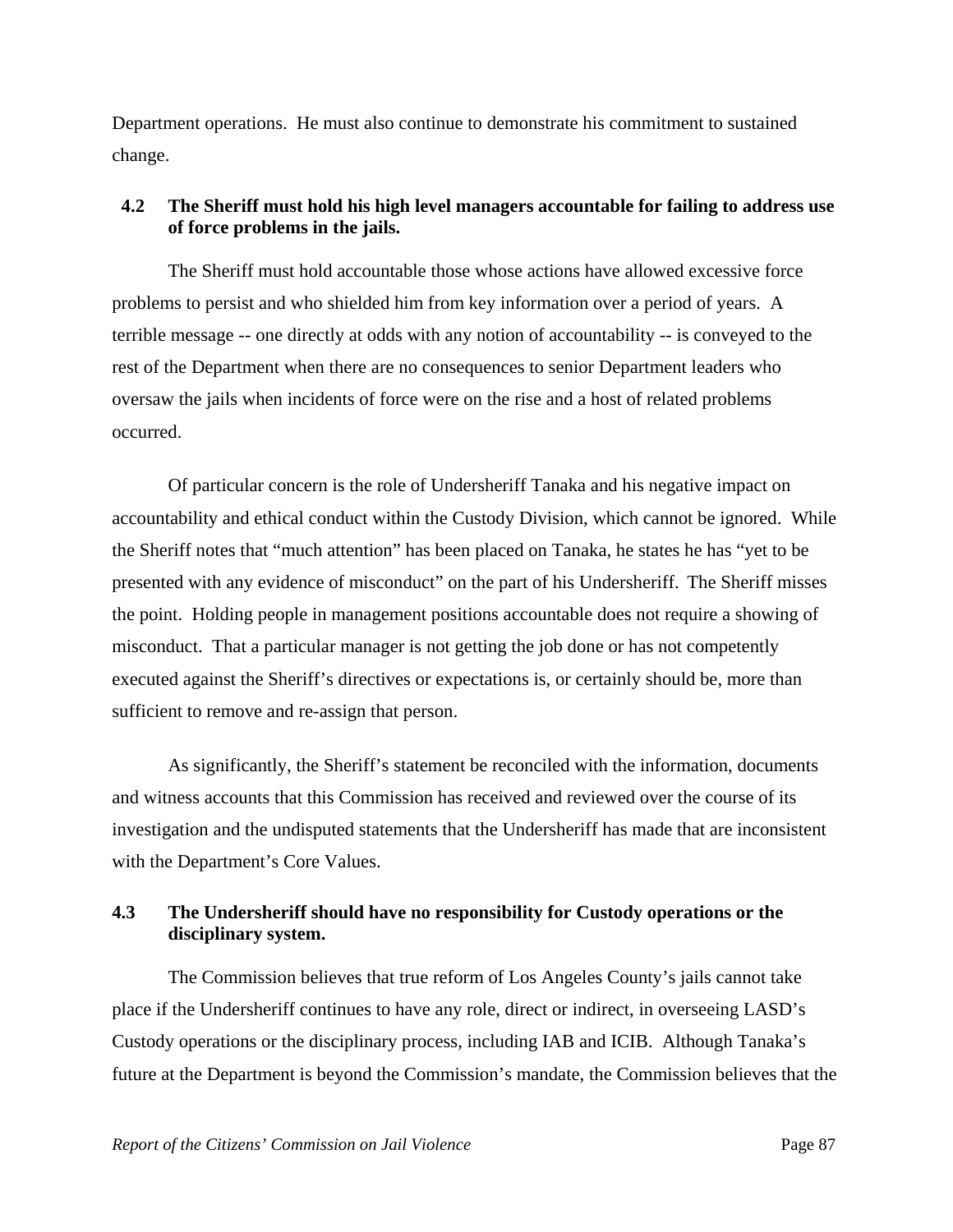Department operations. He must also continue to demonstrate his commitment to sustained change.

## **4.2 The Sheriff must hold his high level managers accountable for failing to address use of force problems in the jails.**

 The Sheriff must hold accountable those whose actions have allowed excessive force problems to persist and who shielded him from key information over a period of years. A terrible message -- one directly at odds with any notion of accountability -- is conveyed to the rest of the Department when there are no consequences to senior Department leaders who oversaw the jails when incidents of force were on the rise and a host of related problems occurred.

 Of particular concern is the role of Undersheriff Tanaka and his negative impact on accountability and ethical conduct within the Custody Division, which cannot be ignored. While the Sheriff notes that "much attention" has been placed on Tanaka, he states he has "yet to be presented with any evidence of misconduct" on the part of his Undersheriff. The Sheriff misses the point. Holding people in management positions accountable does not require a showing of misconduct. That a particular manager is not getting the job done or has not competently executed against the Sheriff's directives or expectations is, or certainly should be, more than sufficient to remove and re-assign that person.

 As significantly, the Sheriff's statement be reconciled with the information, documents and witness accounts that this Commission has received and reviewed over the course of its investigation and the undisputed statements that the Undersheriff has made that are inconsistent with the Department's Core Values.

## **4.3 The Undersheriff should have no responsibility for Custody operations or the disciplinary system.**

 The Commission believes that true reform of Los Angeles County's jails cannot take place if the Undersheriff continues to have any role, direct or indirect, in overseeing LASD's Custody operations or the disciplinary process, including IAB and ICIB. Although Tanaka's future at the Department is beyond the Commission's mandate, the Commission believes that the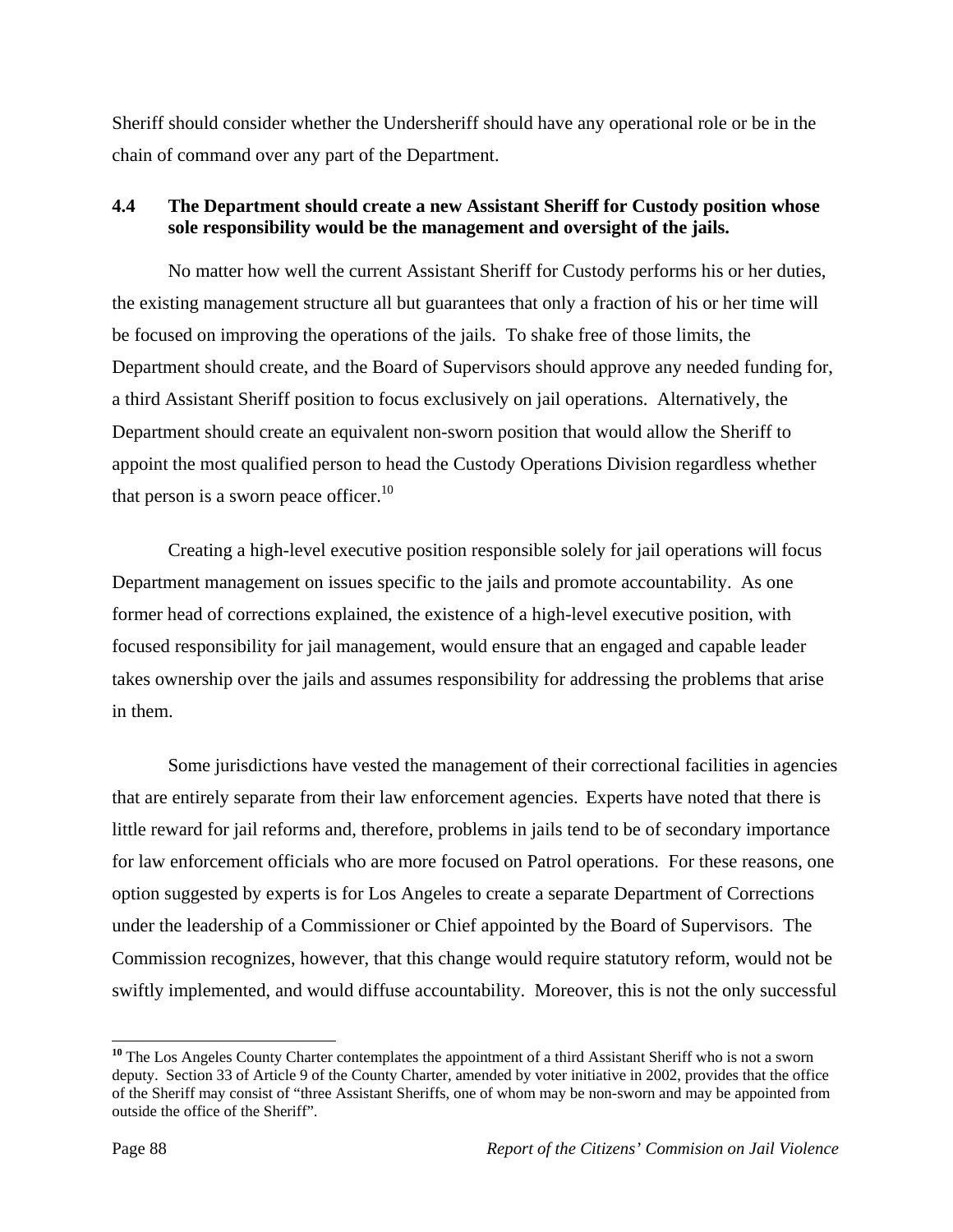Sheriff should consider whether the Undersheriff should have any operational role or be in the chain of command over any part of the Department.

# **4.4 The Department should create a new Assistant Sheriff for Custody position whose sole responsibility would be the management and oversight of the jails.**

 No matter how well the current Assistant Sheriff for Custody performs his or her duties, the existing management structure all but guarantees that only a fraction of his or her time will be focused on improving the operations of the jails. To shake free of those limits, the Department should create, and the Board of Supervisors should approve any needed funding for, a third Assistant Sheriff position to focus exclusively on jail operations. Alternatively, the Department should create an equivalent non-sworn position that would allow the Sheriff to appoint the most qualified person to head the Custody Operations Division regardless whether that person is a sworn peace officer. $10$ 

 Creating a high-level executive position responsible solely for jail operations will focus Department management on issues specific to the jails and promote accountability. As one former head of corrections explained, the existence of a high-level executive position, with focused responsibility for jail management, would ensure that an engaged and capable leader takes ownership over the jails and assumes responsibility for addressing the problems that arise in them.

 Some jurisdictions have vested the management of their correctional facilities in agencies that are entirely separate from their law enforcement agencies. Experts have noted that there is little reward for jail reforms and, therefore, problems in jails tend to be of secondary importance for law enforcement officials who are more focused on Patrol operations. For these reasons, one option suggested by experts is for Los Angeles to create a separate Department of Corrections under the leadership of a Commissioner or Chief appointed by the Board of Supervisors. The Commission recognizes, however, that this change would require statutory reform, would not be swiftly implemented, and would diffuse accountability. Moreover, this is not the only successful

<sup>&</sup>lt;sup>10</sup> The Los Angeles County Charter contemplates the appointment of a third Assistant Sheriff who is not a sworn deputy. Section 33 of Article 9 of the County Charter, amended by voter initiative in 2002, provides that the office of the Sheriff may consist of "three Assistant Sheriffs, one of whom may be non-sworn and may be appointed from outside the office of the Sheriff".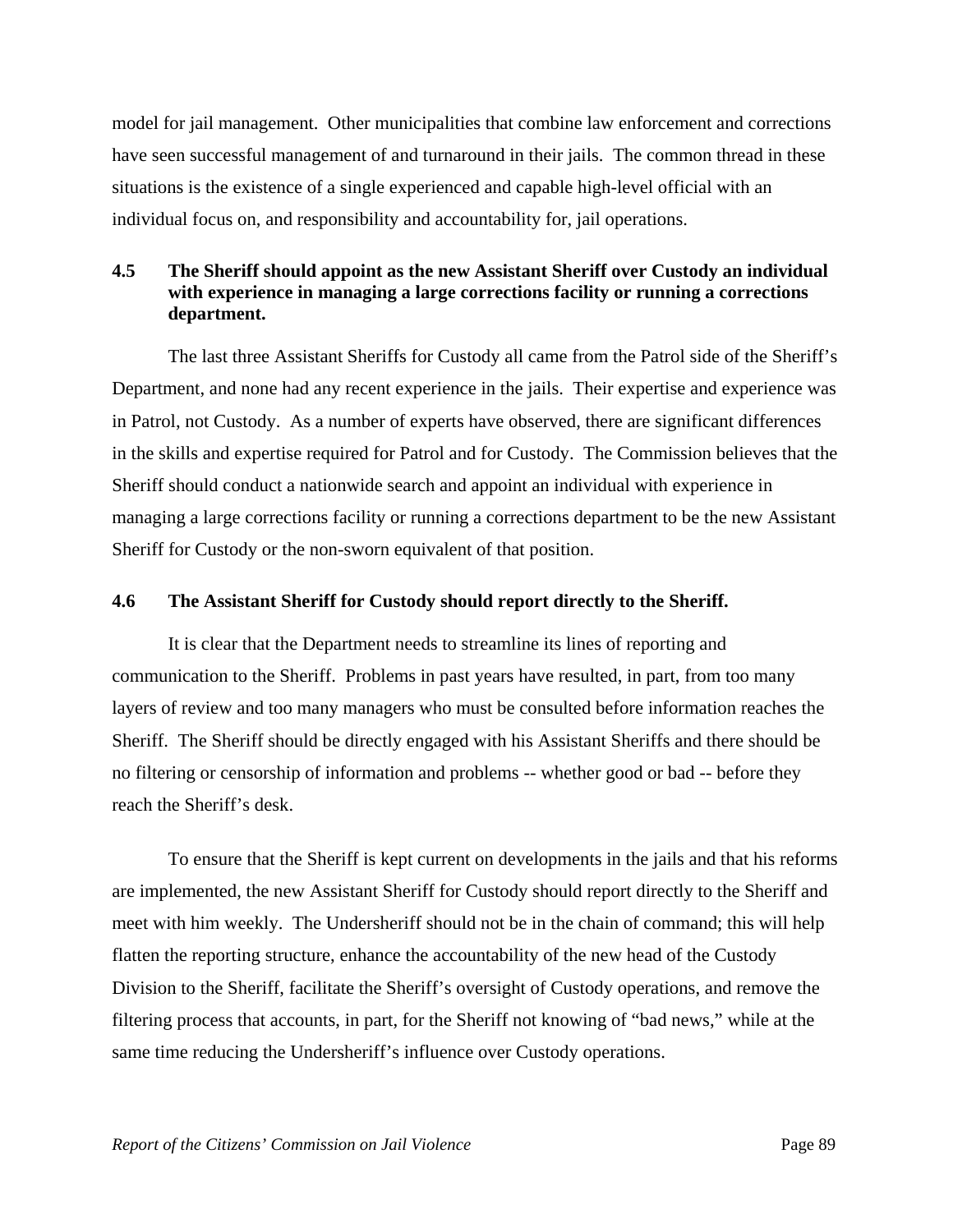model for jail management. Other municipalities that combine law enforcement and corrections have seen successful management of and turnaround in their jails. The common thread in these situations is the existence of a single experienced and capable high-level official with an individual focus on, and responsibility and accountability for, jail operations.

# **4.5 The Sheriff should appoint as the new Assistant Sheriff over Custody an individual with experience in managing a large corrections facility or running a corrections department.**

 The last three Assistant Sheriffs for Custody all came from the Patrol side of the Sheriff's Department, and none had any recent experience in the jails. Their expertise and experience was in Patrol, not Custody. As a number of experts have observed, there are significant differences in the skills and expertise required for Patrol and for Custody. The Commission believes that the Sheriff should conduct a nationwide search and appoint an individual with experience in managing a large corrections facility or running a corrections department to be the new Assistant Sheriff for Custody or the non-sworn equivalent of that position.

#### **4.6 The Assistant Sheriff for Custody should report directly to the Sheriff.**

 It is clear that the Department needs to streamline its lines of reporting and communication to the Sheriff. Problems in past years have resulted, in part, from too many layers of review and too many managers who must be consulted before information reaches the Sheriff. The Sheriff should be directly engaged with his Assistant Sheriffs and there should be no filtering or censorship of information and problems -- whether good or bad -- before they reach the Sheriff's desk.

 To ensure that the Sheriff is kept current on developments in the jails and that his reforms are implemented, the new Assistant Sheriff for Custody should report directly to the Sheriff and meet with him weekly. The Undersheriff should not be in the chain of command; this will help flatten the reporting structure, enhance the accountability of the new head of the Custody Division to the Sheriff, facilitate the Sheriff's oversight of Custody operations, and remove the filtering process that accounts, in part, for the Sheriff not knowing of "bad news," while at the same time reducing the Undersheriff's influence over Custody operations.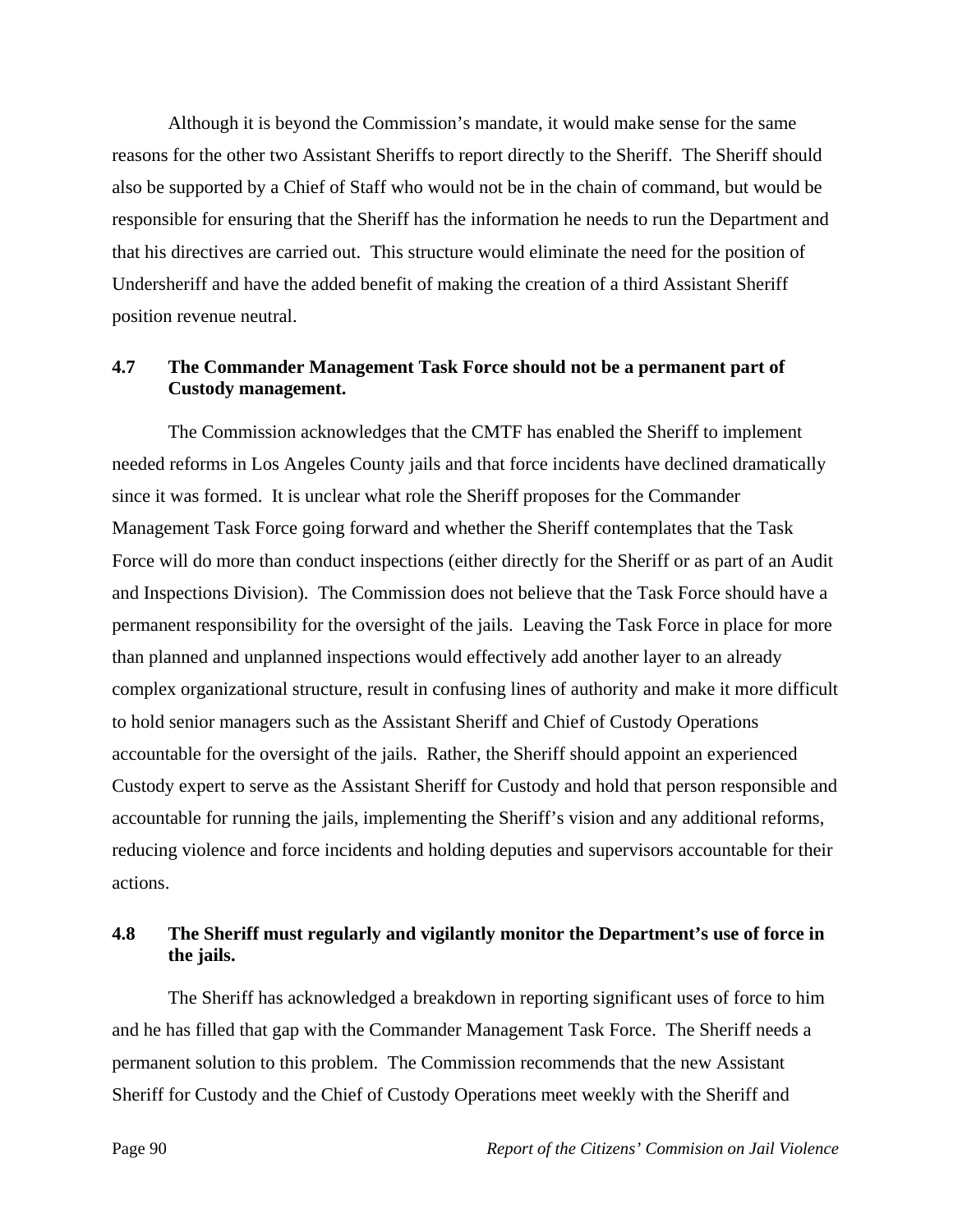Although it is beyond the Commission's mandate, it would make sense for the same reasons for the other two Assistant Sheriffs to report directly to the Sheriff. The Sheriff should also be supported by a Chief of Staff who would not be in the chain of command, but would be responsible for ensuring that the Sheriff has the information he needs to run the Department and that his directives are carried out. This structure would eliminate the need for the position of Undersheriff and have the added benefit of making the creation of a third Assistant Sheriff position revenue neutral.

## **4.7 The Commander Management Task Force should not be a permanent part of Custody management.**

 The Commission acknowledges that the CMTF has enabled the Sheriff to implement needed reforms in Los Angeles County jails and that force incidents have declined dramatically since it was formed. It is unclear what role the Sheriff proposes for the Commander Management Task Force going forward and whether the Sheriff contemplates that the Task Force will do more than conduct inspections (either directly for the Sheriff or as part of an Audit and Inspections Division). The Commission does not believe that the Task Force should have a permanent responsibility for the oversight of the jails. Leaving the Task Force in place for more than planned and unplanned inspections would effectively add another layer to an already complex organizational structure, result in confusing lines of authority and make it more difficult to hold senior managers such as the Assistant Sheriff and Chief of Custody Operations accountable for the oversight of the jails. Rather, the Sheriff should appoint an experienced Custody expert to serve as the Assistant Sheriff for Custody and hold that person responsible and accountable for running the jails, implementing the Sheriff's vision and any additional reforms, reducing violence and force incidents and holding deputies and supervisors accountable for their actions.

# **4.8 The Sheriff must regularly and vigilantly monitor the Department's use of force in the jails.**

 The Sheriff has acknowledged a breakdown in reporting significant uses of force to him and he has filled that gap with the Commander Management Task Force. The Sheriff needs a permanent solution to this problem. The Commission recommends that the new Assistant Sheriff for Custody and the Chief of Custody Operations meet weekly with the Sheriff and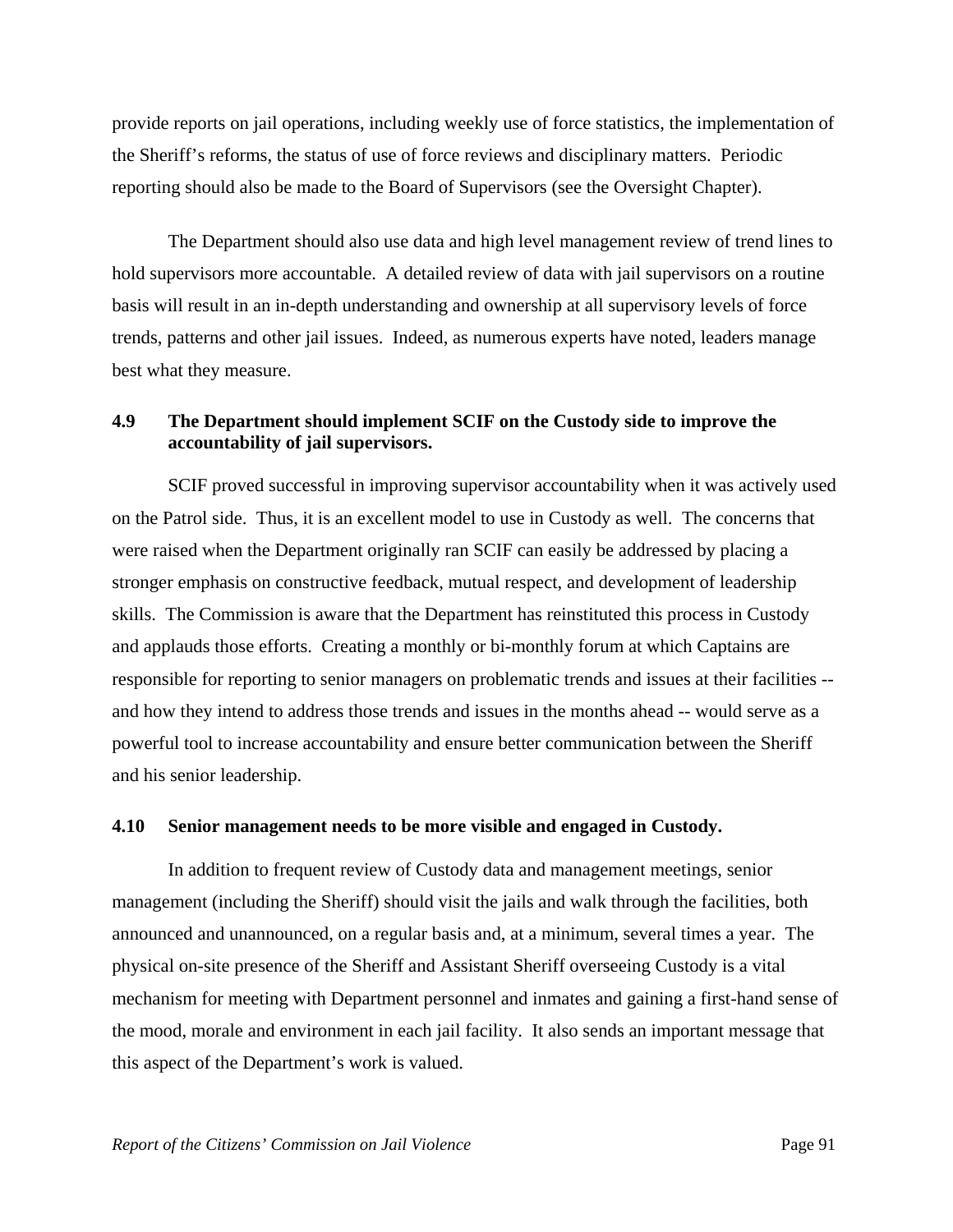provide reports on jail operations, including weekly use of force statistics, the implementation of the Sheriff's reforms, the status of use of force reviews and disciplinary matters. Periodic reporting should also be made to the Board of Supervisors (see the Oversight Chapter).

 The Department should also use data and high level management review of trend lines to hold supervisors more accountable. A detailed review of data with jail supervisors on a routine basis will result in an in-depth understanding and ownership at all supervisory levels of force trends, patterns and other jail issues. Indeed, as numerous experts have noted, leaders manage best what they measure.

# **4.9 The Department should implement SCIF on the Custody side to improve the accountability of jail supervisors.**

 SCIF proved successful in improving supervisor accountability when it was actively used on the Patrol side. Thus, it is an excellent model to use in Custody as well. The concerns that were raised when the Department originally ran SCIF can easily be addressed by placing a stronger emphasis on constructive feedback, mutual respect, and development of leadership skills. The Commission is aware that the Department has reinstituted this process in Custody and applauds those efforts. Creating a monthly or bi-monthly forum at which Captains are responsible for reporting to senior managers on problematic trends and issues at their facilities - and how they intend to address those trends and issues in the months ahead -- would serve as a powerful tool to increase accountability and ensure better communication between the Sheriff and his senior leadership.

#### **4.10 Senior management needs to be more visible and engaged in Custody.**

 In addition to frequent review of Custody data and management meetings, senior management (including the Sheriff) should visit the jails and walk through the facilities, both announced and unannounced, on a regular basis and, at a minimum, several times a year. The physical on-site presence of the Sheriff and Assistant Sheriff overseeing Custody is a vital mechanism for meeting with Department personnel and inmates and gaining a first-hand sense of the mood, morale and environment in each jail facility. It also sends an important message that this aspect of the Department's work is valued.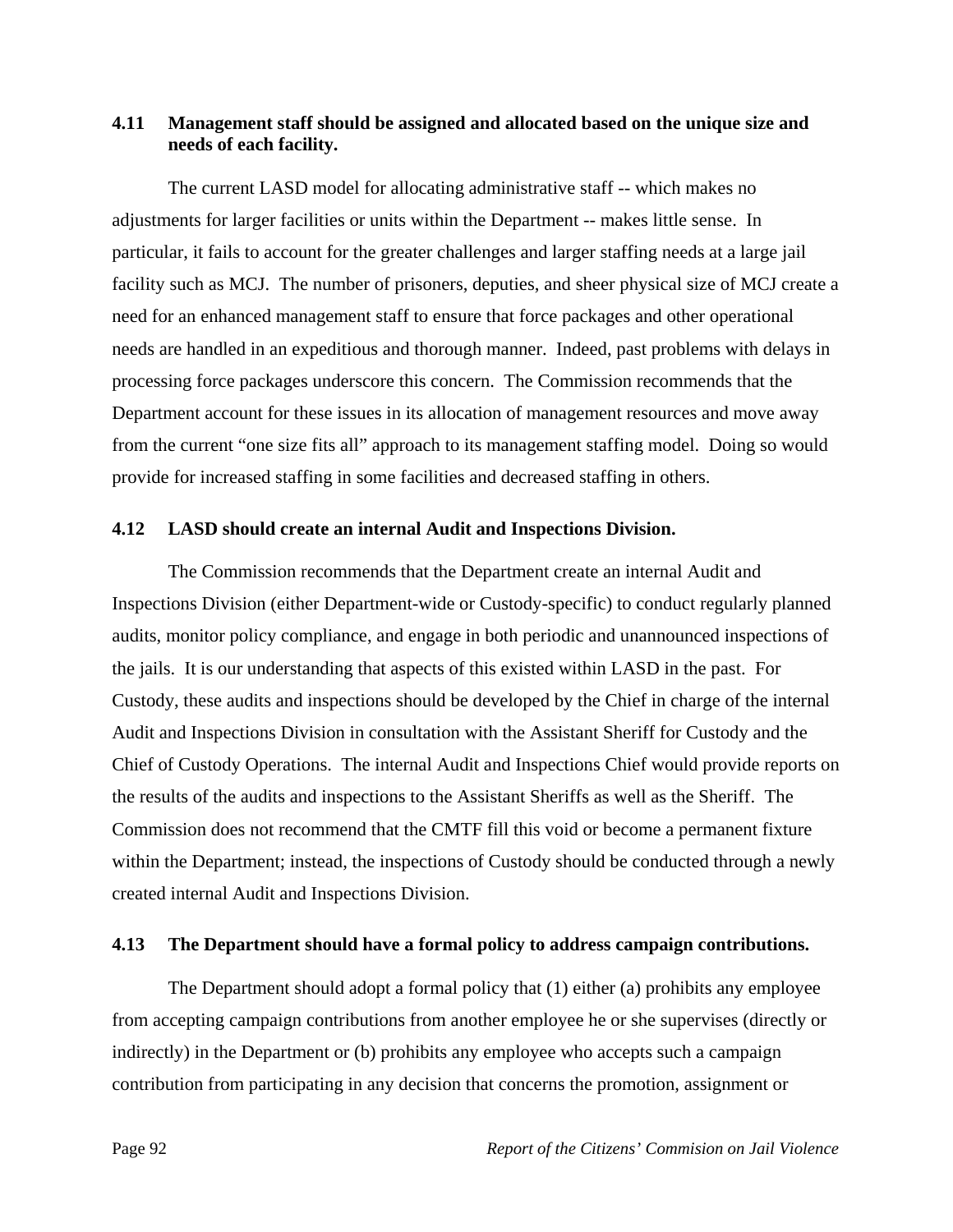## **4.11 Management staff should be assigned and allocated based on the unique size and needs of each facility.**

 The current LASD model for allocating administrative staff -- which makes no adjustments for larger facilities or units within the Department -- makes little sense. In particular, it fails to account for the greater challenges and larger staffing needs at a large jail facility such as MCJ. The number of prisoners, deputies, and sheer physical size of MCJ create a need for an enhanced management staff to ensure that force packages and other operational needs are handled in an expeditious and thorough manner. Indeed, past problems with delays in processing force packages underscore this concern. The Commission recommends that the Department account for these issues in its allocation of management resources and move away from the current "one size fits all" approach to its management staffing model. Doing so would provide for increased staffing in some facilities and decreased staffing in others.

#### **4.12 LASD should create an internal Audit and Inspections Division.**

 The Commission recommends that the Department create an internal Audit and Inspections Division (either Department-wide or Custody-specific) to conduct regularly planned audits, monitor policy compliance, and engage in both periodic and unannounced inspections of the jails. It is our understanding that aspects of this existed within LASD in the past. For Custody, these audits and inspections should be developed by the Chief in charge of the internal Audit and Inspections Division in consultation with the Assistant Sheriff for Custody and the Chief of Custody Operations. The internal Audit and Inspections Chief would provide reports on the results of the audits and inspections to the Assistant Sheriffs as well as the Sheriff. The Commission does not recommend that the CMTF fill this void or become a permanent fixture within the Department; instead, the inspections of Custody should be conducted through a newly created internal Audit and Inspections Division.

#### **4.13 The Department should have a formal policy to address campaign contributions.**

 The Department should adopt a formal policy that (1) either (a) prohibits any employee from accepting campaign contributions from another employee he or she supervises (directly or indirectly) in the Department or (b) prohibits any employee who accepts such a campaign contribution from participating in any decision that concerns the promotion, assignment or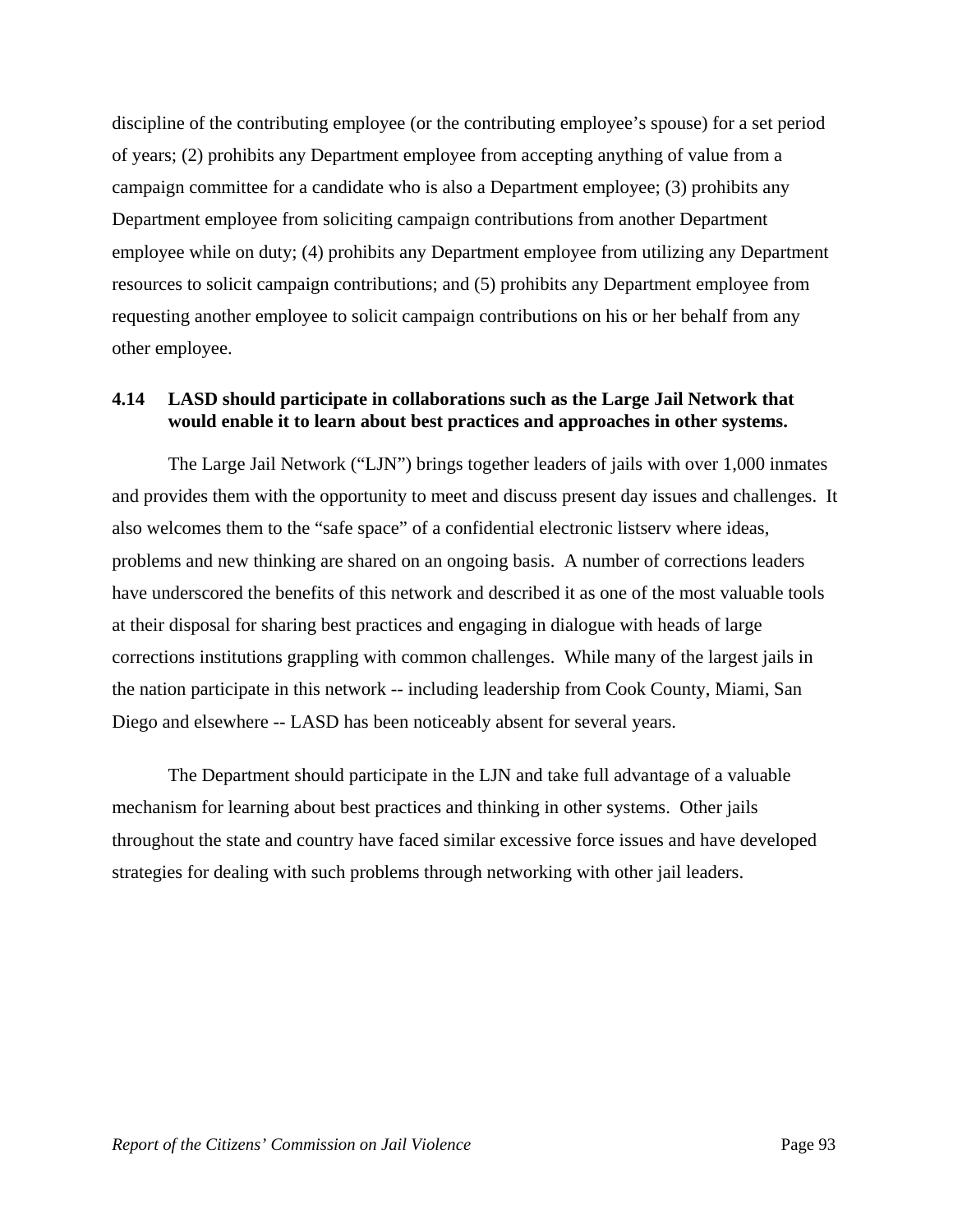discipline of the contributing employee (or the contributing employee's spouse) for a set period of years; (2) prohibits any Department employee from accepting anything of value from a campaign committee for a candidate who is also a Department employee; (3) prohibits any Department employee from soliciting campaign contributions from another Department employee while on duty; (4) prohibits any Department employee from utilizing any Department resources to solicit campaign contributions; and (5) prohibits any Department employee from requesting another employee to solicit campaign contributions on his or her behalf from any other employee.

## **4.14 LASD should participate in collaborations such as the Large Jail Network that would enable it to learn about best practices and approaches in other systems.**

 The Large Jail Network ("LJN") brings together leaders of jails with over 1,000 inmates and provides them with the opportunity to meet and discuss present day issues and challenges. It also welcomes them to the "safe space" of a confidential electronic listserv where ideas, problems and new thinking are shared on an ongoing basis. A number of corrections leaders have underscored the benefits of this network and described it as one of the most valuable tools at their disposal for sharing best practices and engaging in dialogue with heads of large corrections institutions grappling with common challenges. While many of the largest jails in the nation participate in this network -- including leadership from Cook County, Miami, San Diego and elsewhere -- LASD has been noticeably absent for several years.

 The Department should participate in the LJN and take full advantage of a valuable mechanism for learning about best practices and thinking in other systems. Other jails throughout the state and country have faced similar excessive force issues and have developed strategies for dealing with such problems through networking with other jail leaders.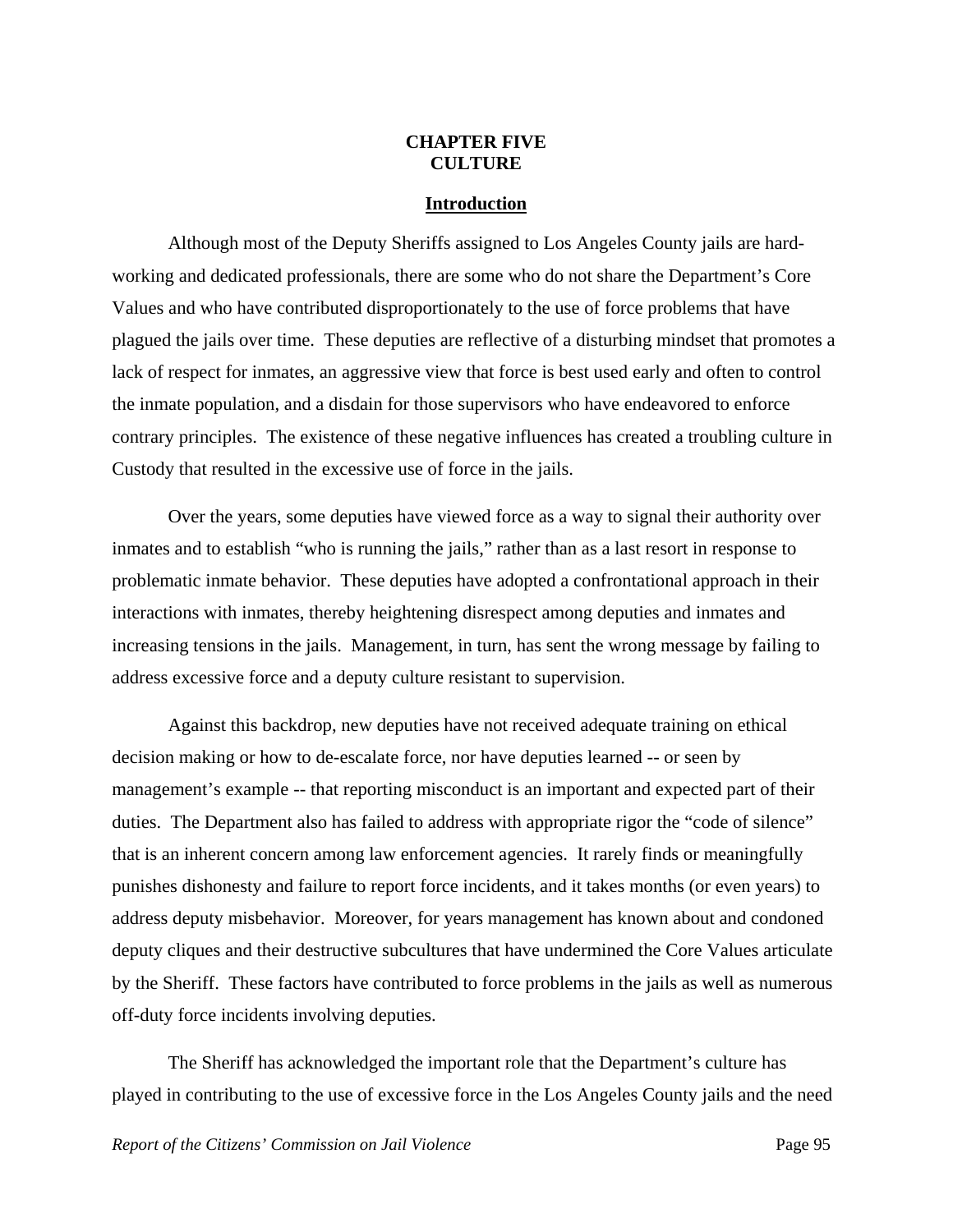### **CHAPTER FIVE CULTURE**

#### **Introduction**

 Although most of the Deputy Sheriffs assigned to Los Angeles County jails are hardworking and dedicated professionals, there are some who do not share the Department's Core Values and who have contributed disproportionately to the use of force problems that have plagued the jails over time. These deputies are reflective of a disturbing mindset that promotes a lack of respect for inmates, an aggressive view that force is best used early and often to control the inmate population, and a disdain for those supervisors who have endeavored to enforce contrary principles. The existence of these negative influences has created a troubling culture in Custody that resulted in the excessive use of force in the jails.

 Over the years, some deputies have viewed force as a way to signal their authority over inmates and to establish "who is running the jails," rather than as a last resort in response to problematic inmate behavior. These deputies have adopted a confrontational approach in their interactions with inmates, thereby heightening disrespect among deputies and inmates and increasing tensions in the jails. Management, in turn, has sent the wrong message by failing to address excessive force and a deputy culture resistant to supervision.

 Against this backdrop, new deputies have not received adequate training on ethical decision making or how to de-escalate force, nor have deputies learned -- or seen by management's example -- that reporting misconduct is an important and expected part of their duties. The Department also has failed to address with appropriate rigor the "code of silence" that is an inherent concern among law enforcement agencies. It rarely finds or meaningfully punishes dishonesty and failure to report force incidents, and it takes months (or even years) to address deputy misbehavior. Moreover, for years management has known about and condoned deputy cliques and their destructive subcultures that have undermined the Core Values articulate by the Sheriff. These factors have contributed to force problems in the jails as well as numerous off-duty force incidents involving deputies.

 The Sheriff has acknowledged the important role that the Department's culture has played in contributing to the use of excessive force in the Los Angeles County jails and the need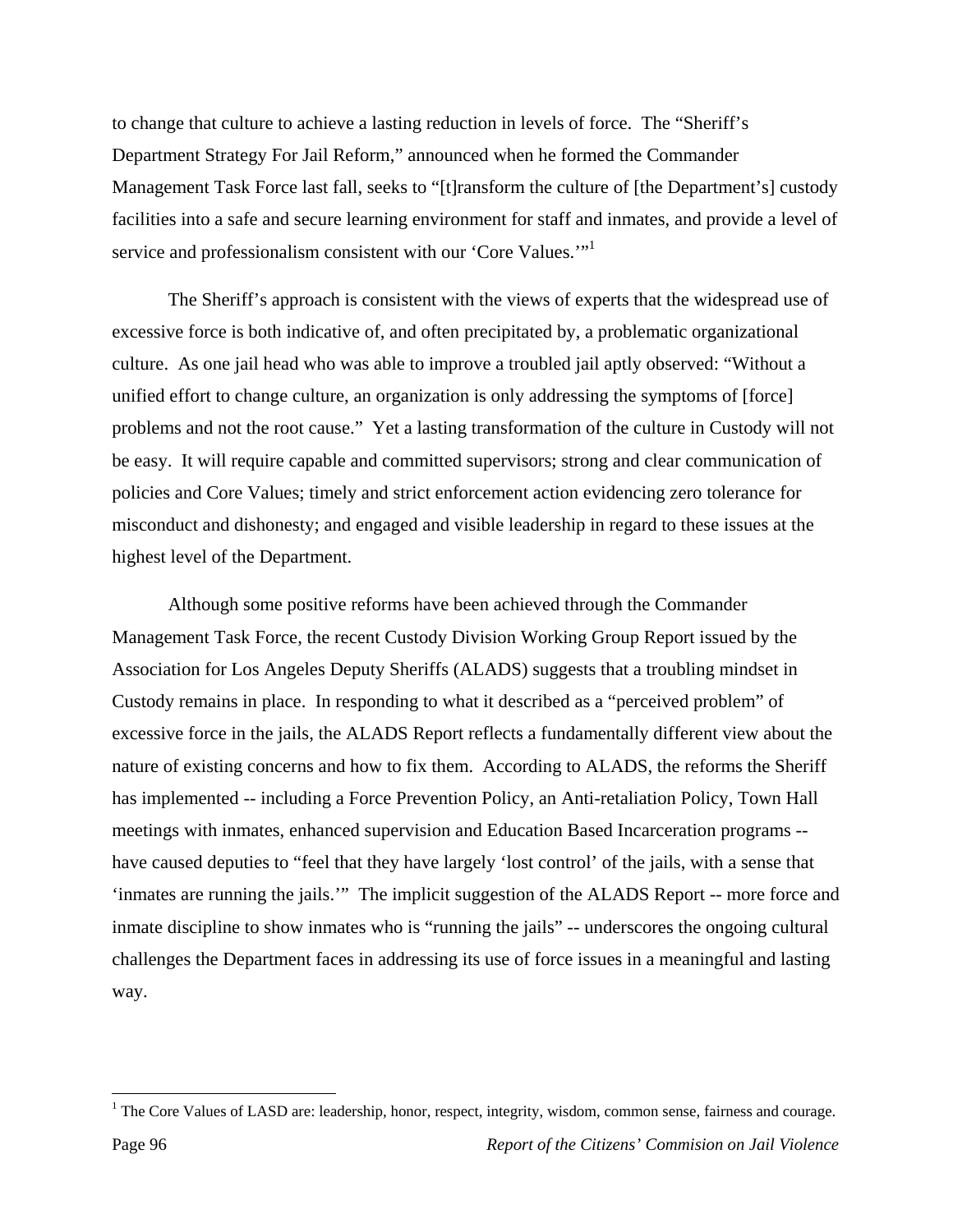to change that culture to achieve a lasting reduction in levels of force. The "Sheriff's Department Strategy For Jail Reform," announced when he formed the Commander Management Task Force last fall, seeks to "[t]ransform the culture of [the Department's] custody facilities into a safe and secure learning environment for staff and inmates, and provide a level of service and professionalism consistent with our 'Core Values.'"<sup>1</sup>

 The Sheriff's approach is consistent with the views of experts that the widespread use of excessive force is both indicative of, and often precipitated by, a problematic organizational culture. As one jail head who was able to improve a troubled jail aptly observed: "Without a unified effort to change culture, an organization is only addressing the symptoms of [force] problems and not the root cause." Yet a lasting transformation of the culture in Custody will not be easy. It will require capable and committed supervisors; strong and clear communication of policies and Core Values; timely and strict enforcement action evidencing zero tolerance for misconduct and dishonesty; and engaged and visible leadership in regard to these issues at the highest level of the Department.

 Although some positive reforms have been achieved through the Commander Management Task Force, the recent Custody Division Working Group Report issued by the Association for Los Angeles Deputy Sheriffs (ALADS) suggests that a troubling mindset in Custody remains in place. In responding to what it described as a "perceived problem" of excessive force in the jails, the ALADS Report reflects a fundamentally different view about the nature of existing concerns and how to fix them. According to ALADS, the reforms the Sheriff has implemented -- including a Force Prevention Policy, an Anti-retaliation Policy, Town Hall meetings with inmates, enhanced supervision and Education Based Incarceration programs - have caused deputies to "feel that they have largely 'lost control' of the jails, with a sense that 'inmates are running the jails.'" The implicit suggestion of the ALADS Report -- more force and inmate discipline to show inmates who is "running the jails" -- underscores the ongoing cultural challenges the Department faces in addressing its use of force issues in a meaningful and lasting way.

<sup>&</sup>lt;sup>1</sup> The Core Values of LASD are: leadership, honor, respect, integrity, wisdom, common sense, fairness and courage.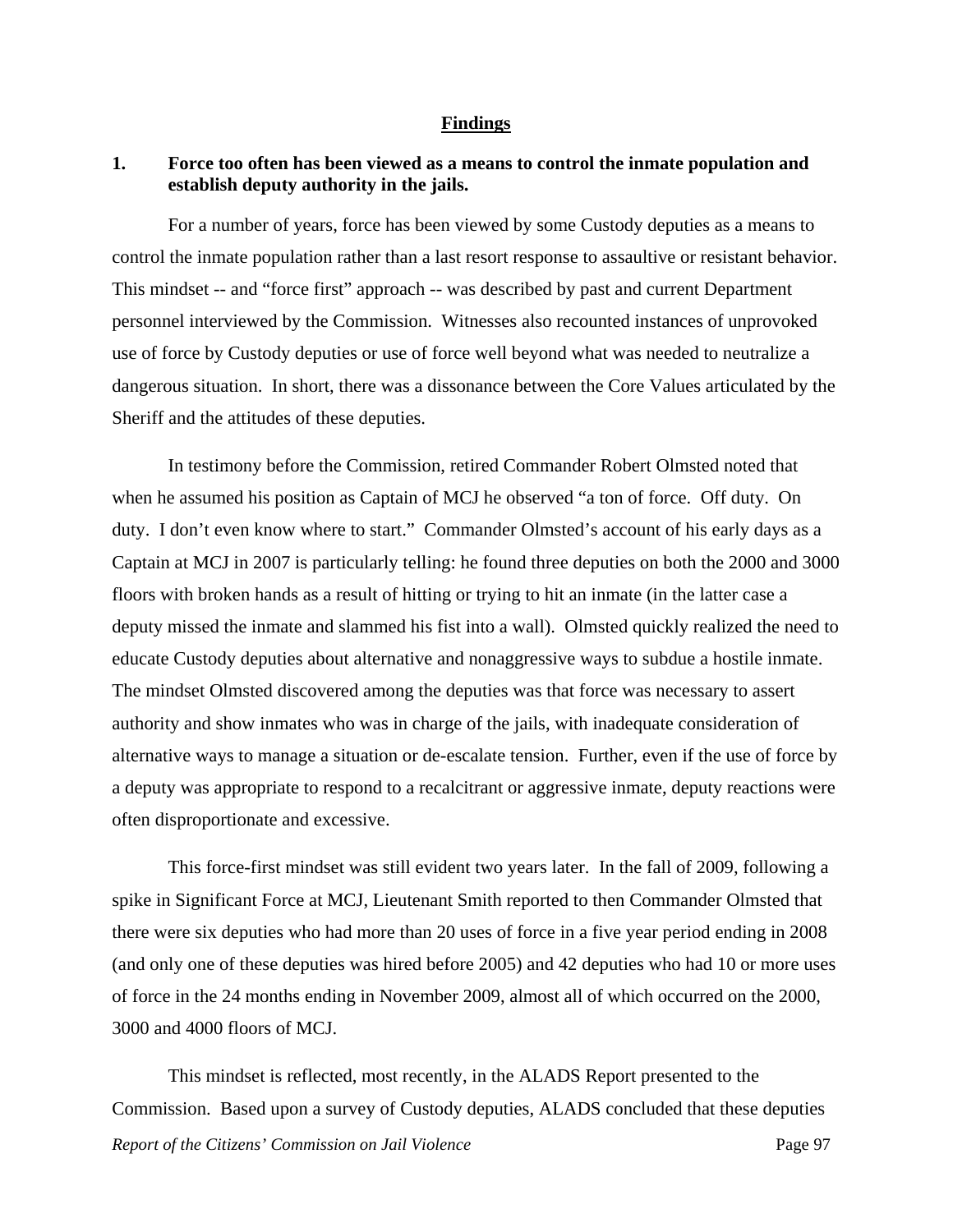#### **Findings**

## **1. Force too often has been viewed as a means to control the inmate population and establish deputy authority in the jails.**

 For a number of years, force has been viewed by some Custody deputies as a means to control the inmate population rather than a last resort response to assaultive or resistant behavior. This mindset -- and "force first" approach -- was described by past and current Department personnel interviewed by the Commission. Witnesses also recounted instances of unprovoked use of force by Custody deputies or use of force well beyond what was needed to neutralize a dangerous situation. In short, there was a dissonance between the Core Values articulated by the Sheriff and the attitudes of these deputies.

 In testimony before the Commission, retired Commander Robert Olmsted noted that when he assumed his position as Captain of MCJ he observed "a ton of force. Off duty. On duty. I don't even know where to start." Commander Olmsted's account of his early days as a Captain at MCJ in 2007 is particularly telling: he found three deputies on both the 2000 and 3000 floors with broken hands as a result of hitting or trying to hit an inmate (in the latter case a deputy missed the inmate and slammed his fist into a wall). Olmsted quickly realized the need to educate Custody deputies about alternative and nonaggressive ways to subdue a hostile inmate. The mindset Olmsted discovered among the deputies was that force was necessary to assert authority and show inmates who was in charge of the jails, with inadequate consideration of alternative ways to manage a situation or de-escalate tension. Further, even if the use of force by a deputy was appropriate to respond to a recalcitrant or aggressive inmate, deputy reactions were often disproportionate and excessive.

 This force-first mindset was still evident two years later. In the fall of 2009, following a spike in Significant Force at MCJ, Lieutenant Smith reported to then Commander Olmsted that there were six deputies who had more than 20 uses of force in a five year period ending in 2008 (and only one of these deputies was hired before 2005) and 42 deputies who had 10 or more uses of force in the 24 months ending in November 2009, almost all of which occurred on the 2000, 3000 and 4000 floors of MCJ.

*Report of the Citizens' Commission on Jail Violence* Page 97 This mindset is reflected, most recently, in the ALADS Report presented to the Commission. Based upon a survey of Custody deputies, ALADS concluded that these deputies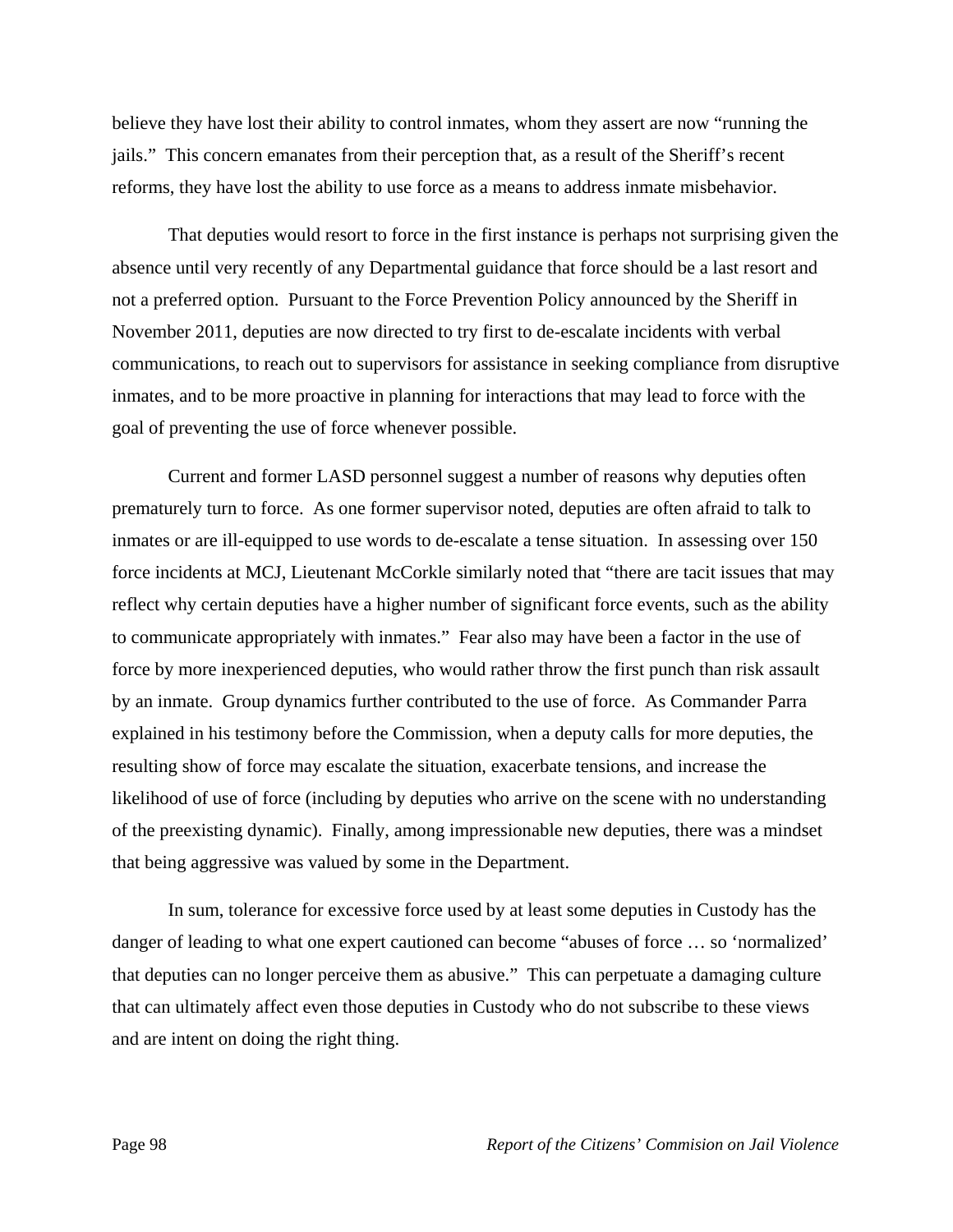believe they have lost their ability to control inmates, whom they assert are now "running the jails." This concern emanates from their perception that, as a result of the Sheriff's recent reforms, they have lost the ability to use force as a means to address inmate misbehavior.

 That deputies would resort to force in the first instance is perhaps not surprising given the absence until very recently of any Departmental guidance that force should be a last resort and not a preferred option. Pursuant to the Force Prevention Policy announced by the Sheriff in November 2011, deputies are now directed to try first to de-escalate incidents with verbal communications, to reach out to supervisors for assistance in seeking compliance from disruptive inmates, and to be more proactive in planning for interactions that may lead to force with the goal of preventing the use of force whenever possible.

 Current and former LASD personnel suggest a number of reasons why deputies often prematurely turn to force. As one former supervisor noted, deputies are often afraid to talk to inmates or are ill-equipped to use words to de-escalate a tense situation. In assessing over 150 force incidents at MCJ, Lieutenant McCorkle similarly noted that "there are tacit issues that may reflect why certain deputies have a higher number of significant force events, such as the ability to communicate appropriately with inmates." Fear also may have been a factor in the use of force by more inexperienced deputies, who would rather throw the first punch than risk assault by an inmate. Group dynamics further contributed to the use of force. As Commander Parra explained in his testimony before the Commission, when a deputy calls for more deputies, the resulting show of force may escalate the situation, exacerbate tensions, and increase the likelihood of use of force (including by deputies who arrive on the scene with no understanding of the preexisting dynamic). Finally, among impressionable new deputies, there was a mindset that being aggressive was valued by some in the Department.

 In sum, tolerance for excessive force used by at least some deputies in Custody has the danger of leading to what one expert cautioned can become "abuses of force … so 'normalized' that deputies can no longer perceive them as abusive." This can perpetuate a damaging culture that can ultimately affect even those deputies in Custody who do not subscribe to these views and are intent on doing the right thing.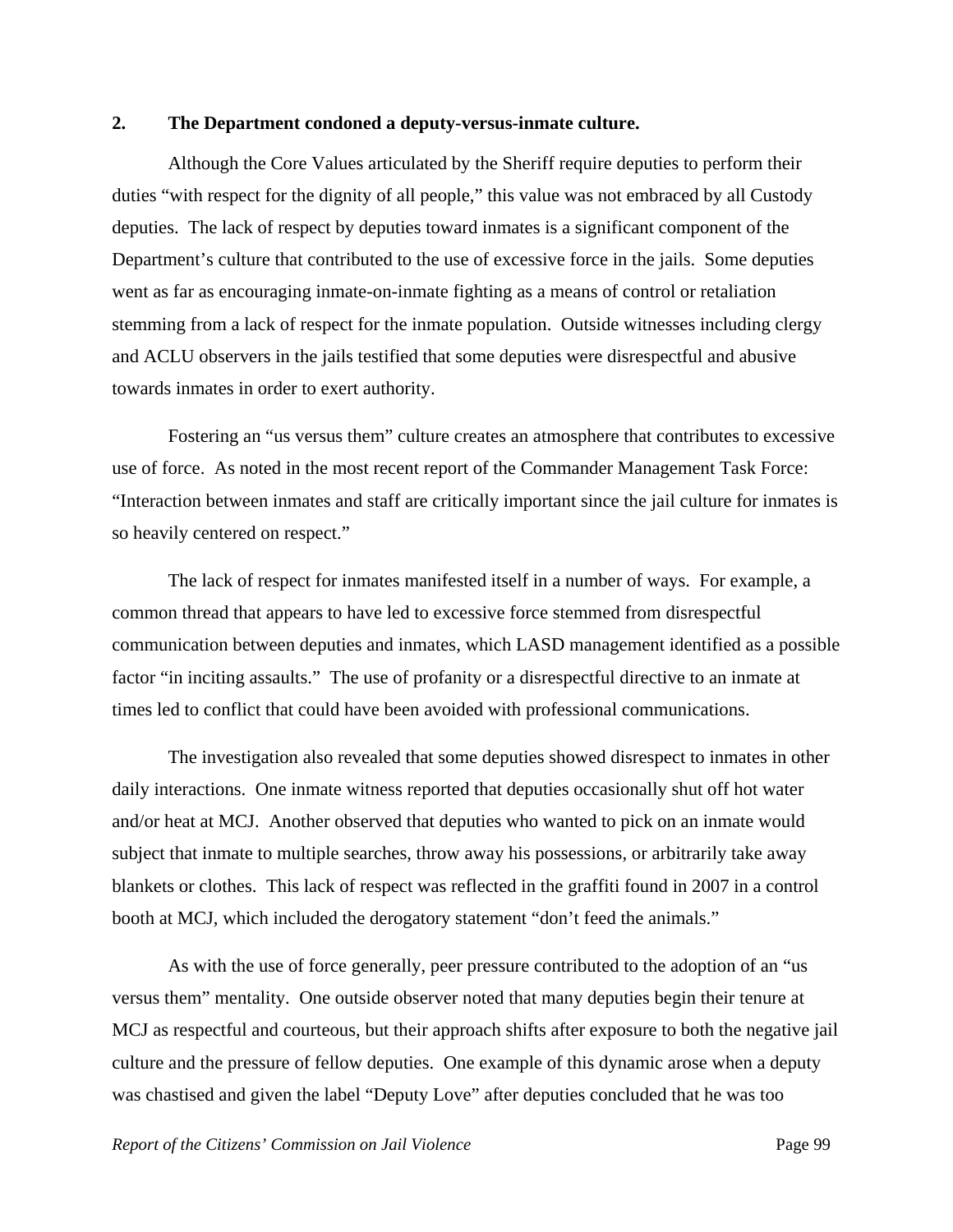#### **2. The Department condoned a deputy-versus-inmate culture.**

 Although the Core Values articulated by the Sheriff require deputies to perform their duties "with respect for the dignity of all people," this value was not embraced by all Custody deputies. The lack of respect by deputies toward inmates is a significant component of the Department's culture that contributed to the use of excessive force in the jails. Some deputies went as far as encouraging inmate-on-inmate fighting as a means of control or retaliation stemming from a lack of respect for the inmate population. Outside witnesses including clergy and ACLU observers in the jails testified that some deputies were disrespectful and abusive towards inmates in order to exert authority.

 Fostering an "us versus them" culture creates an atmosphere that contributes to excessive use of force. As noted in the most recent report of the Commander Management Task Force: "Interaction between inmates and staff are critically important since the jail culture for inmates is so heavily centered on respect."

 The lack of respect for inmates manifested itself in a number of ways. For example, a common thread that appears to have led to excessive force stemmed from disrespectful communication between deputies and inmates, which LASD management identified as a possible factor "in inciting assaults." The use of profanity or a disrespectful directive to an inmate at times led to conflict that could have been avoided with professional communications.

 The investigation also revealed that some deputies showed disrespect to inmates in other daily interactions. One inmate witness reported that deputies occasionally shut off hot water and/or heat at MCJ. Another observed that deputies who wanted to pick on an inmate would subject that inmate to multiple searches, throw away his possessions, or arbitrarily take away blankets or clothes. This lack of respect was reflected in the graffiti found in 2007 in a control booth at MCJ, which included the derogatory statement "don't feed the animals."

 As with the use of force generally, peer pressure contributed to the adoption of an "us versus them" mentality. One outside observer noted that many deputies begin their tenure at MCJ as respectful and courteous, but their approach shifts after exposure to both the negative jail culture and the pressure of fellow deputies. One example of this dynamic arose when a deputy was chastised and given the label "Deputy Love" after deputies concluded that he was too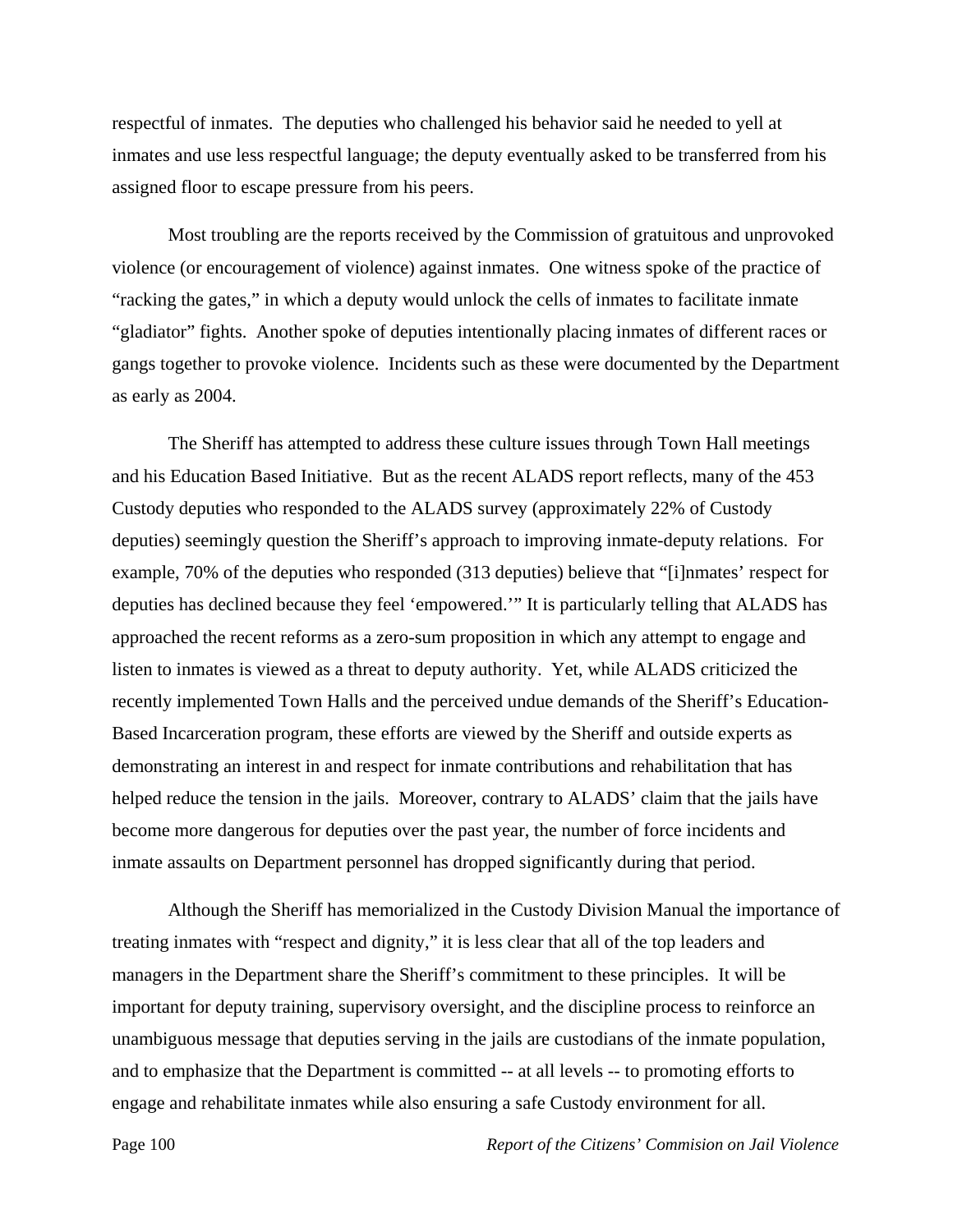respectful of inmates. The deputies who challenged his behavior said he needed to yell at inmates and use less respectful language; the deputy eventually asked to be transferred from his assigned floor to escape pressure from his peers.

 Most troubling are the reports received by the Commission of gratuitous and unprovoked violence (or encouragement of violence) against inmates. One witness spoke of the practice of "racking the gates," in which a deputy would unlock the cells of inmates to facilitate inmate "gladiator" fights. Another spoke of deputies intentionally placing inmates of different races or gangs together to provoke violence. Incidents such as these were documented by the Department as early as 2004.

 The Sheriff has attempted to address these culture issues through Town Hall meetings and his Education Based Initiative. But as the recent ALADS report reflects, many of the 453 Custody deputies who responded to the ALADS survey (approximately 22% of Custody deputies) seemingly question the Sheriff's approach to improving inmate-deputy relations. For example, 70% of the deputies who responded (313 deputies) believe that "[i]nmates' respect for deputies has declined because they feel 'empowered.'" It is particularly telling that ALADS has approached the recent reforms as a zero-sum proposition in which any attempt to engage and listen to inmates is viewed as a threat to deputy authority. Yet, while ALADS criticized the recently implemented Town Halls and the perceived undue demands of the Sheriff's Education-Based Incarceration program, these efforts are viewed by the Sheriff and outside experts as demonstrating an interest in and respect for inmate contributions and rehabilitation that has helped reduce the tension in the jails. Moreover, contrary to ALADS' claim that the jails have become more dangerous for deputies over the past year, the number of force incidents and inmate assaults on Department personnel has dropped significantly during that period.

 Although the Sheriff has memorialized in the Custody Division Manual the importance of treating inmates with "respect and dignity," it is less clear that all of the top leaders and managers in the Department share the Sheriff's commitment to these principles. It will be important for deputy training, supervisory oversight, and the discipline process to reinforce an unambiguous message that deputies serving in the jails are custodians of the inmate population, and to emphasize that the Department is committed -- at all levels -- to promoting efforts to engage and rehabilitate inmates while also ensuring a safe Custody environment for all.

Page 100 *Report of the Citizens' Commision on Jail Violence*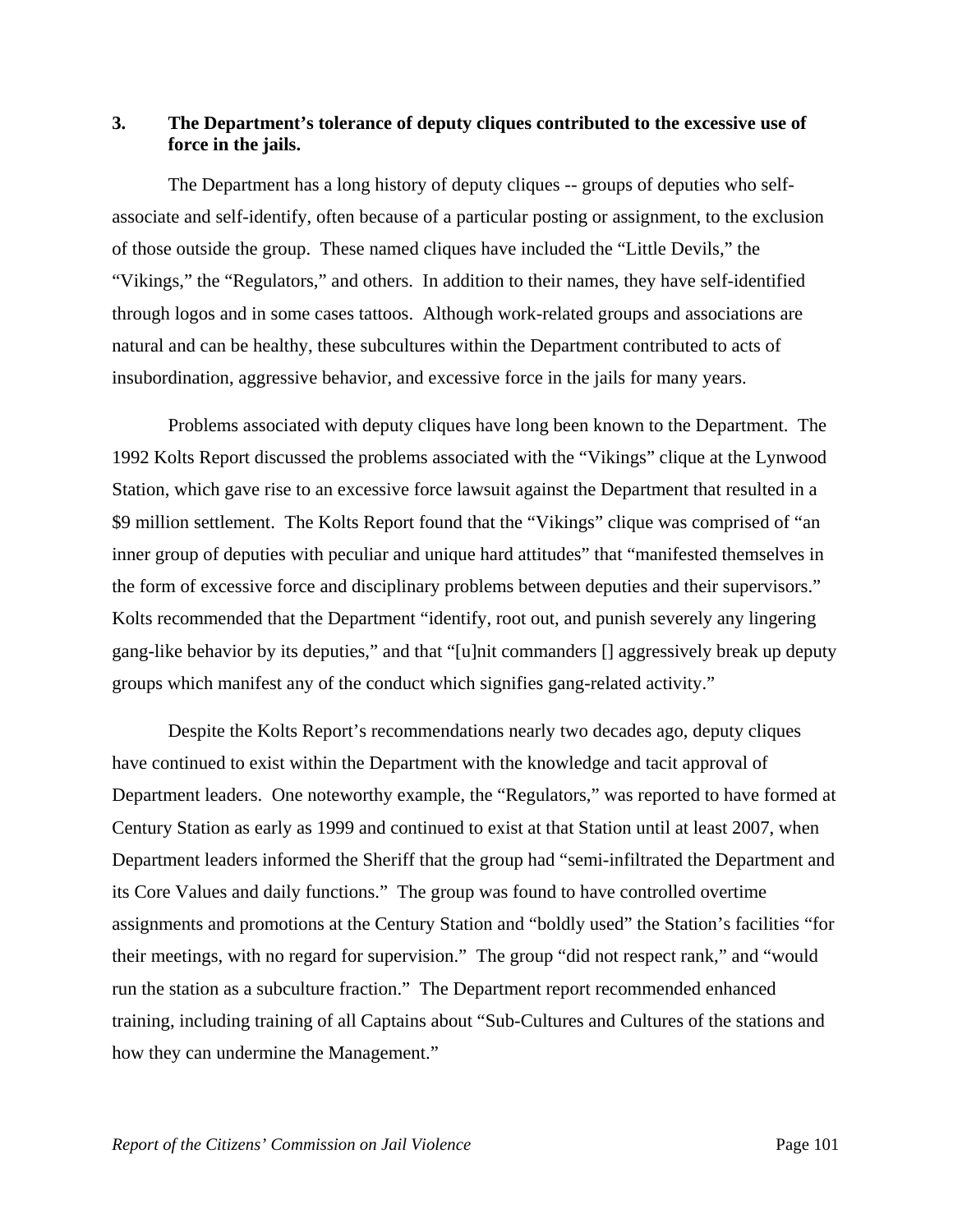# **3. The Department's tolerance of deputy cliques contributed to the excessive use of force in the jails.**

 The Department has a long history of deputy cliques -- groups of deputies who selfassociate and self-identify, often because of a particular posting or assignment, to the exclusion of those outside the group. These named cliques have included the "Little Devils," the "Vikings," the "Regulators," and others. In addition to their names, they have self-identified through logos and in some cases tattoos. Although work-related groups and associations are natural and can be healthy, these subcultures within the Department contributed to acts of insubordination, aggressive behavior, and excessive force in the jails for many years.

 Problems associated with deputy cliques have long been known to the Department. The 1992 Kolts Report discussed the problems associated with the "Vikings" clique at the Lynwood Station, which gave rise to an excessive force lawsuit against the Department that resulted in a \$9 million settlement. The Kolts Report found that the "Vikings" clique was comprised of "an inner group of deputies with peculiar and unique hard attitudes" that "manifested themselves in the form of excessive force and disciplinary problems between deputies and their supervisors." Kolts recommended that the Department "identify, root out, and punish severely any lingering gang-like behavior by its deputies," and that "[u]nit commanders [] aggressively break up deputy groups which manifest any of the conduct which signifies gang-related activity."

 Despite the Kolts Report's recommendations nearly two decades ago, deputy cliques have continued to exist within the Department with the knowledge and tacit approval of Department leaders. One noteworthy example, the "Regulators," was reported to have formed at Century Station as early as 1999 and continued to exist at that Station until at least 2007, when Department leaders informed the Sheriff that the group had "semi-infiltrated the Department and its Core Values and daily functions." The group was found to have controlled overtime assignments and promotions at the Century Station and "boldly used" the Station's facilities "for their meetings, with no regard for supervision." The group "did not respect rank," and "would run the station as a subculture fraction." The Department report recommended enhanced training, including training of all Captains about "Sub-Cultures and Cultures of the stations and how they can undermine the Management."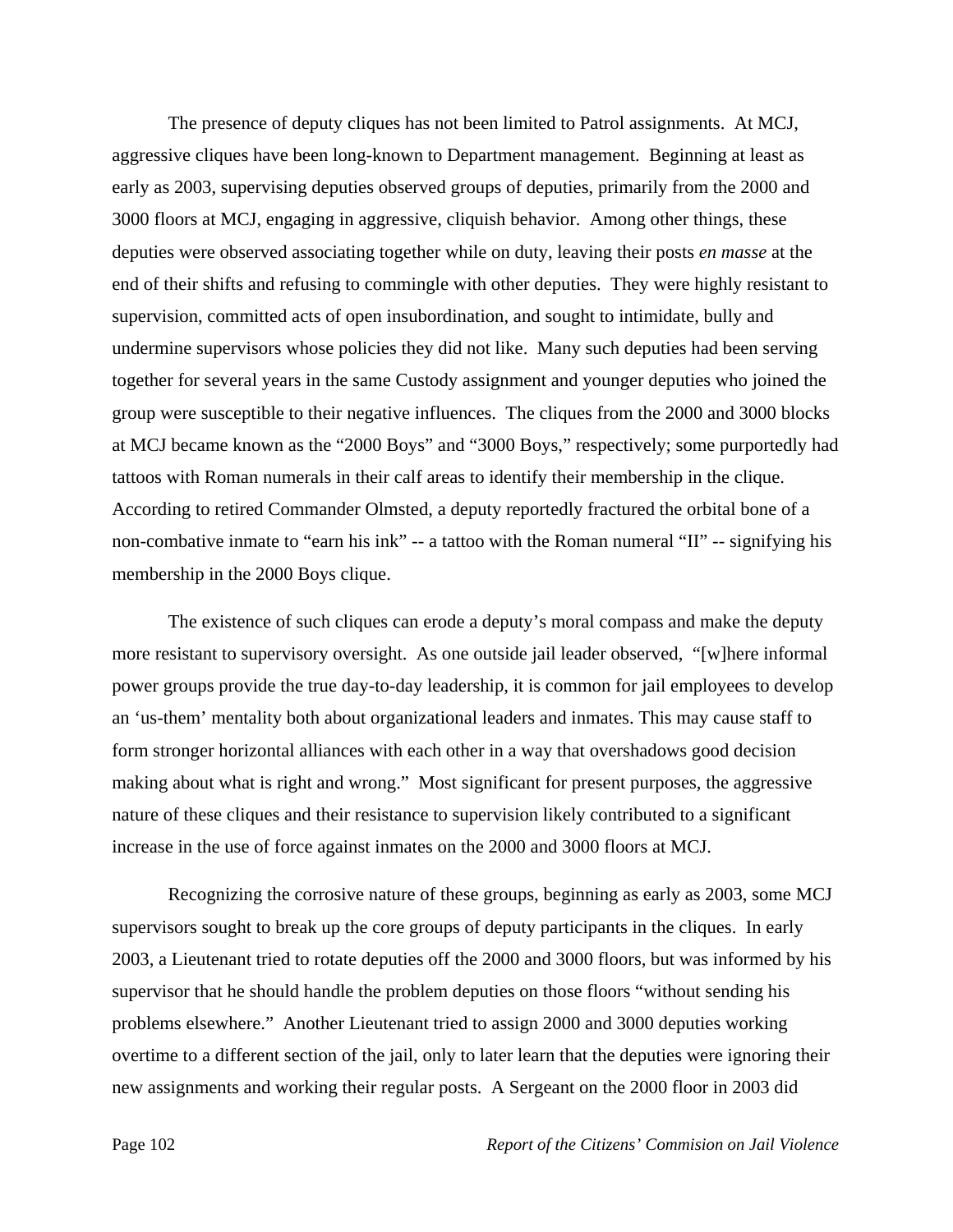The presence of deputy cliques has not been limited to Patrol assignments. At MCJ, aggressive cliques have been long-known to Department management. Beginning at least as early as 2003, supervising deputies observed groups of deputies, primarily from the 2000 and 3000 floors at MCJ, engaging in aggressive, cliquish behavior. Among other things, these deputies were observed associating together while on duty, leaving their posts *en masse* at the end of their shifts and refusing to commingle with other deputies. They were highly resistant to supervision, committed acts of open insubordination, and sought to intimidate, bully and undermine supervisors whose policies they did not like. Many such deputies had been serving together for several years in the same Custody assignment and younger deputies who joined the group were susceptible to their negative influences. The cliques from the 2000 and 3000 blocks at MCJ became known as the "2000 Boys" and "3000 Boys," respectively; some purportedly had tattoos with Roman numerals in their calf areas to identify their membership in the clique. According to retired Commander Olmsted, a deputy reportedly fractured the orbital bone of a non-combative inmate to "earn his ink" -- a tattoo with the Roman numeral "II" -- signifying his membership in the 2000 Boys clique.

 The existence of such cliques can erode a deputy's moral compass and make the deputy more resistant to supervisory oversight. As one outside jail leader observed, "[w]here informal power groups provide the true day-to-day leadership, it is common for jail employees to develop an 'us-them' mentality both about organizational leaders and inmates. This may cause staff to form stronger horizontal alliances with each other in a way that overshadows good decision making about what is right and wrong." Most significant for present purposes, the aggressive nature of these cliques and their resistance to supervision likely contributed to a significant increase in the use of force against inmates on the 2000 and 3000 floors at MCJ.

 Recognizing the corrosive nature of these groups, beginning as early as 2003, some MCJ supervisors sought to break up the core groups of deputy participants in the cliques. In early 2003, a Lieutenant tried to rotate deputies off the 2000 and 3000 floors, but was informed by his supervisor that he should handle the problem deputies on those floors "without sending his problems elsewhere." Another Lieutenant tried to assign 2000 and 3000 deputies working overtime to a different section of the jail, only to later learn that the deputies were ignoring their new assignments and working their regular posts. A Sergeant on the 2000 floor in 2003 did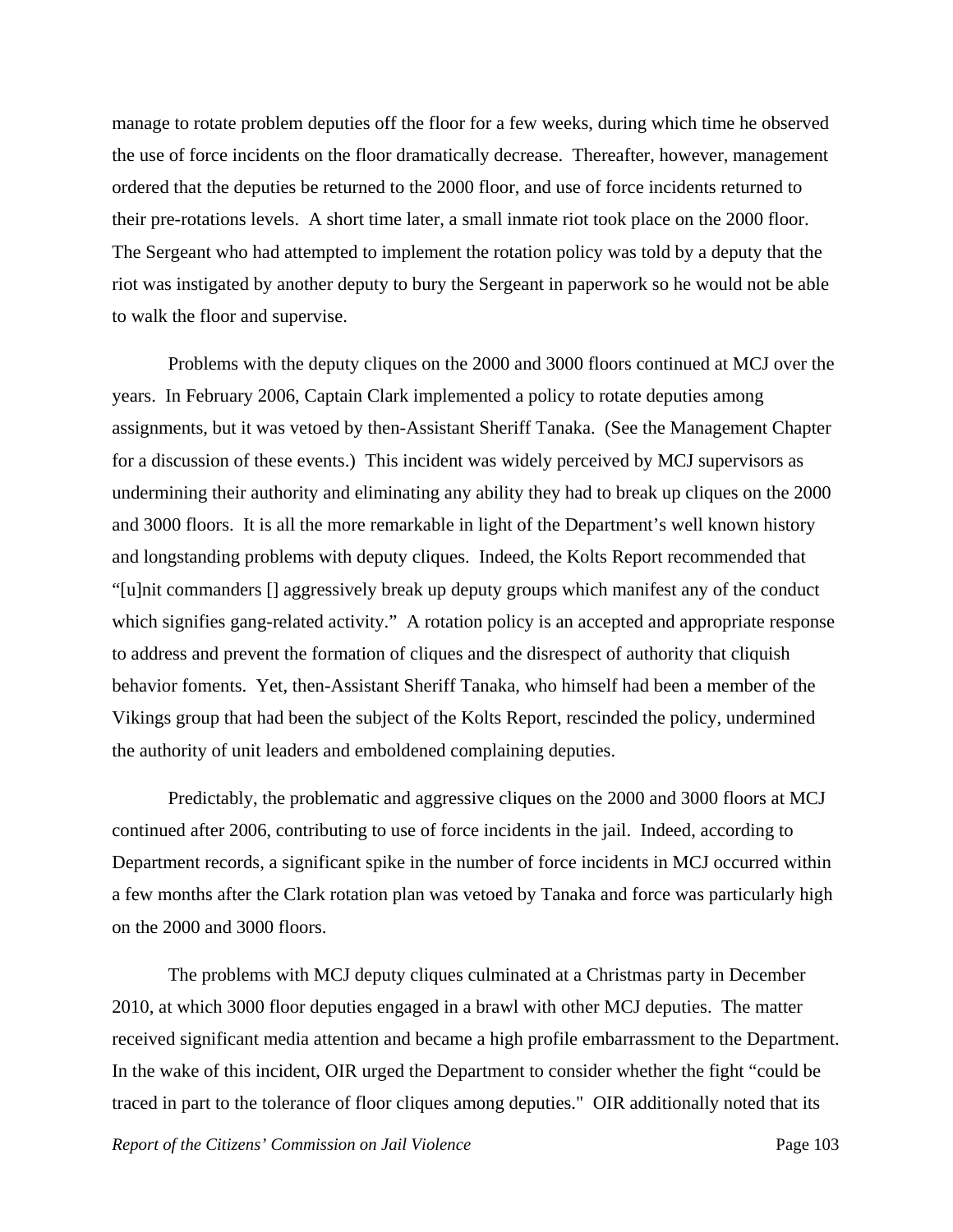manage to rotate problem deputies off the floor for a few weeks, during which time he observed the use of force incidents on the floor dramatically decrease. Thereafter, however, management ordered that the deputies be returned to the 2000 floor, and use of force incidents returned to their pre-rotations levels. A short time later, a small inmate riot took place on the 2000 floor. The Sergeant who had attempted to implement the rotation policy was told by a deputy that the riot was instigated by another deputy to bury the Sergeant in paperwork so he would not be able to walk the floor and supervise.

 Problems with the deputy cliques on the 2000 and 3000 floors continued at MCJ over the years. In February 2006, Captain Clark implemented a policy to rotate deputies among assignments, but it was vetoed by then-Assistant Sheriff Tanaka. (See the Management Chapter for a discussion of these events.) This incident was widely perceived by MCJ supervisors as undermining their authority and eliminating any ability they had to break up cliques on the 2000 and 3000 floors. It is all the more remarkable in light of the Department's well known history and longstanding problems with deputy cliques. Indeed, the Kolts Report recommended that "[u]nit commanders [] aggressively break up deputy groups which manifest any of the conduct which signifies gang-related activity." A rotation policy is an accepted and appropriate response to address and prevent the formation of cliques and the disrespect of authority that cliquish behavior foments. Yet, then-Assistant Sheriff Tanaka, who himself had been a member of the Vikings group that had been the subject of the Kolts Report, rescinded the policy, undermined the authority of unit leaders and emboldened complaining deputies.

 Predictably, the problematic and aggressive cliques on the 2000 and 3000 floors at MCJ continued after 2006, contributing to use of force incidents in the jail. Indeed, according to Department records, a significant spike in the number of force incidents in MCJ occurred within a few months after the Clark rotation plan was vetoed by Tanaka and force was particularly high on the 2000 and 3000 floors.

 The problems with MCJ deputy cliques culminated at a Christmas party in December 2010, at which 3000 floor deputies engaged in a brawl with other MCJ deputies. The matter received significant media attention and became a high profile embarrassment to the Department. In the wake of this incident, OIR urged the Department to consider whether the fight "could be traced in part to the tolerance of floor cliques among deputies." OIR additionally noted that its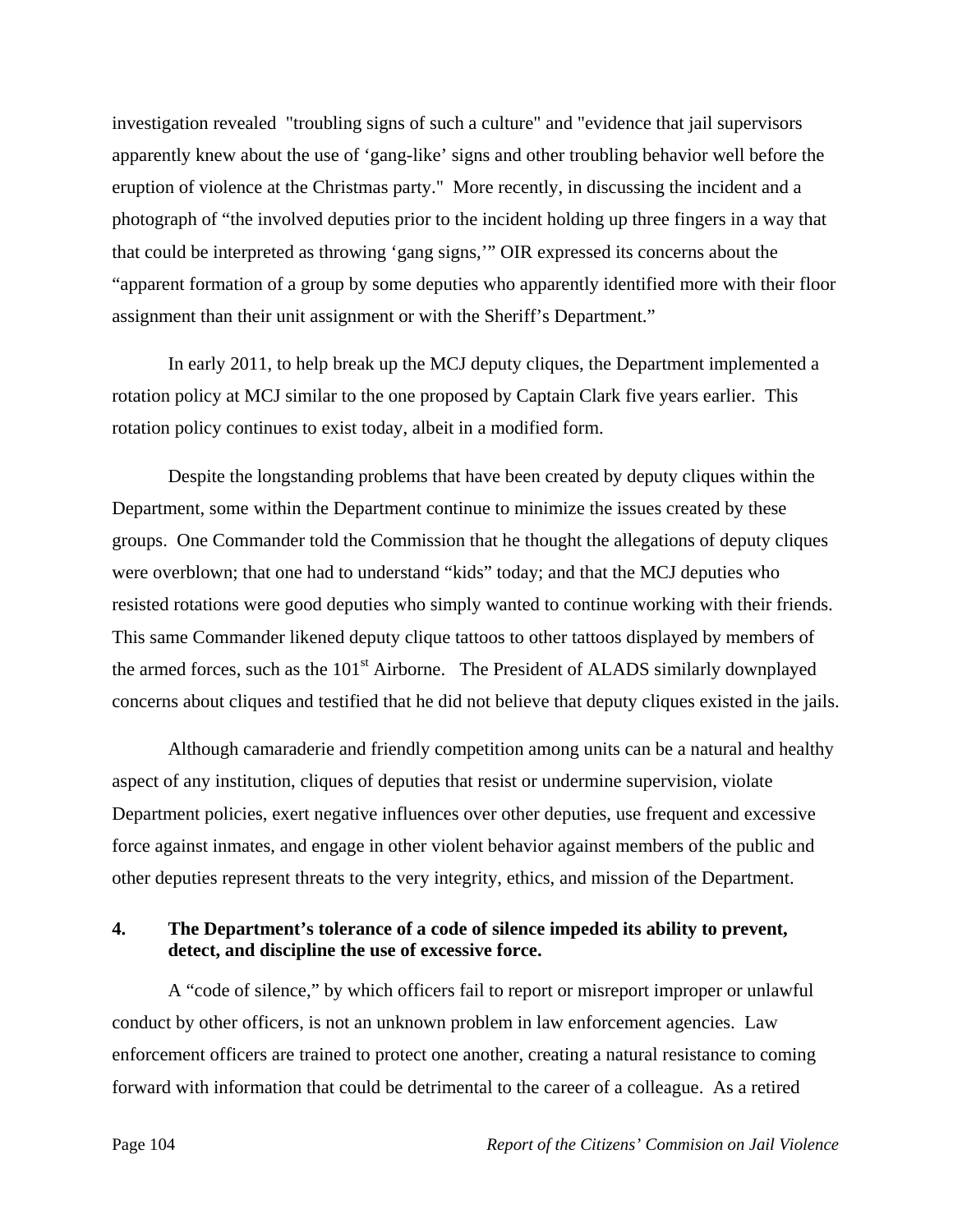investigation revealed "troubling signs of such a culture" and "evidence that jail supervisors apparently knew about the use of 'gang-like' signs and other troubling behavior well before the eruption of violence at the Christmas party." More recently, in discussing the incident and a photograph of "the involved deputies prior to the incident holding up three fingers in a way that that could be interpreted as throwing 'gang signs,'" OIR expressed its concerns about the "apparent formation of a group by some deputies who apparently identified more with their floor assignment than their unit assignment or with the Sheriff's Department."

 In early 2011, to help break up the MCJ deputy cliques, the Department implemented a rotation policy at MCJ similar to the one proposed by Captain Clark five years earlier. This rotation policy continues to exist today, albeit in a modified form.

 Despite the longstanding problems that have been created by deputy cliques within the Department, some within the Department continue to minimize the issues created by these groups. One Commander told the Commission that he thought the allegations of deputy cliques were overblown; that one had to understand "kids" today; and that the MCJ deputies who resisted rotations were good deputies who simply wanted to continue working with their friends. This same Commander likened deputy clique tattoos to other tattoos displayed by members of the armed forces, such as the  $101<sup>st</sup>$  Airborne. The President of ALADS similarly downplayed concerns about cliques and testified that he did not believe that deputy cliques existed in the jails.

 Although camaraderie and friendly competition among units can be a natural and healthy aspect of any institution, cliques of deputies that resist or undermine supervision, violate Department policies, exert negative influences over other deputies, use frequent and excessive force against inmates, and engage in other violent behavior against members of the public and other deputies represent threats to the very integrity, ethics, and mission of the Department.

## **4. The Department's tolerance of a code of silence impeded its ability to prevent, detect, and discipline the use of excessive force.**

 A "code of silence," by which officers fail to report or misreport improper or unlawful conduct by other officers, is not an unknown problem in law enforcement agencies. Law enforcement officers are trained to protect one another, creating a natural resistance to coming forward with information that could be detrimental to the career of a colleague. As a retired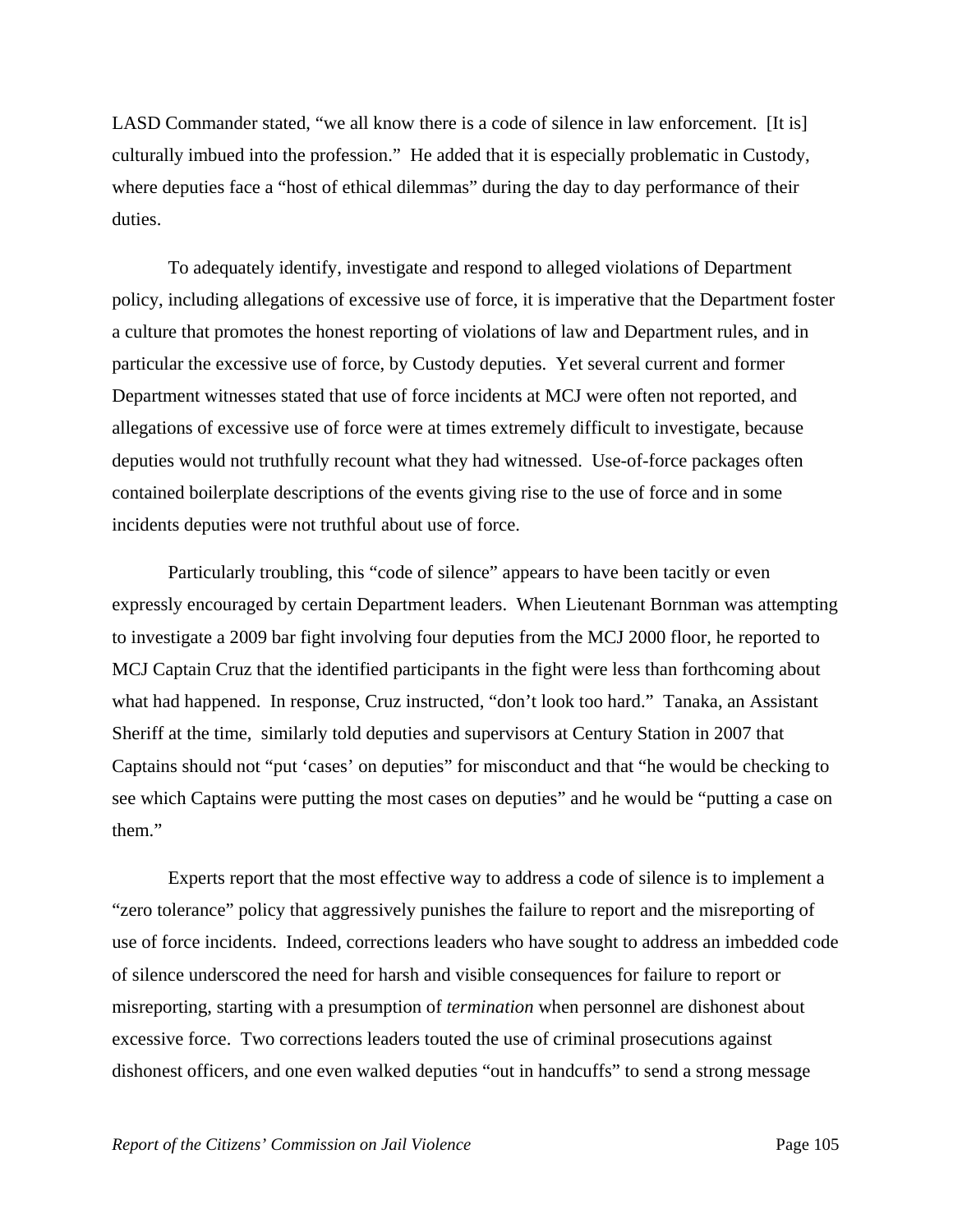LASD Commander stated, "we all know there is a code of silence in law enforcement. [It is] culturally imbued into the profession." He added that it is especially problematic in Custody, where deputies face a "host of ethical dilemmas" during the day to day performance of their duties.

 To adequately identify, investigate and respond to alleged violations of Department policy, including allegations of excessive use of force, it is imperative that the Department foster a culture that promotes the honest reporting of violations of law and Department rules, and in particular the excessive use of force, by Custody deputies. Yet several current and former Department witnesses stated that use of force incidents at MCJ were often not reported, and allegations of excessive use of force were at times extremely difficult to investigate, because deputies would not truthfully recount what they had witnessed. Use-of-force packages often contained boilerplate descriptions of the events giving rise to the use of force and in some incidents deputies were not truthful about use of force.

 Particularly troubling, this "code of silence" appears to have been tacitly or even expressly encouraged by certain Department leaders. When Lieutenant Bornman was attempting to investigate a 2009 bar fight involving four deputies from the MCJ 2000 floor, he reported to MCJ Captain Cruz that the identified participants in the fight were less than forthcoming about what had happened. In response, Cruz instructed, "don't look too hard." Tanaka, an Assistant Sheriff at the time, similarly told deputies and supervisors at Century Station in 2007 that Captains should not "put 'cases' on deputies" for misconduct and that "he would be checking to see which Captains were putting the most cases on deputies" and he would be "putting a case on them."

 Experts report that the most effective way to address a code of silence is to implement a "zero tolerance" policy that aggressively punishes the failure to report and the misreporting of use of force incidents. Indeed, corrections leaders who have sought to address an imbedded code of silence underscored the need for harsh and visible consequences for failure to report or misreporting, starting with a presumption of *termination* when personnel are dishonest about excessive force. Two corrections leaders touted the use of criminal prosecutions against dishonest officers, and one even walked deputies "out in handcuffs" to send a strong message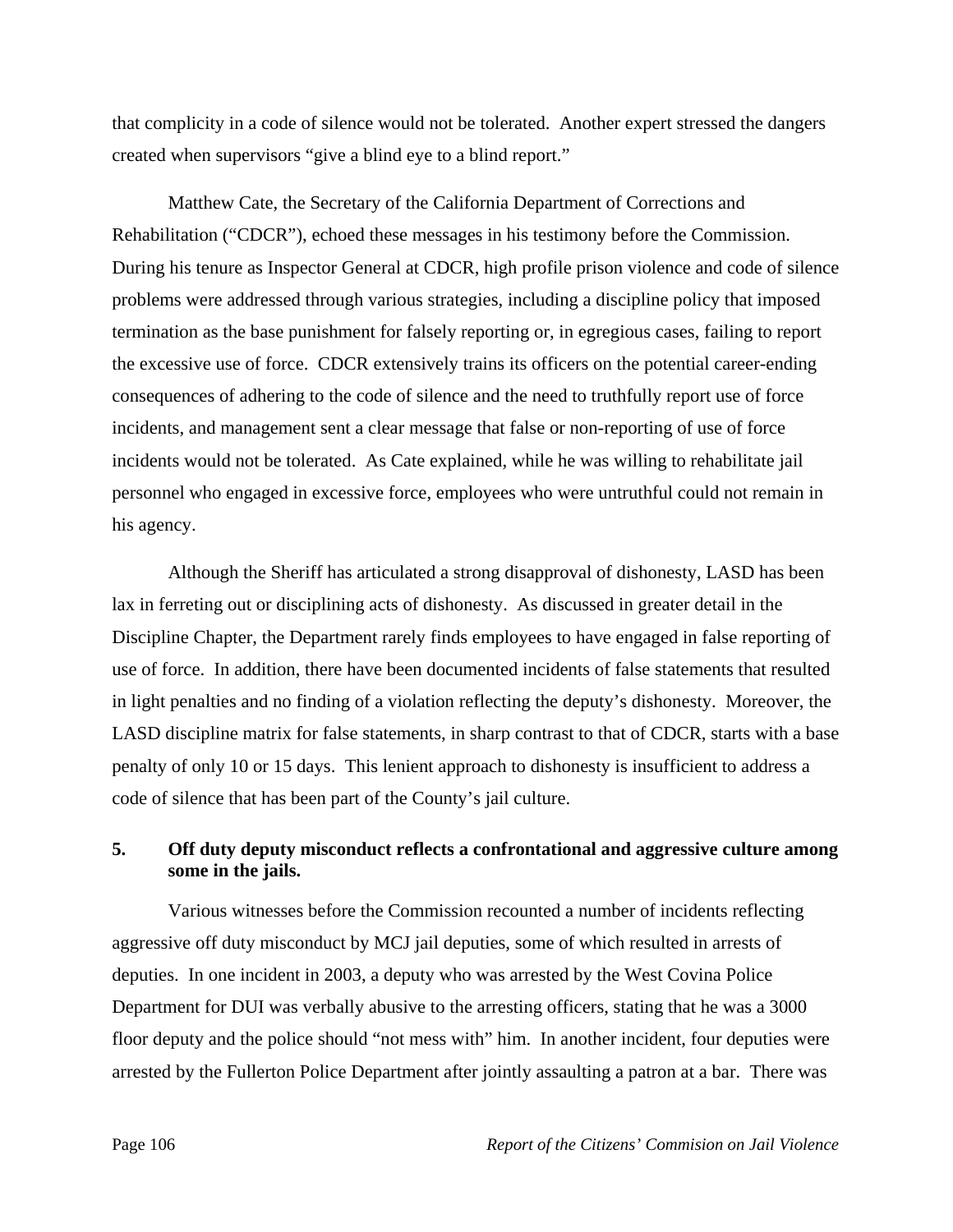that complicity in a code of silence would not be tolerated. Another expert stressed the dangers created when supervisors "give a blind eye to a blind report."

 Matthew Cate, the Secretary of the California Department of Corrections and Rehabilitation ("CDCR"), echoed these messages in his testimony before the Commission. During his tenure as Inspector General at CDCR, high profile prison violence and code of silence problems were addressed through various strategies, including a discipline policy that imposed termination as the base punishment for falsely reporting or, in egregious cases, failing to report the excessive use of force. CDCR extensively trains its officers on the potential career-ending consequences of adhering to the code of silence and the need to truthfully report use of force incidents, and management sent a clear message that false or non-reporting of use of force incidents would not be tolerated. As Cate explained, while he was willing to rehabilitate jail personnel who engaged in excessive force, employees who were untruthful could not remain in his agency.

 Although the Sheriff has articulated a strong disapproval of dishonesty, LASD has been lax in ferreting out or disciplining acts of dishonesty. As discussed in greater detail in the Discipline Chapter, the Department rarely finds employees to have engaged in false reporting of use of force. In addition, there have been documented incidents of false statements that resulted in light penalties and no finding of a violation reflecting the deputy's dishonesty. Moreover, the LASD discipline matrix for false statements, in sharp contrast to that of CDCR, starts with a base penalty of only 10 or 15 days. This lenient approach to dishonesty is insufficient to address a code of silence that has been part of the County's jail culture.

# **5. Off duty deputy misconduct reflects a confrontational and aggressive culture among some in the jails.**

 Various witnesses before the Commission recounted a number of incidents reflecting aggressive off duty misconduct by MCJ jail deputies, some of which resulted in arrests of deputies. In one incident in 2003, a deputy who was arrested by the West Covina Police Department for DUI was verbally abusive to the arresting officers, stating that he was a 3000 floor deputy and the police should "not mess with" him. In another incident, four deputies were arrested by the Fullerton Police Department after jointly assaulting a patron at a bar. There was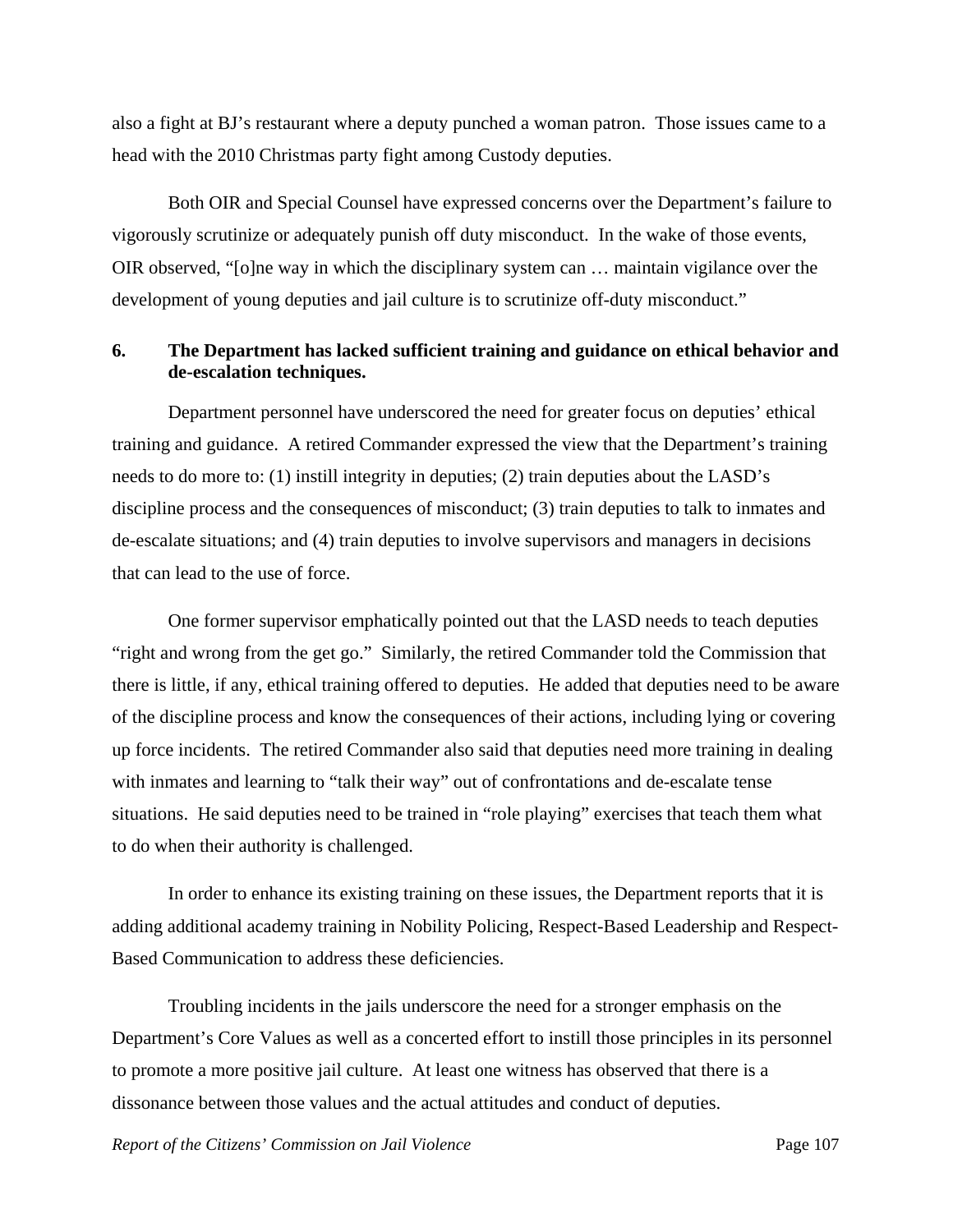also a fight at BJ's restaurant where a deputy punched a woman patron. Those issues came to a head with the 2010 Christmas party fight among Custody deputies.

 Both OIR and Special Counsel have expressed concerns over the Department's failure to vigorously scrutinize or adequately punish off duty misconduct. In the wake of those events, OIR observed, "[o]ne way in which the disciplinary system can … maintain vigilance over the development of young deputies and jail culture is to scrutinize off-duty misconduct."

# **6. The Department has lacked sufficient training and guidance on ethical behavior and de-escalation techniques.**

 Department personnel have underscored the need for greater focus on deputies' ethical training and guidance. A retired Commander expressed the view that the Department's training needs to do more to: (1) instill integrity in deputies; (2) train deputies about the LASD's discipline process and the consequences of misconduct; (3) train deputies to talk to inmates and de-escalate situations; and (4) train deputies to involve supervisors and managers in decisions that can lead to the use of force.

 One former supervisor emphatically pointed out that the LASD needs to teach deputies "right and wrong from the get go." Similarly, the retired Commander told the Commission that there is little, if any, ethical training offered to deputies. He added that deputies need to be aware of the discipline process and know the consequences of their actions, including lying or covering up force incidents. The retired Commander also said that deputies need more training in dealing with inmates and learning to "talk their way" out of confrontations and de-escalate tense situations. He said deputies need to be trained in "role playing" exercises that teach them what to do when their authority is challenged.

In order to enhance its existing training on these issues, the Department reports that it is adding additional academy training in Nobility Policing, Respect-Based Leadership and Respect-Based Communication to address these deficiencies.

 Troubling incidents in the jails underscore the need for a stronger emphasis on the Department's Core Values as well as a concerted effort to instill those principles in its personnel to promote a more positive jail culture. At least one witness has observed that there is a dissonance between those values and the actual attitudes and conduct of deputies.

*Report of the Citizens' Commission on Jail Violence* Page 107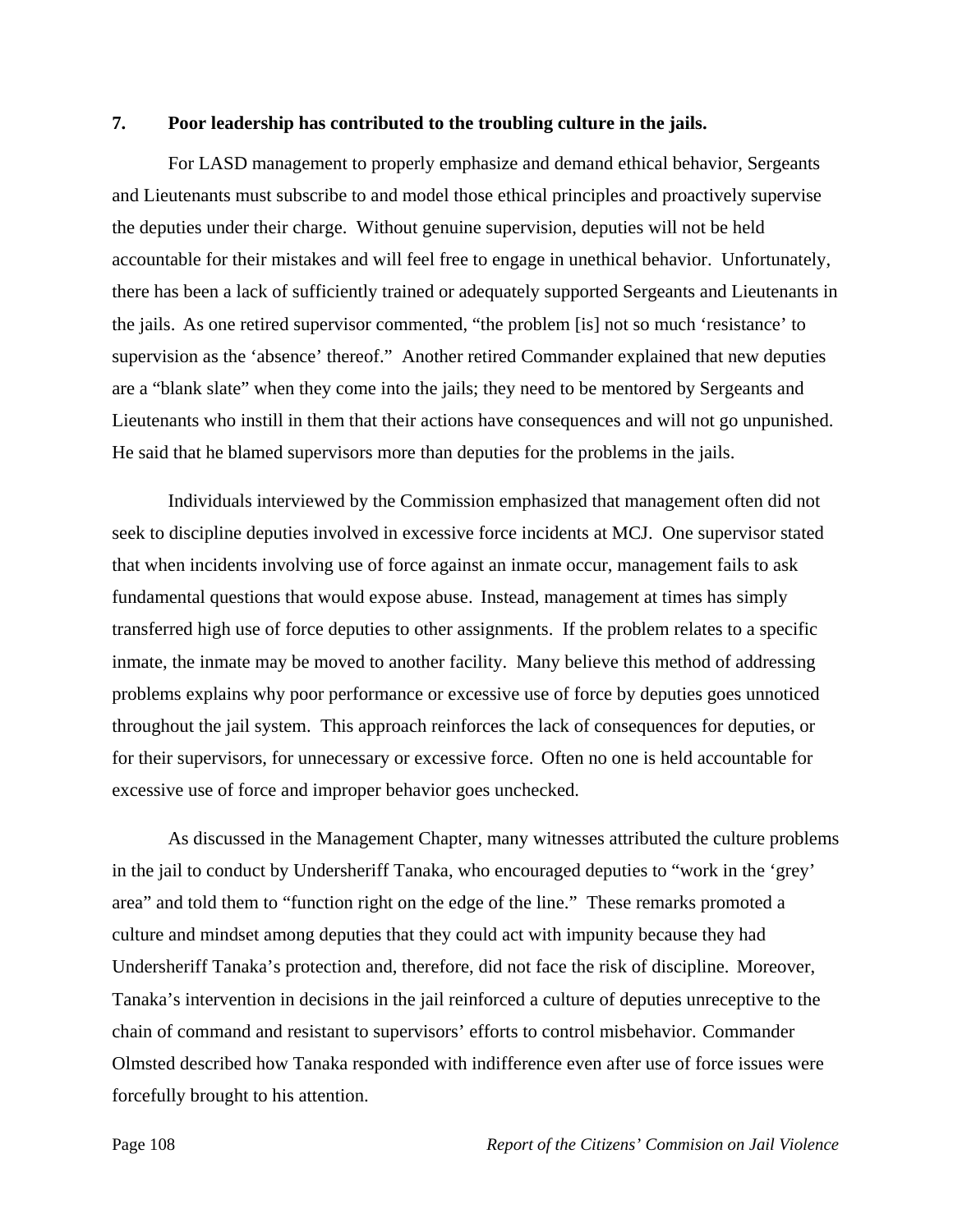#### **7. Poor leadership has contributed to the troubling culture in the jails.**

 For LASD management to properly emphasize and demand ethical behavior, Sergeants and Lieutenants must subscribe to and model those ethical principles and proactively supervise the deputies under their charge. Without genuine supervision, deputies will not be held accountable for their mistakes and will feel free to engage in unethical behavior. Unfortunately, there has been a lack of sufficiently trained or adequately supported Sergeants and Lieutenants in the jails. As one retired supervisor commented, "the problem [is] not so much 'resistance' to supervision as the 'absence' thereof." Another retired Commander explained that new deputies are a "blank slate" when they come into the jails; they need to be mentored by Sergeants and Lieutenants who instill in them that their actions have consequences and will not go unpunished. He said that he blamed supervisors more than deputies for the problems in the jails.

 Individuals interviewed by the Commission emphasized that management often did not seek to discipline deputies involved in excessive force incidents at MCJ. One supervisor stated that when incidents involving use of force against an inmate occur, management fails to ask fundamental questions that would expose abuse. Instead, management at times has simply transferred high use of force deputies to other assignments. If the problem relates to a specific inmate, the inmate may be moved to another facility. Many believe this method of addressing problems explains why poor performance or excessive use of force by deputies goes unnoticed throughout the jail system. This approach reinforces the lack of consequences for deputies, or for their supervisors, for unnecessary or excessive force. Often no one is held accountable for excessive use of force and improper behavior goes unchecked.

 As discussed in the Management Chapter, many witnesses attributed the culture problems in the jail to conduct by Undersheriff Tanaka, who encouraged deputies to "work in the 'grey' area" and told them to "function right on the edge of the line." These remarks promoted a culture and mindset among deputies that they could act with impunity because they had Undersheriff Tanaka's protection and, therefore, did not face the risk of discipline. Moreover, Tanaka's intervention in decisions in the jail reinforced a culture of deputies unreceptive to the chain of command and resistant to supervisors' efforts to control misbehavior. Commander Olmsted described how Tanaka responded with indifference even after use of force issues were forcefully brought to his attention.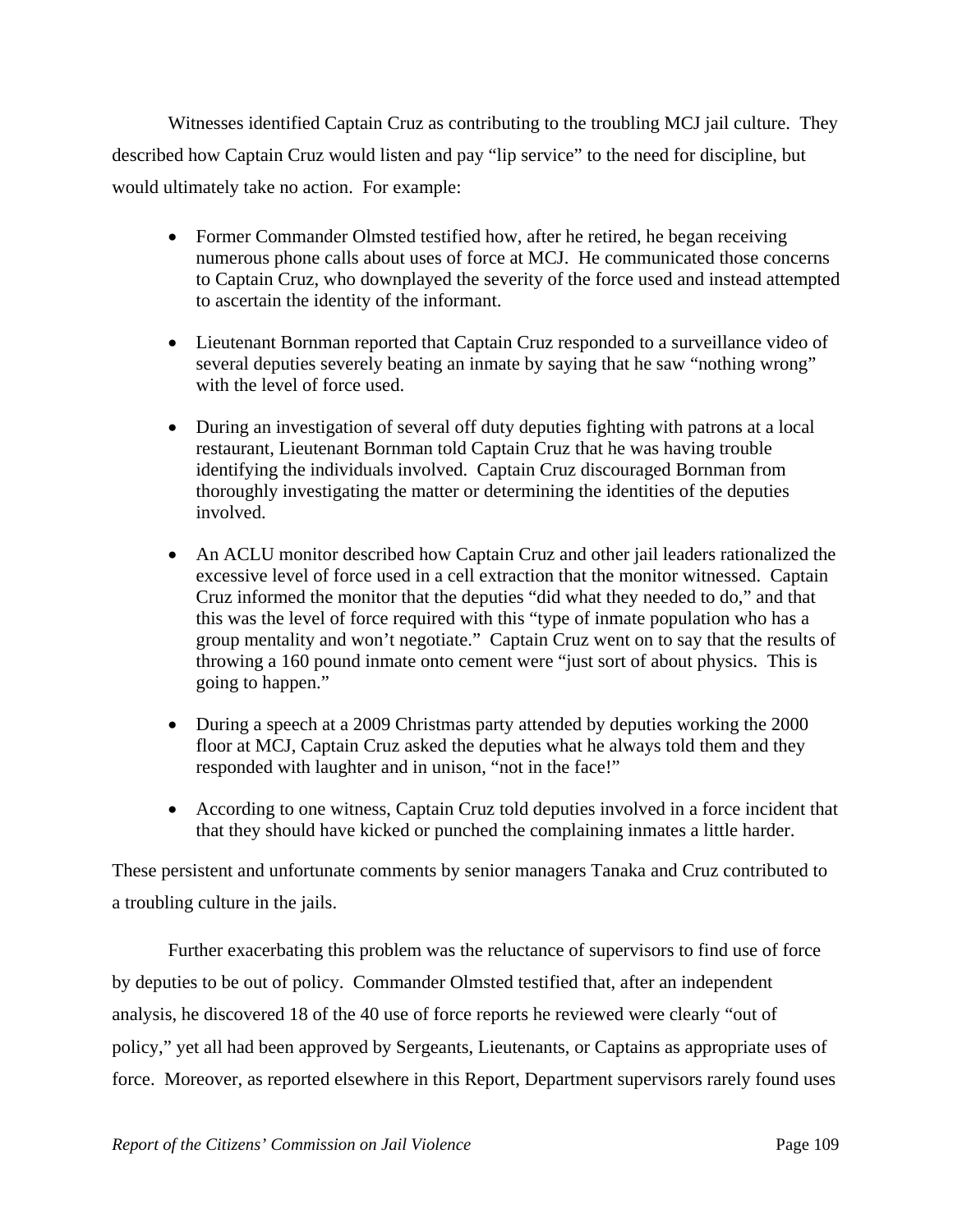Witnesses identified Captain Cruz as contributing to the troubling MCJ jail culture. They described how Captain Cruz would listen and pay "lip service" to the need for discipline, but would ultimately take no action. For example:

- Former Commander Olmsted testified how, after he retired, he began receiving numerous phone calls about uses of force at MCJ. He communicated those concerns to Captain Cruz, who downplayed the severity of the force used and instead attempted to ascertain the identity of the informant.
- Lieutenant Bornman reported that Captain Cruz responded to a surveillance video of several deputies severely beating an inmate by saying that he saw "nothing wrong" with the level of force used.
- During an investigation of several off duty deputies fighting with patrons at a local restaurant, Lieutenant Bornman told Captain Cruz that he was having trouble identifying the individuals involved. Captain Cruz discouraged Bornman from thoroughly investigating the matter or determining the identities of the deputies involved.
- An ACLU monitor described how Captain Cruz and other jail leaders rationalized the excessive level of force used in a cell extraction that the monitor witnessed. Captain Cruz informed the monitor that the deputies "did what they needed to do," and that this was the level of force required with this "type of inmate population who has a group mentality and won't negotiate." Captain Cruz went on to say that the results of throwing a 160 pound inmate onto cement were "just sort of about physics. This is going to happen."
- During a speech at a 2009 Christmas party attended by deputies working the 2000 floor at MCJ, Captain Cruz asked the deputies what he always told them and they responded with laughter and in unison, "not in the face!"
- According to one witness, Captain Cruz told deputies involved in a force incident that that they should have kicked or punched the complaining inmates a little harder.

These persistent and unfortunate comments by senior managers Tanaka and Cruz contributed to a troubling culture in the jails.

 Further exacerbating this problem was the reluctance of supervisors to find use of force by deputies to be out of policy. Commander Olmsted testified that, after an independent analysis, he discovered 18 of the 40 use of force reports he reviewed were clearly "out of policy," yet all had been approved by Sergeants, Lieutenants, or Captains as appropriate uses of force. Moreover, as reported elsewhere in this Report, Department supervisors rarely found uses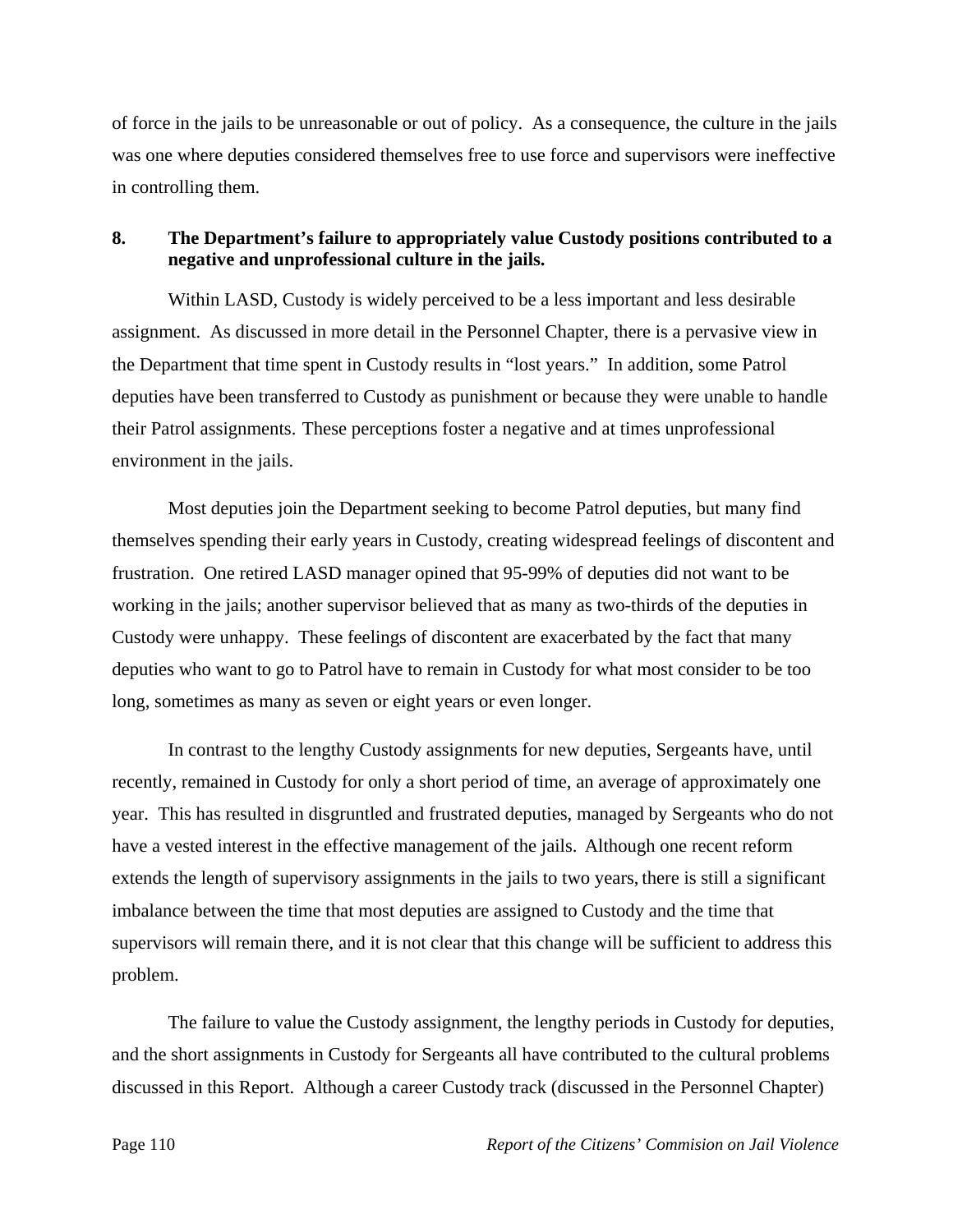of force in the jails to be unreasonable or out of policy. As a consequence, the culture in the jails was one where deputies considered themselves free to use force and supervisors were ineffective in controlling them.

### **8. The Department's failure to appropriately value Custody positions contributed to a negative and unprofessional culture in the jails.**

 Within LASD, Custody is widely perceived to be a less important and less desirable assignment. As discussed in more detail in the Personnel Chapter, there is a pervasive view in the Department that time spent in Custody results in "lost years." In addition, some Patrol deputies have been transferred to Custody as punishment or because they were unable to handle their Patrol assignments. These perceptions foster a negative and at times unprofessional environment in the jails.

 Most deputies join the Department seeking to become Patrol deputies, but many find themselves spending their early years in Custody, creating widespread feelings of discontent and frustration. One retired LASD manager opined that 95-99% of deputies did not want to be working in the jails; another supervisor believed that as many as two-thirds of the deputies in Custody were unhappy. These feelings of discontent are exacerbated by the fact that many deputies who want to go to Patrol have to remain in Custody for what most consider to be too long, sometimes as many as seven or eight years or even longer.

 In contrast to the lengthy Custody assignments for new deputies, Sergeants have, until recently, remained in Custody for only a short period of time, an average of approximately one year. This has resulted in disgruntled and frustrated deputies, managed by Sergeants who do not have a vested interest in the effective management of the jails. Although one recent reform extends the length of supervisory assignments in the jails to two years, there is still a significant imbalance between the time that most deputies are assigned to Custody and the time that supervisors will remain there, and it is not clear that this change will be sufficient to address this problem.

 The failure to value the Custody assignment, the lengthy periods in Custody for deputies, and the short assignments in Custody for Sergeants all have contributed to the cultural problems discussed in this Report. Although a career Custody track (discussed in the Personnel Chapter)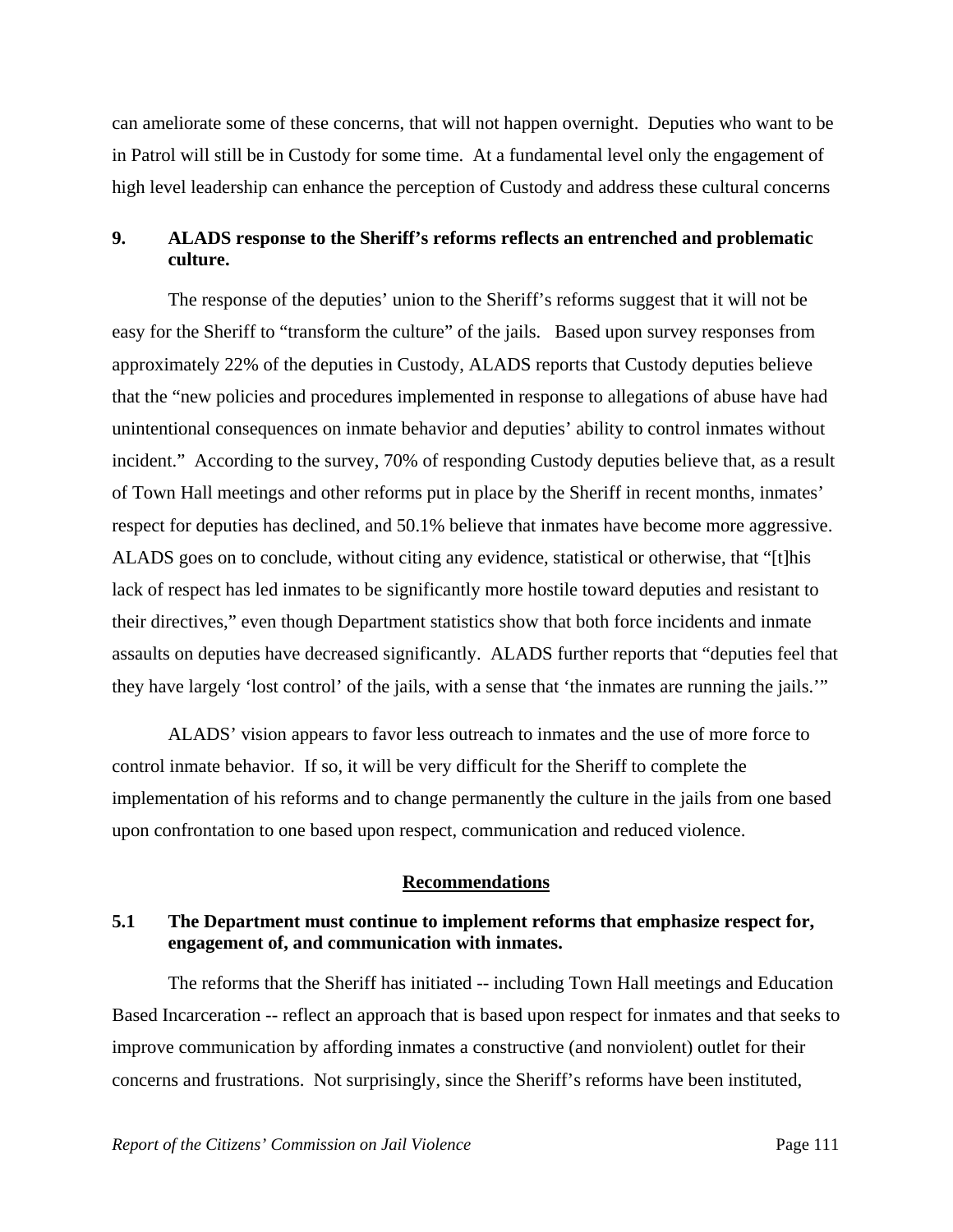can ameliorate some of these concerns, that will not happen overnight. Deputies who want to be in Patrol will still be in Custody for some time. At a fundamental level only the engagement of high level leadership can enhance the perception of Custody and address these cultural concerns

## **9. ALADS response to the Sheriff's reforms reflects an entrenched and problematic culture.**

 The response of the deputies' union to the Sheriff's reforms suggest that it will not be easy for the Sheriff to "transform the culture" of the jails. Based upon survey responses from approximately 22% of the deputies in Custody, ALADS reports that Custody deputies believe that the "new policies and procedures implemented in response to allegations of abuse have had unintentional consequences on inmate behavior and deputies' ability to control inmates without incident." According to the survey, 70% of responding Custody deputies believe that, as a result of Town Hall meetings and other reforms put in place by the Sheriff in recent months, inmates' respect for deputies has declined, and 50.1% believe that inmates have become more aggressive. ALADS goes on to conclude, without citing any evidence, statistical or otherwise, that "[t]his lack of respect has led inmates to be significantly more hostile toward deputies and resistant to their directives," even though Department statistics show that both force incidents and inmate assaults on deputies have decreased significantly. ALADS further reports that "deputies feel that they have largely 'lost control' of the jails, with a sense that 'the inmates are running the jails.'"

 ALADS' vision appears to favor less outreach to inmates and the use of more force to control inmate behavior. If so, it will be very difficult for the Sheriff to complete the implementation of his reforms and to change permanently the culture in the jails from one based upon confrontation to one based upon respect, communication and reduced violence.

#### **Recommendations**

## **5.1 The Department must continue to implement reforms that emphasize respect for, engagement of, and communication with inmates.**

 The reforms that the Sheriff has initiated -- including Town Hall meetings and Education Based Incarceration -- reflect an approach that is based upon respect for inmates and that seeks to improve communication by affording inmates a constructive (and nonviolent) outlet for their concerns and frustrations. Not surprisingly, since the Sheriff's reforms have been instituted,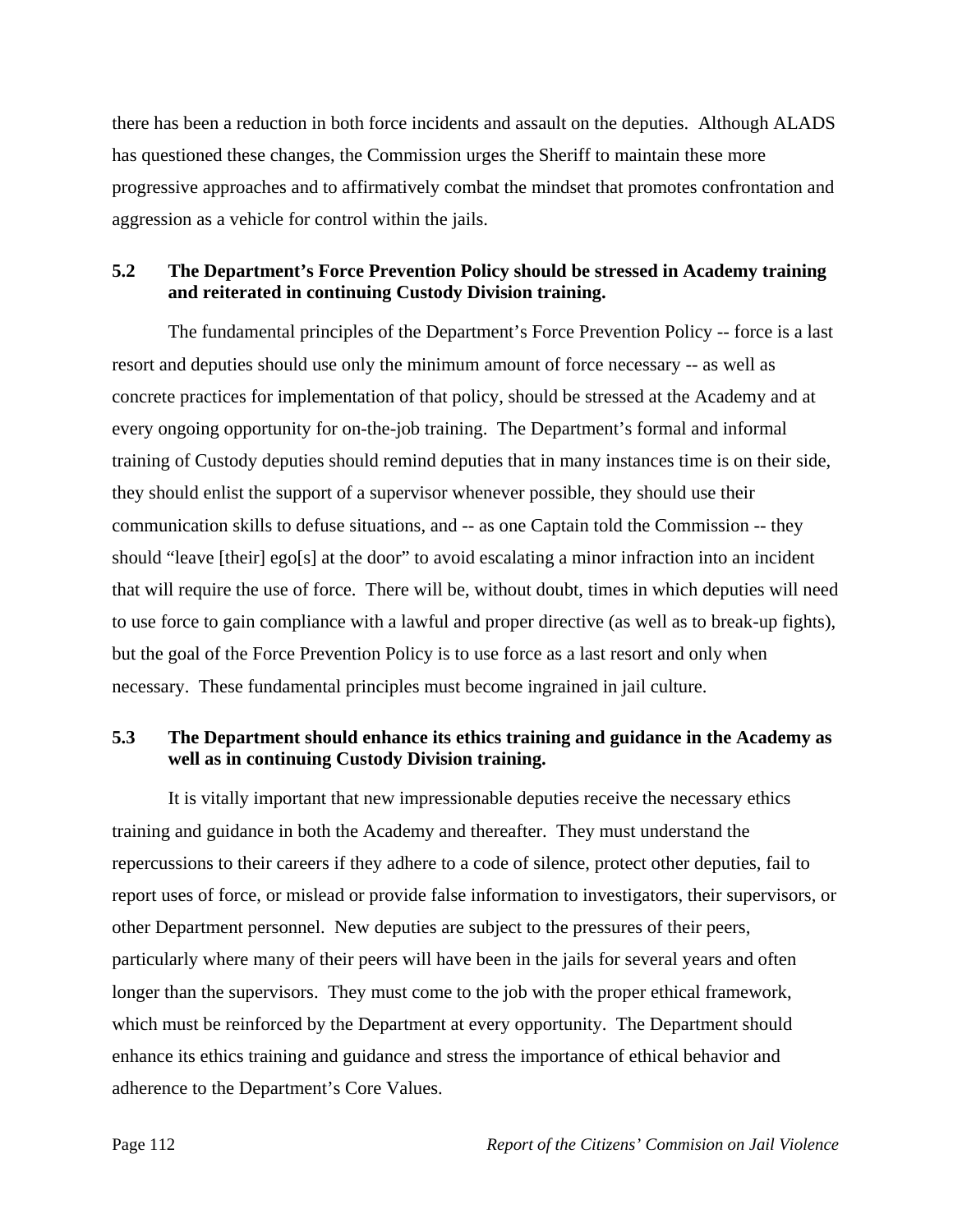there has been a reduction in both force incidents and assault on the deputies. Although ALADS has questioned these changes, the Commission urges the Sheriff to maintain these more progressive approaches and to affirmatively combat the mindset that promotes confrontation and aggression as a vehicle for control within the jails.

# **5.2 The Department's Force Prevention Policy should be stressed in Academy training and reiterated in continuing Custody Division training.**

 The fundamental principles of the Department's Force Prevention Policy -- force is a last resort and deputies should use only the minimum amount of force necessary -- as well as concrete practices for implementation of that policy, should be stressed at the Academy and at every ongoing opportunity for on-the-job training. The Department's formal and informal training of Custody deputies should remind deputies that in many instances time is on their side, they should enlist the support of a supervisor whenever possible, they should use their communication skills to defuse situations, and -- as one Captain told the Commission -- they should "leave [their] ego[s] at the door" to avoid escalating a minor infraction into an incident that will require the use of force. There will be, without doubt, times in which deputies will need to use force to gain compliance with a lawful and proper directive (as well as to break-up fights), but the goal of the Force Prevention Policy is to use force as a last resort and only when necessary. These fundamental principles must become ingrained in jail culture.

# **5.3 The Department should enhance its ethics training and guidance in the Academy as well as in continuing Custody Division training.**

 It is vitally important that new impressionable deputies receive the necessary ethics training and guidance in both the Academy and thereafter. They must understand the repercussions to their careers if they adhere to a code of silence, protect other deputies, fail to report uses of force, or mislead or provide false information to investigators, their supervisors, or other Department personnel. New deputies are subject to the pressures of their peers, particularly where many of their peers will have been in the jails for several years and often longer than the supervisors. They must come to the job with the proper ethical framework, which must be reinforced by the Department at every opportunity. The Department should enhance its ethics training and guidance and stress the importance of ethical behavior and adherence to the Department's Core Values.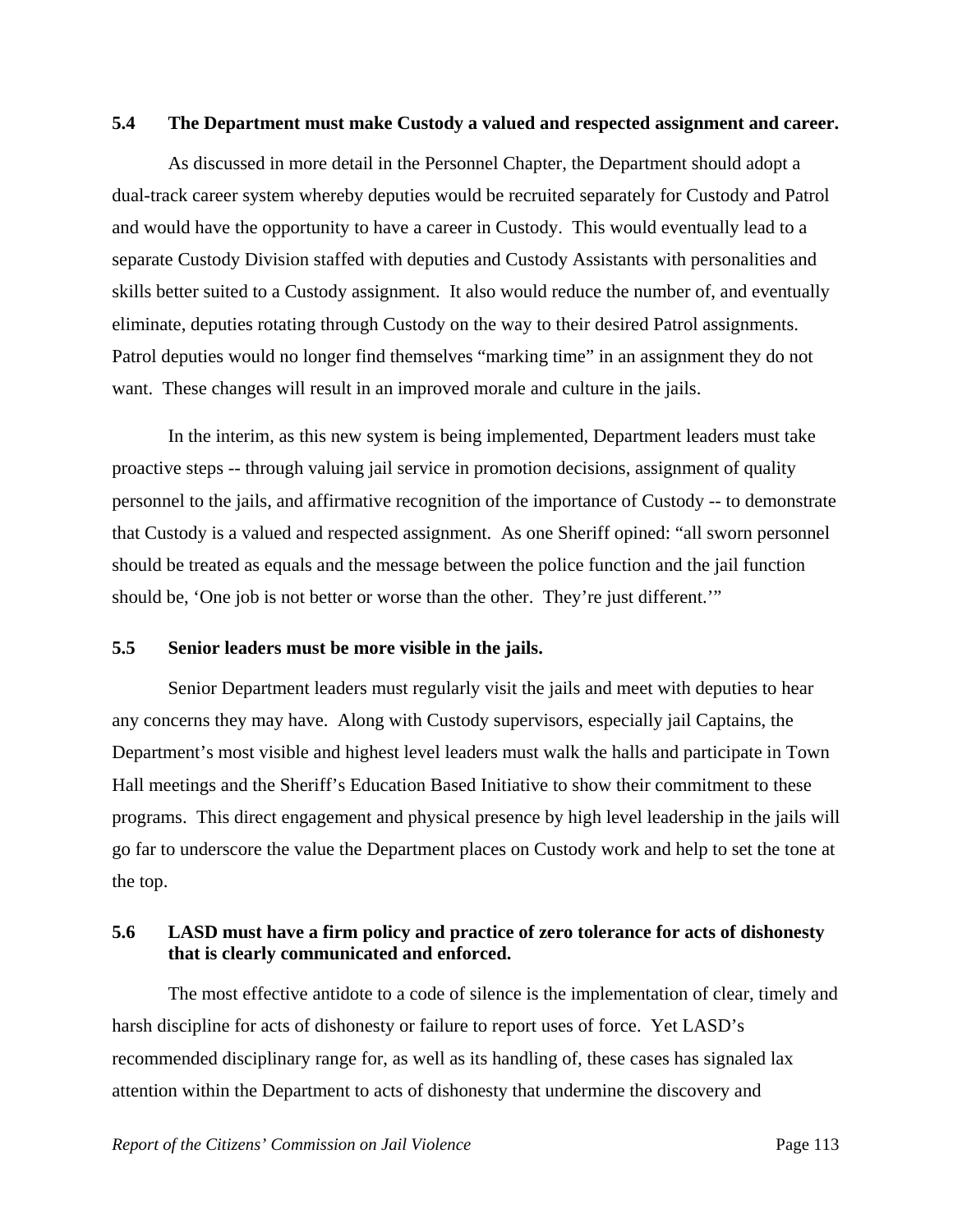#### **5.4 The Department must make Custody a valued and respected assignment and career.**

 As discussed in more detail in the Personnel Chapter, the Department should adopt a dual-track career system whereby deputies would be recruited separately for Custody and Patrol and would have the opportunity to have a career in Custody. This would eventually lead to a separate Custody Division staffed with deputies and Custody Assistants with personalities and skills better suited to a Custody assignment. It also would reduce the number of, and eventually eliminate, deputies rotating through Custody on the way to their desired Patrol assignments. Patrol deputies would no longer find themselves "marking time" in an assignment they do not want. These changes will result in an improved morale and culture in the jails.

 In the interim, as this new system is being implemented, Department leaders must take proactive steps -- through valuing jail service in promotion decisions, assignment of quality personnel to the jails, and affirmative recognition of the importance of Custody -- to demonstrate that Custody is a valued and respected assignment. As one Sheriff opined: "all sworn personnel should be treated as equals and the message between the police function and the jail function should be, 'One job is not better or worse than the other. They're just different.'"

#### **5.5 Senior leaders must be more visible in the jails.**

 Senior Department leaders must regularly visit the jails and meet with deputies to hear any concerns they may have. Along with Custody supervisors, especially jail Captains, the Department's most visible and highest level leaders must walk the halls and participate in Town Hall meetings and the Sheriff's Education Based Initiative to show their commitment to these programs. This direct engagement and physical presence by high level leadership in the jails will go far to underscore the value the Department places on Custody work and help to set the tone at the top.

## **5.6 LASD must have a firm policy and practice of zero tolerance for acts of dishonesty that is clearly communicated and enforced.**

 The most effective antidote to a code of silence is the implementation of clear, timely and harsh discipline for acts of dishonesty or failure to report uses of force. Yet LASD's recommended disciplinary range for, as well as its handling of, these cases has signaled lax attention within the Department to acts of dishonesty that undermine the discovery and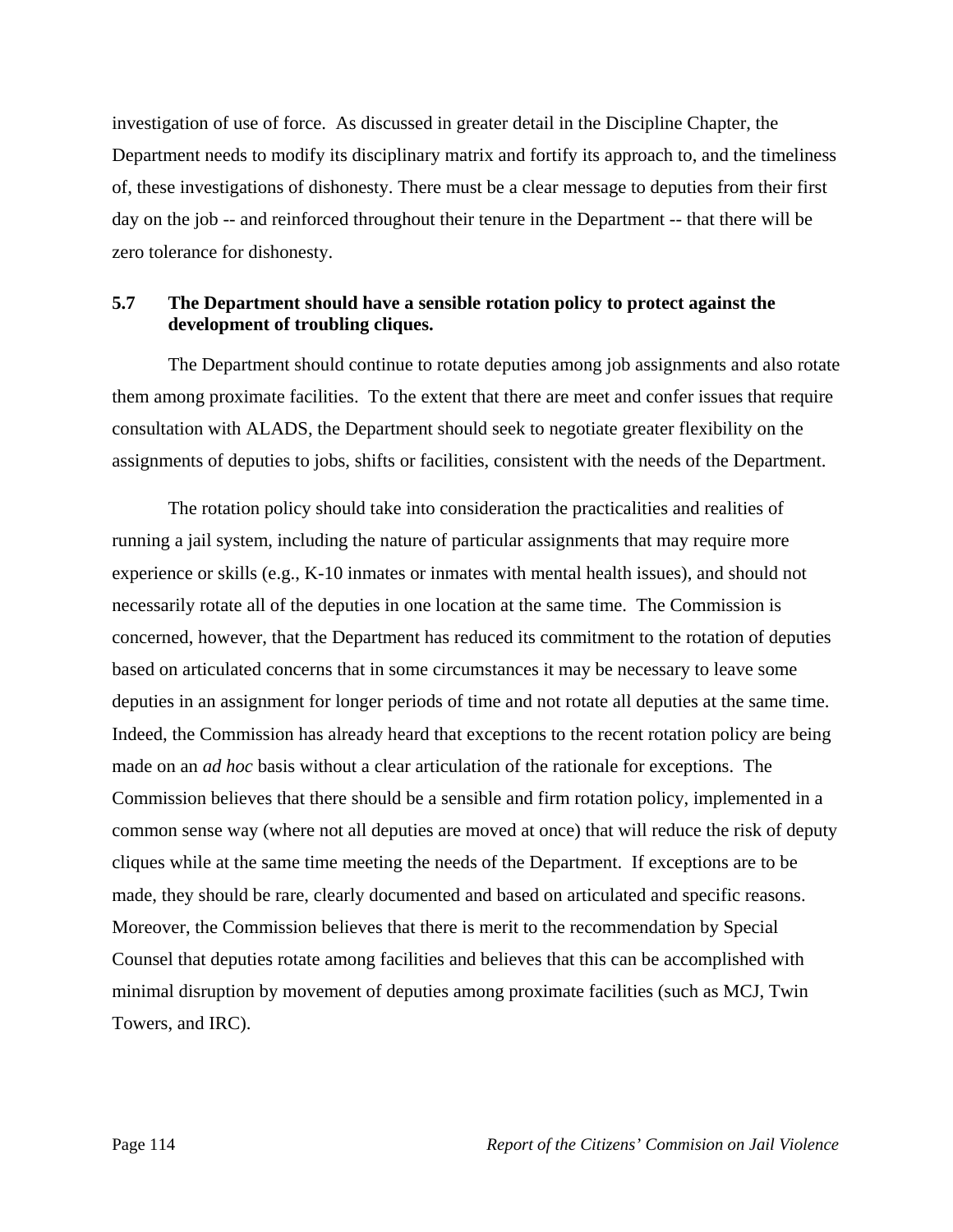investigation of use of force. As discussed in greater detail in the Discipline Chapter, the Department needs to modify its disciplinary matrix and fortify its approach to, and the timeliness of, these investigations of dishonesty. There must be a clear message to deputies from their first day on the job -- and reinforced throughout their tenure in the Department -- that there will be zero tolerance for dishonesty.

## **5.7 The Department should have a sensible rotation policy to protect against the development of troubling cliques.**

 The Department should continue to rotate deputies among job assignments and also rotate them among proximate facilities. To the extent that there are meet and confer issues that require consultation with ALADS, the Department should seek to negotiate greater flexibility on the assignments of deputies to jobs, shifts or facilities, consistent with the needs of the Department.

 The rotation policy should take into consideration the practicalities and realities of running a jail system, including the nature of particular assignments that may require more experience or skills (e.g., K-10 inmates or inmates with mental health issues), and should not necessarily rotate all of the deputies in one location at the same time. The Commission is concerned, however, that the Department has reduced its commitment to the rotation of deputies based on articulated concerns that in some circumstances it may be necessary to leave some deputies in an assignment for longer periods of time and not rotate all deputies at the same time. Indeed, the Commission has already heard that exceptions to the recent rotation policy are being made on an *ad hoc* basis without a clear articulation of the rationale for exceptions. The Commission believes that there should be a sensible and firm rotation policy, implemented in a common sense way (where not all deputies are moved at once) that will reduce the risk of deputy cliques while at the same time meeting the needs of the Department. If exceptions are to be made, they should be rare, clearly documented and based on articulated and specific reasons. Moreover, the Commission believes that there is merit to the recommendation by Special Counsel that deputies rotate among facilities and believes that this can be accomplished with minimal disruption by movement of deputies among proximate facilities (such as MCJ, Twin Towers, and IRC).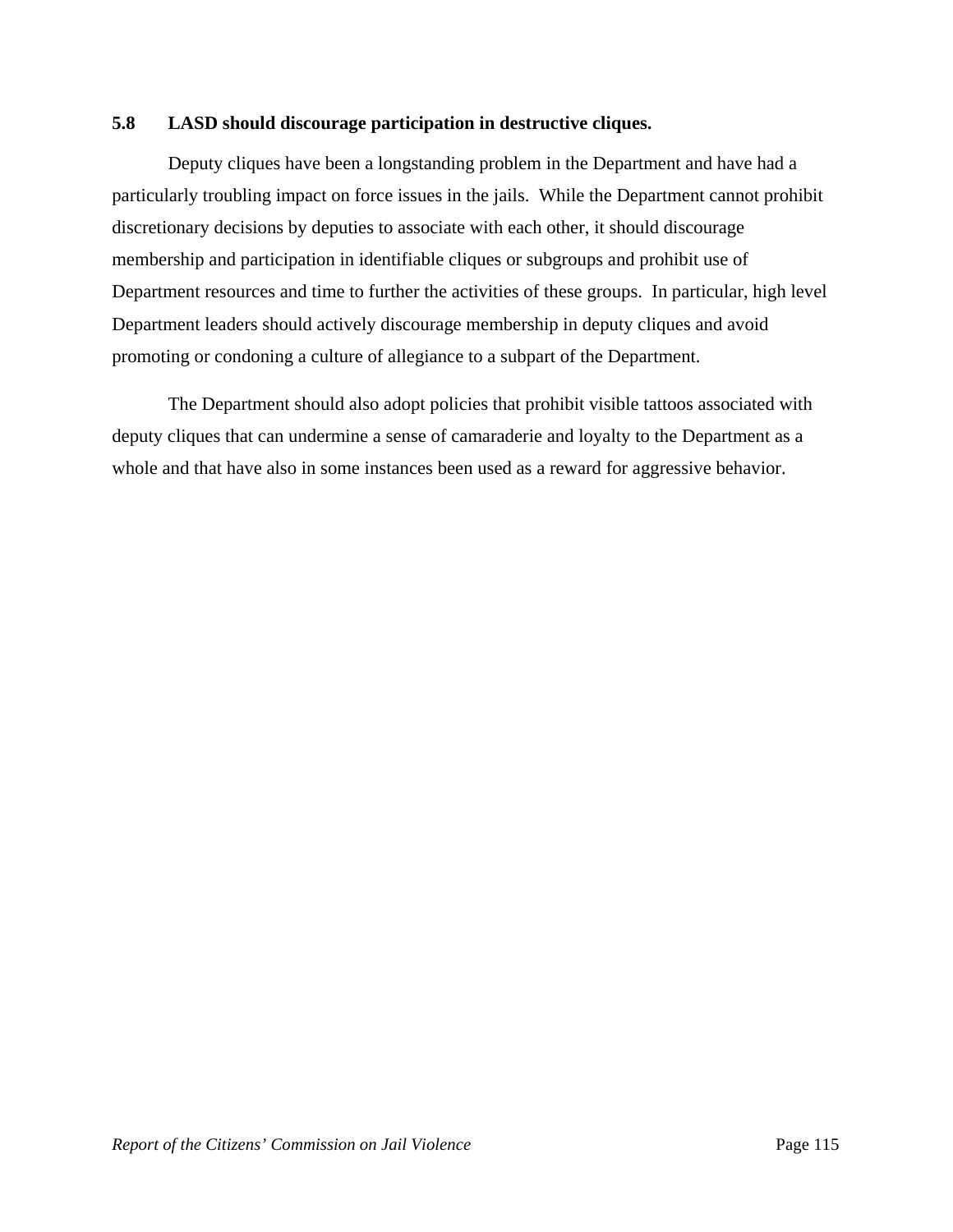## **5.8 LASD should discourage participation in destructive cliques.**

 Deputy cliques have been a longstanding problem in the Department and have had a particularly troubling impact on force issues in the jails. While the Department cannot prohibit discretionary decisions by deputies to associate with each other, it should discourage membership and participation in identifiable cliques or subgroups and prohibit use of Department resources and time to further the activities of these groups. In particular, high level Department leaders should actively discourage membership in deputy cliques and avoid promoting or condoning a culture of allegiance to a subpart of the Department.

 The Department should also adopt policies that prohibit visible tattoos associated with deputy cliques that can undermine a sense of camaraderie and loyalty to the Department as a whole and that have also in some instances been used as a reward for aggressive behavior.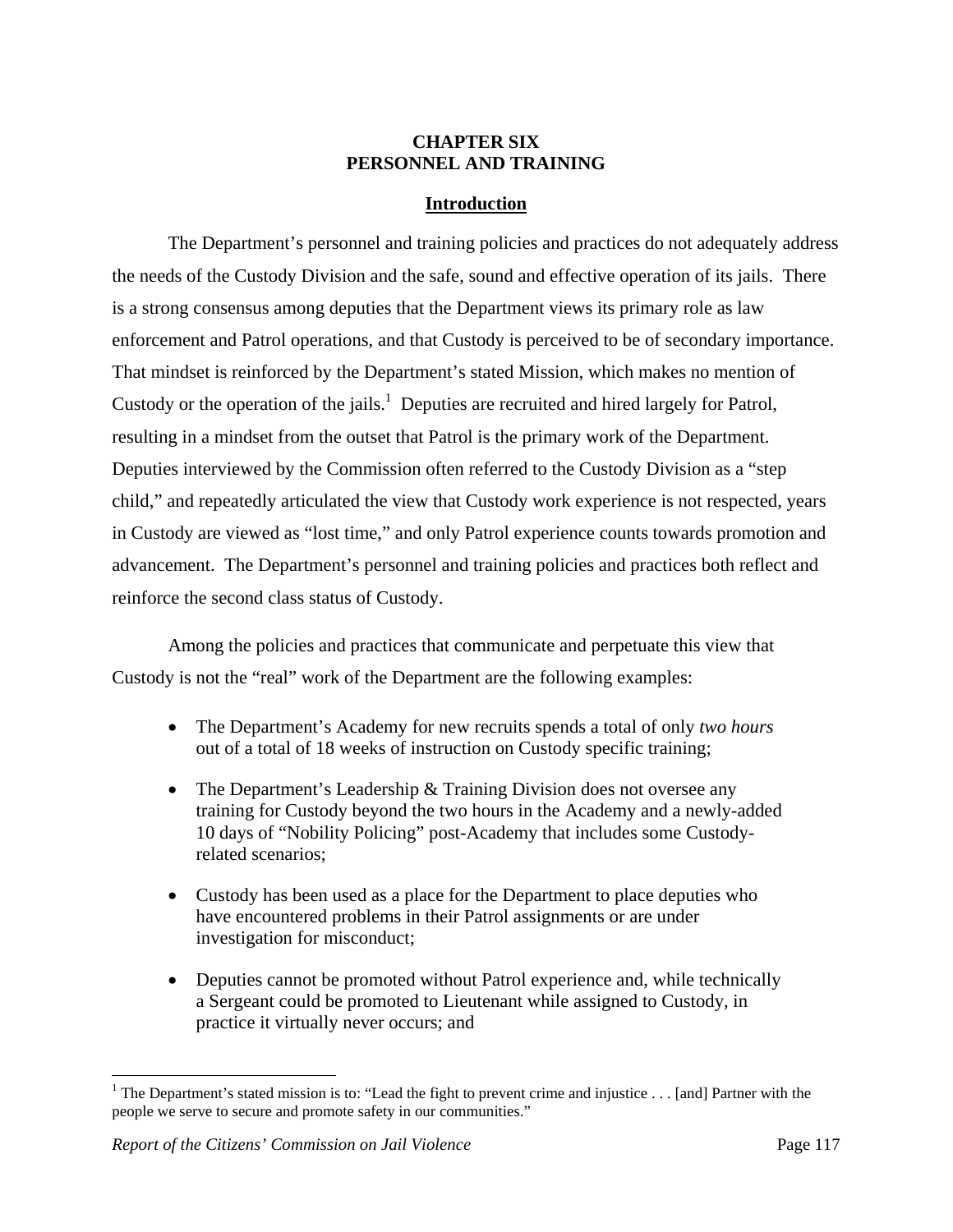## **CHAPTER SIX PERSONNEL AND TRAINING**

## **Introduction**

The Department's personnel and training policies and practices do not adequately address the needs of the Custody Division and the safe, sound and effective operation of its jails. There is a strong consensus among deputies that the Department views its primary role as law enforcement and Patrol operations, and that Custody is perceived to be of secondary importance. That mindset is reinforced by the Department's stated Mission, which makes no mention of Custody or the operation of the jails.<sup>1</sup> Deputies are recruited and hired largely for Patrol, resulting in a mindset from the outset that Patrol is the primary work of the Department. Deputies interviewed by the Commission often referred to the Custody Division as a "step child," and repeatedly articulated the view that Custody work experience is not respected, years in Custody are viewed as "lost time," and only Patrol experience counts towards promotion and advancement. The Department's personnel and training policies and practices both reflect and reinforce the second class status of Custody.

Among the policies and practices that communicate and perpetuate this view that Custody is not the "real" work of the Department are the following examples:

- The Department's Academy for new recruits spends a total of only *two hours*  out of a total of 18 weeks of instruction on Custody specific training;
- The Department's Leadership & Training Division does not oversee any training for Custody beyond the two hours in the Academy and a newly-added 10 days of "Nobility Policing" post-Academy that includes some Custodyrelated scenarios;
- Custody has been used as a place for the Department to place deputies who have encountered problems in their Patrol assignments or are under investigation for misconduct;
- Deputies cannot be promoted without Patrol experience and, while technically a Sergeant could be promoted to Lieutenant while assigned to Custody, in practice it virtually never occurs; and

 $\overline{a}$ 

<sup>&</sup>lt;sup>1</sup> The Department's stated mission is to: "Lead the fight to prevent crime and injustice  $\dots$  [and] Partner with the people we serve to secure and promote safety in our communities."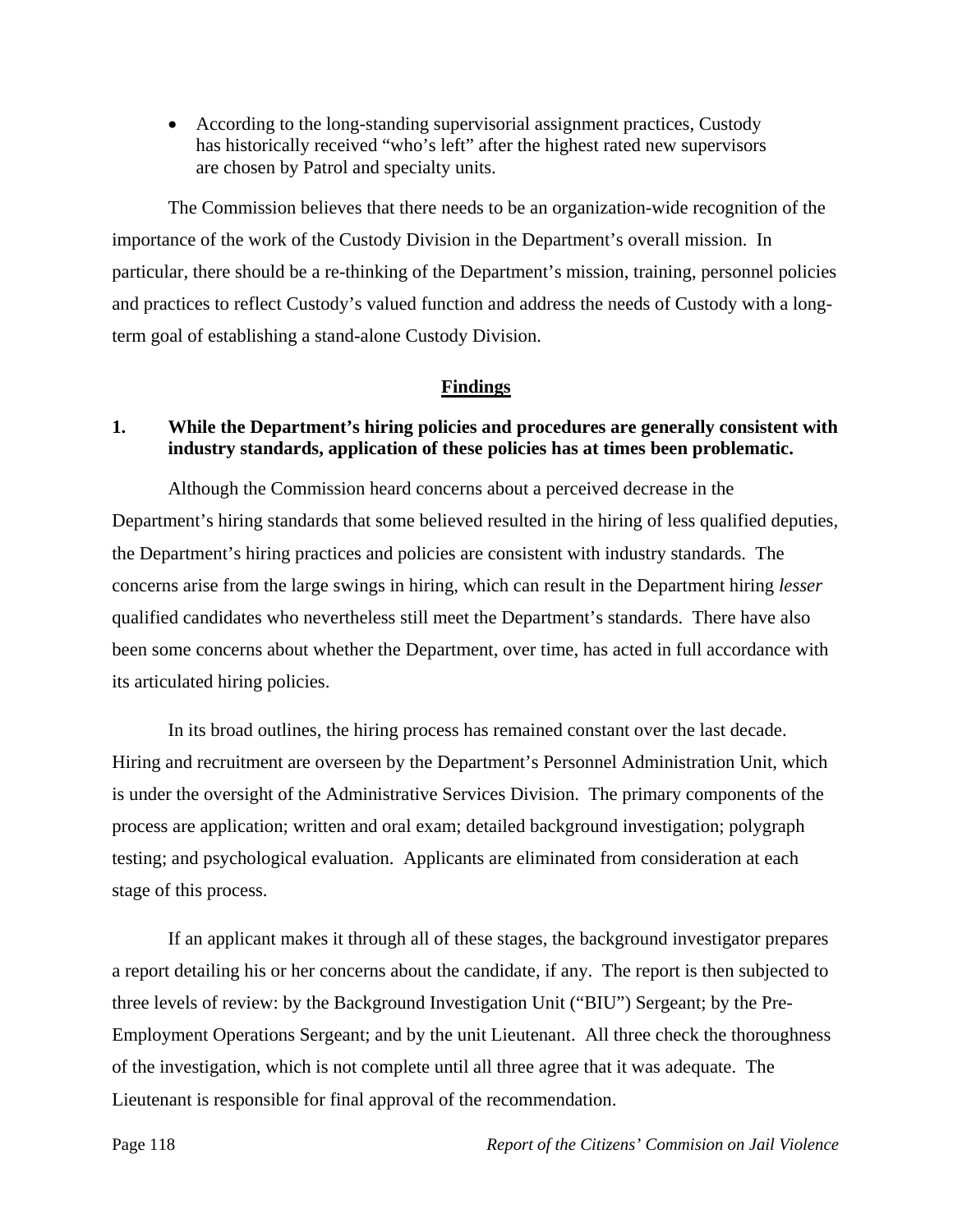According to the long-standing supervisorial assignment practices, Custody has historically received "who's left" after the highest rated new supervisors are chosen by Patrol and specialty units.

The Commission believes that there needs to be an organization-wide recognition of the importance of the work of the Custody Division in the Department's overall mission. In particular, there should be a re-thinking of the Department's mission, training, personnel policies and practices to reflect Custody's valued function and address the needs of Custody with a longterm goal of establishing a stand-alone Custody Division.

#### **Findings**

# **1. While the Department's hiring policies and procedures are generally consistent with industry standards, application of these policies has at times been problematic.**

Although the Commission heard concerns about a perceived decrease in the Department's hiring standards that some believed resulted in the hiring of less qualified deputies, the Department's hiring practices and policies are consistent with industry standards. The concerns arise from the large swings in hiring, which can result in the Department hiring *lesser*  qualified candidates who nevertheless still meet the Department's standards. There have also been some concerns about whether the Department, over time, has acted in full accordance with its articulated hiring policies.

In its broad outlines, the hiring process has remained constant over the last decade. Hiring and recruitment are overseen by the Department's Personnel Administration Unit, which is under the oversight of the Administrative Services Division. The primary components of the process are application; written and oral exam; detailed background investigation; polygraph testing; and psychological evaluation. Applicants are eliminated from consideration at each stage of this process.

If an applicant makes it through all of these stages, the background investigator prepares a report detailing his or her concerns about the candidate, if any. The report is then subjected to three levels of review: by the Background Investigation Unit ("BIU") Sergeant; by the Pre-Employment Operations Sergeant; and by the unit Lieutenant. All three check the thoroughness of the investigation, which is not complete until all three agree that it was adequate. The Lieutenant is responsible for final approval of the recommendation.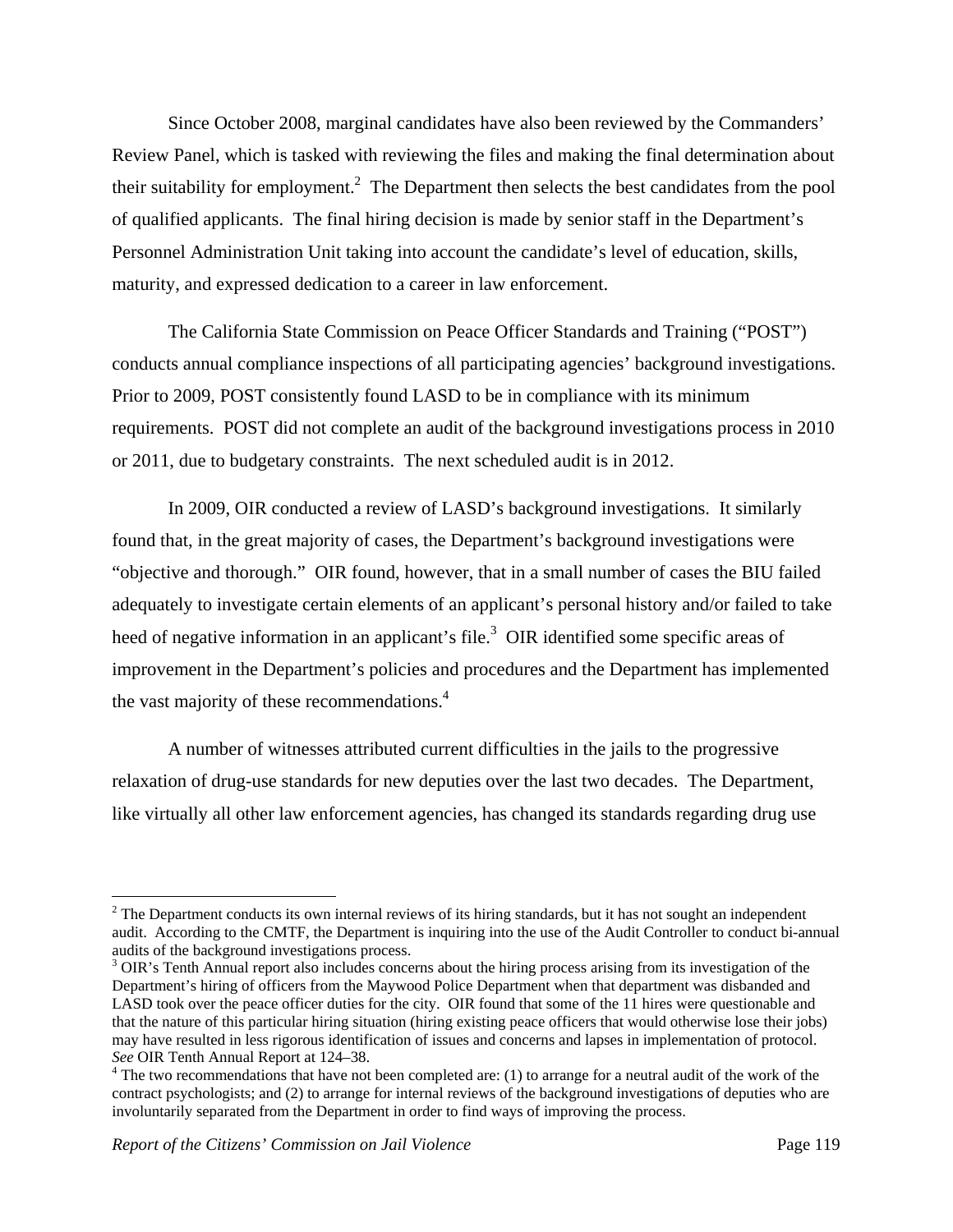Since October 2008, marginal candidates have also been reviewed by the Commanders' Review Panel, which is tasked with reviewing the files and making the final determination about their suitability for employment.<sup>2</sup> The Department then selects the best candidates from the pool of qualified applicants. The final hiring decision is made by senior staff in the Department's Personnel Administration Unit taking into account the candidate's level of education, skills, maturity, and expressed dedication to a career in law enforcement.

The California State Commission on Peace Officer Standards and Training ("POST") conducts annual compliance inspections of all participating agencies' background investigations. Prior to 2009, POST consistently found LASD to be in compliance with its minimum requirements. POST did not complete an audit of the background investigations process in 2010 or 2011, due to budgetary constraints. The next scheduled audit is in 2012.

In 2009, OIR conducted a review of LASD's background investigations. It similarly found that, in the great majority of cases, the Department's background investigations were "objective and thorough." OIR found, however, that in a small number of cases the BIU failed adequately to investigate certain elements of an applicant's personal history and/or failed to take heed of negative information in an applicant's file.<sup>3</sup> OIR identified some specific areas of improvement in the Department's policies and procedures and the Department has implemented the vast majority of these recommendations.<sup>4</sup>

A number of witnesses attributed current difficulties in the jails to the progressive relaxation of drug-use standards for new deputies over the last two decades. The Department, like virtually all other law enforcement agencies, has changed its standards regarding drug use

 $\overline{a}$ 

 $2^2$  The Department conducts its own internal reviews of its hiring standards, but it has not sought an independent audit. According to the CMTF, the Department is inquiring into the use of the Audit Controller to conduct bi-annual audits of the background investigations process.

<sup>&</sup>lt;sup>3</sup> OIR's Tenth Annual report also includes concerns about the hiring process arising from its investigation of the Department's hiring of officers from the Maywood Police Department when that department was disbanded and LASD took over the peace officer duties for the city. OIR found that some of the 11 hires were questionable and that the nature of this particular hiring situation (hiring existing peace officers that would otherwise lose their jobs) may have resulted in less rigorous identification of issues and concerns and lapses in implementation of protocol. *See* OIR Tenth Annual Report at 124–38. 4

<sup>&</sup>lt;sup>4</sup> The two recommendations that have not been completed are: (1) to arrange for a neutral audit of the work of the contract psychologists; and (2) to arrange for internal reviews of the background investigations of deputies who are involuntarily separated from the Department in order to find ways of improving the process.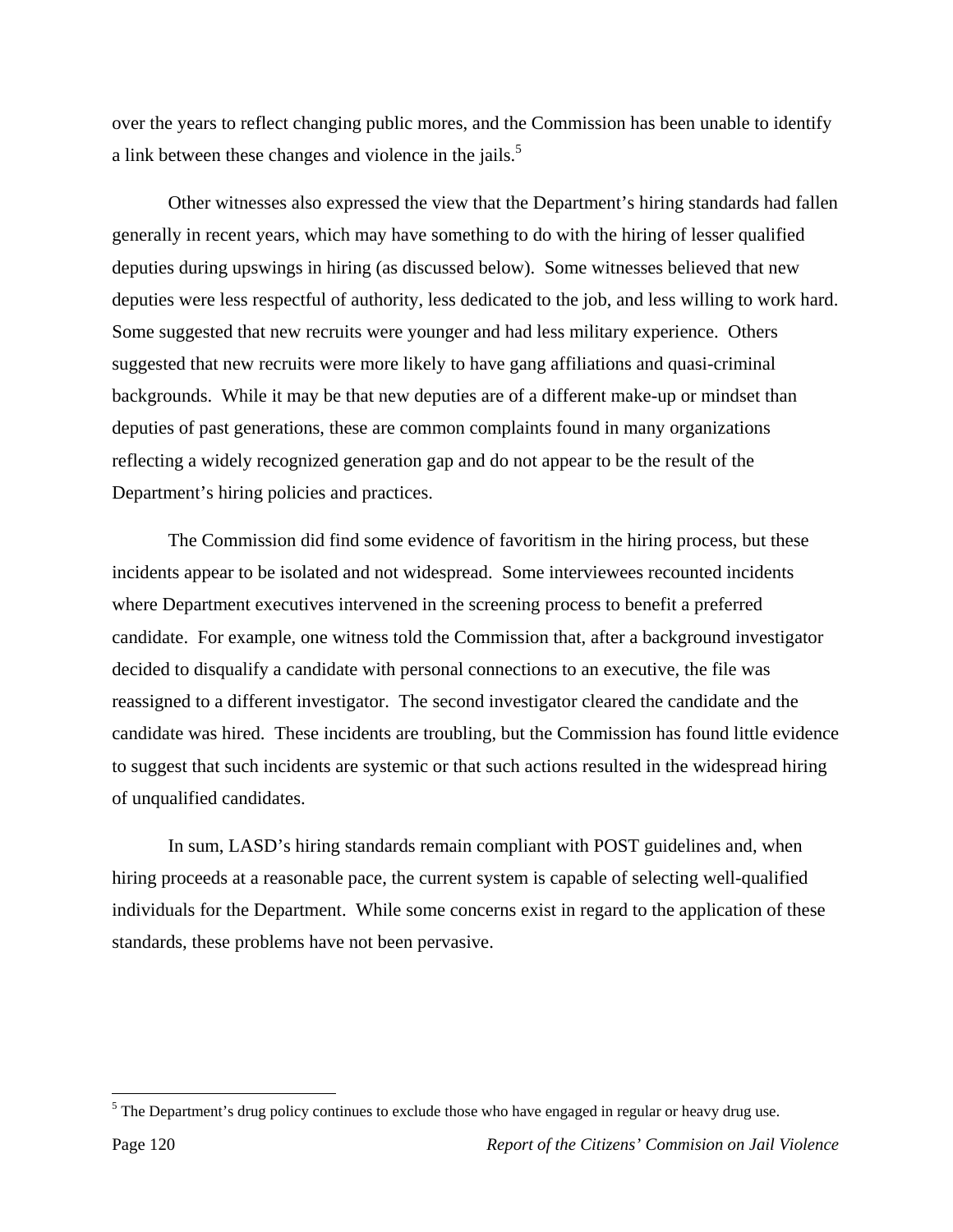over the years to reflect changing public mores, and the Commission has been unable to identify a link between these changes and violence in the jails.<sup>5</sup>

Other witnesses also expressed the view that the Department's hiring standards had fallen generally in recent years, which may have something to do with the hiring of lesser qualified deputies during upswings in hiring (as discussed below). Some witnesses believed that new deputies were less respectful of authority, less dedicated to the job, and less willing to work hard. Some suggested that new recruits were younger and had less military experience. Others suggested that new recruits were more likely to have gang affiliations and quasi-criminal backgrounds. While it may be that new deputies are of a different make-up or mindset than deputies of past generations, these are common complaints found in many organizations reflecting a widely recognized generation gap and do not appear to be the result of the Department's hiring policies and practices.

The Commission did find some evidence of favoritism in the hiring process, but these incidents appear to be isolated and not widespread. Some interviewees recounted incidents where Department executives intervened in the screening process to benefit a preferred candidate. For example, one witness told the Commission that, after a background investigator decided to disqualify a candidate with personal connections to an executive, the file was reassigned to a different investigator. The second investigator cleared the candidate and the candidate was hired. These incidents are troubling, but the Commission has found little evidence to suggest that such incidents are systemic or that such actions resulted in the widespread hiring of unqualified candidates.

In sum, LASD's hiring standards remain compliant with POST guidelines and, when hiring proceeds at a reasonable pace, the current system is capable of selecting well-qualified individuals for the Department. While some concerns exist in regard to the application of these standards, these problems have not been pervasive.

 $\overline{a}$ 

 $<sup>5</sup>$  The Department's drug policy continues to exclude those who have engaged in regular or heavy drug use.</sup>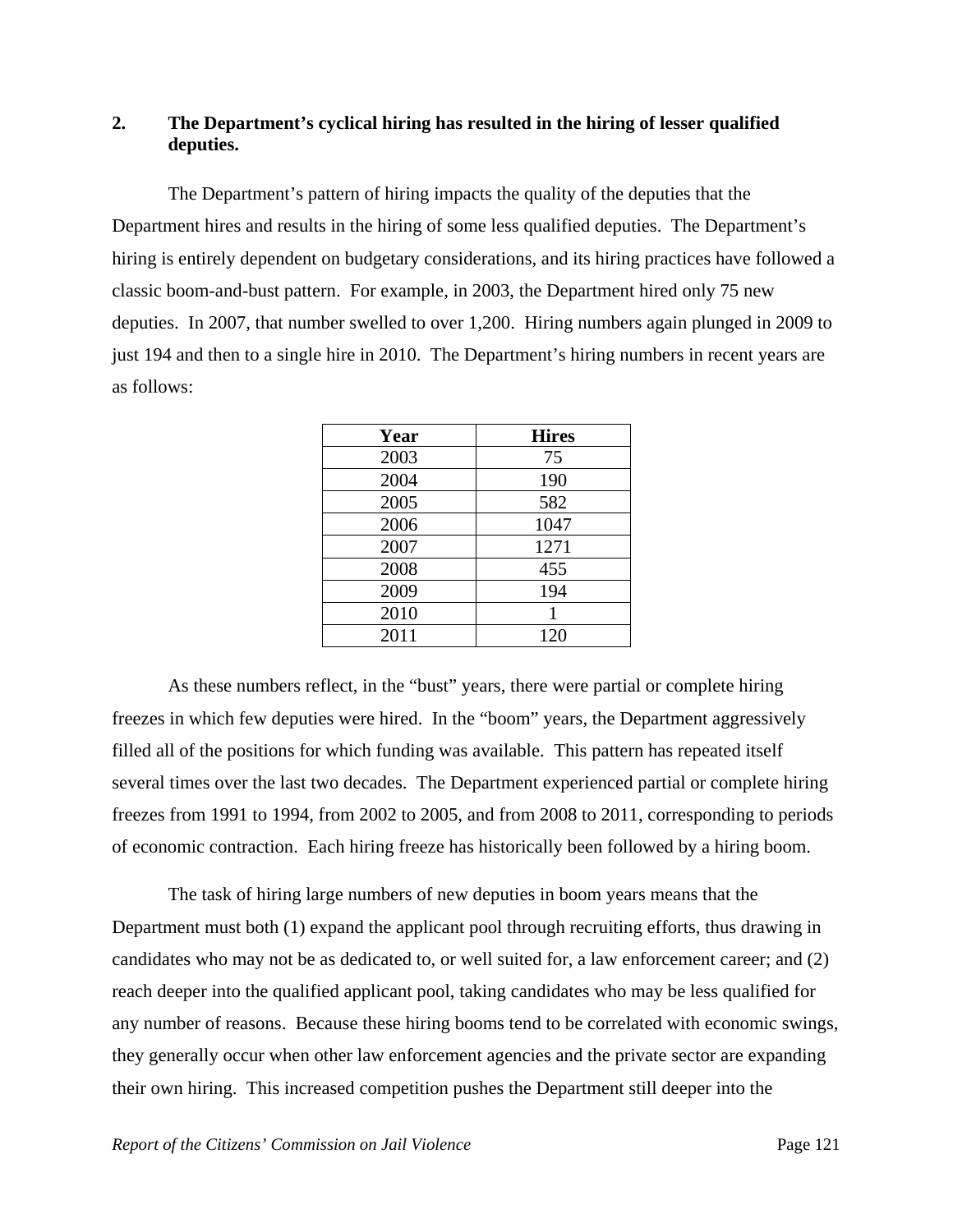# **2. The Department's cyclical hiring has resulted in the hiring of lesser qualified deputies.**

The Department's pattern of hiring impacts the quality of the deputies that the Department hires and results in the hiring of some less qualified deputies. The Department's hiring is entirely dependent on budgetary considerations, and its hiring practices have followed a classic boom-and-bust pattern. For example, in 2003, the Department hired only 75 new deputies. In 2007, that number swelled to over 1,200. Hiring numbers again plunged in 2009 to just 194 and then to a single hire in 2010. The Department's hiring numbers in recent years are as follows:

| Year | <b>Hires</b> |
|------|--------------|
| 2003 | 75           |
| 2004 | 190          |
| 2005 | 582          |
| 2006 | 1047         |
| 2007 | 1271         |
| 2008 | 455          |
| 2009 | 194          |
| 2010 |              |
| 2011 | 120          |

As these numbers reflect, in the "bust" years, there were partial or complete hiring freezes in which few deputies were hired. In the "boom" years, the Department aggressively filled all of the positions for which funding was available. This pattern has repeated itself several times over the last two decades. The Department experienced partial or complete hiring freezes from 1991 to 1994, from 2002 to 2005, and from 2008 to 2011, corresponding to periods of economic contraction. Each hiring freeze has historically been followed by a hiring boom.

The task of hiring large numbers of new deputies in boom years means that the Department must both (1) expand the applicant pool through recruiting efforts, thus drawing in candidates who may not be as dedicated to, or well suited for, a law enforcement career; and (2) reach deeper into the qualified applicant pool, taking candidates who may be less qualified for any number of reasons. Because these hiring booms tend to be correlated with economic swings, they generally occur when other law enforcement agencies and the private sector are expanding their own hiring. This increased competition pushes the Department still deeper into the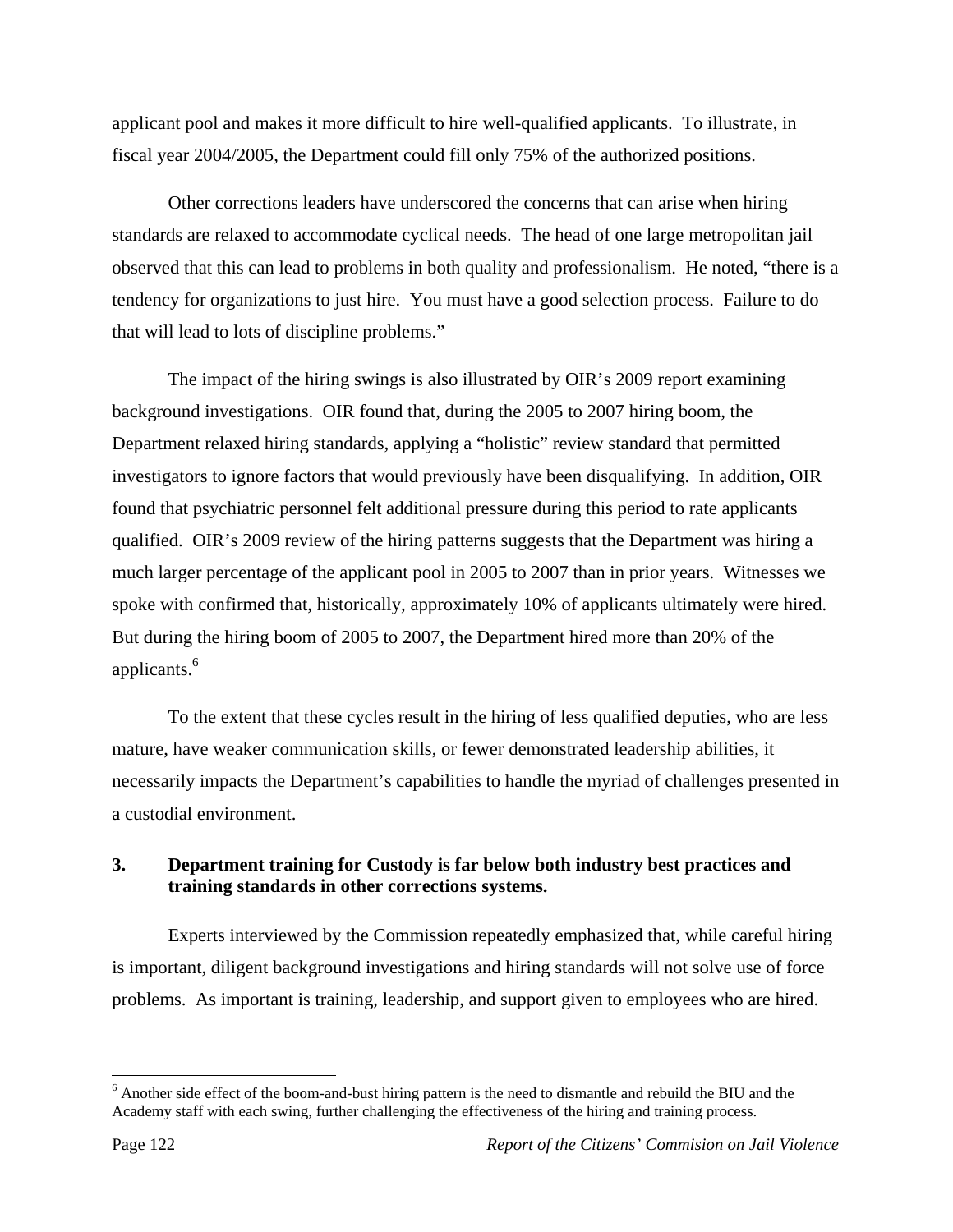applicant pool and makes it more difficult to hire well-qualified applicants. To illustrate, in fiscal year 2004/2005, the Department could fill only 75% of the authorized positions.

Other corrections leaders have underscored the concerns that can arise when hiring standards are relaxed to accommodate cyclical needs. The head of one large metropolitan jail observed that this can lead to problems in both quality and professionalism. He noted, "there is a tendency for organizations to just hire. You must have a good selection process. Failure to do that will lead to lots of discipline problems."

The impact of the hiring swings is also illustrated by OIR's 2009 report examining background investigations. OIR found that, during the 2005 to 2007 hiring boom, the Department relaxed hiring standards, applying a "holistic" review standard that permitted investigators to ignore factors that would previously have been disqualifying. In addition, OIR found that psychiatric personnel felt additional pressure during this period to rate applicants qualified. OIR's 2009 review of the hiring patterns suggests that the Department was hiring a much larger percentage of the applicant pool in 2005 to 2007 than in prior years. Witnesses we spoke with confirmed that, historically, approximately 10% of applicants ultimately were hired. But during the hiring boom of 2005 to 2007, the Department hired more than 20% of the applicants.<sup>6</sup>

To the extent that these cycles result in the hiring of less qualified deputies, who are less mature, have weaker communication skills, or fewer demonstrated leadership abilities, it necessarily impacts the Department's capabilities to handle the myriad of challenges presented in a custodial environment.

# **3. Department training for Custody is far below both industry best practices and training standards in other corrections systems.**

Experts interviewed by the Commission repeatedly emphasized that, while careful hiring is important, diligent background investigations and hiring standards will not solve use of force problems. As important is training, leadership, and support given to employees who are hired.

 $\overline{a}$ 

<sup>&</sup>lt;sup>6</sup> Another side effect of the boom-and-bust hiring pattern is the need to dismantle and rebuild the BIU and the Academy staff with each swing, further challenging the effectiveness of the hiring and training process.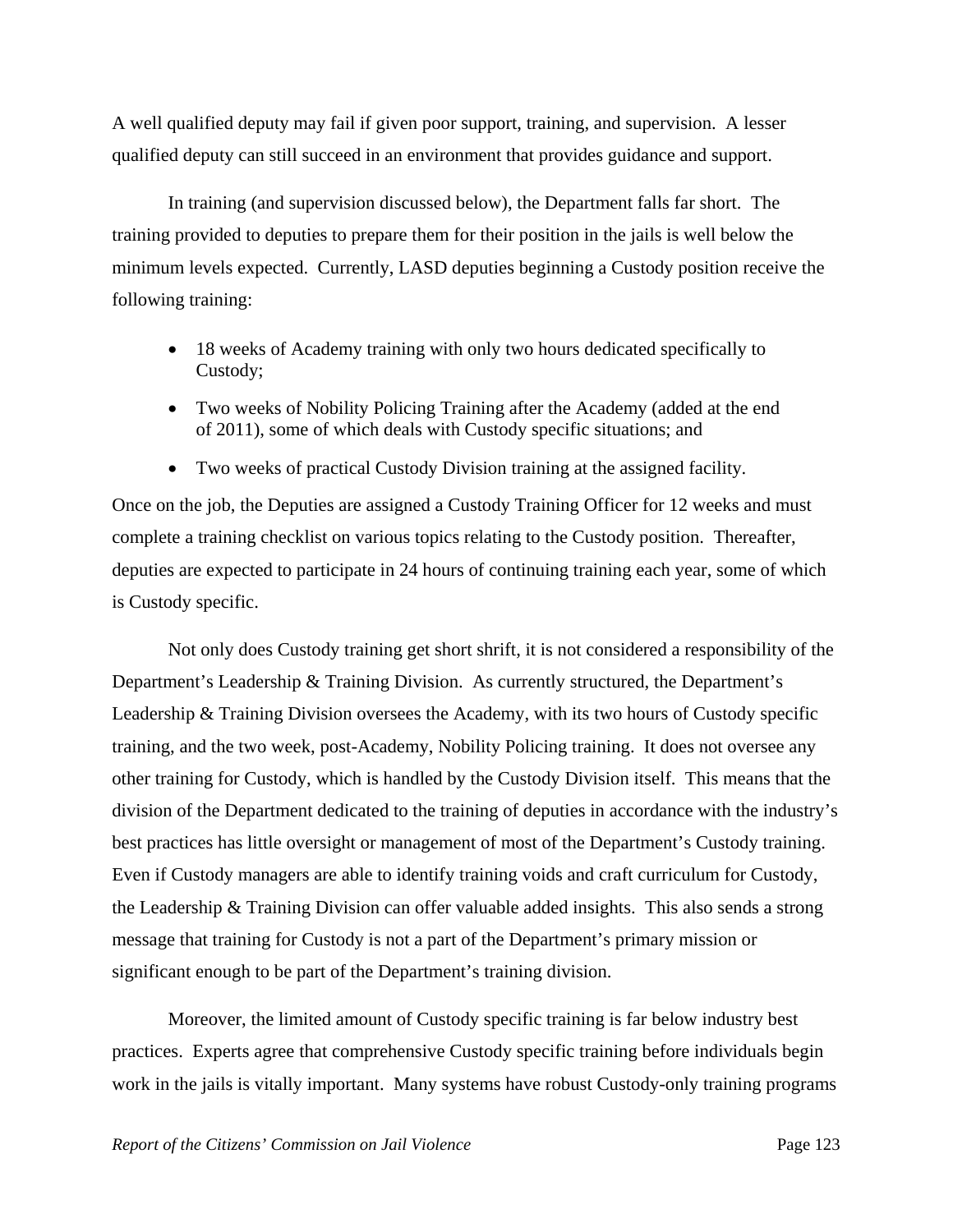A well qualified deputy may fail if given poor support, training, and supervision. A lesser qualified deputy can still succeed in an environment that provides guidance and support.

In training (and supervision discussed below), the Department falls far short. The training provided to deputies to prepare them for their position in the jails is well below the minimum levels expected. Currently, LASD deputies beginning a Custody position receive the following training:

- 18 weeks of Academy training with only two hours dedicated specifically to Custody;
- Two weeks of Nobility Policing Training after the Academy (added at the end of 2011), some of which deals with Custody specific situations; and
- Two weeks of practical Custody Division training at the assigned facility.

Once on the job, the Deputies are assigned a Custody Training Officer for 12 weeks and must complete a training checklist on various topics relating to the Custody position. Thereafter, deputies are expected to participate in 24 hours of continuing training each year, some of which is Custody specific.

Not only does Custody training get short shrift, it is not considered a responsibility of the Department's Leadership & Training Division. As currently structured, the Department's Leadership & Training Division oversees the Academy, with its two hours of Custody specific training, and the two week, post-Academy, Nobility Policing training. It does not oversee any other training for Custody, which is handled by the Custody Division itself. This means that the division of the Department dedicated to the training of deputies in accordance with the industry's best practices has little oversight or management of most of the Department's Custody training. Even if Custody managers are able to identify training voids and craft curriculum for Custody, the Leadership & Training Division can offer valuable added insights. This also sends a strong message that training for Custody is not a part of the Department's primary mission or significant enough to be part of the Department's training division.

Moreover, the limited amount of Custody specific training is far below industry best practices. Experts agree that comprehensive Custody specific training before individuals begin work in the jails is vitally important. Many systems have robust Custody-only training programs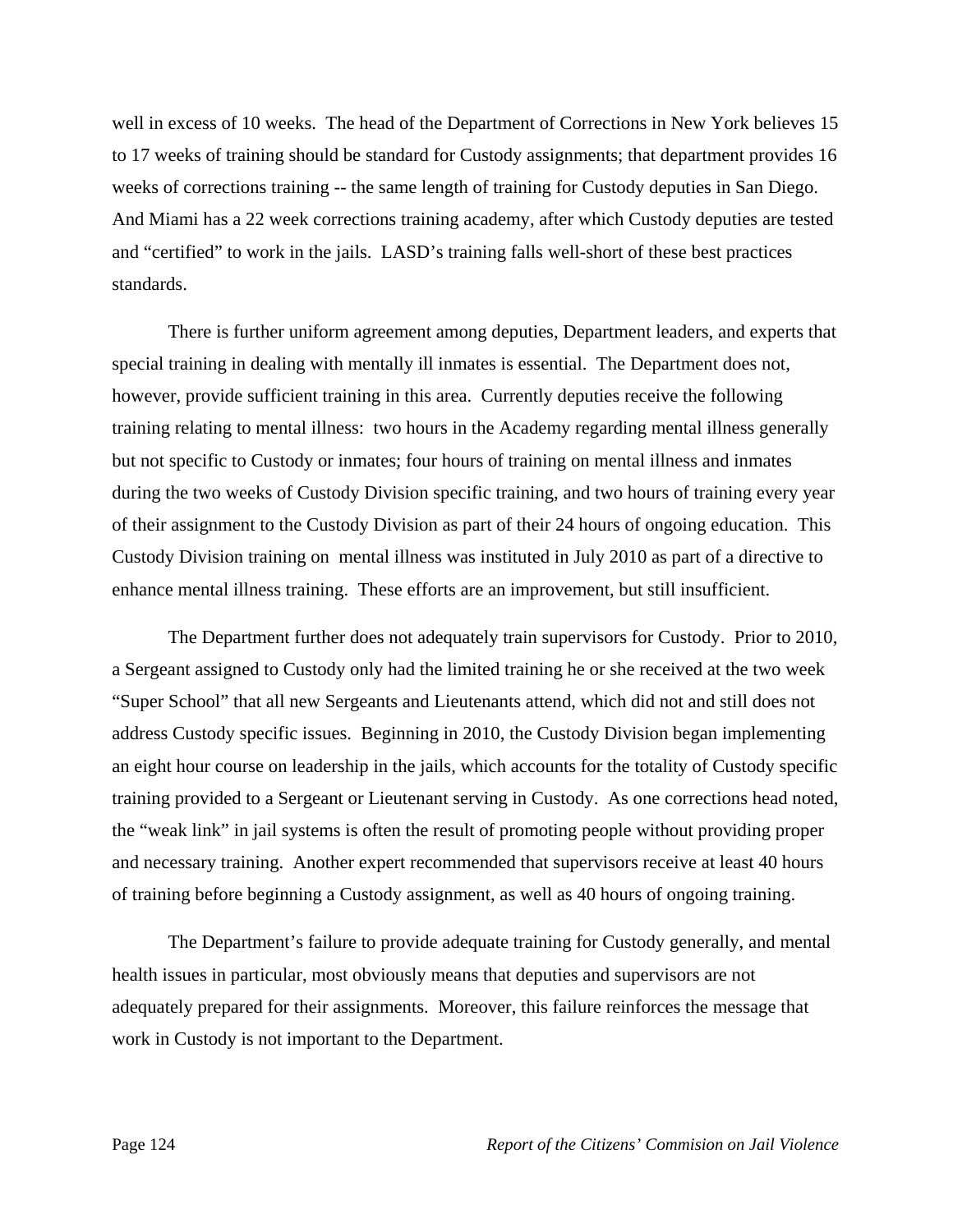well in excess of 10 weeks. The head of the Department of Corrections in New York believes 15 to 17 weeks of training should be standard for Custody assignments; that department provides 16 weeks of corrections training -- the same length of training for Custody deputies in San Diego. And Miami has a 22 week corrections training academy, after which Custody deputies are tested and "certified" to work in the jails. LASD's training falls well-short of these best practices standards.

There is further uniform agreement among deputies, Department leaders, and experts that special training in dealing with mentally ill inmates is essential. The Department does not, however, provide sufficient training in this area. Currently deputies receive the following training relating to mental illness: two hours in the Academy regarding mental illness generally but not specific to Custody or inmates; four hours of training on mental illness and inmates during the two weeks of Custody Division specific training, and two hours of training every year of their assignment to the Custody Division as part of their 24 hours of ongoing education. This Custody Division training on mental illness was instituted in July 2010 as part of a directive to enhance mental illness training. These efforts are an improvement, but still insufficient.

The Department further does not adequately train supervisors for Custody. Prior to 2010, a Sergeant assigned to Custody only had the limited training he or she received at the two week "Super School" that all new Sergeants and Lieutenants attend, which did not and still does not address Custody specific issues. Beginning in 2010, the Custody Division began implementing an eight hour course on leadership in the jails, which accounts for the totality of Custody specific training provided to a Sergeant or Lieutenant serving in Custody. As one corrections head noted, the "weak link" in jail systems is often the result of promoting people without providing proper and necessary training. Another expert recommended that supervisors receive at least 40 hours of training before beginning a Custody assignment, as well as 40 hours of ongoing training.

The Department's failure to provide adequate training for Custody generally, and mental health issues in particular, most obviously means that deputies and supervisors are not adequately prepared for their assignments. Moreover, this failure reinforces the message that work in Custody is not important to the Department.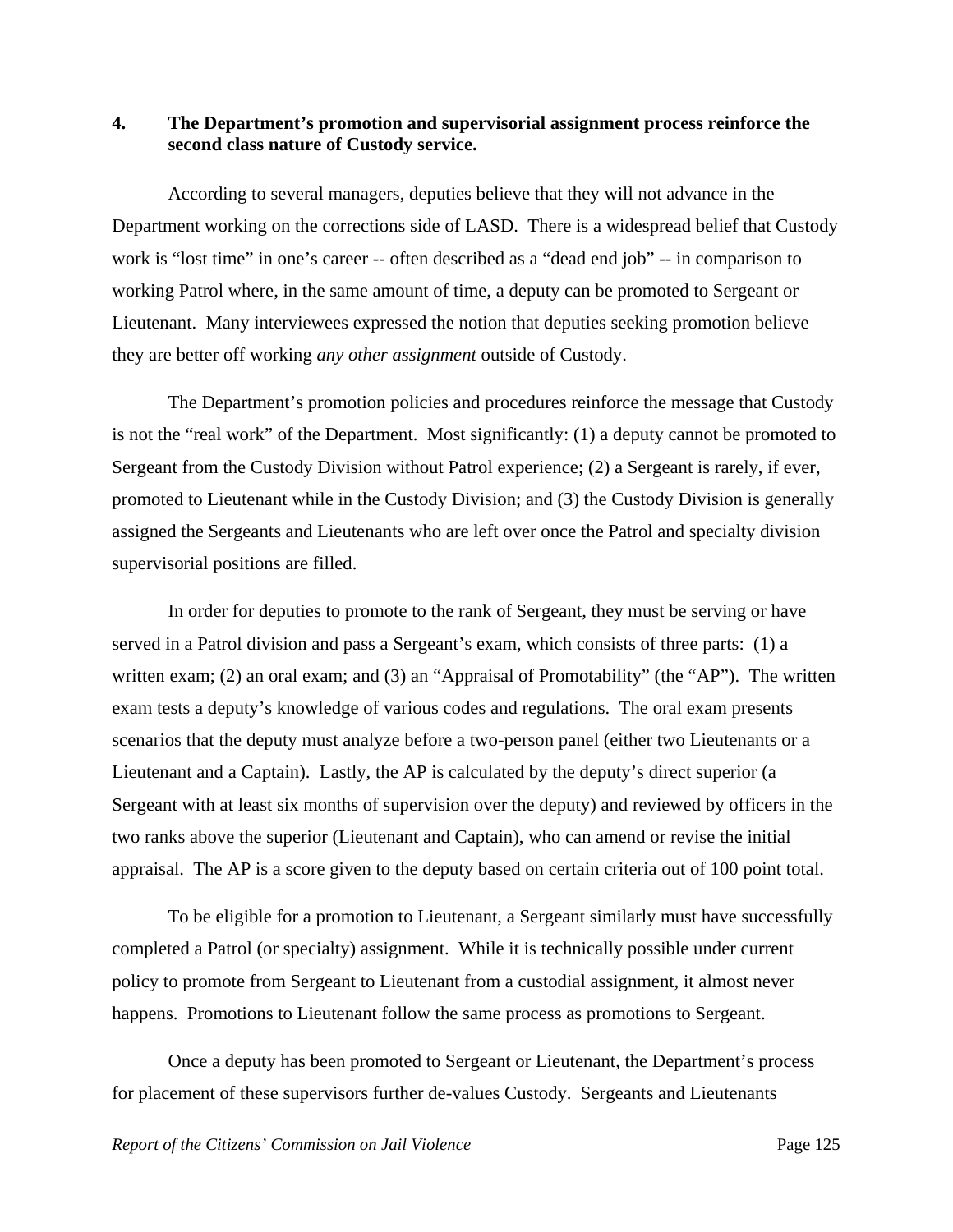## **4. The Department's promotion and supervisorial assignment process reinforce the second class nature of Custody service.**

According to several managers, deputies believe that they will not advance in the Department working on the corrections side of LASD. There is a widespread belief that Custody work is "lost time" in one's career -- often described as a "dead end job" -- in comparison to working Patrol where, in the same amount of time, a deputy can be promoted to Sergeant or Lieutenant. Many interviewees expressed the notion that deputies seeking promotion believe they are better off working *any other assignment* outside of Custody.

The Department's promotion policies and procedures reinforce the message that Custody is not the "real work" of the Department. Most significantly: (1) a deputy cannot be promoted to Sergeant from the Custody Division without Patrol experience; (2) a Sergeant is rarely, if ever, promoted to Lieutenant while in the Custody Division; and (3) the Custody Division is generally assigned the Sergeants and Lieutenants who are left over once the Patrol and specialty division supervisorial positions are filled.

In order for deputies to promote to the rank of Sergeant, they must be serving or have served in a Patrol division and pass a Sergeant's exam, which consists of three parts: (1) a written exam; (2) an oral exam; and (3) an "Appraisal of Promotability" (the "AP"). The written exam tests a deputy's knowledge of various codes and regulations. The oral exam presents scenarios that the deputy must analyze before a two-person panel (either two Lieutenants or a Lieutenant and a Captain). Lastly, the AP is calculated by the deputy's direct superior (a Sergeant with at least six months of supervision over the deputy) and reviewed by officers in the two ranks above the superior (Lieutenant and Captain), who can amend or revise the initial appraisal. The AP is a score given to the deputy based on certain criteria out of 100 point total.

To be eligible for a promotion to Lieutenant, a Sergeant similarly must have successfully completed a Patrol (or specialty) assignment. While it is technically possible under current policy to promote from Sergeant to Lieutenant from a custodial assignment, it almost never happens. Promotions to Lieutenant follow the same process as promotions to Sergeant.

Once a deputy has been promoted to Sergeant or Lieutenant, the Department's process for placement of these supervisors further de-values Custody. Sergeants and Lieutenants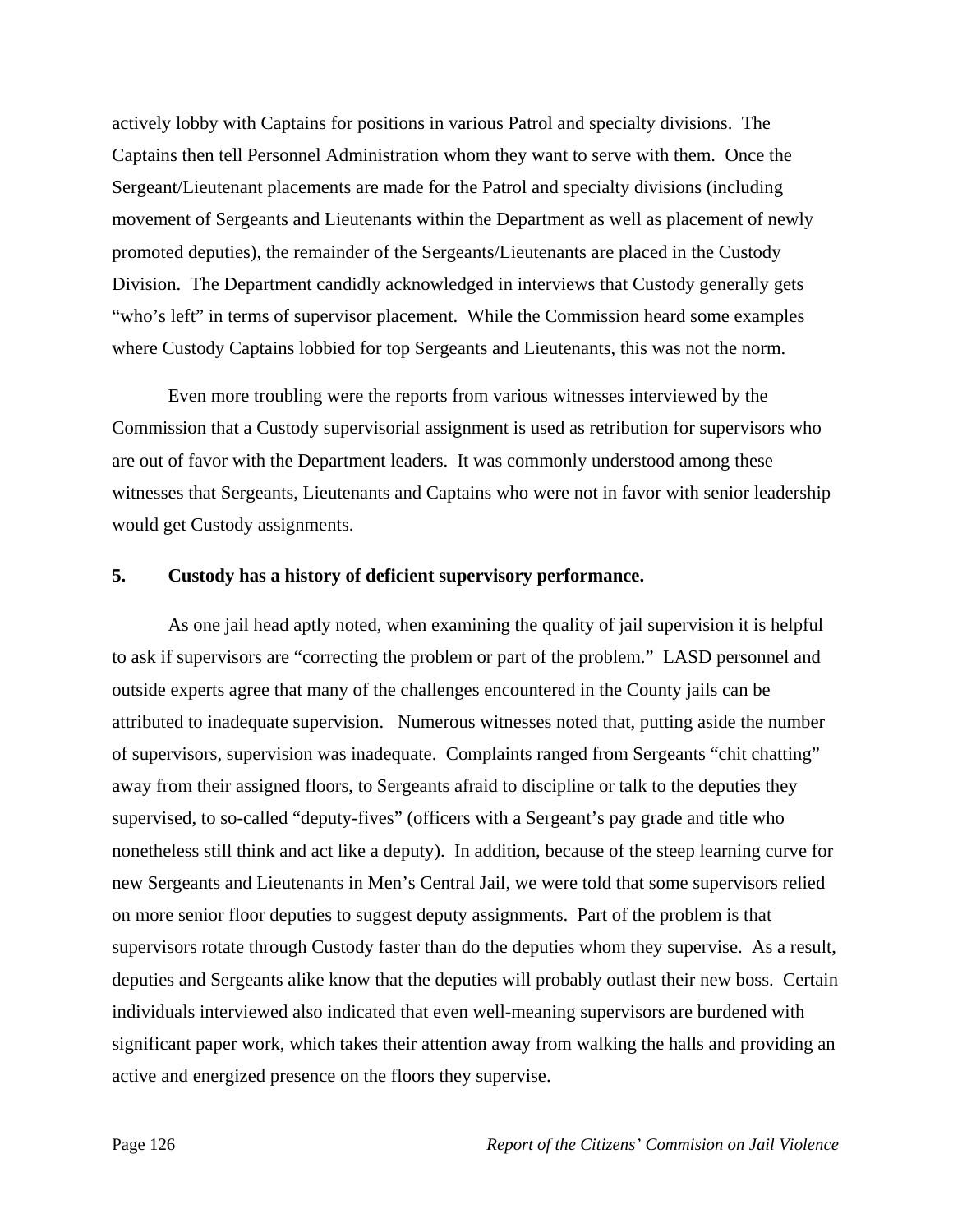actively lobby with Captains for positions in various Patrol and specialty divisions. The Captains then tell Personnel Administration whom they want to serve with them. Once the Sergeant/Lieutenant placements are made for the Patrol and specialty divisions (including movement of Sergeants and Lieutenants within the Department as well as placement of newly promoted deputies), the remainder of the Sergeants/Lieutenants are placed in the Custody Division. The Department candidly acknowledged in interviews that Custody generally gets "who's left" in terms of supervisor placement. While the Commission heard some examples where Custody Captains lobbied for top Sergeants and Lieutenants, this was not the norm.

Even more troubling were the reports from various witnesses interviewed by the Commission that a Custody supervisorial assignment is used as retribution for supervisors who are out of favor with the Department leaders. It was commonly understood among these witnesses that Sergeants, Lieutenants and Captains who were not in favor with senior leadership would get Custody assignments.

#### **5. Custody has a history of deficient supervisory performance.**

As one jail head aptly noted, when examining the quality of jail supervision it is helpful to ask if supervisors are "correcting the problem or part of the problem." LASD personnel and outside experts agree that many of the challenges encountered in the County jails can be attributed to inadequate supervision. Numerous witnesses noted that, putting aside the number of supervisors, supervision was inadequate. Complaints ranged from Sergeants "chit chatting" away from their assigned floors, to Sergeants afraid to discipline or talk to the deputies they supervised, to so-called "deputy-fives" (officers with a Sergeant's pay grade and title who nonetheless still think and act like a deputy). In addition, because of the steep learning curve for new Sergeants and Lieutenants in Men's Central Jail, we were told that some supervisors relied on more senior floor deputies to suggest deputy assignments.Part of the problem is that supervisors rotate through Custody faster than do the deputies whom they supervise. As a result, deputies and Sergeants alike know that the deputies will probably outlast their new boss. Certain individuals interviewed also indicated that even well-meaning supervisors are burdened with significant paper work, which takes their attention away from walking the halls and providing an active and energized presence on the floors they supervise.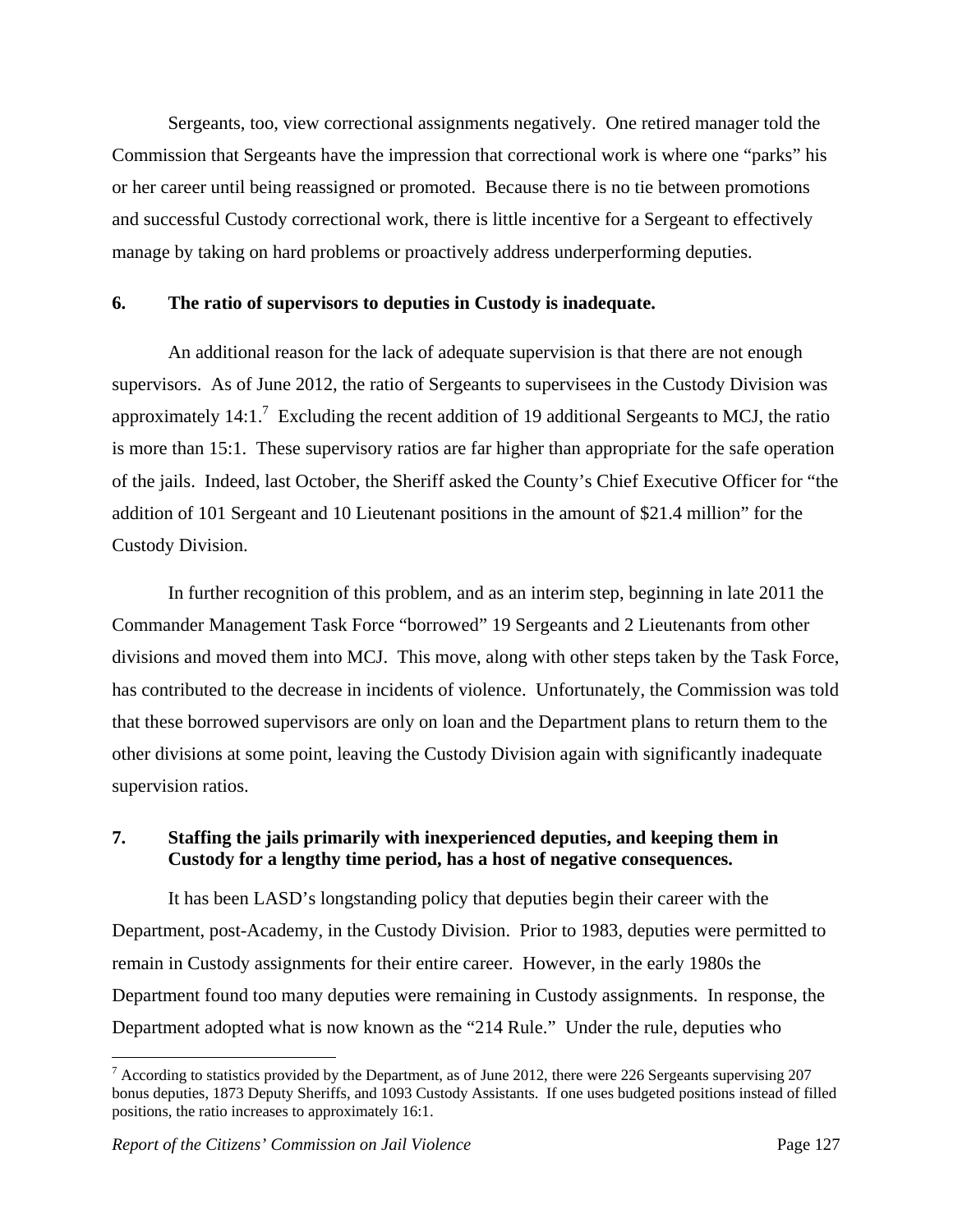Sergeants, too, view correctional assignments negatively. One retired manager told the Commission that Sergeants have the impression that correctional work is where one "parks" his or her career until being reassigned or promoted. Because there is no tie between promotions and successful Custody correctional work, there is little incentive for a Sergeant to effectively manage by taking on hard problems or proactively address underperforming deputies.

#### **6. The ratio of supervisors to deputies in Custody is inadequate.**

An additional reason for the lack of adequate supervision is that there are not enough supervisors. As of June 2012, the ratio of Sergeants to supervisees in the Custody Division was approximately 14:1.<sup>7</sup> Excluding the recent addition of 19 additional Sergeants to MCJ, the ratio is more than 15:1. These supervisory ratios are far higher than appropriate for the safe operation of the jails. Indeed, last October, the Sheriff asked the County's Chief Executive Officer for "the addition of 101 Sergeant and 10 Lieutenant positions in the amount of \$21.4 million" for the Custody Division.

In further recognition of this problem, and as an interim step, beginning in late 2011 the Commander Management Task Force "borrowed" 19 Sergeants and 2 Lieutenants from other divisions and moved them into MCJ. This move, along with other steps taken by the Task Force, has contributed to the decrease in incidents of violence. Unfortunately, the Commission was told that these borrowed supervisors are only on loan and the Department plans to return them to the other divisions at some point, leaving the Custody Division again with significantly inadequate supervision ratios.

# **7. Staffing the jails primarily with inexperienced deputies, and keeping them in Custody for a lengthy time period, has a host of negative consequences.**

It has been LASD's longstanding policy that deputies begin their career with the Department, post-Academy, in the Custody Division. Prior to 1983, deputies were permitted to remain in Custody assignments for their entire career. However, in the early 1980s the Department found too many deputies were remaining in Custody assignments. In response, the Department adopted what is now known as the "214 Rule." Under the rule, deputies who

 $\overline{a}$ 

 $<sup>7</sup>$  According to statistics provided by the Department, as of June 2012, there were 226 Sergeants supervising 207</sup> bonus deputies, 1873 Deputy Sheriffs, and 1093 Custody Assistants. If one uses budgeted positions instead of filled positions, the ratio increases to approximately 16:1.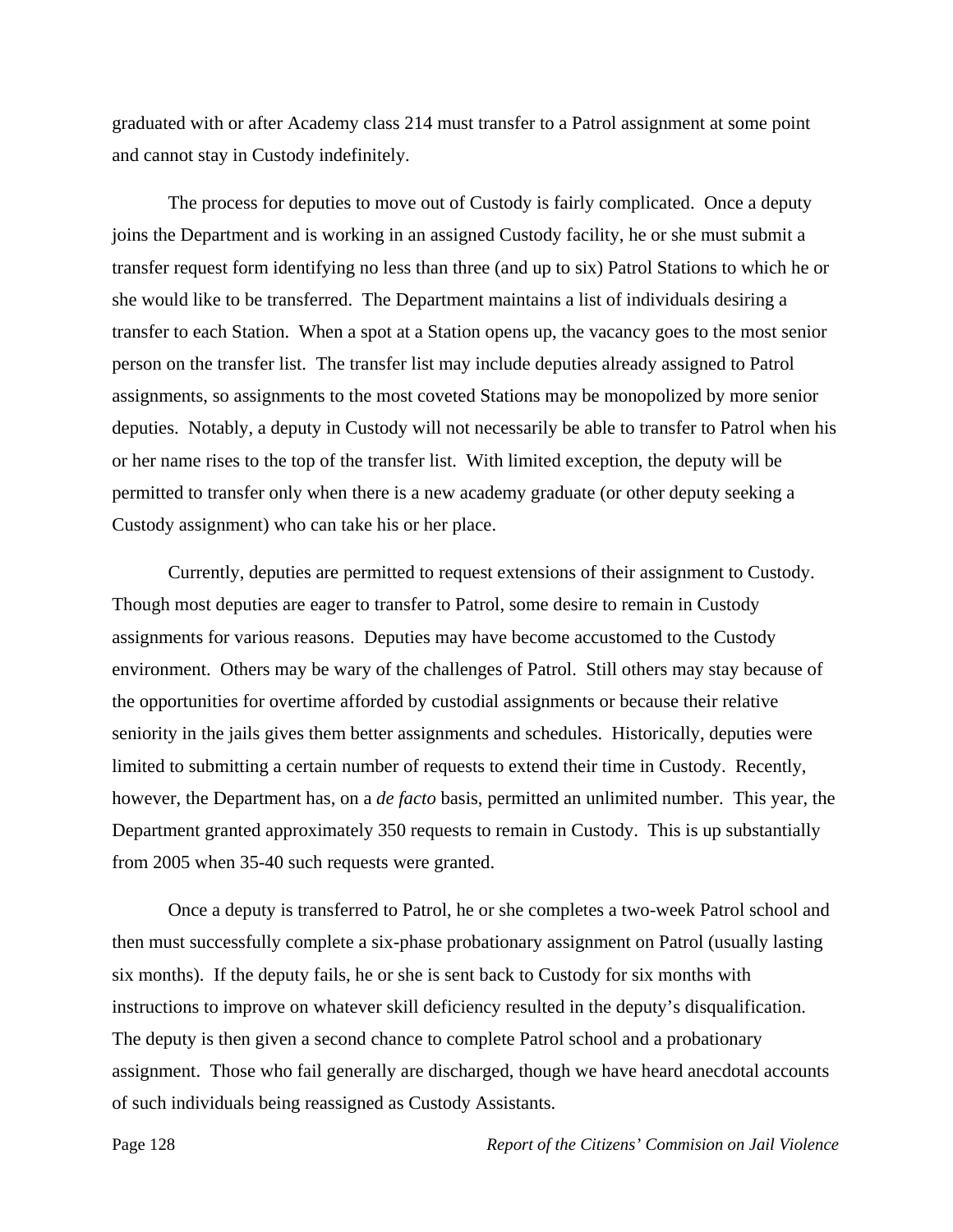graduated with or after Academy class 214 must transfer to a Patrol assignment at some point and cannot stay in Custody indefinitely.

The process for deputies to move out of Custody is fairly complicated. Once a deputy joins the Department and is working in an assigned Custody facility, he or she must submit a transfer request form identifying no less than three (and up to six) Patrol Stations to which he or she would like to be transferred. The Department maintains a list of individuals desiring a transfer to each Station. When a spot at a Station opens up, the vacancy goes to the most senior person on the transfer list. The transfer list may include deputies already assigned to Patrol assignments, so assignments to the most coveted Stations may be monopolized by more senior deputies. Notably, a deputy in Custody will not necessarily be able to transfer to Patrol when his or her name rises to the top of the transfer list. With limited exception, the deputy will be permitted to transfer only when there is a new academy graduate (or other deputy seeking a Custody assignment) who can take his or her place.

Currently, deputies are permitted to request extensions of their assignment to Custody. Though most deputies are eager to transfer to Patrol, some desire to remain in Custody assignments for various reasons. Deputies may have become accustomed to the Custody environment. Others may be wary of the challenges of Patrol. Still others may stay because of the opportunities for overtime afforded by custodial assignments or because their relative seniority in the jails gives them better assignments and schedules. Historically, deputies were limited to submitting a certain number of requests to extend their time in Custody. Recently, however, the Department has, on a *de facto* basis, permitted an unlimited number. This year, the Department granted approximately 350 requests to remain in Custody. This is up substantially from 2005 when 35-40 such requests were granted.

Once a deputy is transferred to Patrol, he or she completes a two-week Patrol school and then must successfully complete a six-phase probationary assignment on Patrol (usually lasting six months). If the deputy fails, he or she is sent back to Custody for six months with instructions to improve on whatever skill deficiency resulted in the deputy's disqualification. The deputy is then given a second chance to complete Patrol school and a probationary assignment. Those who fail generally are discharged, though we have heard anecdotal accounts of such individuals being reassigned as Custody Assistants.

Page 128 *Report of the Citizens' Commision on Jail Violence*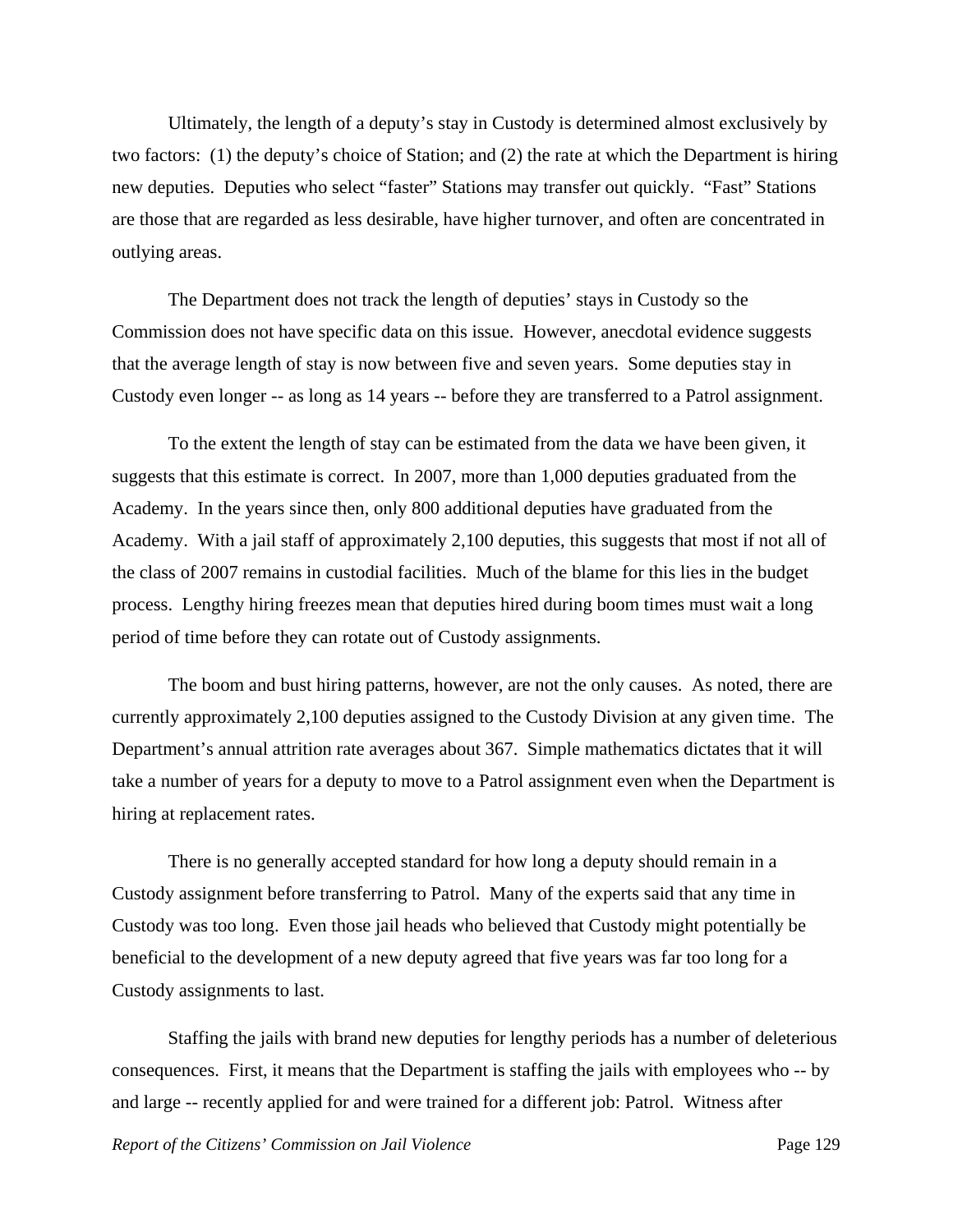Ultimately, the length of a deputy's stay in Custody is determined almost exclusively by two factors: (1) the deputy's choice of Station; and (2) the rate at which the Department is hiring new deputies. Deputies who select "faster" Stations may transfer out quickly. "Fast" Stations are those that are regarded as less desirable, have higher turnover, and often are concentrated in outlying areas.

The Department does not track the length of deputies' stays in Custody so the Commission does not have specific data on this issue. However, anecdotal evidence suggests that the average length of stay is now between five and seven years. Some deputies stay in Custody even longer -- as long as 14 years -- before they are transferred to a Patrol assignment.

To the extent the length of stay can be estimated from the data we have been given, it suggests that this estimate is correct. In 2007, more than 1,000 deputies graduated from the Academy. In the years since then, only 800 additional deputies have graduated from the Academy. With a jail staff of approximately 2,100 deputies, this suggests that most if not all of the class of 2007 remains in custodial facilities. Much of the blame for this lies in the budget process. Lengthy hiring freezes mean that deputies hired during boom times must wait a long period of time before they can rotate out of Custody assignments.

The boom and bust hiring patterns, however, are not the only causes. As noted, there are currently approximately 2,100 deputies assigned to the Custody Division at any given time. The Department's annual attrition rate averages about 367. Simple mathematics dictates that it will take a number of years for a deputy to move to a Patrol assignment even when the Department is hiring at replacement rates.

There is no generally accepted standard for how long a deputy should remain in a Custody assignment before transferring to Patrol. Many of the experts said that any time in Custody was too long. Even those jail heads who believed that Custody might potentially be beneficial to the development of a new deputy agreed that five years was far too long for a Custody assignments to last.

Staffing the jails with brand new deputies for lengthy periods has a number of deleterious consequences. First, it means that the Department is staffing the jails with employees who -- by and large -- recently applied for and were trained for a different job: Patrol. Witness after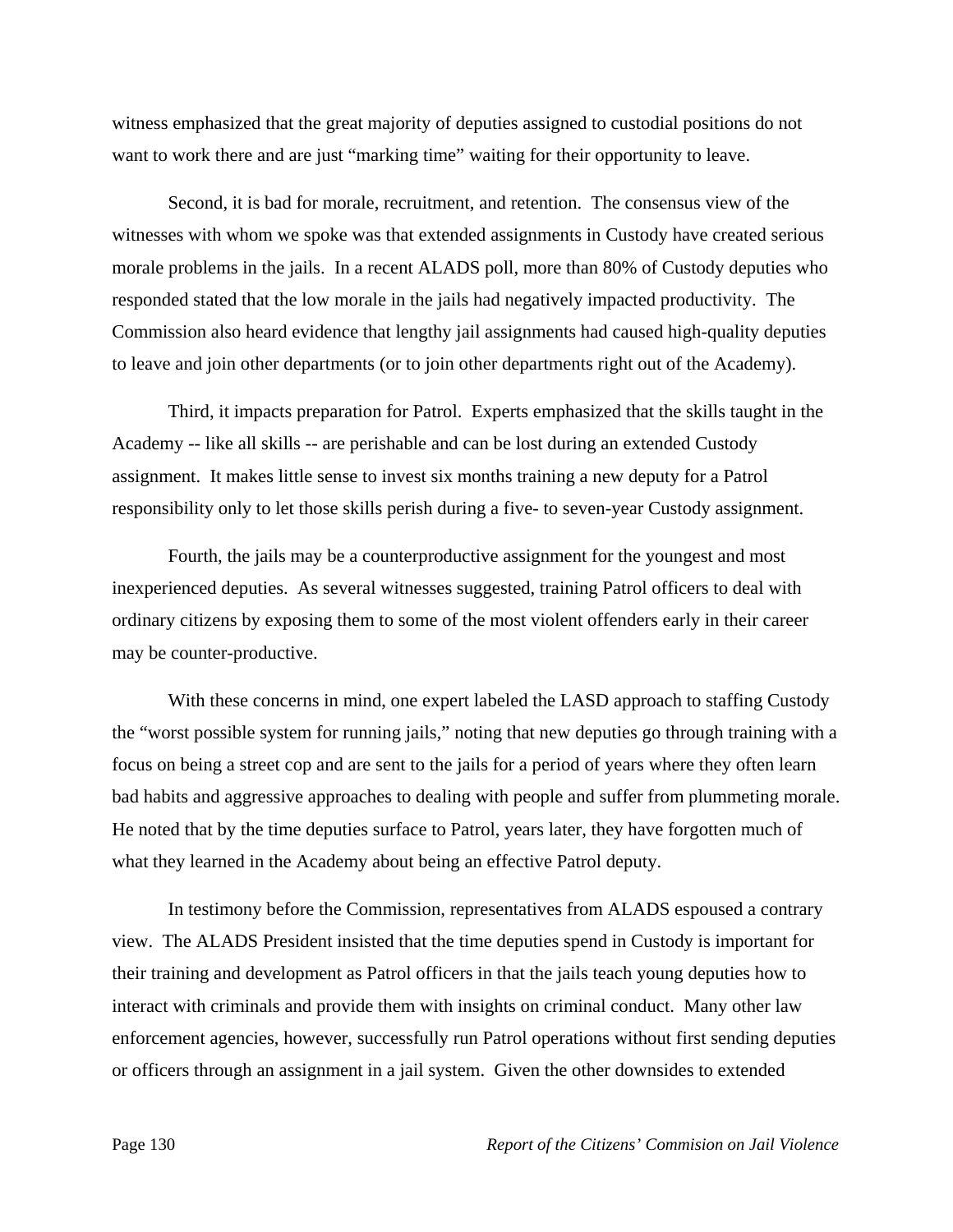witness emphasized that the great majority of deputies assigned to custodial positions do not want to work there and are just "marking time" waiting for their opportunity to leave.

Second, it is bad for morale, recruitment, and retention. The consensus view of the witnesses with whom we spoke was that extended assignments in Custody have created serious morale problems in the jails. In a recent ALADS poll, more than 80% of Custody deputies who responded stated that the low morale in the jails had negatively impacted productivity. The Commission also heard evidence that lengthy jail assignments had caused high-quality deputies to leave and join other departments (or to join other departments right out of the Academy).

Third, it impacts preparation for Patrol. Experts emphasized that the skills taught in the Academy -- like all skills -- are perishable and can be lost during an extended Custody assignment. It makes little sense to invest six months training a new deputy for a Patrol responsibility only to let those skills perish during a five- to seven-year Custody assignment.

Fourth, the jails may be a counterproductive assignment for the youngest and most inexperienced deputies. As several witnesses suggested, training Patrol officers to deal with ordinary citizens by exposing them to some of the most violent offenders early in their career may be counter-productive.

With these concerns in mind, one expert labeled the LASD approach to staffing Custody the "worst possible system for running jails," noting that new deputies go through training with a focus on being a street cop and are sent to the jails for a period of years where they often learn bad habits and aggressive approaches to dealing with people and suffer from plummeting morale. He noted that by the time deputies surface to Patrol, years later, they have forgotten much of what they learned in the Academy about being an effective Patrol deputy.

In testimony before the Commission, representatives from ALADS espoused a contrary view. The ALADS President insisted that the time deputies spend in Custody is important for their training and development as Patrol officers in that the jails teach young deputies how to interact with criminals and provide them with insights on criminal conduct. Many other law enforcement agencies, however, successfully run Patrol operations without first sending deputies or officers through an assignment in a jail system. Given the other downsides to extended

Page 130 *Report of the Citizens' Commision on Jail Violence*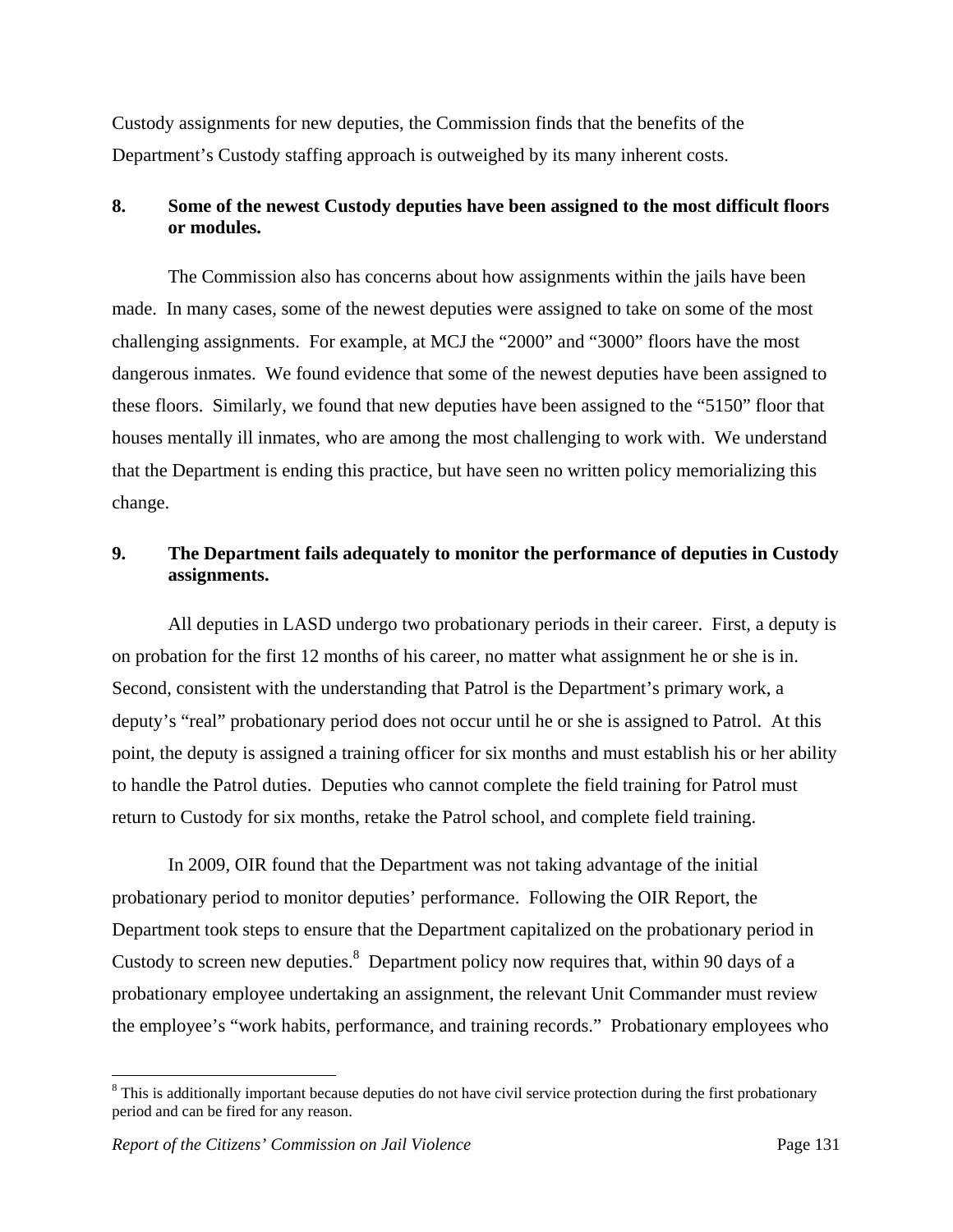Custody assignments for new deputies, the Commission finds that the benefits of the Department's Custody staffing approach is outweighed by its many inherent costs.

# **8. Some of the newest Custody deputies have been assigned to the most difficult floors or modules.**

The Commission also has concerns about how assignments within the jails have been made. In many cases, some of the newest deputies were assigned to take on some of the most challenging assignments. For example, at MCJ the "2000" and "3000" floors have the most dangerous inmates. We found evidence that some of the newest deputies have been assigned to these floors. Similarly, we found that new deputies have been assigned to the "5150" floor that houses mentally ill inmates, who are among the most challenging to work with. We understand that the Department is ending this practice, but have seen no written policy memorializing this change.

# **9. The Department fails adequately to monitor the performance of deputies in Custody assignments.**

All deputies in LASD undergo two probationary periods in their career. First, a deputy is on probation for the first 12 months of his career, no matter what assignment he or she is in. Second, consistent with the understanding that Patrol is the Department's primary work, a deputy's "real" probationary period does not occur until he or she is assigned to Patrol. At this point, the deputy is assigned a training officer for six months and must establish his or her ability to handle the Patrol duties. Deputies who cannot complete the field training for Patrol must return to Custody for six months, retake the Patrol school, and complete field training.

In 2009, OIR found that the Department was not taking advantage of the initial probationary period to monitor deputies' performance. Following the OIR Report, the Department took steps to ensure that the Department capitalized on the probationary period in Custody to screen new deputies. $8$  Department policy now requires that, within 90 days of a probationary employee undertaking an assignment, the relevant Unit Commander must review the employee's "work habits, performance, and training records." Probationary employees who

1

<sup>&</sup>lt;sup>8</sup> This is additionally important because deputies do not have civil service protection during the first probationary period and can be fired for any reason.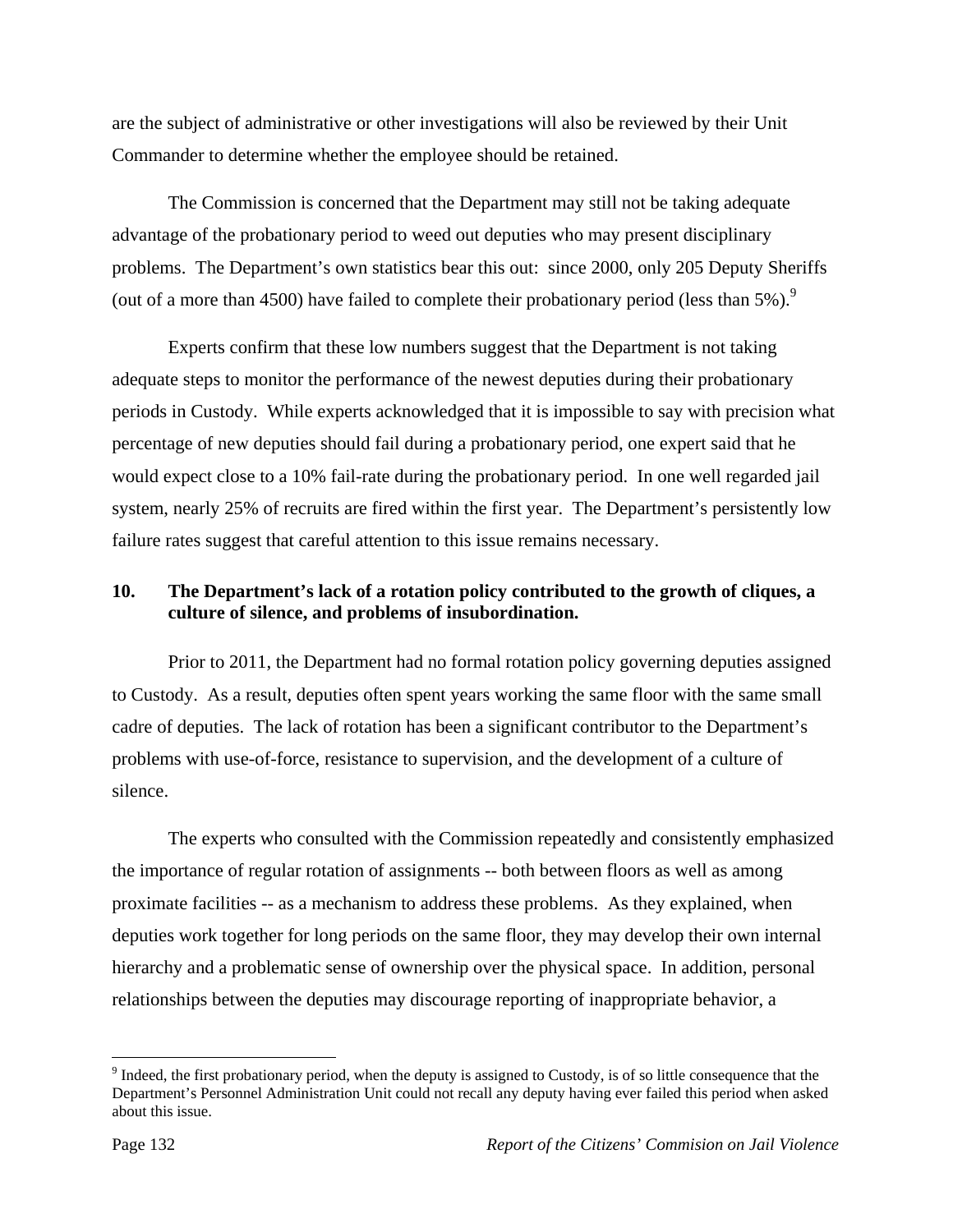are the subject of administrative or other investigations will also be reviewed by their Unit Commander to determine whether the employee should be retained.

The Commission is concerned that the Department may still not be taking adequate advantage of the probationary period to weed out deputies who may present disciplinary problems. The Department's own statistics bear this out: since 2000, only 205 Deputy Sheriffs (out of a more than 4500) have failed to complete their probationary period (less than  $5\%$ ).<sup>9</sup>

Experts confirm that these low numbers suggest that the Department is not taking adequate steps to monitor the performance of the newest deputies during their probationary periods in Custody. While experts acknowledged that it is impossible to say with precision what percentage of new deputies should fail during a probationary period, one expert said that he would expect close to a 10% fail-rate during the probationary period. In one well regarded jail system, nearly 25% of recruits are fired within the first year. The Department's persistently low failure rates suggest that careful attention to this issue remains necessary.

# **10. The Department's lack of a rotation policy contributed to the growth of cliques, a culture of silence, and problems of insubordination.**

Prior to 2011, the Department had no formal rotation policy governing deputies assigned to Custody. As a result, deputies often spent years working the same floor with the same small cadre of deputies. The lack of rotation has been a significant contributor to the Department's problems with use-of-force, resistance to supervision, and the development of a culture of silence.

The experts who consulted with the Commission repeatedly and consistently emphasized the importance of regular rotation of assignments -- both between floors as well as among proximate facilities -- as a mechanism to address these problems. As they explained, when deputies work together for long periods on the same floor, they may develop their own internal hierarchy and a problematic sense of ownership over the physical space. In addition, personal relationships between the deputies may discourage reporting of inappropriate behavior, a

 $\overline{a}$ 

 $9$  Indeed, the first probationary period, when the deputy is assigned to Custody, is of so little consequence that the Department's Personnel Administration Unit could not recall any deputy having ever failed this period when asked about this issue.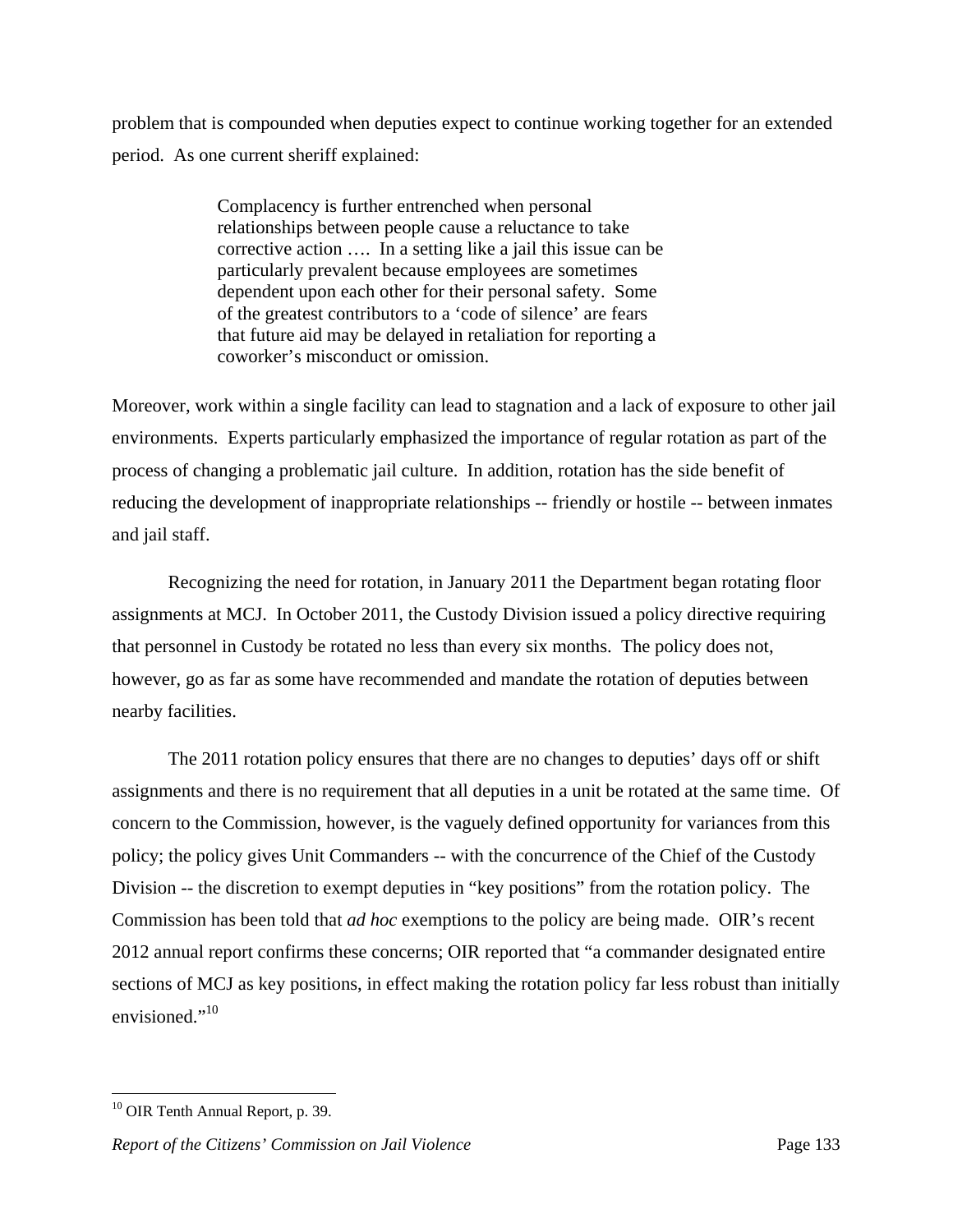problem that is compounded when deputies expect to continue working together for an extended period. As one current sheriff explained:

> Complacency is further entrenched when personal relationships between people cause a reluctance to take corrective action …. In a setting like a jail this issue can be particularly prevalent because employees are sometimes dependent upon each other for their personal safety. Some of the greatest contributors to a 'code of silence' are fears that future aid may be delayed in retaliation for reporting a coworker's misconduct or omission.

Moreover, work within a single facility can lead to stagnation and a lack of exposure to other jail environments. Experts particularly emphasized the importance of regular rotation as part of the process of changing a problematic jail culture. In addition, rotation has the side benefit of reducing the development of inappropriate relationships -- friendly or hostile -- between inmates and jail staff.

Recognizing the need for rotation, in January 2011 the Department began rotating floor assignments at MCJ. In October 2011, the Custody Division issued a policy directive requiring that personnel in Custody be rotated no less than every six months. The policy does not, however, go as far as some have recommended and mandate the rotation of deputies between nearby facilities.

The 2011 rotation policy ensures that there are no changes to deputies' days off or shift assignments and there is no requirement that all deputies in a unit be rotated at the same time. Of concern to the Commission, however, is the vaguely defined opportunity for variances from this policy; the policy gives Unit Commanders -- with the concurrence of the Chief of the Custody Division -- the discretion to exempt deputies in "key positions" from the rotation policy. The Commission has been told that *ad hoc* exemptions to the policy are being made. OIR's recent 2012 annual report confirms these concerns; OIR reported that "a commander designated entire sections of MCJ as key positions, in effect making the rotation policy far less robust than initially envisioned."<sup>10</sup>

<sup>&</sup>lt;u>.</u> <sup>10</sup> OIR Tenth Annual Report, p. 39.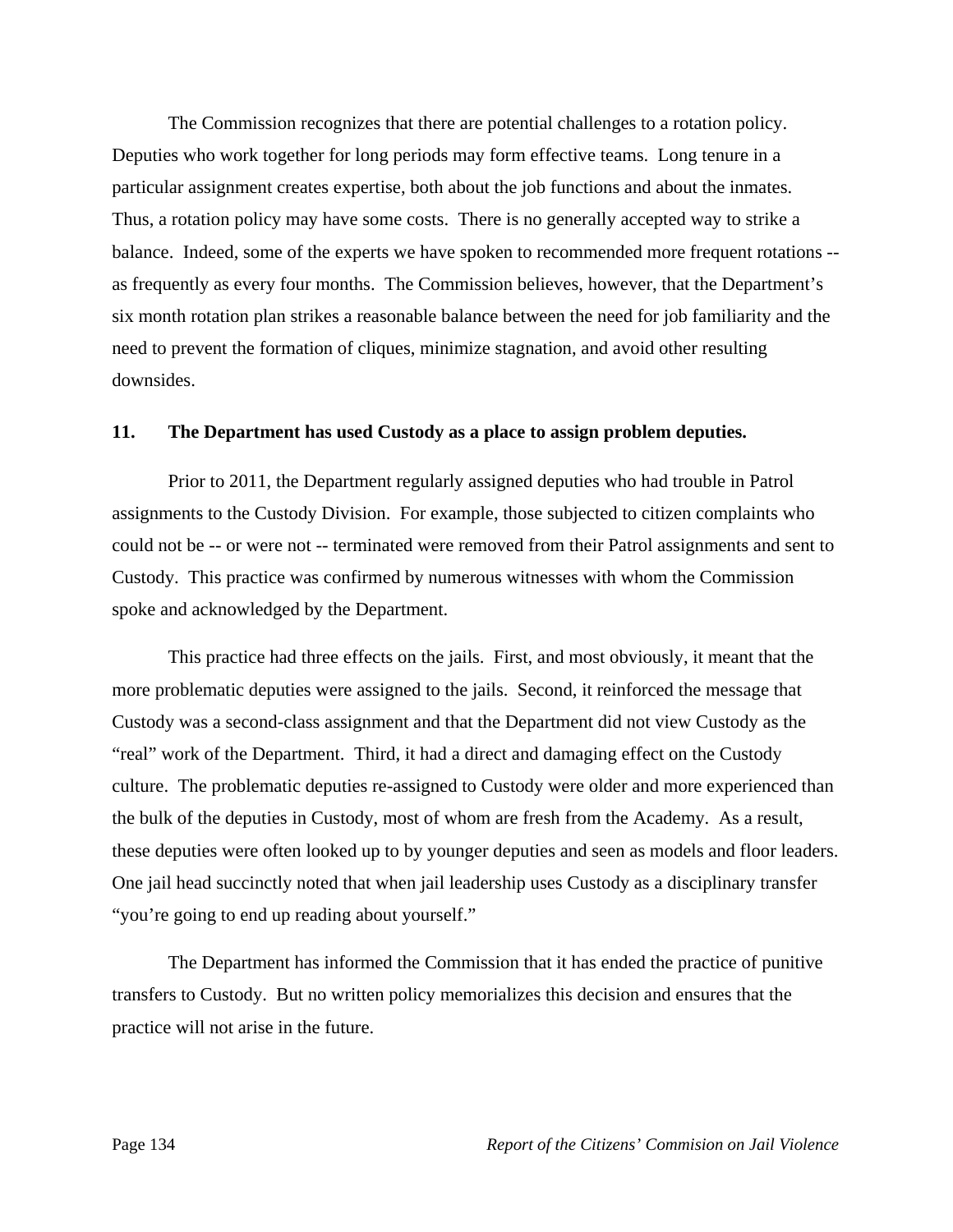The Commission recognizes that there are potential challenges to a rotation policy. Deputies who work together for long periods may form effective teams. Long tenure in a particular assignment creates expertise, both about the job functions and about the inmates. Thus, a rotation policy may have some costs. There is no generally accepted way to strike a balance. Indeed, some of the experts we have spoken to recommended more frequent rotations - as frequently as every four months. The Commission believes, however, that the Department's six month rotation plan strikes a reasonable balance between the need for job familiarity and the need to prevent the formation of cliques, minimize stagnation, and avoid other resulting downsides.

#### **11. The Department has used Custody as a place to assign problem deputies.**

Prior to 2011, the Department regularly assigned deputies who had trouble in Patrol assignments to the Custody Division. For example, those subjected to citizen complaints who could not be -- or were not -- terminated were removed from their Patrol assignments and sent to Custody. This practice was confirmed by numerous witnesses with whom the Commission spoke and acknowledged by the Department.

This practice had three effects on the jails. First, and most obviously, it meant that the more problematic deputies were assigned to the jails. Second, it reinforced the message that Custody was a second-class assignment and that the Department did not view Custody as the "real" work of the Department. Third, it had a direct and damaging effect on the Custody culture. The problematic deputies re-assigned to Custody were older and more experienced than the bulk of the deputies in Custody, most of whom are fresh from the Academy. As a result, these deputies were often looked up to by younger deputies and seen as models and floor leaders. One jail head succinctly noted that when jail leadership uses Custody as a disciplinary transfer "you're going to end up reading about yourself."

The Department has informed the Commission that it has ended the practice of punitive transfers to Custody. But no written policy memorializes this decision and ensures that the practice will not arise in the future.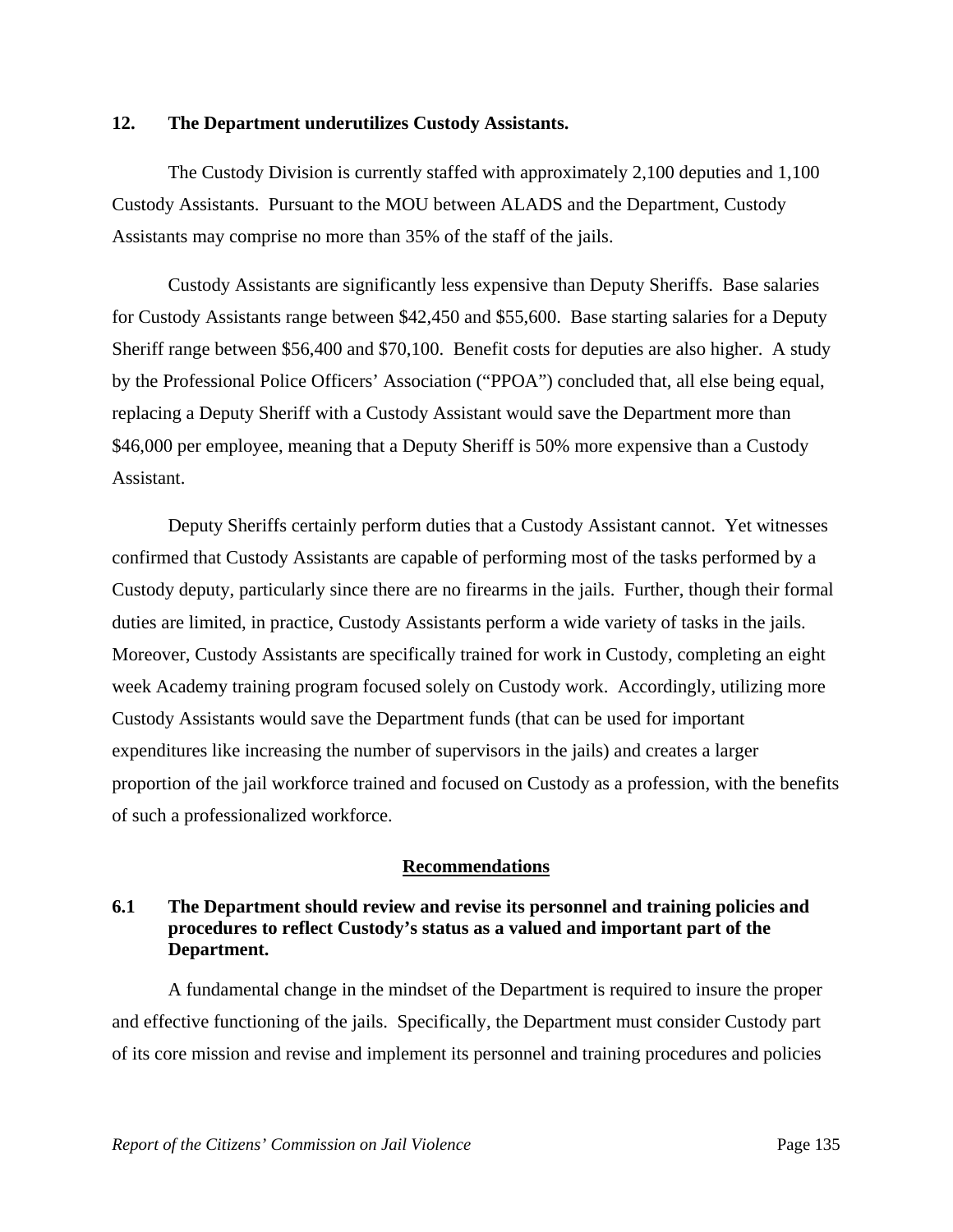## **12. The Department underutilizes Custody Assistants.**

The Custody Division is currently staffed with approximately 2,100 deputies and 1,100 Custody Assistants. Pursuant to the MOU between ALADS and the Department, Custody Assistants may comprise no more than 35% of the staff of the jails.

Custody Assistants are significantly less expensive than Deputy Sheriffs. Base salaries for Custody Assistants range between \$42,450 and \$55,600. Base starting salaries for a Deputy Sheriff range between \$56,400 and \$70,100. Benefit costs for deputies are also higher. A study by the Professional Police Officers' Association ("PPOA") concluded that, all else being equal, replacing a Deputy Sheriff with a Custody Assistant would save the Department more than \$46,000 per employee, meaning that a Deputy Sheriff is 50% more expensive than a Custody Assistant.

Deputy Sheriffs certainly perform duties that a Custody Assistant cannot. Yet witnesses confirmed that Custody Assistants are capable of performing most of the tasks performed by a Custody deputy, particularly since there are no firearms in the jails. Further, though their formal duties are limited, in practice, Custody Assistants perform a wide variety of tasks in the jails. Moreover, Custody Assistants are specifically trained for work in Custody, completing an eight week Academy training program focused solely on Custody work. Accordingly, utilizing more Custody Assistants would save the Department funds (that can be used for important expenditures like increasing the number of supervisors in the jails) and creates a larger proportion of the jail workforce trained and focused on Custody as a profession, with the benefits of such a professionalized workforce.

## **Recommendations**

# **6.1 The Department should review and revise its personnel and training policies and procedures to reflect Custody's status as a valued and important part of the Department.**

A fundamental change in the mindset of the Department is required to insure the proper and effective functioning of the jails. Specifically, the Department must consider Custody part of its core mission and revise and implement its personnel and training procedures and policies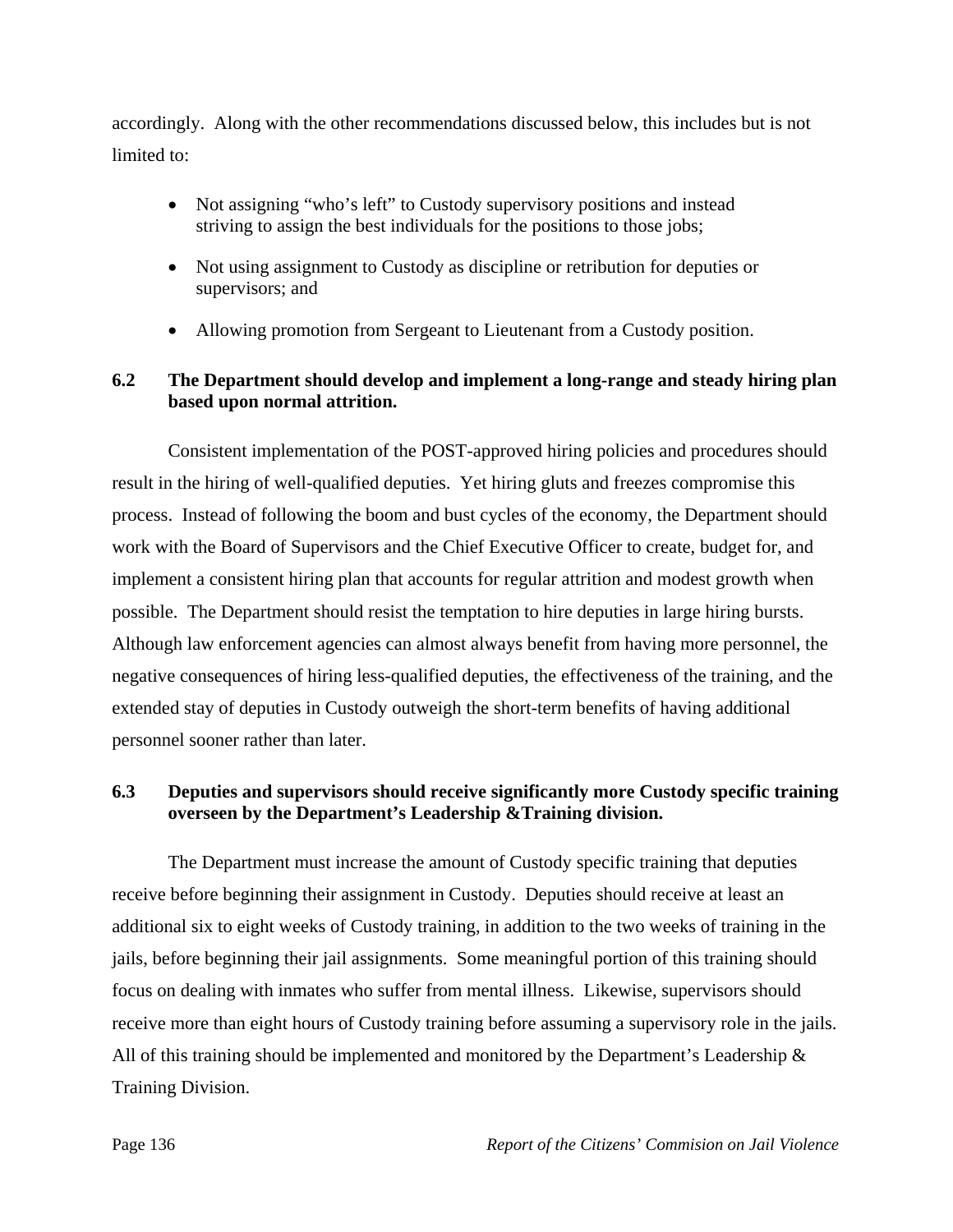accordingly. Along with the other recommendations discussed below, this includes but is not limited to:

- Not assigning "who's left" to Custody supervisory positions and instead striving to assign the best individuals for the positions to those jobs;
- Not using assignment to Custody as discipline or retribution for deputies or supervisors; and
- Allowing promotion from Sergeant to Lieutenant from a Custody position.

# **6.2 The Department should develop and implement a long-range and steady hiring plan based upon normal attrition.**

Consistent implementation of the POST-approved hiring policies and procedures should result in the hiring of well-qualified deputies. Yet hiring gluts and freezes compromise this process. Instead of following the boom and bust cycles of the economy, the Department should work with the Board of Supervisors and the Chief Executive Officer to create, budget for, and implement a consistent hiring plan that accounts for regular attrition and modest growth when possible. The Department should resist the temptation to hire deputies in large hiring bursts. Although law enforcement agencies can almost always benefit from having more personnel, the negative consequences of hiring less-qualified deputies, the effectiveness of the training, and the extended stay of deputies in Custody outweigh the short-term benefits of having additional personnel sooner rather than later.

# **6.3 Deputies and supervisors should receive significantly more Custody specific training overseen by the Department's Leadership &Training division.**

The Department must increase the amount of Custody specific training that deputies receive before beginning their assignment in Custody. Deputies should receive at least an additional six to eight weeks of Custody training, in addition to the two weeks of training in the jails, before beginning their jail assignments. Some meaningful portion of this training should focus on dealing with inmates who suffer from mental illness. Likewise, supervisors should receive more than eight hours of Custody training before assuming a supervisory role in the jails. All of this training should be implemented and monitored by the Department's Leadership & Training Division.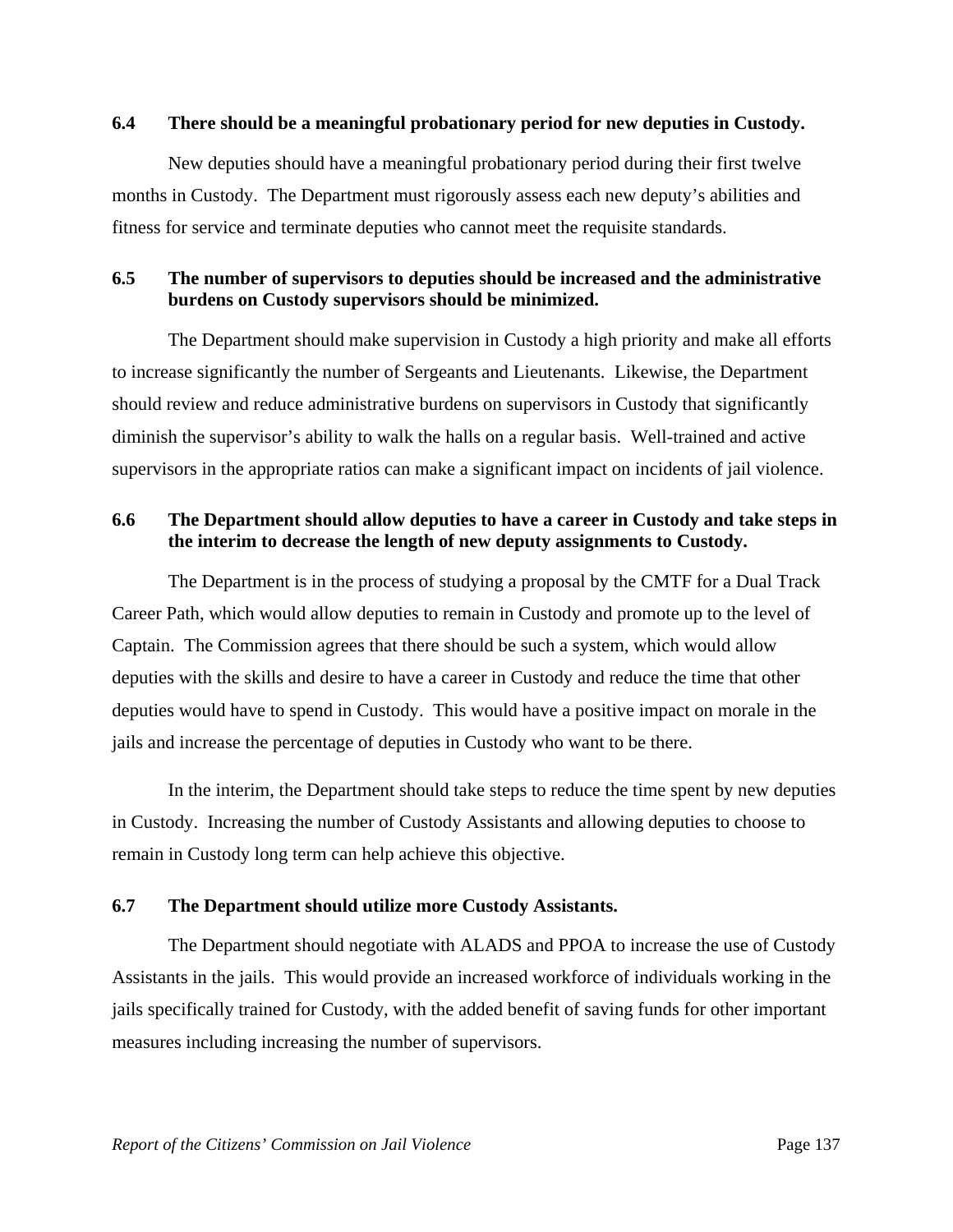### **6.4 There should be a meaningful probationary period for new deputies in Custody.**

New deputies should have a meaningful probationary period during their first twelve months in Custody. The Department must rigorously assess each new deputy's abilities and fitness for service and terminate deputies who cannot meet the requisite standards.

## **6.5 The number of supervisors to deputies should be increased and the administrative burdens on Custody supervisors should be minimized.**

The Department should make supervision in Custody a high priority and make all efforts to increase significantly the number of Sergeants and Lieutenants. Likewise, the Department should review and reduce administrative burdens on supervisors in Custody that significantly diminish the supervisor's ability to walk the halls on a regular basis. Well-trained and active supervisors in the appropriate ratios can make a significant impact on incidents of jail violence.

# **6.6 The Department should allow deputies to have a career in Custody and take steps in the interim to decrease the length of new deputy assignments to Custody.**

The Department is in the process of studying a proposal by the CMTF for a Dual Track Career Path, which would allow deputies to remain in Custody and promote up to the level of Captain. The Commission agrees that there should be such a system, which would allow deputies with the skills and desire to have a career in Custody and reduce the time that other deputies would have to spend in Custody. This would have a positive impact on morale in the jails and increase the percentage of deputies in Custody who want to be there.

In the interim, the Department should take steps to reduce the time spent by new deputies in Custody. Increasing the number of Custody Assistants and allowing deputies to choose to remain in Custody long term can help achieve this objective.

# **6.7 The Department should utilize more Custody Assistants.**

The Department should negotiate with ALADS and PPOA to increase the use of Custody Assistants in the jails. This would provide an increased workforce of individuals working in the jails specifically trained for Custody, with the added benefit of saving funds for other important measures including increasing the number of supervisors.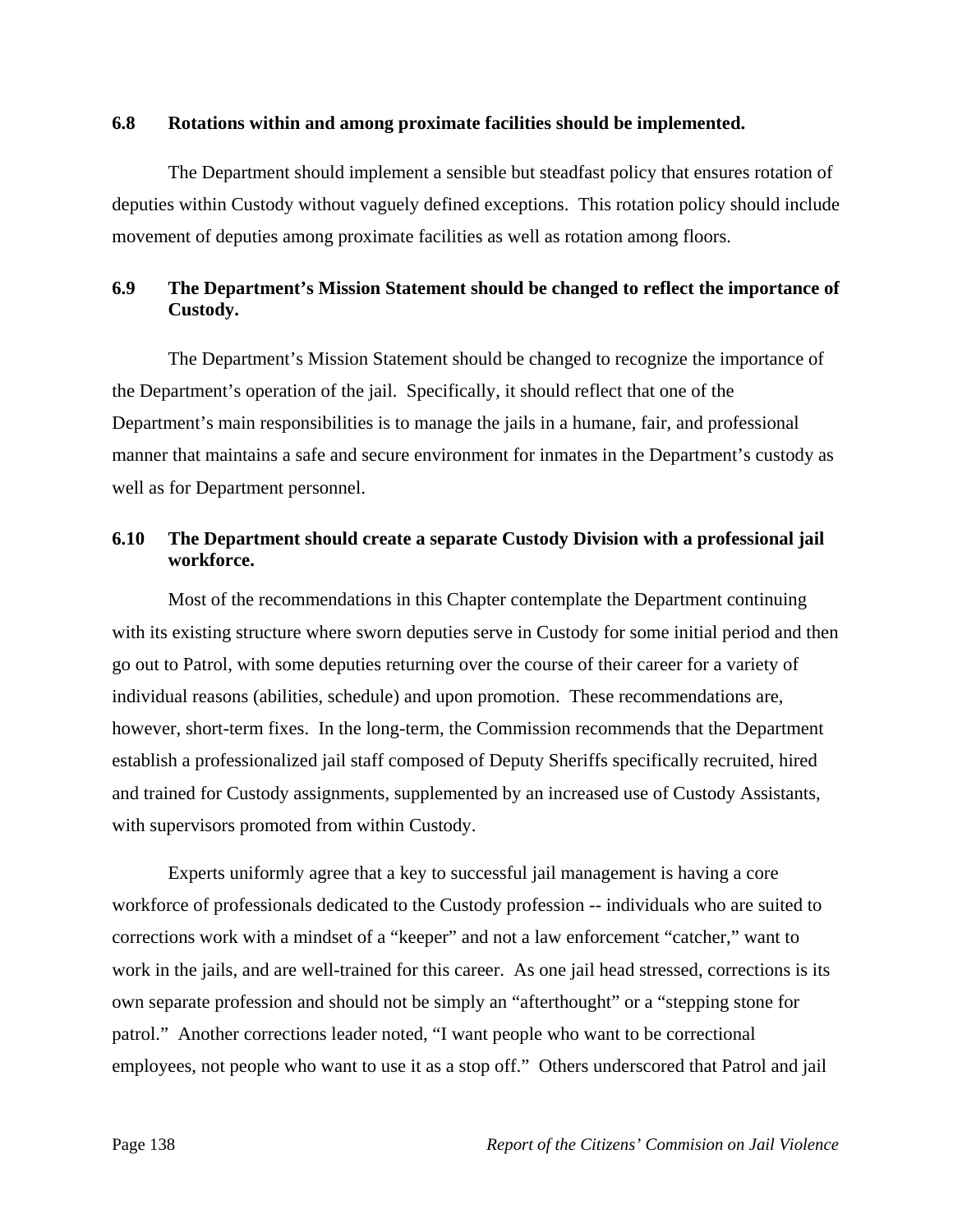#### **6.8 Rotations within and among proximate facilities should be implemented.**

The Department should implement a sensible but steadfast policy that ensures rotation of deputies within Custody without vaguely defined exceptions. This rotation policy should include movement of deputies among proximate facilities as well as rotation among floors.

# **6.9 The Department's Mission Statement should be changed to reflect the importance of Custody.**

The Department's Mission Statement should be changed to recognize the importance of the Department's operation of the jail. Specifically, it should reflect that one of the Department's main responsibilities is to manage the jails in a humane, fair, and professional manner that maintains a safe and secure environment for inmates in the Department's custody as well as for Department personnel.

# **6.10 The Department should create a separate Custody Division with a professional jail workforce.**

Most of the recommendations in this Chapter contemplate the Department continuing with its existing structure where sworn deputies serve in Custody for some initial period and then go out to Patrol, with some deputies returning over the course of their career for a variety of individual reasons (abilities, schedule) and upon promotion. These recommendations are, however, short-term fixes. In the long-term, the Commission recommends that the Department establish a professionalized jail staff composed of Deputy Sheriffs specifically recruited, hired and trained for Custody assignments, supplemented by an increased use of Custody Assistants, with supervisors promoted from within Custody.

Experts uniformly agree that a key to successful jail management is having a core workforce of professionals dedicated to the Custody profession -- individuals who are suited to corrections work with a mindset of a "keeper" and not a law enforcement "catcher," want to work in the jails, and are well-trained for this career. As one jail head stressed, corrections is its own separate profession and should not be simply an "afterthought" or a "stepping stone for patrol." Another corrections leader noted, "I want people who want to be correctional employees, not people who want to use it as a stop off." Others underscored that Patrol and jail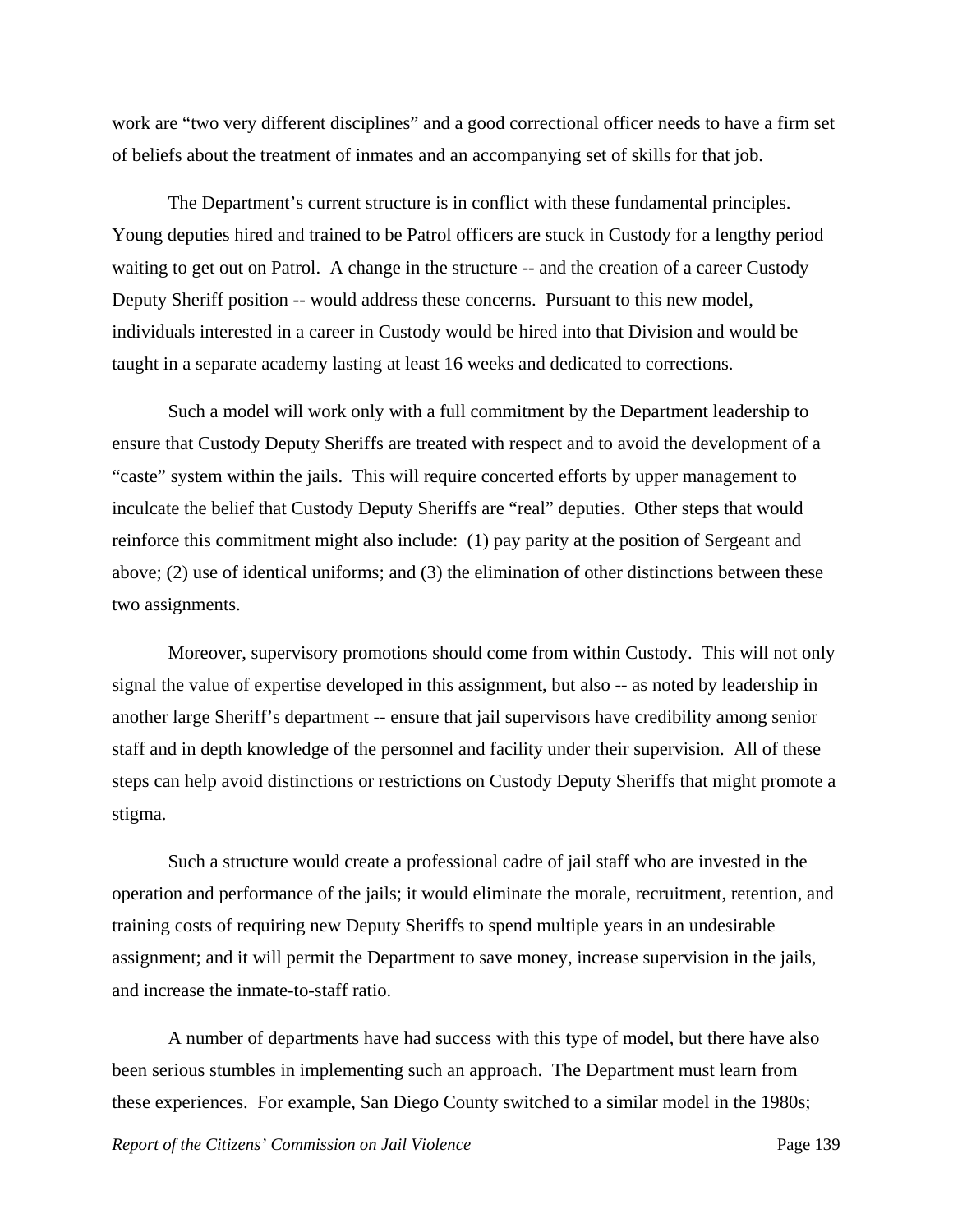work are "two very different disciplines" and a good correctional officer needs to have a firm set of beliefs about the treatment of inmates and an accompanying set of skills for that job.

The Department's current structure is in conflict with these fundamental principles. Young deputies hired and trained to be Patrol officers are stuck in Custody for a lengthy period waiting to get out on Patrol. A change in the structure -- and the creation of a career Custody Deputy Sheriff position -- would address these concerns. Pursuant to this new model, individuals interested in a career in Custody would be hired into that Division and would be taught in a separate academy lasting at least 16 weeks and dedicated to corrections.

Such a model will work only with a full commitment by the Department leadership to ensure that Custody Deputy Sheriffs are treated with respect and to avoid the development of a "caste" system within the jails. This will require concerted efforts by upper management to inculcate the belief that Custody Deputy Sheriffs are "real" deputies. Other steps that would reinforce this commitment might also include: (1) pay parity at the position of Sergeant and above; (2) use of identical uniforms; and (3) the elimination of other distinctions between these two assignments.

Moreover, supervisory promotions should come from within Custody. This will not only signal the value of expertise developed in this assignment, but also -- as noted by leadership in another large Sheriff's department -- ensure that jail supervisors have credibility among senior staff and in depth knowledge of the personnel and facility under their supervision. All of these steps can help avoid distinctions or restrictions on Custody Deputy Sheriffs that might promote a stigma.

Such a structure would create a professional cadre of jail staff who are invested in the operation and performance of the jails; it would eliminate the morale, recruitment, retention, and training costs of requiring new Deputy Sheriffs to spend multiple years in an undesirable assignment; and it will permit the Department to save money, increase supervision in the jails, and increase the inmate-to-staff ratio.

A number of departments have had success with this type of model, but there have also been serious stumbles in implementing such an approach. The Department must learn from these experiences. For example, San Diego County switched to a similar model in the 1980s;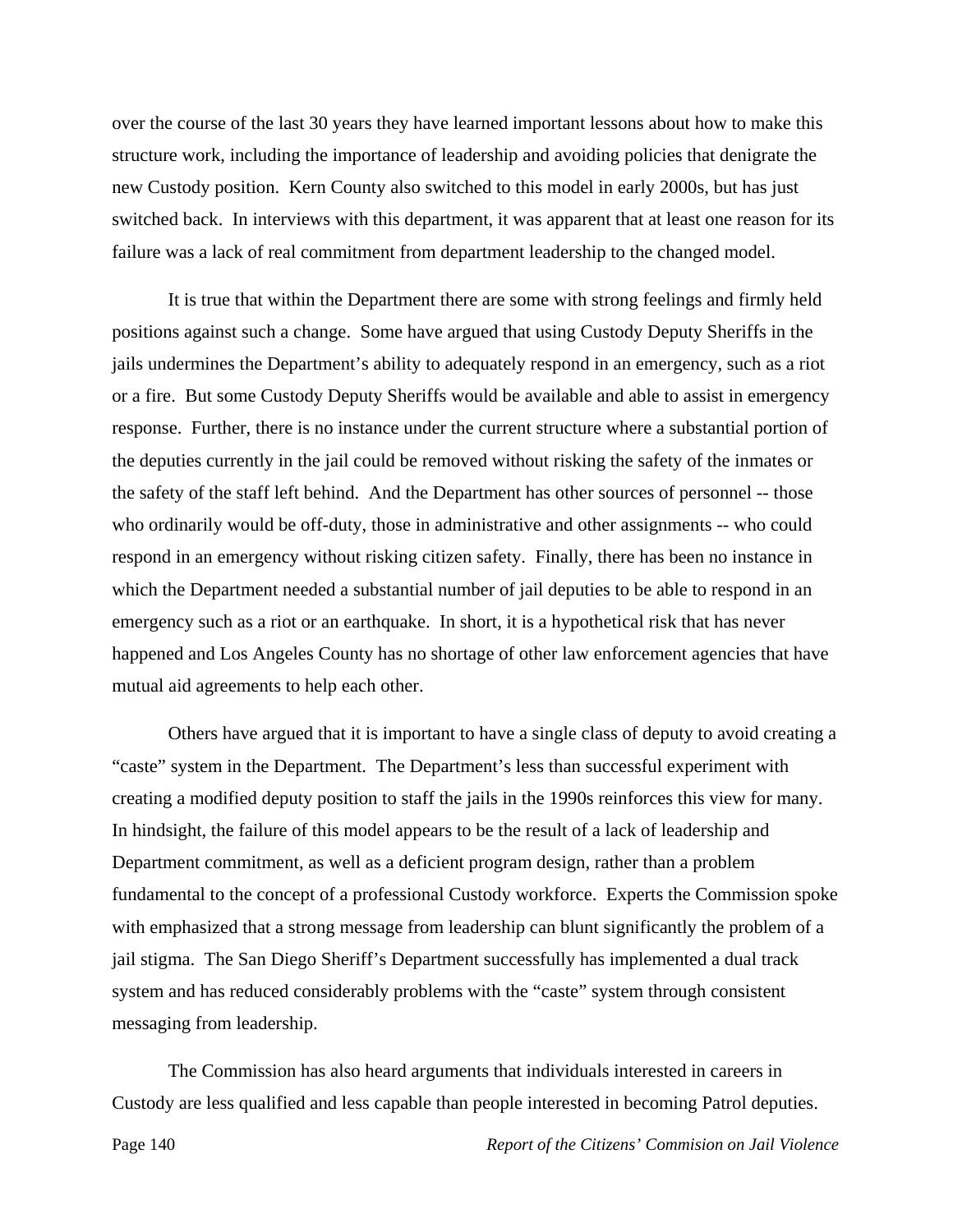over the course of the last 30 years they have learned important lessons about how to make this structure work, including the importance of leadership and avoiding policies that denigrate the new Custody position. Kern County also switched to this model in early 2000s, but has just switched back. In interviews with this department, it was apparent that at least one reason for its failure was a lack of real commitment from department leadership to the changed model.

It is true that within the Department there are some with strong feelings and firmly held positions against such a change. Some have argued that using Custody Deputy Sheriffs in the jails undermines the Department's ability to adequately respond in an emergency, such as a riot or a fire. But some Custody Deputy Sheriffs would be available and able to assist in emergency response. Further, there is no instance under the current structure where a substantial portion of the deputies currently in the jail could be removed without risking the safety of the inmates or the safety of the staff left behind. And the Department has other sources of personnel -- those who ordinarily would be off-duty, those in administrative and other assignments -- who could respond in an emergency without risking citizen safety. Finally, there has been no instance in which the Department needed a substantial number of jail deputies to be able to respond in an emergency such as a riot or an earthquake. In short, it is a hypothetical risk that has never happened and Los Angeles County has no shortage of other law enforcement agencies that have mutual aid agreements to help each other.

Others have argued that it is important to have a single class of deputy to avoid creating a "caste" system in the Department. The Department's less than successful experiment with creating a modified deputy position to staff the jails in the 1990s reinforces this view for many. In hindsight, the failure of this model appears to be the result of a lack of leadership and Department commitment, as well as a deficient program design, rather than a problem fundamental to the concept of a professional Custody workforce. Experts the Commission spoke with emphasized that a strong message from leadership can blunt significantly the problem of a jail stigma. The San Diego Sheriff's Department successfully has implemented a dual track system and has reduced considerably problems with the "caste" system through consistent messaging from leadership.

The Commission has also heard arguments that individuals interested in careers in Custody are less qualified and less capable than people interested in becoming Patrol deputies.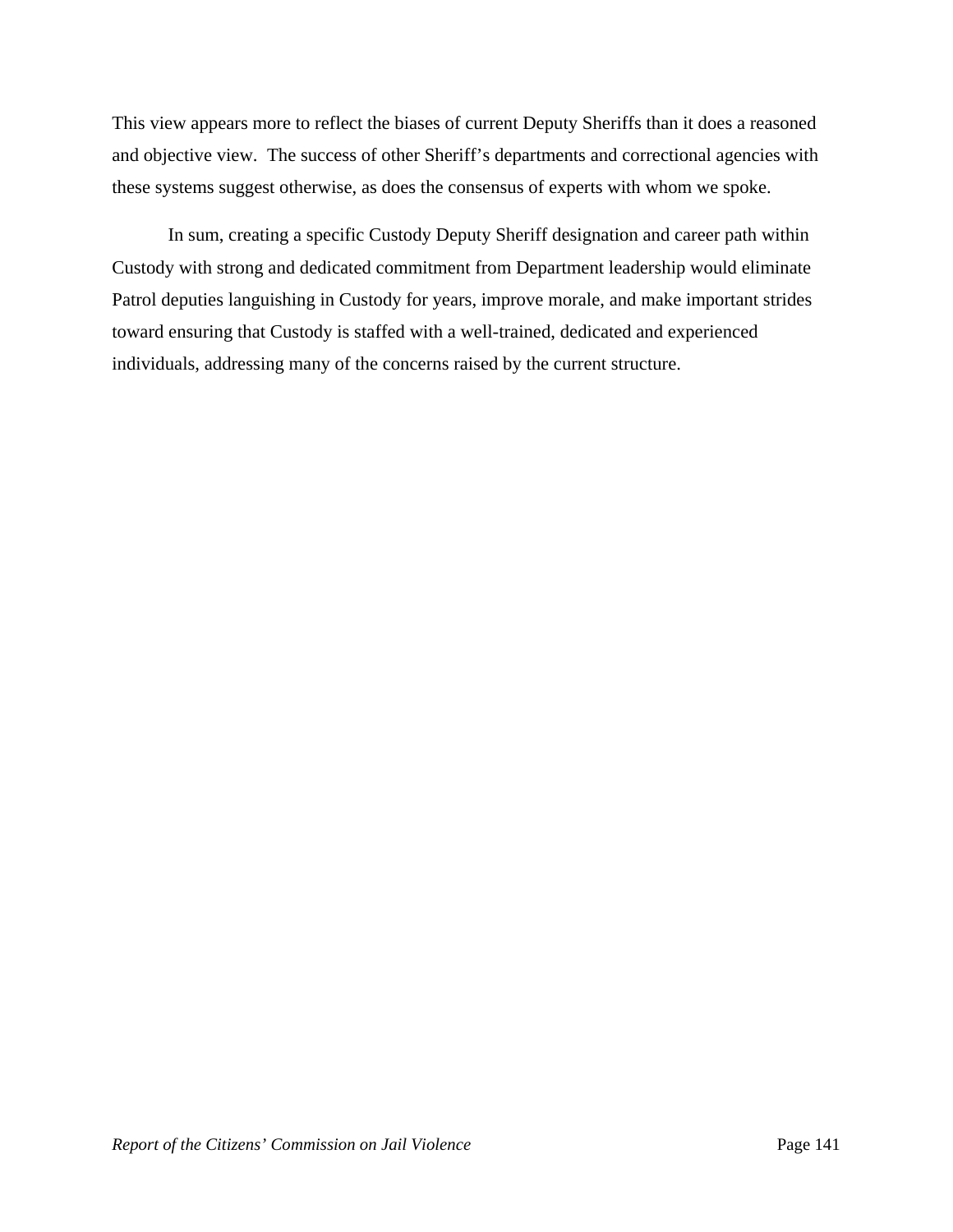This view appears more to reflect the biases of current Deputy Sheriffs than it does a reasoned and objective view. The success of other Sheriff's departments and correctional agencies with these systems suggest otherwise, as does the consensus of experts with whom we spoke.

In sum, creating a specific Custody Deputy Sheriff designation and career path within Custody with strong and dedicated commitment from Department leadership would eliminate Patrol deputies languishing in Custody for years, improve morale, and make important strides toward ensuring that Custody is staffed with a well-trained, dedicated and experienced individuals, addressing many of the concerns raised by the current structure.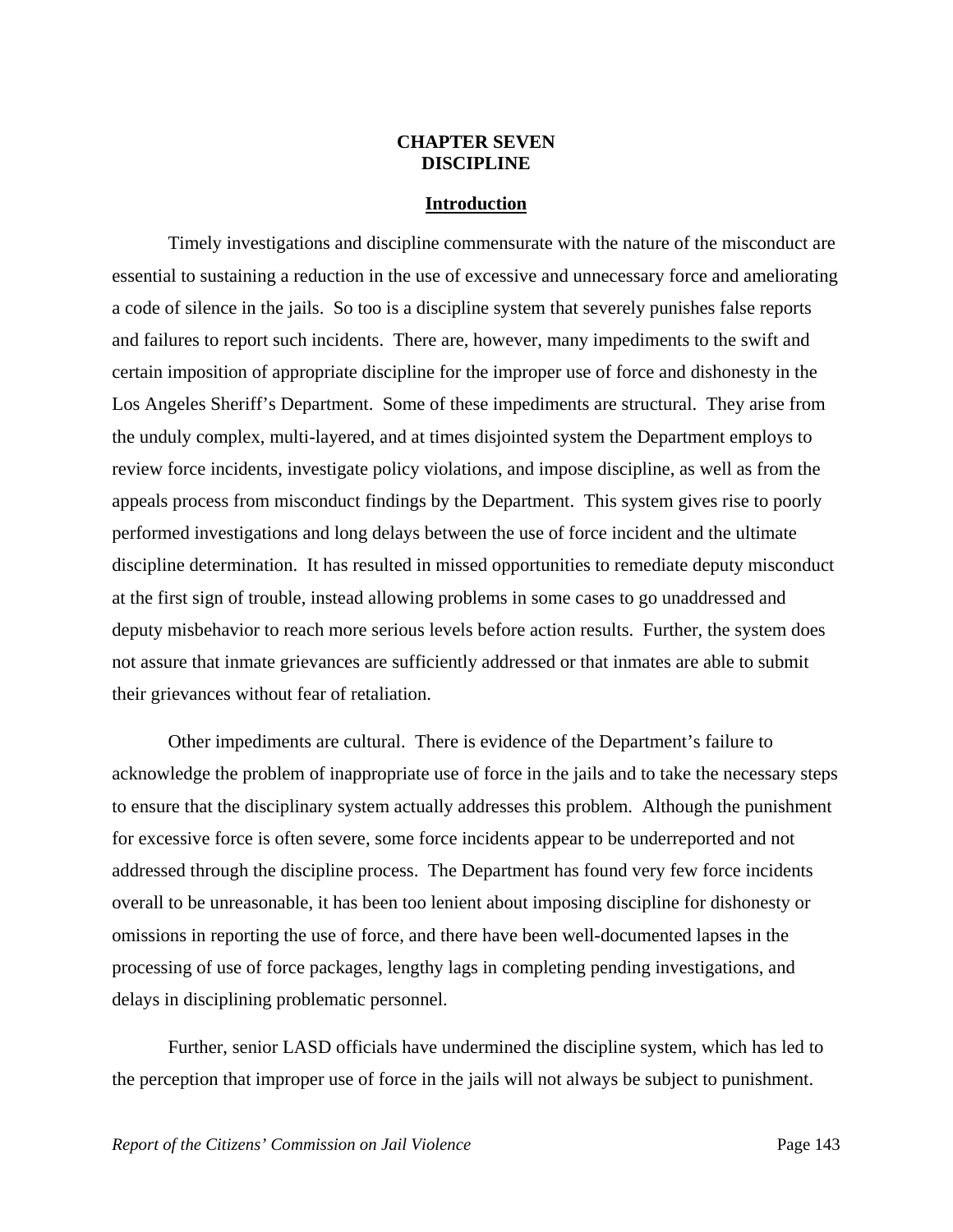## **CHAPTER SEVEN DISCIPLINE**

#### **Introduction**

 Timely investigations and discipline commensurate with the nature of the misconduct are essential to sustaining a reduction in the use of excessive and unnecessary force and ameliorating a code of silence in the jails. So too is a discipline system that severely punishes false reports and failures to report such incidents. There are, however, many impediments to the swift and certain imposition of appropriate discipline for the improper use of force and dishonesty in the Los Angeles Sheriff's Department. Some of these impediments are structural. They arise from the unduly complex, multi-layered, and at times disjointed system the Department employs to review force incidents, investigate policy violations, and impose discipline, as well as from the appeals process from misconduct findings by the Department. This system gives rise to poorly performed investigations and long delays between the use of force incident and the ultimate discipline determination. It has resulted in missed opportunities to remediate deputy misconduct at the first sign of trouble, instead allowing problems in some cases to go unaddressed and deputy misbehavior to reach more serious levels before action results. Further, the system does not assure that inmate grievances are sufficiently addressed or that inmates are able to submit their grievances without fear of retaliation.

 Other impediments are cultural. There is evidence of the Department's failure to acknowledge the problem of inappropriate use of force in the jails and to take the necessary steps to ensure that the disciplinary system actually addresses this problem. Although the punishment for excessive force is often severe, some force incidents appear to be underreported and not addressed through the discipline process. The Department has found very few force incidents overall to be unreasonable, it has been too lenient about imposing discipline for dishonesty or omissions in reporting the use of force, and there have been well-documented lapses in the processing of use of force packages, lengthy lags in completing pending investigations, and delays in disciplining problematic personnel.

 Further, senior LASD officials have undermined the discipline system, which has led to the perception that improper use of force in the jails will not always be subject to punishment.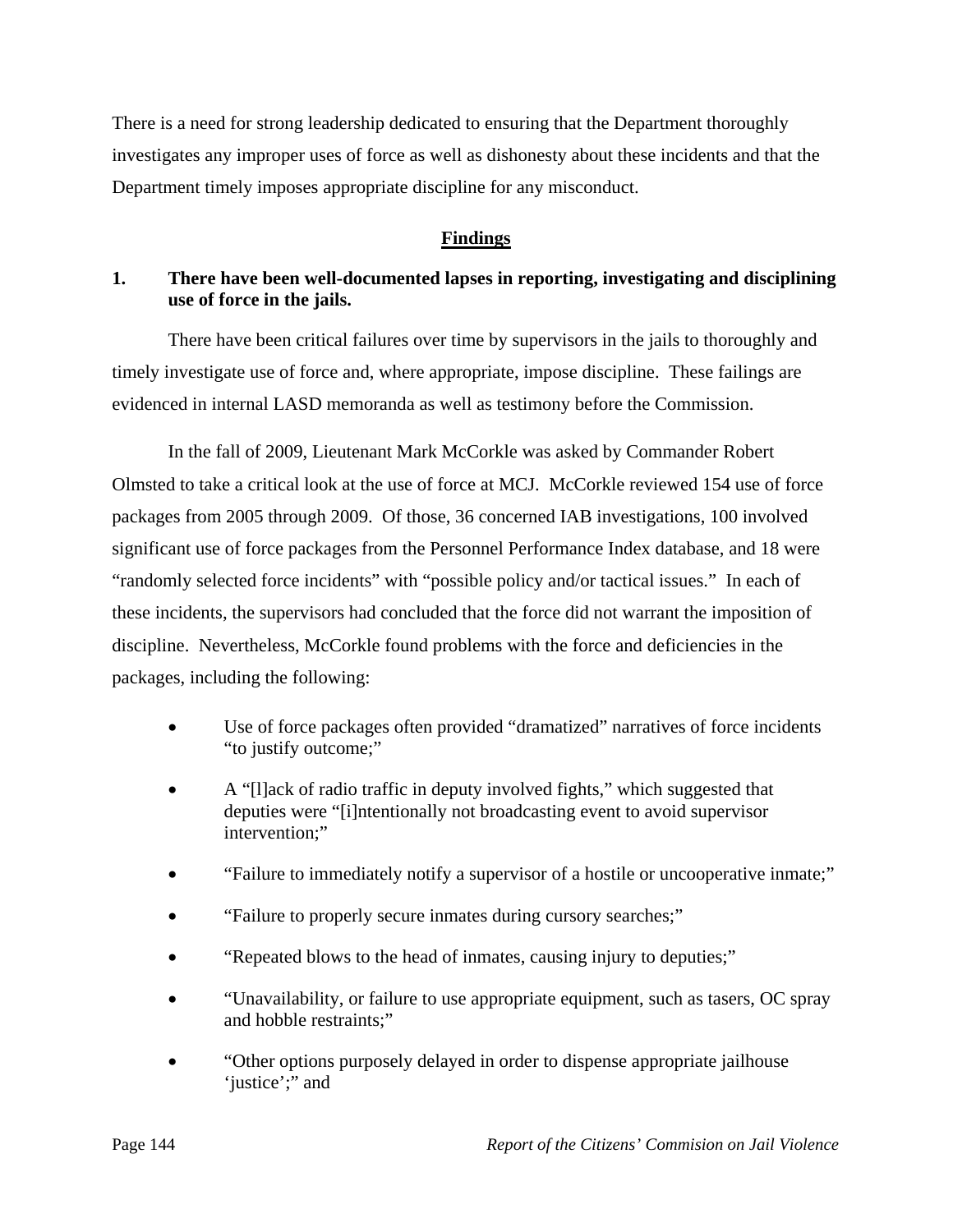There is a need for strong leadership dedicated to ensuring that the Department thoroughly investigates any improper uses of force as well as dishonesty about these incidents and that the Department timely imposes appropriate discipline for any misconduct.

## **Findings**

# **1. There have been well-documented lapses in reporting, investigating and disciplining use of force in the jails.**

 There have been critical failures over time by supervisors in the jails to thoroughly and timely investigate use of force and, where appropriate, impose discipline. These failings are evidenced in internal LASD memoranda as well as testimony before the Commission.

 In the fall of 2009, Lieutenant Mark McCorkle was asked by Commander Robert Olmsted to take a critical look at the use of force at MCJ. McCorkle reviewed 154 use of force packages from 2005 through 2009. Of those, 36 concerned IAB investigations, 100 involved significant use of force packages from the Personnel Performance Index database, and 18 were "randomly selected force incidents" with "possible policy and/or tactical issues." In each of these incidents, the supervisors had concluded that the force did not warrant the imposition of discipline. Nevertheless, McCorkle found problems with the force and deficiencies in the packages, including the following:

- Use of force packages often provided "dramatized" narratives of force incidents "to justify outcome;"
- A "[l]ack of radio traffic in deputy involved fights," which suggested that deputies were "[i]ntentionally not broadcasting event to avoid supervisor intervention;"
- "Failure to immediately notify a supervisor of a hostile or uncooperative inmate;"
- "Failure to properly secure inmates during cursory searches;"
- "Repeated blows to the head of inmates, causing injury to deputies;"
- "Unavailability, or failure to use appropriate equipment, such as tasers, OC spray and hobble restraints;"
- "Other options purposely delayed in order to dispense appropriate jailhouse 'justice';" and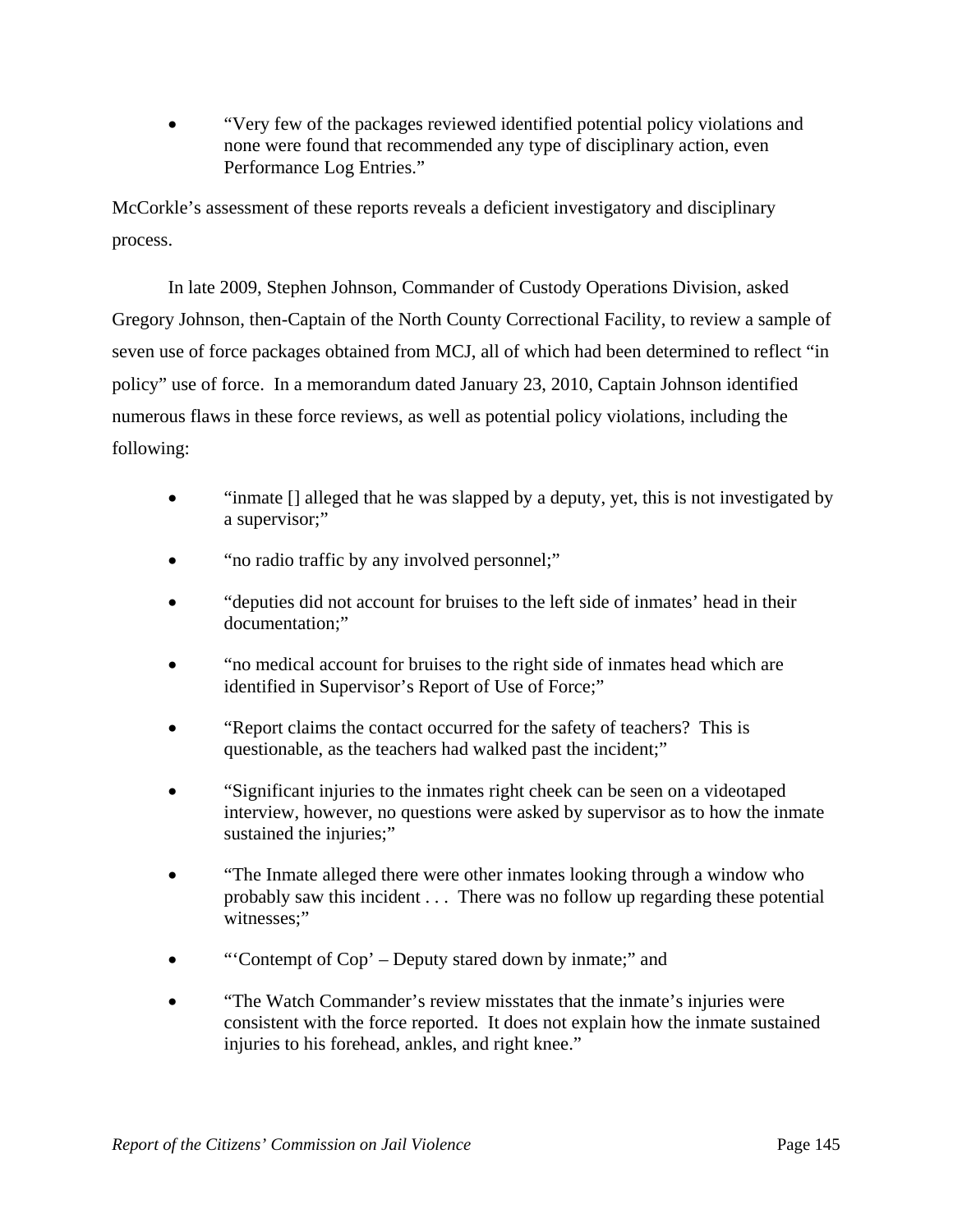"Very few of the packages reviewed identified potential policy violations and none were found that recommended any type of disciplinary action, even Performance Log Entries."

McCorkle's assessment of these reports reveals a deficient investigatory and disciplinary process.

 In late 2009, Stephen Johnson, Commander of Custody Operations Division, asked Gregory Johnson, then-Captain of the North County Correctional Facility, to review a sample of seven use of force packages obtained from MCJ, all of which had been determined to reflect "in policy" use of force. In a memorandum dated January 23, 2010, Captain Johnson identified numerous flaws in these force reviews, as well as potential policy violations, including the following:

- "inmate [] alleged that he was slapped by a deputy, yet, this is not investigated by a supervisor;"
- "no radio traffic by any involved personnel;"
- "deputies did not account for bruises to the left side of inmates' head in their documentation;"
- "no medical account for bruises to the right side of inmates head which are identified in Supervisor's Report of Use of Force;"
- "Report claims the contact occurred for the safety of teachers? This is questionable, as the teachers had walked past the incident;"
- "Significant injuries to the inmates right cheek can be seen on a videotaped interview, however, no questions were asked by supervisor as to how the inmate sustained the injuries:"
- "The Inmate alleged there were other inmates looking through a window who probably saw this incident . . . There was no follow up regarding these potential witnesses:"
- "Contempt of Cop' Deputy stared down by inmate;" and
- "The Watch Commander's review misstates that the inmate's injuries were consistent with the force reported. It does not explain how the inmate sustained injuries to his forehead, ankles, and right knee."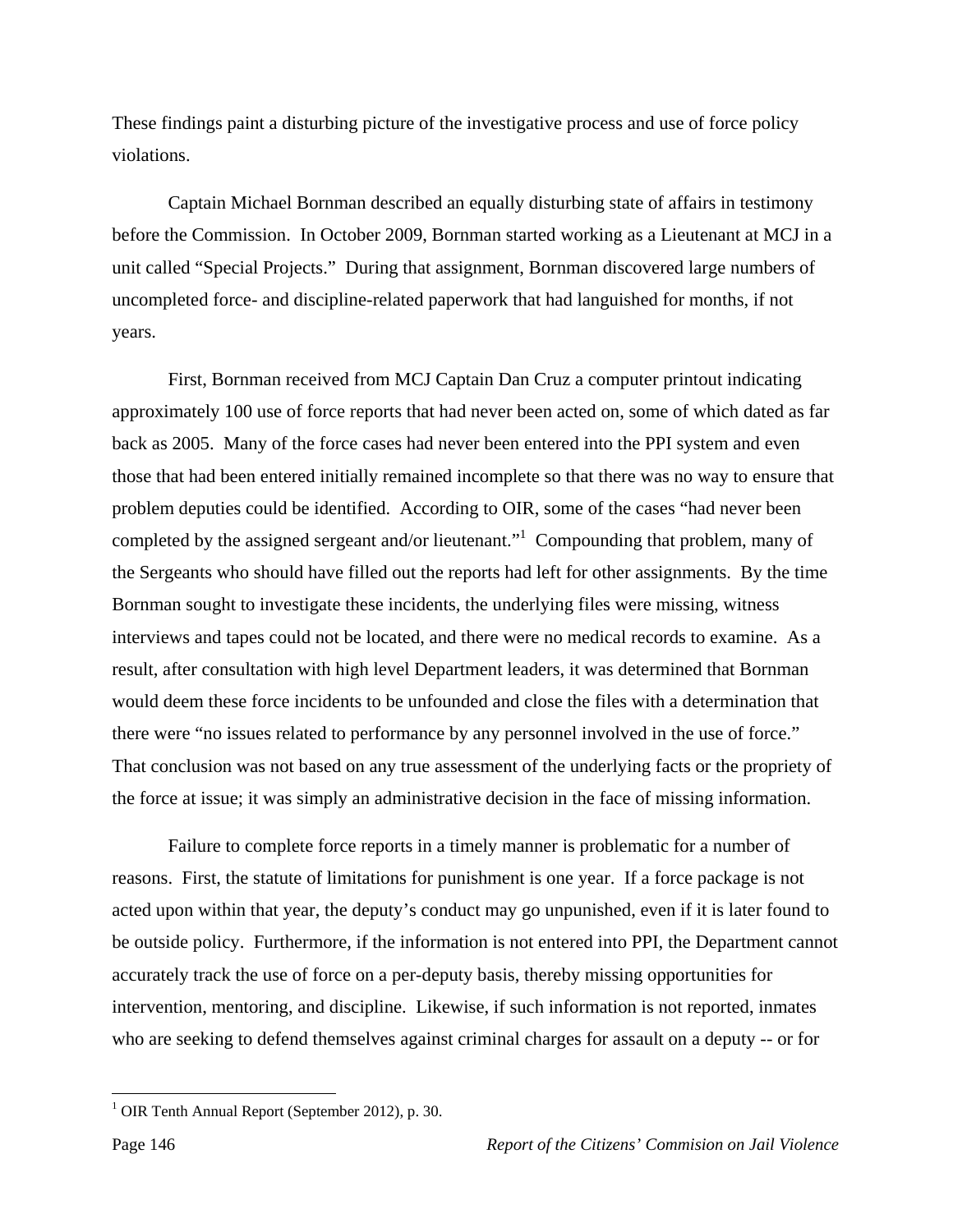These findings paint a disturbing picture of the investigative process and use of force policy violations.

 Captain Michael Bornman described an equally disturbing state of affairs in testimony before the Commission. In October 2009, Bornman started working as a Lieutenant at MCJ in a unit called "Special Projects." During that assignment, Bornman discovered large numbers of uncompleted force- and discipline-related paperwork that had languished for months, if not years.

 First, Bornman received from MCJ Captain Dan Cruz a computer printout indicating approximately 100 use of force reports that had never been acted on, some of which dated as far back as 2005. Many of the force cases had never been entered into the PPI system and even those that had been entered initially remained incomplete so that there was no way to ensure that problem deputies could be identified. According to OIR, some of the cases "had never been completed by the assigned sergeant and/or lieutenant." Compounding that problem, many of the Sergeants who should have filled out the reports had left for other assignments. By the time Bornman sought to investigate these incidents, the underlying files were missing, witness interviews and tapes could not be located, and there were no medical records to examine. As a result, after consultation with high level Department leaders, it was determined that Bornman would deem these force incidents to be unfounded and close the files with a determination that there were "no issues related to performance by any personnel involved in the use of force." That conclusion was not based on any true assessment of the underlying facts or the propriety of the force at issue; it was simply an administrative decision in the face of missing information.

 Failure to complete force reports in a timely manner is problematic for a number of reasons. First, the statute of limitations for punishment is one year. If a force package is not acted upon within that year, the deputy's conduct may go unpunished, even if it is later found to be outside policy. Furthermore, if the information is not entered into PPI, the Department cannot accurately track the use of force on a per-deputy basis, thereby missing opportunities for intervention, mentoring, and discipline. Likewise, if such information is not reported, inmates who are seeking to defend themselves against criminal charges for assault on a deputy -- or for

<sup>&</sup>lt;sup>1</sup> OIR Tenth Annual Report (September 2012), p. 30.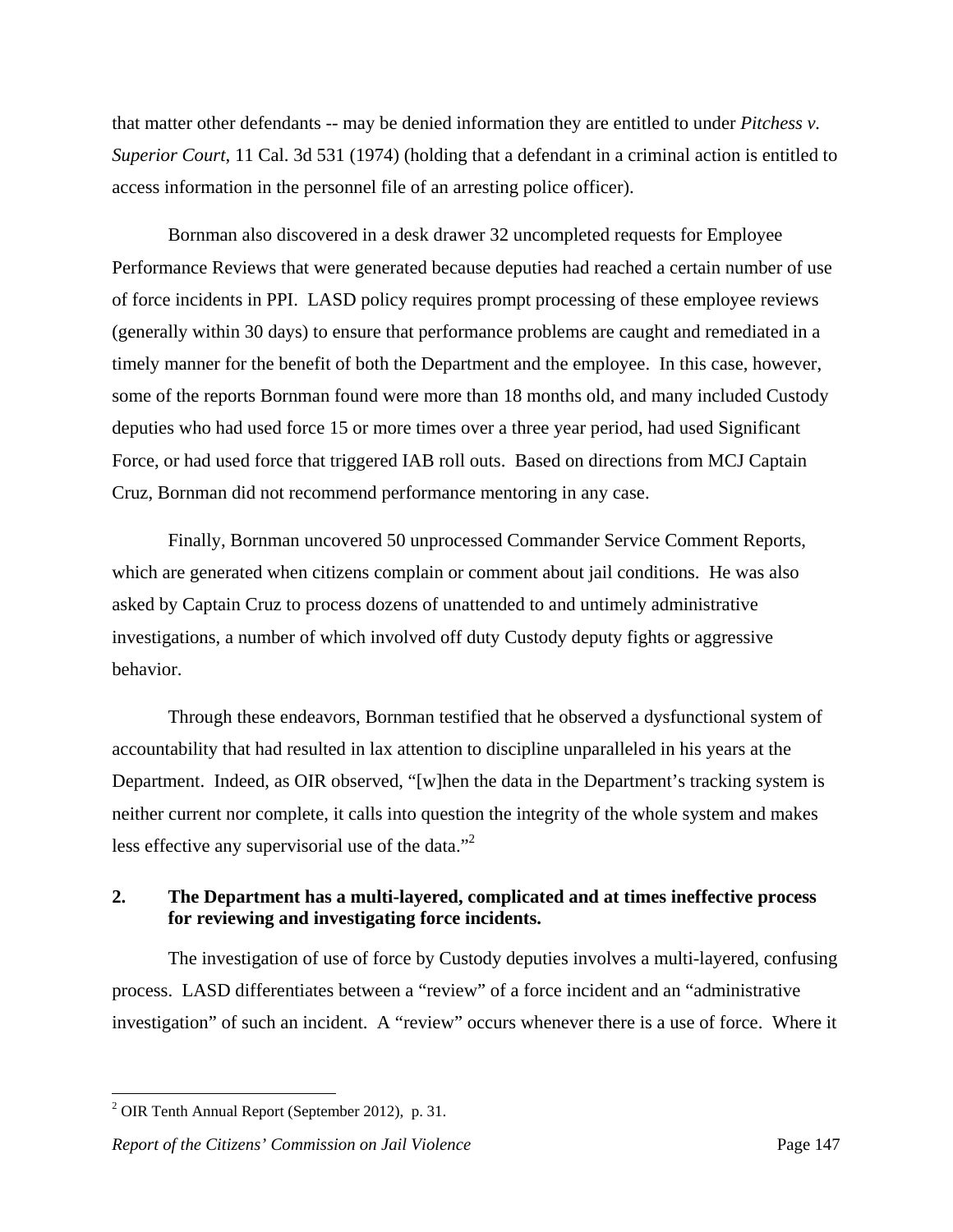that matter other defendants -- may be denied information they are entitled to under *Pitchess v. Superior Court*, 11 Cal. 3d 531 (1974) (holding that a defendant in a criminal action is entitled to access information in the personnel file of an arresting police officer).

 Bornman also discovered in a desk drawer 32 uncompleted requests for Employee Performance Reviews that were generated because deputies had reached a certain number of use of force incidents in PPI. LASD policy requires prompt processing of these employee reviews (generally within 30 days) to ensure that performance problems are caught and remediated in a timely manner for the benefit of both the Department and the employee. In this case, however, some of the reports Bornman found were more than 18 months old, and many included Custody deputies who had used force 15 or more times over a three year period, had used Significant Force, or had used force that triggered IAB roll outs. Based on directions from MCJ Captain Cruz, Bornman did not recommend performance mentoring in any case.

 Finally, Bornman uncovered 50 unprocessed Commander Service Comment Reports, which are generated when citizens complain or comment about jail conditions. He was also asked by Captain Cruz to process dozens of unattended to and untimely administrative investigations, a number of which involved off duty Custody deputy fights or aggressive behavior.

 Through these endeavors, Bornman testified that he observed a dysfunctional system of accountability that had resulted in lax attention to discipline unparalleled in his years at the Department. Indeed, as OIR observed, "[w]hen the data in the Department's tracking system is neither current nor complete, it calls into question the integrity of the whole system and makes less effective any supervisorial use of the data."2

## **2. The Department has a multi-layered, complicated and at times ineffective process for reviewing and investigating force incidents.**

 The investigation of use of force by Custody deputies involves a multi-layered, confusing process. LASD differentiates between a "review" of a force incident and an "administrative investigation" of such an incident. A "review" occurs whenever there is a use of force. Where it

 $2^2$  OIR Tenth Annual Report (September 2012), p. 31.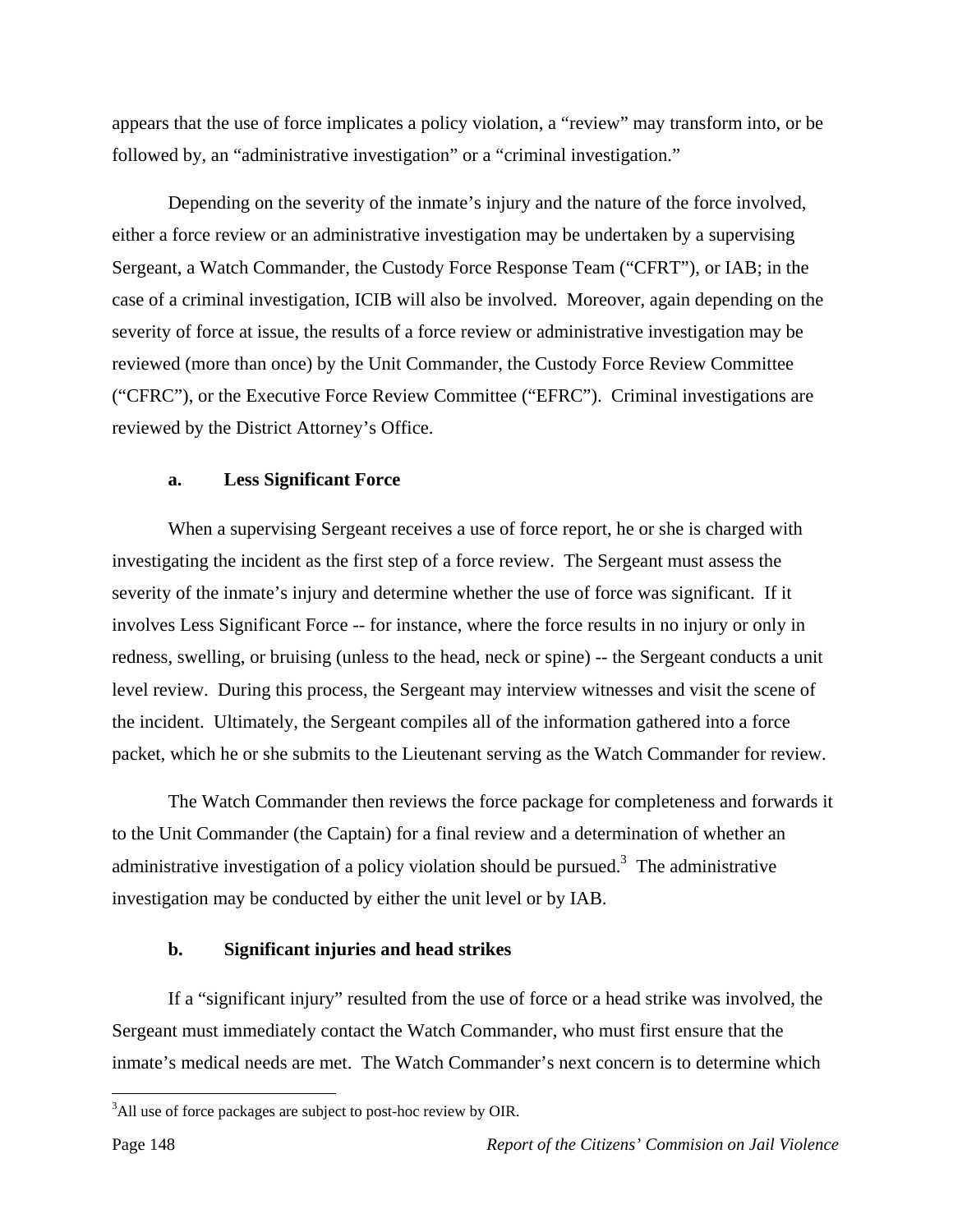appears that the use of force implicates a policy violation, a "review" may transform into, or be followed by, an "administrative investigation" or a "criminal investigation."

Depending on the severity of the inmate's injury and the nature of the force involved, either a force review or an administrative investigation may be undertaken by a supervising Sergeant, a Watch Commander, the Custody Force Response Team ("CFRT"), or IAB; in the case of a criminal investigation, ICIB will also be involved. Moreover, again depending on the severity of force at issue, the results of a force review or administrative investigation may be reviewed (more than once) by the Unit Commander, the Custody Force Review Committee ("CFRC"), or the Executive Force Review Committee ("EFRC"). Criminal investigations are reviewed by the District Attorney's Office.

#### **a. Less Significant Force**

 When a supervising Sergeant receives a use of force report, he or she is charged with investigating the incident as the first step of a force review. The Sergeant must assess the severity of the inmate's injury and determine whether the use of force was significant. If it involves Less Significant Force -- for instance, where the force results in no injury or only in redness, swelling, or bruising (unless to the head, neck or spine) -- the Sergeant conducts a unit level review. During this process, the Sergeant may interview witnesses and visit the scene of the incident. Ultimately, the Sergeant compiles all of the information gathered into a force packet, which he or she submits to the Lieutenant serving as the Watch Commander for review.

 The Watch Commander then reviews the force package for completeness and forwards it to the Unit Commander (the Captain) for a final review and a determination of whether an administrative investigation of a policy violation should be pursued.<sup>3</sup> The administrative investigation may be conducted by either the unit level or by IAB.

#### **b. Significant injuries and head strikes**

 If a "significant injury" resulted from the use of force or a head strike was involved, the Sergeant must immediately contact the Watch Commander, who must first ensure that the inmate's medical needs are met. The Watch Commander's next concern is to determine which

<sup>&</sup>lt;sup>3</sup>All use of force packages are subject to post-hoc review by OIR.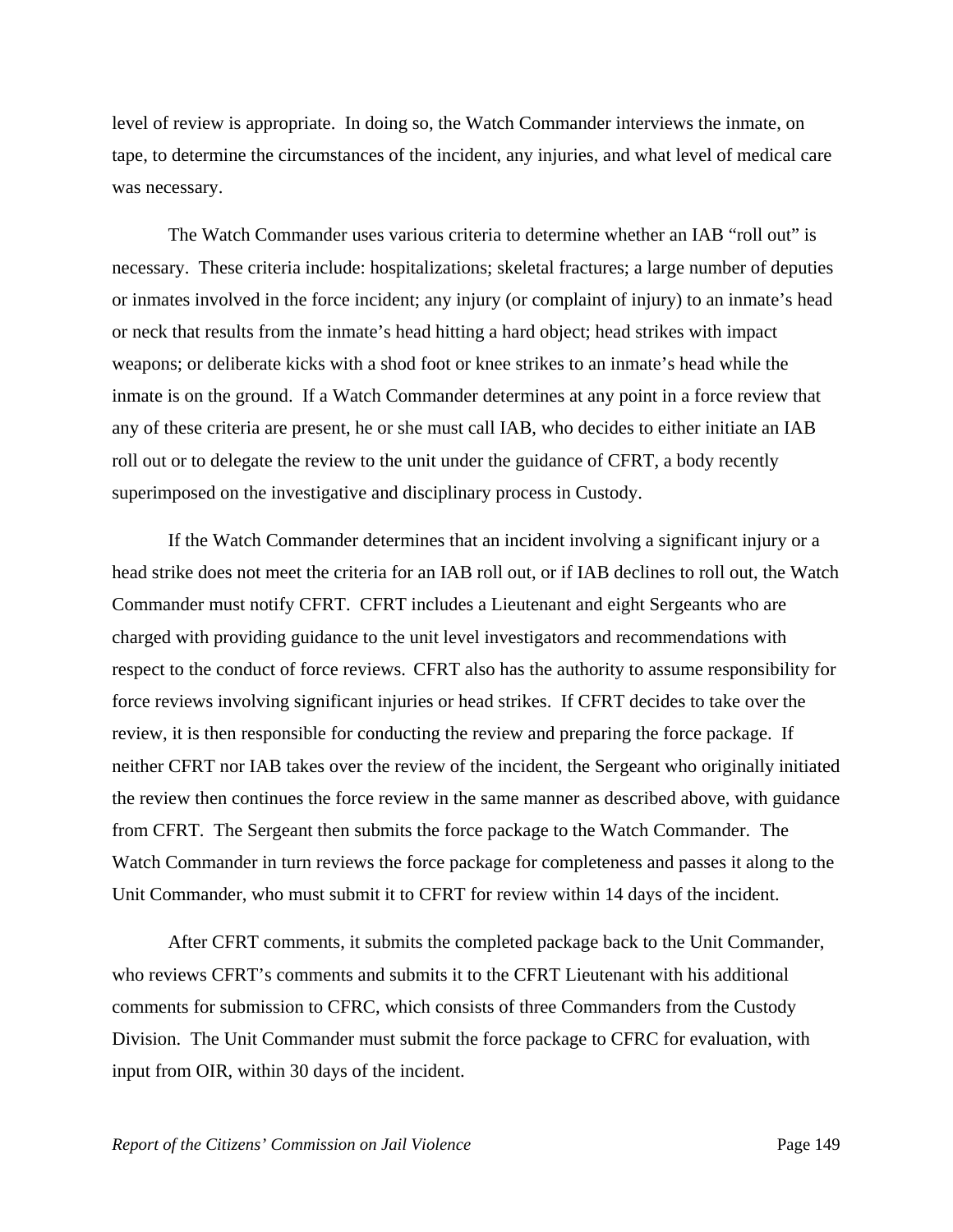level of review is appropriate. In doing so, the Watch Commander interviews the inmate, on tape, to determine the circumstances of the incident, any injuries, and what level of medical care was necessary.

 The Watch Commander uses various criteria to determine whether an IAB "roll out" is necessary. These criteria include: hospitalizations; skeletal fractures; a large number of deputies or inmates involved in the force incident; any injury (or complaint of injury) to an inmate's head or neck that results from the inmate's head hitting a hard object; head strikes with impact weapons; or deliberate kicks with a shod foot or knee strikes to an inmate's head while the inmate is on the ground. If a Watch Commander determines at any point in a force review that any of these criteria are present, he or she must call IAB, who decides to either initiate an IAB roll out or to delegate the review to the unit under the guidance of CFRT, a body recently superimposed on the investigative and disciplinary process in Custody.

 If the Watch Commander determines that an incident involving a significant injury or a head strike does not meet the criteria for an IAB roll out, or if IAB declines to roll out, the Watch Commander must notify CFRT. CFRT includes a Lieutenant and eight Sergeants who are charged with providing guidance to the unit level investigators and recommendations with respect to the conduct of force reviews. CFRT also has the authority to assume responsibility for force reviews involving significant injuries or head strikes. If CFRT decides to take over the review, it is then responsible for conducting the review and preparing the force package. If neither CFRT nor IAB takes over the review of the incident, the Sergeant who originally initiated the review then continues the force review in the same manner as described above, with guidance from CFRT. The Sergeant then submits the force package to the Watch Commander. The Watch Commander in turn reviews the force package for completeness and passes it along to the Unit Commander, who must submit it to CFRT for review within 14 days of the incident.

 After CFRT comments, it submits the completed package back to the Unit Commander, who reviews CFRT's comments and submits it to the CFRT Lieutenant with his additional comments for submission to CFRC, which consists of three Commanders from the Custody Division. The Unit Commander must submit the force package to CFRC for evaluation, with input from OIR, within 30 days of the incident.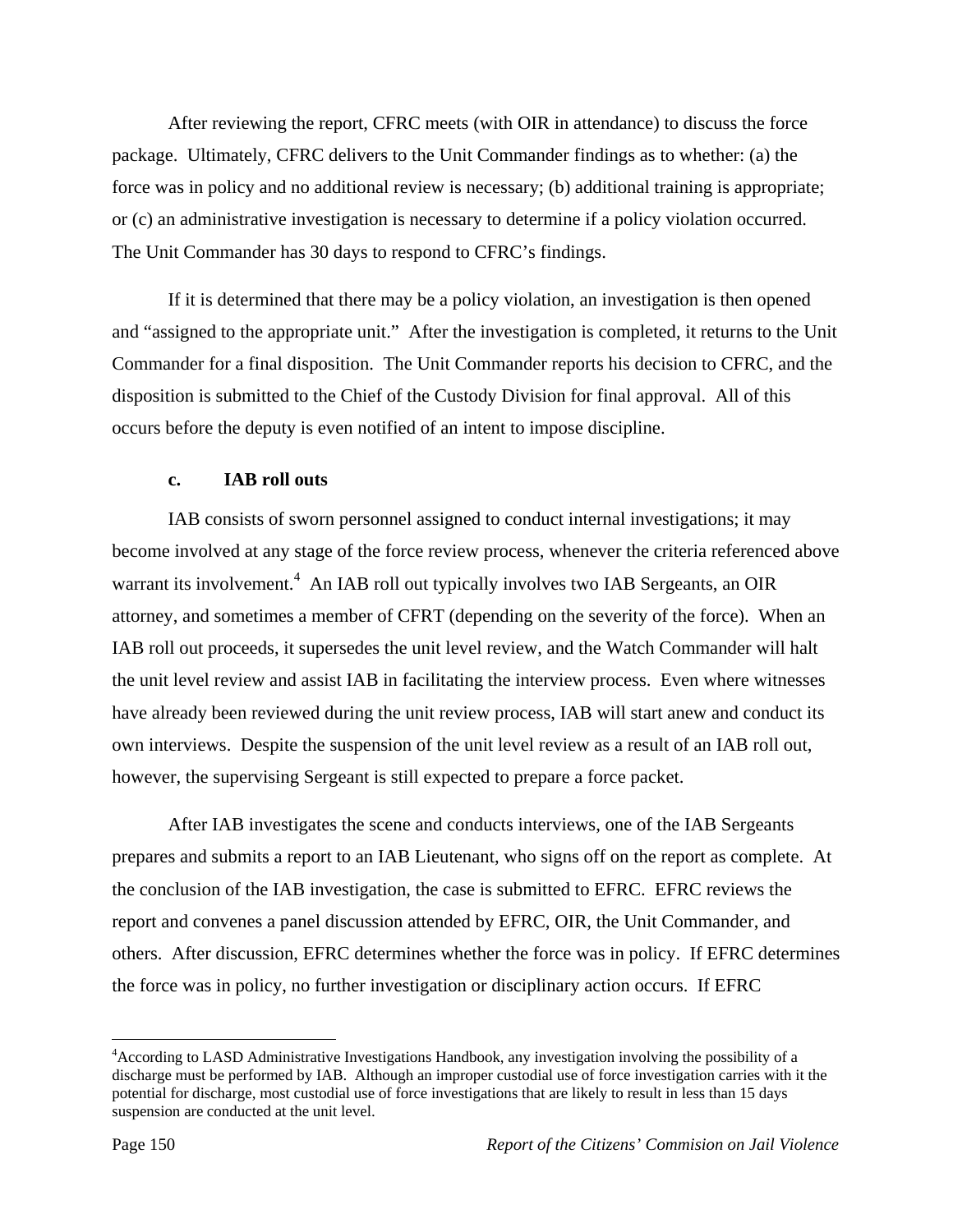After reviewing the report, CFRC meets (with OIR in attendance) to discuss the force package. Ultimately, CFRC delivers to the Unit Commander findings as to whether: (a) the force was in policy and no additional review is necessary; (b) additional training is appropriate; or (c) an administrative investigation is necessary to determine if a policy violation occurred. The Unit Commander has 30 days to respond to CFRC's findings.

 If it is determined that there may be a policy violation, an investigation is then opened and "assigned to the appropriate unit." After the investigation is completed, it returns to the Unit Commander for a final disposition. The Unit Commander reports his decision to CFRC, and the disposition is submitted to the Chief of the Custody Division for final approval. All of this occurs before the deputy is even notified of an intent to impose discipline.

## **c. IAB roll outs**

 IAB consists of sworn personnel assigned to conduct internal investigations; it may become involved at any stage of the force review process, whenever the criteria referenced above warrant its involvement.<sup>4</sup> An IAB roll out typically involves two IAB Sergeants, an OIR attorney, and sometimes a member of CFRT (depending on the severity of the force). When an IAB roll out proceeds, it supersedes the unit level review, and the Watch Commander will halt the unit level review and assist IAB in facilitating the interview process. Even where witnesses have already been reviewed during the unit review process, IAB will start anew and conduct its own interviews. Despite the suspension of the unit level review as a result of an IAB roll out, however, the supervising Sergeant is still expected to prepare a force packet.

After IAB investigates the scene and conducts interviews, one of the IAB Sergeants prepares and submits a report to an IAB Lieutenant, who signs off on the report as complete. At the conclusion of the IAB investigation, the case is submitted to EFRC. EFRC reviews the report and convenes a panel discussion attended by EFRC, OIR, the Unit Commander, and others. After discussion, EFRC determines whether the force was in policy. If EFRC determines the force was in policy, no further investigation or disciplinary action occurs. If EFRC

<u>.</u>

<sup>&</sup>lt;sup>4</sup> According to LASD Administrative Investigations Handbook, any investigation involving the possibility of a discharge must be performed by IAB. Although an improper custodial use of force investigation carries with it the potential for discharge, most custodial use of force investigations that are likely to result in less than 15 days suspension are conducted at the unit level.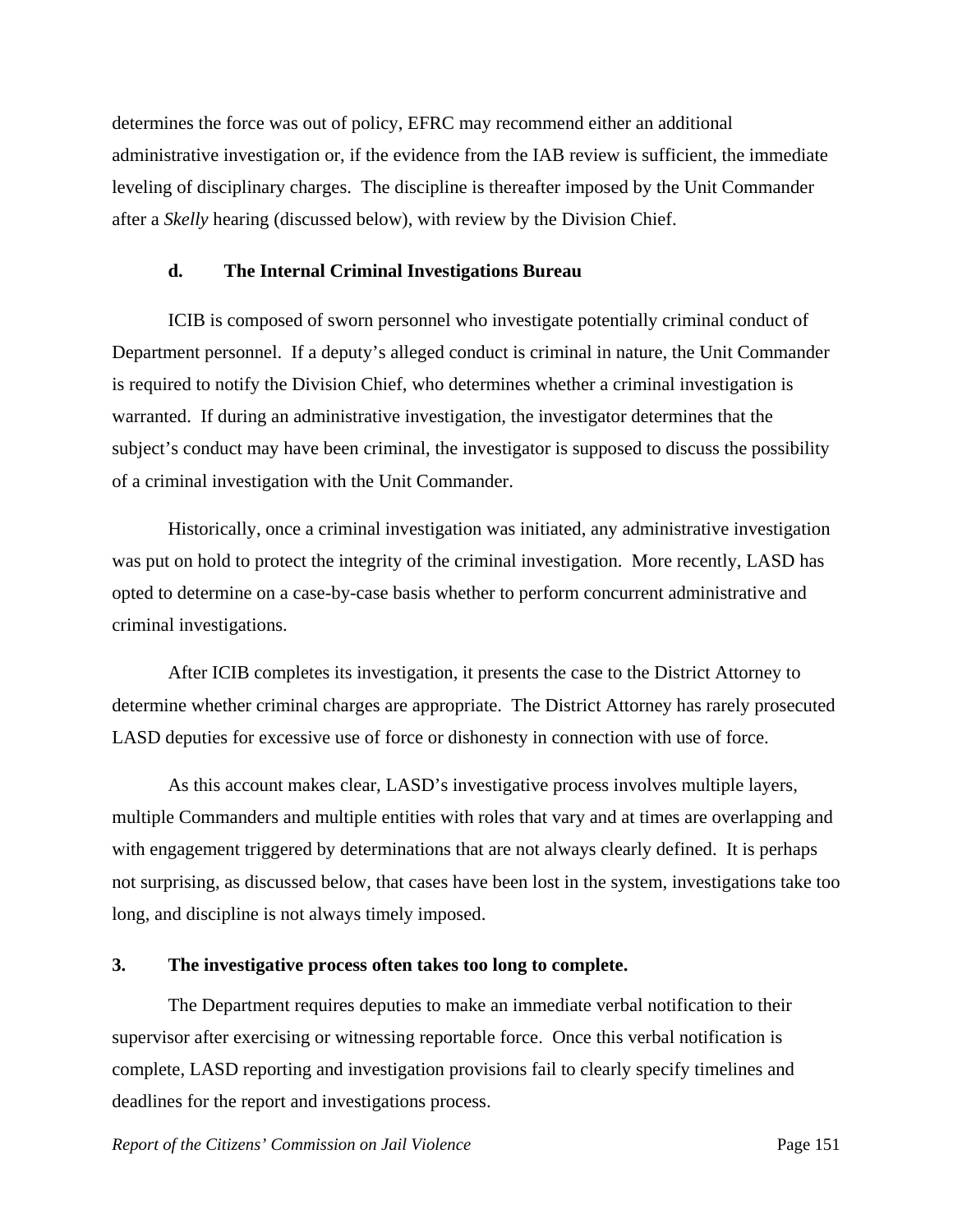determines the force was out of policy, EFRC may recommend either an additional administrative investigation or, if the evidence from the IAB review is sufficient, the immediate leveling of disciplinary charges. The discipline is thereafter imposed by the Unit Commander after a *Skelly* hearing (discussed below), with review by the Division Chief.

#### **d. The Internal Criminal Investigations Bureau**

 ICIB is composed of sworn personnel who investigate potentially criminal conduct of Department personnel. If a deputy's alleged conduct is criminal in nature, the Unit Commander is required to notify the Division Chief, who determines whether a criminal investigation is warranted. If during an administrative investigation, the investigator determines that the subject's conduct may have been criminal, the investigator is supposed to discuss the possibility of a criminal investigation with the Unit Commander.

 Historically, once a criminal investigation was initiated, any administrative investigation was put on hold to protect the integrity of the criminal investigation. More recently, LASD has opted to determine on a case-by-case basis whether to perform concurrent administrative and criminal investigations.

 After ICIB completes its investigation, it presents the case to the District Attorney to determine whether criminal charges are appropriate. The District Attorney has rarely prosecuted LASD deputies for excessive use of force or dishonesty in connection with use of force.

 As this account makes clear, LASD's investigative process involves multiple layers, multiple Commanders and multiple entities with roles that vary and at times are overlapping and with engagement triggered by determinations that are not always clearly defined. It is perhaps not surprising, as discussed below, that cases have been lost in the system, investigations take too long, and discipline is not always timely imposed.

#### **3. The investigative process often takes too long to complete.**

 The Department requires deputies to make an immediate verbal notification to their supervisor after exercising or witnessing reportable force. Once this verbal notification is complete, LASD reporting and investigation provisions fail to clearly specify timelines and deadlines for the report and investigations process.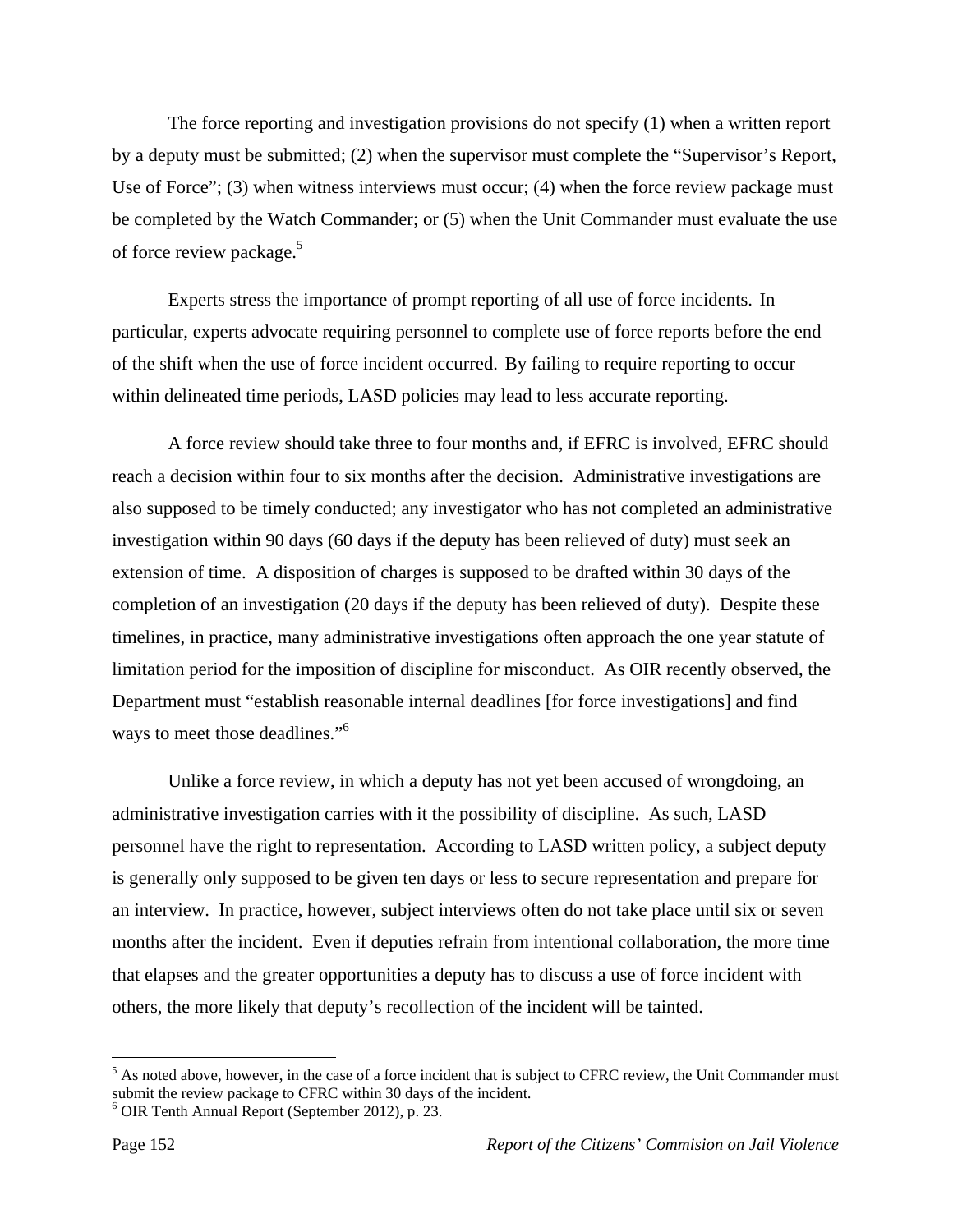The force reporting and investigation provisions do not specify (1) when a written report by a deputy must be submitted; (2) when the supervisor must complete the "Supervisor's Report, Use of Force"; (3) when witness interviews must occur; (4) when the force review package must be completed by the Watch Commander; or (5) when the Unit Commander must evaluate the use of force review package.<sup>5</sup>

 Experts stress the importance of prompt reporting of all use of force incidents. In particular, experts advocate requiring personnel to complete use of force reports before the end of the shift when the use of force incident occurred. By failing to require reporting to occur within delineated time periods, LASD policies may lead to less accurate reporting.

 A force review should take three to four months and, if EFRC is involved, EFRC should reach a decision within four to six months after the decision. Administrative investigations are also supposed to be timely conducted; any investigator who has not completed an administrative investigation within 90 days (60 days if the deputy has been relieved of duty) must seek an extension of time. A disposition of charges is supposed to be drafted within 30 days of the completion of an investigation (20 days if the deputy has been relieved of duty). Despite these timelines, in practice, many administrative investigations often approach the one year statute of limitation period for the imposition of discipline for misconduct. As OIR recently observed, the Department must "establish reasonable internal deadlines [for force investigations] and find ways to meet those deadlines."<sup>6</sup>

 Unlike a force review, in which a deputy has not yet been accused of wrongdoing, an administrative investigation carries with it the possibility of discipline. As such, LASD personnel have the right to representation. According to LASD written policy, a subject deputy is generally only supposed to be given ten days or less to secure representation and prepare for an interview. In practice, however, subject interviews often do not take place until six or seven months after the incident. Even if deputies refrain from intentional collaboration, the more time that elapses and the greater opportunities a deputy has to discuss a use of force incident with others, the more likely that deputy's recollection of the incident will be tainted.

 $<sup>5</sup>$  As noted above, however, in the case of a force incident that is subject to CFRC review, the Unit Commander must</sup> submit the review package to CFRC within 30 days of the incident.

<sup>6</sup> OIR Tenth Annual Report (September 2012), p. 23.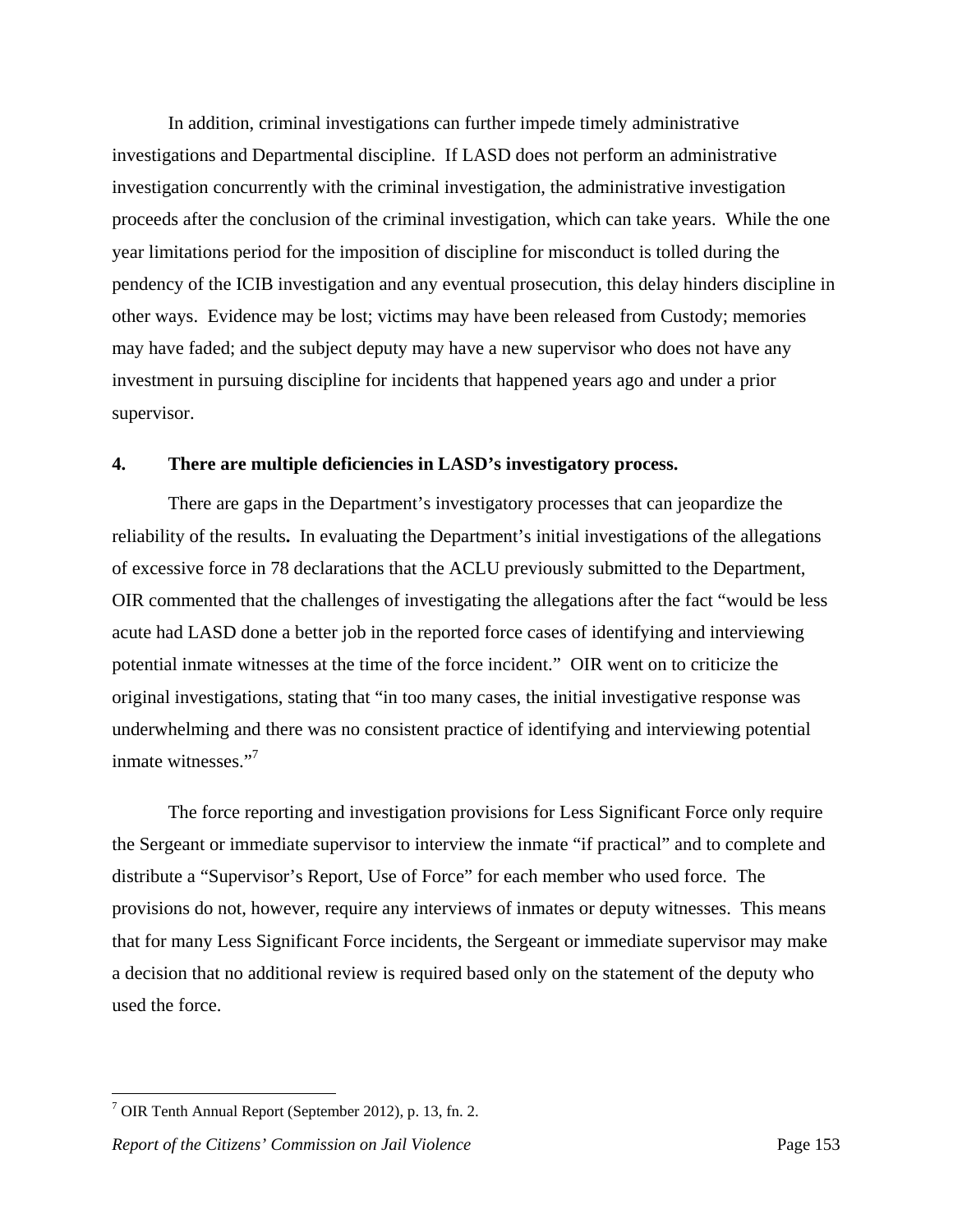In addition, criminal investigations can further impede timely administrative investigations and Departmental discipline. If LASD does not perform an administrative investigation concurrently with the criminal investigation, the administrative investigation proceeds after the conclusion of the criminal investigation, which can take years. While the one year limitations period for the imposition of discipline for misconduct is tolled during the pendency of the ICIB investigation and any eventual prosecution, this delay hinders discipline in other ways. Evidence may be lost; victims may have been released from Custody; memories may have faded; and the subject deputy may have a new supervisor who does not have any investment in pursuing discipline for incidents that happened years ago and under a prior supervisor.

#### **4. There are multiple deficiencies in LASD's investigatory process.**

 There are gaps in the Department's investigatory processes that can jeopardize the reliability of the results**.** In evaluating the Department's initial investigations of the allegations of excessive force in 78 declarations that the ACLU previously submitted to the Department, OIR commented that the challenges of investigating the allegations after the fact "would be less acute had LASD done a better job in the reported force cases of identifying and interviewing potential inmate witnesses at the time of the force incident." OIR went on to criticize the original investigations, stating that "in too many cases, the initial investigative response was underwhelming and there was no consistent practice of identifying and interviewing potential inmate witnesses."<sup>7</sup>

 The force reporting and investigation provisions for Less Significant Force only require the Sergeant or immediate supervisor to interview the inmate "if practical" and to complete and distribute a "Supervisor's Report, Use of Force" for each member who used force. The provisions do not, however, require any interviews of inmates or deputy witnesses. This means that for many Less Significant Force incidents, the Sergeant or immediate supervisor may make a decision that no additional review is required based only on the statement of the deputy who used the force.

<u>.</u>

<sup>&</sup>lt;sup>7</sup> OIR Tenth Annual Report (September 2012), p. 13, fn. 2.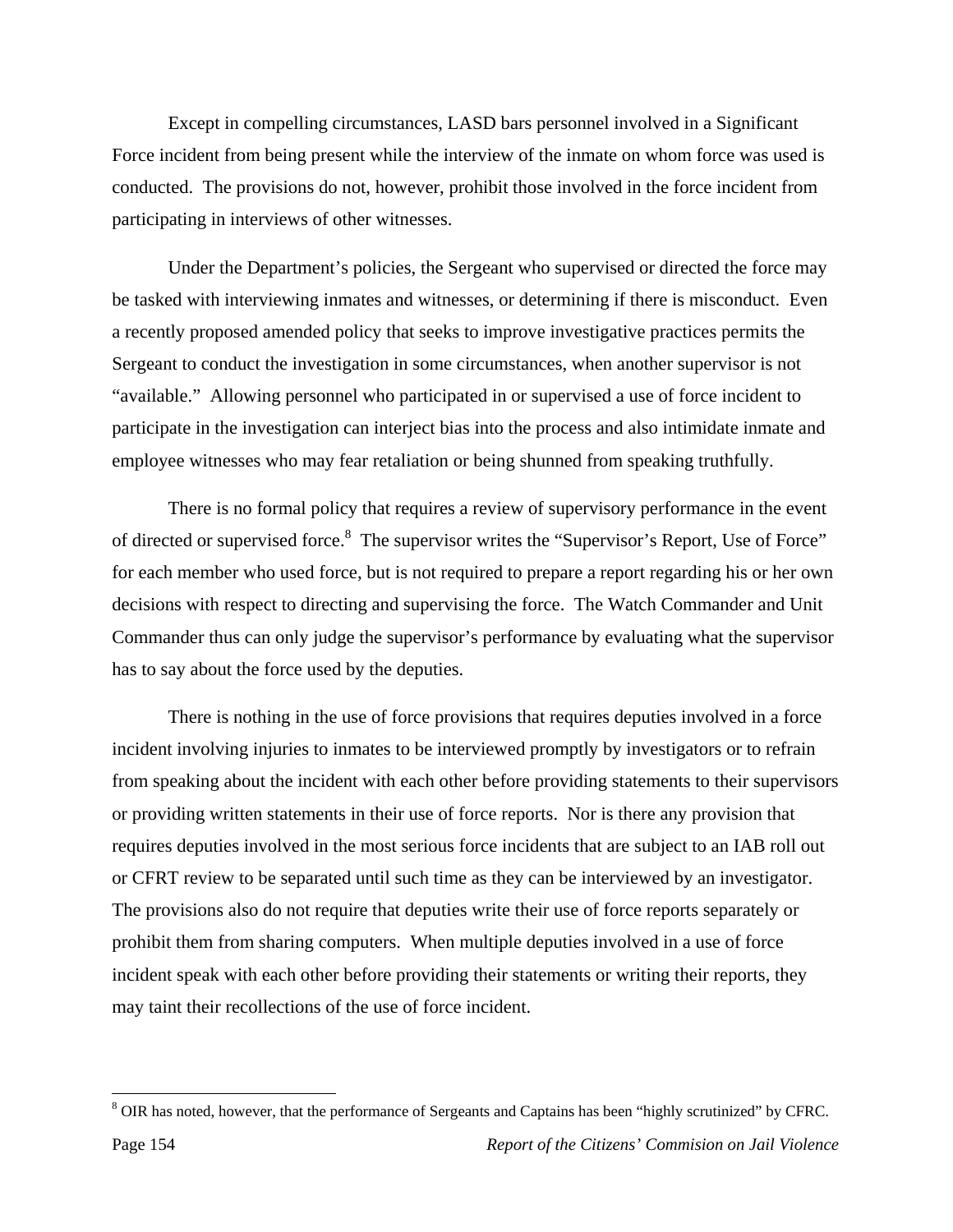Except in compelling circumstances, LASD bars personnel involved in a Significant Force incident from being present while the interview of the inmate on whom force was used is conducted. The provisions do not, however, prohibit those involved in the force incident from participating in interviews of other witnesses.

 Under the Department's policies, the Sergeant who supervised or directed the force may be tasked with interviewing inmates and witnesses, or determining if there is misconduct. Even a recently proposed amended policy that seeks to improve investigative practices permits the Sergeant to conduct the investigation in some circumstances, when another supervisor is not "available." Allowing personnel who participated in or supervised a use of force incident to participate in the investigation can interject bias into the process and also intimidate inmate and employee witnesses who may fear retaliation or being shunned from speaking truthfully.

 There is no formal policy that requires a review of supervisory performance in the event of directed or supervised force.<sup>8</sup> The supervisor writes the "Supervisor's Report, Use of Force" for each member who used force, but is not required to prepare a report regarding his or her own decisions with respect to directing and supervising the force. The Watch Commander and Unit Commander thus can only judge the supervisor's performance by evaluating what the supervisor has to say about the force used by the deputies.

 There is nothing in the use of force provisions that requires deputies involved in a force incident involving injuries to inmates to be interviewed promptly by investigators or to refrain from speaking about the incident with each other before providing statements to their supervisors or providing written statements in their use of force reports. Nor is there any provision that requires deputies involved in the most serious force incidents that are subject to an IAB roll out or CFRT review to be separated until such time as they can be interviewed by an investigator. The provisions also do not require that deputies write their use of force reports separately or prohibit them from sharing computers. When multiple deputies involved in a use of force incident speak with each other before providing their statements or writing their reports, they may taint their recollections of the use of force incident.

<sup>&</sup>lt;sup>8</sup> OIR has noted, however, that the performance of Sergeants and Captains has been "highly scrutinized" by CFRC.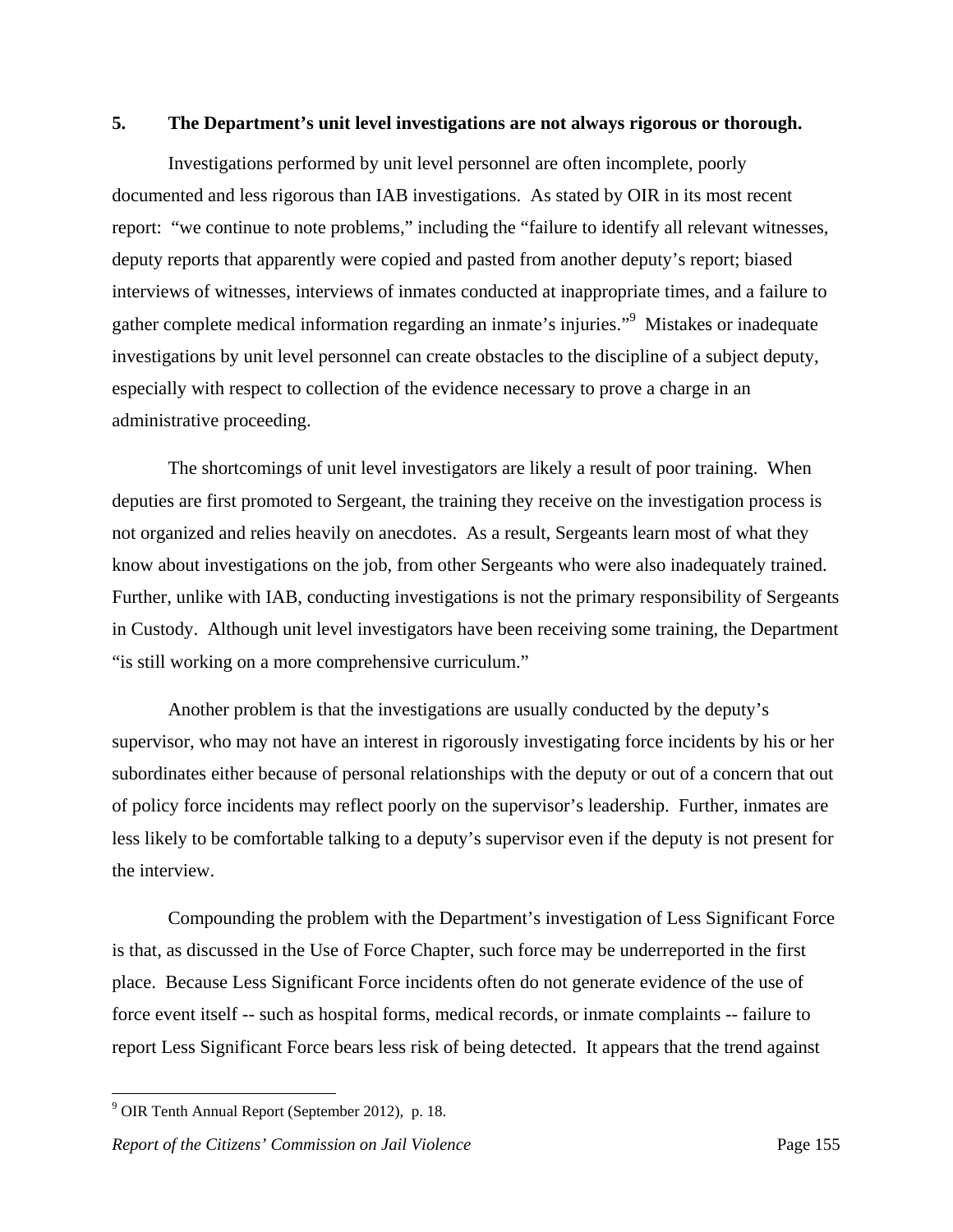#### **5. The Department's unit level investigations are not always rigorous or thorough.**

 Investigations performed by unit level personnel are often incomplete, poorly documented and less rigorous than IAB investigations. As stated by OIR in its most recent report: "we continue to note problems," including the "failure to identify all relevant witnesses, deputy reports that apparently were copied and pasted from another deputy's report; biased interviews of witnesses, interviews of inmates conducted at inappropriate times, and a failure to gather complete medical information regarding an inmate's injuries."<sup>9</sup> Mistakes or inadequate investigations by unit level personnel can create obstacles to the discipline of a subject deputy, especially with respect to collection of the evidence necessary to prove a charge in an administrative proceeding.

 The shortcomings of unit level investigators are likely a result of poor training. When deputies are first promoted to Sergeant, the training they receive on the investigation process is not organized and relies heavily on anecdotes. As a result, Sergeants learn most of what they know about investigations on the job, from other Sergeants who were also inadequately trained. Further, unlike with IAB, conducting investigations is not the primary responsibility of Sergeants in Custody. Although unit level investigators have been receiving some training, the Department "is still working on a more comprehensive curriculum."

 Another problem is that the investigations are usually conducted by the deputy's supervisor, who may not have an interest in rigorously investigating force incidents by his or her subordinates either because of personal relationships with the deputy or out of a concern that out of policy force incidents may reflect poorly on the supervisor's leadership. Further, inmates are less likely to be comfortable talking to a deputy's supervisor even if the deputy is not present for the interview.

 Compounding the problem with the Department's investigation of Less Significant Force is that, as discussed in the Use of Force Chapter, such force may be underreported in the first place. Because Less Significant Force incidents often do not generate evidence of the use of force event itself -- such as hospital forms, medical records, or inmate complaints -- failure to report Less Significant Force bears less risk of being detected. It appears that the trend against

<sup>&</sup>lt;sup>9</sup> OIR Tenth Annual Report (September 2012), p. 18.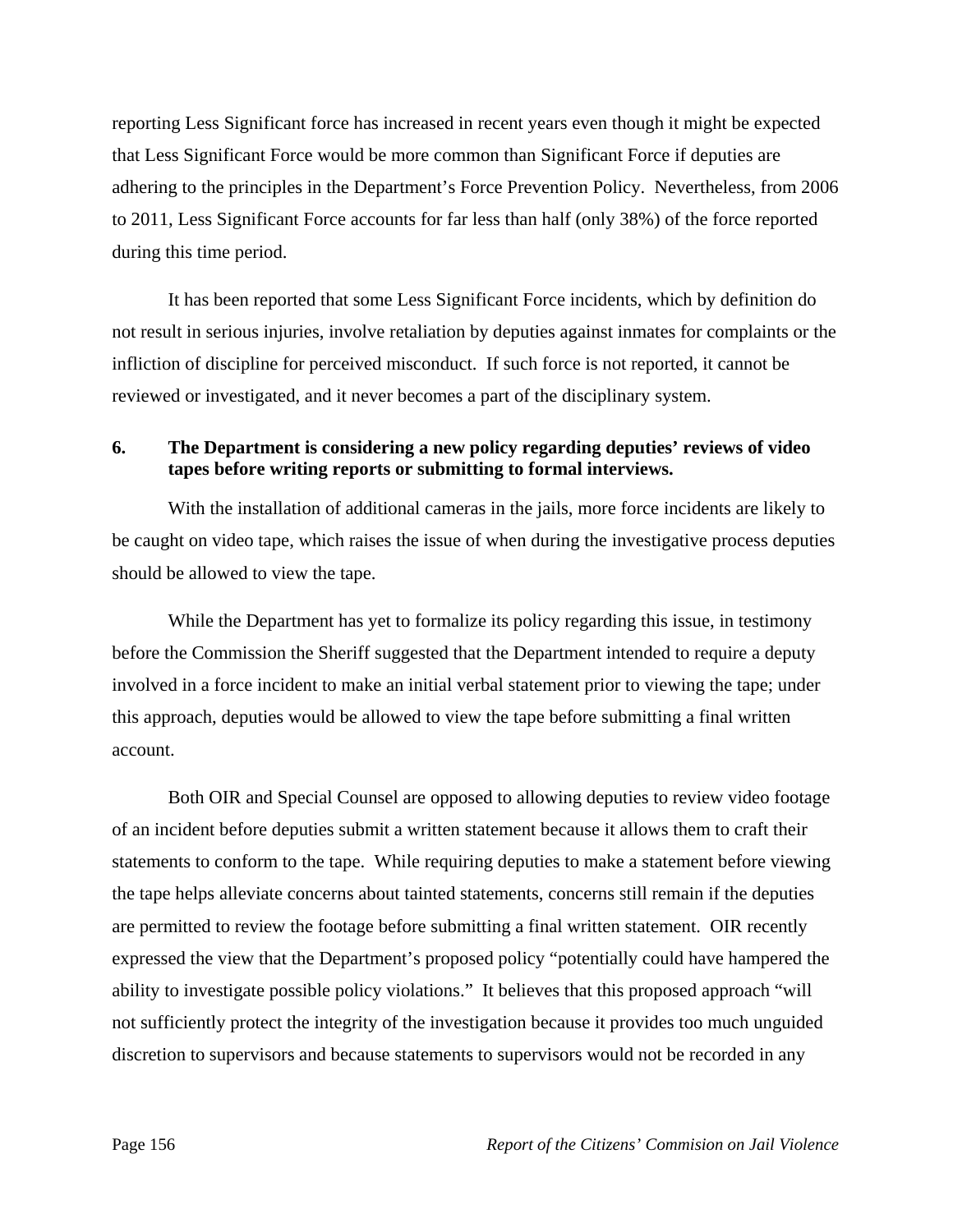reporting Less Significant force has increased in recent years even though it might be expected that Less Significant Force would be more common than Significant Force if deputies are adhering to the principles in the Department's Force Prevention Policy. Nevertheless, from 2006 to 2011, Less Significant Force accounts for far less than half (only 38%) of the force reported during this time period.

 It has been reported that some Less Significant Force incidents, which by definition do not result in serious injuries, involve retaliation by deputies against inmates for complaints or the infliction of discipline for perceived misconduct. If such force is not reported, it cannot be reviewed or investigated, and it never becomes a part of the disciplinary system.

## **6. The Department is considering a new policy regarding deputies' reviews of video tapes before writing reports or submitting to formal interviews.**

 With the installation of additional cameras in the jails, more force incidents are likely to be caught on video tape, which raises the issue of when during the investigative process deputies should be allowed to view the tape.

 While the Department has yet to formalize its policy regarding this issue, in testimony before the Commission the Sheriff suggested that the Department intended to require a deputy involved in a force incident to make an initial verbal statement prior to viewing the tape; under this approach, deputies would be allowed to view the tape before submitting a final written account.

 Both OIR and Special Counsel are opposed to allowing deputies to review video footage of an incident before deputies submit a written statement because it allows them to craft their statements to conform to the tape. While requiring deputies to make a statement before viewing the tape helps alleviate concerns about tainted statements, concerns still remain if the deputies are permitted to review the footage before submitting a final written statement. OIR recently expressed the view that the Department's proposed policy "potentially could have hampered the ability to investigate possible policy violations." It believes that this proposed approach "will not sufficiently protect the integrity of the investigation because it provides too much unguided discretion to supervisors and because statements to supervisors would not be recorded in any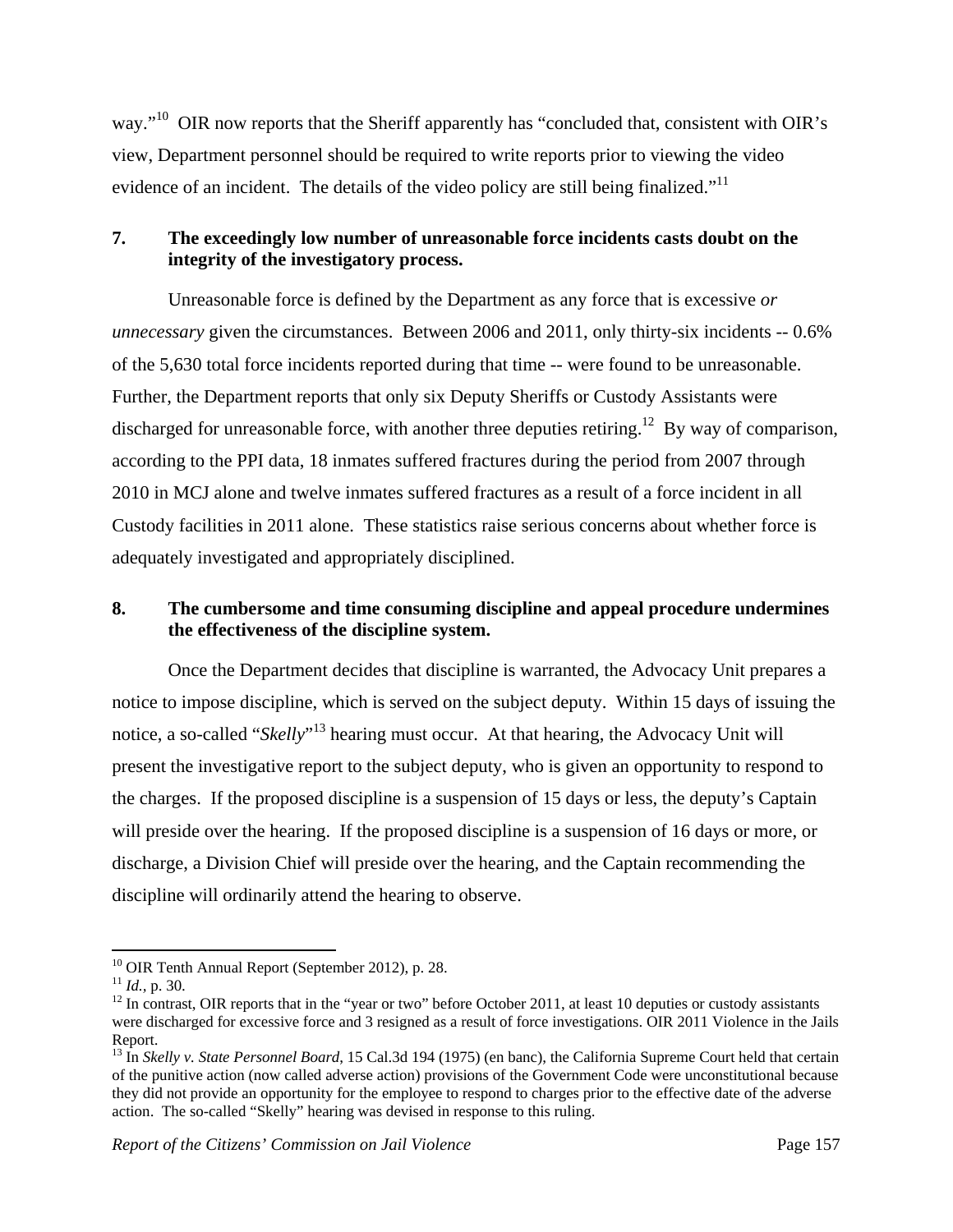way."<sup>10</sup> OIR now reports that the Sheriff apparently has "concluded that, consistent with OIR's view, Department personnel should be required to write reports prior to viewing the video evidence of an incident. The details of the video policy are still being finalized."<sup>11</sup>

# **7. The exceedingly low number of unreasonable force incidents casts doubt on the integrity of the investigatory process.**

 Unreasonable force is defined by the Department as any force that is excessive *or unnecessary* given the circumstances. Between 2006 and 2011, only thirty-six incidents -- 0.6% of the 5,630 total force incidents reported during that time -- were found to be unreasonable. Further, the Department reports that only six Deputy Sheriffs or Custody Assistants were discharged for unreasonable force, with another three deputies retiring.<sup>12</sup> By way of comparison, according to the PPI data, 18 inmates suffered fractures during the period from 2007 through 2010 in MCJ alone and twelve inmates suffered fractures as a result of a force incident in all Custody facilities in 2011 alone. These statistics raise serious concerns about whether force is adequately investigated and appropriately disciplined.

# **8. The cumbersome and time consuming discipline and appeal procedure undermines the effectiveness of the discipline system.**

 Once the Department decides that discipline is warranted, the Advocacy Unit prepares a notice to impose discipline, which is served on the subject deputy. Within 15 days of issuing the notice, a so-called "*Skelly*" 13 hearing must occur. At that hearing, the Advocacy Unit will present the investigative report to the subject deputy, who is given an opportunity to respond to the charges. If the proposed discipline is a suspension of 15 days or less, the deputy's Captain will preside over the hearing. If the proposed discipline is a suspension of 16 days or more, or discharge, a Division Chief will preside over the hearing, and the Captain recommending the discipline will ordinarily attend the hearing to observe.

<sup>&</sup>lt;sup>10</sup> OIR Tenth Annual Report (September 2012), p. 28.<br><sup>11</sup> *Id.*, p. 30.

<sup>&</sup>lt;sup>12</sup> In contrast, OIR reports that in the "year or two" before October 2011, at least 10 deputies or custody assistants were discharged for excessive force and 3 resigned as a result of force investigations. OIR 2011 Violence in the Jails Report.

<sup>13</sup> In *Skelly v. State Personnel Board*, 15 Cal.3d 194 (1975) (en banc), the California Supreme Court held that certain of the punitive action (now called adverse action) provisions of the Government Code were unconstitutional because they did not provide an opportunity for the employee to respond to charges prior to the effective date of the adverse action. The so-called "Skelly" hearing was devised in response to this ruling.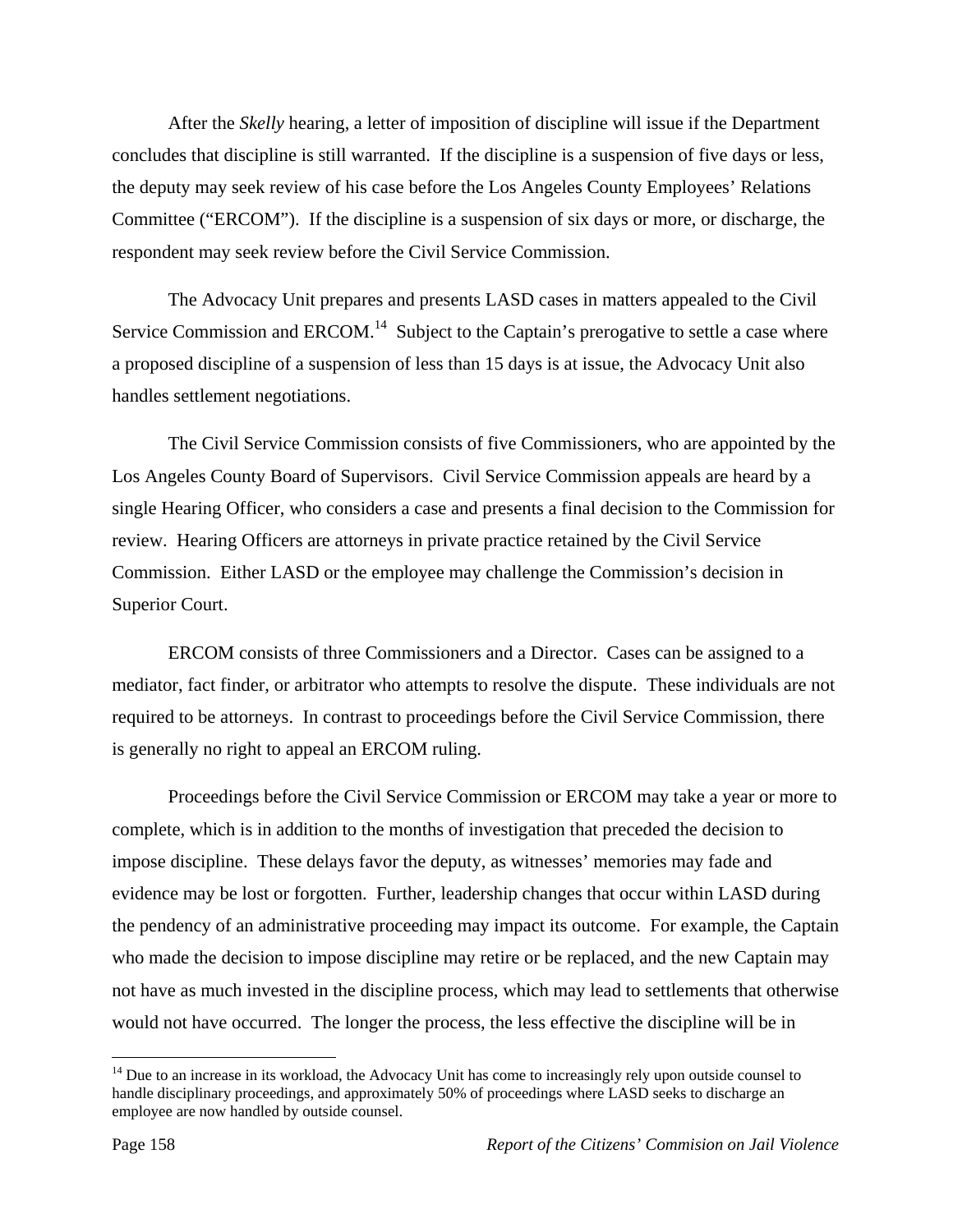After the *Skelly* hearing, a letter of imposition of discipline will issue if the Department concludes that discipline is still warranted. If the discipline is a suspension of five days or less, the deputy may seek review of his case before the Los Angeles County Employees' Relations Committee ("ERCOM"). If the discipline is a suspension of six days or more, or discharge, the respondent may seek review before the Civil Service Commission.

 The Advocacy Unit prepares and presents LASD cases in matters appealed to the Civil Service Commission and  $EACOM<sup>14</sup>$  Subject to the Captain's prerogative to settle a case where a proposed discipline of a suspension of less than 15 days is at issue, the Advocacy Unit also handles settlement negotiations.

 The Civil Service Commission consists of five Commissioners, who are appointed by the Los Angeles County Board of Supervisors. Civil Service Commission appeals are heard by a single Hearing Officer, who considers a case and presents a final decision to the Commission for review. Hearing Officers are attorneys in private practice retained by the Civil Service Commission. Either LASD or the employee may challenge the Commission's decision in Superior Court.

 ERCOM consists of three Commissioners and a Director. Cases can be assigned to a mediator, fact finder, or arbitrator who attempts to resolve the dispute. These individuals are not required to be attorneys. In contrast to proceedings before the Civil Service Commission, there is generally no right to appeal an ERCOM ruling.

 Proceedings before the Civil Service Commission or ERCOM may take a year or more to complete, which is in addition to the months of investigation that preceded the decision to impose discipline. These delays favor the deputy, as witnesses' memories may fade and evidence may be lost or forgotten. Further, leadership changes that occur within LASD during the pendency of an administrative proceeding may impact its outcome. For example, the Captain who made the decision to impose discipline may retire or be replaced, and the new Captain may not have as much invested in the discipline process, which may lead to settlements that otherwise would not have occurred. The longer the process, the less effective the discipline will be in

<sup>&</sup>lt;sup>14</sup> Due to an increase in its workload, the Advocacy Unit has come to increasingly rely upon outside counsel to handle disciplinary proceedings, and approximately 50% of proceedings where LASD seeks to discharge an employee are now handled by outside counsel.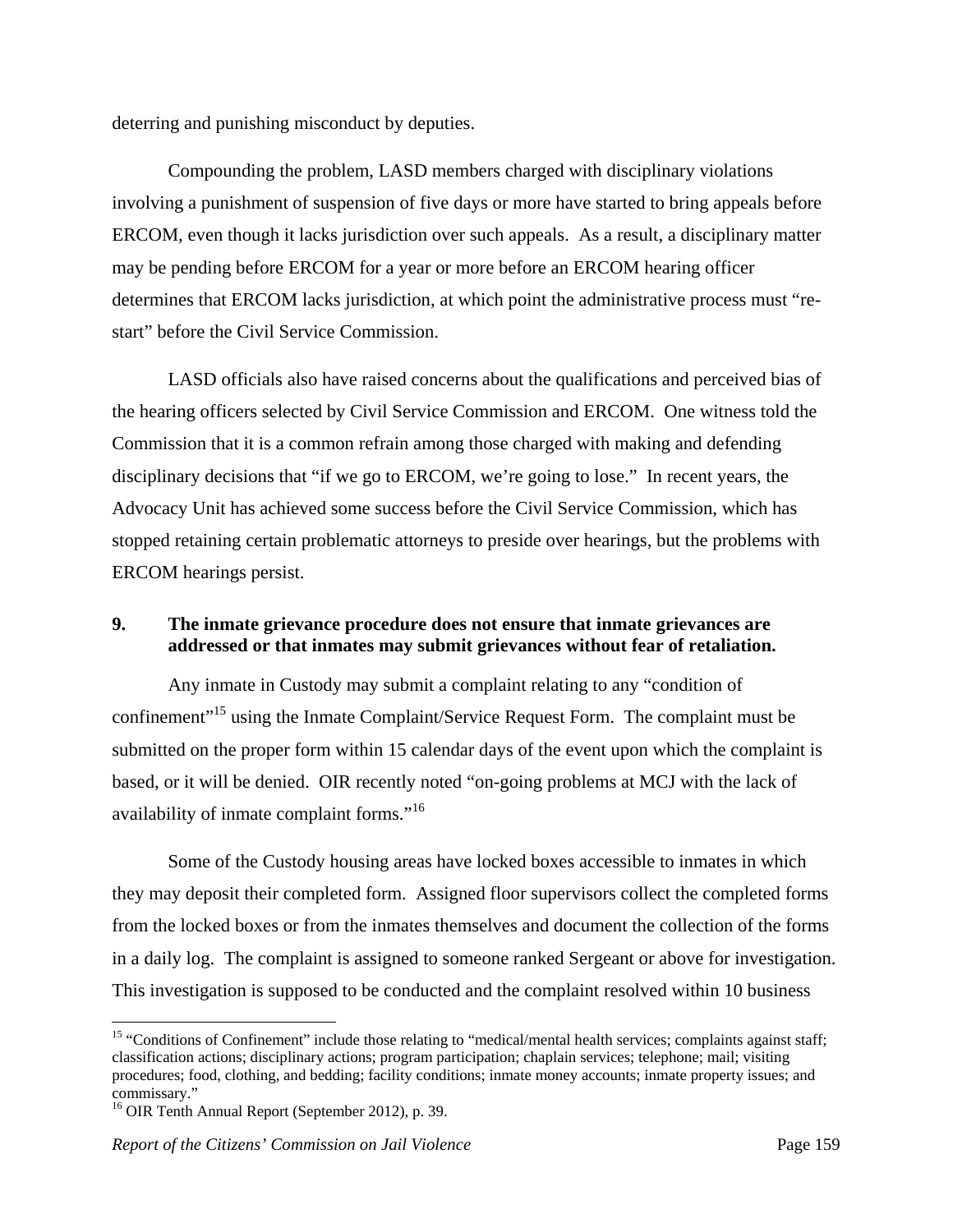deterring and punishing misconduct by deputies.

 Compounding the problem, LASD members charged with disciplinary violations involving a punishment of suspension of five days or more have started to bring appeals before ERCOM, even though it lacks jurisdiction over such appeals. As a result, a disciplinary matter may be pending before ERCOM for a year or more before an ERCOM hearing officer determines that ERCOM lacks jurisdiction, at which point the administrative process must "restart" before the Civil Service Commission.

 LASD officials also have raised concerns about the qualifications and perceived bias of the hearing officers selected by Civil Service Commission and ERCOM. One witness told the Commission that it is a common refrain among those charged with making and defending disciplinary decisions that "if we go to ERCOM, we're going to lose." In recent years, the Advocacy Unit has achieved some success before the Civil Service Commission, which has stopped retaining certain problematic attorneys to preside over hearings, but the problems with ERCOM hearings persist.

## **9. The inmate grievance procedure does not ensure that inmate grievances are addressed or that inmates may submit grievances without fear of retaliation.**

 Any inmate in Custody may submit a complaint relating to any "condition of confinement"15 using the Inmate Complaint/Service Request Form. The complaint must be submitted on the proper form within 15 calendar days of the event upon which the complaint is based, or it will be denied. OIR recently noted "on-going problems at MCJ with the lack of availability of inmate complaint forms."<sup>16</sup>

 Some of the Custody housing areas have locked boxes accessible to inmates in which they may deposit their completed form. Assigned floor supervisors collect the completed forms from the locked boxes or from the inmates themselves and document the collection of the forms in a daily log. The complaint is assigned to someone ranked Sergeant or above for investigation. This investigation is supposed to be conducted and the complaint resolved within 10 business

<sup>&</sup>lt;sup>15</sup> "Conditions of Confinement" include those relating to "medical/mental health services; complaints against staff; classification actions; disciplinary actions; program participation; chaplain services; telephone; mail; visiting procedures; food, clothing, and bedding; facility conditions; inmate money accounts; inmate property issues; and commissary."

<sup>&</sup>lt;sup>16</sup> OIR Tenth Annual Report (September 2012), p. 39.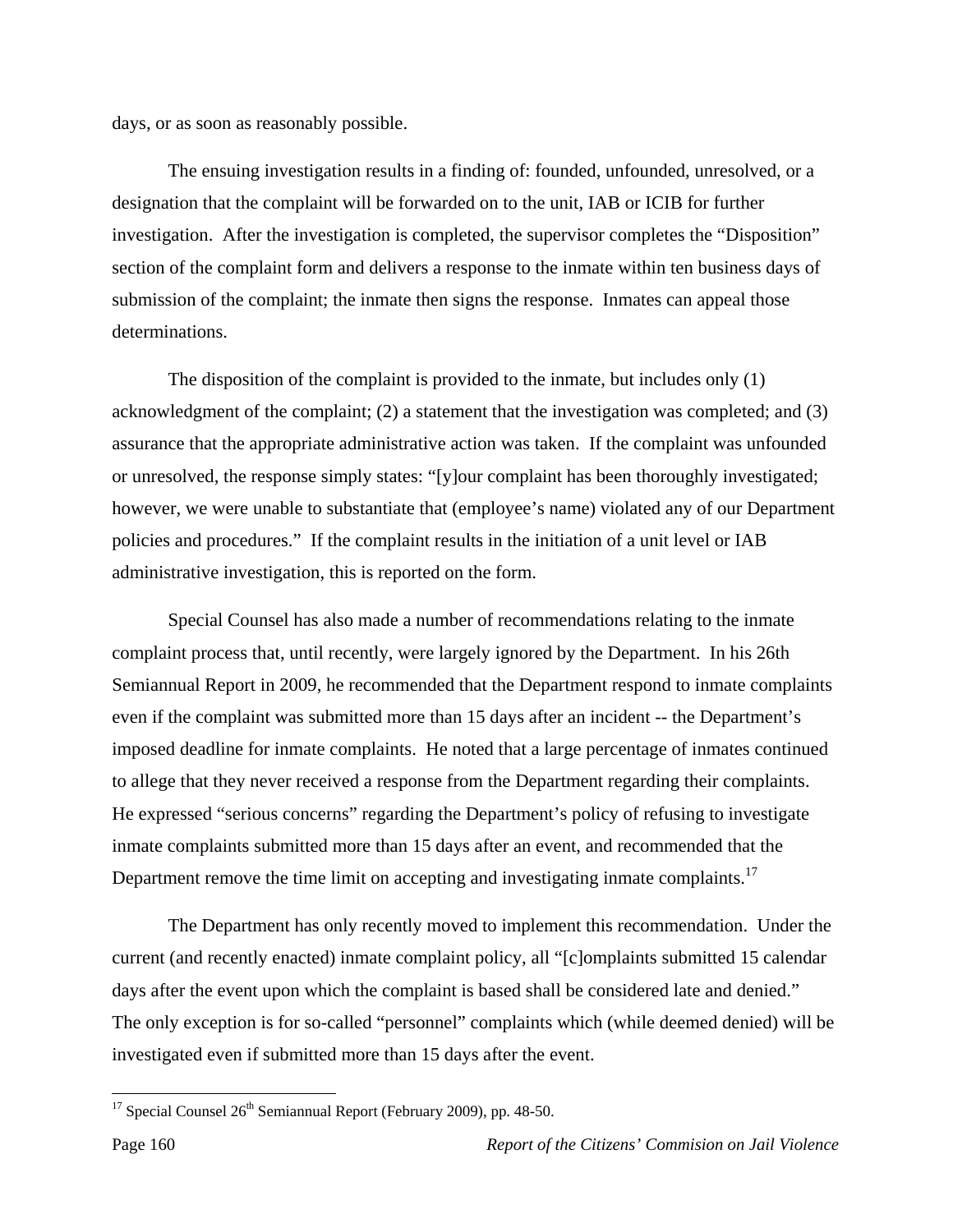days, or as soon as reasonably possible.

 The ensuing investigation results in a finding of: founded, unfounded, unresolved, or a designation that the complaint will be forwarded on to the unit, IAB or ICIB for further investigation. After the investigation is completed, the supervisor completes the "Disposition" section of the complaint form and delivers a response to the inmate within ten business days of submission of the complaint; the inmate then signs the response. Inmates can appeal those determinations.

 The disposition of the complaint is provided to the inmate, but includes only (1) acknowledgment of the complaint; (2) a statement that the investigation was completed; and (3) assurance that the appropriate administrative action was taken. If the complaint was unfounded or unresolved, the response simply states: "[y]our complaint has been thoroughly investigated; however, we were unable to substantiate that (employee's name) violated any of our Department policies and procedures." If the complaint results in the initiation of a unit level or IAB administrative investigation, this is reported on the form.

 Special Counsel has also made a number of recommendations relating to the inmate complaint process that, until recently, were largely ignored by the Department. In his 26th Semiannual Report in 2009, he recommended that the Department respond to inmate complaints even if the complaint was submitted more than 15 days after an incident -- the Department's imposed deadline for inmate complaints. He noted that a large percentage of inmates continued to allege that they never received a response from the Department regarding their complaints. He expressed "serious concerns" regarding the Department's policy of refusing to investigate inmate complaints submitted more than 15 days after an event, and recommended that the Department remove the time limit on accepting and investigating inmate complaints.<sup>17</sup>

 The Department has only recently moved to implement this recommendation. Under the current (and recently enacted) inmate complaint policy, all "[c]omplaints submitted 15 calendar days after the event upon which the complaint is based shall be considered late and denied." The only exception is for so-called "personnel" complaints which (while deemed denied) will be investigated even if submitted more than 15 days after the event.

<u>.</u>

<sup>&</sup>lt;sup>17</sup> Special Counsel  $26<sup>th</sup>$  Semiannual Report (February 2009), pp. 48-50.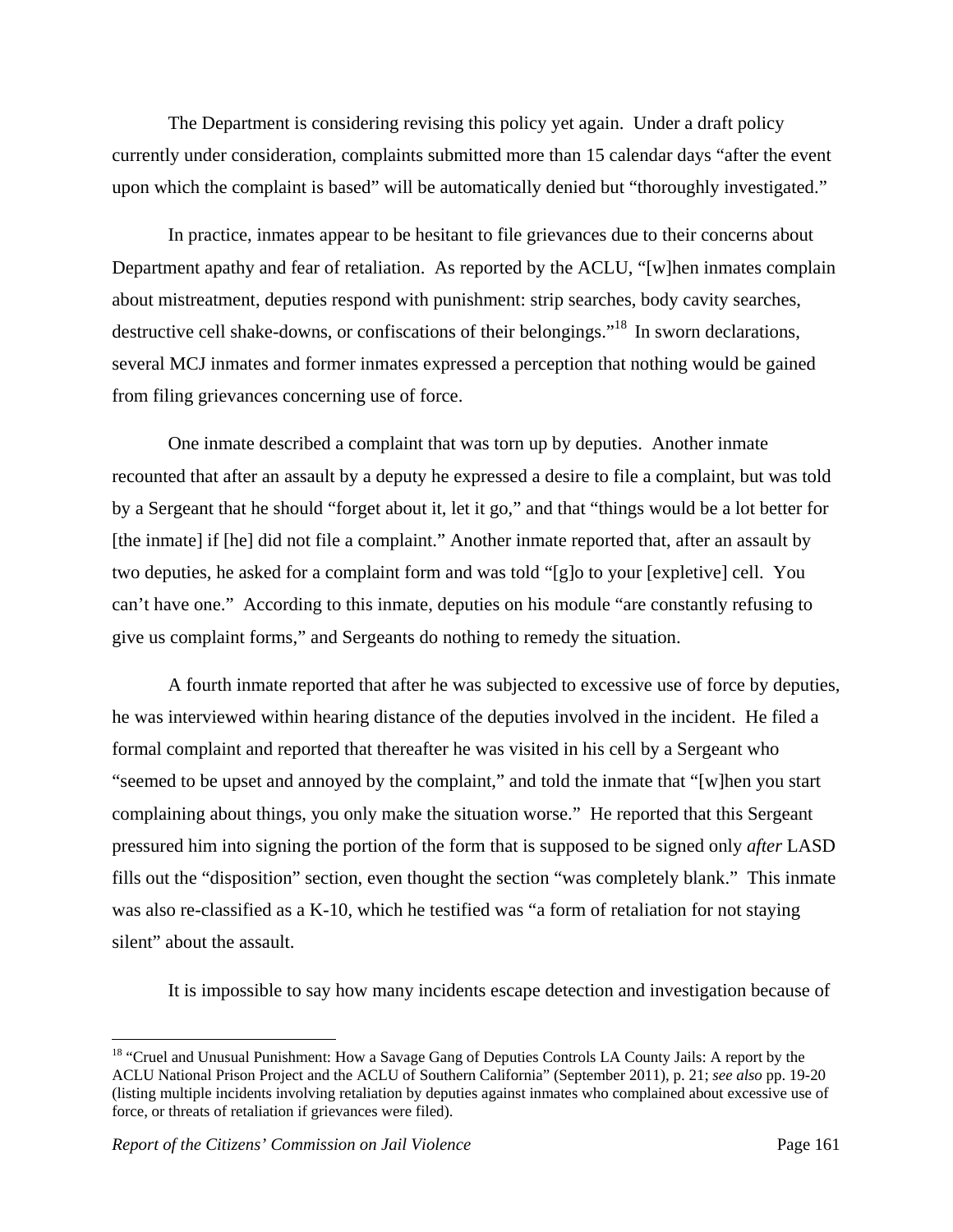The Department is considering revising this policy yet again. Under a draft policy currently under consideration, complaints submitted more than 15 calendar days "after the event upon which the complaint is based" will be automatically denied but "thoroughly investigated."

 In practice, inmates appear to be hesitant to file grievances due to their concerns about Department apathy and fear of retaliation. As reported by the ACLU, "[w]hen inmates complain about mistreatment, deputies respond with punishment: strip searches, body cavity searches, destructive cell shake-downs, or confiscations of their belongings."<sup>18</sup> In sworn declarations, several MCJ inmates and former inmates expressed a perception that nothing would be gained from filing grievances concerning use of force.

 One inmate described a complaint that was torn up by deputies. Another inmate recounted that after an assault by a deputy he expressed a desire to file a complaint, but was told by a Sergeant that he should "forget about it, let it go," and that "things would be a lot better for [the inmate] if [he] did not file a complaint." Another inmate reported that, after an assault by two deputies, he asked for a complaint form and was told "[g]o to your [expletive] cell. You can't have one." According to this inmate, deputies on his module "are constantly refusing to give us complaint forms," and Sergeants do nothing to remedy the situation.

 A fourth inmate reported that after he was subjected to excessive use of force by deputies, he was interviewed within hearing distance of the deputies involved in the incident. He filed a formal complaint and reported that thereafter he was visited in his cell by a Sergeant who "seemed to be upset and annoyed by the complaint," and told the inmate that "[w]hen you start complaining about things, you only make the situation worse." He reported that this Sergeant pressured him into signing the portion of the form that is supposed to be signed only *after* LASD fills out the "disposition" section, even thought the section "was completely blank." This inmate was also re-classified as a K-10, which he testified was "a form of retaliation for not staying silent" about the assault.

It is impossible to say how many incidents escape detection and investigation because of

<sup>&</sup>lt;sup>18</sup> "Cruel and Unusual Punishment: How a Savage Gang of Deputies Controls LA County Jails: A report by the ACLU National Prison Project and the ACLU of Southern California" (September 2011), p. 21; *see also* pp. 19-20 (listing multiple incidents involving retaliation by deputies against inmates who complained about excessive use of force, or threats of retaliation if grievances were filed).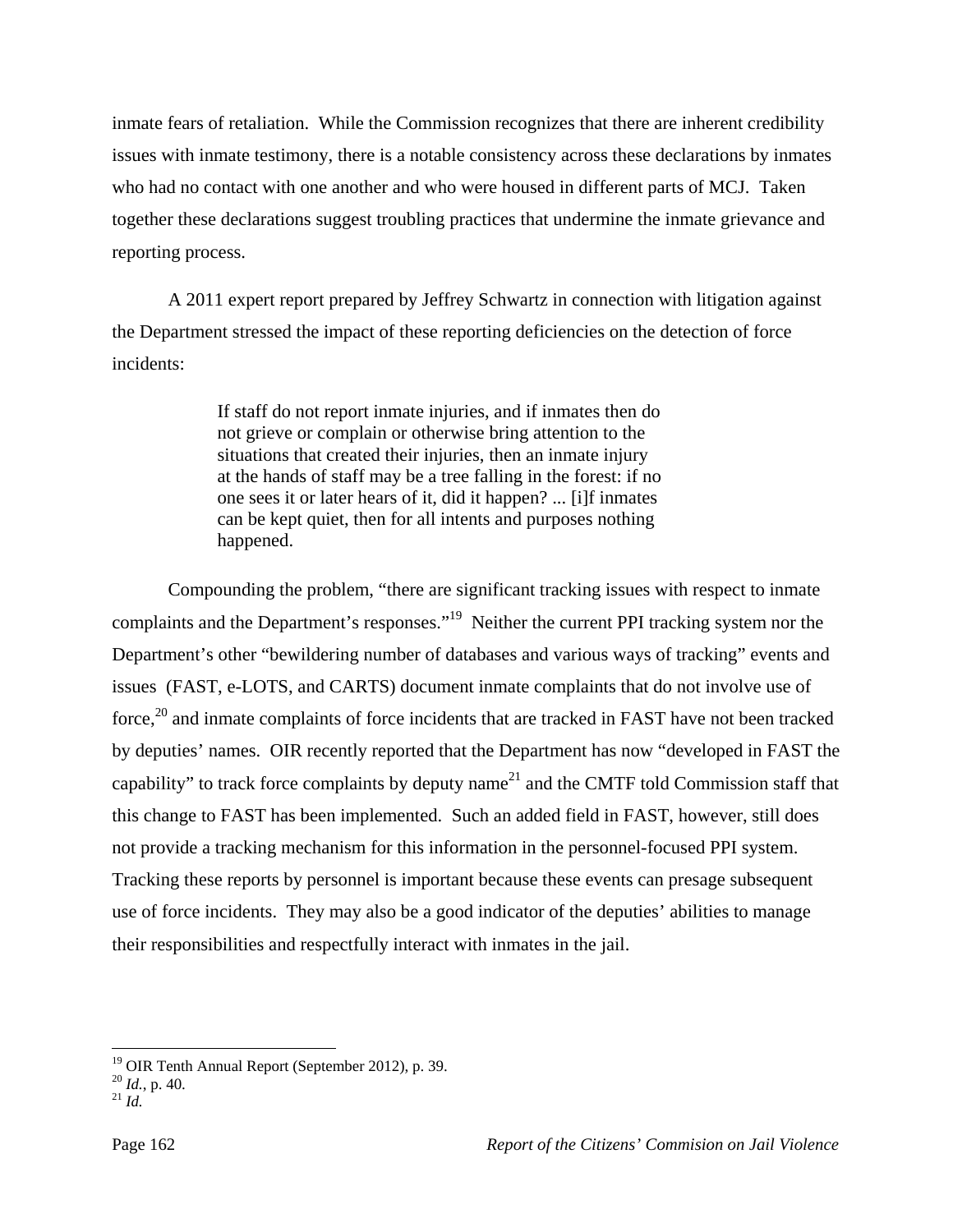inmate fears of retaliation. While the Commission recognizes that there are inherent credibility issues with inmate testimony, there is a notable consistency across these declarations by inmates who had no contact with one another and who were housed in different parts of MCJ. Taken together these declarations suggest troubling practices that undermine the inmate grievance and reporting process.

 A 2011 expert report prepared by Jeffrey Schwartz in connection with litigation against the Department stressed the impact of these reporting deficiencies on the detection of force incidents:

> If staff do not report inmate injuries, and if inmates then do not grieve or complain or otherwise bring attention to the situations that created their injuries, then an inmate injury at the hands of staff may be a tree falling in the forest: if no one sees it or later hears of it, did it happen? ... [i]f inmates can be kept quiet, then for all intents and purposes nothing happened.

 Compounding the problem, "there are significant tracking issues with respect to inmate complaints and the Department's responses."<sup>19</sup> Neither the current PPI tracking system nor the Department's other "bewildering number of databases and various ways of tracking" events and issues (FAST, e-LOTS, and CARTS) document inmate complaints that do not involve use of force, $20$  and inmate complaints of force incidents that are tracked in FAST have not been tracked by deputies' names. OIR recently reported that the Department has now "developed in FAST the capability" to track force complaints by deputy name<sup>21</sup> and the CMTF told Commission staff that this change to FAST has been implemented. Such an added field in FAST, however, still does not provide a tracking mechanism for this information in the personnel-focused PPI system. Tracking these reports by personnel is important because these events can presage subsequent use of force incidents. They may also be a good indicator of the deputies' abilities to manage their responsibilities and respectfully interact with inmates in the jail.

<sup>19</sup> OIR Tenth Annual Report (September 2012), p. 39.

<sup>20</sup> *Id.*, p. 40. 21 *Id.*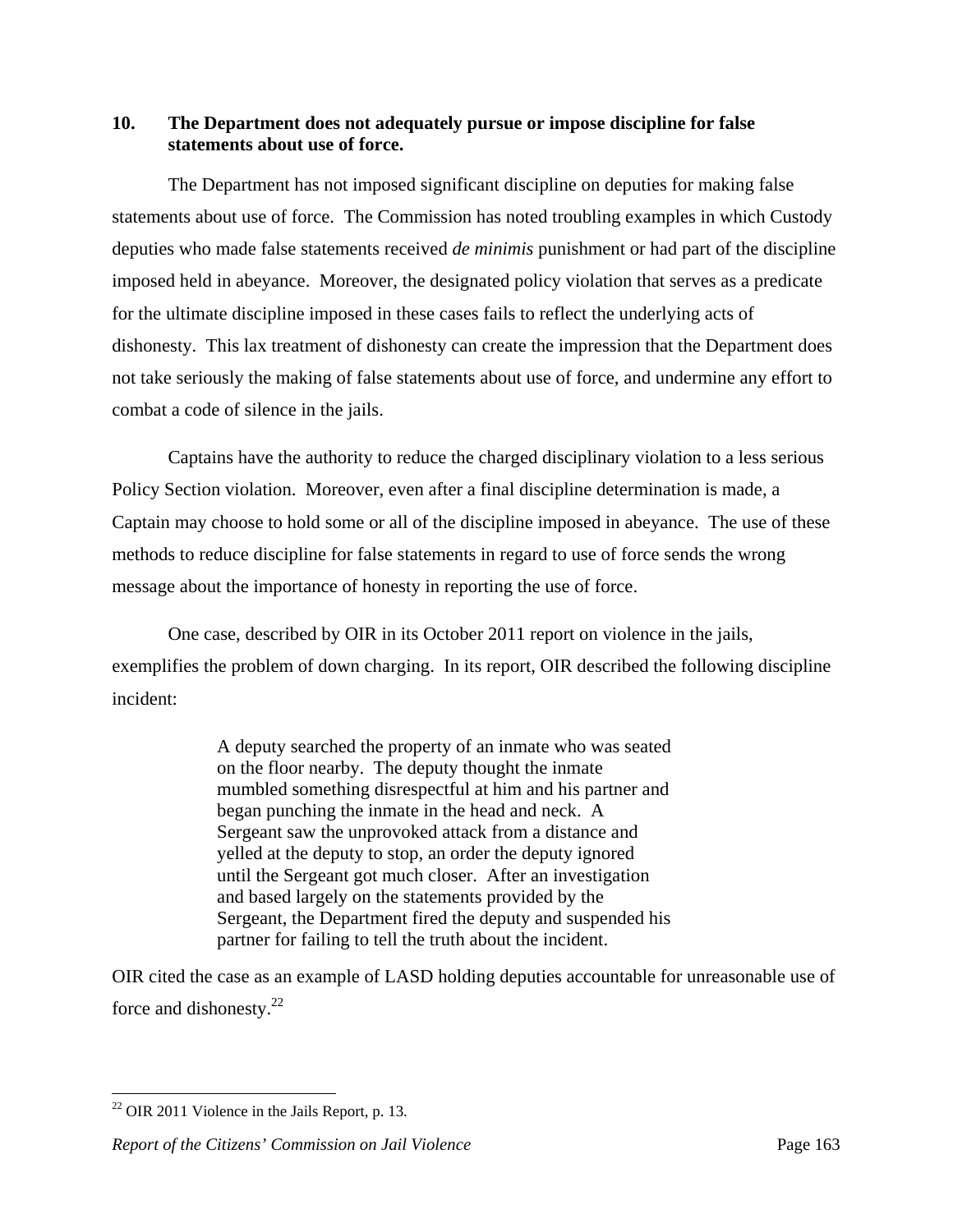## **10. The Department does not adequately pursue or impose discipline for false statements about use of force.**

 The Department has not imposed significant discipline on deputies for making false statements about use of force. The Commission has noted troubling examples in which Custody deputies who made false statements received *de minimis* punishment or had part of the discipline imposed held in abeyance. Moreover, the designated policy violation that serves as a predicate for the ultimate discipline imposed in these cases fails to reflect the underlying acts of dishonesty. This lax treatment of dishonesty can create the impression that the Department does not take seriously the making of false statements about use of force, and undermine any effort to combat a code of silence in the jails.

 Captains have the authority to reduce the charged disciplinary violation to a less serious Policy Section violation. Moreover, even after a final discipline determination is made, a Captain may choose to hold some or all of the discipline imposed in abeyance. The use of these methods to reduce discipline for false statements in regard to use of force sends the wrong message about the importance of honesty in reporting the use of force.

 One case, described by OIR in its October 2011 report on violence in the jails, exemplifies the problem of down charging. In its report, OIR described the following discipline incident:

> A deputy searched the property of an inmate who was seated on the floor nearby. The deputy thought the inmate mumbled something disrespectful at him and his partner and began punching the inmate in the head and neck. A Sergeant saw the unprovoked attack from a distance and yelled at the deputy to stop, an order the deputy ignored until the Sergeant got much closer. After an investigation and based largely on the statements provided by the Sergeant, the Department fired the deputy and suspended his partner for failing to tell the truth about the incident.

OIR cited the case as an example of LASD holding deputies accountable for unreasonable use of force and dishonesty. $^{22}$ 

<u>.</u>

 $22$  OIR 2011 Violence in the Jails Report, p. 13.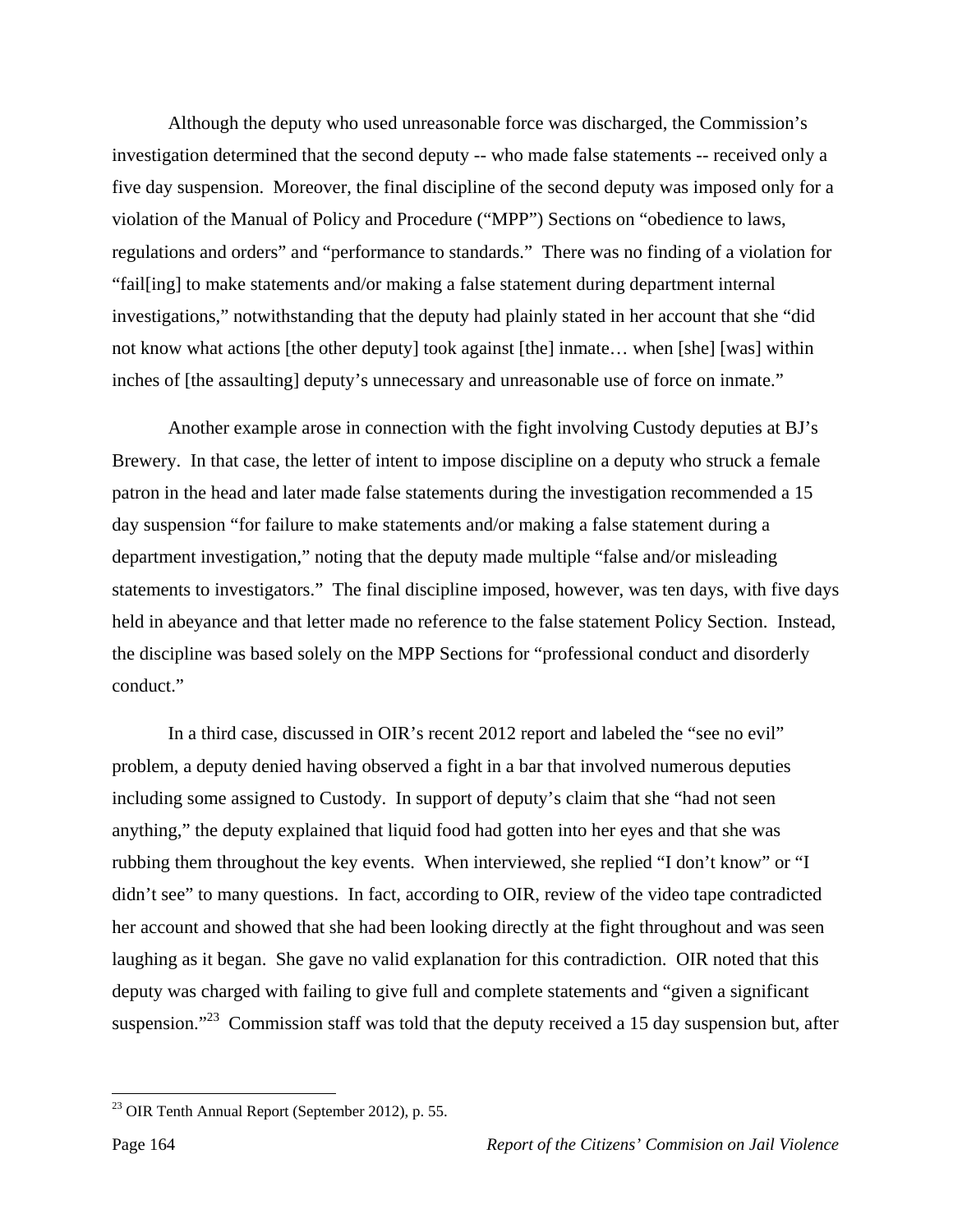Although the deputy who used unreasonable force was discharged, the Commission's investigation determined that the second deputy -- who made false statements -- received only a five day suspension. Moreover, the final discipline of the second deputy was imposed only for a violation of the Manual of Policy and Procedure ("MPP") Sections on "obedience to laws, regulations and orders" and "performance to standards." There was no finding of a violation for "fail[ing] to make statements and/or making a false statement during department internal investigations," notwithstanding that the deputy had plainly stated in her account that she "did not know what actions [the other deputy] took against [the] inmate… when [she] [was] within inches of [the assaulting] deputy's unnecessary and unreasonable use of force on inmate."

 Another example arose in connection with the fight involving Custody deputies at BJ's Brewery. In that case, the letter of intent to impose discipline on a deputy who struck a female patron in the head and later made false statements during the investigation recommended a 15 day suspension "for failure to make statements and/or making a false statement during a department investigation," noting that the deputy made multiple "false and/or misleading statements to investigators." The final discipline imposed, however, was ten days, with five days held in abeyance and that letter made no reference to the false statement Policy Section. Instead, the discipline was based solely on the MPP Sections for "professional conduct and disorderly conduct."

 In a third case, discussed in OIR's recent 2012 report and labeled the "see no evil" problem, a deputy denied having observed a fight in a bar that involved numerous deputies including some assigned to Custody. In support of deputy's claim that she "had not seen anything," the deputy explained that liquid food had gotten into her eyes and that she was rubbing them throughout the key events. When interviewed, she replied "I don't know" or "I didn't see" to many questions. In fact, according to OIR, review of the video tape contradicted her account and showed that she had been looking directly at the fight throughout and was seen laughing as it began. She gave no valid explanation for this contradiction. OIR noted that this deputy was charged with failing to give full and complete statements and "given a significant suspension."<sup>23</sup> Commission staff was told that the deputy received a 15 day suspension but, after

<sup>23</sup> OIR Tenth Annual Report (September 2012), p. 55.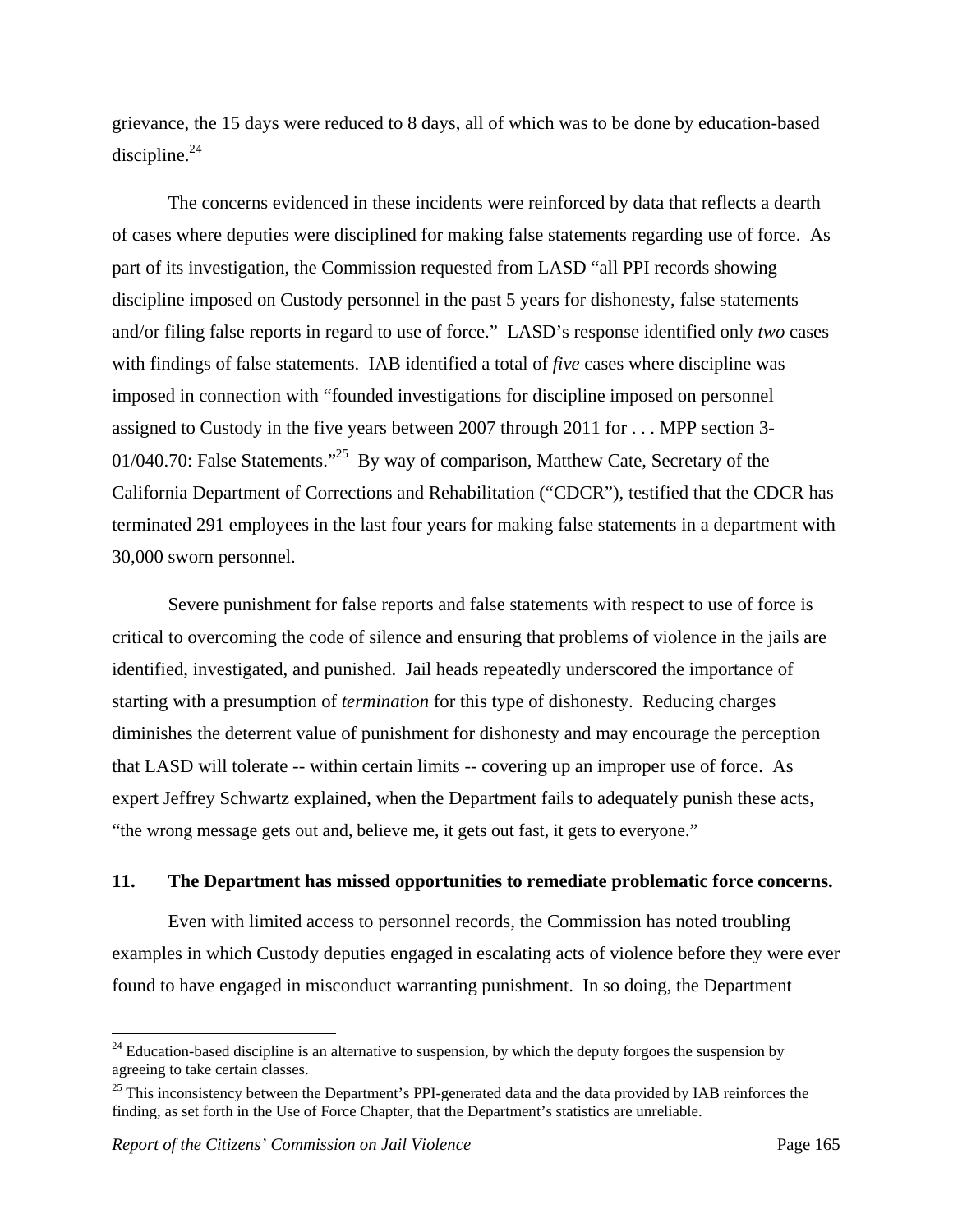grievance, the 15 days were reduced to 8 days, all of which was to be done by education-based discipline. $^{24}$ 

 The concerns evidenced in these incidents were reinforced by data that reflects a dearth of cases where deputies were disciplined for making false statements regarding use of force. As part of its investigation, the Commission requested from LASD "all PPI records showing discipline imposed on Custody personnel in the past 5 years for dishonesty, false statements and/or filing false reports in regard to use of force." LASD's response identified only *two* cases with findings of false statements. IAB identified a total of *five* cases where discipline was imposed in connection with "founded investigations for discipline imposed on personnel assigned to Custody in the five years between 2007 through 2011 for . . . MPP section 3- 01/040.70: False Statements."<sup>25</sup> By way of comparison, Matthew Cate, Secretary of the California Department of Corrections and Rehabilitation ("CDCR"), testified that the CDCR has terminated 291 employees in the last four years for making false statements in a department with 30,000 sworn personnel.

 Severe punishment for false reports and false statements with respect to use of force is critical to overcoming the code of silence and ensuring that problems of violence in the jails are identified, investigated, and punished. Jail heads repeatedly underscored the importance of starting with a presumption of *termination* for this type of dishonesty. Reducing charges diminishes the deterrent value of punishment for dishonesty and may encourage the perception that LASD will tolerate -- within certain limits -- covering up an improper use of force. As expert Jeffrey Schwartz explained, when the Department fails to adequately punish these acts, "the wrong message gets out and, believe me, it gets out fast, it gets to everyone."

#### **11. The Department has missed opportunities to remediate problematic force concerns.**

Even with limited access to personnel records, the Commission has noted troubling examples in which Custody deputies engaged in escalating acts of violence before they were ever found to have engaged in misconduct warranting punishment. In so doing, the Department

 $24$  Education-based discipline is an alternative to suspension, by which the deputy forgoes the suspension by agreeing to take certain classes.

<sup>&</sup>lt;sup>25</sup> This inconsistency between the Department's PPI-generated data and the data provided by IAB reinforces the finding, as set forth in the Use of Force Chapter, that the Department's statistics are unreliable.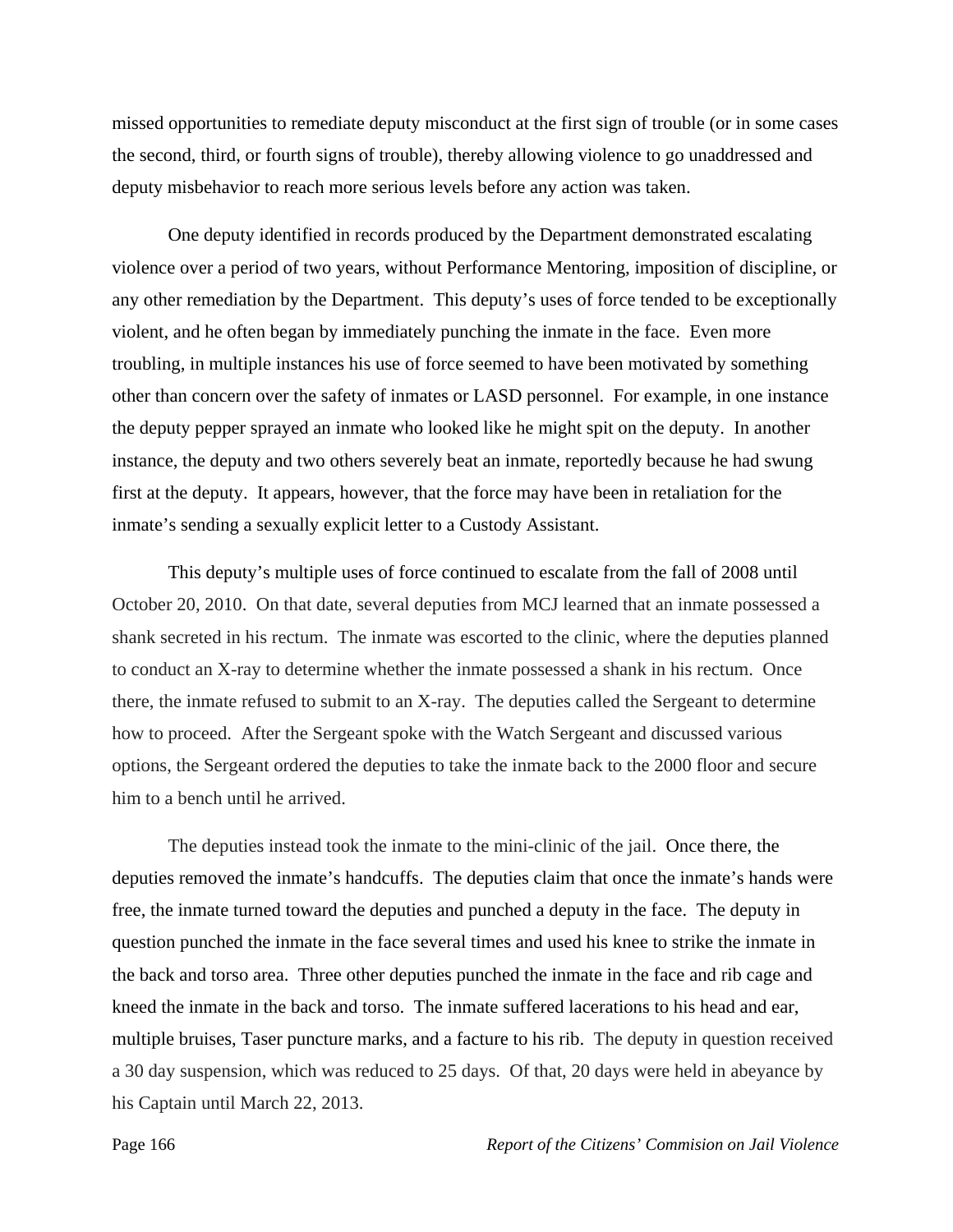missed opportunities to remediate deputy misconduct at the first sign of trouble (or in some cases the second, third, or fourth signs of trouble), thereby allowing violence to go unaddressed and deputy misbehavior to reach more serious levels before any action was taken.

One deputy identified in records produced by the Department demonstrated escalating violence over a period of two years, without Performance Mentoring, imposition of discipline, or any other remediation by the Department. This deputy's uses of force tended to be exceptionally violent, and he often began by immediately punching the inmate in the face. Even more troubling, in multiple instances his use of force seemed to have been motivated by something other than concern over the safety of inmates or LASD personnel. For example, in one instance the deputy pepper sprayed an inmate who looked like he might spit on the deputy. In another instance, the deputy and two others severely beat an inmate, reportedly because he had swung first at the deputy. It appears, however, that the force may have been in retaliation for the inmate's sending a sexually explicit letter to a Custody Assistant.

This deputy's multiple uses of force continued to escalate from the fall of 2008 until October 20, 2010. On that date, several deputies from MCJ learned that an inmate possessed a shank secreted in his rectum. The inmate was escorted to the clinic, where the deputies planned to conduct an X-ray to determine whether the inmate possessed a shank in his rectum. Once there, the inmate refused to submit to an X-ray. The deputies called the Sergeant to determine how to proceed. After the Sergeant spoke with the Watch Sergeant and discussed various options, the Sergeant ordered the deputies to take the inmate back to the 2000 floor and secure him to a bench until he arrived.

The deputies instead took the inmate to the mini-clinic of the jail. Once there, the deputies removed the inmate's handcuffs. The deputies claim that once the inmate's hands were free, the inmate turned toward the deputies and punched a deputy in the face. The deputy in question punched the inmate in the face several times and used his knee to strike the inmate in the back and torso area. Three other deputies punched the inmate in the face and rib cage and kneed the inmate in the back and torso. The inmate suffered lacerations to his head and ear, multiple bruises, Taser puncture marks, and a facture to his rib. The deputy in question received a 30 day suspension, which was reduced to 25 days. Of that, 20 days were held in abeyance by his Captain until March 22, 2013.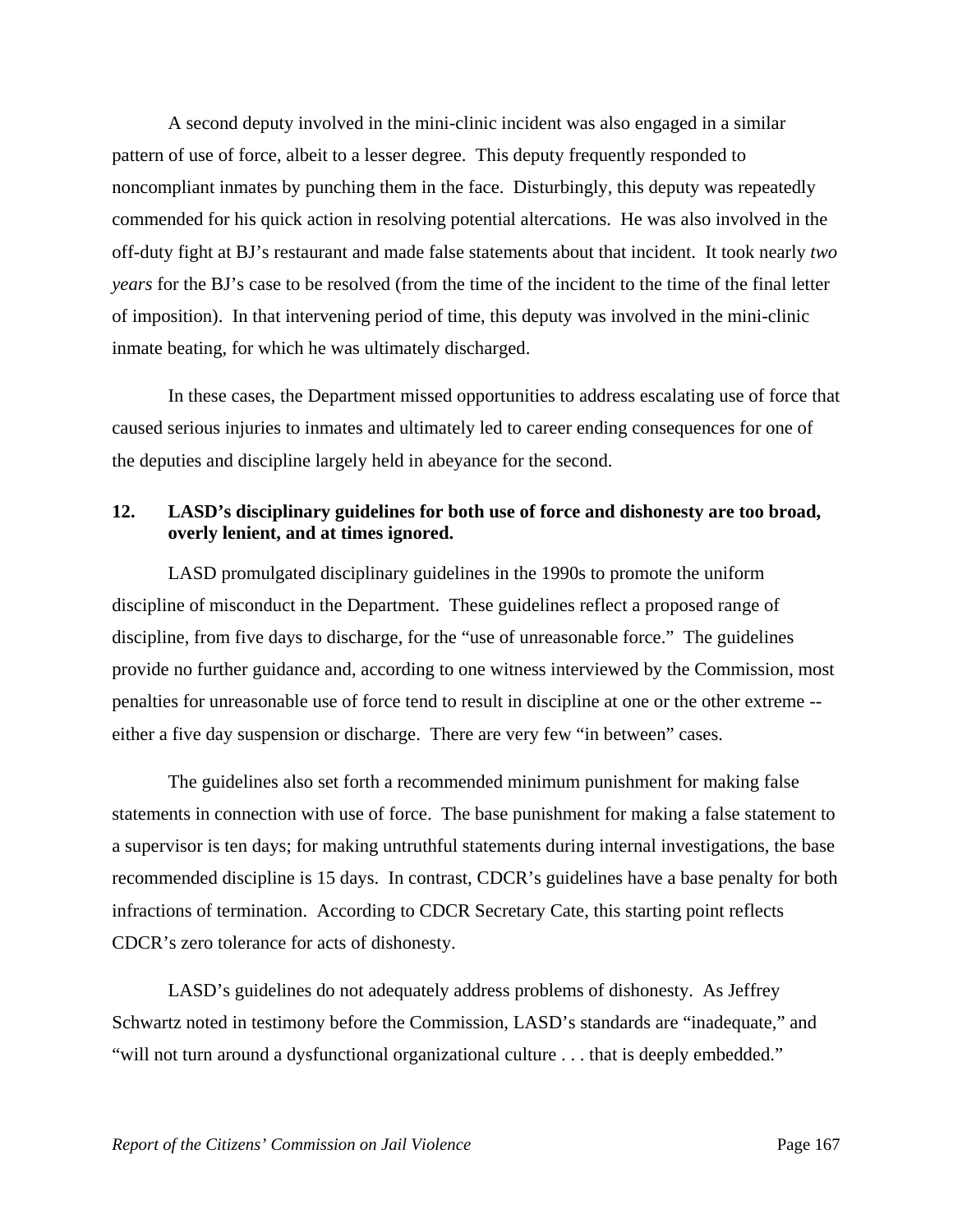A second deputy involved in the mini-clinic incident was also engaged in a similar pattern of use of force, albeit to a lesser degree. This deputy frequently responded to noncompliant inmates by punching them in the face. Disturbingly, this deputy was repeatedly commended for his quick action in resolving potential altercations. He was also involved in the off-duty fight at BJ's restaurant and made false statements about that incident. It took nearly *two years* for the BJ's case to be resolved (from the time of the incident to the time of the final letter of imposition). In that intervening period of time, this deputy was involved in the mini-clinic inmate beating, for which he was ultimately discharged.

In these cases, the Department missed opportunities to address escalating use of force that caused serious injuries to inmates and ultimately led to career ending consequences for one of the deputies and discipline largely held in abeyance for the second.

## **12. LASD's disciplinary guidelines for both use of force and dishonesty are too broad, overly lenient, and at times ignored.**

 LASD promulgated disciplinary guidelines in the 1990s to promote the uniform discipline of misconduct in the Department. These guidelines reflect a proposed range of discipline, from five days to discharge, for the "use of unreasonable force." The guidelines provide no further guidance and, according to one witness interviewed by the Commission, most penalties for unreasonable use of force tend to result in discipline at one or the other extreme - either a five day suspension or discharge. There are very few "in between" cases.

 The guidelines also set forth a recommended minimum punishment for making false statements in connection with use of force. The base punishment for making a false statement to a supervisor is ten days; for making untruthful statements during internal investigations, the base recommended discipline is 15 days. In contrast, CDCR's guidelines have a base penalty for both infractions of termination. According to CDCR Secretary Cate, this starting point reflects CDCR's zero tolerance for acts of dishonesty.

 LASD's guidelines do not adequately address problems of dishonesty. As Jeffrey Schwartz noted in testimony before the Commission, LASD's standards are "inadequate," and "will not turn around a dysfunctional organizational culture . . . that is deeply embedded."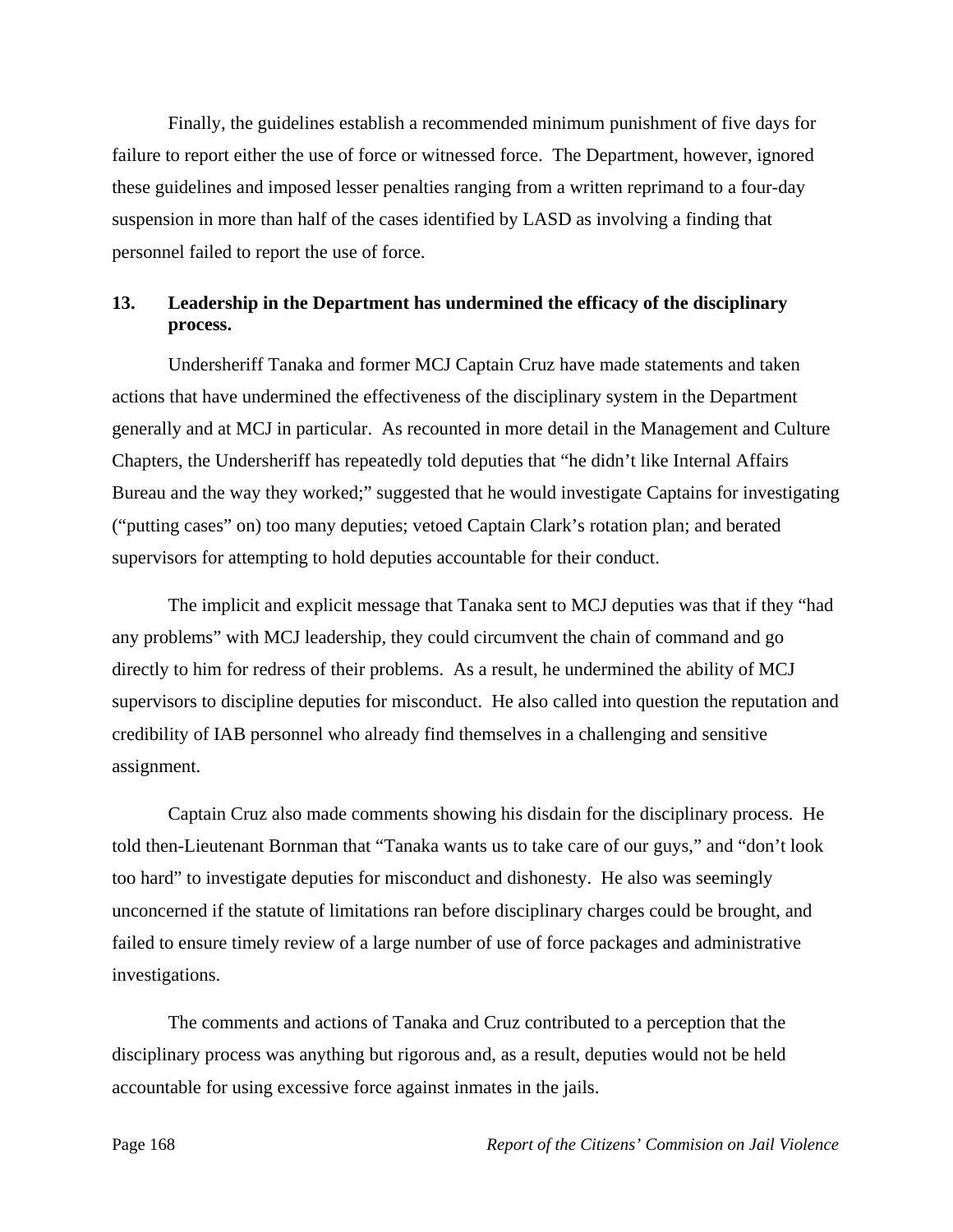Finally, the guidelines establish a recommended minimum punishment of five days for failure to report either the use of force or witnessed force. The Department, however, ignored these guidelines and imposed lesser penalties ranging from a written reprimand to a four-day suspension in more than half of the cases identified by LASD as involving a finding that personnel failed to report the use of force.

## **13. Leadership in the Department has undermined the efficacy of the disciplinary process.**

 Undersheriff Tanaka and former MCJ Captain Cruz have made statements and taken actions that have undermined the effectiveness of the disciplinary system in the Department generally and at MCJ in particular. As recounted in more detail in the Management and Culture Chapters, the Undersheriff has repeatedly told deputies that "he didn't like Internal Affairs Bureau and the way they worked;" suggested that he would investigate Captains for investigating ("putting cases" on) too many deputies; vetoed Captain Clark's rotation plan; and berated supervisors for attempting to hold deputies accountable for their conduct.

 The implicit and explicit message that Tanaka sent to MCJ deputies was that if they "had any problems" with MCJ leadership, they could circumvent the chain of command and go directly to him for redress of their problems. As a result, he undermined the ability of MCJ supervisors to discipline deputies for misconduct. He also called into question the reputation and credibility of IAB personnel who already find themselves in a challenging and sensitive assignment.

 Captain Cruz also made comments showing his disdain for the disciplinary process. He told then-Lieutenant Bornman that "Tanaka wants us to take care of our guys," and "don't look too hard" to investigate deputies for misconduct and dishonesty. He also was seemingly unconcerned if the statute of limitations ran before disciplinary charges could be brought, and failed to ensure timely review of a large number of use of force packages and administrative investigations.

 The comments and actions of Tanaka and Cruz contributed to a perception that the disciplinary process was anything but rigorous and, as a result, deputies would not be held accountable for using excessive force against inmates in the jails.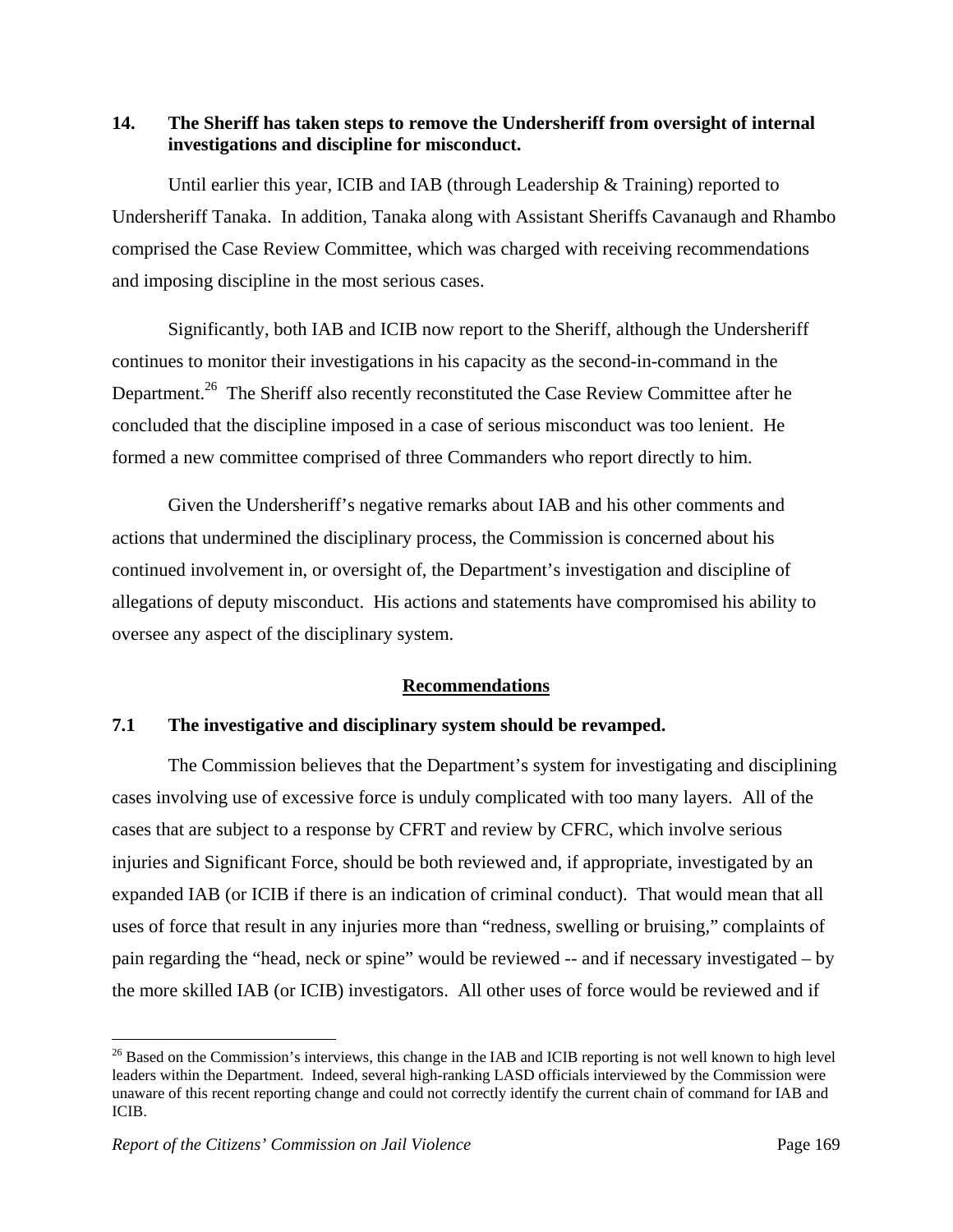## **14. The Sheriff has taken steps to remove the Undersheriff from oversight of internal investigations and discipline for misconduct.**

Until earlier this year, ICIB and IAB (through Leadership & Training) reported to Undersheriff Tanaka. In addition, Tanaka along with Assistant Sheriffs Cavanaugh and Rhambo comprised the Case Review Committee, which was charged with receiving recommendations and imposing discipline in the most serious cases.

 Significantly, both IAB and ICIB now report to the Sheriff, although the Undersheriff continues to monitor their investigations in his capacity as the second-in-command in the Department.<sup>26</sup> The Sheriff also recently reconstituted the Case Review Committee after he concluded that the discipline imposed in a case of serious misconduct was too lenient. He formed a new committee comprised of three Commanders who report directly to him.

 Given the Undersheriff's negative remarks about IAB and his other comments and actions that undermined the disciplinary process, the Commission is concerned about his continued involvement in, or oversight of, the Department's investigation and discipline of allegations of deputy misconduct. His actions and statements have compromised his ability to oversee any aspect of the disciplinary system.

# **Recommendations**

## **7.1 The investigative and disciplinary system should be revamped.**

 The Commission believes that the Department's system for investigating and disciplining cases involving use of excessive force is unduly complicated with too many layers. All of the cases that are subject to a response by CFRT and review by CFRC, which involve serious injuries and Significant Force, should be both reviewed and, if appropriate, investigated by an expanded IAB (or ICIB if there is an indication of criminal conduct). That would mean that all uses of force that result in any injuries more than "redness, swelling or bruising," complaints of pain regarding the "head, neck or spine" would be reviewed -- and if necessary investigated – by the more skilled IAB (or ICIB) investigators. All other uses of force would be reviewed and if

<sup>&</sup>lt;sup>26</sup> Based on the Commission's interviews, this change in the IAB and ICIB reporting is not well known to high level leaders within the Department. Indeed, several high-ranking LASD officials interviewed by the Commission were unaware of this recent reporting change and could not correctly identify the current chain of command for IAB and ICIB.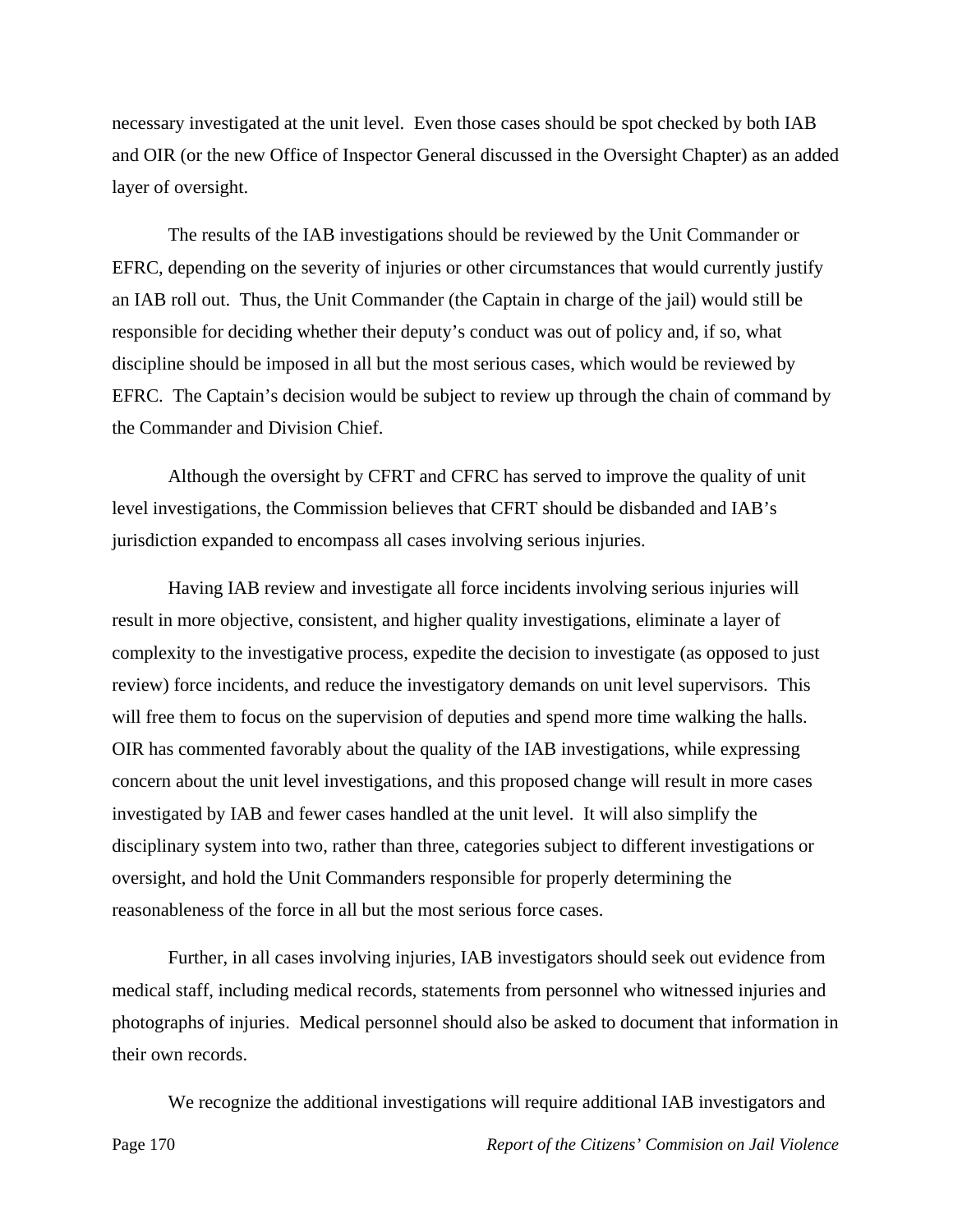necessary investigated at the unit level. Even those cases should be spot checked by both IAB and OIR (or the new Office of Inspector General discussed in the Oversight Chapter) as an added layer of oversight.

 The results of the IAB investigations should be reviewed by the Unit Commander or EFRC, depending on the severity of injuries or other circumstances that would currently justify an IAB roll out. Thus, the Unit Commander (the Captain in charge of the jail) would still be responsible for deciding whether their deputy's conduct was out of policy and, if so, what discipline should be imposed in all but the most serious cases, which would be reviewed by EFRC. The Captain's decision would be subject to review up through the chain of command by the Commander and Division Chief.

 Although the oversight by CFRT and CFRC has served to improve the quality of unit level investigations, the Commission believes that CFRT should be disbanded and IAB's jurisdiction expanded to encompass all cases involving serious injuries.

 Having IAB review and investigate all force incidents involving serious injuries will result in more objective, consistent, and higher quality investigations, eliminate a layer of complexity to the investigative process, expedite the decision to investigate (as opposed to just review) force incidents, and reduce the investigatory demands on unit level supervisors. This will free them to focus on the supervision of deputies and spend more time walking the halls. OIR has commented favorably about the quality of the IAB investigations, while expressing concern about the unit level investigations, and this proposed change will result in more cases investigated by IAB and fewer cases handled at the unit level. It will also simplify the disciplinary system into two, rather than three, categories subject to different investigations or oversight, and hold the Unit Commanders responsible for properly determining the reasonableness of the force in all but the most serious force cases.

 Further, in all cases involving injuries, IAB investigators should seek out evidence from medical staff, including medical records, statements from personnel who witnessed injuries and photographs of injuries. Medical personnel should also be asked to document that information in their own records.

We recognize the additional investigations will require additional IAB investigators and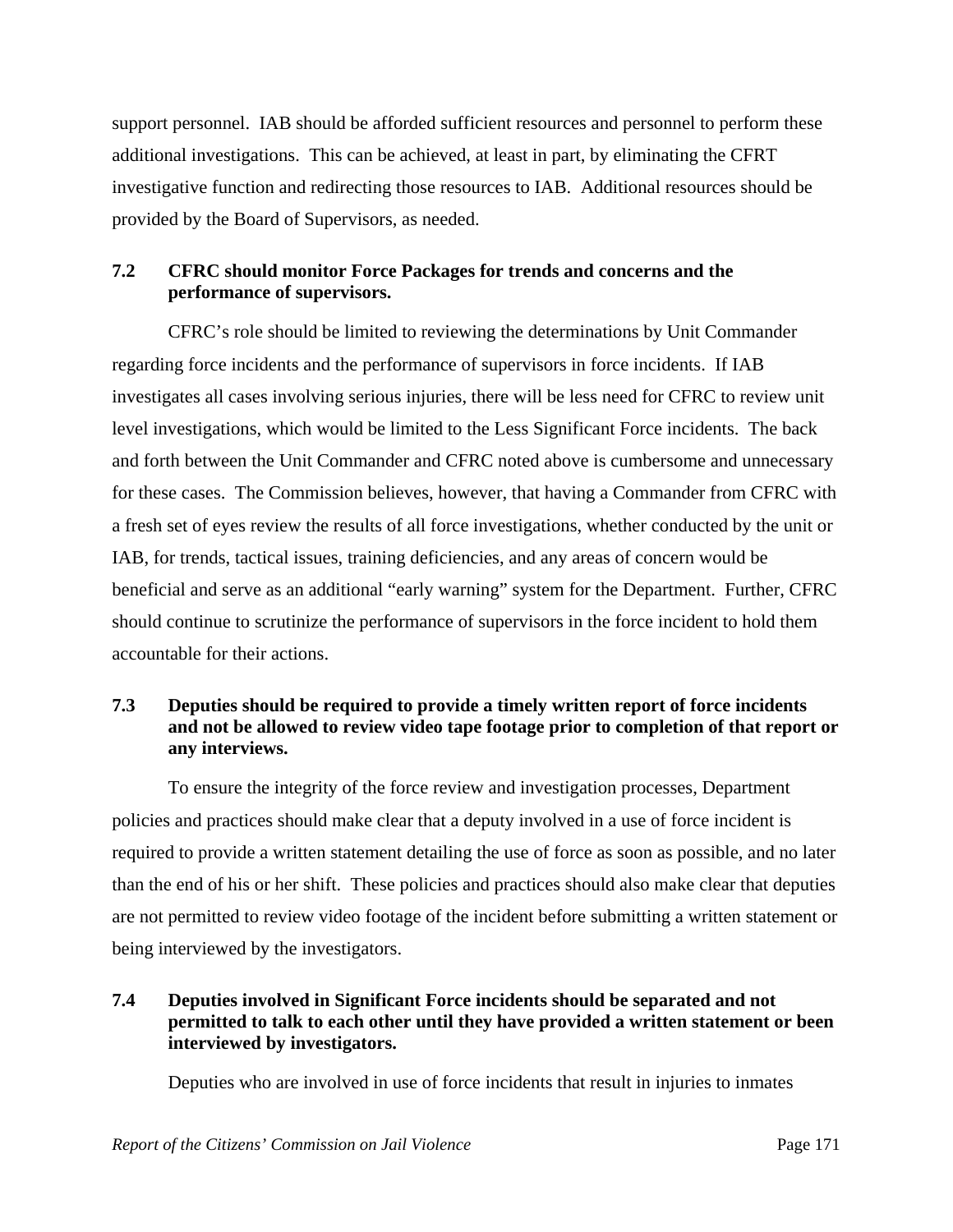support personnel. IAB should be afforded sufficient resources and personnel to perform these additional investigations. This can be achieved, at least in part, by eliminating the CFRT investigative function and redirecting those resources to IAB. Additional resources should be provided by the Board of Supervisors, as needed.

# **7.2 CFRC should monitor Force Packages for trends and concerns and the performance of supervisors.**

 CFRC's role should be limited to reviewing the determinations by Unit Commander regarding force incidents and the performance of supervisors in force incidents. If IAB investigates all cases involving serious injuries, there will be less need for CFRC to review unit level investigations, which would be limited to the Less Significant Force incidents. The back and forth between the Unit Commander and CFRC noted above is cumbersome and unnecessary for these cases. The Commission believes, however, that having a Commander from CFRC with a fresh set of eyes review the results of all force investigations, whether conducted by the unit or IAB, for trends, tactical issues, training deficiencies, and any areas of concern would be beneficial and serve as an additional "early warning" system for the Department. Further, CFRC should continue to scrutinize the performance of supervisors in the force incident to hold them accountable for their actions.

## **7.3 Deputies should be required to provide a timely written report of force incidents and not be allowed to review video tape footage prior to completion of that report or any interviews.**

 To ensure the integrity of the force review and investigation processes, Department policies and practices should make clear that a deputy involved in a use of force incident is required to provide a written statement detailing the use of force as soon as possible, and no later than the end of his or her shift. These policies and practices should also make clear that deputies are not permitted to review video footage of the incident before submitting a written statement or being interviewed by the investigators.

# **7.4 Deputies involved in Significant Force incidents should be separated and not permitted to talk to each other until they have provided a written statement or been interviewed by investigators.**

Deputies who are involved in use of force incidents that result in injuries to inmates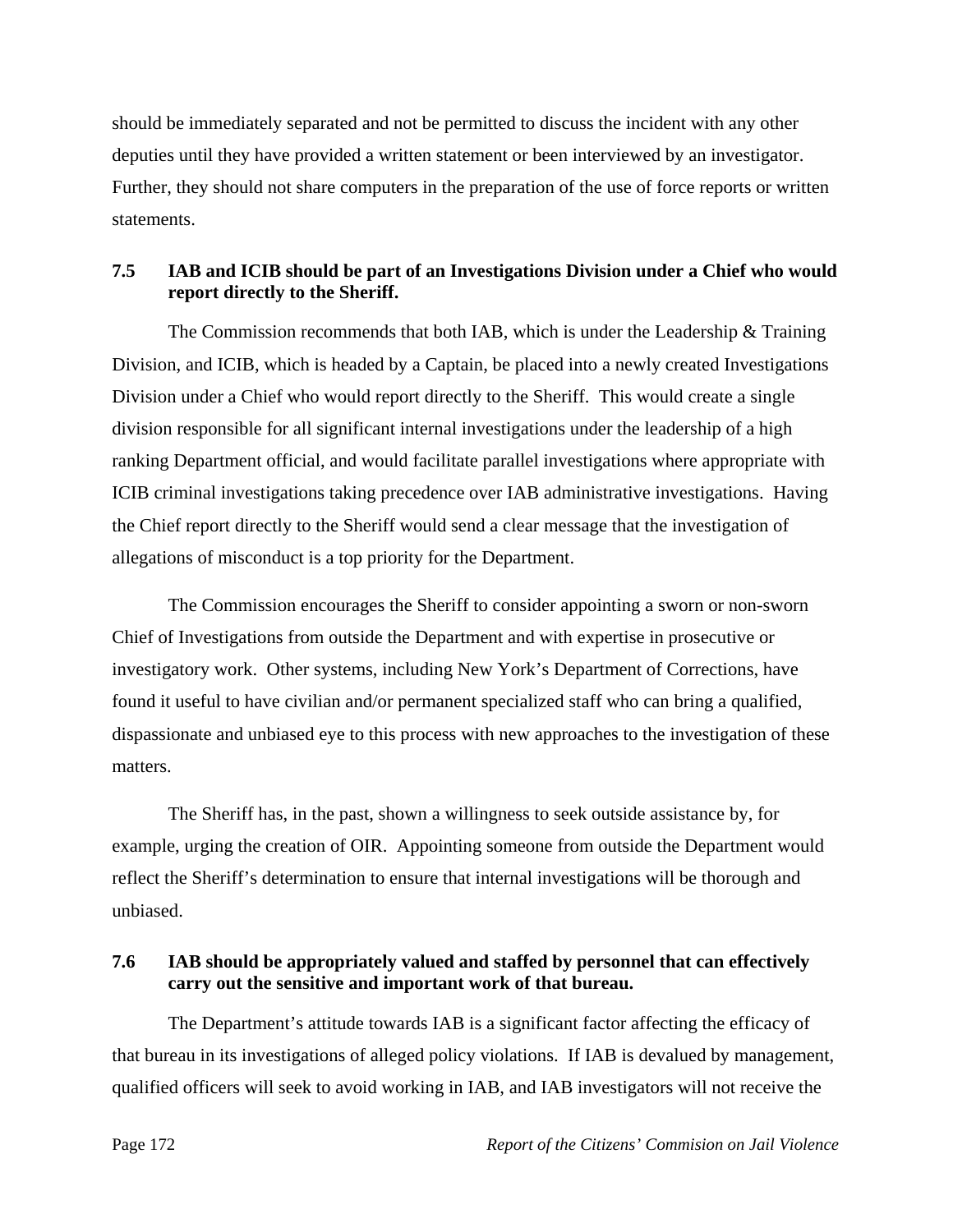should be immediately separated and not be permitted to discuss the incident with any other deputies until they have provided a written statement or been interviewed by an investigator. Further, they should not share computers in the preparation of the use of force reports or written statements.

# **7.5 IAB and ICIB should be part of an Investigations Division under a Chief who would report directly to the Sheriff.**

The Commission recommends that both IAB, which is under the Leadership & Training Division, and ICIB, which is headed by a Captain, be placed into a newly created Investigations Division under a Chief who would report directly to the Sheriff. This would create a single division responsible for all significant internal investigations under the leadership of a high ranking Department official, and would facilitate parallel investigations where appropriate with ICIB criminal investigations taking precedence over IAB administrative investigations. Having the Chief report directly to the Sheriff would send a clear message that the investigation of allegations of misconduct is a top priority for the Department.

 The Commission encourages the Sheriff to consider appointing a sworn or non-sworn Chief of Investigations from outside the Department and with expertise in prosecutive or investigatory work. Other systems, including New York's Department of Corrections, have found it useful to have civilian and/or permanent specialized staff who can bring a qualified, dispassionate and unbiased eye to this process with new approaches to the investigation of these matters.

 The Sheriff has, in the past, shown a willingness to seek outside assistance by, for example, urging the creation of OIR. Appointing someone from outside the Department would reflect the Sheriff's determination to ensure that internal investigations will be thorough and unbiased.

# **7.6 IAB should be appropriately valued and staffed by personnel that can effectively carry out the sensitive and important work of that bureau.**

 The Department's attitude towards IAB is a significant factor affecting the efficacy of that bureau in its investigations of alleged policy violations. If IAB is devalued by management, qualified officers will seek to avoid working in IAB, and IAB investigators will not receive the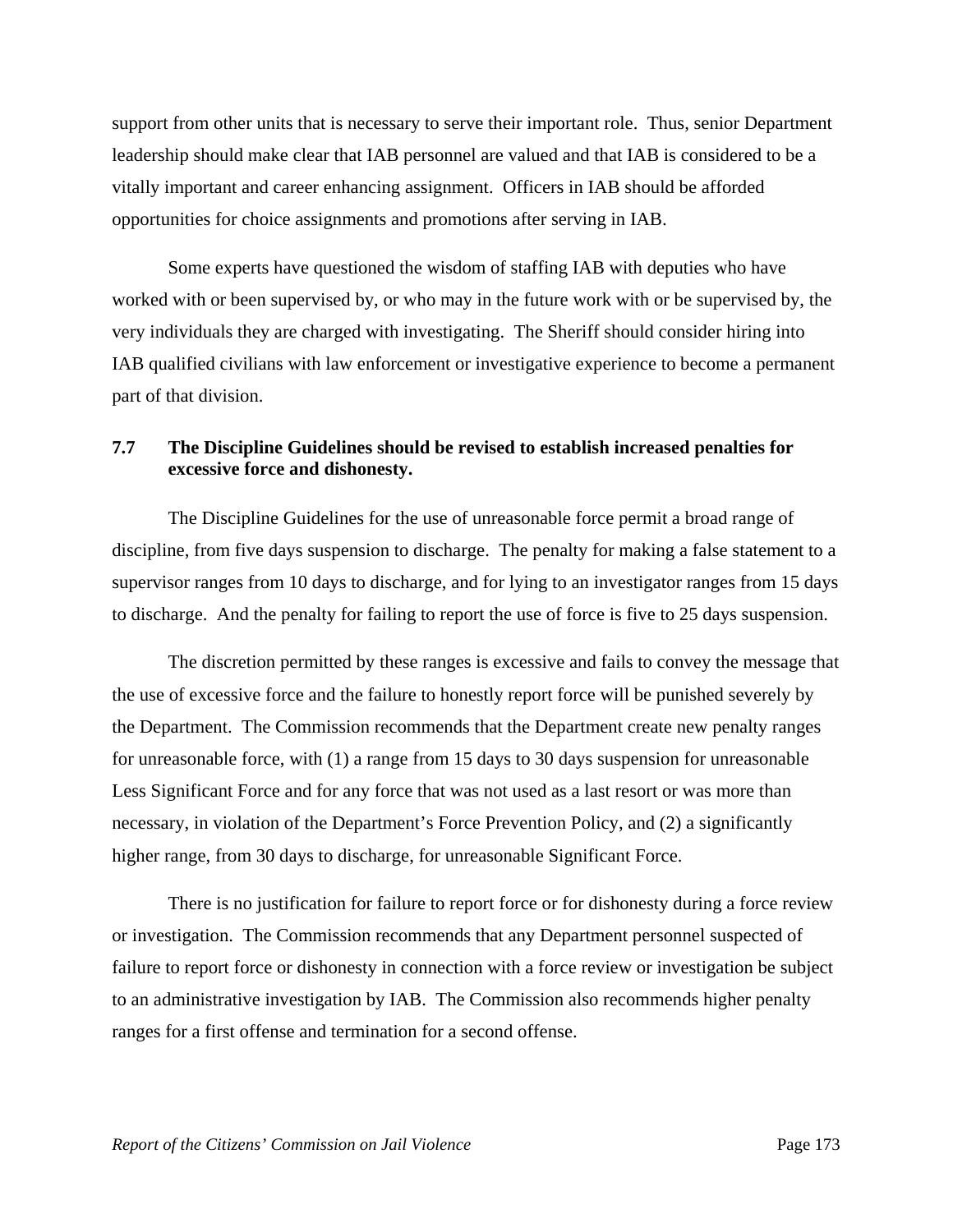support from other units that is necessary to serve their important role. Thus, senior Department leadership should make clear that IAB personnel are valued and that IAB is considered to be a vitally important and career enhancing assignment. Officers in IAB should be afforded opportunities for choice assignments and promotions after serving in IAB.

 Some experts have questioned the wisdom of staffing IAB with deputies who have worked with or been supervised by, or who may in the future work with or be supervised by, the very individuals they are charged with investigating. The Sheriff should consider hiring into IAB qualified civilians with law enforcement or investigative experience to become a permanent part of that division.

## **7.7 The Discipline Guidelines should be revised to establish increased penalties for excessive force and dishonesty.**

 The Discipline Guidelines for the use of unreasonable force permit a broad range of discipline, from five days suspension to discharge. The penalty for making a false statement to a supervisor ranges from 10 days to discharge, and for lying to an investigator ranges from 15 days to discharge. And the penalty for failing to report the use of force is five to 25 days suspension.

 The discretion permitted by these ranges is excessive and fails to convey the message that the use of excessive force and the failure to honestly report force will be punished severely by the Department. The Commission recommends that the Department create new penalty ranges for unreasonable force, with (1) a range from 15 days to 30 days suspension for unreasonable Less Significant Force and for any force that was not used as a last resort or was more than necessary, in violation of the Department's Force Prevention Policy, and (2) a significantly higher range, from 30 days to discharge, for unreasonable Significant Force.

 There is no justification for failure to report force or for dishonesty during a force review or investigation. The Commission recommends that any Department personnel suspected of failure to report force or dishonesty in connection with a force review or investigation be subject to an administrative investigation by IAB. The Commission also recommends higher penalty ranges for a first offense and termination for a second offense.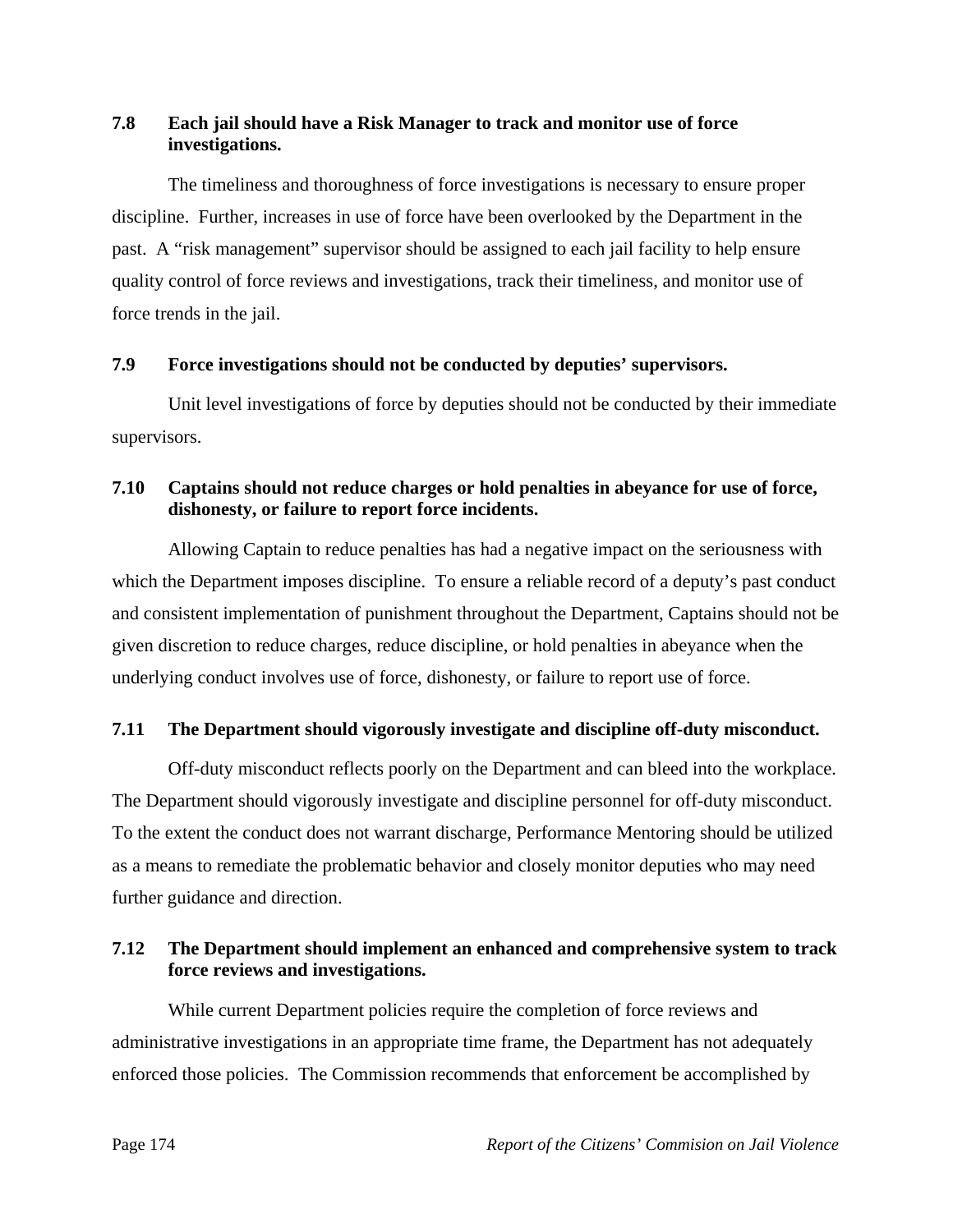# **7.8 Each jail should have a Risk Manager to track and monitor use of force investigations.**

 The timeliness and thoroughness of force investigations is necessary to ensure proper discipline. Further, increases in use of force have been overlooked by the Department in the past. A "risk management" supervisor should be assigned to each jail facility to help ensure quality control of force reviews and investigations, track their timeliness, and monitor use of force trends in the jail.

### **7.9 Force investigations should not be conducted by deputies' supervisors.**

 Unit level investigations of force by deputies should not be conducted by their immediate supervisors.

# **7.10 Captains should not reduce charges or hold penalties in abeyance for use of force, dishonesty, or failure to report force incidents.**

 Allowing Captain to reduce penalties has had a negative impact on the seriousness with which the Department imposes discipline. To ensure a reliable record of a deputy's past conduct and consistent implementation of punishment throughout the Department, Captains should not be given discretion to reduce charges, reduce discipline, or hold penalties in abeyance when the underlying conduct involves use of force, dishonesty, or failure to report use of force.

# **7.11 The Department should vigorously investigate and discipline off-duty misconduct.**

 Off-duty misconduct reflects poorly on the Department and can bleed into the workplace. The Department should vigorously investigate and discipline personnel for off-duty misconduct. To the extent the conduct does not warrant discharge, Performance Mentoring should be utilized as a means to remediate the problematic behavior and closely monitor deputies who may need further guidance and direction.

# **7.12 The Department should implement an enhanced and comprehensive system to track force reviews and investigations.**

 While current Department policies require the completion of force reviews and administrative investigations in an appropriate time frame, the Department has not adequately enforced those policies. The Commission recommends that enforcement be accomplished by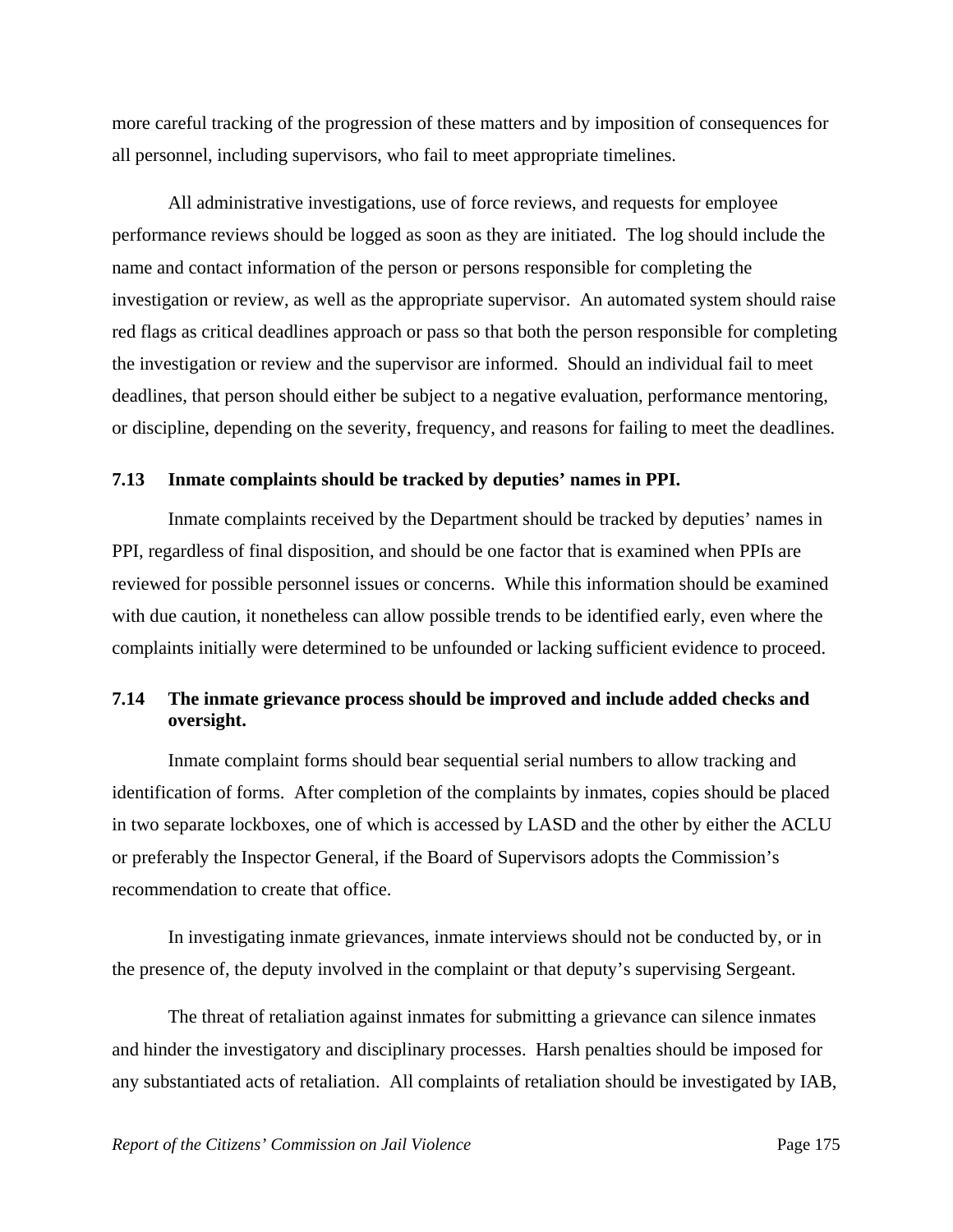more careful tracking of the progression of these matters and by imposition of consequences for all personnel, including supervisors, who fail to meet appropriate timelines.

 All administrative investigations, use of force reviews, and requests for employee performance reviews should be logged as soon as they are initiated. The log should include the name and contact information of the person or persons responsible for completing the investigation or review, as well as the appropriate supervisor. An automated system should raise red flags as critical deadlines approach or pass so that both the person responsible for completing the investigation or review and the supervisor are informed. Should an individual fail to meet deadlines, that person should either be subject to a negative evaluation, performance mentoring, or discipline, depending on the severity, frequency, and reasons for failing to meet the deadlines.

#### **7.13 Inmate complaints should be tracked by deputies' names in PPI.**

 Inmate complaints received by the Department should be tracked by deputies' names in PPI, regardless of final disposition, and should be one factor that is examined when PPIs are reviewed for possible personnel issues or concerns. While this information should be examined with due caution, it nonetheless can allow possible trends to be identified early, even where the complaints initially were determined to be unfounded or lacking sufficient evidence to proceed.

### **7.14 The inmate grievance process should be improved and include added checks and oversight.**

 Inmate complaint forms should bear sequential serial numbers to allow tracking and identification of forms. After completion of the complaints by inmates, copies should be placed in two separate lockboxes, one of which is accessed by LASD and the other by either the ACLU or preferably the Inspector General, if the Board of Supervisors adopts the Commission's recommendation to create that office.

 In investigating inmate grievances, inmate interviews should not be conducted by, or in the presence of, the deputy involved in the complaint or that deputy's supervising Sergeant.

 The threat of retaliation against inmates for submitting a grievance can silence inmates and hinder the investigatory and disciplinary processes. Harsh penalties should be imposed for any substantiated acts of retaliation. All complaints of retaliation should be investigated by IAB,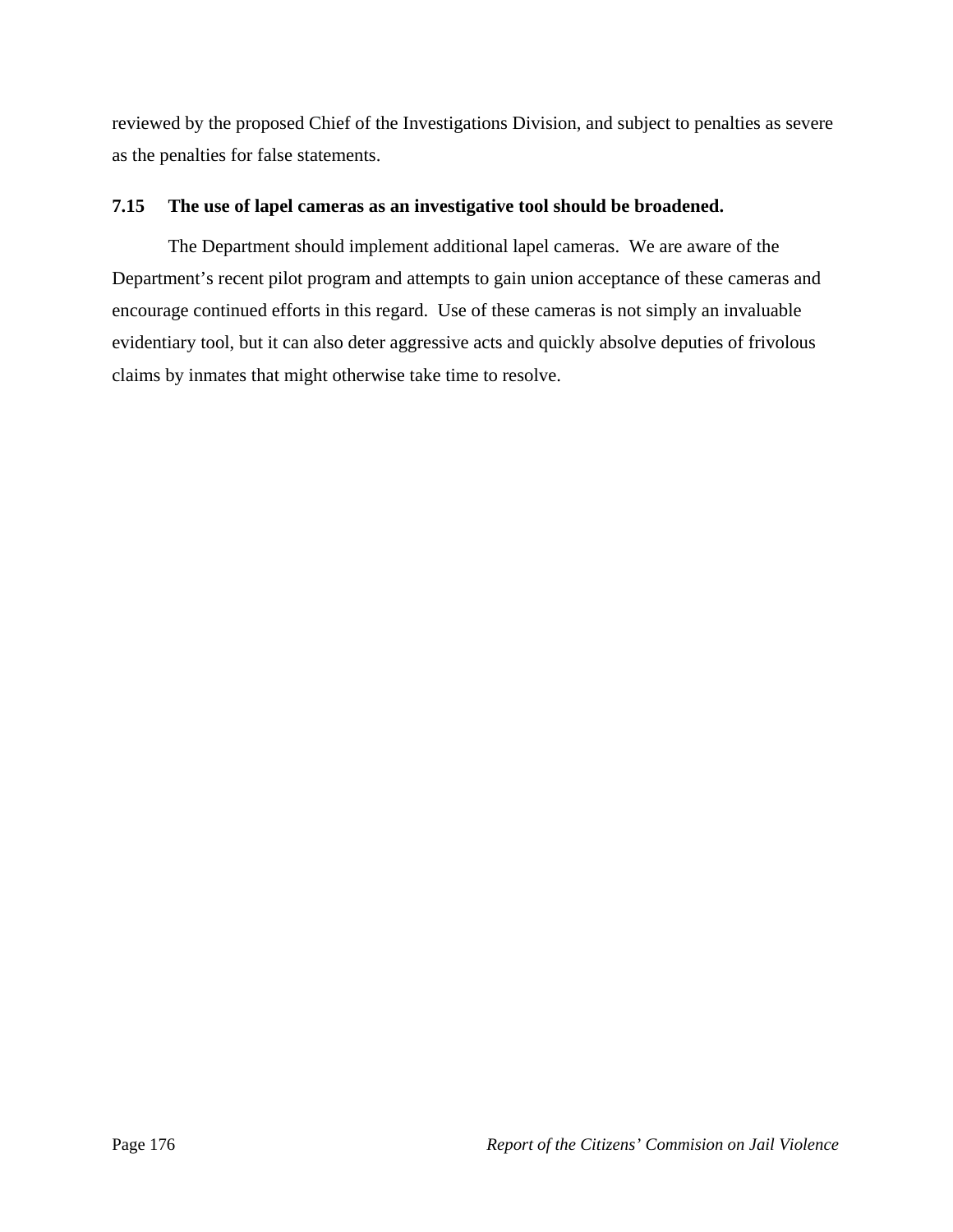reviewed by the proposed Chief of the Investigations Division, and subject to penalties as severe as the penalties for false statements.

## **7.15 The use of lapel cameras as an investigative tool should be broadened.**

 The Department should implement additional lapel cameras. We are aware of the Department's recent pilot program and attempts to gain union acceptance of these cameras and encourage continued efforts in this regard. Use of these cameras is not simply an invaluable evidentiary tool, but it can also deter aggressive acts and quickly absolve deputies of frivolous claims by inmates that might otherwise take time to resolve.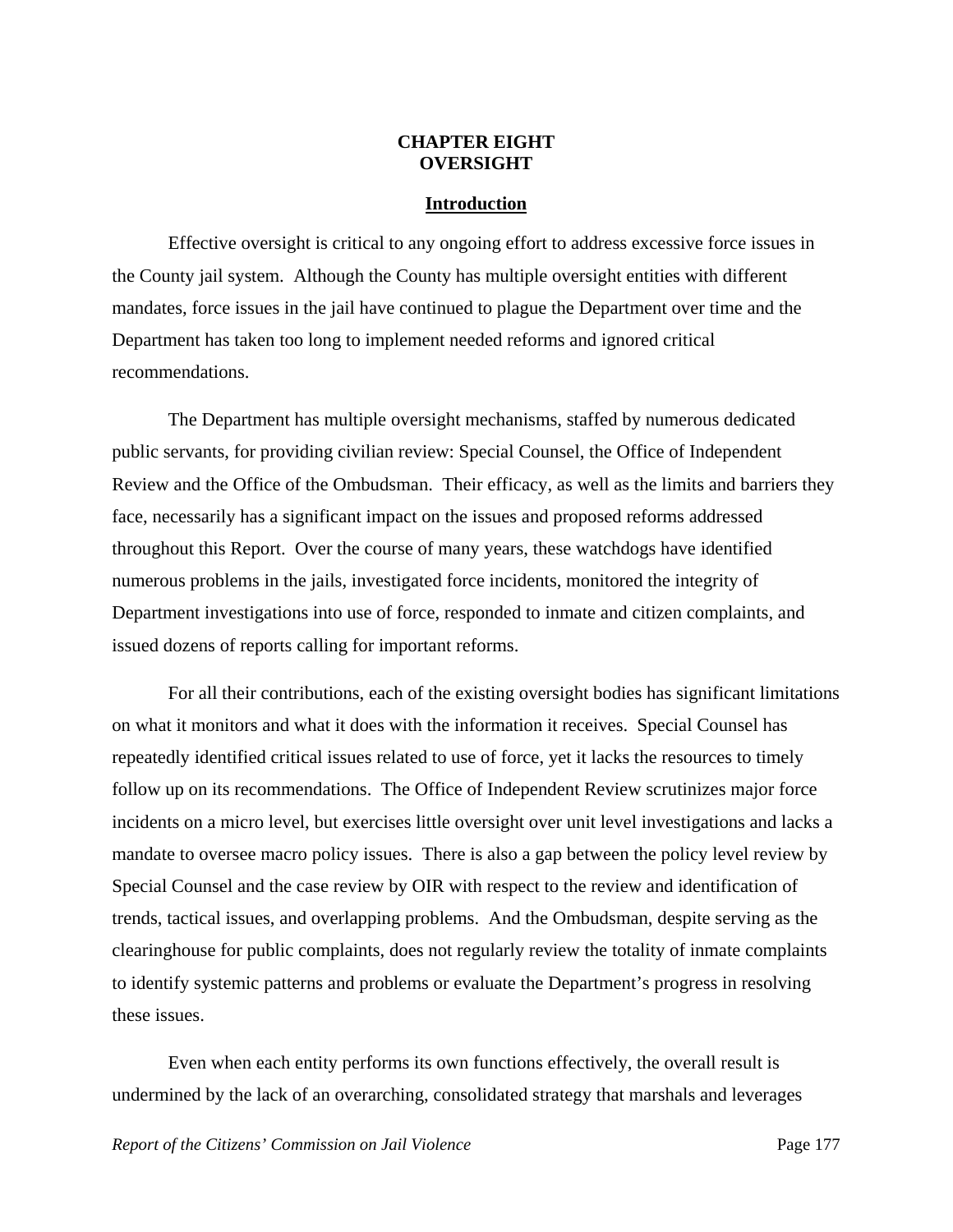### **CHAPTER EIGHT OVERSIGHT**

#### **Introduction**

Effective oversight is critical to any ongoing effort to address excessive force issues in the County jail system. Although the County has multiple oversight entities with different mandates, force issues in the jail have continued to plague the Department over time and the Department has taken too long to implement needed reforms and ignored critical recommendations.

 The Department has multiple oversight mechanisms, staffed by numerous dedicated public servants, for providing civilian review: Special Counsel, the Office of Independent Review and the Office of the Ombudsman. Their efficacy, as well as the limits and barriers they face, necessarily has a significant impact on the issues and proposed reforms addressed throughout this Report. Over the course of many years, these watchdogs have identified numerous problems in the jails, investigated force incidents, monitored the integrity of Department investigations into use of force, responded to inmate and citizen complaints, and issued dozens of reports calling for important reforms.

 For all their contributions, each of the existing oversight bodies has significant limitations on what it monitors and what it does with the information it receives. Special Counsel has repeatedly identified critical issues related to use of force, yet it lacks the resources to timely follow up on its recommendations. The Office of Independent Review scrutinizes major force incidents on a micro level, but exercises little oversight over unit level investigations and lacks a mandate to oversee macro policy issues. There is also a gap between the policy level review by Special Counsel and the case review by OIR with respect to the review and identification of trends, tactical issues, and overlapping problems. And the Ombudsman, despite serving as the clearinghouse for public complaints, does not regularly review the totality of inmate complaints to identify systemic patterns and problems or evaluate the Department's progress in resolving these issues.

 Even when each entity performs its own functions effectively, the overall result is undermined by the lack of an overarching, consolidated strategy that marshals and leverages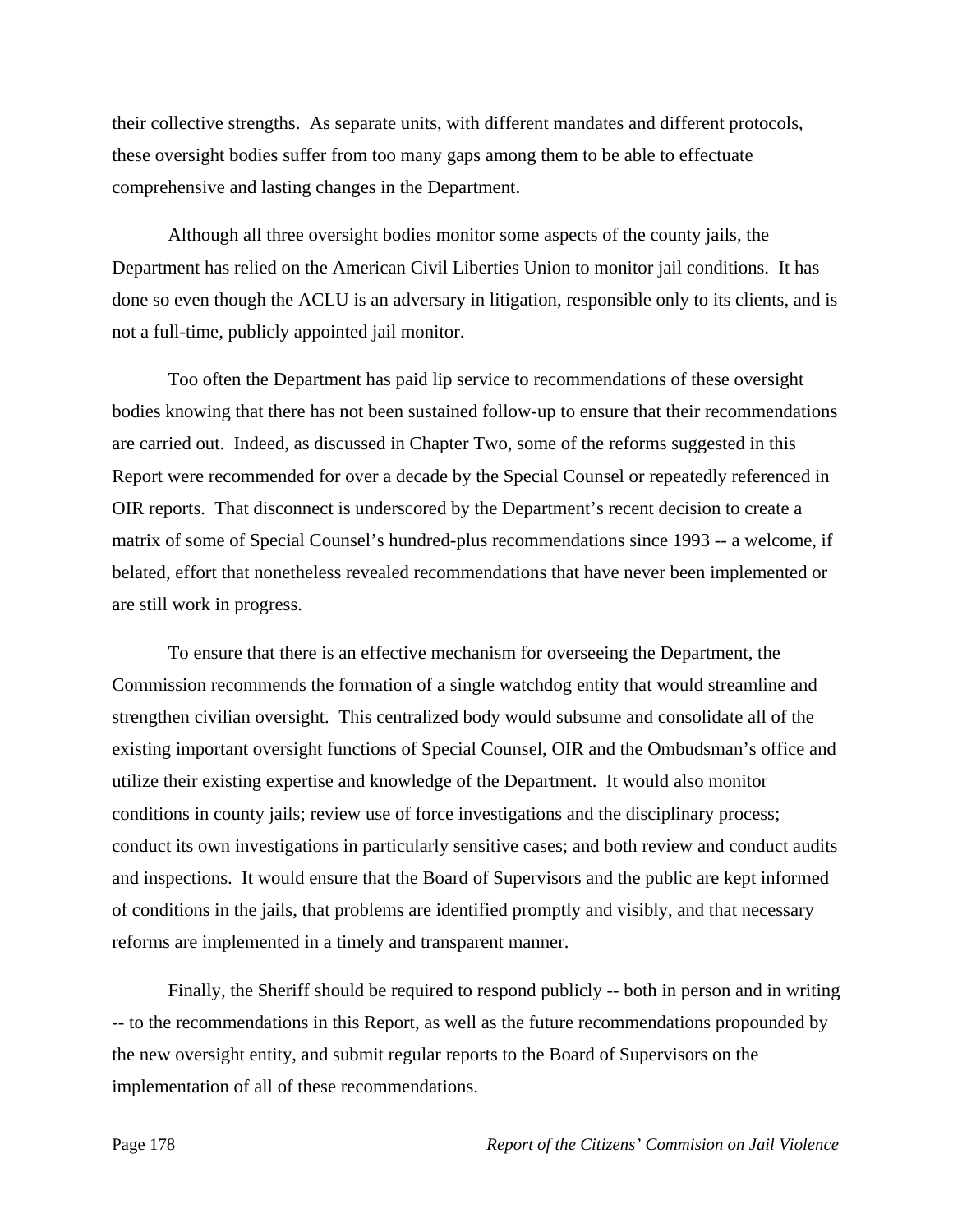their collective strengths. As separate units, with different mandates and different protocols, these oversight bodies suffer from too many gaps among them to be able to effectuate comprehensive and lasting changes in the Department.

 Although all three oversight bodies monitor some aspects of the county jails, the Department has relied on the American Civil Liberties Union to monitor jail conditions. It has done so even though the ACLU is an adversary in litigation, responsible only to its clients, and is not a full-time, publicly appointed jail monitor.

 Too often the Department has paid lip service to recommendations of these oversight bodies knowing that there has not been sustained follow-up to ensure that their recommendations are carried out. Indeed, as discussed in Chapter Two, some of the reforms suggested in this Report were recommended for over a decade by the Special Counsel or repeatedly referenced in OIR reports. That disconnect is underscored by the Department's recent decision to create a matrix of some of Special Counsel's hundred-plus recommendations since 1993 -- a welcome, if belated, effort that nonetheless revealed recommendations that have never been implemented or are still work in progress.

 To ensure that there is an effective mechanism for overseeing the Department, the Commission recommends the formation of a single watchdog entity that would streamline and strengthen civilian oversight. This centralized body would subsume and consolidate all of the existing important oversight functions of Special Counsel, OIR and the Ombudsman's office and utilize their existing expertise and knowledge of the Department. It would also monitor conditions in county jails; review use of force investigations and the disciplinary process; conduct its own investigations in particularly sensitive cases; and both review and conduct audits and inspections. It would ensure that the Board of Supervisors and the public are kept informed of conditions in the jails, that problems are identified promptly and visibly, and that necessary reforms are implemented in a timely and transparent manner.

 Finally, the Sheriff should be required to respond publicly -- both in person and in writing -- to the recommendations in this Report, as well as the future recommendations propounded by the new oversight entity, and submit regular reports to the Board of Supervisors on the implementation of all of these recommendations.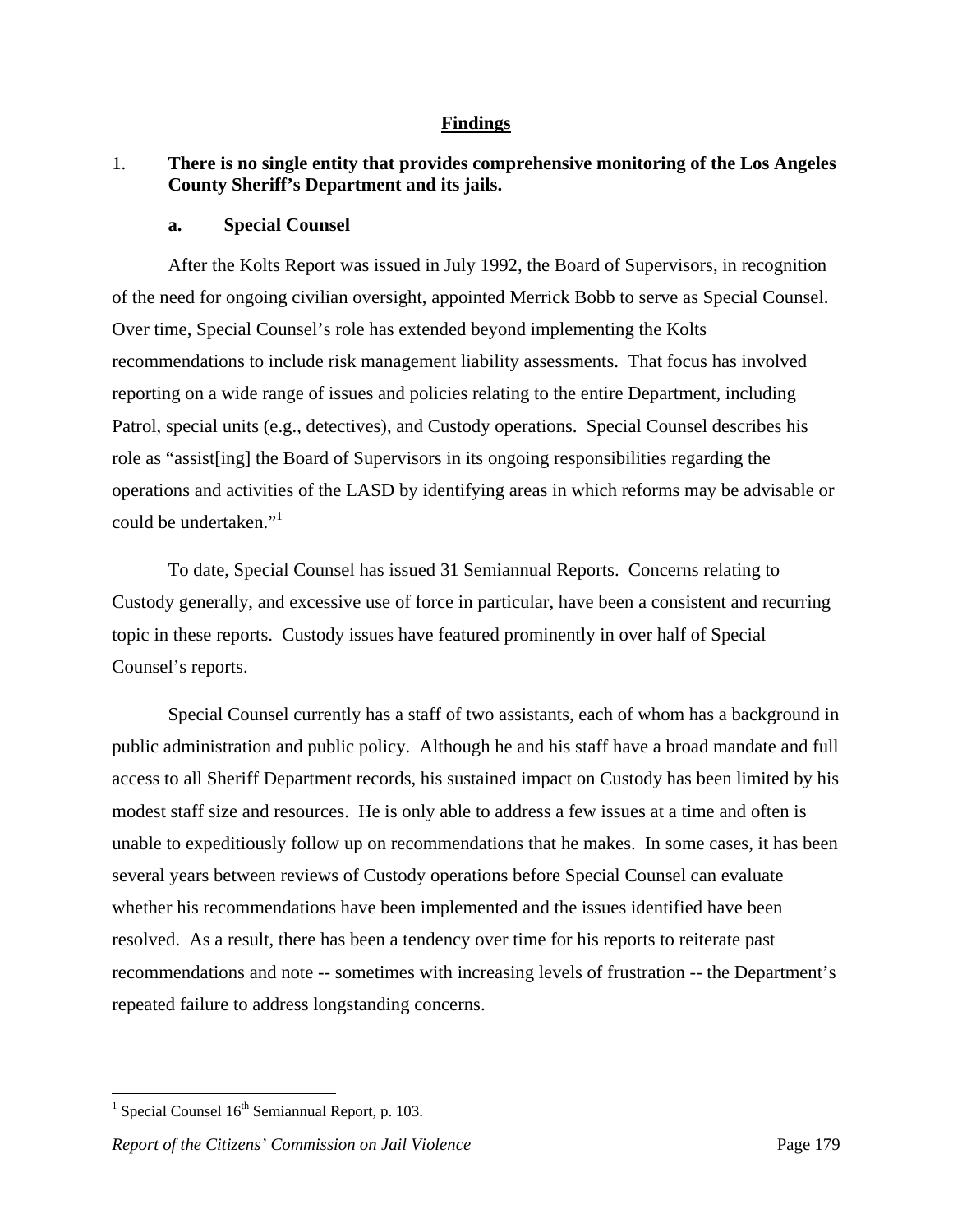### **Findings**

# 1. **There is no single entity that provides comprehensive monitoring of the Los Angeles County Sheriff's Department and its jails.**

#### **a. Special Counsel**

 After the Kolts Report was issued in July 1992, the Board of Supervisors, in recognition of the need for ongoing civilian oversight, appointed Merrick Bobb to serve as Special Counsel. Over time, Special Counsel's role has extended beyond implementing the Kolts recommendations to include risk management liability assessments. That focus has involved reporting on a wide range of issues and policies relating to the entire Department, including Patrol, special units (e.g., detectives), and Custody operations. Special Counsel describes his role as "assist[ing] the Board of Supervisors in its ongoing responsibilities regarding the operations and activities of the LASD by identifying areas in which reforms may be advisable or could be undertaken."<sup>1</sup>

 To date, Special Counsel has issued 31 Semiannual Reports. Concerns relating to Custody generally, and excessive use of force in particular, have been a consistent and recurring topic in these reports. Custody issues have featured prominently in over half of Special Counsel's reports.

 Special Counsel currently has a staff of two assistants, each of whom has a background in public administration and public policy. Although he and his staff have a broad mandate and full access to all Sheriff Department records, his sustained impact on Custody has been limited by his modest staff size and resources. He is only able to address a few issues at a time and often is unable to expeditiously follow up on recommendations that he makes. In some cases, it has been several years between reviews of Custody operations before Special Counsel can evaluate whether his recommendations have been implemented and the issues identified have been resolved. As a result, there has been a tendency over time for his reports to reiterate past recommendations and note -- sometimes with increasing levels of frustration -- the Department's repeated failure to address longstanding concerns.

<sup>&</sup>lt;sup>1</sup> Special Counsel  $16<sup>th</sup>$  Semiannual Report, p. 103.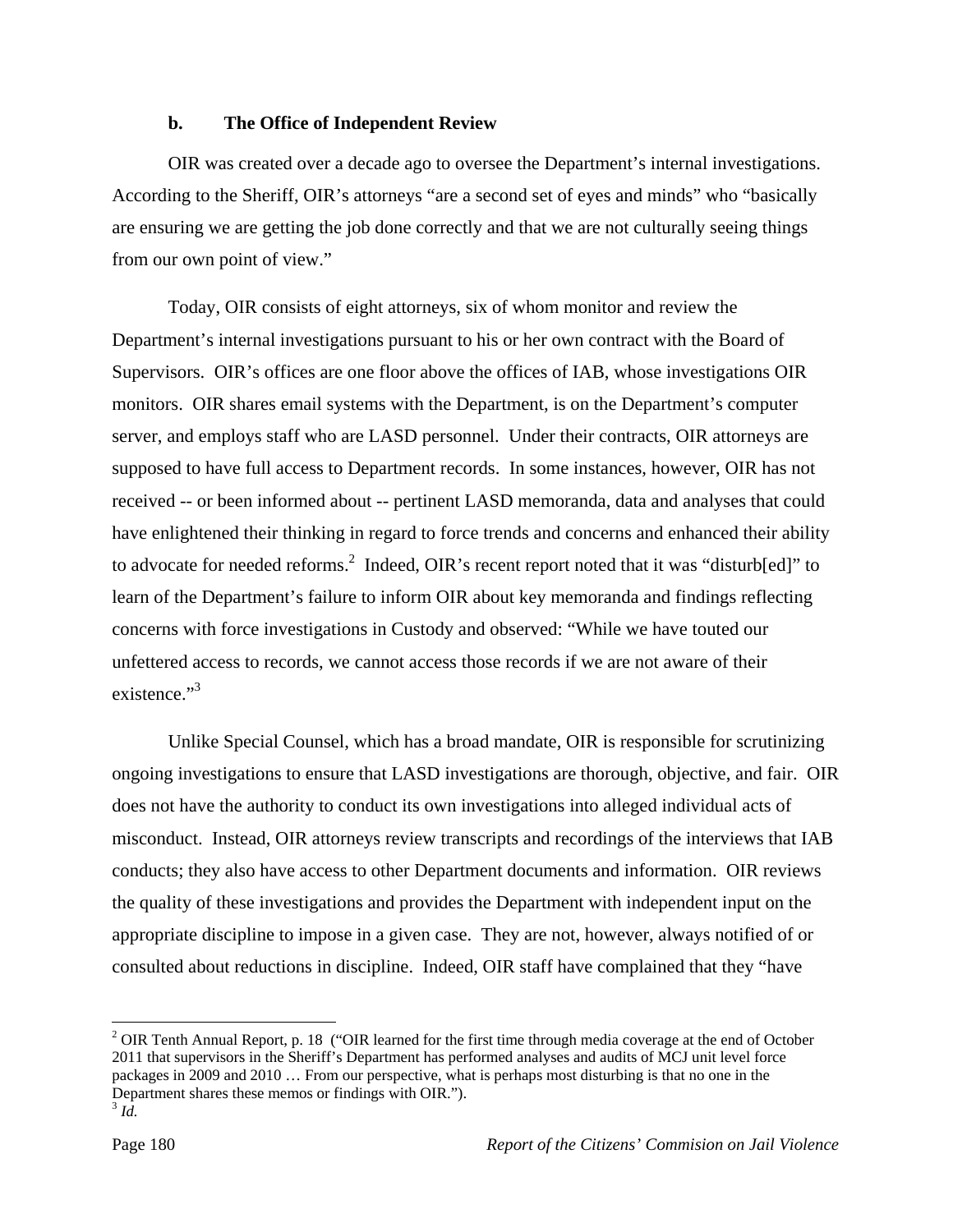### **b. The Office of Independent Review**

 OIR was created over a decade ago to oversee the Department's internal investigations. According to the Sheriff, OIR's attorneys "are a second set of eyes and minds" who "basically are ensuring we are getting the job done correctly and that we are not culturally seeing things from our own point of view."

 Today, OIR consists of eight attorneys, six of whom monitor and review the Department's internal investigations pursuant to his or her own contract with the Board of Supervisors. OIR's offices are one floor above the offices of IAB, whose investigations OIR monitors. OIR shares email systems with the Department, is on the Department's computer server, and employs staff who are LASD personnel. Under their contracts, OIR attorneys are supposed to have full access to Department records. In some instances, however, OIR has not received -- or been informed about -- pertinent LASD memoranda, data and analyses that could have enlightened their thinking in regard to force trends and concerns and enhanced their ability to advocate for needed reforms.<sup>2</sup> Indeed, OIR's recent report noted that it was "disturb[ed]" to learn of the Department's failure to inform OIR about key memoranda and findings reflecting concerns with force investigations in Custody and observed: "While we have touted our unfettered access to records, we cannot access those records if we are not aware of their existence."<sup>3</sup>

 Unlike Special Counsel, which has a broad mandate, OIR is responsible for scrutinizing ongoing investigations to ensure that LASD investigations are thorough, objective, and fair. OIR does not have the authority to conduct its own investigations into alleged individual acts of misconduct. Instead, OIR attorneys review transcripts and recordings of the interviews that IAB conducts; they also have access to other Department documents and information. OIR reviews the quality of these investigations and provides the Department with independent input on the appropriate discipline to impose in a given case. They are not, however, always notified of or consulted about reductions in discipline. Indeed, OIR staff have complained that they "have

1

<sup>&</sup>lt;sup>2</sup> OIR Tenth Annual Report, p. 18 ("OIR learned for the first time through media coverage at the end of October 2011 that supervisors in the Sheriff's Department has performed analyses and audits of MCJ unit level force packages in 2009 and 2010 … From our perspective, what is perhaps most disturbing is that no one in the Department shares these memos or findings with OIR."). 3 *Id.*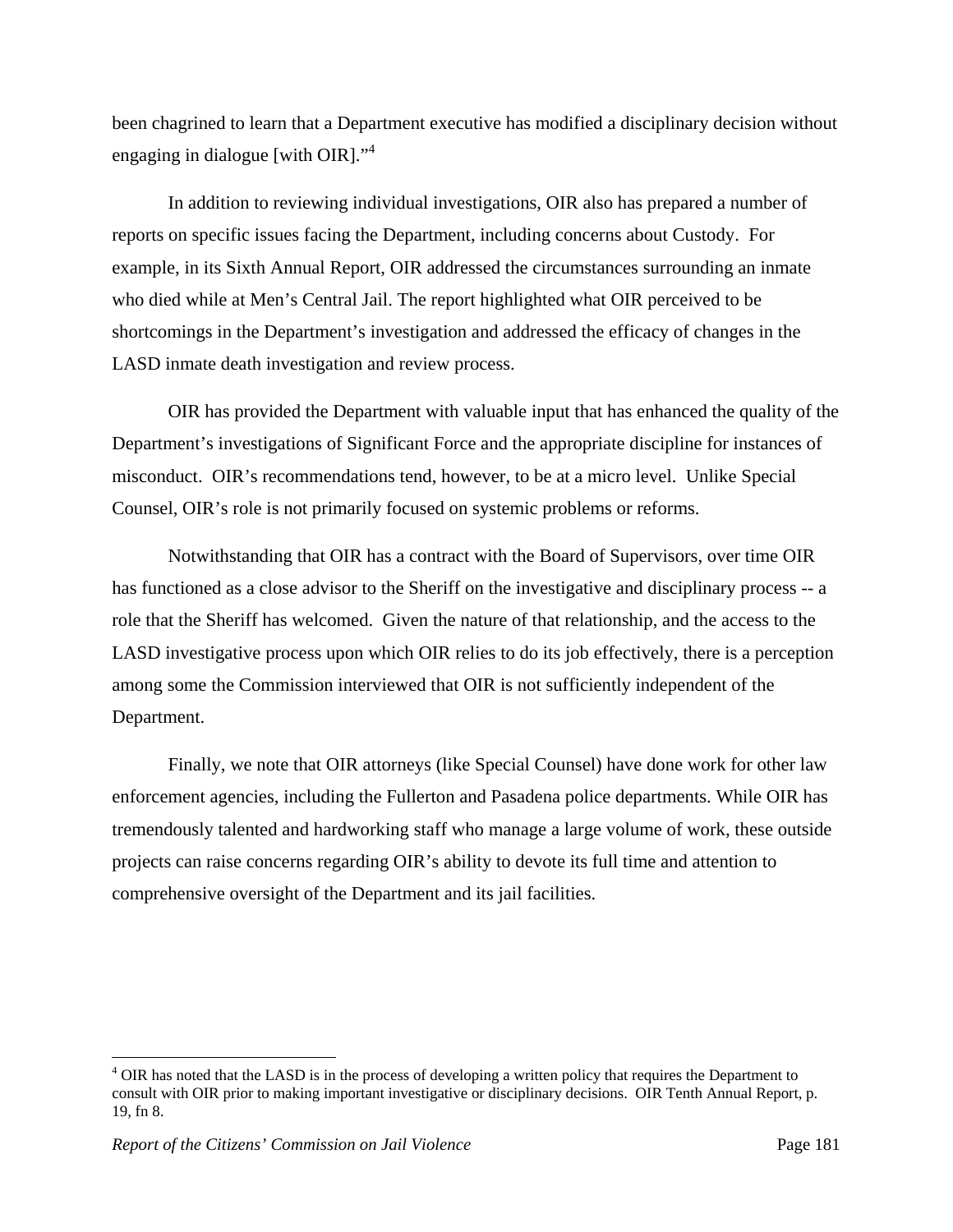been chagrined to learn that a Department executive has modified a disciplinary decision without engaging in dialogue [with OIR]."<sup>4</sup>

 In addition to reviewing individual investigations, OIR also has prepared a number of reports on specific issues facing the Department, including concerns about Custody. For example, in its Sixth Annual Report, OIR addressed the circumstances surrounding an inmate who died while at Men's Central Jail. The report highlighted what OIR perceived to be shortcomings in the Department's investigation and addressed the efficacy of changes in the LASD inmate death investigation and review process.

 OIR has provided the Department with valuable input that has enhanced the quality of the Department's investigations of Significant Force and the appropriate discipline for instances of misconduct. OIR's recommendations tend, however, to be at a micro level. Unlike Special Counsel, OIR's role is not primarily focused on systemic problems or reforms.

 Notwithstanding that OIR has a contract with the Board of Supervisors, over time OIR has functioned as a close advisor to the Sheriff on the investigative and disciplinary process -- a role that the Sheriff has welcomed. Given the nature of that relationship, and the access to the LASD investigative process upon which OIR relies to do its job effectively, there is a perception among some the Commission interviewed that OIR is not sufficiently independent of the Department.

 Finally, we note that OIR attorneys (like Special Counsel) have done work for other law enforcement agencies, including the Fullerton and Pasadena police departments. While OIR has tremendously talented and hardworking staff who manage a large volume of work, these outside projects can raise concerns regarding OIR's ability to devote its full time and attention to comprehensive oversight of the Department and its jail facilities.

<sup>&</sup>lt;sup>4</sup> OIR has noted that the LASD is in the process of developing a written policy that requires the Department to consult with OIR prior to making important investigative or disciplinary decisions. OIR Tenth Annual Report, p. 19, fn 8.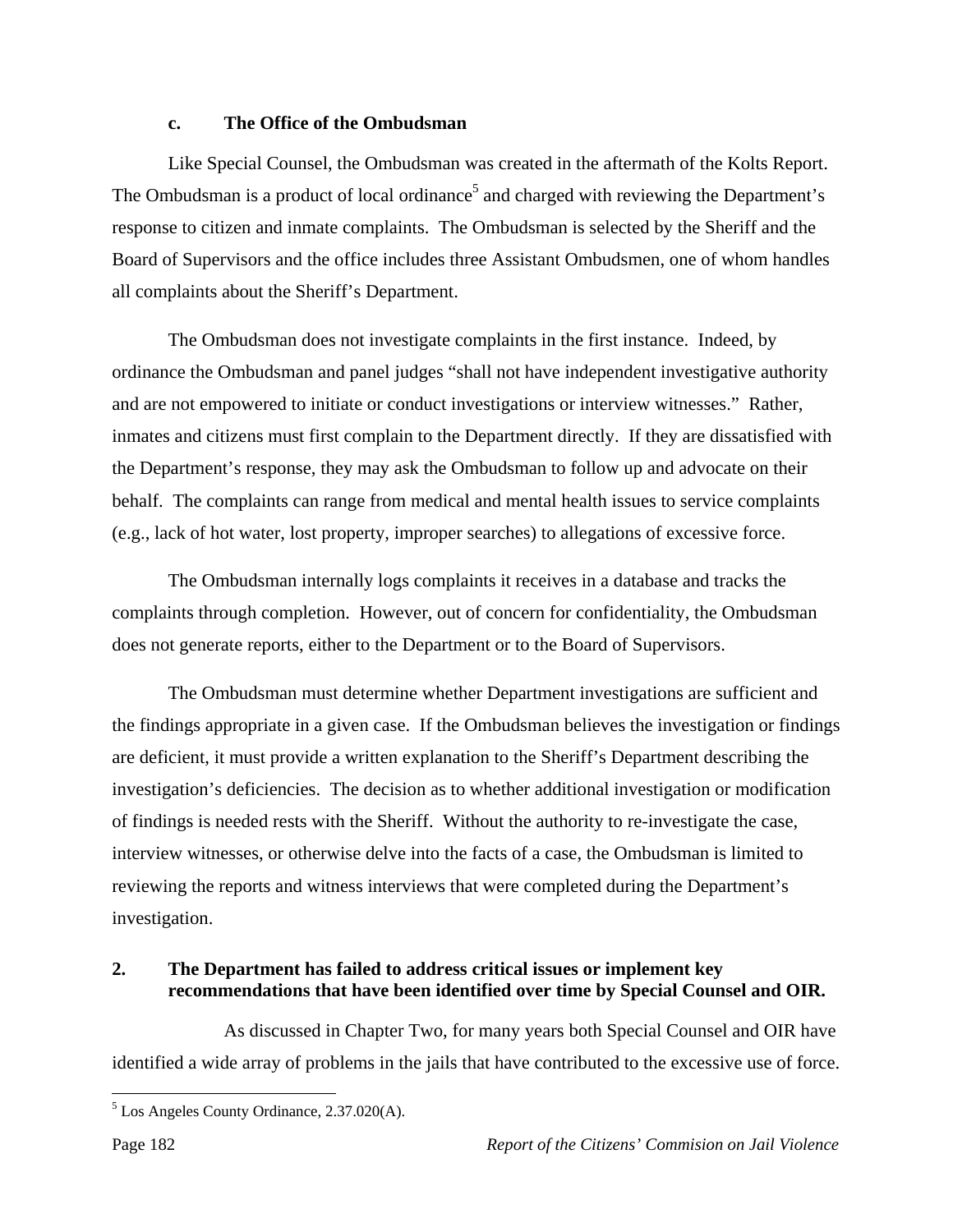### **c. The Office of the Ombudsman**

 Like Special Counsel, the Ombudsman was created in the aftermath of the Kolts Report. The Ombudsman is a product of local ordinance<sup>5</sup> and charged with reviewing the Department's response to citizen and inmate complaints. The Ombudsman is selected by the Sheriff and the Board of Supervisors and the office includes three Assistant Ombudsmen, one of whom handles all complaints about the Sheriff's Department.

 The Ombudsman does not investigate complaints in the first instance. Indeed, by ordinance the Ombudsman and panel judges "shall not have independent investigative authority and are not empowered to initiate or conduct investigations or interview witnesses." Rather, inmates and citizens must first complain to the Department directly. If they are dissatisfied with the Department's response, they may ask the Ombudsman to follow up and advocate on their behalf. The complaints can range from medical and mental health issues to service complaints (e.g., lack of hot water, lost property, improper searches) to allegations of excessive force.

 The Ombudsman internally logs complaints it receives in a database and tracks the complaints through completion. However, out of concern for confidentiality, the Ombudsman does not generate reports, either to the Department or to the Board of Supervisors.

 The Ombudsman must determine whether Department investigations are sufficient and the findings appropriate in a given case. If the Ombudsman believes the investigation or findings are deficient, it must provide a written explanation to the Sheriff's Department describing the investigation's deficiencies. The decision as to whether additional investigation or modification of findings is needed rests with the Sheriff. Without the authority to re-investigate the case, interview witnesses, or otherwise delve into the facts of a case, the Ombudsman is limited to reviewing the reports and witness interviews that were completed during the Department's investigation.

# **2. The Department has failed to address critical issues or implement key recommendations that have been identified over time by Special Counsel and OIR.**

 As discussed in Chapter Two, for many years both Special Counsel and OIR have identified a wide array of problems in the jails that have contributed to the excessive use of force.

<sup>5</sup> Los Angeles County Ordinance, 2.37.020(A).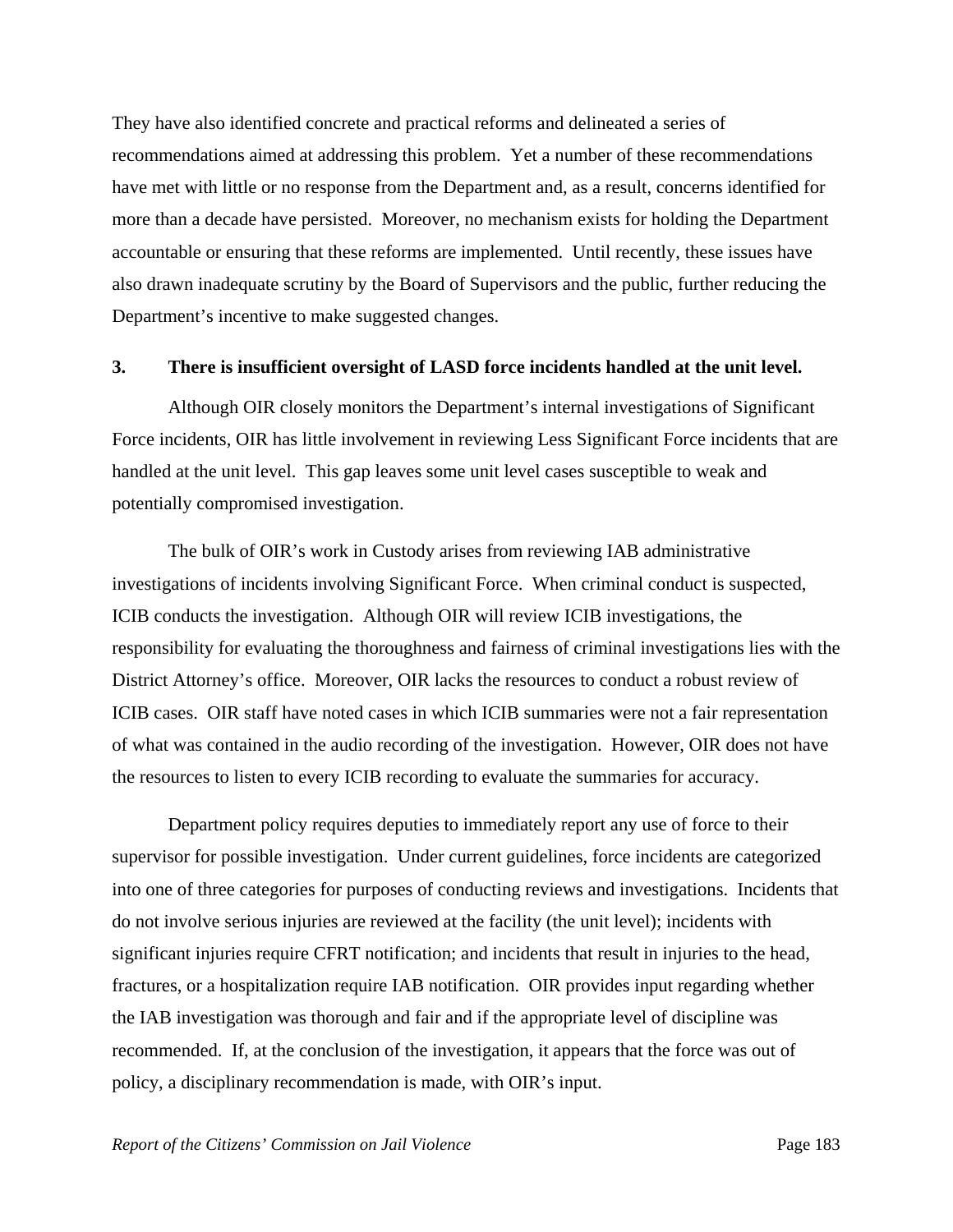They have also identified concrete and practical reforms and delineated a series of recommendations aimed at addressing this problem. Yet a number of these recommendations have met with little or no response from the Department and, as a result, concerns identified for more than a decade have persisted. Moreover, no mechanism exists for holding the Department accountable or ensuring that these reforms are implemented. Until recently, these issues have also drawn inadequate scrutiny by the Board of Supervisors and the public, further reducing the Department's incentive to make suggested changes.

#### **3. There is insufficient oversight of LASD force incidents handled at the unit level.**

 Although OIR closely monitors the Department's internal investigations of Significant Force incidents, OIR has little involvement in reviewing Less Significant Force incidents that are handled at the unit level. This gap leaves some unit level cases susceptible to weak and potentially compromised investigation.

 The bulk of OIR's work in Custody arises from reviewing IAB administrative investigations of incidents involving Significant Force. When criminal conduct is suspected, ICIB conducts the investigation. Although OIR will review ICIB investigations, the responsibility for evaluating the thoroughness and fairness of criminal investigations lies with the District Attorney's office. Moreover, OIR lacks the resources to conduct a robust review of ICIB cases. OIR staff have noted cases in which ICIB summaries were not a fair representation of what was contained in the audio recording of the investigation. However, OIR does not have the resources to listen to every ICIB recording to evaluate the summaries for accuracy.

 Department policy requires deputies to immediately report any use of force to their supervisor for possible investigation. Under current guidelines, force incidents are categorized into one of three categories for purposes of conducting reviews and investigations. Incidents that do not involve serious injuries are reviewed at the facility (the unit level); incidents with significant injuries require CFRT notification; and incidents that result in injuries to the head, fractures, or a hospitalization require IAB notification. OIR provides input regarding whether the IAB investigation was thorough and fair and if the appropriate level of discipline was recommended. If, at the conclusion of the investigation, it appears that the force was out of policy, a disciplinary recommendation is made, with OIR's input.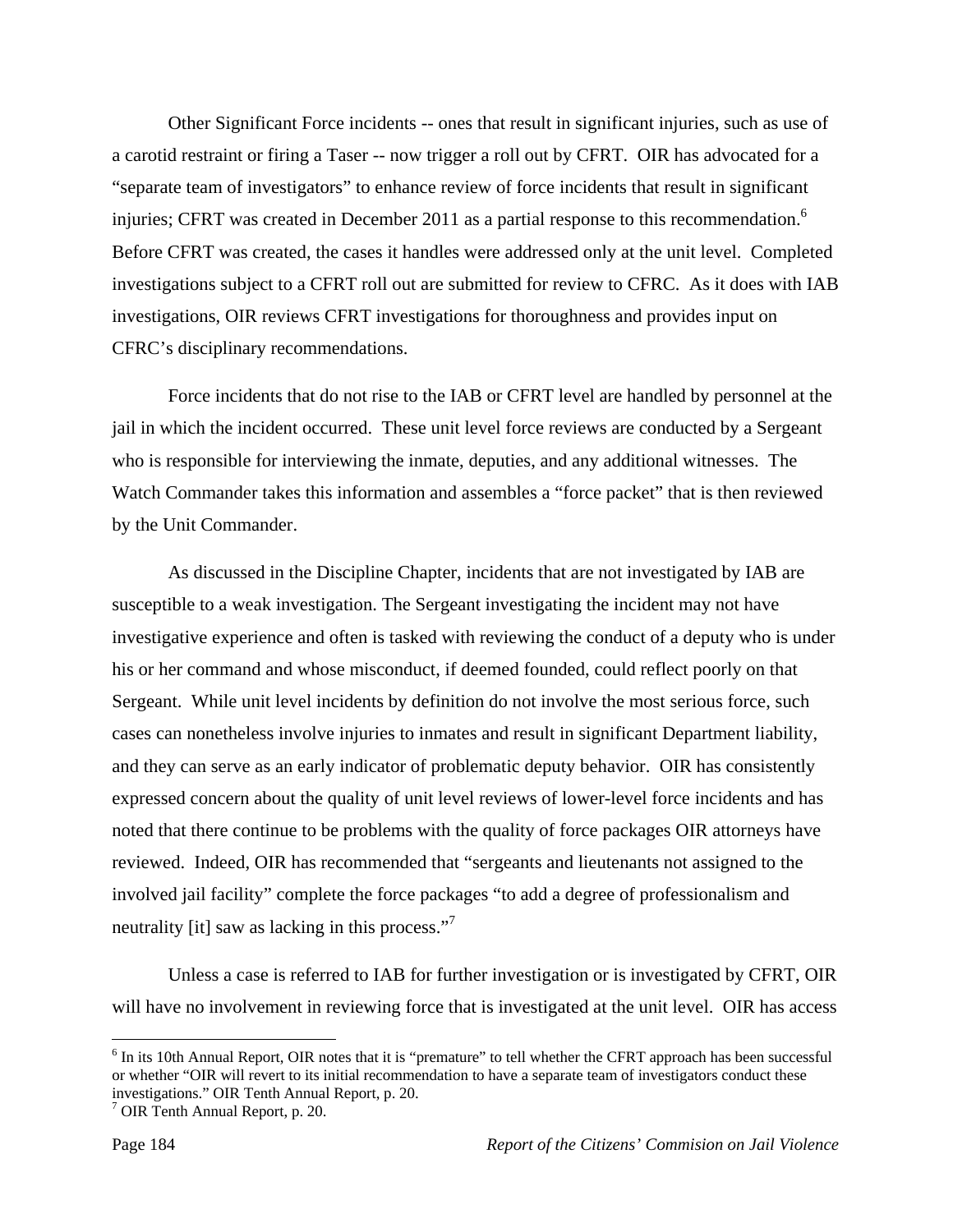Other Significant Force incidents -- ones that result in significant injuries, such as use of a carotid restraint or firing a Taser -- now trigger a roll out by CFRT. OIR has advocated for a "separate team of investigators" to enhance review of force incidents that result in significant injuries; CFRT was created in December 2011 as a partial response to this recommendation.<sup>6</sup> Before CFRT was created, the cases it handles were addressed only at the unit level. Completed investigations subject to a CFRT roll out are submitted for review to CFRC. As it does with IAB investigations, OIR reviews CFRT investigations for thoroughness and provides input on CFRC's disciplinary recommendations.

 Force incidents that do not rise to the IAB or CFRT level are handled by personnel at the jail in which the incident occurred. These unit level force reviews are conducted by a Sergeant who is responsible for interviewing the inmate, deputies, and any additional witnesses. The Watch Commander takes this information and assembles a "force packet" that is then reviewed by the Unit Commander.

 As discussed in the Discipline Chapter, incidents that are not investigated by IAB are susceptible to a weak investigation. The Sergeant investigating the incident may not have investigative experience and often is tasked with reviewing the conduct of a deputy who is under his or her command and whose misconduct, if deemed founded, could reflect poorly on that Sergeant. While unit level incidents by definition do not involve the most serious force, such cases can nonetheless involve injuries to inmates and result in significant Department liability, and they can serve as an early indicator of problematic deputy behavior. OIR has consistently expressed concern about the quality of unit level reviews of lower-level force incidents and has noted that there continue to be problems with the quality of force packages OIR attorneys have reviewed. Indeed, OIR has recommended that "sergeants and lieutenants not assigned to the involved jail facility" complete the force packages "to add a degree of professionalism and neutrality [it] saw as lacking in this process."

 Unless a case is referred to IAB for further investigation or is investigated by CFRT, OIR will have no involvement in reviewing force that is investigated at the unit level. OIR has access

 $6$  In its 10th Annual Report, OIR notes that it is "premature" to tell whether the CFRT approach has been successful or whether "OIR will revert to its initial recommendation to have a separate team of investigators conduct these investigations." OIR Tenth Annual Report, p. 20.

<sup>7</sup> OIR Tenth Annual Report, p. 20.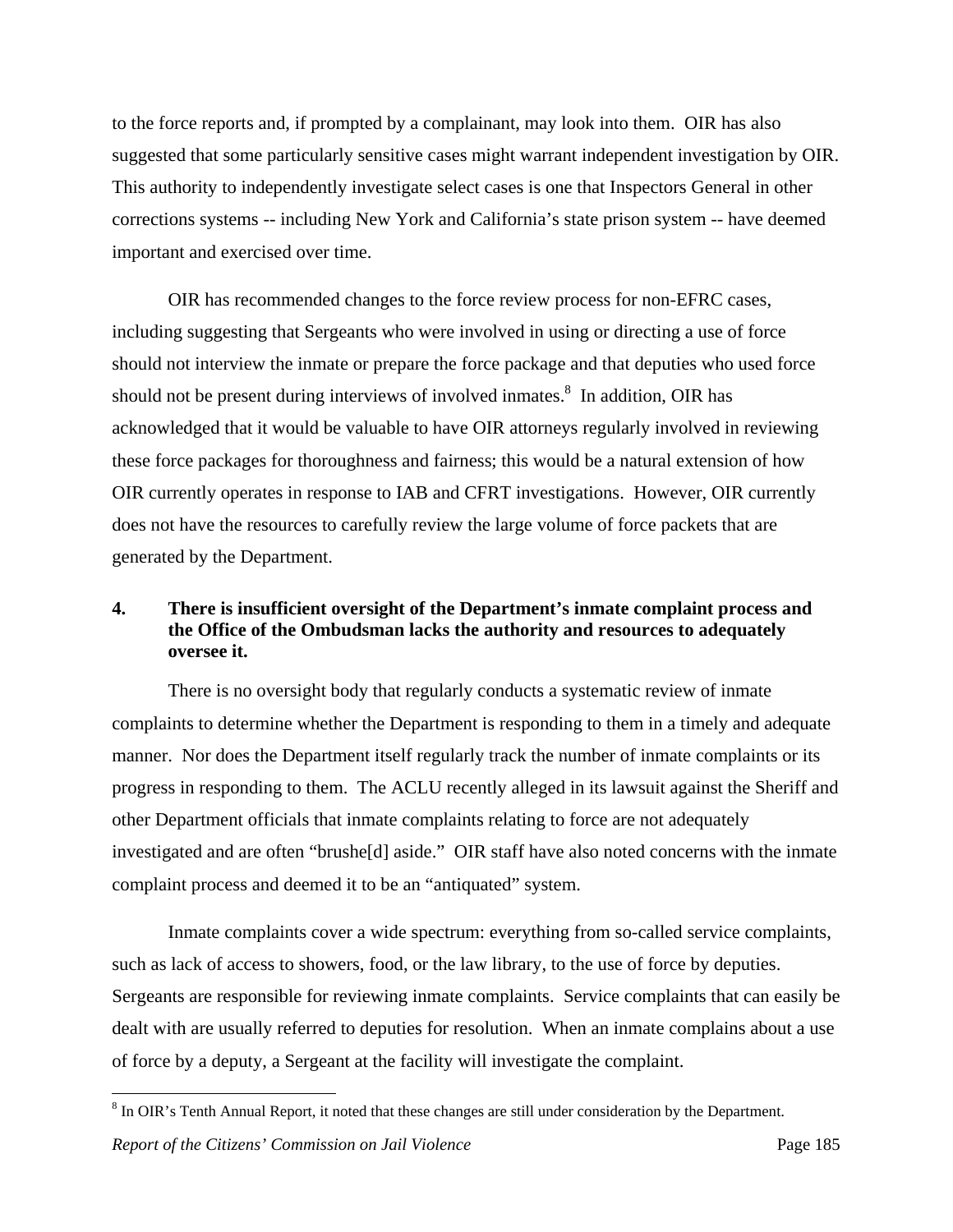to the force reports and, if prompted by a complainant, may look into them. OIR has also suggested that some particularly sensitive cases might warrant independent investigation by OIR. This authority to independently investigate select cases is one that Inspectors General in other corrections systems -- including New York and California's state prison system -- have deemed important and exercised over time.

 OIR has recommended changes to the force review process for non-EFRC cases, including suggesting that Sergeants who were involved in using or directing a use of force should not interview the inmate or prepare the force package and that deputies who used force should not be present during interviews of involved inmates.<sup>8</sup> In addition, OIR has acknowledged that it would be valuable to have OIR attorneys regularly involved in reviewing these force packages for thoroughness and fairness; this would be a natural extension of how OIR currently operates in response to IAB and CFRT investigations. However, OIR currently does not have the resources to carefully review the large volume of force packets that are generated by the Department.

# **4. There is insufficient oversight of the Department's inmate complaint process and the Office of the Ombudsman lacks the authority and resources to adequately oversee it.**

 There is no oversight body that regularly conducts a systematic review of inmate complaints to determine whether the Department is responding to them in a timely and adequate manner. Nor does the Department itself regularly track the number of inmate complaints or its progress in responding to them. The ACLU recently alleged in its lawsuit against the Sheriff and other Department officials that inmate complaints relating to force are not adequately investigated and are often "brushe[d] aside." OIR staff have also noted concerns with the inmate complaint process and deemed it to be an "antiquated" system.

 Inmate complaints cover a wide spectrum: everything from so-called service complaints, such as lack of access to showers, food, or the law library, to the use of force by deputies. Sergeants are responsible for reviewing inmate complaints. Service complaints that can easily be dealt with are usually referred to deputies for resolution. When an inmate complains about a use of force by a deputy, a Sergeant at the facility will investigate the complaint.

<u>.</u>

 $8 \text{ In OIR's Tenth Annual Report, it noted that these changes are still under consideration by the Department.}$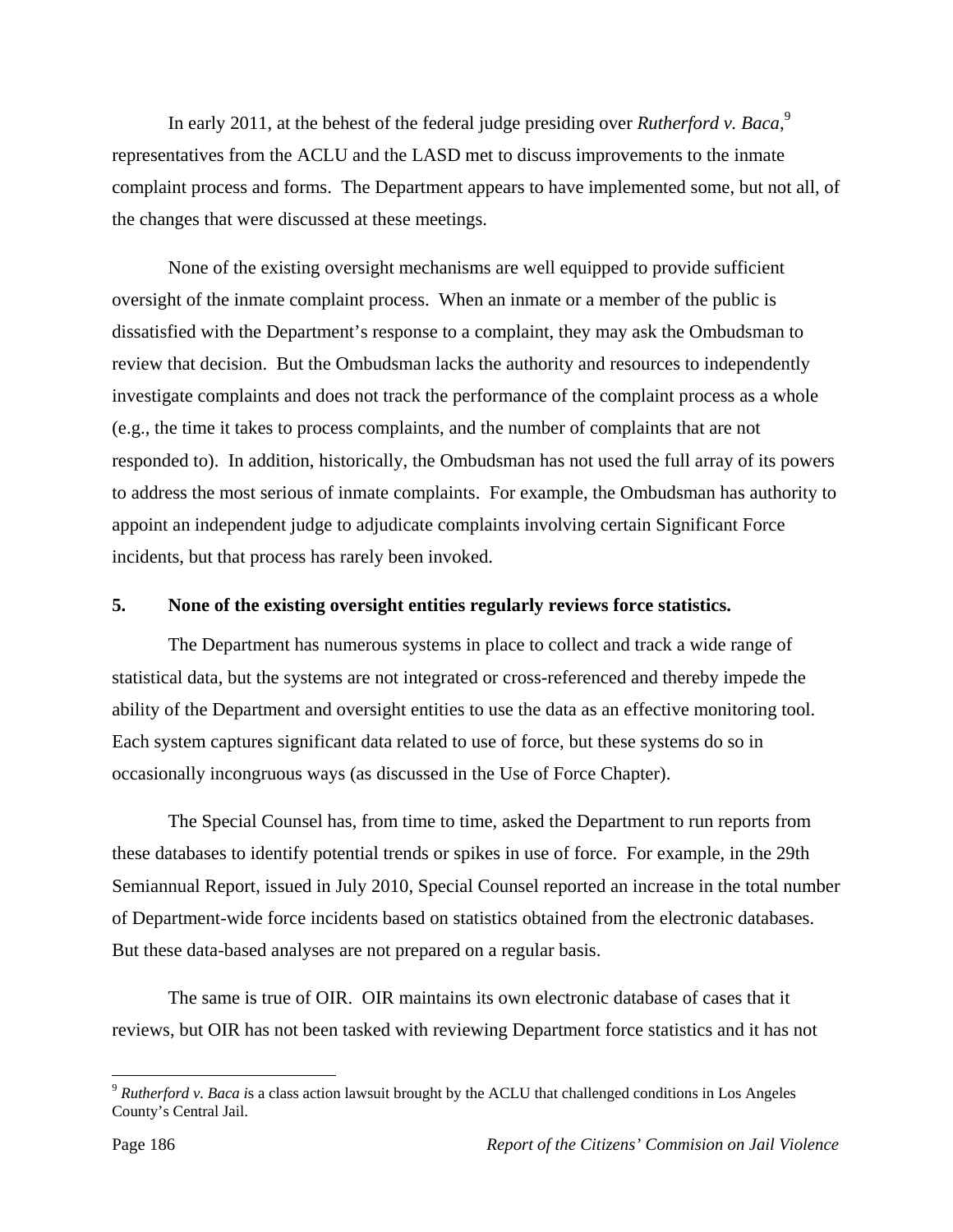In early 2011, at the behest of the federal judge presiding over *Rutherford v. Baca*,<sup>9</sup> representatives from the ACLU and the LASD met to discuss improvements to the inmate complaint process and forms. The Department appears to have implemented some, but not all, of the changes that were discussed at these meetings.

 None of the existing oversight mechanisms are well equipped to provide sufficient oversight of the inmate complaint process. When an inmate or a member of the public is dissatisfied with the Department's response to a complaint, they may ask the Ombudsman to review that decision. But the Ombudsman lacks the authority and resources to independently investigate complaints and does not track the performance of the complaint process as a whole (e.g., the time it takes to process complaints, and the number of complaints that are not responded to). In addition, historically, the Ombudsman has not used the full array of its powers to address the most serious of inmate complaints. For example, the Ombudsman has authority to appoint an independent judge to adjudicate complaints involving certain Significant Force incidents, but that process has rarely been invoked.

### **5. None of the existing oversight entities regularly reviews force statistics.**

 The Department has numerous systems in place to collect and track a wide range of statistical data, but the systems are not integrated or cross-referenced and thereby impede the ability of the Department and oversight entities to use the data as an effective monitoring tool. Each system captures significant data related to use of force, but these systems do so in occasionally incongruous ways (as discussed in the Use of Force Chapter).

 The Special Counsel has, from time to time, asked the Department to run reports from these databases to identify potential trends or spikes in use of force. For example, in the 29th Semiannual Report, issued in July 2010, Special Counsel reported an increase in the total number of Department-wide force incidents based on statistics obtained from the electronic databases. But these data-based analyses are not prepared on a regular basis.

 The same is true of OIR. OIR maintains its own electronic database of cases that it reviews, but OIR has not been tasked with reviewing Department force statistics and it has not

<sup>9</sup> *Rutherford v. Baca i*s a class action lawsuit brought by the ACLU that challenged conditions in Los Angeles County's Central Jail.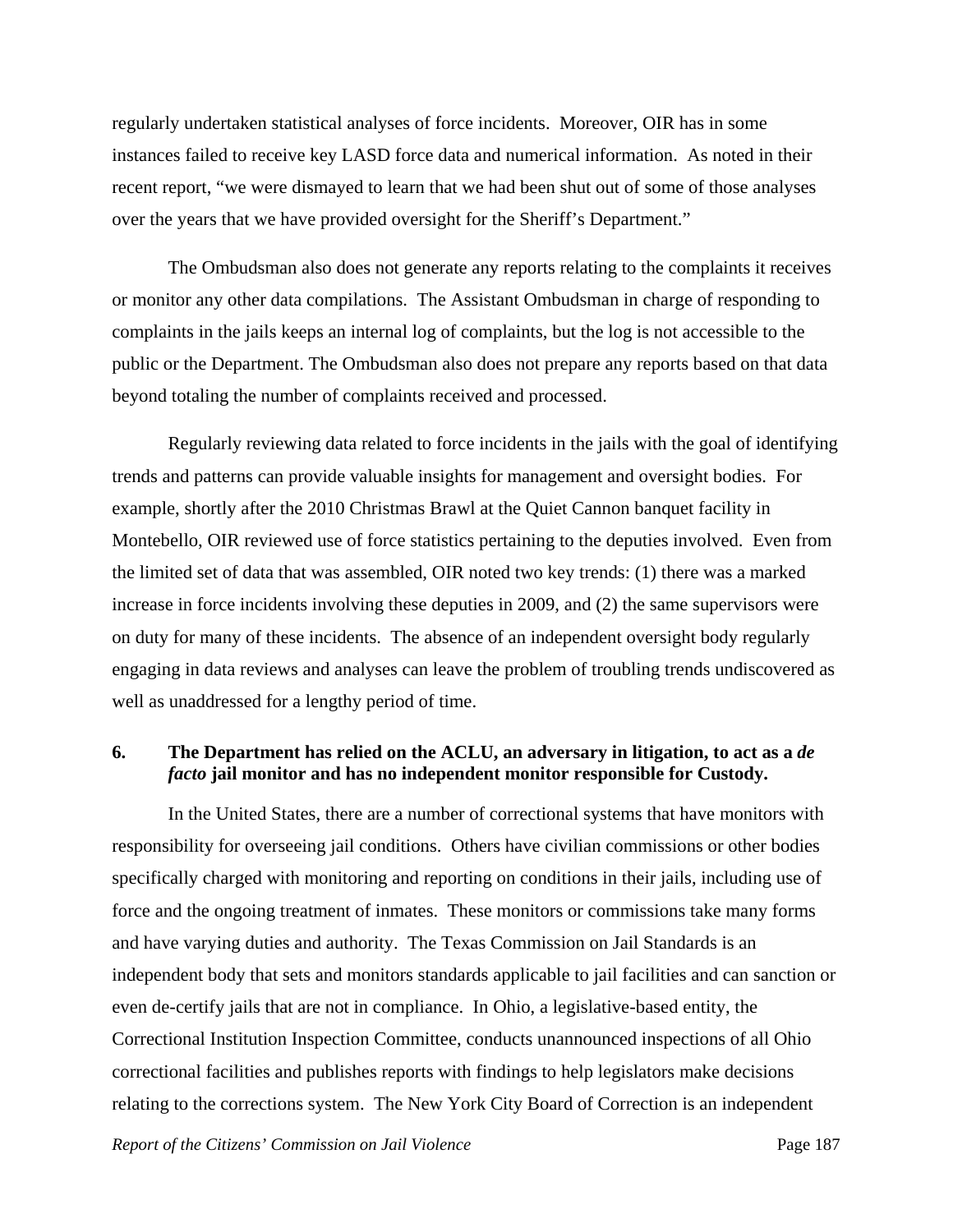regularly undertaken statistical analyses of force incidents. Moreover, OIR has in some instances failed to receive key LASD force data and numerical information. As noted in their recent report, "we were dismayed to learn that we had been shut out of some of those analyses over the years that we have provided oversight for the Sheriff's Department."

 The Ombudsman also does not generate any reports relating to the complaints it receives or monitor any other data compilations. The Assistant Ombudsman in charge of responding to complaints in the jails keeps an internal log of complaints, but the log is not accessible to the public or the Department. The Ombudsman also does not prepare any reports based on that data beyond totaling the number of complaints received and processed.

 Regularly reviewing data related to force incidents in the jails with the goal of identifying trends and patterns can provide valuable insights for management and oversight bodies. For example, shortly after the 2010 Christmas Brawl at the Quiet Cannon banquet facility in Montebello, OIR reviewed use of force statistics pertaining to the deputies involved. Even from the limited set of data that was assembled, OIR noted two key trends: (1) there was a marked increase in force incidents involving these deputies in 2009, and (2) the same supervisors were on duty for many of these incidents. The absence of an independent oversight body regularly engaging in data reviews and analyses can leave the problem of troubling trends undiscovered as well as unaddressed for a lengthy period of time.

### **6. The Department has relied on the ACLU, an adversary in litigation, to act as a** *de facto* **jail monitor and has no independent monitor responsible for Custody.**

 In the United States, there are a number of correctional systems that have monitors with responsibility for overseeing jail conditions. Others have civilian commissions or other bodies specifically charged with monitoring and reporting on conditions in their jails, including use of force and the ongoing treatment of inmates. These monitors or commissions take many forms and have varying duties and authority. The Texas Commission on Jail Standards is an independent body that sets and monitors standards applicable to jail facilities and can sanction or even de-certify jails that are not in compliance. In Ohio, a legislative-based entity, the Correctional Institution Inspection Committee, conducts unannounced inspections of all Ohio correctional facilities and publishes reports with findings to help legislators make decisions relating to the corrections system. The New York City Board of Correction is an independent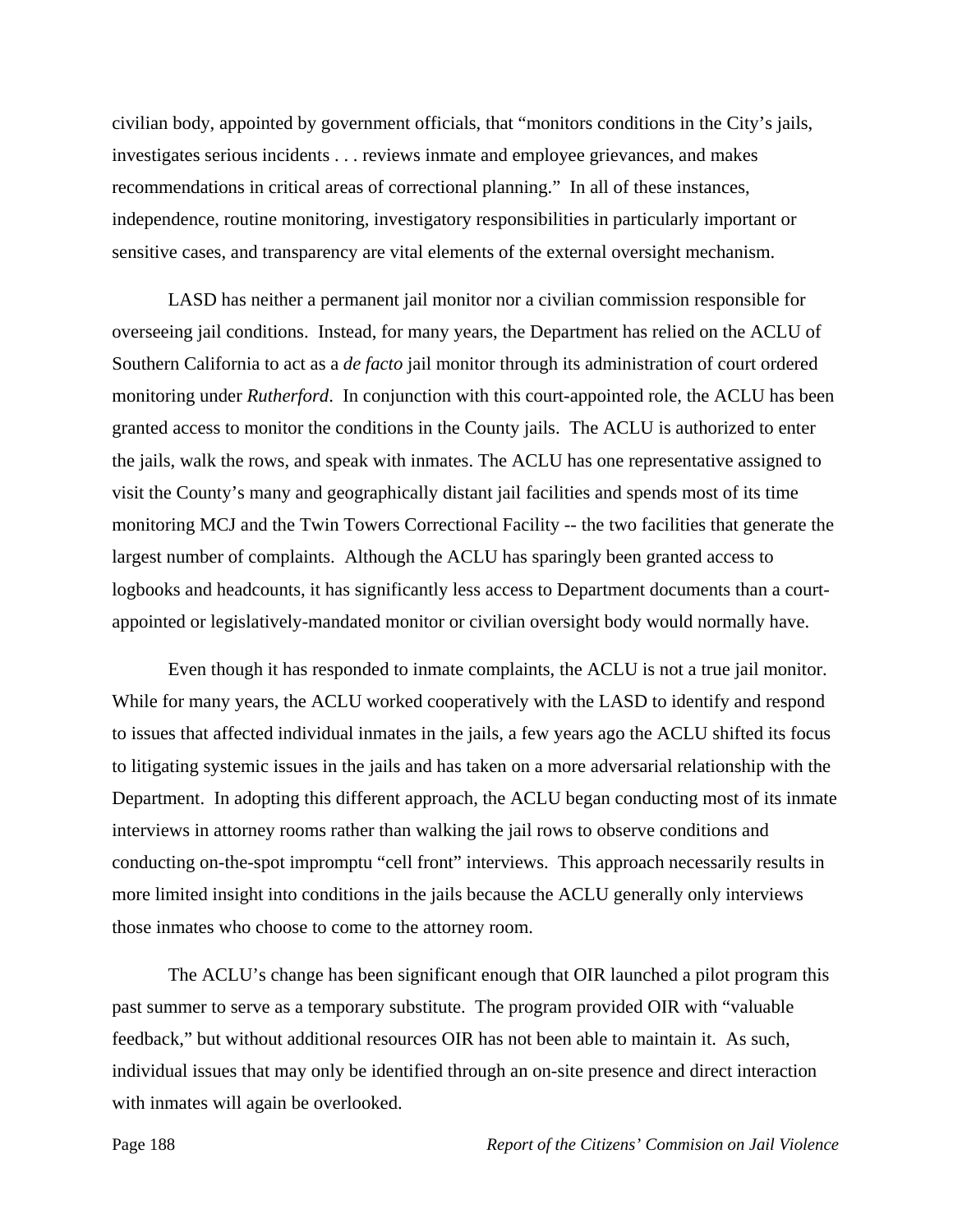civilian body, appointed by government officials, that "monitors conditions in the City's jails, investigates serious incidents . . . reviews inmate and employee grievances, and makes recommendations in critical areas of correctional planning." In all of these instances, independence, routine monitoring, investigatory responsibilities in particularly important or sensitive cases, and transparency are vital elements of the external oversight mechanism.

 LASD has neither a permanent jail monitor nor a civilian commission responsible for overseeing jail conditions. Instead, for many years, the Department has relied on the ACLU of Southern California to act as a *de facto* jail monitor through its administration of court ordered monitoring under *Rutherford*. In conjunction with this court-appointed role, the ACLU has been granted access to monitor the conditions in the County jails. The ACLU is authorized to enter the jails, walk the rows, and speak with inmates. The ACLU has one representative assigned to visit the County's many and geographically distant jail facilities and spends most of its time monitoring MCJ and the Twin Towers Correctional Facility -- the two facilities that generate the largest number of complaints. Although the ACLU has sparingly been granted access to logbooks and headcounts, it has significantly less access to Department documents than a courtappointed or legislatively-mandated monitor or civilian oversight body would normally have.

 Even though it has responded to inmate complaints, the ACLU is not a true jail monitor. While for many years, the ACLU worked cooperatively with the LASD to identify and respond to issues that affected individual inmates in the jails, a few years ago the ACLU shifted its focus to litigating systemic issues in the jails and has taken on a more adversarial relationship with the Department. In adopting this different approach, the ACLU began conducting most of its inmate interviews in attorney rooms rather than walking the jail rows to observe conditions and conducting on-the-spot impromptu "cell front" interviews. This approach necessarily results in more limited insight into conditions in the jails because the ACLU generally only interviews those inmates who choose to come to the attorney room.

 The ACLU's change has been significant enough that OIR launched a pilot program this past summer to serve as a temporary substitute. The program provided OIR with "valuable feedback," but without additional resources OIR has not been able to maintain it. As such, individual issues that may only be identified through an on-site presence and direct interaction with inmates will again be overlooked.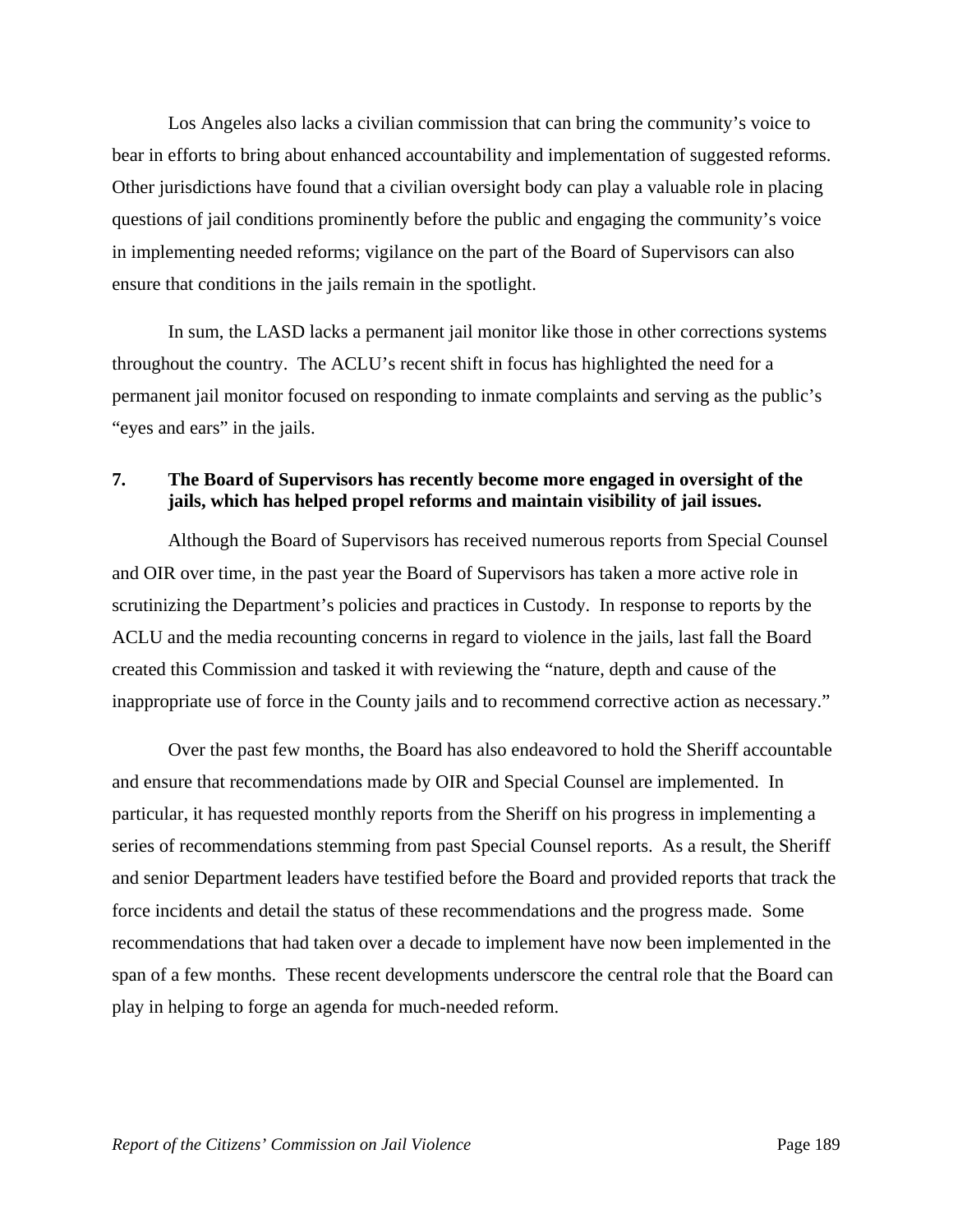Los Angeles also lacks a civilian commission that can bring the community's voice to bear in efforts to bring about enhanced accountability and implementation of suggested reforms. Other jurisdictions have found that a civilian oversight body can play a valuable role in placing questions of jail conditions prominently before the public and engaging the community's voice in implementing needed reforms; vigilance on the part of the Board of Supervisors can also ensure that conditions in the jails remain in the spotlight.

 In sum, the LASD lacks a permanent jail monitor like those in other corrections systems throughout the country. The ACLU's recent shift in focus has highlighted the need for a permanent jail monitor focused on responding to inmate complaints and serving as the public's "eyes and ears" in the jails.

## **7. The Board of Supervisors has recently become more engaged in oversight of the jails, which has helped propel reforms and maintain visibility of jail issues.**

 Although the Board of Supervisors has received numerous reports from Special Counsel and OIR over time, in the past year the Board of Supervisors has taken a more active role in scrutinizing the Department's policies and practices in Custody. In response to reports by the ACLU and the media recounting concerns in regard to violence in the jails, last fall the Board created this Commission and tasked it with reviewing the "nature, depth and cause of the inappropriate use of force in the County jails and to recommend corrective action as necessary."

 Over the past few months, the Board has also endeavored to hold the Sheriff accountable and ensure that recommendations made by OIR and Special Counsel are implemented. In particular, it has requested monthly reports from the Sheriff on his progress in implementing a series of recommendations stemming from past Special Counsel reports. As a result, the Sheriff and senior Department leaders have testified before the Board and provided reports that track the force incidents and detail the status of these recommendations and the progress made. Some recommendations that had taken over a decade to implement have now been implemented in the span of a few months. These recent developments underscore the central role that the Board can play in helping to forge an agenda for much-needed reform.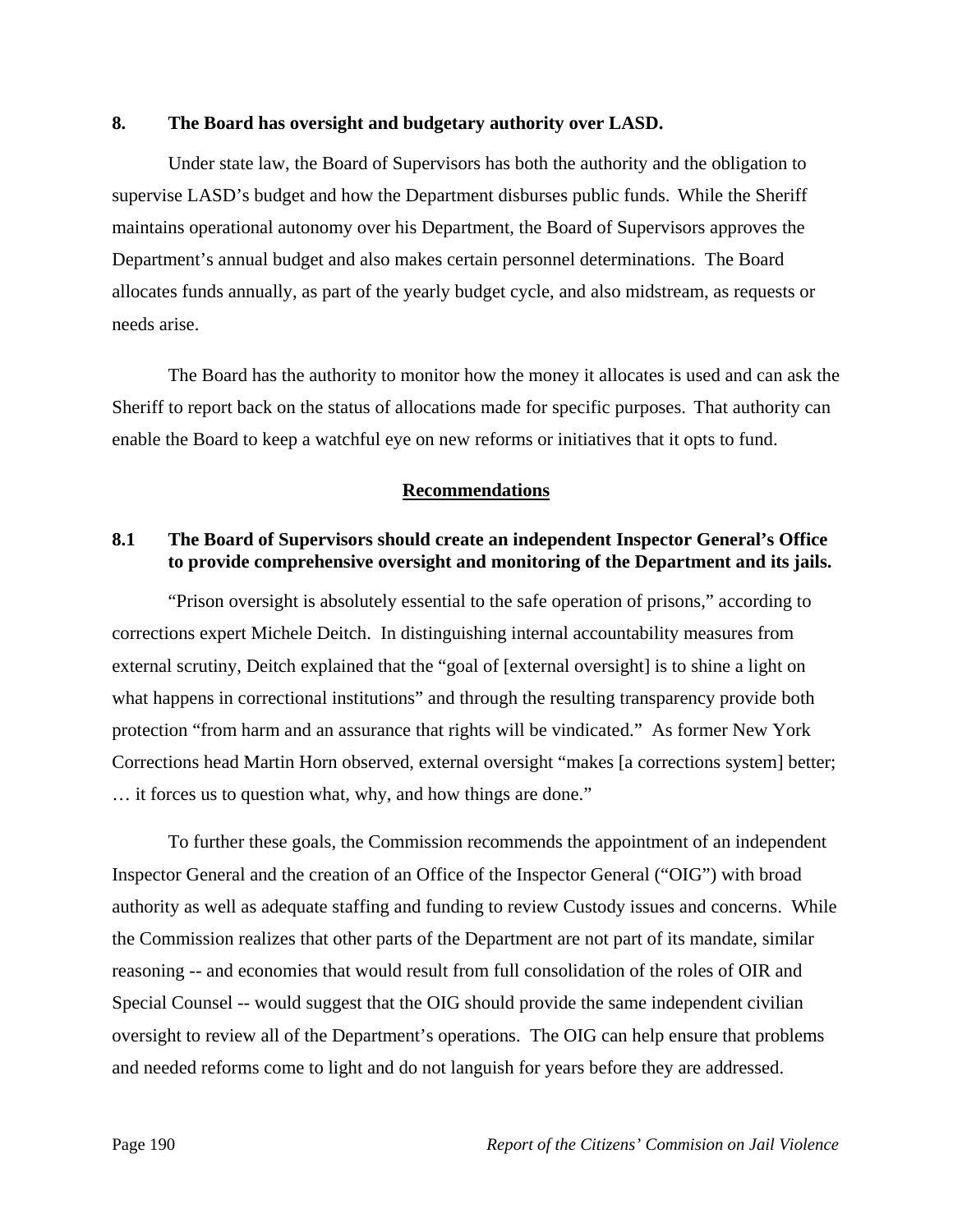#### **8. The Board has oversight and budgetary authority over LASD.**

 Under state law, the Board of Supervisors has both the authority and the obligation to supervise LASD's budget and how the Department disburses public funds. While the Sheriff maintains operational autonomy over his Department, the Board of Supervisors approves the Department's annual budget and also makes certain personnel determinations. The Board allocates funds annually, as part of the yearly budget cycle, and also midstream, as requests or needs arise.

 The Board has the authority to monitor how the money it allocates is used and can ask the Sheriff to report back on the status of allocations made for specific purposes. That authority can enable the Board to keep a watchful eye on new reforms or initiatives that it opts to fund.

#### **Recommendations**

## **8.1 The Board of Supervisors should create an independent Inspector General's Office to provide comprehensive oversight and monitoring of the Department and its jails.**

 "Prison oversight is absolutely essential to the safe operation of prisons," according to corrections expert Michele Deitch. In distinguishing internal accountability measures from external scrutiny, Deitch explained that the "goal of [external oversight] is to shine a light on what happens in correctional institutions" and through the resulting transparency provide both protection "from harm and an assurance that rights will be vindicated." As former New York Corrections head Martin Horn observed, external oversight "makes [a corrections system] better; … it forces us to question what, why, and how things are done."

 To further these goals, the Commission recommends the appointment of an independent Inspector General and the creation of an Office of the Inspector General ("OIG") with broad authority as well as adequate staffing and funding to review Custody issues and concerns. While the Commission realizes that other parts of the Department are not part of its mandate, similar reasoning -- and economies that would result from full consolidation of the roles of OIR and Special Counsel -- would suggest that the OIG should provide the same independent civilian oversight to review all of the Department's operations. The OIG can help ensure that problems and needed reforms come to light and do not languish for years before they are addressed.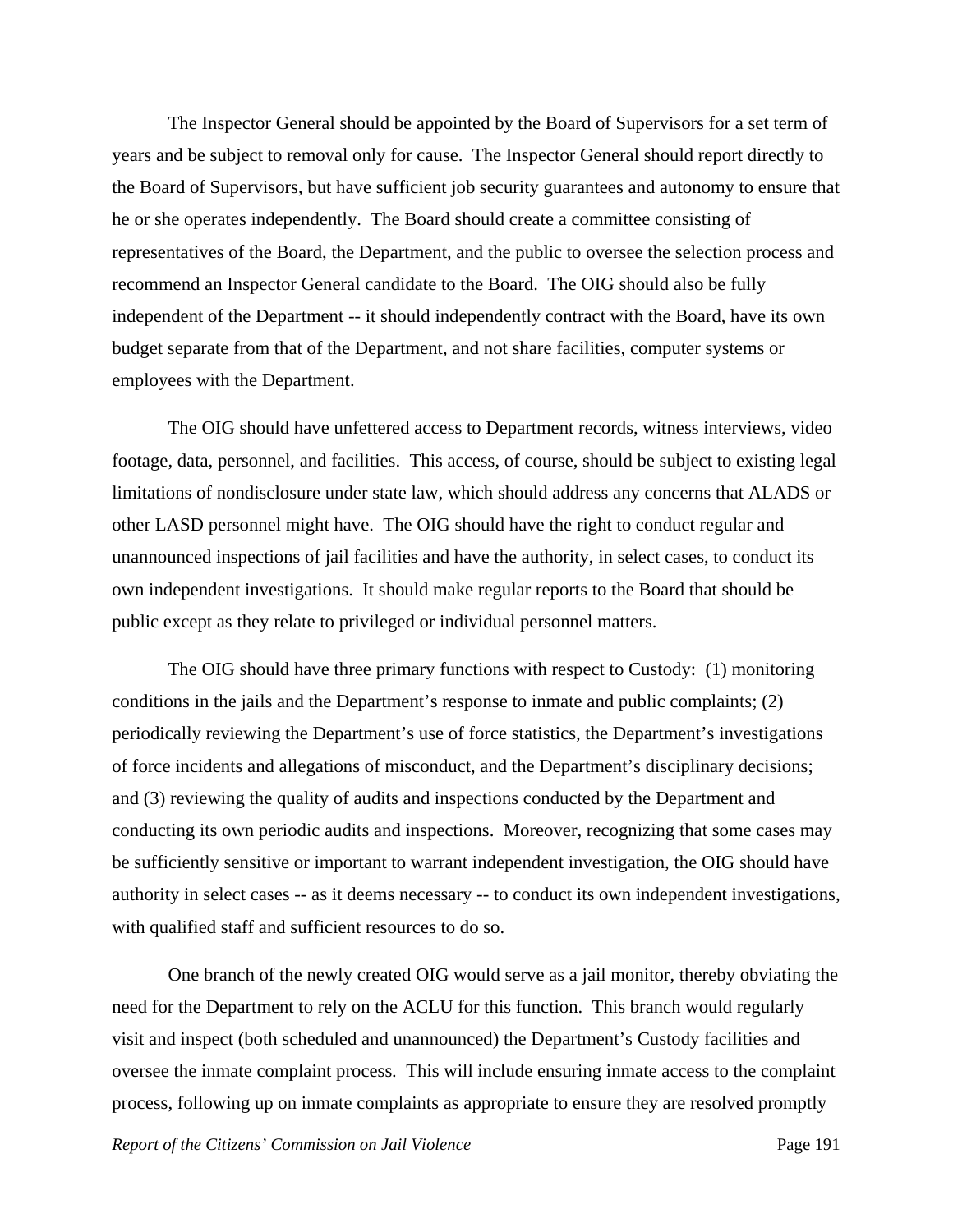The Inspector General should be appointed by the Board of Supervisors for a set term of years and be subject to removal only for cause. The Inspector General should report directly to the Board of Supervisors, but have sufficient job security guarantees and autonomy to ensure that he or she operates independently. The Board should create a committee consisting of representatives of the Board, the Department, and the public to oversee the selection process and recommend an Inspector General candidate to the Board. The OIG should also be fully independent of the Department -- it should independently contract with the Board, have its own budget separate from that of the Department, and not share facilities, computer systems or employees with the Department.

 The OIG should have unfettered access to Department records, witness interviews, video footage, data, personnel, and facilities. This access, of course, should be subject to existing legal limitations of nondisclosure under state law, which should address any concerns that ALADS or other LASD personnel might have. The OIG should have the right to conduct regular and unannounced inspections of jail facilities and have the authority, in select cases, to conduct its own independent investigations. It should make regular reports to the Board that should be public except as they relate to privileged or individual personnel matters.

 The OIG should have three primary functions with respect to Custody: (1) monitoring conditions in the jails and the Department's response to inmate and public complaints; (2) periodically reviewing the Department's use of force statistics, the Department's investigations of force incidents and allegations of misconduct, and the Department's disciplinary decisions; and (3) reviewing the quality of audits and inspections conducted by the Department and conducting its own periodic audits and inspections. Moreover, recognizing that some cases may be sufficiently sensitive or important to warrant independent investigation, the OIG should have authority in select cases -- as it deems necessary -- to conduct its own independent investigations, with qualified staff and sufficient resources to do so.

 One branch of the newly created OIG would serve as a jail monitor, thereby obviating the need for the Department to rely on the ACLU for this function. This branch would regularly visit and inspect (both scheduled and unannounced) the Department's Custody facilities and oversee the inmate complaint process. This will include ensuring inmate access to the complaint process, following up on inmate complaints as appropriate to ensure they are resolved promptly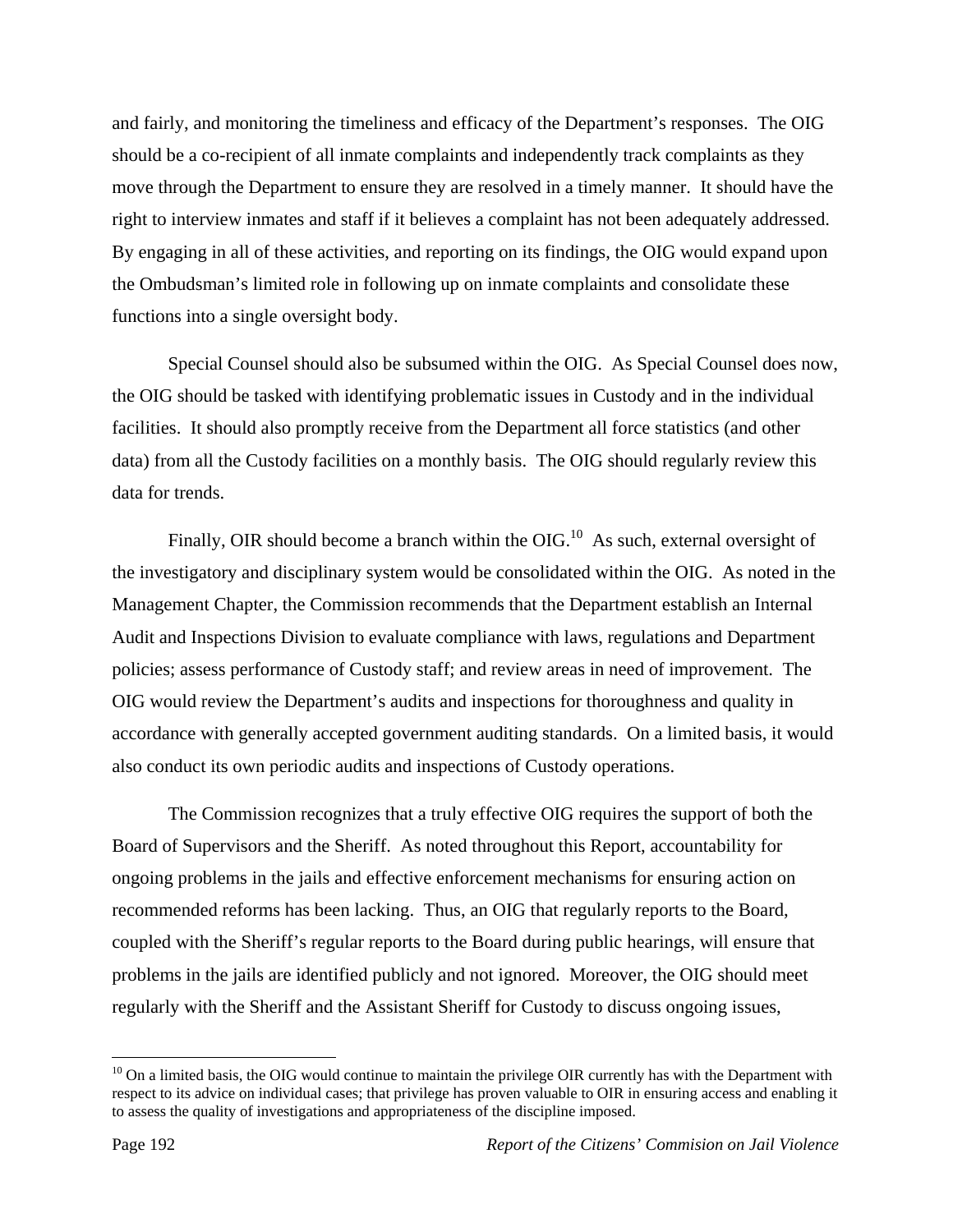and fairly, and monitoring the timeliness and efficacy of the Department's responses. The OIG should be a co-recipient of all inmate complaints and independently track complaints as they move through the Department to ensure they are resolved in a timely manner. It should have the right to interview inmates and staff if it believes a complaint has not been adequately addressed. By engaging in all of these activities, and reporting on its findings, the OIG would expand upon the Ombudsman's limited role in following up on inmate complaints and consolidate these functions into a single oversight body.

 Special Counsel should also be subsumed within the OIG. As Special Counsel does now, the OIG should be tasked with identifying problematic issues in Custody and in the individual facilities. It should also promptly receive from the Department all force statistics (and other data) from all the Custody facilities on a monthly basis. The OIG should regularly review this data for trends.

Finally, OIR should become a branch within the OIG.<sup>10</sup> As such, external oversight of the investigatory and disciplinary system would be consolidated within the OIG. As noted in the Management Chapter, the Commission recommends that the Department establish an Internal Audit and Inspections Division to evaluate compliance with laws, regulations and Department policies; assess performance of Custody staff; and review areas in need of improvement. The OIG would review the Department's audits and inspections for thoroughness and quality in accordance with generally accepted government auditing standards. On a limited basis, it would also conduct its own periodic audits and inspections of Custody operations.

 The Commission recognizes that a truly effective OIG requires the support of both the Board of Supervisors and the Sheriff. As noted throughout this Report, accountability for ongoing problems in the jails and effective enforcement mechanisms for ensuring action on recommended reforms has been lacking. Thus, an OIG that regularly reports to the Board, coupled with the Sheriff's regular reports to the Board during public hearings, will ensure that problems in the jails are identified publicly and not ignored. Moreover, the OIG should meet regularly with the Sheriff and the Assistant Sheriff for Custody to discuss ongoing issues,

 $10$  On a limited basis, the OIG would continue to maintain the privilege OIR currently has with the Department with respect to its advice on individual cases; that privilege has proven valuable to OIR in ensuring access and enabling it to assess the quality of investigations and appropriateness of the discipline imposed.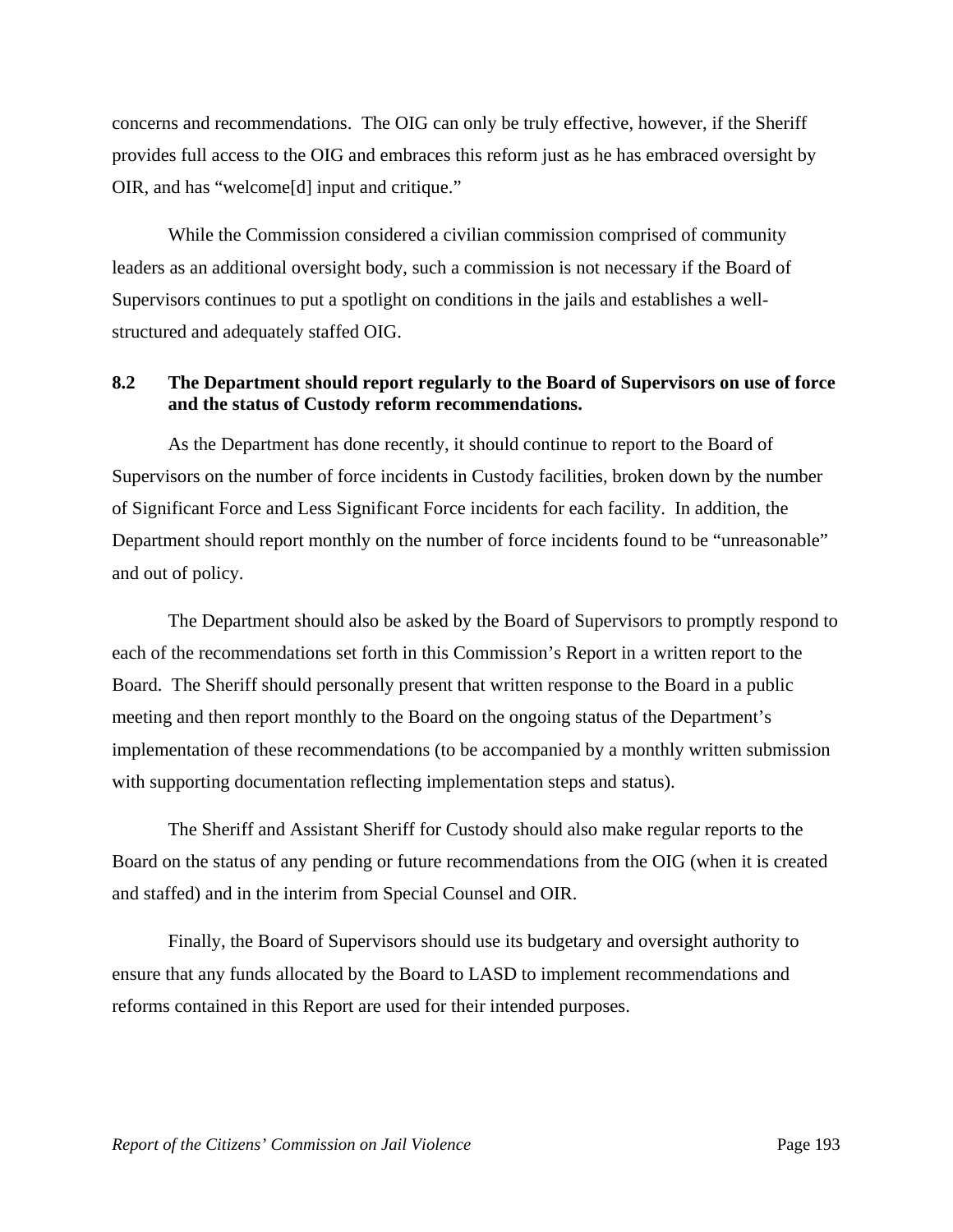concerns and recommendations. The OIG can only be truly effective, however, if the Sheriff provides full access to the OIG and embraces this reform just as he has embraced oversight by OIR, and has "welcome[d] input and critique."

 While the Commission considered a civilian commission comprised of community leaders as an additional oversight body, such a commission is not necessary if the Board of Supervisors continues to put a spotlight on conditions in the jails and establishes a wellstructured and adequately staffed OIG.

### **8.2 The Department should report regularly to the Board of Supervisors on use of force and the status of Custody reform recommendations.**

 As the Department has done recently, it should continue to report to the Board of Supervisors on the number of force incidents in Custody facilities, broken down by the number of Significant Force and Less Significant Force incidents for each facility. In addition, the Department should report monthly on the number of force incidents found to be "unreasonable" and out of policy.

 The Department should also be asked by the Board of Supervisors to promptly respond to each of the recommendations set forth in this Commission's Report in a written report to the Board. The Sheriff should personally present that written response to the Board in a public meeting and then report monthly to the Board on the ongoing status of the Department's implementation of these recommendations (to be accompanied by a monthly written submission with supporting documentation reflecting implementation steps and status).

 The Sheriff and Assistant Sheriff for Custody should also make regular reports to the Board on the status of any pending or future recommendations from the OIG (when it is created and staffed) and in the interim from Special Counsel and OIR.

 Finally, the Board of Supervisors should use its budgetary and oversight authority to ensure that any funds allocated by the Board to LASD to implement recommendations and reforms contained in this Report are used for their intended purposes.